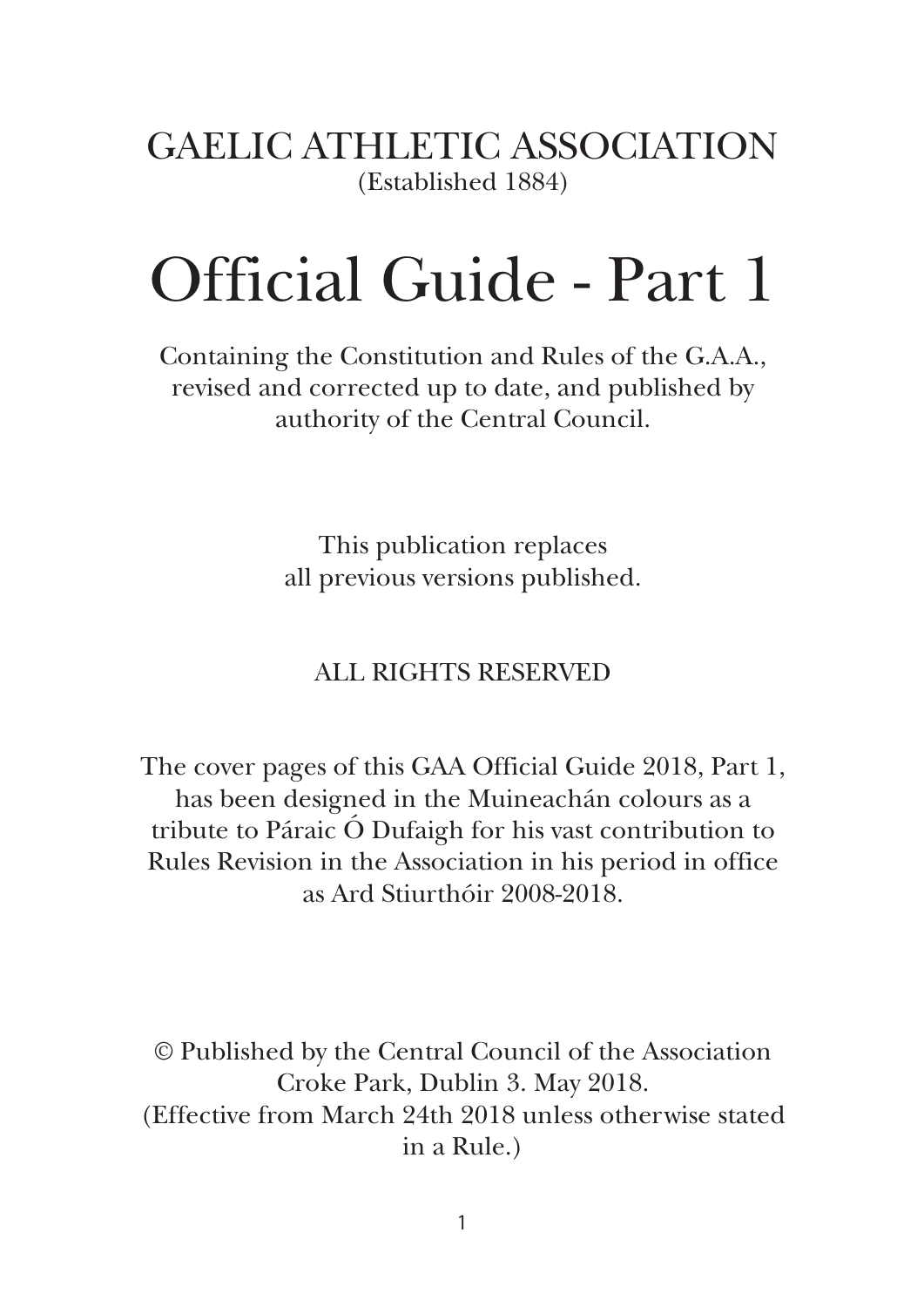GAELIC ATHLETIC ASSOCIATION (Established 1884)

# Official Guide - Part 1

Containing the Constitution and Rules of the G.A.A., revised and corrected up to date, and published by authority of the Central Council.

> This publication replaces all previous versions published.

ALL RIGHTS RESERVED

The cover pages of this GAA Official Guide 2018, Part 1, has been designed in the Muineachán colours as a tribute to Páraic Ó Dufaigh for his vast contribution to Rules Revision in the Association in his period in office as Ard Stiurthóir 2008-2018.

© Published by the Central Council of the Association Croke Park, Dublin 3. May 2018. (Effective from March 24th 2018 unless otherwise stated in a Rule.)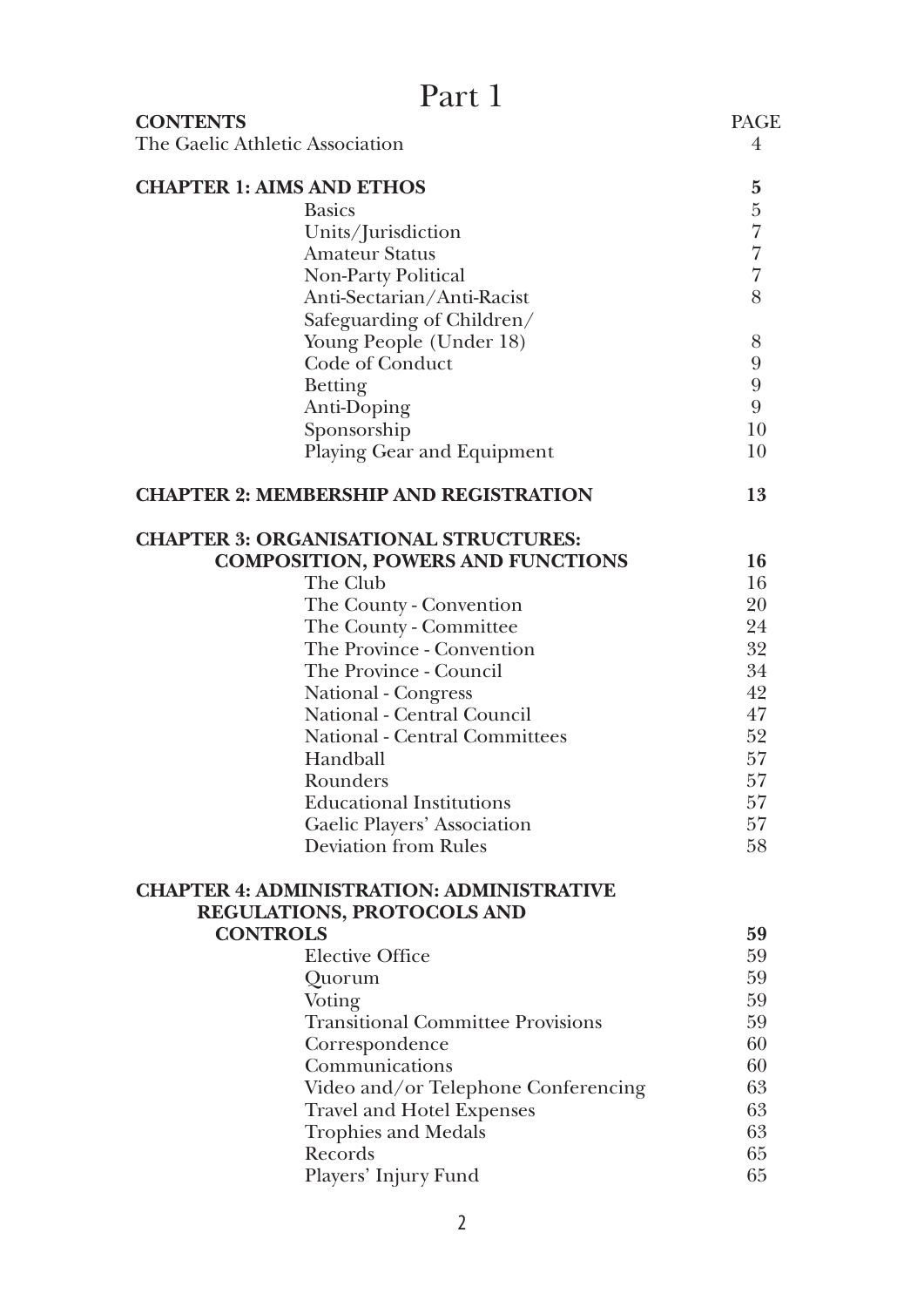| Part 1                                                     |                |
|------------------------------------------------------------|----------------|
| <b>CONTENTS</b>                                            | PAGE           |
| The Gaelic Athletic Association                            | 4              |
| <b>CHAPTER 1: AIMS AND ETHOS</b>                           | 5              |
| <b>Basics</b>                                              | $\frac{5}{7}$  |
| Units/Jurisdiction                                         |                |
| Amateur Status                                             | $\overline{7}$ |
| Non-Party Political                                        | $\overline{7}$ |
| Anti-Sectarian/Anti-Racist                                 | 8              |
| Safeguarding of Children/                                  |                |
| Young People (Under 18)                                    | 8              |
| Code of Conduct                                            | 9              |
| <b>Betting</b>                                             | 9              |
| Anti-Doping                                                | 9              |
| Sponsorship                                                | 10             |
| Playing Gear and Equipment                                 | 10             |
| <b>CHAPTER 2: MEMBERSHIP AND REGISTRATION</b>              | 13             |
| <b>CHAPTER 3: ORGANISATIONAL STRUCTURES:</b>               |                |
| <b>COMPOSITION, POWERS AND FUNCTIONS</b>                   | 16             |
| The Club                                                   | 16             |
| The County - Convention                                    | 20             |
| The County - Committee                                     | 24             |
| The Province - Convention                                  | 32             |
| The Province - Council                                     | 34             |
| National - Congress                                        | 42             |
| National - Central Council                                 | 47             |
| National - Central Committees                              | 52             |
| Handball                                                   | 57             |
| Rounders                                                   | 57             |
| <b>Educational Institutions</b>                            | 57             |
| Gaelic Players' Association<br><b>Deviation from Rules</b> | 57<br>58       |
| <b>CHAPTER 4: ADMINISTRATION: ADMINISTRATIVE</b>           |                |
| <b>REGULATIONS, PROTOCOLS AND</b>                          |                |
| <b>CONTROLS</b>                                            | 59             |
| <b>Elective Office</b>                                     | 59             |
| Quorum                                                     | 59             |
| Voting                                                     | 59             |
| <b>Transitional Committee Provisions</b>                   | 59             |
| Correspondence                                             | 60             |
| Communications                                             | 60             |
| Video and/or Telephone Conferencing                        | 63             |
| Travel and Hotel Expenses                                  | 63             |
| <b>Trophies and Medals</b>                                 | 63             |
| Records                                                    | 65             |
| Players' Injury Fund                                       | 65             |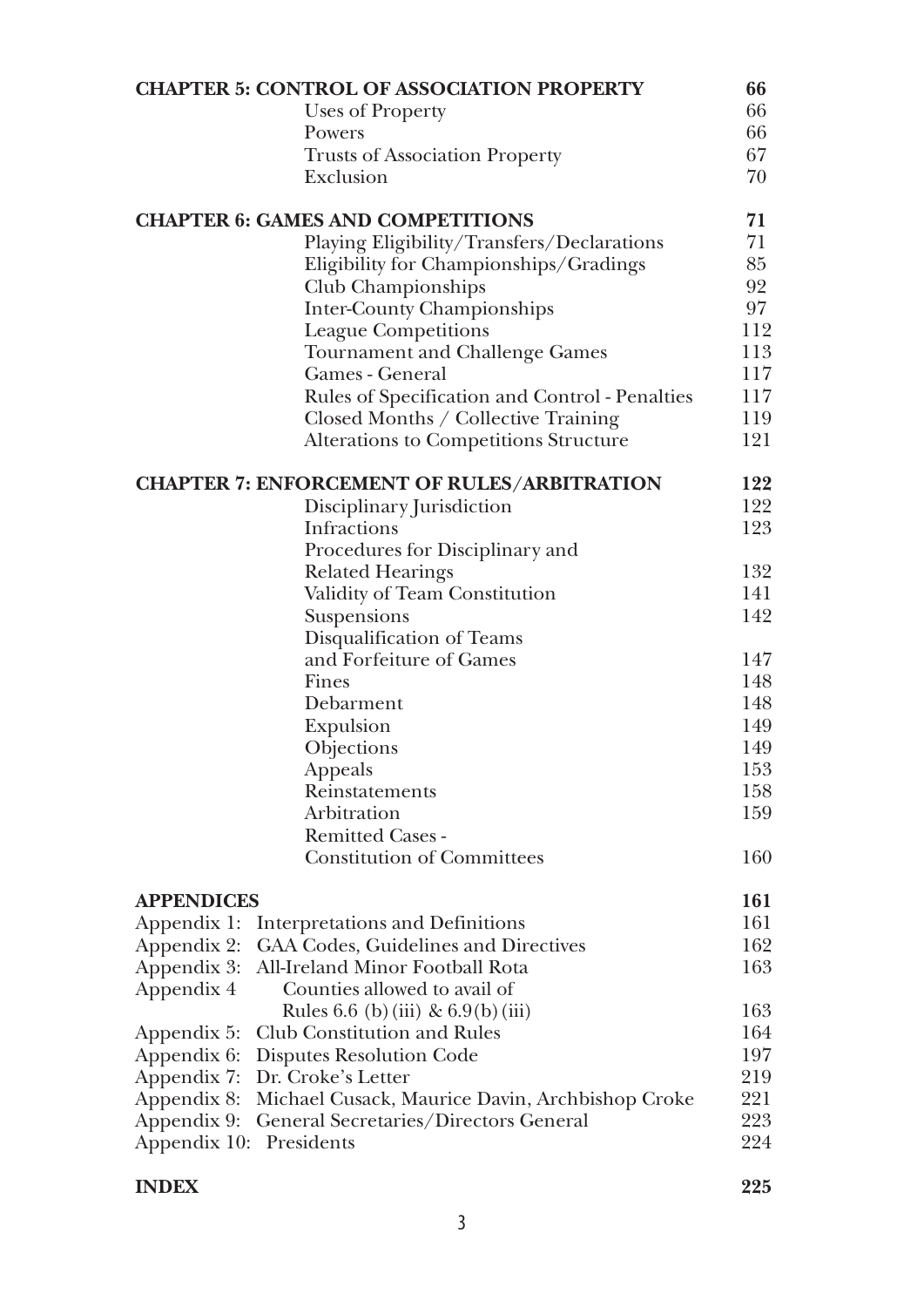|                         | <b>CHAPTER 5: CONTROL OF ASSOCIATION PROPERTY</b>  | 66  |
|-------------------------|----------------------------------------------------|-----|
|                         | Uses of Property                                   | 66  |
|                         | Powers                                             | 66  |
|                         | <b>Trusts of Association Property</b>              | 67  |
|                         | Exclusion                                          | 70  |
|                         | <b>CHAPTER 6: GAMES AND COMPETITIONS</b>           | 71  |
|                         | Playing Eligibility/Transfers/Declarations         | 71  |
|                         | Eligibility for Championships/Gradings             | 85  |
|                         | Club Championships                                 | 92  |
|                         | <b>Inter-County Championships</b>                  | 97  |
|                         | <b>League Competitions</b>                         | 112 |
|                         | Tournament and Challenge Games                     | 113 |
|                         | Games - General                                    | 117 |
|                         | Rules of Specification and Control - Penalties     | 117 |
|                         | Closed Months / Collective Training                | 119 |
|                         | Alterations to Competitions Structure              | 121 |
|                         | <b>CHAPTER 7: ENFORCEMENT OF RULES/ARBITRATION</b> | 122 |
|                         | Disciplinary Jurisdiction                          | 122 |
|                         | Infractions                                        | 123 |
|                         | Procedures for Disciplinary and                    |     |
|                         | <b>Related Hearings</b>                            | 132 |
|                         | Validity of Team Constitution                      | 141 |
|                         | Suspensions                                        | 142 |
|                         | Disqualification of Teams                          |     |
|                         | and Forfeiture of Games                            | 147 |
|                         | Fines                                              | 148 |
|                         | Debarment                                          | 148 |
|                         | Expulsion                                          | 149 |
|                         | Objections                                         | 149 |
|                         | Appeals                                            | 153 |
|                         | Reinstatements                                     | 158 |
|                         | Arbitration                                        | 159 |
|                         | <b>Remitted Cases -</b>                            |     |
|                         | <b>Constitution of Committees</b>                  | 160 |
| <b>APPENDICES</b>       |                                                    | 161 |
| Appendix 1:             | Interpretations and Definitions                    | 161 |
| Appendix 2:             | GAA Codes, Guidelines and Directives               | 162 |
| Appendix 3:             | All-Ireland Minor Football Rota                    | 163 |
| Appendix 4              | Counties allowed to avail of                       |     |
|                         | Rules 6.6 (b) (iii) & $6.9(b)$ (iii)               | 163 |
| Appendix 5:             | Club Constitution and Rules                        | 164 |
| Appendix 6:             | Disputes Resolution Code                           | 197 |
| Appendix 7:             | Dr. Croke's Letter                                 | 219 |
| Appendix 8:             | Michael Cusack, Maurice Davin, Archbishop Croke    | 221 |
| Appendix 9:             | General Secretaries/Directors General              | 223 |
| Appendix 10: Presidents |                                                    | 224 |
|                         |                                                    |     |

#### **INDEX** 225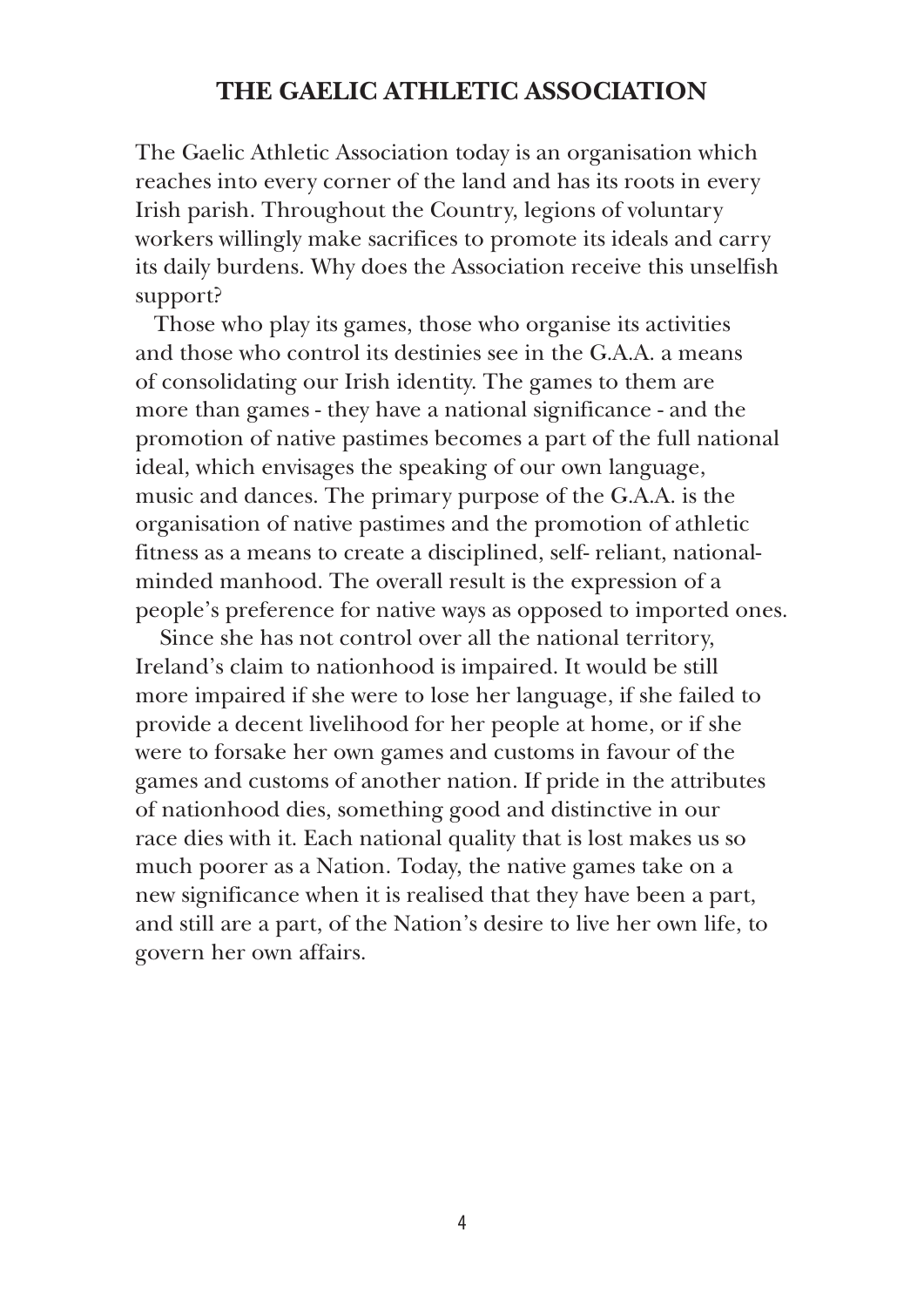#### **THE GAELIC ATHLETIC ASSOCIATION**

The Gaelic Athletic Association today is an organisation which reaches into every corner of the land and has its roots in every Irish parish. Throughout the Country, legions of voluntary workers willingly make sacrifices to promote its ideals and carry its daily burdens. Why does the Association receive this unselfish support?

Those who play its games, those who organise its activities and those who control its destinies see in the G.A.A. a means of consolidating our Irish identity. The games to them are more than games - they have a national significance - and the promotion of native pastimes becomes a part of the full national ideal, which envisages the speaking of our own language, music and dances. The primary purpose of the G.A.A. is the organisation of native pastimes and the promotion of athletic fitness as a means to create a disciplined, self- reliant, nationalminded manhood. The overall result is the expression of a people's preference for native ways as opposed to imported ones.

 Since she has not control over all the national territory, Ireland's claim to nationhood is impaired. It would be still more impaired if she were to lose her language, if she failed to provide a decent livelihood for her people at home, or if she were to forsake her own games and customs in favour of the games and customs of another nation. If pride in the attributes of nationhood dies, something good and distinctive in our race dies with it. Each national quality that is lost makes us so much poorer as a Nation. Today, the native games take on a new significance when it is realised that they have been a part, and still are a part, of the Nation's desire to live her own life, to govern her own affairs.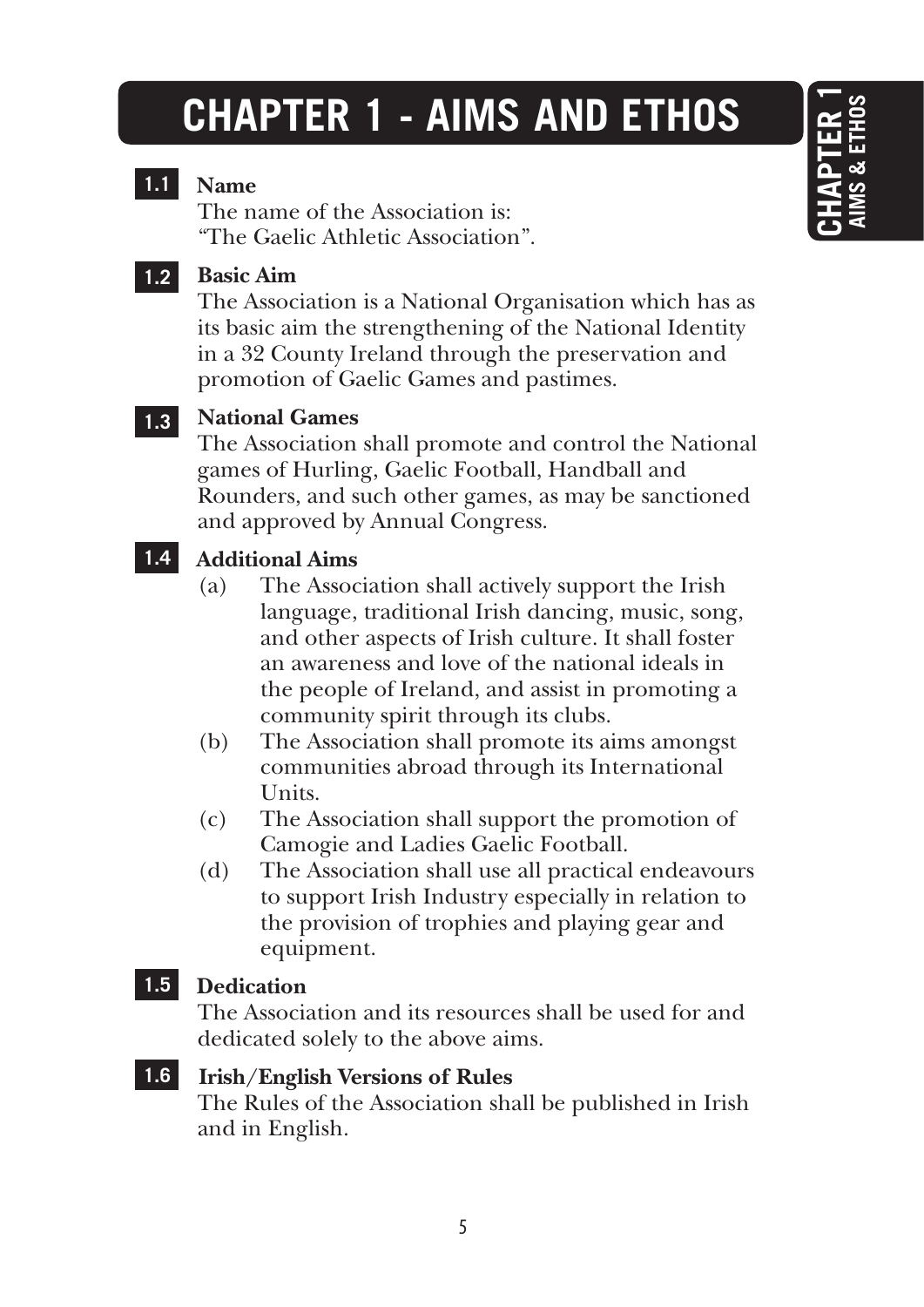# **CHAPTER 1 - AIMS AND ETHOS**

#### **1.1 Name**

The name of the Association is: "The Gaelic Athletic Association".

**1.2**

#### **Basic Aim**

The Association is a National Organisation which has as its basic aim the strengthening of the National Identity in a 32 County Ireland through the preservation and promotion of Gaelic Games and pastimes.

#### **National Games 1.3**

The Association shall promote and control the National games of Hurling, Gaelic Football, Handball and Rounders, and such other games, as may be sanctioned and approved by Annual Congress.

#### **1.4 Additional Aims**

- (a) The Association shall actively support the Irish language, traditional Irish dancing, music, song, and other aspects of Irish culture. It shall foster an awareness and love of the national ideals in the people of Ireland, and assist in promoting a community spirit through its clubs.
- (b) The Association shall promote its aims amongst communities abroad through its International Units.
- (c) The Association shall support the promotion of Camogie and Ladies Gaelic Football.
- (d) The Association shall use all practical endeavours to support Irish Industry especially in relation to the provision of trophies and playing gear and equipment.

#### **1.5 Dedication**

The Association and its resources shall be used for and dedicated solely to the above aims.

**1.6 Irish/English Versions of Rules** The Rules of the Association shall be published in Irish and in English.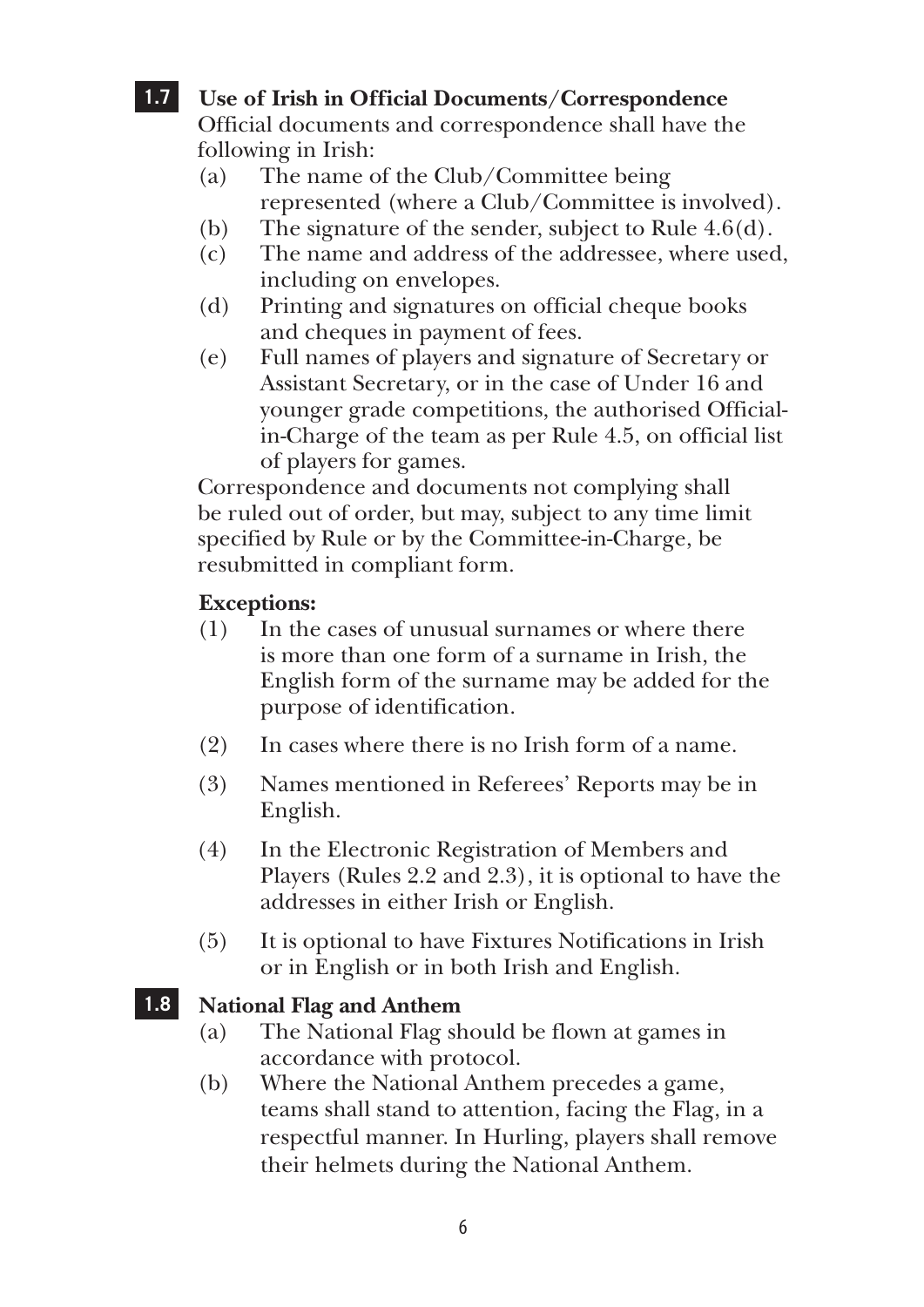#### **1.7 Use of Irish in Official Documents/Correspondence**

Official documents and correspondence shall have the following in Irish:

- (a) The name of the Club/Committee being represented (where a Club/Committee is involved).
- (b) The signature of the sender, subject to Rule 4.6(d).
- (c) The name and address of the addressee, where used, including on envelopes.
- (d) Printing and signatures on official cheque books and cheques in payment of fees.
- (e) Full names of players and signature of Secretary or Assistant Secretary, or in the case of Under 16 and younger grade competitions, the authorised Officialin-Charge of the team as per Rule 4.5, on official list of players for games.

Correspondence and documents not complying shall be ruled out of order, but may, subject to any time limit specified by Rule or by the Committee-in-Charge, be resubmitted in compliant form.

#### **Exceptions:**

- (1) In the cases of unusual surnames or where there is more than one form of a surname in Irish, the English form of the surname may be added for the purpose of identification.
- (2) In cases where there is no Irish form of a name.
- (3) Names mentioned in Referees' Reports may be in English.
- (4) In the Electronic Registration of Members and Players (Rules 2.2 and 2.3), it is optional to have the addresses in either Irish or English.
- (5) It is optional to have Fixtures Notifications in Irish or in English or in both Irish and English.

#### **1.8 National Flag and Anthem**

- (a) The National Flag should be flown at games in accordance with protocol.
- (b) Where the National Anthem precedes a game, teams shall stand to attention, facing the Flag, in a respectful manner. In Hurling, players shall remove their helmets during the National Anthem.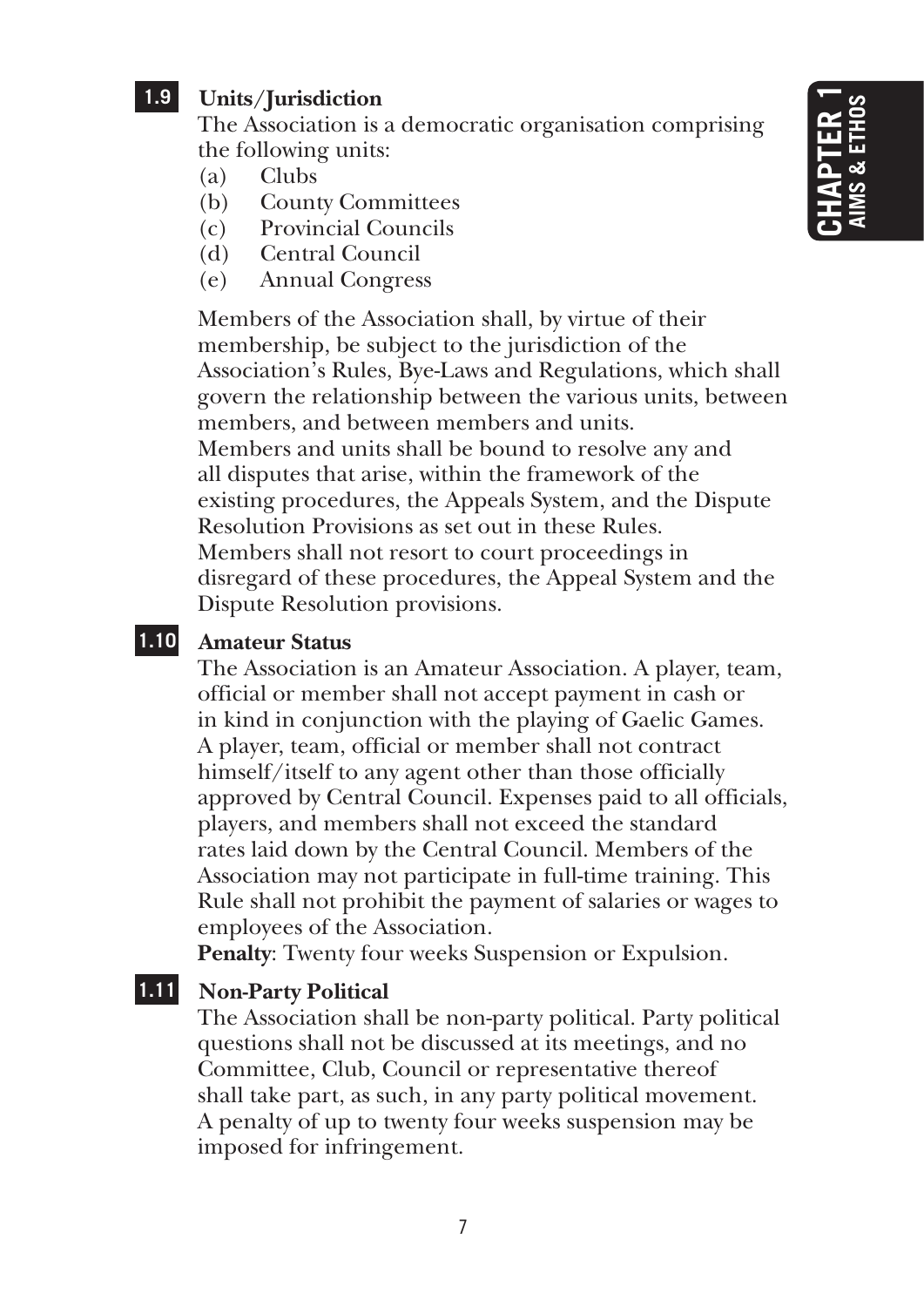#### **1.9 Units/Jurisdiction**

The Association is a democratic organisation comprising the following units:

- (a) Clubs
- (b) County Committees
- (c) Provincial Councils
- (d) Central Council
- (e) Annual Congress

Members of the Association shall, by virtue of their membership, be subject to the jurisdiction of the Association's Rules, Bye-Laws and Regulations, which shall govern the relationship between the various units, between members, and between members and units. Members and units shall be bound to resolve any and all disputes that arise, within the framework of the existing procedures, the Appeals System, and the Dispute Resolution Provisions as set out in these Rules. Members shall not resort to court proceedings in disregard of these procedures, the Appeal System and the Dispute Resolution provisions.

#### **1.10 Amateur Status**

The Association is an Amateur Association. A player, team, official or member shall not accept payment in cash or in kind in conjunction with the playing of Gaelic Games. A player, team, official or member shall not contract himself/itself to any agent other than those officially approved by Central Council. Expenses paid to all officials, players, and members shall not exceed the standard rates laid down by the Central Council. Members of the Association may not participate in full-time training. This Rule shall not prohibit the payment of salaries or wages to employees of the Association.

**Penalty**: Twenty four weeks Suspension or Expulsion.

#### **1.11 Non-Party Political**

The Association shall be non-party political. Party political questions shall not be discussed at its meetings, and no Committee, Club, Council or representative thereof shall take part, as such, in any party political movement. A penalty of up to twenty four weeks suspension may be imposed for infringement.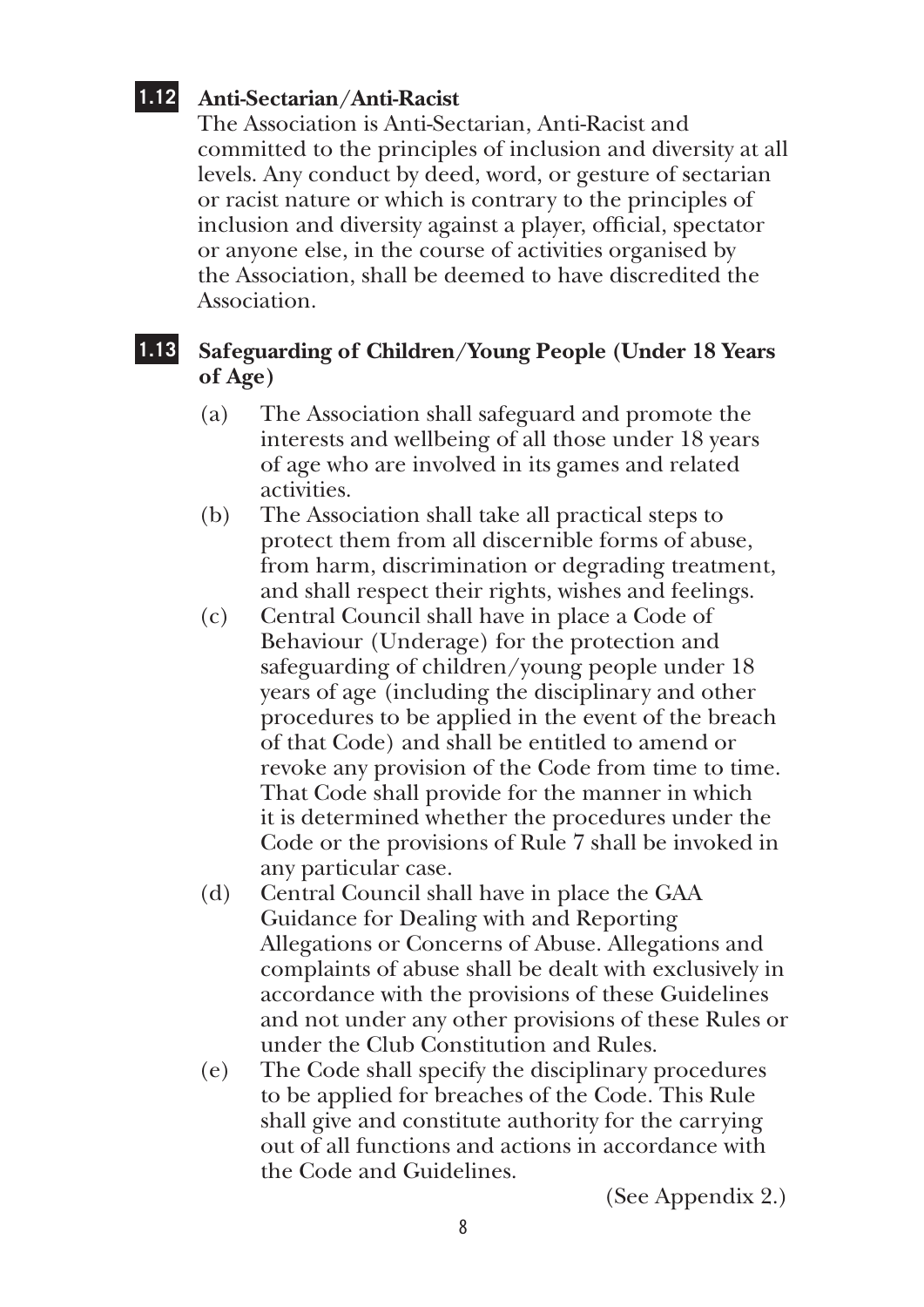#### **1.12 Anti-Sectarian/Anti-Racist**

The Association is Anti-Sectarian, Anti-Racist and committed to the principles of inclusion and diversity at all levels. Any conduct by deed, word, or gesture of sectarian or racist nature or which is contrary to the principles of inclusion and diversity against a player, official, spectator or anyone else, in the course of activities organised by the Association, shall be deemed to have discredited the **Association** 

#### **1.13 Safeguarding of Children/Young People (Under 18 Years of Age)**

- (a) The Association shall safeguard and promote the interests and wellbeing of all those under 18 years of age who are involved in its games and related activities.
- (b) The Association shall take all practical steps to protect them from all discernible forms of abuse, from harm, discrimination or degrading treatment, and shall respect their rights, wishes and feelings.
- (c) Central Council shall have in place a Code of Behaviour (Underage) for the protection and safeguarding of children/young people under 18 years of age (including the disciplinary and other procedures to be applied in the event of the breach of that Code) and shall be entitled to amend or revoke any provision of the Code from time to time. That Code shall provide for the manner in which it is determined whether the procedures under the Code or the provisions of Rule 7 shall be invoked in any particular case.
- (d) Central Council shall have in place the GAA Guidance for Dealing with and Reporting Allegations or Concerns of Abuse. Allegations and complaints of abuse shall be dealt with exclusively in accordance with the provisions of these Guidelines and not under any other provisions of these Rules or under the Club Constitution and Rules.
- (e) The Code shall specify the disciplinary procedures to be applied for breaches of the Code. This Rule shall give and constitute authority for the carrying out of all functions and actions in accordance with the Code and Guidelines.

(See Appendix 2.)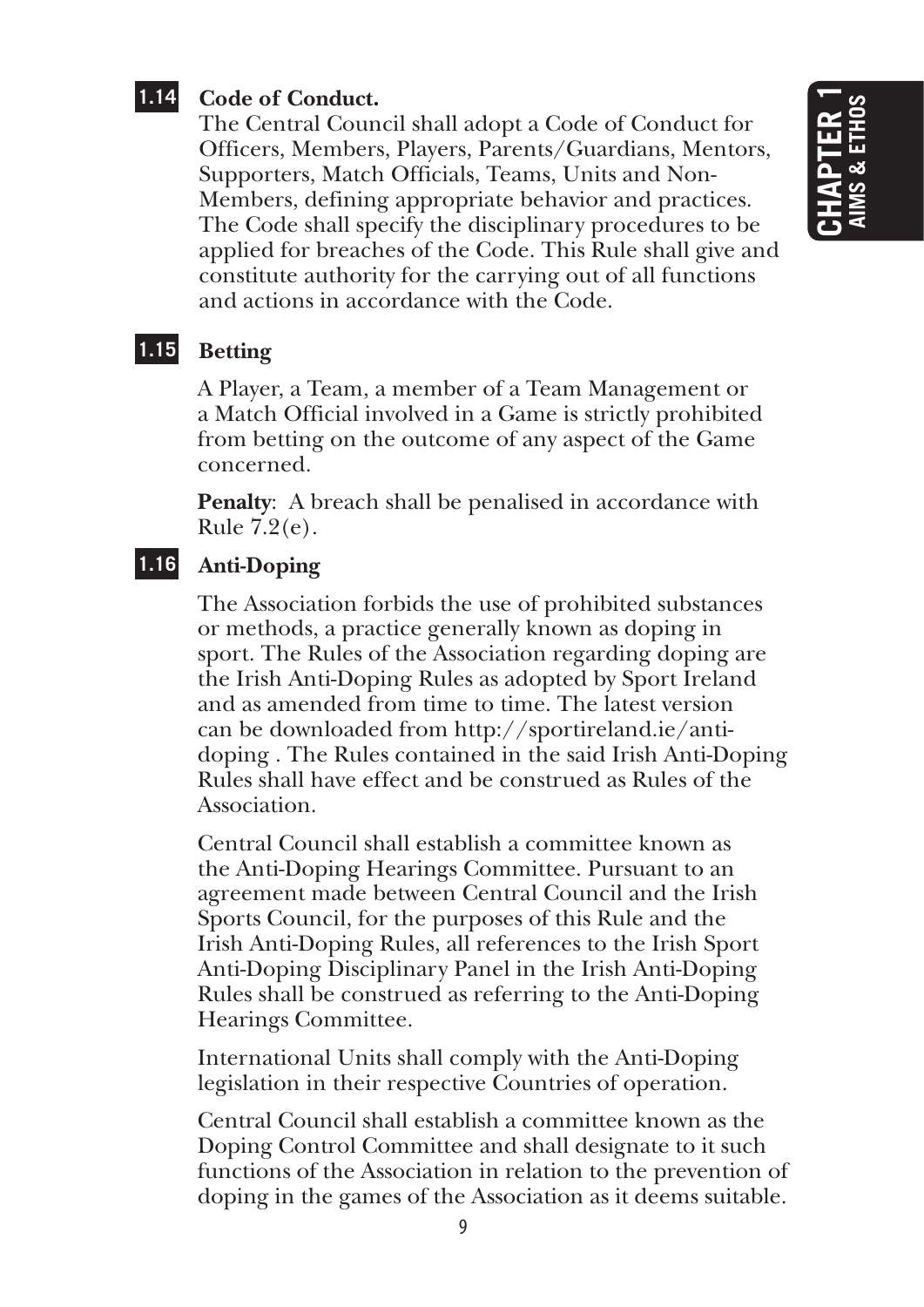#### **1.14 Code of Conduct.**

 The Central Council shall adopt a Code of Conduct for Officers, Members, Players, Parents/Guardians, Mentors, Supporters, Match Officials, Teams, Units and Non-Members, defining appropriate behavior and practices. The Code shall specify the disciplinary procedures to be applied for breaches of the Code. This Rule shall give and constitute authority for the carrying out of all functions and actions in accordance with the Code.

#### **1.15 Betting**

A Player, a Team, a member of a Team Management or a Match Official involved in a Game is strictly prohibited from betting on the outcome of any aspect of the Game concerned.

**Penalty:** A breach shall be penalised in accordance with Rule 7.2(e).

#### **1.16 Anti-Doping**

The Association forbids the use of prohibited substances or methods, a practice generally known as doping in sport. The Rules of the Association regarding doping are the Irish Anti-Doping Rules as adopted by Sport Ireland and as amended from time to time. The latest version can be downloaded from http://sportireland.ie/antidoping . The Rules contained in the said Irish Anti-Doping Rules shall have effect and be construed as Rules of the **Association** 

Central Council shall establish a committee known as the Anti-Doping Hearings Committee. Pursuant to an agreement made between Central Council and the Irish Sports Council, for the purposes of this Rule and the Irish Anti-Doping Rules, all references to the Irish Sport Anti-Doping Disciplinary Panel in the Irish Anti-Doping Rules shall be construed as referring to the Anti-Doping Hearings Committee.

International Units shall comply with the Anti-Doping legislation in their respective Countries of operation.

Central Council shall establish a committee known as the Doping Control Committee and shall designate to it such functions of the Association in relation to the prevention of doping in the games of the Association as it deems suitable.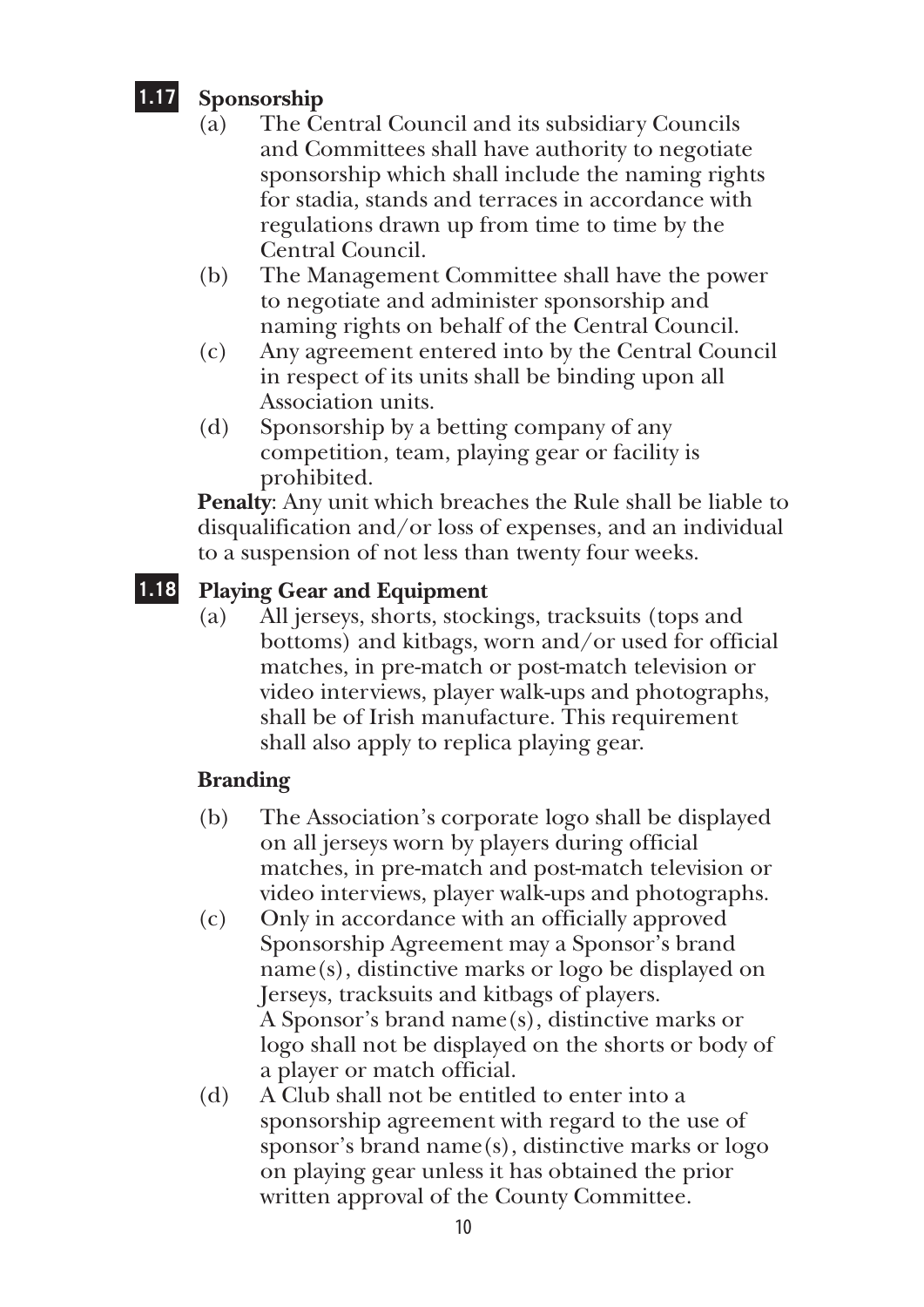### **1.17 Sponsorship**

- (a) The Central Council and its subsidiary Councils and Committees shall have authority to negotiate sponsorship which shall include the naming rights for stadia, stands and terraces in accordance with regulations drawn up from time to time by the Central Council.
- (b) The Management Committee shall have the power to negotiate and administer sponsorship and naming rights on behalf of the Central Council.
- (c) Any agreement entered into by the Central Council in respect of its units shall be binding upon all Association units.
- (d) Sponsorship by a betting company of any competition, team, playing gear or facility is prohibited.

**Penalty**: Any unit which breaches the Rule shall be liable to disqualification and/or loss of expenses, and an individual to a suspension of not less than twenty four weeks.

#### **1.18 Playing Gear and Equipment**

(a) All jerseys, shorts, stockings, tracksuits (tops and bottoms) and kitbags, worn and/or used for official matches, in pre-match or post-match television or video interviews, player walk-ups and photographs, shall be of Irish manufacture. This requirement shall also apply to replica playing gear.

#### **Branding**

- (b) The Association's corporate logo shall be displayed on all jerseys worn by players during official matches, in pre-match and post-match television or video interviews, player walk-ups and photographs.
- (c) Only in accordance with an officially approved Sponsorship Agreement may a Sponsor's brand name(s), distinctive marks or logo be displayed on Jerseys, tracksuits and kitbags of players. A Sponsor's brand name(s), distinctive marks or logo shall not be displayed on the shorts or body of a player or match official.
- (d) A Club shall not be entitled to enter into a sponsorship agreement with regard to the use of sponsor's brand name(s), distinctive marks or logo on playing gear unless it has obtained the prior written approval of the County Committee.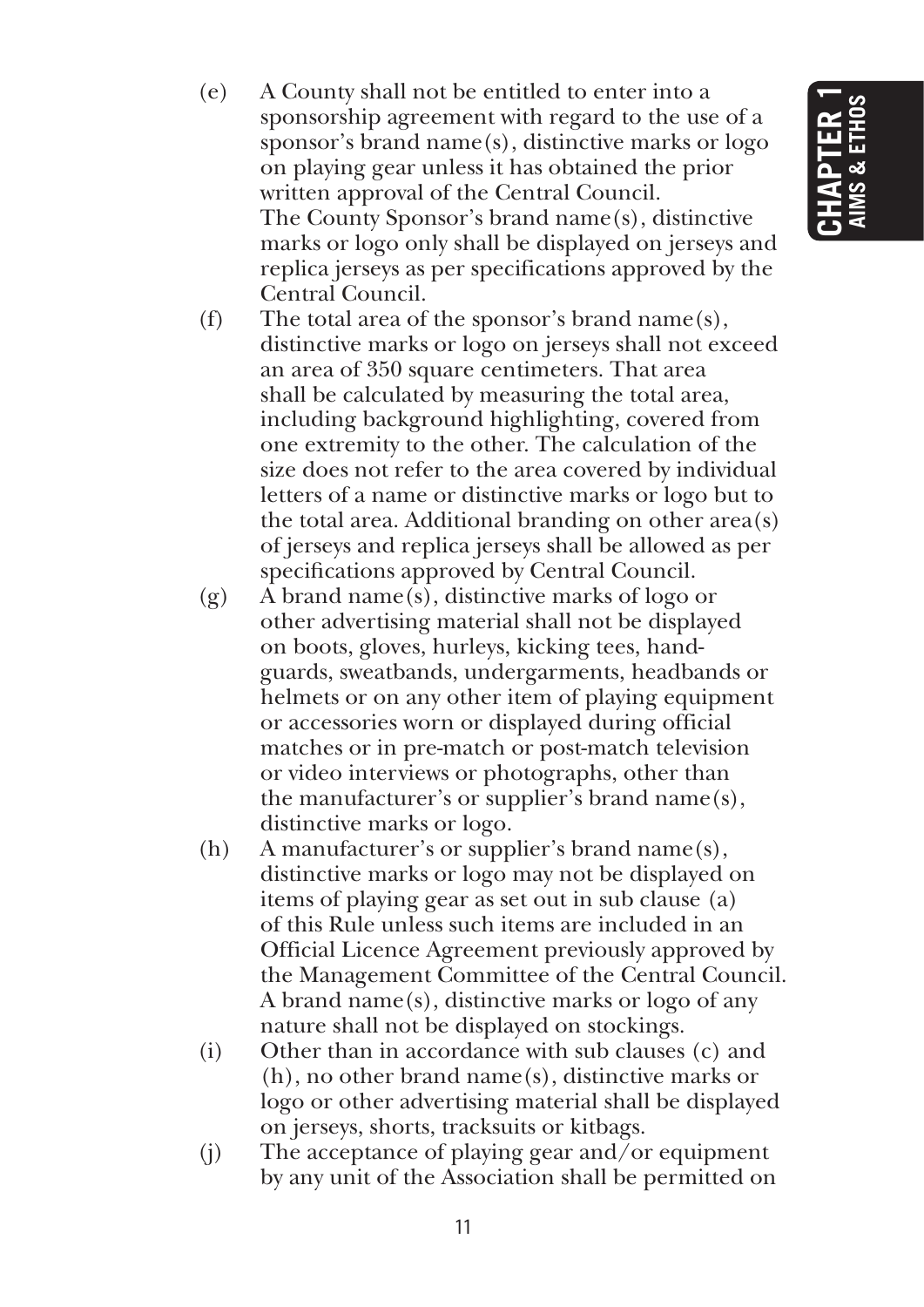- (e) A County shall not be entitled to enter into a sponsorship agreement with regard to the use of a sponsor's brand name $(s)$ , distinctive marks or  $logo$ on playing gear unless it has obtained the prior written approval of the Central Council. The County Sponsor's brand name(s), distinctive marks or logo only shall be displayed on jerseys and replica jerseys as per specifications approved by the Central Council.
- (f) The total area of the sponsor's brand name(s), distinctive marks or logo on jerseys shall not exceed an area of 350 square centimeters. That area shall be calculated by measuring the total area, including background highlighting, covered from one extremity to the other. The calculation of the size does not refer to the area covered by individual letters of a name or distinctive marks or logo but to the total area. Additional branding on other area(s) of jerseys and replica jerseys shall be allowed as per specifications approved by Central Council.
- (g)  $\hat{A}$  brand name(s), distinctive marks of logo or other advertising material shall not be displayed on boots, gloves, hurleys, kicking tees, handguards, sweatbands, undergarments, headbands or helmets or on any other item of playing equipment or accessories worn or displayed during official matches or in pre-match or post-match television or video interviews or photographs, other than the manufacturer's or supplier's brand name(s), distinctive marks or logo.
- (h) A manufacturer's or supplier's brand name(s), distinctive marks or logo may not be displayed on items of playing gear as set out in sub clause (a) of this Rule unless such items are included in an Official Licence Agreement previously approved by the Management Committee of the Central Council. A brand name(s), distinctive marks or logo of any nature shall not be displayed on stockings.
- (i) Other than in accordance with sub clauses (c) and (h), no other brand name(s), distinctive marks or logo or other advertising material shall be displayed on jerseys, shorts, tracksuits or kitbags.
- (i) The acceptance of playing gear and/or equipment by any unit of the Association shall be permitted on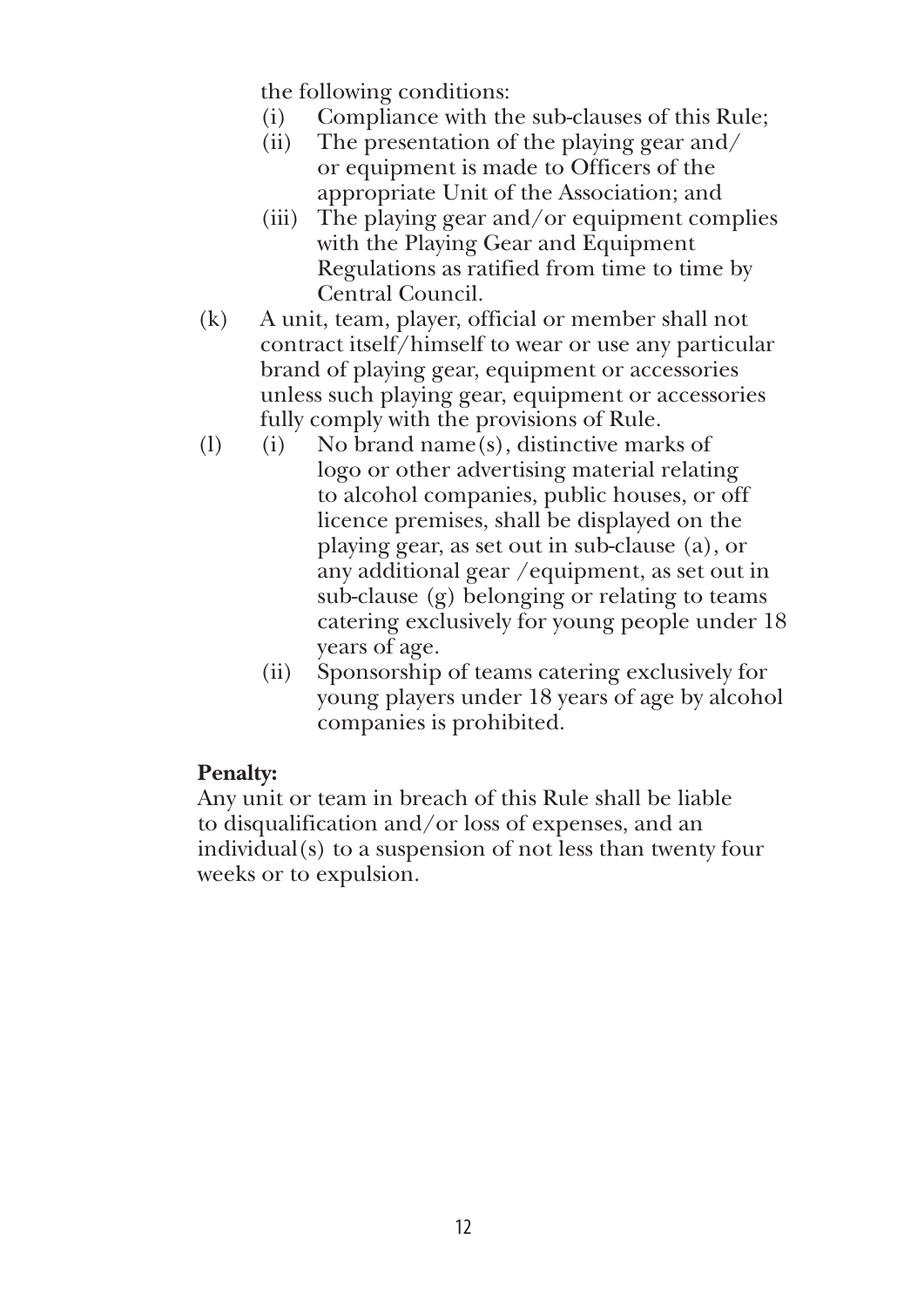the following conditions:

- (i) Compliance with the sub-clauses of this Rule;
- (ii) The presentation of the playing gear and/ or equipment is made to Officers of the appropriate Unit of the Association; and
- (iii) The playing gear and/or equipment complies with the Playing Gear and Equipment Regulations as ratified from time to time by Central Council.
- (k) A unit, team, player, official or member shall not contract itself/himself to wear or use any particular brand of playing gear, equipment or accessories unless such playing gear, equipment or accessories fully comply with the provisions of Rule.
- (1) (i) No brand name(s), distinctive marks of logo or other advertising material relating to alcohol companies, public houses, or off licence premises, shall be displayed on the playing gear, as set out in sub-clause (a), or any additional gear /equipment, as set out in sub-clause (g) belonging or relating to teams catering exclusively for young people under 18 years of age.
	- (ii) Sponsorship of teams catering exclusively for young players under 18 years of age by alcohol companies is prohibited.

#### **Penalty:**

Any unit or team in breach of this Rule shall be liable to disqualification and/or loss of expenses, and an individual(s) to a suspension of not less than twenty four weeks or to expulsion.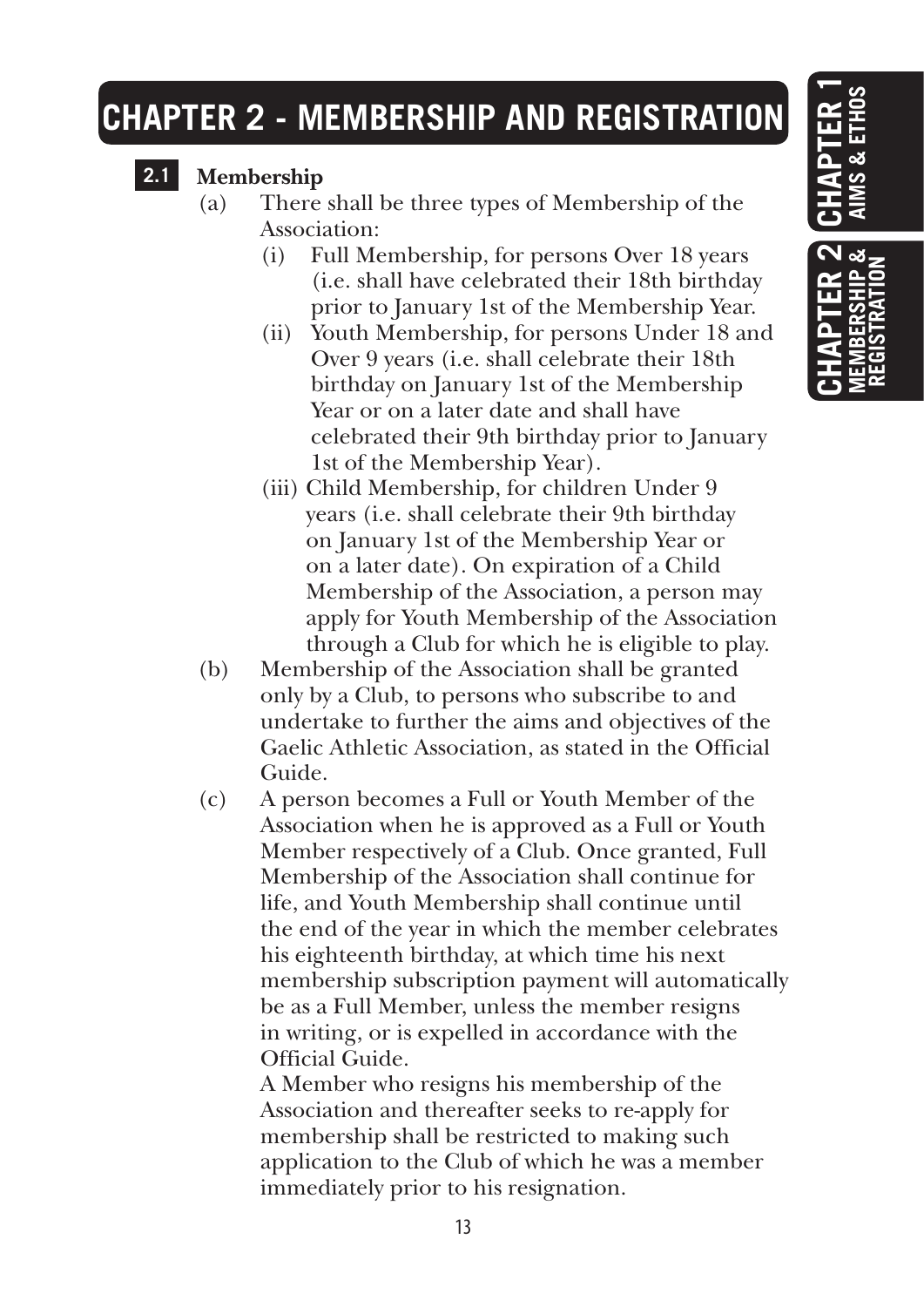## **CHAPTER 2 - MEMBERSHIP AND REGISTRATION**

### **2.1 Membership**

- (a) There shall be three types of Membership of the Association:
	- (i) Full Membership, for persons Over 18 years (i.e. shall have celebrated their 18th birthday prior to January 1st of the Membership Year.
	- (ii) Youth Membership, for persons Under 18 and Over 9 years (i.e. shall celebrate their 18th birthday on January 1st of the Membership Year or on a later date and shall have celebrated their 9th birthday prior to January 1st of the Membership Year).
	- (iii) Child Membership, for children Under 9 years (i.e. shall celebrate their 9th birthday on January 1st of the Membership Year or on a later date). On expiration of a Child Membership of the Association, a person may apply for Youth Membership of the Association through a Club for which he is eligible to play.
- (b) Membership of the Association shall be granted only by a Club, to persons who subscribe to and undertake to further the aims and objectives of the Gaelic Athletic Association, as stated in the Official Guide.
- (c) A person becomes a Full or Youth Member of the Association when he is approved as a Full or Youth Member respectively of a Club. Once granted, Full Membership of the Association shall continue for life, and Youth Membership shall continue until the end of the year in which the member celebrates his eighteenth birthday, at which time his next membership subscription payment will automatically be as a Full Member, unless the member resigns in writing, or is expelled in accordance with the Official Guide.

 A Member who resigns his membership of the Association and thereafter seeks to re-apply for membership shall be restricted to making such application to the Club of which he was a member immediately prior to his resignation.

# **Chapter 1 Aims & Ethos**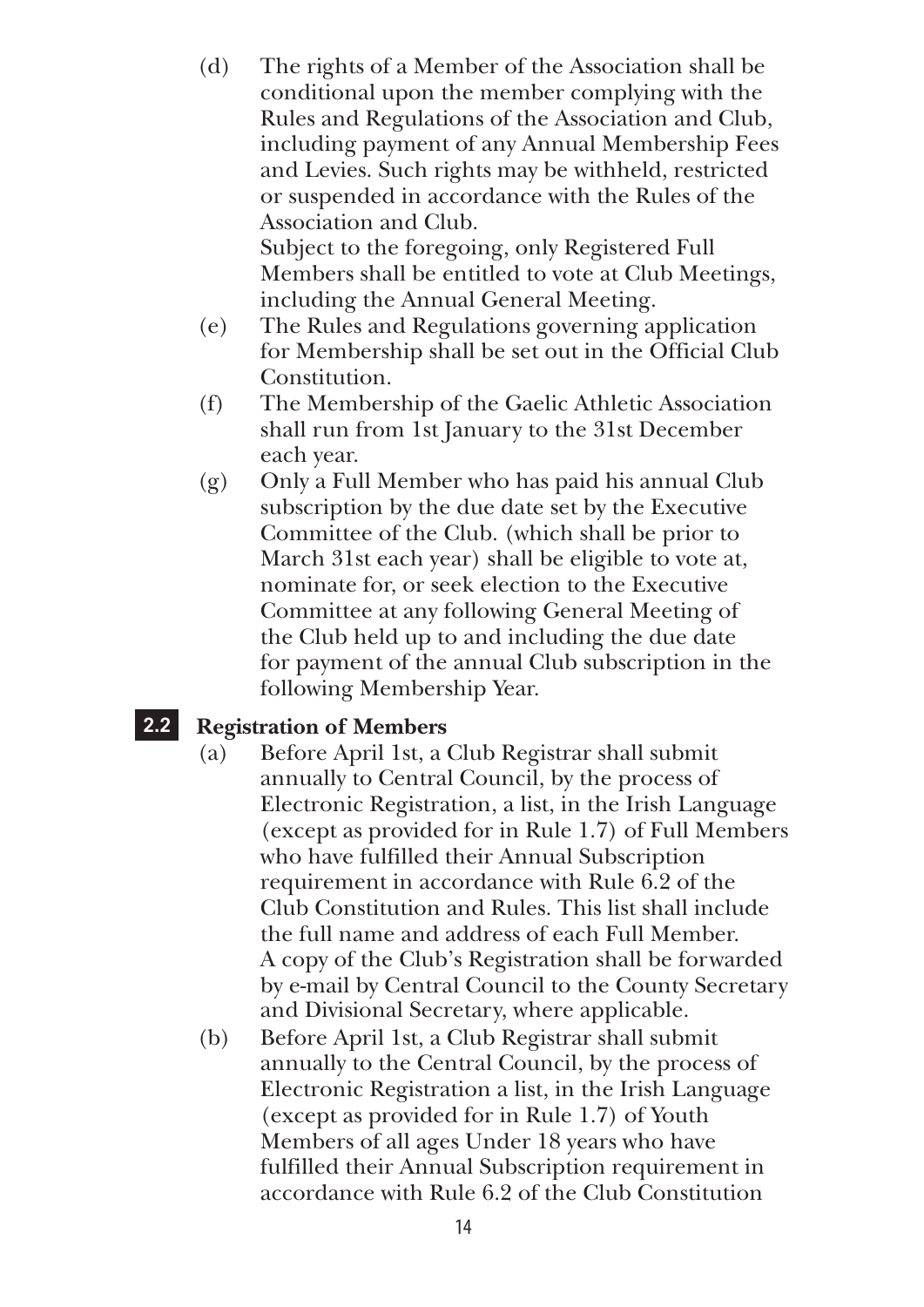(d) The rights of a Member of the Association shall be conditional upon the member complying with the Rules and Regulations of the Association and Club, including payment of any Annual Membership Fees and Levies. Such rights may be withheld, restricted or suspended in accordance with the Rules of the Association and Club. Subject to the foregoing, only Registered Full

Members shall be entitled to vote at Club Meetings, including the Annual General Meeting.

- (e) The Rules and Regulations governing application for Membership shall be set out in the Official Club Constitution.
- (f) The Membership of the Gaelic Athletic Association shall run from 1st January to the 31st December each year.
- (g) Only a Full Member who has paid his annual Club subscription by the due date set by the Executive Committee of the Club. (which shall be prior to March 31st each year) shall be eligible to vote at, nominate for, or seek election to the Executive Committee at any following General Meeting of the Club held up to and including the due date for payment of the annual Club subscription in the following Membership Year.

#### **2.2 Registration of Members**

- (a) Before April 1st, a Club Registrar shall submit annually to Central Council, by the process of Electronic Registration, a list, in the Irish Language (except as provided for in Rule 1.7) of Full Members who have fulfilled their Annual Subscription requirement in accordance with Rule 6.2 of the Club Constitution and Rules. This list shall include the full name and address of each Full Member. A copy of the Club's Registration shall be forwarded by e-mail by Central Council to the County Secretary and Divisional Secretary, where applicable.
- (b) Before April 1st, a Club Registrar shall submit annually to the Central Council, by the process of Electronic Registration a list, in the Irish Language (except as provided for in Rule 1.7) of Youth Members of all ages Under 18 years who have fulfilled their Annual Subscription requirement in accordance with Rule 6.2 of the Club Constitution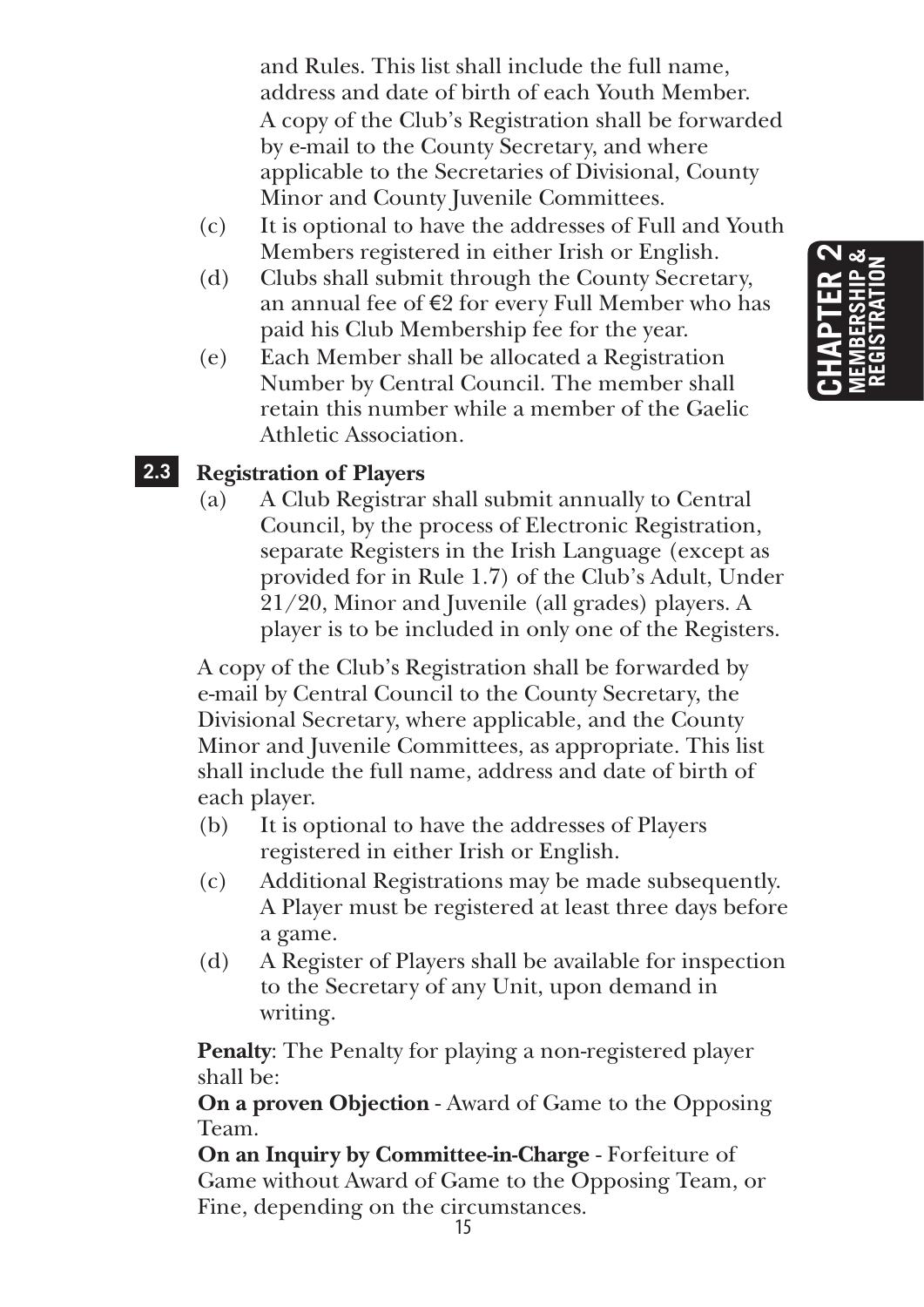and Rules. This list shall include the full name, address and date of birth of each Youth Member. A copy of the Club's Registration shall be forwarded by e-mail to the County Secretary, and where applicable to the Secretaries of Divisional, County Minor and County Juvenile Committees.

- (c) It is optional to have the addresses of Full and Youth Members registered in either Irish or English.
- (d) Clubs shall submit through the County Secretary, an annual fee of €2 for every Full Member who has paid his Club Membership fee for the year.
- (e) Each Member shall be allocated a Registration Number by Central Council. The member shall retain this number while a member of the Gaelic Athletic Association.

#### **2.3 Registration of Players**

(a) A Club Registrar shall submit annually to Central Council, by the process of Electronic Registration, separate Registers in the Irish Language (except as provided for in Rule 1.7) of the Club's Adult, Under 21/20, Minor and Juvenile (all grades) players. A player is to be included in only one of the Registers.

A copy of the Club's Registration shall be forwarded by e-mail by Central Council to the County Secretary, the Divisional Secretary, where applicable, and the County Minor and Juvenile Committees, as appropriate. This list shall include the full name, address and date of birth of each player.

- (b) It is optional to have the addresses of Players registered in either Irish or English.
- (c) Additional Registrations may be made subsequently. A Player must be registered at least three days before a game.
- (d) A Register of Players shall be available for inspection to the Secretary of any Unit, upon demand in writing.

**Penalty**: The Penalty for playing a non-registered player shall be:

**On a proven Objection** - Award of Game to the Opposing Team.

**On an Inquiry by Committee-in-Charge** - Forfeiture of Game without Award of Game to the Opposing Team, or Fine, depending on the circumstances.

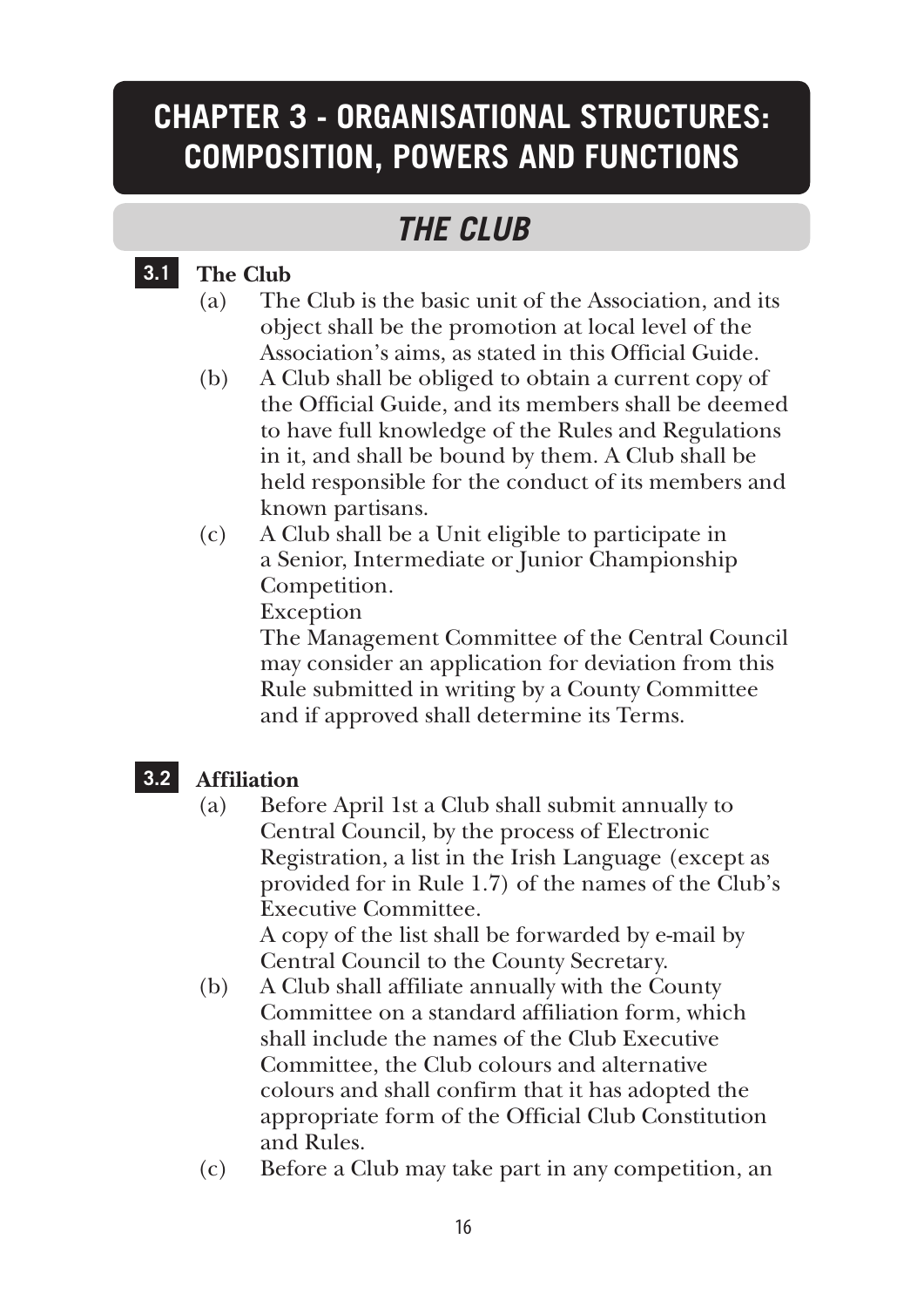## **CHAPTER 3 - ORGANISATIONAL STRUCTURES: COMPOSITION, POWERS AND FUNCTIONS**

## *THE CLUB*

#### **3.1 The Club**

- (a) The Club is the basic unit of the Association, and its object shall be the promotion at local level of the Association's aims, as stated in this Official Guide.
- (b) A Club shall be obliged to obtain a current copy of the Official Guide, and its members shall be deemed to have full knowledge of the Rules and Regulations in it, and shall be bound by them. A Club shall be held responsible for the conduct of its members and known partisans.
- (c) A Club shall be a Unit eligible to participate in a Senior, Intermediate or Junior Championship Competition.

Exception

 The Management Committee of the Central Council may consider an application for deviation from this Rule submitted in writing by a County Committee and if approved shall determine its Terms.

#### **3.2 Affiliation**

(a) Before April 1st a Club shall submit annually to Central Council, by the process of Electronic Registration, a list in the Irish Language (except as provided for in Rule 1.7) of the names of the Club's Executive Committee. A copy of the list shall be forwarded by e-mail by

Central Council to the County Secretary.

- (b) A Club shall affiliate annually with the County Committee on a standard affiliation form, which shall include the names of the Club Executive Committee, the Club colours and alternative colours and shall confirm that it has adopted the appropriate form of the Official Club Constitution and Rules.
- (c) Before a Club may take part in any competition, an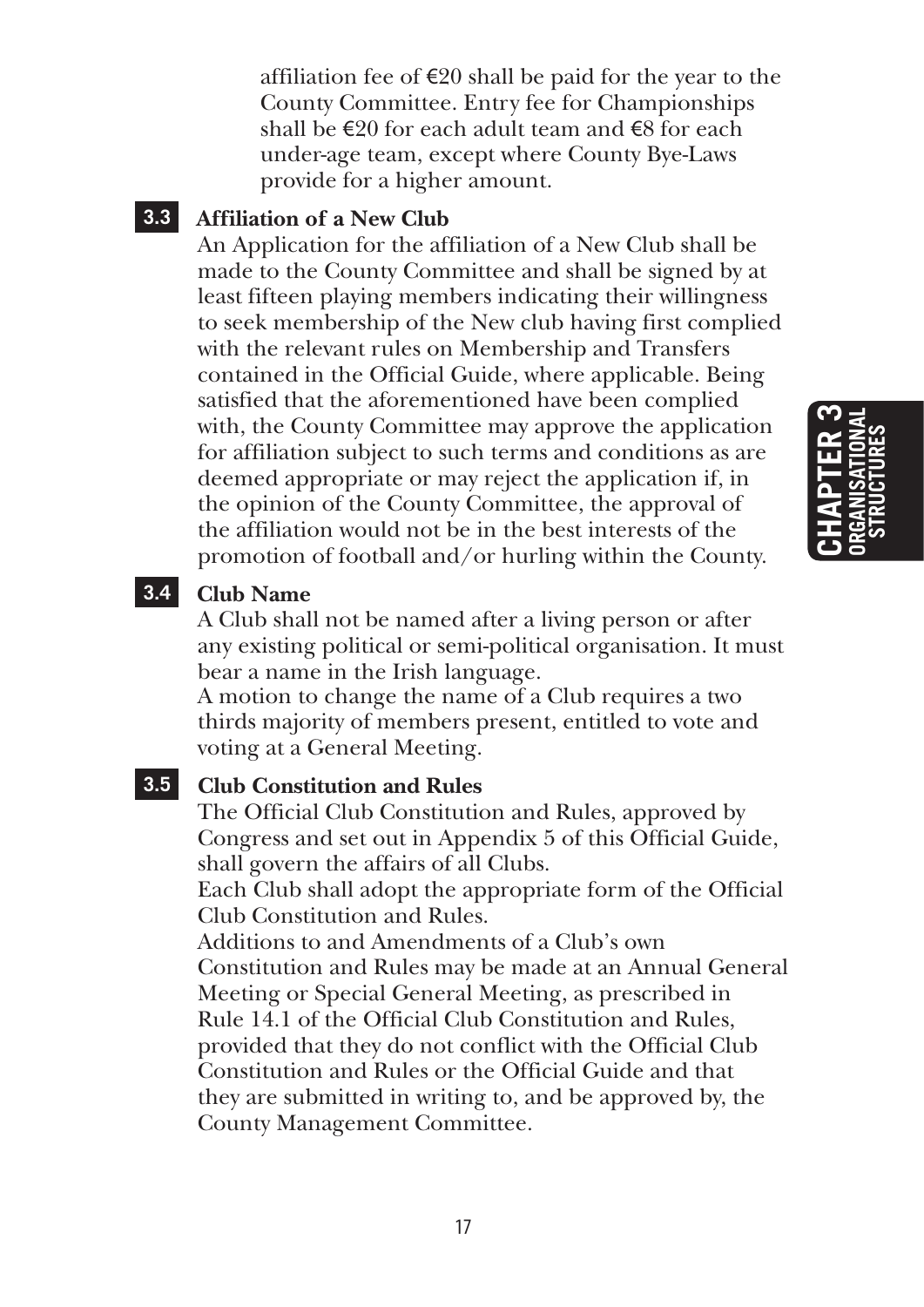affiliation fee of  $\epsilon$ 20 shall be paid for the year to the County Committee. Entry fee for Championships shall be  $\epsilon$ 20 for each adult team and  $\epsilon$ 8 for each under-age team, except where County Bye-Laws provide for a higher amount.

#### **3.3 Affiliation of a New Club**

An Application for the affiliation of a New Club shall be made to the County Committee and shall be signed by at least fifteen playing members indicating their willingness to seek membership of the New club having first complied with the relevant rules on Membership and Transfers contained in the Official Guide, where applicable. Being satisfied that the aforementioned have been complied with, the County Committee may approve the application for affiliation subject to such terms and conditions as are deemed appropriate or may reject the application if, in the opinion of the County Committee, the approval of the affiliation would not be in the best interests of the promotion of football and/or hurling within the County.

#### **3.4 Club Name**

A Club shall not be named after a living person or after any existing political or semi-political organisation. It must bear a name in the Irish language.

A motion to change the name of a Club requires a two thirds majority of members present, entitled to vote and voting at a General Meeting.

#### **3.5 Club Constitution and Rules**

The Official Club Constitution and Rules, approved by Congress and set out in Appendix 5 of this Official Guide, shall govern the affairs of all Clubs.

Each Club shall adopt the appropriate form of the Official Club Constitution and Rules.

Additions to and Amendments of a Club's own Constitution and Rules may be made at an Annual General Meeting or Special General Meeting, as prescribed in Rule 14.1 of the Official Club Constitution and Rules, provided that they do not conflict with the Official Club Constitution and Rules or the Official Guide and that they are submitted in writing to, and be approved by, the County Management Committee.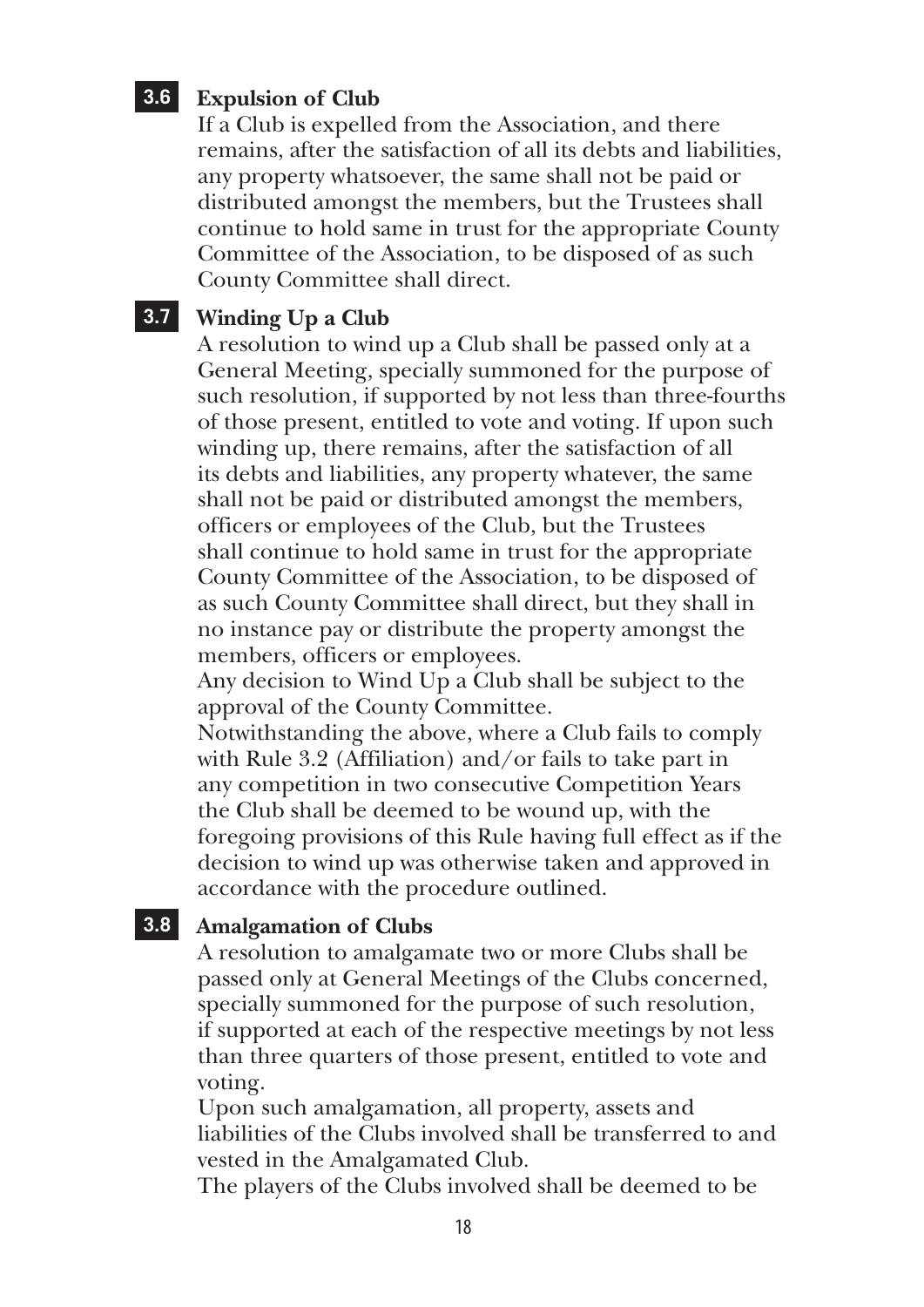#### **3.6 Expulsion of Club**

If a Club is expelled from the Association, and there remains, after the satisfaction of all its debts and liabilities, any property whatsoever, the same shall not be paid or distributed amongst the members, but the Trustees shall continue to hold same in trust for the appropriate County Committee of the Association, to be disposed of as such County Committee shall direct.

#### **3.7 Winding Up a Club**

A resolution to wind up a Club shall be passed only at a General Meeting, specially summoned for the purpose of such resolution, if supported by not less than three-fourths of those present, entitled to vote and voting. If upon such winding up, there remains, after the satisfaction of all its debts and liabilities, any property whatever, the same shall not be paid or distributed amongst the members, officers or employees of the Club, but the Trustees shall continue to hold same in trust for the appropriate County Committee of the Association, to be disposed of as such County Committee shall direct, but they shall in no instance pay or distribute the property amongst the members, officers or employees.

Any decision to Wind Up a Club shall be subject to the approval of the County Committee.

Notwithstanding the above, where a Club fails to comply with Rule 3.2 (Affiliation) and/or fails to take part in any competition in two consecutive Competition Years the Club shall be deemed to be wound up, with the foregoing provisions of this Rule having full effect as if the decision to wind up was otherwise taken and approved in accordance with the procedure outlined.

#### **3.8 Amalgamation of Clubs**

A resolution to amalgamate two or more Clubs shall be passed only at General Meetings of the Clubs concerned, specially summoned for the purpose of such resolution, if supported at each of the respective meetings by not less than three quarters of those present, entitled to vote and voting.

Upon such amalgamation, all property, assets and liabilities of the Clubs involved shall be transferred to and vested in the Amalgamated Club.

The players of the Clubs involved shall be deemed to be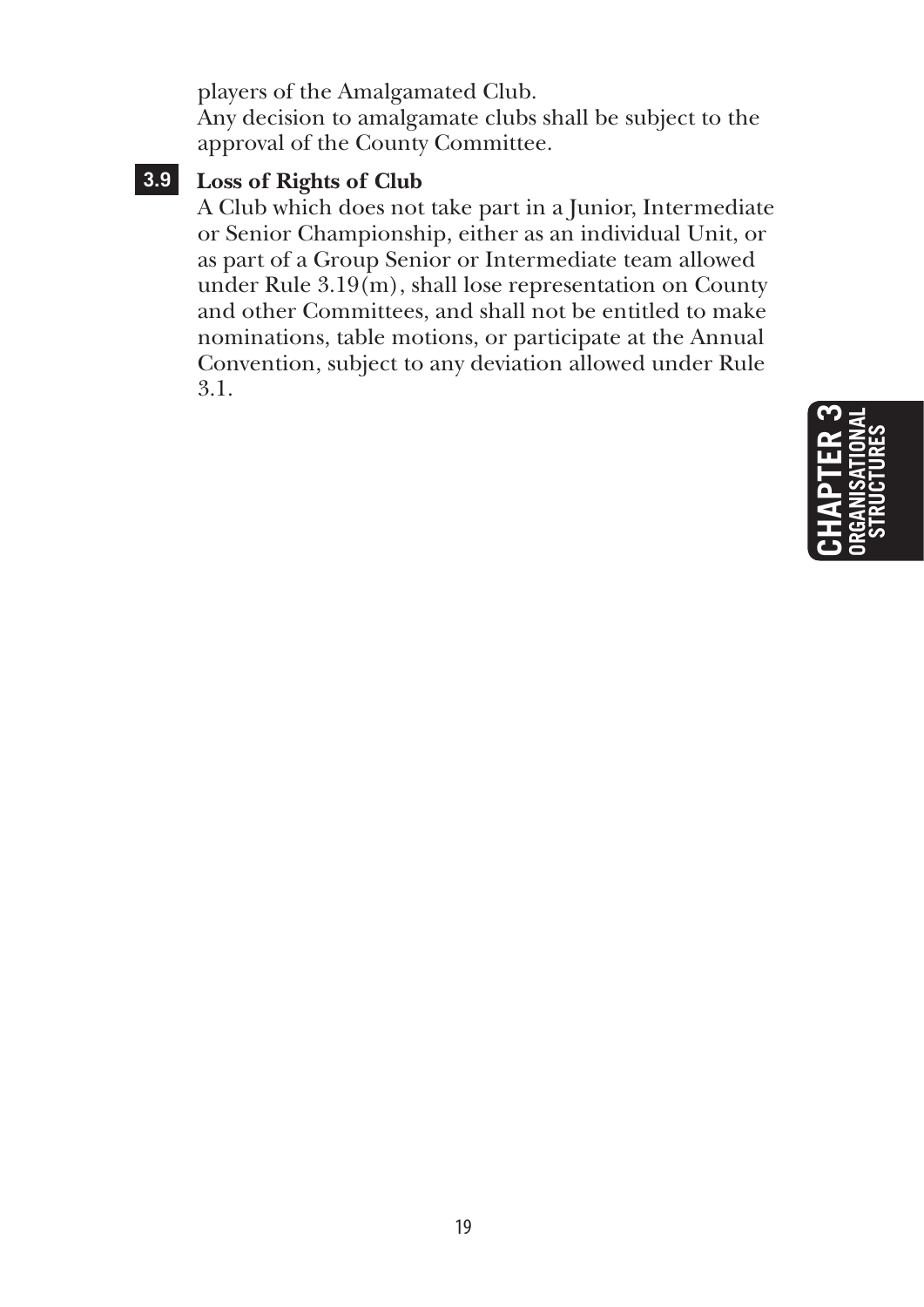players of the Amalgamated Club.

Any decision to amalgamate clubs shall be subject to the approval of the County Committee.

### **3.9 Loss of Rights of Club**

A Club which does not take part in a Junior, Intermediate or Senior Championship, either as an individual Unit, or as part of a Group Senior or Intermediate team allowed under Rule 3.19(m), shall lose representation on County and other Committees, and shall not be entitled to make nominations, table motions, or participate at the Annual Convention, subject to any deviation allowed under Rule 3.1.

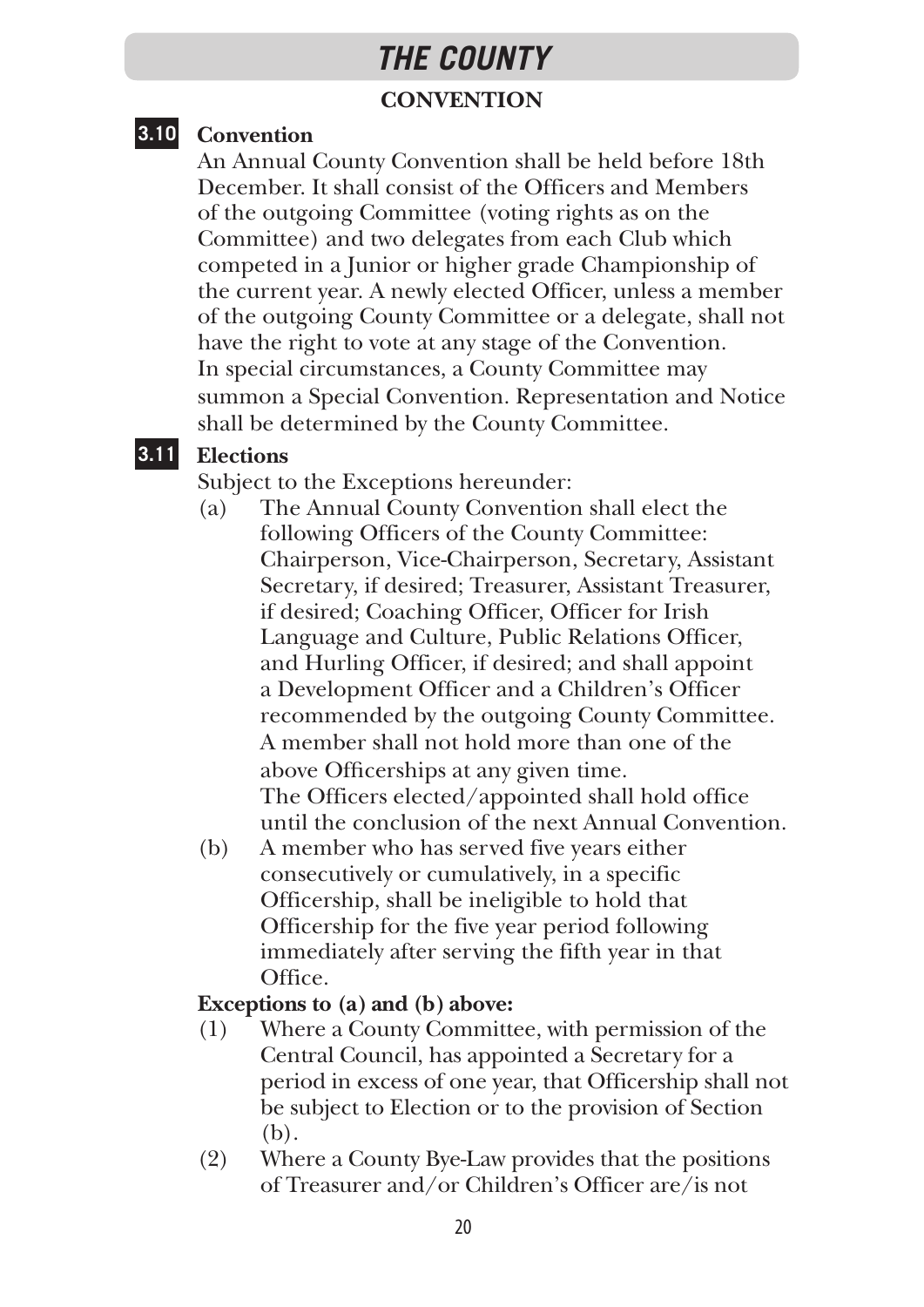## **CONVENTION** *THE COUNTY*

#### **3.10 Convention**

An Annual County Convention shall be held before 18th December. It shall consist of the Officers and Members of the outgoing Committee (voting rights as on the Committee) and two delegates from each Club which competed in a Junior or higher grade Championship of the current year. A newly elected Officer, unless a member of the outgoing County Committee or a delegate, shall not have the right to vote at any stage of the Convention. In special circumstances, a County Committee may summon a Special Convention. Representation and Notice shall be determined by the County Committee.

#### **3.11 Elections**

Subject to the Exceptions hereunder:

- (a) The Annual County Convention shall elect the following Officers of the County Committee: Chairperson, Vice-Chairperson, Secretary, Assistant Secretary, if desired; Treasurer, Assistant Treasurer, if desired; Coaching Officer, Officer for Irish Language and Culture, Public Relations Officer, and Hurling Officer, if desired; and shall appoint a Development Officer and a Children's Officer recommended by the outgoing County Committee. A member shall not hold more than one of the above Officerships at any given time. The Officers elected/appointed shall hold office until the conclusion of the next Annual Convention.
- (b) A member who has served five years either consecutively or cumulatively, in a specific Officership, shall be ineligible to hold that Officership for the five year period following immediately after serving the fifth year in that Office.

#### **Exceptions to (a) and (b) above:**

- (1) Where a County Committee, with permission of the Central Council, has appointed a Secretary for a period in excess of one year, that Officership shall not be subject to Election or to the provision of Section (b).
- (2) Where a County Bye-Law provides that the positions of Treasurer and/or Children's Officer are/is not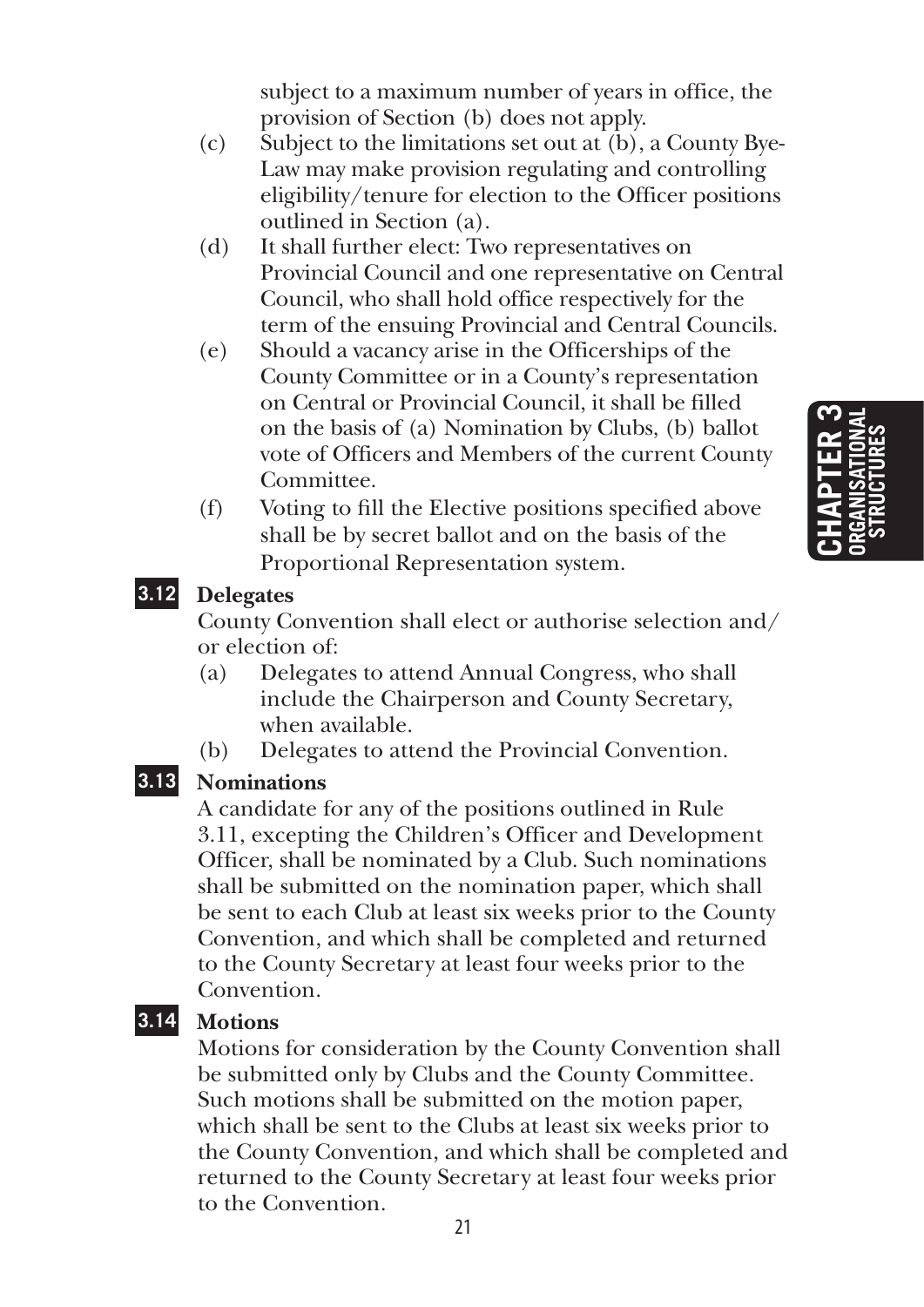subject to a maximum number of years in office, the provision of Section (b) does not apply.

- (c) Subject to the limitations set out at (b), a County Bye-Law may make provision regulating and controlling eligibility/tenure for election to the Officer positions outlined in Section (a).
- (d) It shall further elect: Two representatives on Provincial Council and one representative on Central Council, who shall hold office respectively for the term of the ensuing Provincial and Central Councils.
- (e) Should a vacancy arise in the Officerships of the County Committee or in a County's representation on Central or Provincial Council, it shall be filled on the basis of (a) Nomination by Clubs, (b) ballot vote of Officers and Members of the current County Committee.
- (f) Voting to fill the Elective positions specified above shall be by secret ballot and on the basis of the Proportional Representation system.

#### **3.12 Delegates**

County Convention shall elect or authorise selection and/ or election of:

- (a) Delegates to attend Annual Congress, who shall include the Chairperson and County Secretary, when available.
- (b) Delegates to attend the Provincial Convention.

#### **3.13 Nominations**

A candidate for any of the positions outlined in Rule 3.11, excepting the Children's Officer and Development Officer, shall be nominated by a Club. Such nominations shall be submitted on the nomination paper, which shall be sent to each Club at least six weeks prior to the County Convention, and which shall be completed and returned to the County Secretary at least four weeks prior to the Convention.

#### **3.14 Motions**

Motions for consideration by the County Convention shall be submitted only by Clubs and the County Committee. Such motions shall be submitted on the motion paper, which shall be sent to the Clubs at least six weeks prior to the County Convention, and which shall be completed and returned to the County Secretary at least four weeks prior to the Convention.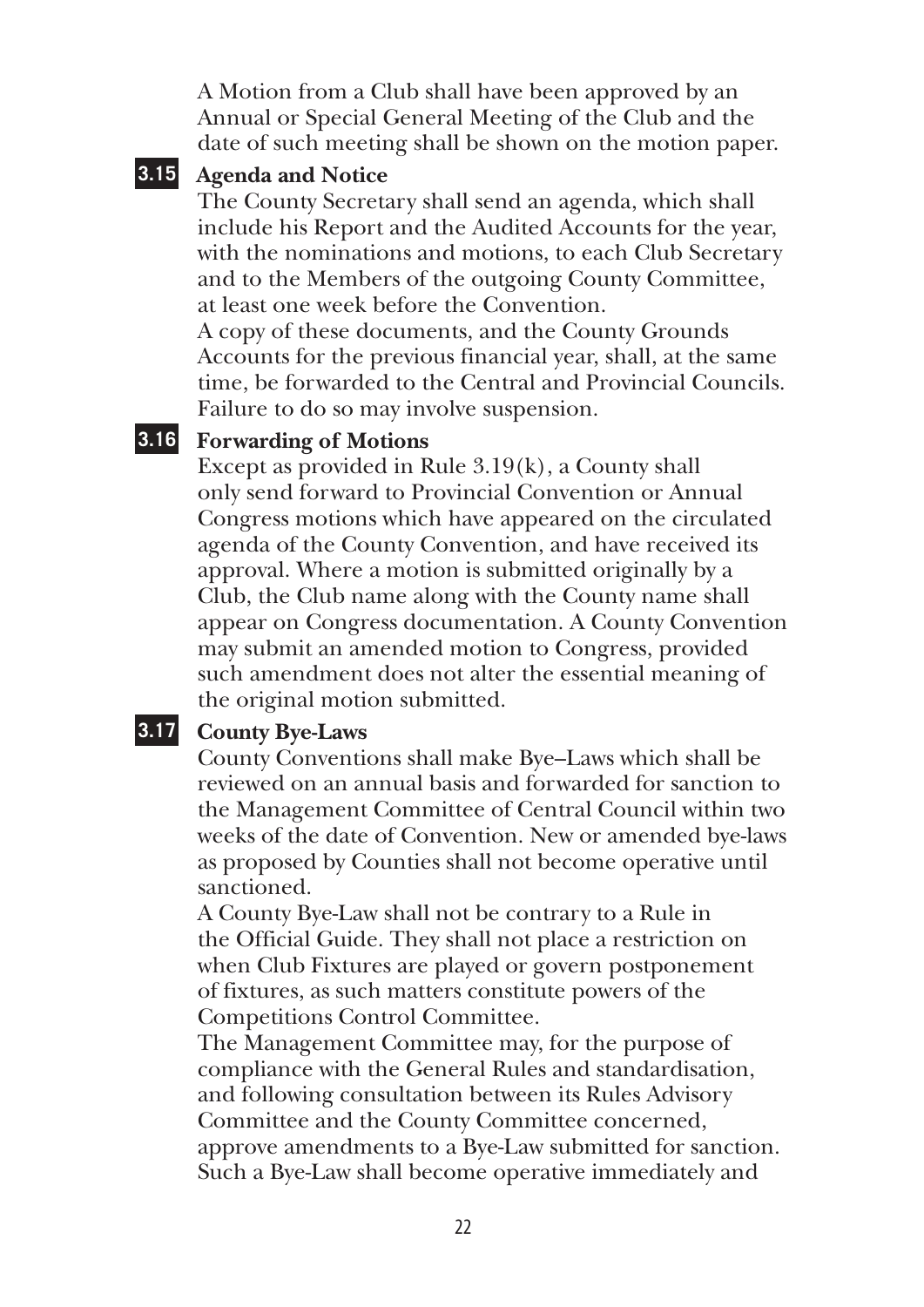A Motion from a Club shall have been approved by an Annual or Special General Meeting of the Club and the date of such meeting shall be shown on the motion paper.

#### **3.15 Agenda and Notice**

The County Secretary shall send an agenda, which shall include his Report and the Audited Accounts for the year, with the nominations and motions, to each Club Secretary and to the Members of the outgoing County Committee, at least one week before the Convention.

A copy of these documents, and the County Grounds Accounts for the previous financial year, shall, at the same time, be forwarded to the Central and Provincial Councils. Failure to do so may involve suspension.

#### **3.16 Forwarding of Motions**

Except as provided in Rule 3.19(k), a County shall only send forward to Provincial Convention or Annual Congress motions which have appeared on the circulated agenda of the County Convention, and have received its approval. Where a motion is submitted originally by a Club, the Club name along with the County name shall appear on Congress documentation. A County Convention may submit an amended motion to Congress, provided such amendment does not alter the essential meaning of the original motion submitted.

#### **3.17 County Bye-Laws**

County Conventions shall make Bye–Laws which shall be reviewed on an annual basis and forwarded for sanction to the Management Committee of Central Council within two weeks of the date of Convention. New or amended bye-laws as proposed by Counties shall not become operative until sanctioned.

A County Bye-Law shall not be contrary to a Rule in the Official Guide. They shall not place a restriction on when Club Fixtures are played or govern postponement of fixtures, as such matters constitute powers of the Competitions Control Committee.

The Management Committee may, for the purpose of compliance with the General Rules and standardisation, and following consultation between its Rules Advisory Committee and the County Committee concerned, approve amendments to a Bye-Law submitted for sanction. Such a Bye-Law shall become operative immediately and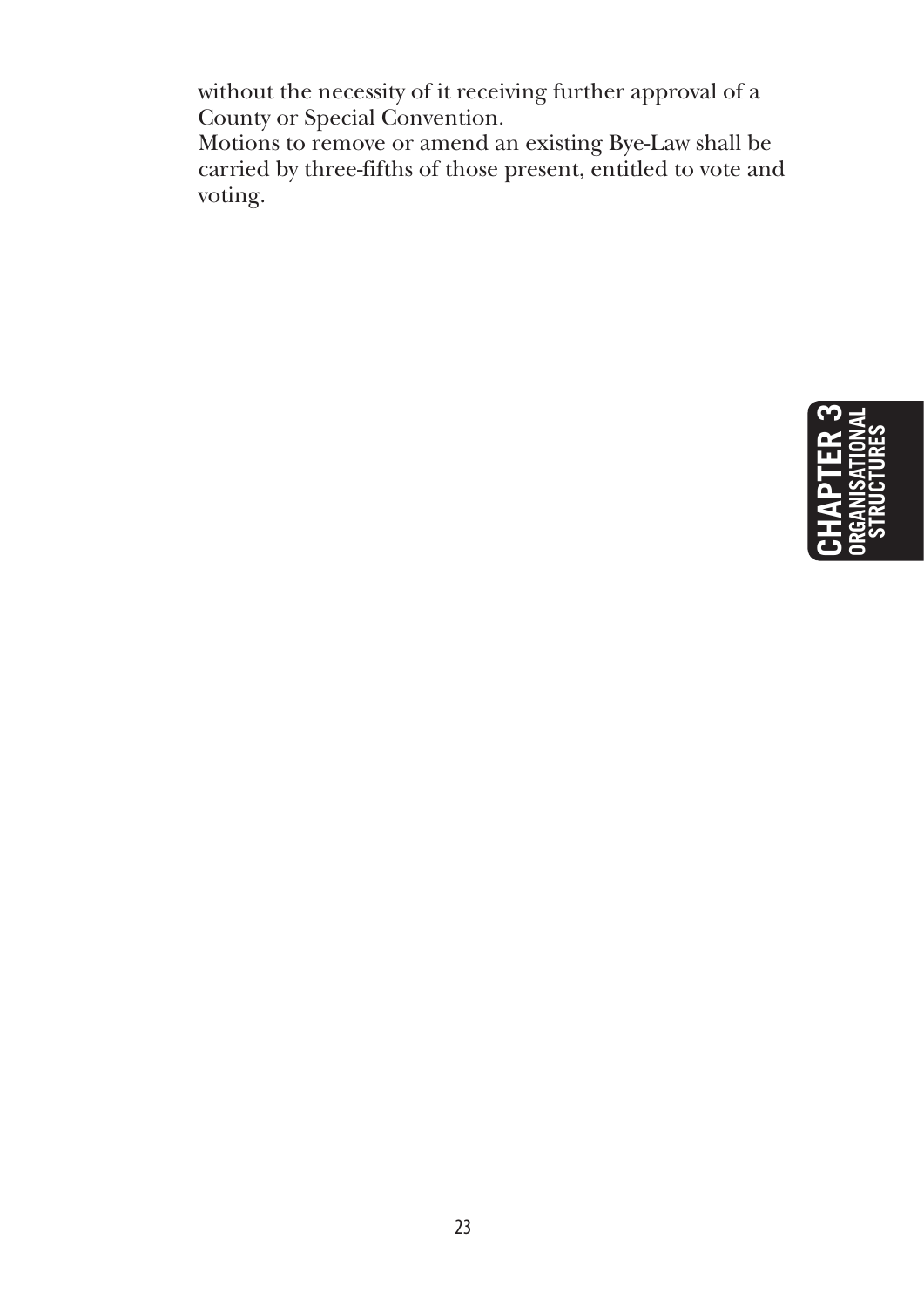without the necessity of it receiving further approval of a County or Special Convention.

Motions to remove or amend an existing Bye-Law shall be carried by three-fifths of those present, entitled to vote and voting.

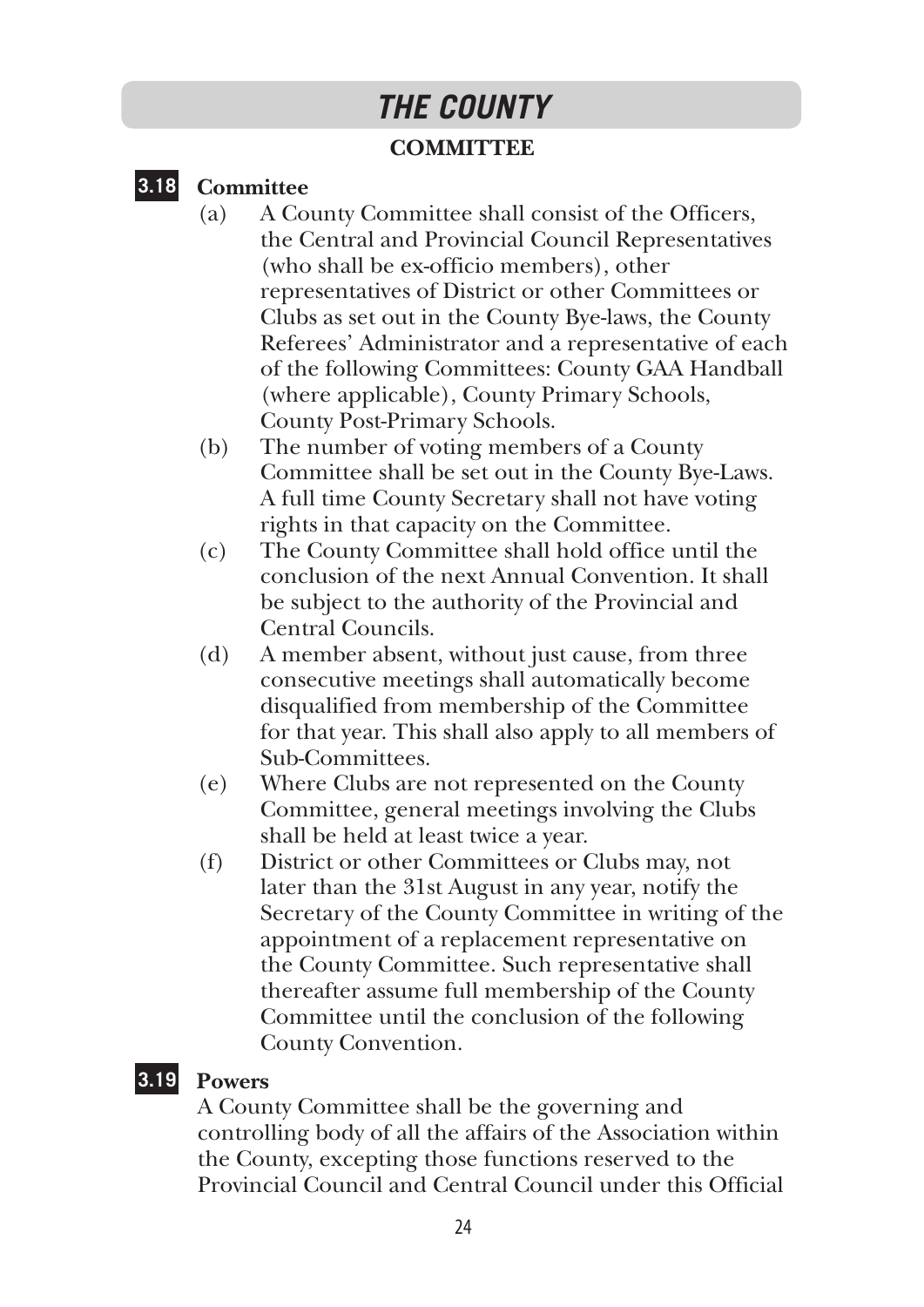## *THE COUNTY*

#### **COMMITTEE**

#### **3.18 Committee**

- (a) A County Committee shall consist of the Officers, the Central and Provincial Council Representatives (who shall be ex-officio members), other representatives of District or other Committees or Clubs as set out in the County Bye-laws, the County Referees' Administrator and a representative of each of the following Committees: County GAA Handball (where applicable), County Primary Schools, County Post-Primary Schools.
- (b) The number of voting members of a County Committee shall be set out in the County Bye-Laws. A full time County Secretary shall not have voting rights in that capacity on the Committee.
- (c) The County Committee shall hold office until the conclusion of the next Annual Convention. It shall be subject to the authority of the Provincial and Central Councils.
- (d) A member absent, without just cause, from three consecutive meetings shall automatically become disqualified from membership of the Committee for that year. This shall also apply to all members of Sub-Committees.
- (e) Where Clubs are not represented on the County Committee, general meetings involving the Clubs shall be held at least twice a year.
- (f) District or other Committees or Clubs may, not later than the 31st August in any year, notify the Secretary of the County Committee in writing of the appointment of a replacement representative on the County Committee. Such representative shall thereafter assume full membership of the County Committee until the conclusion of the following County Convention.

#### **3.19 Powers**

A County Committee shall be the governing and controlling body of all the affairs of the Association within the County, excepting those functions reserved to the Provincial Council and Central Council under this Official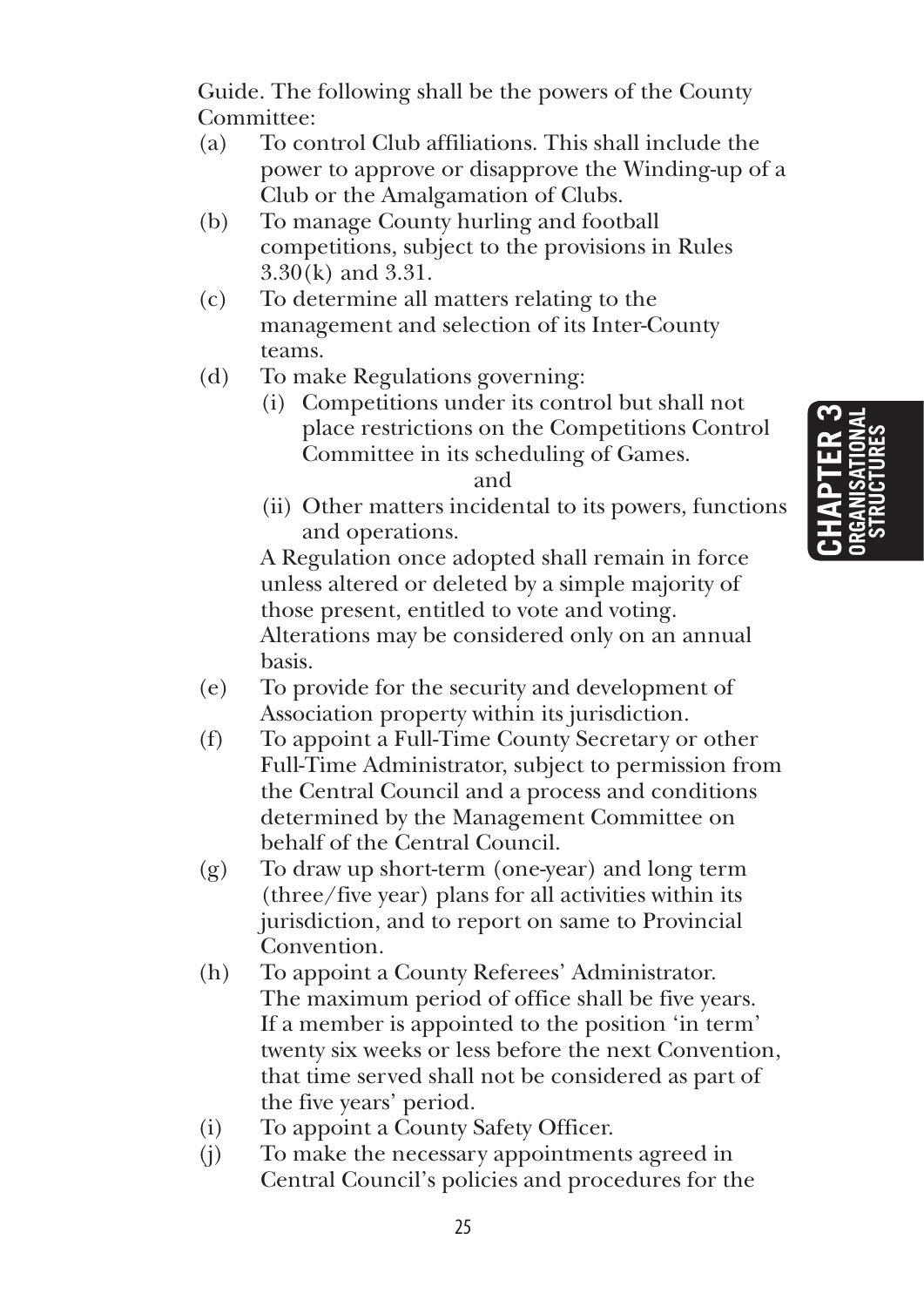**Chapter 3 organisational structures**

Guide. The following shall be the powers of the County Committee:

- (a) To control Club affiliations. This shall include the power to approve or disapprove the Winding-up of a Club or the Amalgamation of Clubs.
- (b) To manage County hurling and football competitions, subject to the provisions in Rules 3.30(k) and 3.31.
- (c) To determine all matters relating to the management and selection of its Inter-County teams.
- (d) To make Regulations governing:
	- (i) Competitions under its control but shall not place restrictions on the Competitions Control Committee in its scheduling of Games.

and

(ii) Other matters incidental to its powers, functions and operations.

 A Regulation once adopted shall remain in force unless altered or deleted by a simple majority of those present, entitled to vote and voting. Alterations may be considered only on an annual basis.

- (e) To provide for the security and development of Association property within its jurisdiction.
- (f) To appoint a Full-Time County Secretary or other Full-Time Administrator, subject to permission from the Central Council and a process and conditions determined by the Management Committee on behalf of the Central Council.
- (g) To draw up short-term (one-year) and long term (three/five year) plans for all activities within its jurisdiction, and to report on same to Provincial **Convention**
- (h) To appoint a County Referees' Administrator. The maximum period of office shall be five years. If a member is appointed to the position 'in term' twenty six weeks or less before the next Convention, that time served shall not be considered as part of the five years' period.
- (i) To appoint a County Safety Officer.
- (j) To make the necessary appointments agreed in Central Council's policies and procedures for the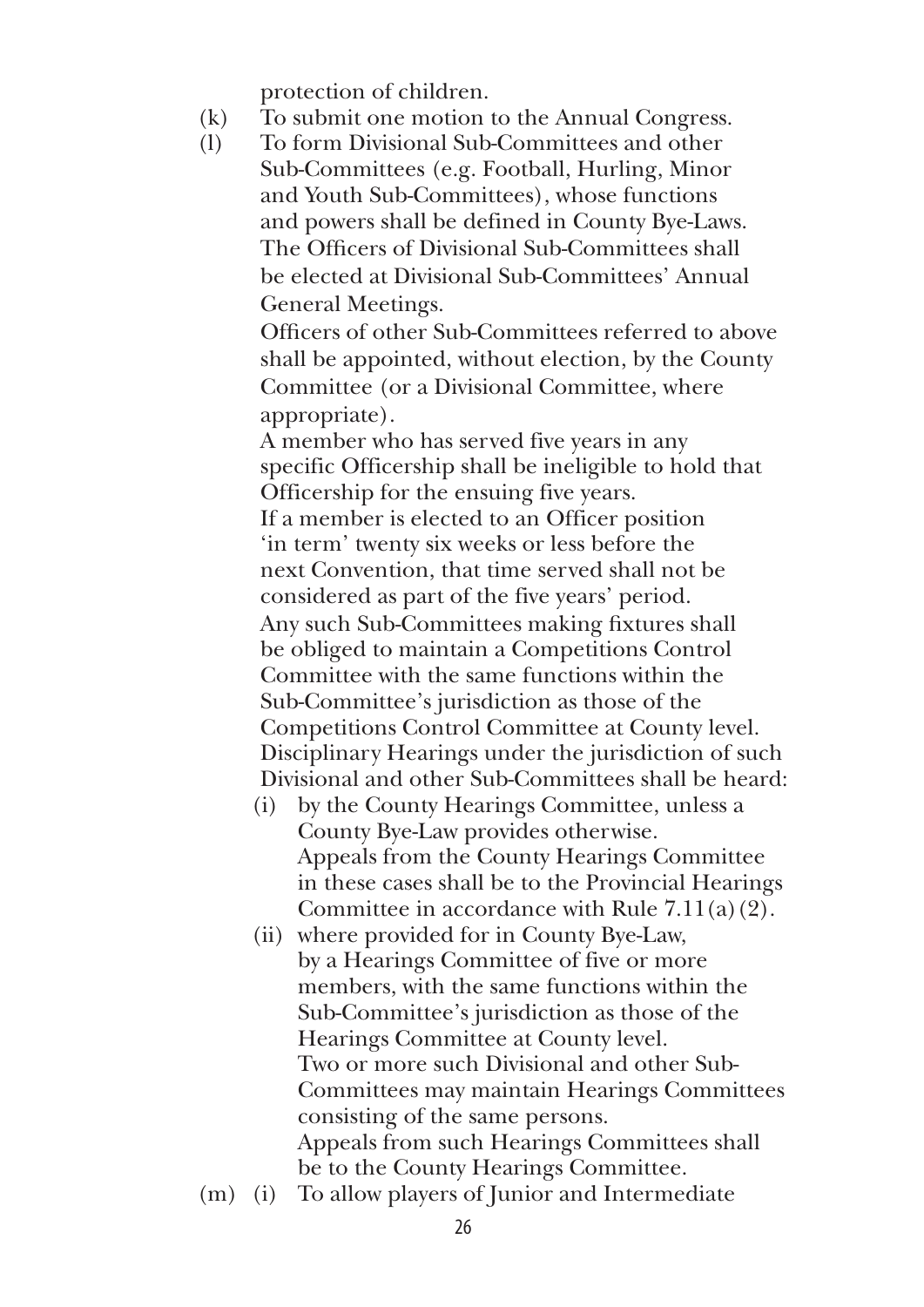protection of children.

- (k) To submit one motion to the Annual Congress.
- (l) To form Divisional Sub-Committees and other Sub-Committees (e.g. Football, Hurling, Minor and Youth Sub-Committees), whose functions and powers shall be defined in County Bye-Laws. The Officers of Divisional Sub-Committees shall be elected at Divisional Sub-Committees' Annual General Meetings.

 Officers of other Sub-Committees referred to above shall be appointed, without election, by the County Committee (or a Divisional Committee, where appropriate).

 A member who has served five years in any specific Officership shall be ineligible to hold that Officership for the ensuing five years. If a member is elected to an Officer position 'in term' twenty six weeks or less before the next Convention, that time served shall not be considered as part of the five years' period. Any such Sub-Committees making fixtures shall be obliged to maintain a Competitions Control Committee with the same functions within the Sub-Committee's jurisdiction as those of the Competitions Control Committee at County level. Disciplinary Hearings under the jurisdiction of such Divisional and other Sub-Committees shall be heard:

- (i) by the County Hearings Committee, unless a County Bye-Law provides otherwise. Appeals from the County Hearings Committee in these cases shall be to the Provincial Hearings Committee in accordance with Rule 7.11(a)(2).
- (ii) where provided for in County Bye-Law, by a Hearings Committee of five or more members, with the same functions within the Sub-Committee's jurisdiction as those of the Hearings Committee at County level. Two or more such Divisional and other Sub-Committees may maintain Hearings Committees consisting of the same persons. Appeals from such Hearings Committees shall be to the County Hearings Committee.
- (m) (i) To allow players of Junior and Intermediate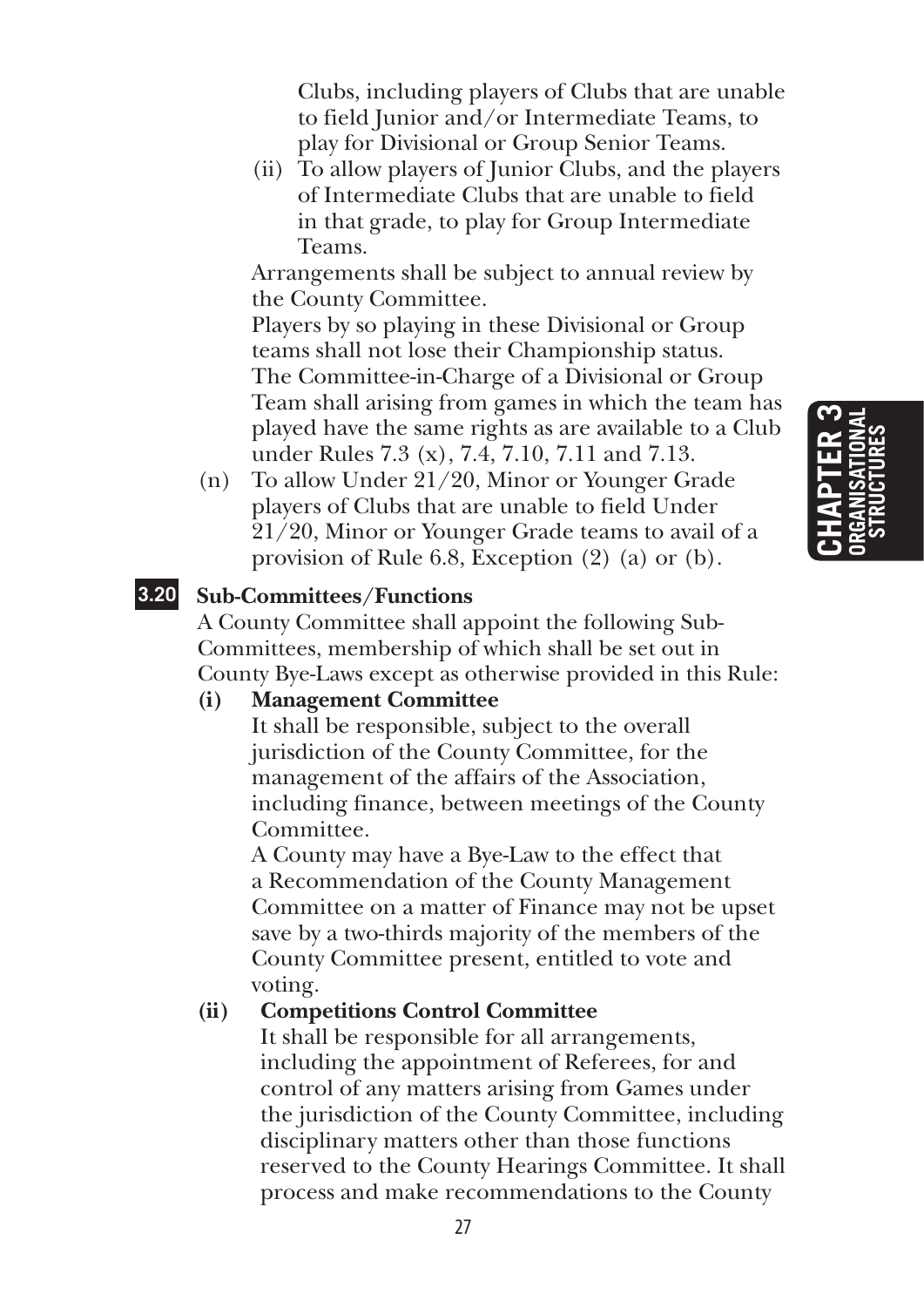Clubs, including players of Clubs that are unable to field Junior and/or Intermediate Teams, to play for Divisional or Group Senior Teams.

 (ii) To allow players of Junior Clubs, and the players of Intermediate Clubs that are unable to field in that grade, to play for Group Intermediate Teams.

 Arrangements shall be subject to annual review by the County Committee.

 Players by so playing in these Divisional or Group teams shall not lose their Championship status. The Committee-in-Charge of a Divisional or Group Team shall arising from games in which the team has played have the same rights as are available to a Club under Rules 7.3 (x), 7.4, 7.10, 7.11 and 7.13.

(n) To allow Under 21/20, Minor or Younger Grade players of Clubs that are unable to field Under 21/20, Minor or Younger Grade teams to avail of a provision of Rule 6.8, Exception (2) (a) or (b).

#### **3.20 Sub-Committees/Functions**

A County Committee shall appoint the following Sub-Committees, membership of which shall be set out in County Bye-Laws except as otherwise provided in this Rule:

#### **(i) Management Committee**

 It shall be responsible, subject to the overall jurisdiction of the County Committee, for the management of the affairs of the Association, including finance, between meetings of the County Committee.

 A County may have a Bye-Law to the effect that a Recommendation of the County Management Committee on a matter of Finance may not be upset save by a two-thirds majority of the members of the County Committee present, entitled to vote and voting.

#### **(ii) Competitions Control Committee**

 It shall be responsible for all arrangements, including the appointment of Referees, for and control of any matters arising from Games under the jurisdiction of the County Committee, including disciplinary matters other than those functions reserved to the County Hearings Committee. It shall process and make recommendations to the County

## **Chapter 3 organisational structures**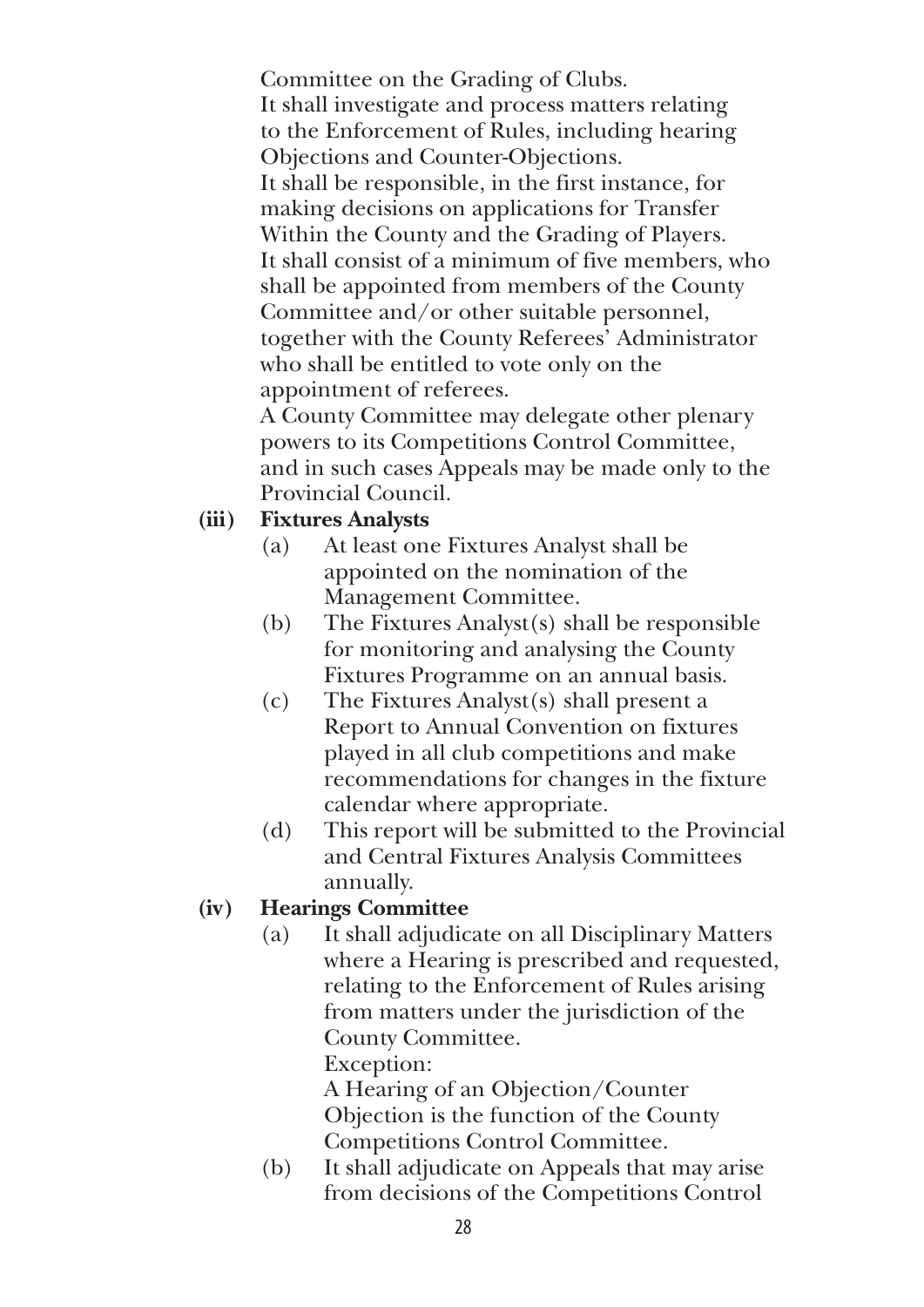Committee on the Grading of Clubs. It shall investigate and process matters relating to the Enforcement of Rules, including hearing Objections and Counter-Objections. It shall be responsible, in the first instance, for making decisions on applications for Transfer Within the County and the Grading of Players. It shall consist of a minimum of five members, who shall be appointed from members of the County Committee and/or other suitable personnel, together with the County Referees' Administrator who shall be entitled to vote only on the appointment of referees.

 A County Committee may delegate other plenary powers to its Competitions Control Committee, and in such cases Appeals may be made only to the Provincial Council.

#### **(iii) Fixtures Analysts**

- (a) At least one Fixtures Analyst shall be appointed on the nomination of the Management Committee.
- (b) The Fixtures Analyst(s) shall be responsible for monitoring and analysing the County Fixtures Programme on an annual basis.
- (c) The Fixtures Analyst(s) shall present a Report to Annual Convention on fixtures played in all club competitions and make recommendations for changes in the fixture calendar where appropriate.
- (d) This report will be submitted to the Provincial and Central Fixtures Analysis Committees annually.

#### **(iv) Hearings Committee**

(a) It shall adjudicate on all Disciplinary Matters where a Hearing is prescribed and requested, relating to the Enforcement of Rules arising from matters under the jurisdiction of the County Committee.

Exception:

 A Hearing of an Objection/Counter Objection is the function of the County Competitions Control Committee.

(b) It shall adjudicate on Appeals that may arise from decisions of the Competitions Control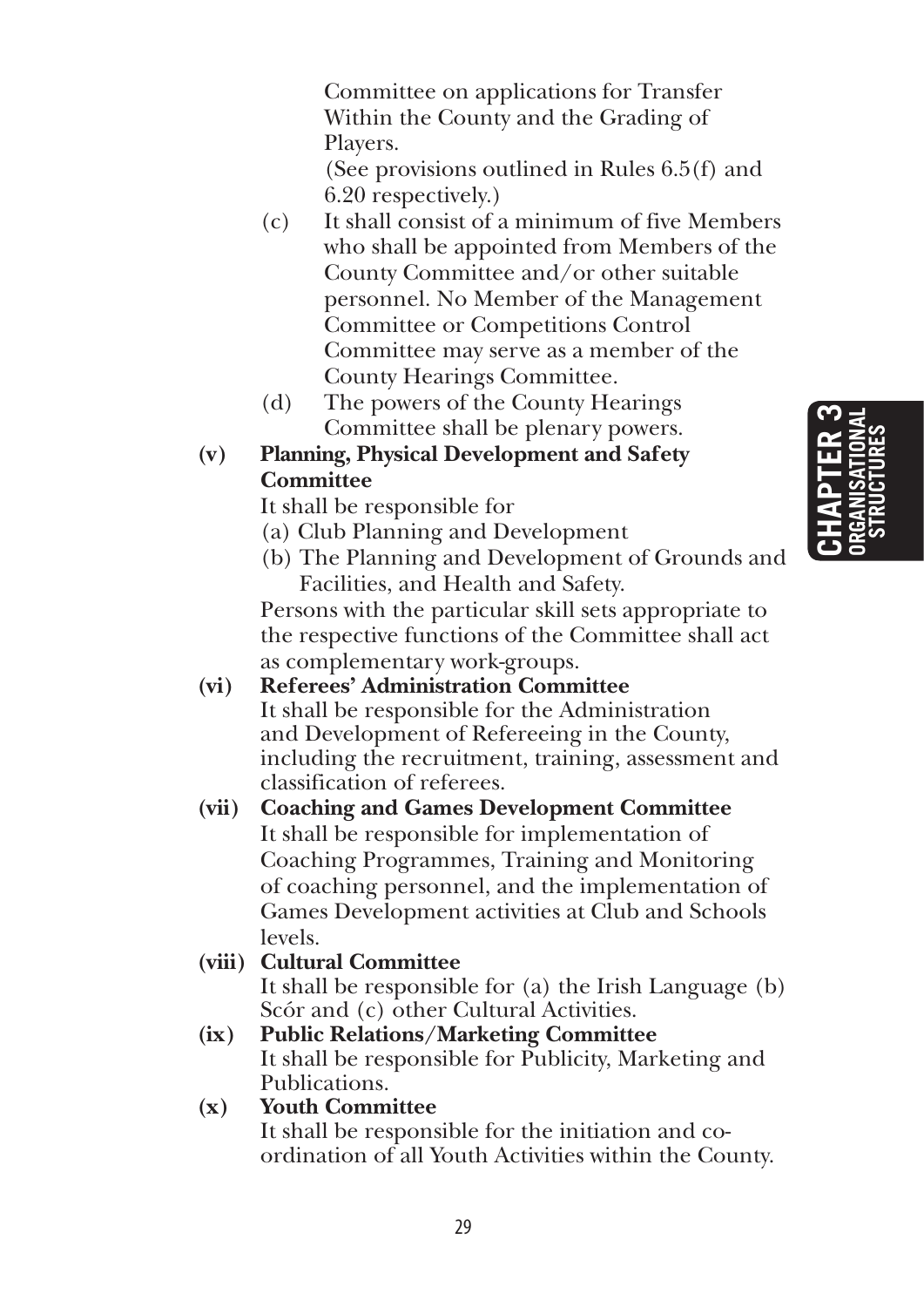**Chapter 3 organisational structures**

Committee on applications for Transfer Within the County and the Grading of Players.

 (See provisions outlined in Rules 6.5(f) and 6.20 respectively.)

- (c) It shall consist of a minimum of five Members who shall be appointed from Members of the County Committee and/or other suitable personnel. No Member of the Management Committee or Competitions Control Committee may serve as a member of the County Hearings Committee.
- (d) The powers of the County Hearings Committee shall be plenary powers.

#### **(v) Planning, Physical Development and Safety Committee**

It shall be responsible for

- (a) Club Planning and Development
- (b) The Planning and Development of Grounds and Facilities, and Health and Safety.

 Persons with the particular skill sets appropriate to the respective functions of the Committee shall act as complementary work-groups.

**(vi) Referees' Administration Committee**  It shall be responsible for the Administration and Development of Refereeing in the County, including the recruitment, training, assessment and classification of referees.

#### **(vii) Coaching and Games Development Committee**  It shall be responsible for implementation of Coaching Programmes, Training and Monitoring of coaching personnel, and the implementation of Games Development activities at Club and Schools levels.

#### **(viii) Cultural Committee**

 It shall be responsible for (a) the Irish Language (b) Scór and (c) other Cultural Activities.

**(ix) Public Relations/Marketing Committee**  It shall be responsible for Publicity, Marketing and Publications.

#### **(x) Youth Committee**

 It shall be responsible for the initiation and coordination of all Youth Activities within the County.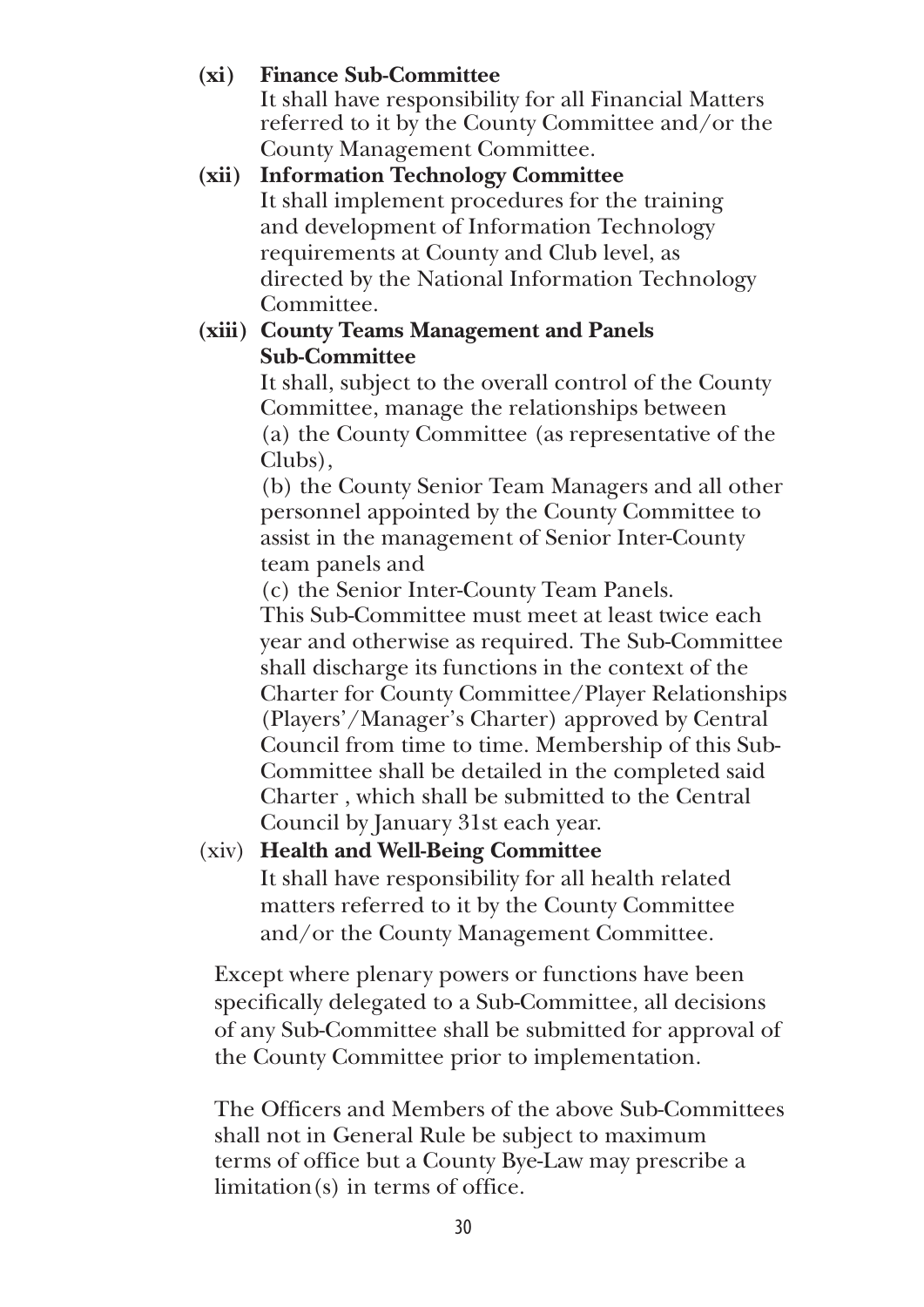#### **(xi) Finance Sub-Committee**

 It shall have responsibility for all Financial Matters referred to it by the County Committee and/or the County Management Committee.

#### **(xii) Information Technology Committee**  It shall implement procedures for the training and development of Information Technology requirements at County and Club level, as directed by the National Information Technology Committee.

#### **(xiii) County Teams Management and Panels Sub-Committee**

 It shall, subject to the overall control of the County Committee, manage the relationships between (a) the County Committee (as representative of the Clubs),

 (b) the County Senior Team Managers and all other personnel appointed by the County Committee to assist in the management of Senior Inter-County team panels and

(c) the Senior Inter-County Team Panels.

 This Sub-Committee must meet at least twice each year and otherwise as required. The Sub-Committee shall discharge its functions in the context of the Charter for County Committee/Player Relationships (Players'/Manager's Charter) approved by Central Council from time to time. Membership of this Sub-Committee shall be detailed in the completed said Charter , which shall be submitted to the Central Council by January 31st each year.

#### (xiv) **Health and Well-Being Committee**

 It shall have responsibility for all health related matters referred to it by the County Committee and/or the County Management Committee.

Except where plenary powers or functions have been specifically delegated to a Sub-Committee, all decisions of any Sub-Committee shall be submitted for approval of the County Committee prior to implementation.

The Officers and Members of the above Sub-Committees shall not in General Rule be subject to maximum terms of office but a County Bye-Law may prescribe a limitation(s) in terms of office.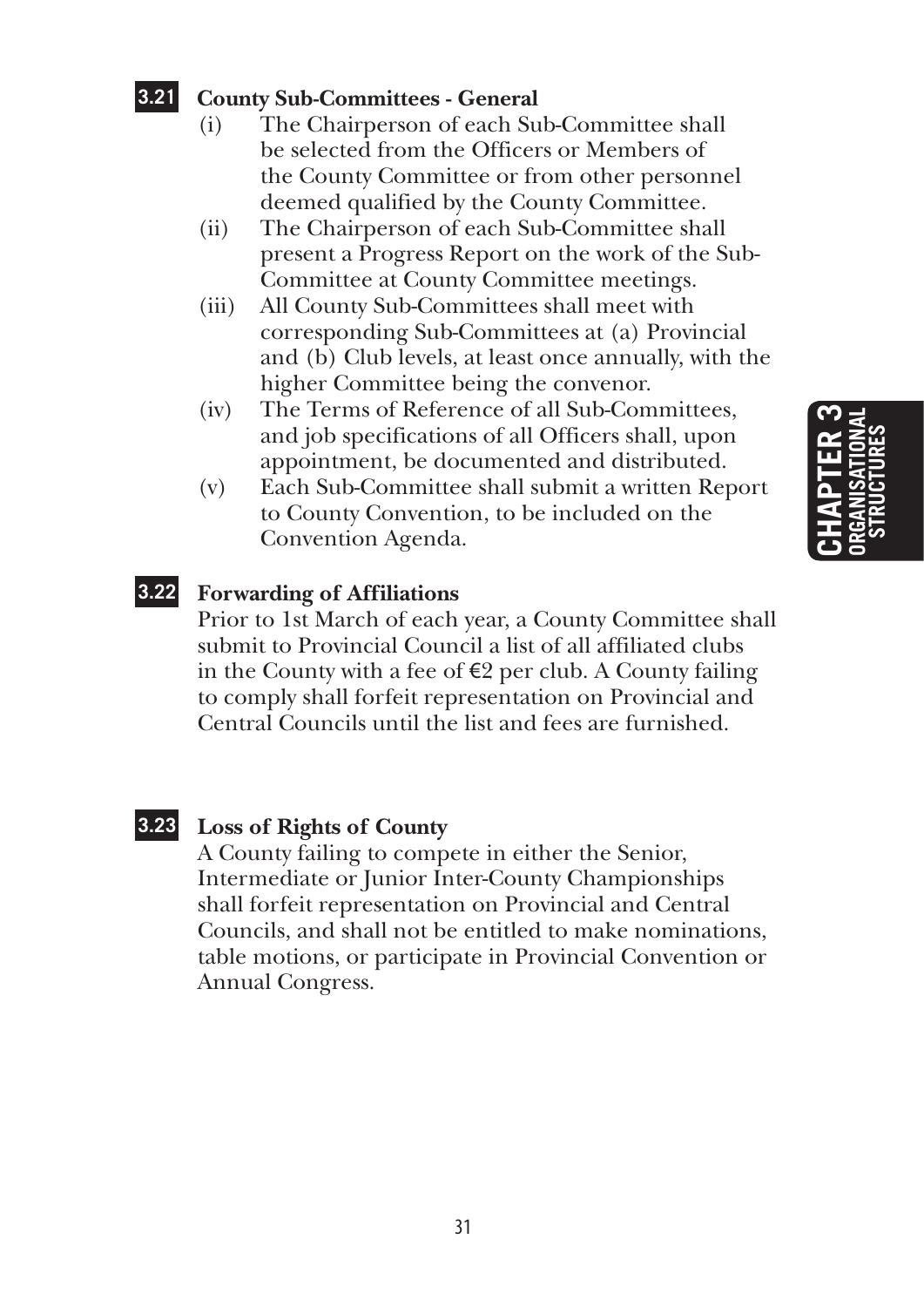#### **3.21 County Sub-Committees - General**

- (i) The Chairperson of each Sub-Committee shall be selected from the Officers or Members of the County Committee or from other personnel deemed qualified by the County Committee.
- (ii) The Chairperson of each Sub-Committee shall present a Progress Report on the work of the Sub-Committee at County Committee meetings.
- (iii) All County Sub-Committees shall meet with corresponding Sub-Committees at (a) Provincial and (b) Club levels, at least once annually, with the higher Committee being the convenor.
- (iv) The Terms of Reference of all Sub-Committees, and job specifications of all Officers shall, upon appointment, be documented and distributed.
- (v) Each Sub-Committee shall submit a written Report to County Convention, to be included on the Convention Agenda.

#### **3.22 Forwarding of Affiliations**

Prior to 1st March of each year, a County Committee shall submit to Provincial Council a list of all affiliated clubs in the County with a fee of €2 per club. A County failing to comply shall forfeit representation on Provincial and Central Councils until the list and fees are furnished.

#### **3.23 Loss of Rights of County**

A County failing to compete in either the Senior, Intermediate or Junior Inter-County Championships shall forfeit representation on Provincial and Central Councils, and shall not be entitled to make nominations, table motions, or participate in Provincial Convention or Annual Congress.

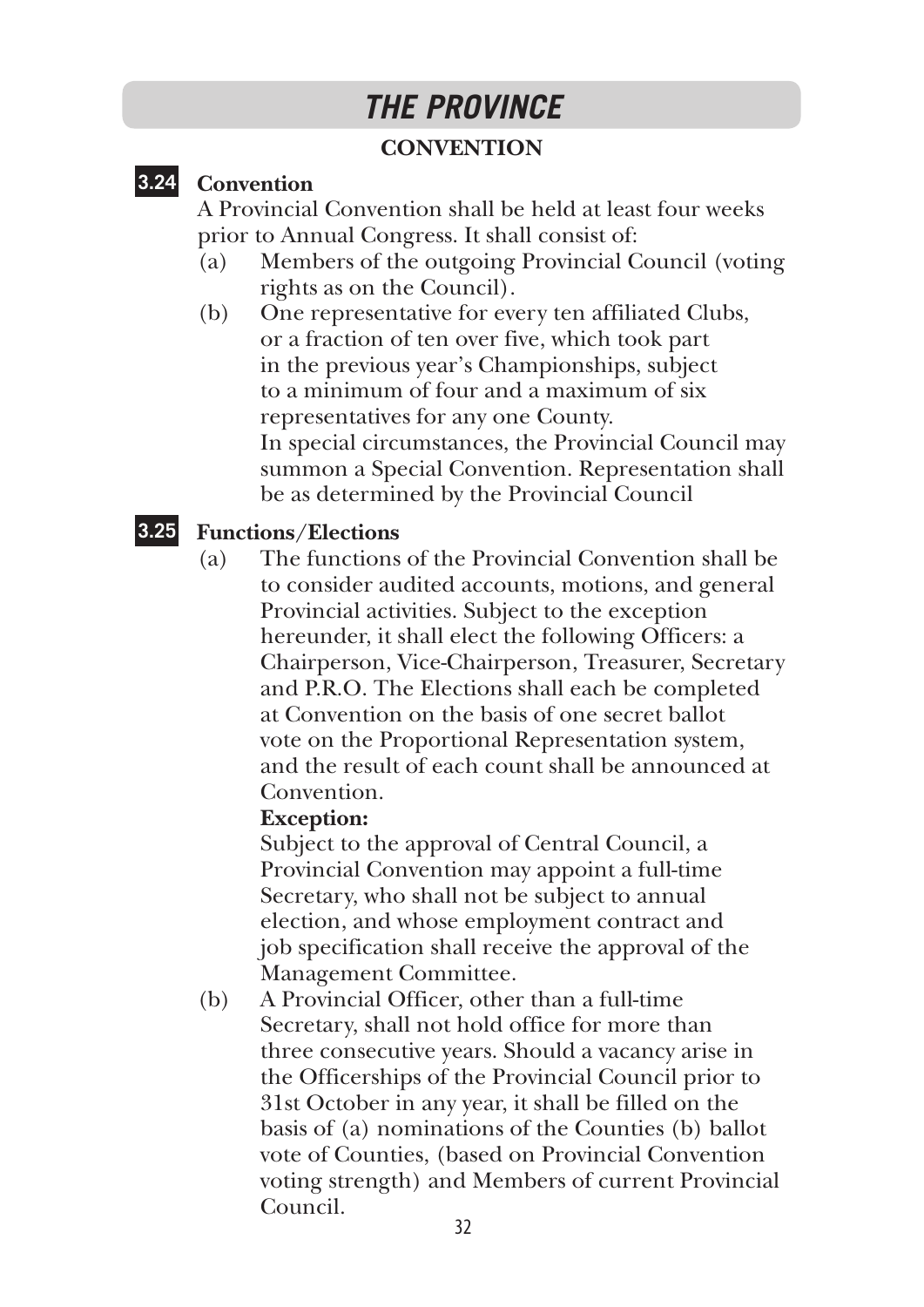## *THE PROVINCE*

#### **CONVENTION**

#### **3.24 Convention**

A Provincial Convention shall be held at least four weeks prior to Annual Congress. It shall consist of:

- (a) Members of the outgoing Provincial Council (voting rights as on the Council).
- (b) One representative for every ten affiliated Clubs, or a fraction of ten over five, which took part in the previous year's Championships, subject to a minimum of four and a maximum of six representatives for any one County. In special circumstances, the Provincial Council may summon a Special Convention. Representation shall be as determined by the Provincial Council

#### **3.25 Functions/Elections**

(a) The functions of the Provincial Convention shall be to consider audited accounts, motions, and general Provincial activities. Subject to the exception hereunder, it shall elect the following Officers: a Chairperson, Vice-Chairperson, Treasurer, Secretary and P.R.O. The Elections shall each be completed at Convention on the basis of one secret ballot vote on the Proportional Representation system, and the result of each count shall be announced at Convention.

#### **Exception:**

 Subject to the approval of Central Council, a Provincial Convention may appoint a full-time Secretary, who shall not be subject to annual election, and whose employment contract and job specification shall receive the approval of the Management Committee.

(b) A Provincial Officer, other than a full-time Secretary, shall not hold office for more than three consecutive years. Should a vacancy arise in the Officerships of the Provincial Council prior to 31st October in any year, it shall be filled on the basis of (a) nominations of the Counties (b) ballot vote of Counties, (based on Provincial Convention voting strength) and Members of current Provincial Council.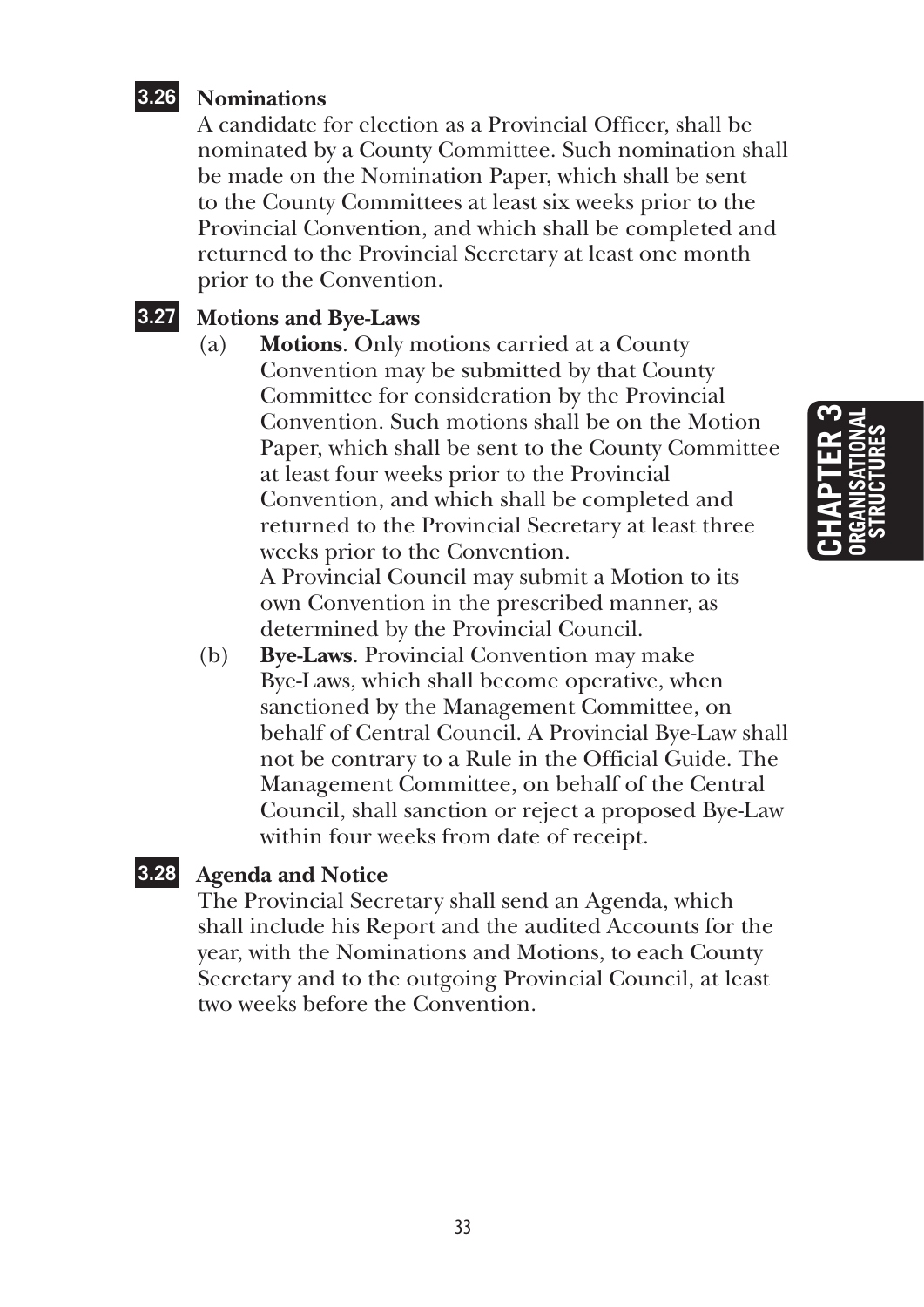#### **3.26 Nominations**

A candidate for election as a Provincial Officer, shall be nominated by a County Committee. Such nomination shall be made on the Nomination Paper, which shall be sent to the County Committees at least six weeks prior to the Provincial Convention, and which shall be completed and returned to the Provincial Secretary at least one month prior to the Convention.

#### **3.27 Motions and Bye-Laws**

(a) **Motions**. Only motions carried at a County Convention may be submitted by that County Committee for consideration by the Provincial Convention. Such motions shall be on the Motion Paper, which shall be sent to the County Committee at least four weeks prior to the Provincial Convention, and which shall be completed and returned to the Provincial Secretary at least three weeks prior to the Convention. A Provincial Council may submit a Motion to its

own Convention in the prescribed manner, as determined by the Provincial Council.

(b) **Bye-Laws**. Provincial Convention may make Bye-Laws, which shall become operative, when sanctioned by the Management Committee, on behalf of Central Council. A Provincial Bye-Law shall not be contrary to a Rule in the Official Guide. The Management Committee, on behalf of the Central Council, shall sanction or reject a proposed Bye-Law within four weeks from date of receipt.

#### **3.28 Agenda and Notice**

The Provincial Secretary shall send an Agenda, which shall include his Report and the audited Accounts for the year, with the Nominations and Motions, to each County Secretary and to the outgoing Provincial Council, at least two weeks before the Convention.

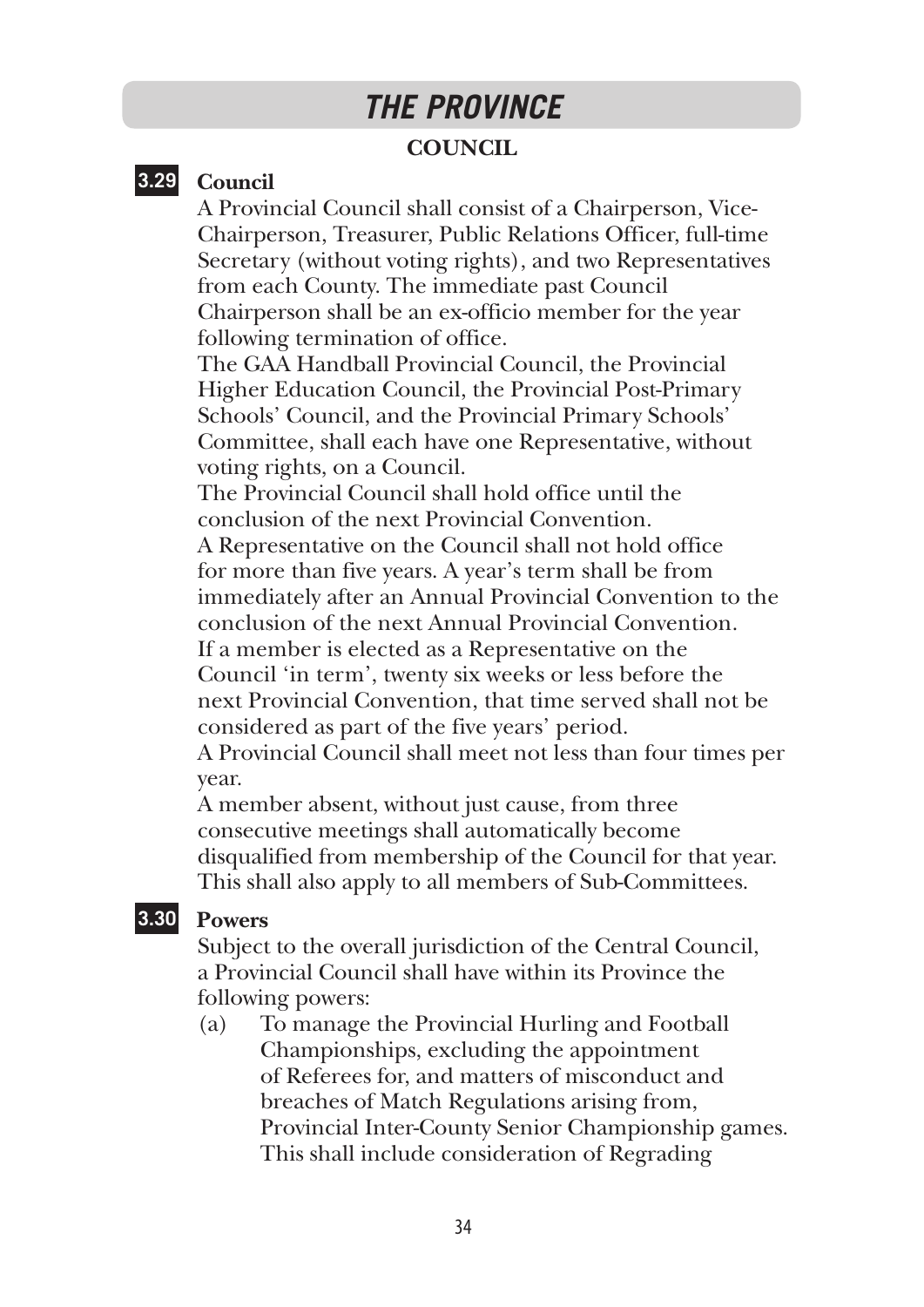## *THE PROVINCE*

#### **COUNCIL**

#### **3.29 Council**

A Provincial Council shall consist of a Chairperson, Vice-Chairperson, Treasurer, Public Relations Officer, full-time Secretary (without voting rights), and two Representatives from each County. The immediate past Council Chairperson shall be an ex-officio member for the year following termination of office.

The GAA Handball Provincial Council, the Provincial Higher Education Council, the Provincial Post-Primary Schools' Council, and the Provincial Primary Schools' Committee, shall each have one Representative, without voting rights, on a Council.

The Provincial Council shall hold office until the conclusion of the next Provincial Convention.

A Representative on the Council shall not hold office for more than five years. A year's term shall be from immediately after an Annual Provincial Convention to the conclusion of the next Annual Provincial Convention.

If a member is elected as a Representative on the Council 'in term', twenty six weeks or less before the next Provincial Convention, that time served shall not be considered as part of the five years' period.

A Provincial Council shall meet not less than four times per year.

A member absent, without just cause, from three consecutive meetings shall automatically become disqualified from membership of the Council for that year. This shall also apply to all members of Sub-Committees.

#### **3.30 Powers**

Subject to the overall jurisdiction of the Central Council, a Provincial Council shall have within its Province the following powers:

(a) To manage the Provincial Hurling and Football Championships, excluding the appointment of Referees for, and matters of misconduct and breaches of Match Regulations arising from, Provincial Inter-County Senior Championship games. This shall include consideration of Regrading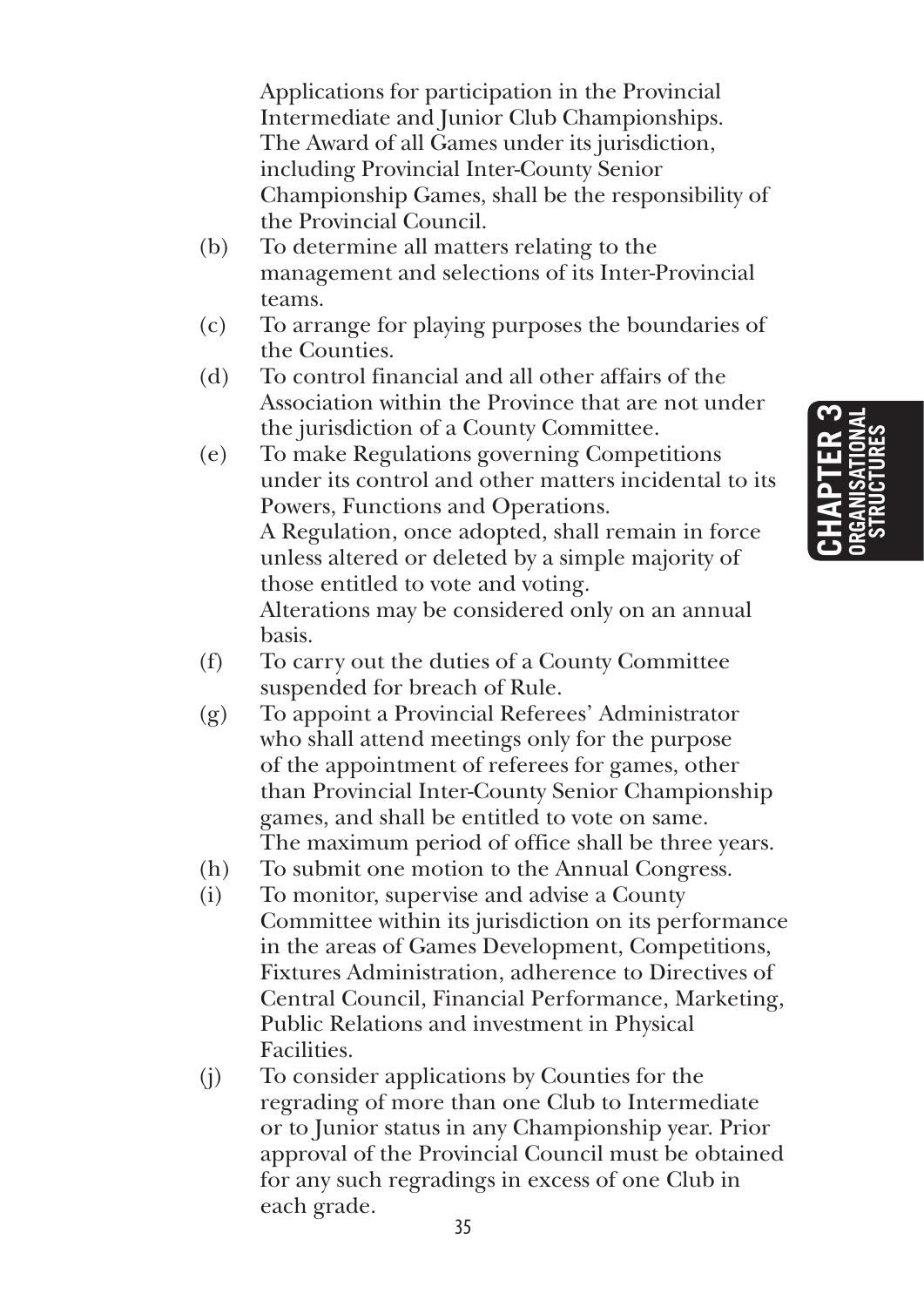Applications for participation in the Provincial Intermediate and Junior Club Championships. The Award of all Games under its jurisdiction, including Provincial Inter-County Senior Championship Games, shall be the responsibility of the Provincial Council.

- (b) To determine all matters relating to the management and selections of its Inter-Provincial teams.
- (c) To arrange for playing purposes the boundaries of the Counties.
- (d) To control financial and all other affairs of the Association within the Province that are not under the jurisdiction of a County Committee.
- (e) To make Regulations governing Competitions under its control and other matters incidental to its Powers, Functions and Operations. A Regulation, once adopted, shall remain in force unless altered or deleted by a simple majority of those entitled to vote and voting. Alterations may be considered only on an annual basis.
- (f) To carry out the duties of a County Committee suspended for breach of Rule.
- (g) To appoint a Provincial Referees' Administrator who shall attend meetings only for the purpose of the appointment of referees for games, other than Provincial Inter-County Senior Championship games, and shall be entitled to vote on same. The maximum period of office shall be three years.
- (h) To submit one motion to the Annual Congress.
- 
- (i) To monitor, supervise and advise a County Committee within its jurisdiction on its performance in the areas of Games Development, Competitions, Fixtures Administration, adherence to Directives of Central Council, Financial Performance, Marketing, Public Relations and investment in Physical Facilities.
- (j) To consider applications by Counties for the regrading of more than one Club to Intermediate or to Junior status in any Championship year. Prior approval of the Provincial Council must be obtained for any such regradings in excess of one Club in each grade.

**Chapter 3 organisational structures**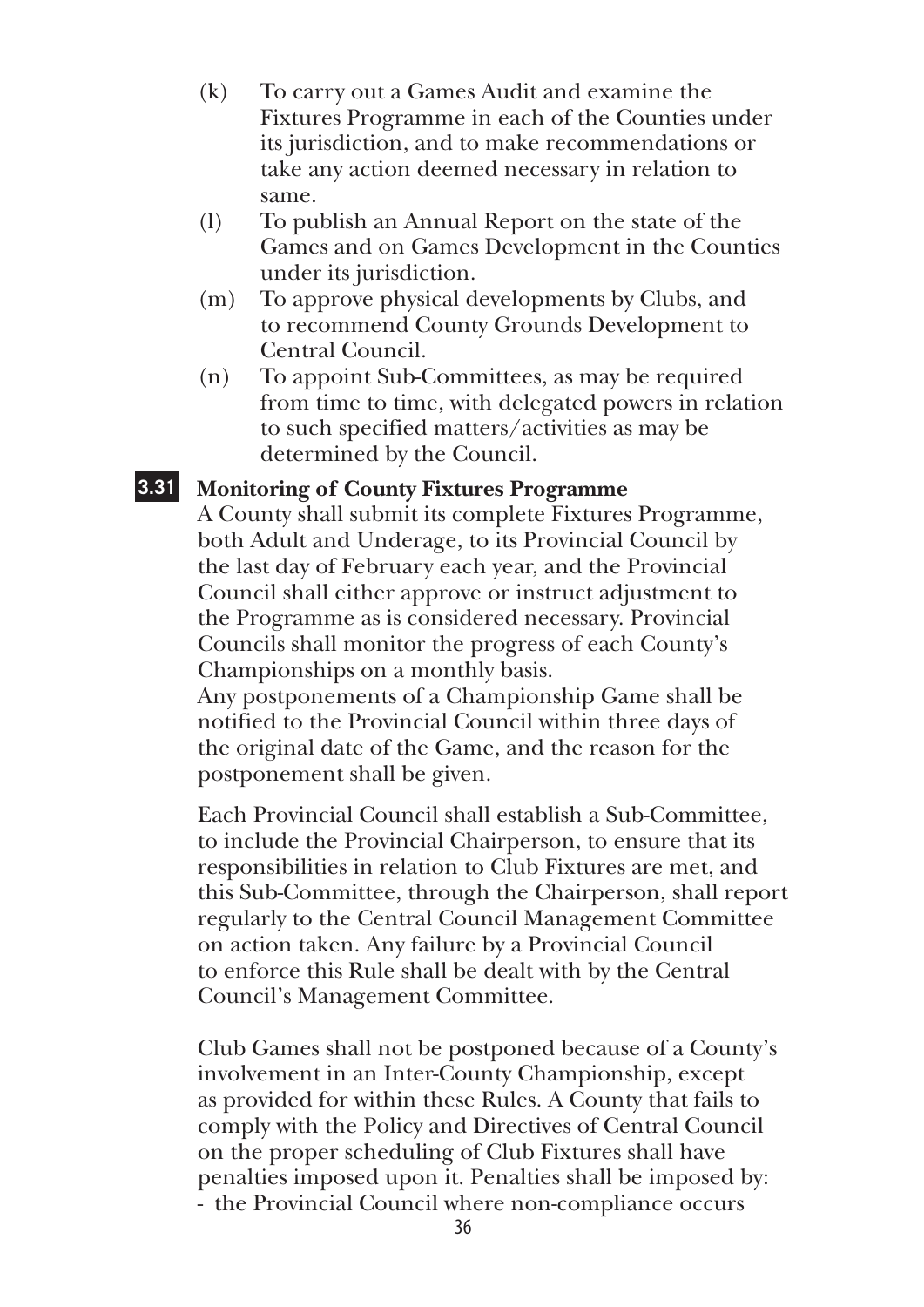- (k) To carry out a Games Audit and examine the Fixtures Programme in each of the Counties under its jurisdiction, and to make recommendations or take any action deemed necessary in relation to same.
- (l) To publish an Annual Report on the state of the Games and on Games Development in the Counties under its jurisdiction.
- (m) To approve physical developments by Clubs, and to recommend County Grounds Development to Central Council.
- (n) To appoint Sub-Committees, as may be required from time to time, with delegated powers in relation to such specified matters/activities as may be determined by the Council.

#### **3.31 Monitoring of County Fixtures Programme**

A County shall submit its complete Fixtures Programme, both Adult and Underage, to its Provincial Council by the last day of February each year, and the Provincial Council shall either approve or instruct adjustment to the Programme as is considered necessary. Provincial Councils shall monitor the progress of each County's Championships on a monthly basis.

Any postponements of a Championship Game shall be notified to the Provincial Council within three days of the original date of the Game, and the reason for the postponement shall be given.

Each Provincial Council shall establish a Sub-Committee, to include the Provincial Chairperson, to ensure that its responsibilities in relation to Club Fixtures are met, and this Sub-Committee, through the Chairperson, shall report regularly to the Central Council Management Committee on action taken. Any failure by a Provincial Council to enforce this Rule shall be dealt with by the Central Council's Management Committee.

Club Games shall not be postponed because of a County's involvement in an Inter-County Championship, except as provided for within these Rules. A County that fails to comply with the Policy and Directives of Central Council on the proper scheduling of Club Fixtures shall have penalties imposed upon it. Penalties shall be imposed by: - the Provincial Council where non-compliance occurs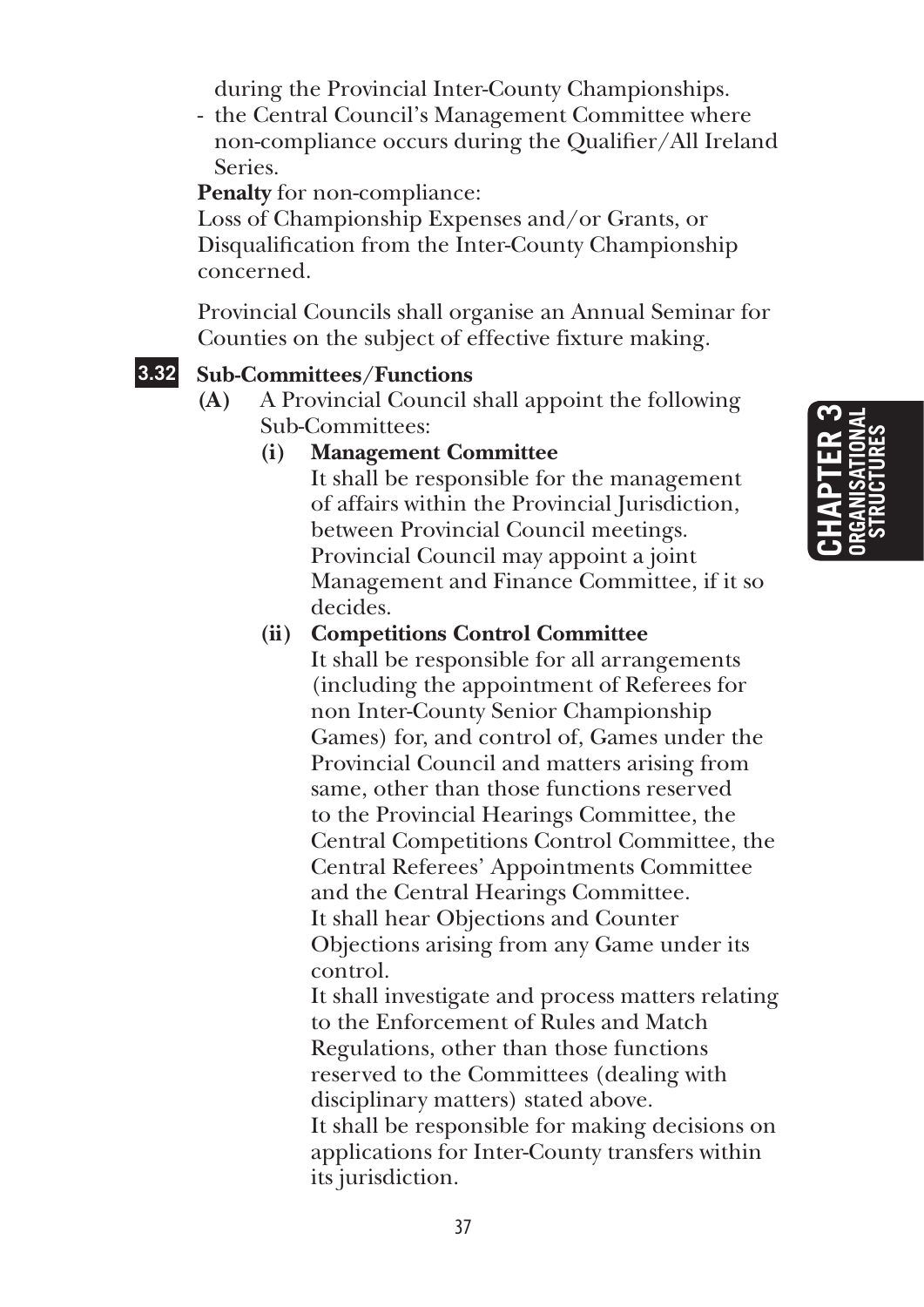**Chapter 3 organisational structures**

during the Provincial Inter-County Championships.

- the Central Council's Management Committee where non-compliance occurs during the Qualifier/All Ireland Series.

**Penalty** for non-compliance:

Loss of Championship Expenses and/or Grants, or Disqualification from the Inter-County Championship concerned.

Provincial Councils shall organise an Annual Seminar for Counties on the subject of effective fixture making.

### **3.32 Sub-Committees/Functions**

**(A)** A Provincial Council shall appoint the following Sub-Committees:

### **(i) Management Committee**

 It shall be responsible for the management of affairs within the Provincial Jurisdiction, between Provincial Council meetings. Provincial Council may appoint a joint Management and Finance Committee, if it so decides.

### **(ii) Competitions Control Committee**

 It shall be responsible for all arrangements (including the appointment of Referees for non Inter-County Senior Championship Games) for, and control of, Games under the Provincial Council and matters arising from same, other than those functions reserved to the Provincial Hearings Committee, the Central Competitions Control Committee, the Central Referees' Appointments Committee and the Central Hearings Committee. It shall hear Objections and Counter Objections arising from any Game under its control.

 It shall investigate and process matters relating to the Enforcement of Rules and Match Regulations, other than those functions reserved to the Committees (dealing with disciplinary matters) stated above. It shall be responsible for making decisions on applications for Inter-County transfers within its jurisdiction.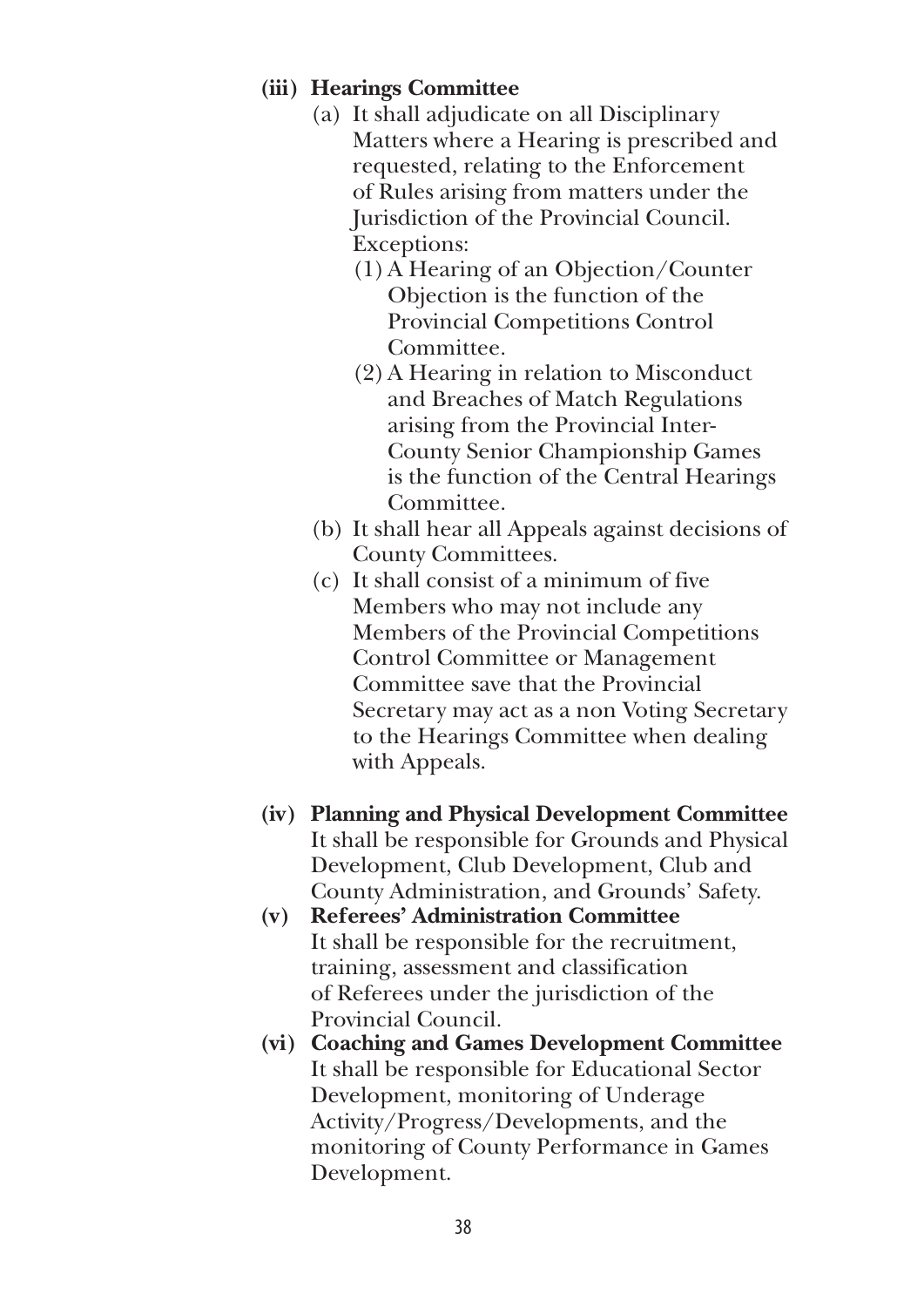### **(iii) Hearings Committee**

- (a) It shall adjudicate on all Disciplinary Matters where a Hearing is prescribed and requested, relating to the Enforcement of Rules arising from matters under the Jurisdiction of the Provincial Council. Exceptions:
	- (1) A Hearing of an Objection/Counter Objection is the function of the Provincial Competitions Control Committee.
	- (2) A Hearing in relation to Misconduct and Breaches of Match Regulations arising from the Provincial Inter-County Senior Championship Games is the function of the Central Hearings Committee.
- (b) It shall hear all Appeals against decisions of County Committees.
- (c) It shall consist of a minimum of five Members who may not include any Members of the Provincial Competitions Control Committee or Management Committee save that the Provincial Secretary may act as a non Voting Secretary to the Hearings Committee when dealing with Appeals.
- **(iv) Planning and Physical Development Committee** It shall be responsible for Grounds and Physical Development, Club Development, Club and County Administration, and Grounds' Safety.
- **(v) Referees' Administration Committee** It shall be responsible for the recruitment, training, assessment and classification of Referees under the jurisdiction of the Provincial Council.
- **(vi) Coaching and Games Development Committee**  It shall be responsible for Educational Sector Development, monitoring of Underage Activity/Progress/Developments, and the monitoring of County Performance in Games Development.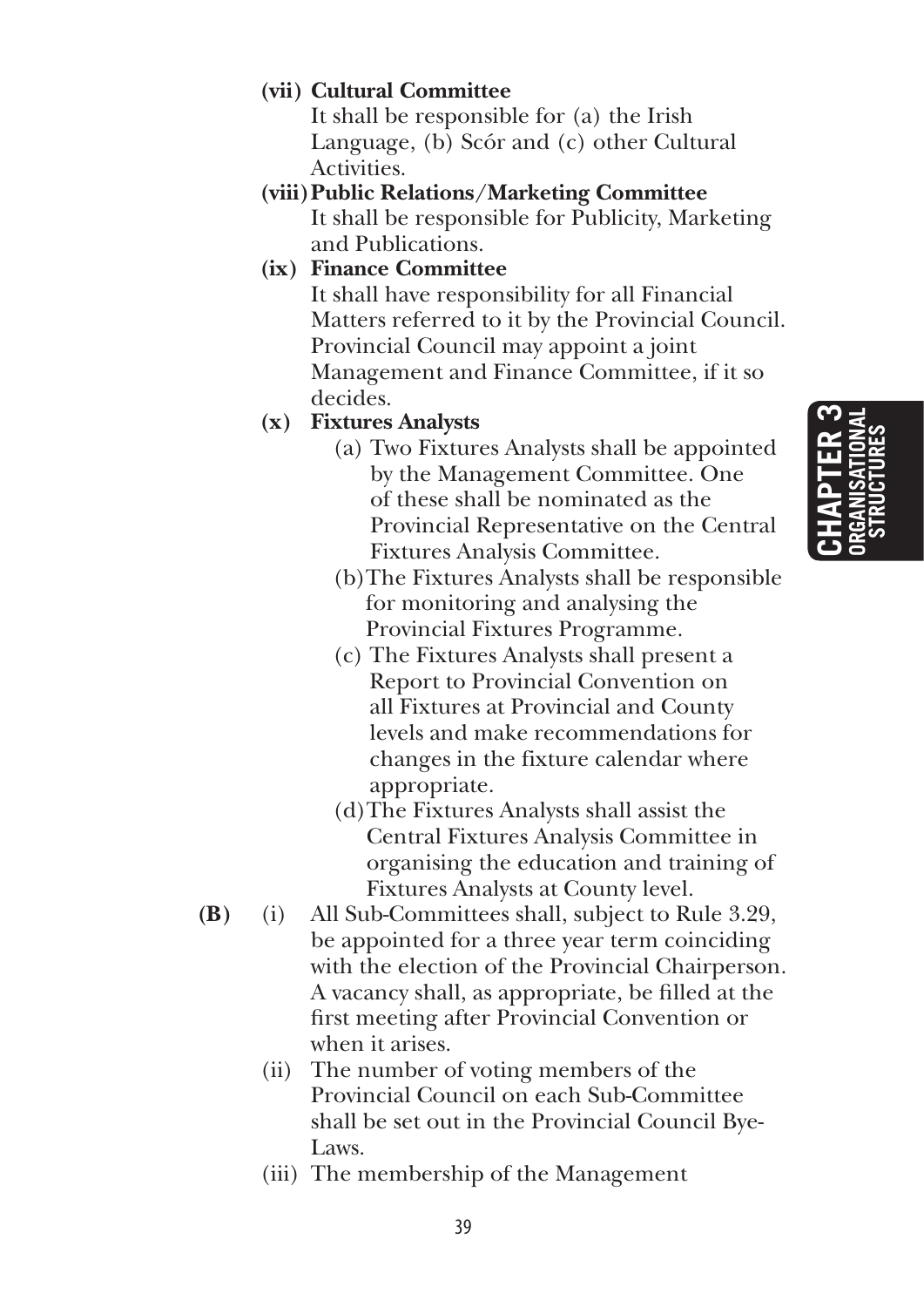### **(vii) Cultural Committee**

 It shall be responsible for (a) the Irish Language, (b) Scór and (c) other Cultural Activities.

**(viii) Public Relations/Marketing Committee**  It shall be responsible for Publicity, Marketing and Publications.

### **(ix) Finance Committee**

 It shall have responsibility for all Financial Matters referred to it by the Provincial Council. Provincial Council may appoint a joint Management and Finance Committee, if it so decides.

### **(x) Fixtures Analysts**

- (a) Two Fixtures Analysts shall be appointed by the Management Committee. One of these shall be nominated as the Provincial Representative on the Central Fixtures Analysis Committee.
- (b)The Fixtures Analysts shall be responsible for monitoring and analysing the Provincial Fixtures Programme.
- (c) The Fixtures Analysts shall present a Report to Provincial Convention on all Fixtures at Provincial and County levels and make recommendations for changes in the fixture calendar where appropriate.
- (d)The Fixtures Analysts shall assist the Central Fixtures Analysis Committee in organising the education and training of Fixtures Analysts at County level.
- **(B)** (i) All Sub-Committees shall, subject to Rule 3.29, be appointed for a three year term coinciding with the election of the Provincial Chairperson. A vacancy shall, as appropriate, be filled at the first meeting after Provincial Convention or when it arises.
	- (ii) The number of voting members of the Provincial Council on each Sub-Committee shall be set out in the Provincial Council Bye-Laws.
	- (iii) The membership of the Management

**Chapter 3 organisational structures**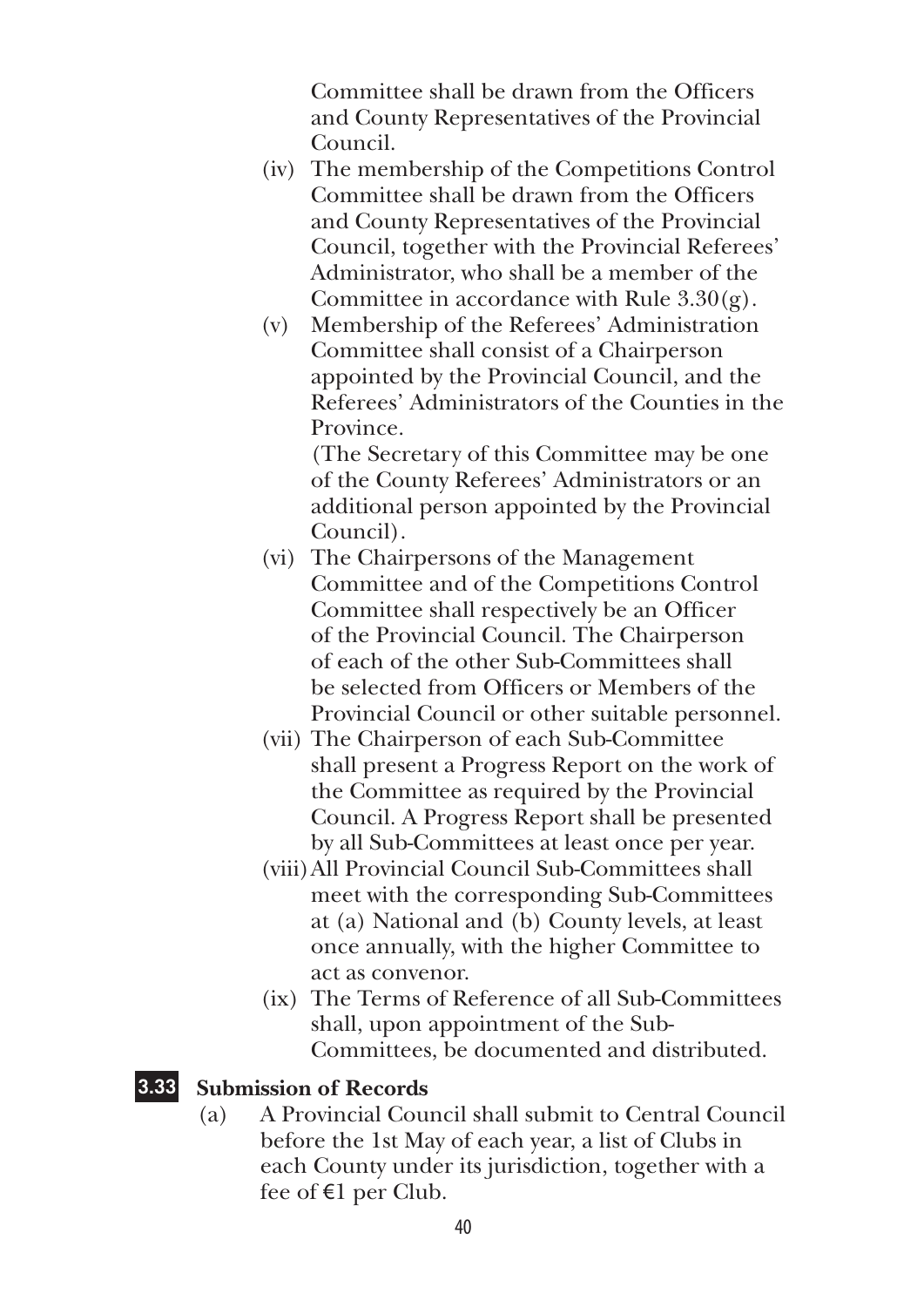Committee shall be drawn from the Officers and County Representatives of the Provincial Council.

- (iv) The membership of the Competitions Control Committee shall be drawn from the Officers and County Representatives of the Provincial Council, together with the Provincial Referees' Administrator, who shall be a member of the Committee in accordance with Rule  $3.30(g)$ .
- (v) Membership of the Referees' Administration Committee shall consist of a Chairperson appointed by the Provincial Council, and the Referees' Administrators of the Counties in the Province.

 (The Secretary of this Committee may be one of the County Referees' Administrators or an additional person appointed by the Provincial Council).

- (vi) The Chairpersons of the Management Committee and of the Competitions Control Committee shall respectively be an Officer of the Provincial Council. The Chairperson of each of the other Sub-Committees shall be selected from Officers or Members of the Provincial Council or other suitable personnel.
- (vii) The Chairperson of each Sub-Committee shall present a Progress Report on the work of the Committee as required by the Provincial Council. A Progress Report shall be presented by all Sub-Committees at least once per year.
- (viii) All Provincial Council Sub-Committees shall meet with the corresponding Sub-Committees at (a) National and (b) County levels, at least once annually, with the higher Committee to act as convenor.
- (ix) The Terms of Reference of all Sub-Committees shall, upon appointment of the Sub-Committees, be documented and distributed.

### **3.33 Submission of Records**

(a) A Provincial Council shall submit to Central Council before the 1st May of each year, a list of Clubs in each County under its jurisdiction, together with a fee of €1 per Club.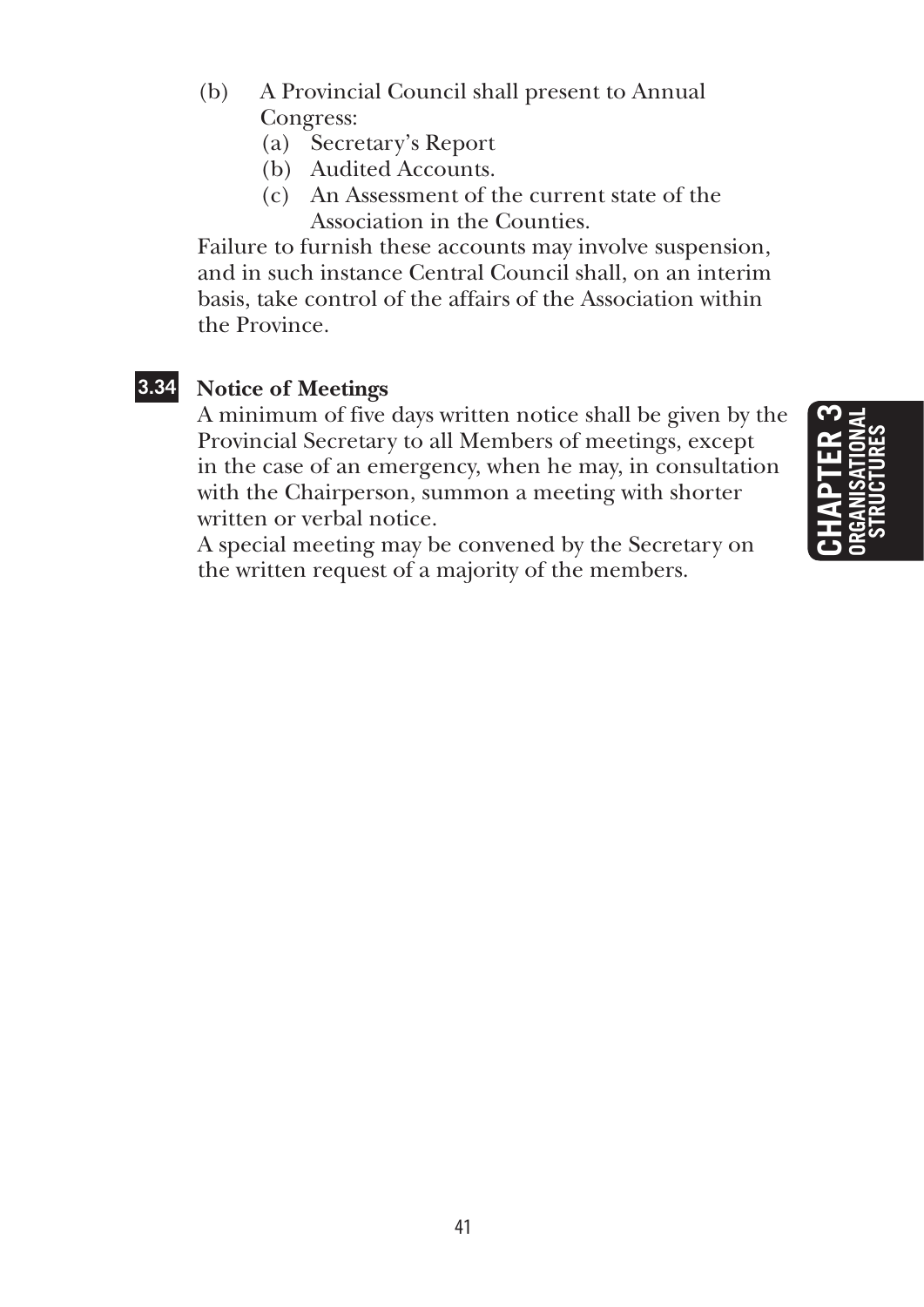- (b) A Provincial Council shall present to Annual Congress:
	- (a) Secretary's Report
	- (b) Audited Accounts.
	- (c) An Assessment of the current state of the Association in the Counties.

Failure to furnish these accounts may involve suspension, and in such instance Central Council shall, on an interim basis, take control of the affairs of the Association within the Province.

### **3.34 Notice of Meetings**

A minimum of five days written notice shall be given by the Provincial Secretary to all Members of meetings, except in the case of an emergency, when he may, in consultation with the Chairperson, summon a meeting with shorter written or verbal notice.

A special meeting may be convened by the Secretary on the written request of a majority of the members.

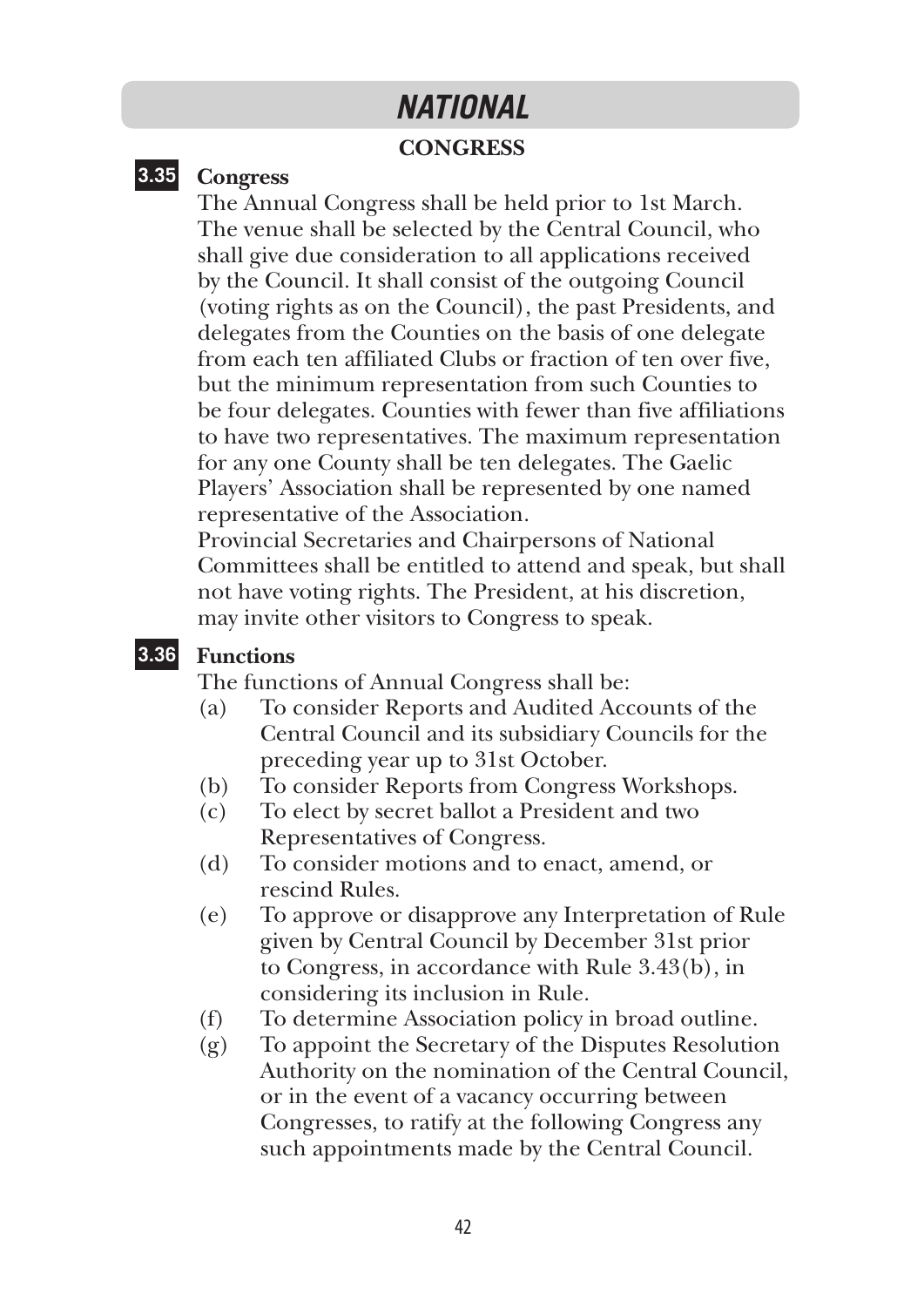### *NATIONAL*

### **CONGRESS**

### **3.35 Congress**

The Annual Congress shall be held prior to 1st March. The venue shall be selected by the Central Council, who shall give due consideration to all applications received by the Council. It shall consist of the outgoing Council (voting rights as on the Council), the past Presidents, and delegates from the Counties on the basis of one delegate from each ten affiliated Clubs or fraction of ten over five, but the minimum representation from such Counties to be four delegates. Counties with fewer than five affiliations to have two representatives. The maximum representation for any one County shall be ten delegates. The Gaelic Players' Association shall be represented by one named representative of the Association.

Provincial Secretaries and Chairpersons of National Committees shall be entitled to attend and speak, but shall not have voting rights. The President, at his discretion, may invite other visitors to Congress to speak.

#### **3.36 Functions**

The functions of Annual Congress shall be:

- (a) To consider Reports and Audited Accounts of the Central Council and its subsidiary Councils for the preceding year up to 31st October.
- (b) To consider Reports from Congress Workshops.
- (c) To elect by secret ballot a President and two Representatives of Congress.
- (d) To consider motions and to enact, amend, or rescind Rules.
- (e) To approve or disapprove any Interpretation of Rule given by Central Council by December 31st prior to Congress, in accordance with Rule 3.43(b), in considering its inclusion in Rule.
- (f) To determine Association policy in broad outline.
- (g) To appoint the Secretary of the Disputes Resolution Authority on the nomination of the Central Council, or in the event of a vacancy occurring between Congresses, to ratify at the following Congress any such appointments made by the Central Council.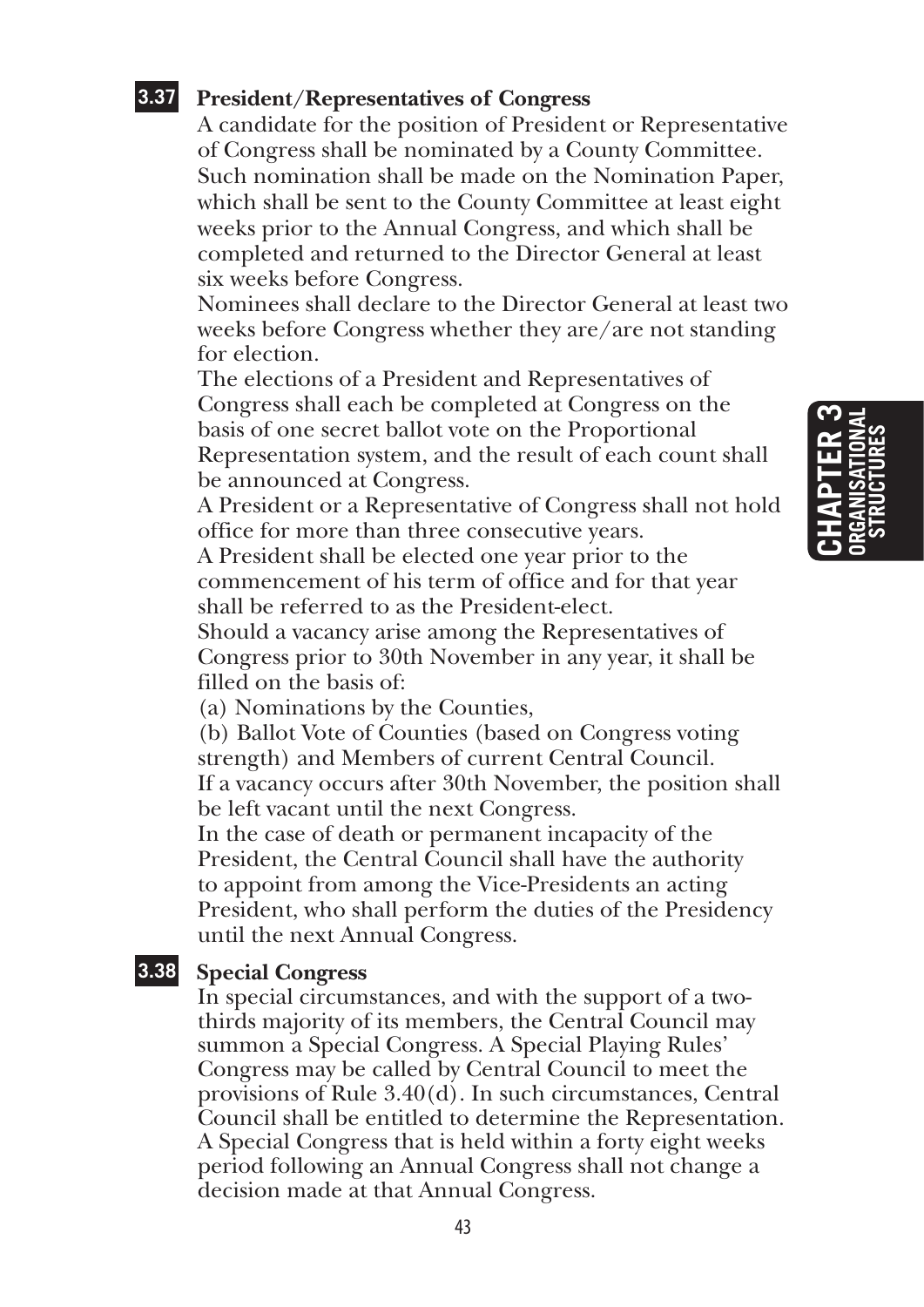### **3.37 President/Representatives of Congress**

A candidate for the position of President or Representative of Congress shall be nominated by a County Committee. Such nomination shall be made on the Nomination Paper, which shall be sent to the County Committee at least eight weeks prior to the Annual Congress, and which shall be completed and returned to the Director General at least six weeks before Congress.

Nominees shall declare to the Director General at least two weeks before Congress whether they are/are not standing for election.

The elections of a President and Representatives of Congress shall each be completed at Congress on the basis of one secret ballot vote on the Proportional Representation system, and the result of each count shall be announced at Congress.

A President or a Representative of Congress shall not hold office for more than three consecutive years.

A President shall be elected one year prior to the commencement of his term of office and for that year shall be referred to as the President-elect.

Should a vacancy arise among the Representatives of Congress prior to 30th November in any year, it shall be filled on the basis of:

(a) Nominations by the Counties,

(b) Ballot Vote of Counties (based on Congress voting strength) and Members of current Central Council. If a vacancy occurs after 30th November, the position shall be left vacant until the next Congress.

In the case of death or permanent incapacity of the President, the Central Council shall have the authority to appoint from among the Vice-Presidents an acting President, who shall perform the duties of the Presidency until the next Annual Congress.

### **3.38 Special Congress**

In special circumstances, and with the support of a twothirds majority of its members, the Central Council may summon a Special Congress. A Special Playing Rules' Congress may be called by Central Council to meet the provisions of Rule 3.40(d). In such circumstances, Central Council shall be entitled to determine the Representation. A Special Congress that is held within a forty eight weeks period following an Annual Congress shall not change a decision made at that Annual Congress.

## **Chapter 3 organisational structures**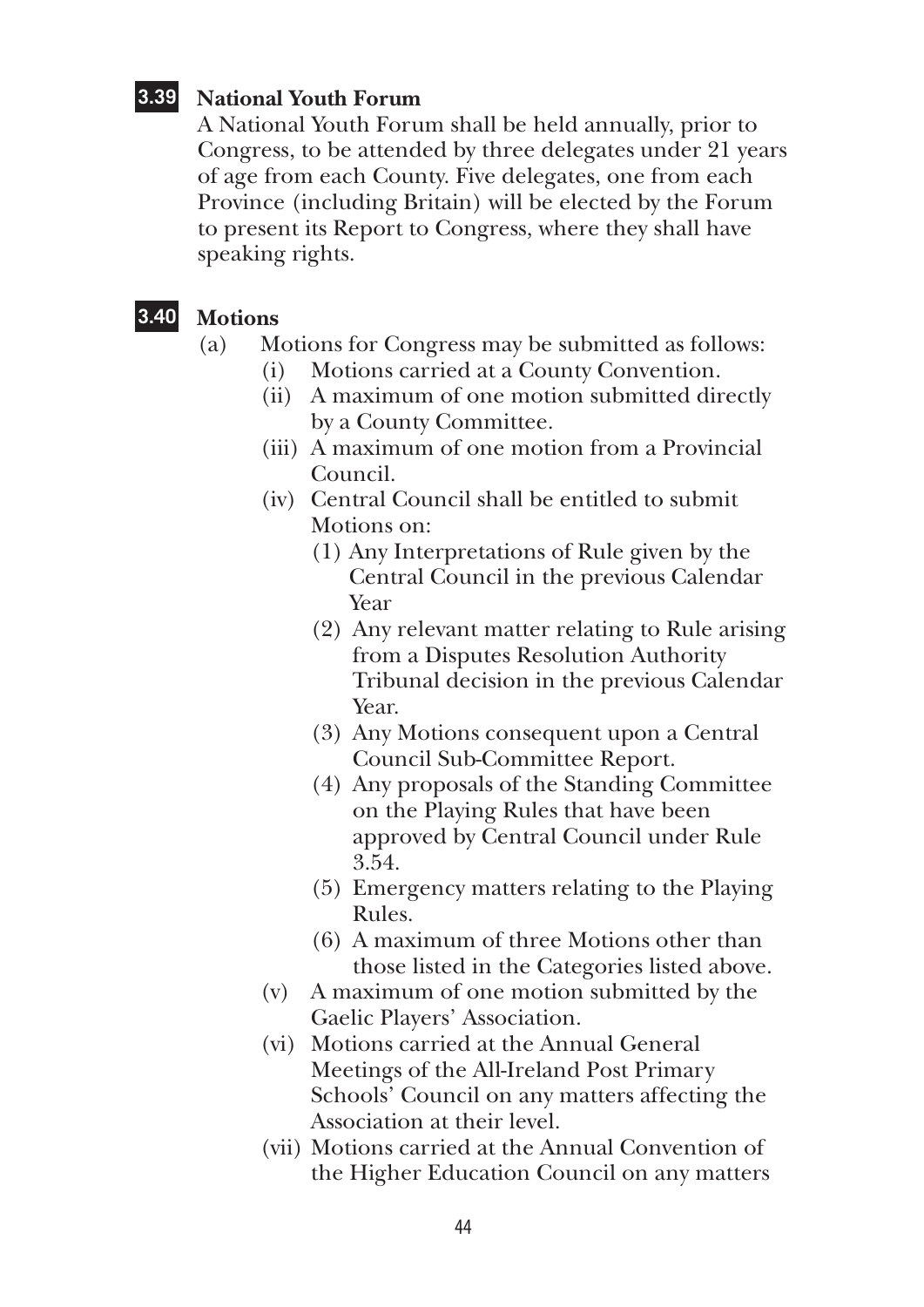### **3.39 National Youth Forum**

A National Youth Forum shall be held annually, prior to Congress, to be attended by three delegates under 21 years of age from each County. Five delegates, one from each Province (including Britain) will be elected by the Forum to present its Report to Congress, where they shall have speaking rights.

### **3.40 Motions**

- (a) Motions for Congress may be submitted as follows:
	- (i) Motions carried at a County Convention.
	- (ii) A maximum of one motion submitted directly by a County Committee.
	- (iii) A maximum of one motion from a Provincial Council.
	- (iv) Central Council shall be entitled to submit Motions on:
		- (1) Any Interpretations of Rule given by the Central Council in the previous Calendar Year
		- (2) Any relevant matter relating to Rule arising from a Disputes Resolution Authority Tribunal decision in the previous Calendar Year.
		- (3) Any Motions consequent upon a Central Council Sub-Committee Report.
		- (4) Any proposals of the Standing Committee on the Playing Rules that have been approved by Central Council under Rule 3.54.
		- (5) Emergency matters relating to the Playing Rules.
		- (6) A maximum of three Motions other than those listed in the Categories listed above.
	- (v) A maximum of one motion submitted by the Gaelic Players' Association.
	- (vi) Motions carried at the Annual General Meetings of the All-Ireland Post Primary Schools' Council on any matters affecting the Association at their level.
	- (vii) Motions carried at the Annual Convention of the Higher Education Council on any matters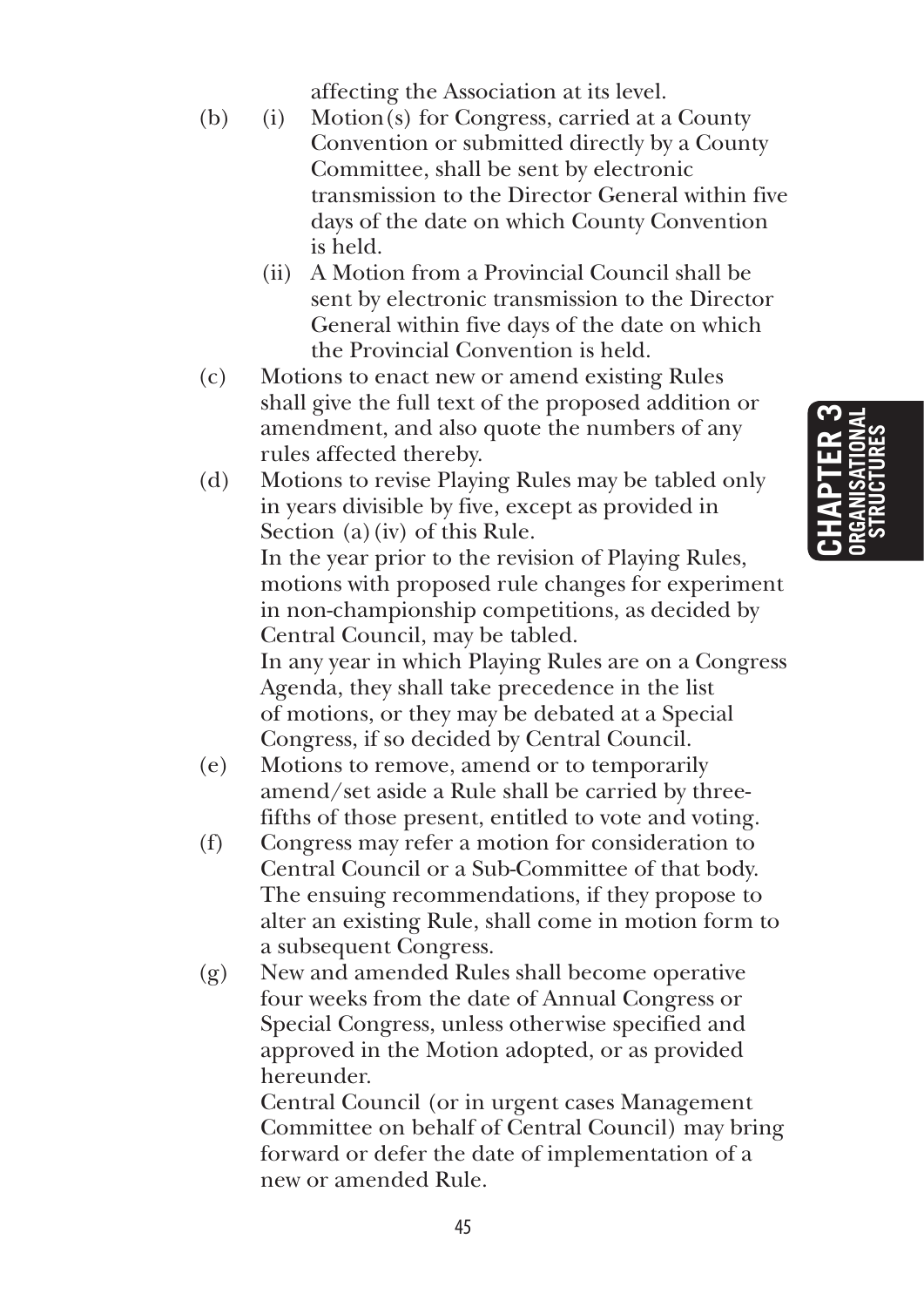affecting the Association at its level.

- (b) (i) Motion(s) for Congress, carried at a County Convention or submitted directly by a County Committee, shall be sent by electronic transmission to the Director General within five days of the date on which County Convention is held.
	- (ii) A Motion from a Provincial Council shall be sent by electronic transmission to the Director General within five days of the date on which the Provincial Convention is held.
- (c) Motions to enact new or amend existing Rules shall give the full text of the proposed addition or amendment, and also quote the numbers of any rules affected thereby.
- (d) Motions to revise Playing Rules may be tabled only in years divisible by five, except as provided in Section (a)(iv) of this Rule. In the year prior to the revision of Playing Rules, motions with proposed rule changes for experiment in non-championship competitions, as decided by Central Council, may be tabled. In any year in which Playing Rules are on a Congress Agenda, they shall take precedence in the list of motions, or they may be debated at a Special Congress, if so decided by Central Council.
- (e) Motions to remove, amend or to temporarily amend/set aside a Rule shall be carried by threefifths of those present, entitled to vote and voting.
- (f) Congress may refer a motion for consideration to Central Council or a Sub-Committee of that body. The ensuing recommendations, if they propose to alter an existing Rule, shall come in motion form to a subsequent Congress.
- (g) New and amended Rules shall become operative four weeks from the date of Annual Congress or Special Congress, unless otherwise specified and approved in the Motion adopted, or as provided hereunder.

 Central Council (or in urgent cases Management Committee on behalf of Central Council) may bring forward or defer the date of implementation of a new or amended Rule.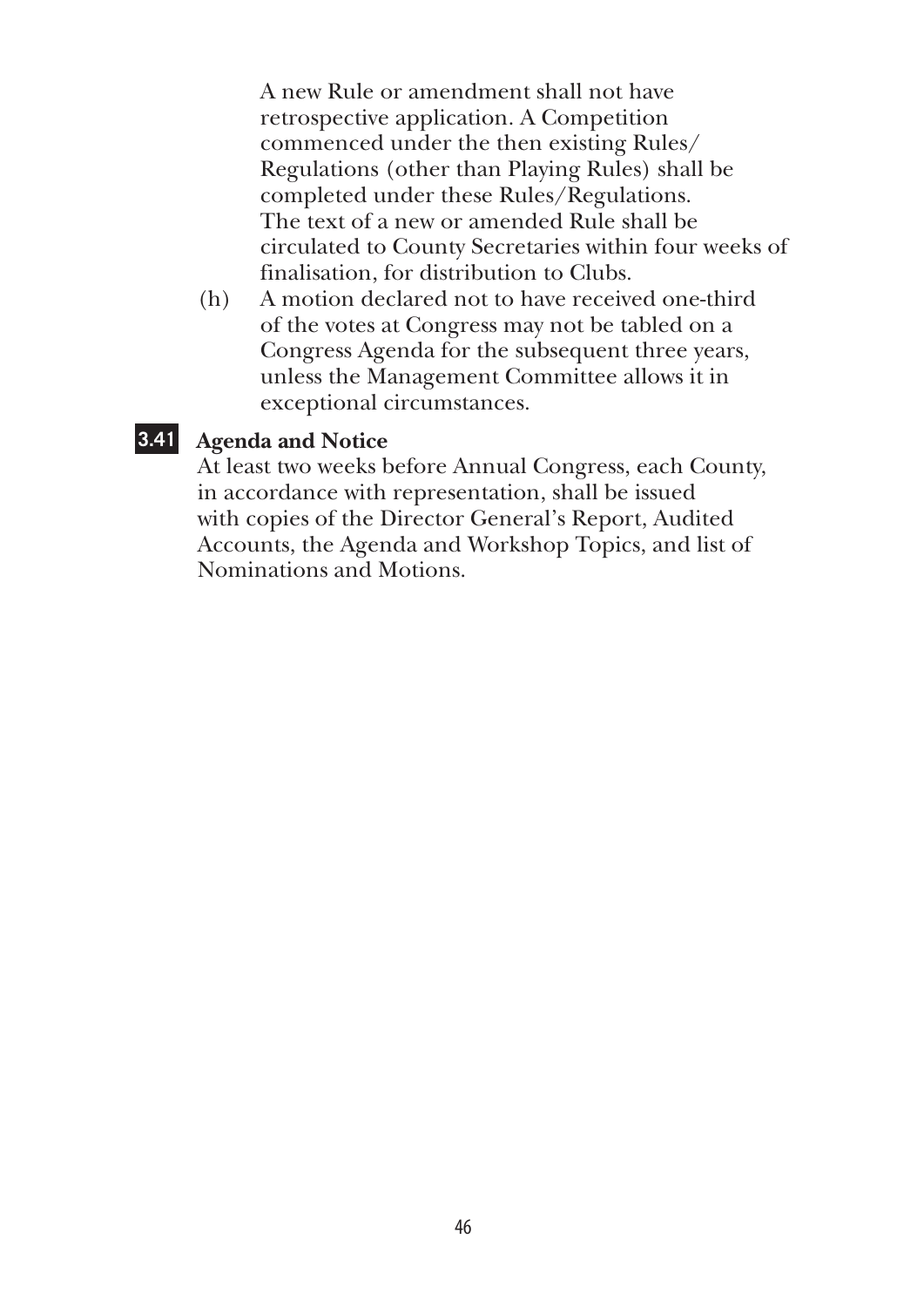A new Rule or amendment shall not have retrospective application. A Competition commenced under the then existing Rules/ Regulations (other than Playing Rules) shall be completed under these Rules/Regulations. The text of a new or amended Rule shall be circulated to County Secretaries within four weeks of finalisation, for distribution to Clubs.

(h) A motion declared not to have received one-third of the votes at Congress may not be tabled on a Congress Agenda for the subsequent three years, unless the Management Committee allows it in exceptional circumstances.

### **3.41 Agenda and Notice**

At least two weeks before Annual Congress, each County, in accordance with representation, shall be issued with copies of the Director General's Report, Audited Accounts, the Agenda and Workshop Topics, and list of Nominations and Motions.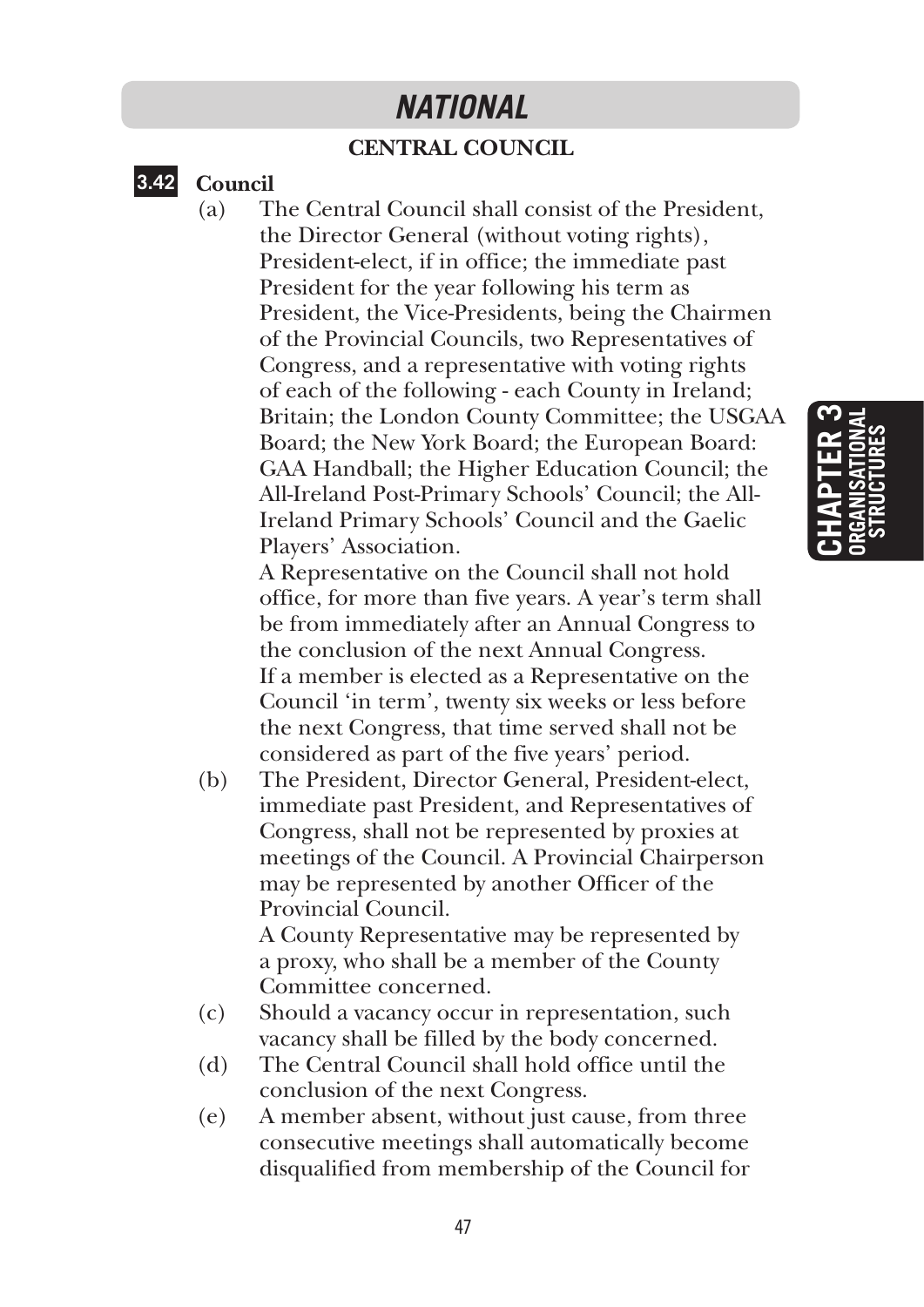### *NATIONAL*

### **CENTRAL COUNCIL**

### **3.42 Council**

(a) The Central Council shall consist of the President, the Director General (without voting rights), President-elect, if in office; the immediate past President for the year following his term as President, the Vice-Presidents, being the Chairmen of the Provincial Councils, two Representatives of Congress, and a representative with voting rights of each of the following - each County in Ireland; Britain; the London County Committee; the USGAA Board; the New York Board; the European Board: GAA Handball; the Higher Education Council; the All-Ireland Post-Primary Schools' Council; the All-Ireland Primary Schools' Council and the Gaelic Players' Association.

> A Representative on the Council shall not hold office, for more than five years. A year's term shall be from immediately after an Annual Congress to the conclusion of the next Annual Congress. If a member is elected as a Representative on the Council 'in term', twenty six weeks or less before the next Congress, that time served shall not be considered as part of the five years' period.

(b) The President, Director General, President-elect, immediate past President, and Representatives of Congress, shall not be represented by proxies at meetings of the Council. A Provincial Chairperson may be represented by another Officer of the Provincial Council.

 A County Representative may be represented by a proxy, who shall be a member of the County Committee concerned.

- (c) Should a vacancy occur in representation, such vacancy shall be filled by the body concerned.
- (d) The Central Council shall hold office until the conclusion of the next Congress.
- (e) A member absent, without just cause, from three consecutive meetings shall automatically become disqualified from membership of the Council for

## **Chapter 3 organisational structures**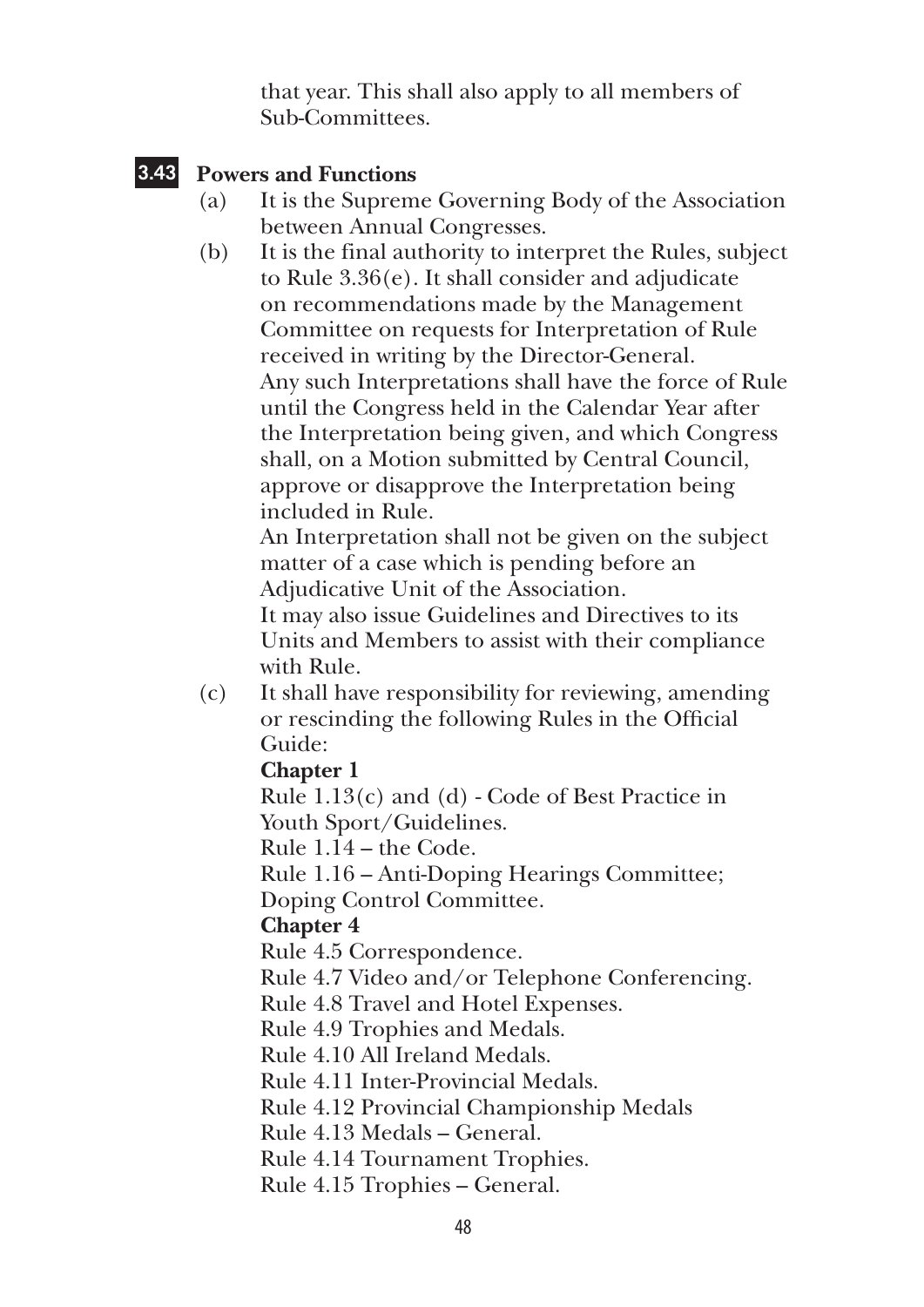that year. This shall also apply to all members of Sub-Committees.

### **3.43 Powers and Functions**

- (a) It is the Supreme Governing Body of the Association between Annual Congresses.
- (b) It is the final authority to interpret the Rules, subject to Rule 3.36(e). It shall consider and adjudicate on recommendations made by the Management Committee on requests for Interpretation of Rule received in writing by the Director-General. Any such Interpretations shall have the force of Rule until the Congress held in the Calendar Year after the Interpretation being given, and which Congress shall, on a Motion submitted by Central Council, approve or disapprove the Interpretation being included in Rule.

 An Interpretation shall not be given on the subject matter of a case which is pending before an Adjudicative Unit of the Association.

 It may also issue Guidelines and Directives to its Units and Members to assist with their compliance with Rule.

(c) It shall have responsibility for reviewing, amending or rescinding the following Rules in the Official Guide:

### **Chapter 1**

 Rule 1.13(c) and (d) - Code of Best Practice in Youth Sport/Guidelines.

Rule 1.14 – the Code.

Rule 1.16 – Anti-Doping Hearings Committee;

Doping Control Committee.

### **Chapter 4**

Rule 4.5 Correspondence.

Rule 4.7 Video and/or Telephone Conferencing.

Rule 4.8 Travel and Hotel Expenses.

Rule 4.9 Trophies and Medals.

Rule 4.10 All Ireland Medals.

Rule 4.11 Inter-Provincial Medals.

Rule 4.12 Provincial Championship Medals

Rule 4.13 Medals – General.

Rule 4.14 Tournament Trophies.

Rule 4.15 Trophies – General.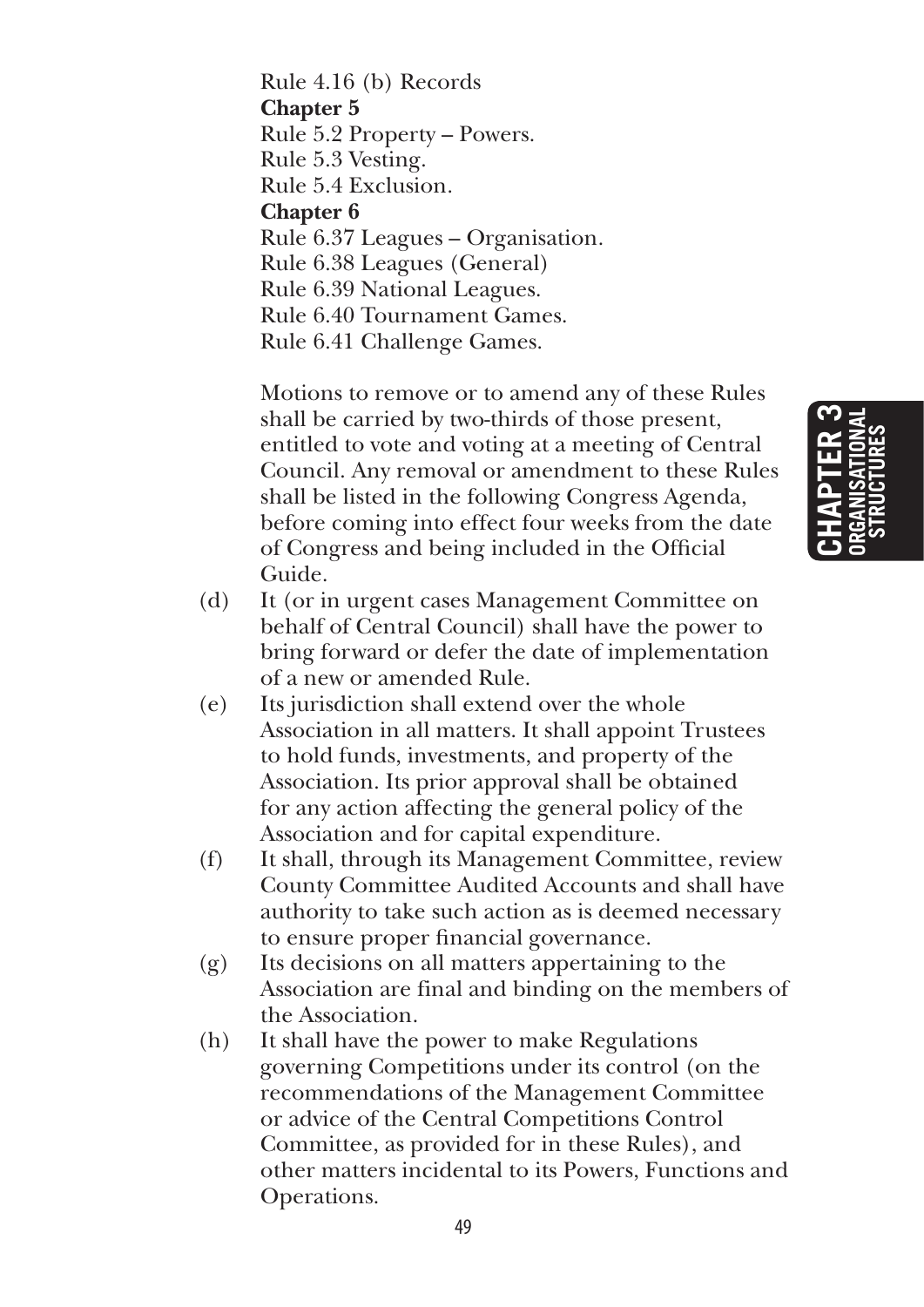Rule 4.16 (b) Records **Chapter 5** Rule 5.2 Property – Powers. Rule 5.3 Vesting. Rule 5.4 Exclusion. **Chapter 6** Rule 6.37 Leagues – Organisation. Rule 6.38 Leagues (General) Rule 6.39 National Leagues. Rule 6.40 Tournament Games. Rule 6.41 Challenge Games.

 Motions to remove or to amend any of these Rules shall be carried by two-thirds of those present, entitled to vote and voting at a meeting of Central Council. Any removal or amendment to these Rules shall be listed in the following Congress Agenda, before coming into effect four weeks from the date of Congress and being included in the Official Guide.

- (d) It (or in urgent cases Management Committee on behalf of Central Council) shall have the power to bring forward or defer the date of implementation of a new or amended Rule.
- (e) Its jurisdiction shall extend over the whole Association in all matters. It shall appoint Trustees to hold funds, investments, and property of the Association. Its prior approval shall be obtained for any action affecting the general policy of the Association and for capital expenditure.
- (f) It shall, through its Management Committee, review County Committee Audited Accounts and shall have authority to take such action as is deemed necessary to ensure proper financial governance.
- (g) Its decisions on all matters appertaining to the Association are final and binding on the members of the Association.
- (h) It shall have the power to make Regulations governing Competitions under its control (on the recommendations of the Management Committee or advice of the Central Competitions Control Committee, as provided for in these Rules), and other matters incidental to its Powers, Functions and Operations.

**Chapter 3 organisational structures**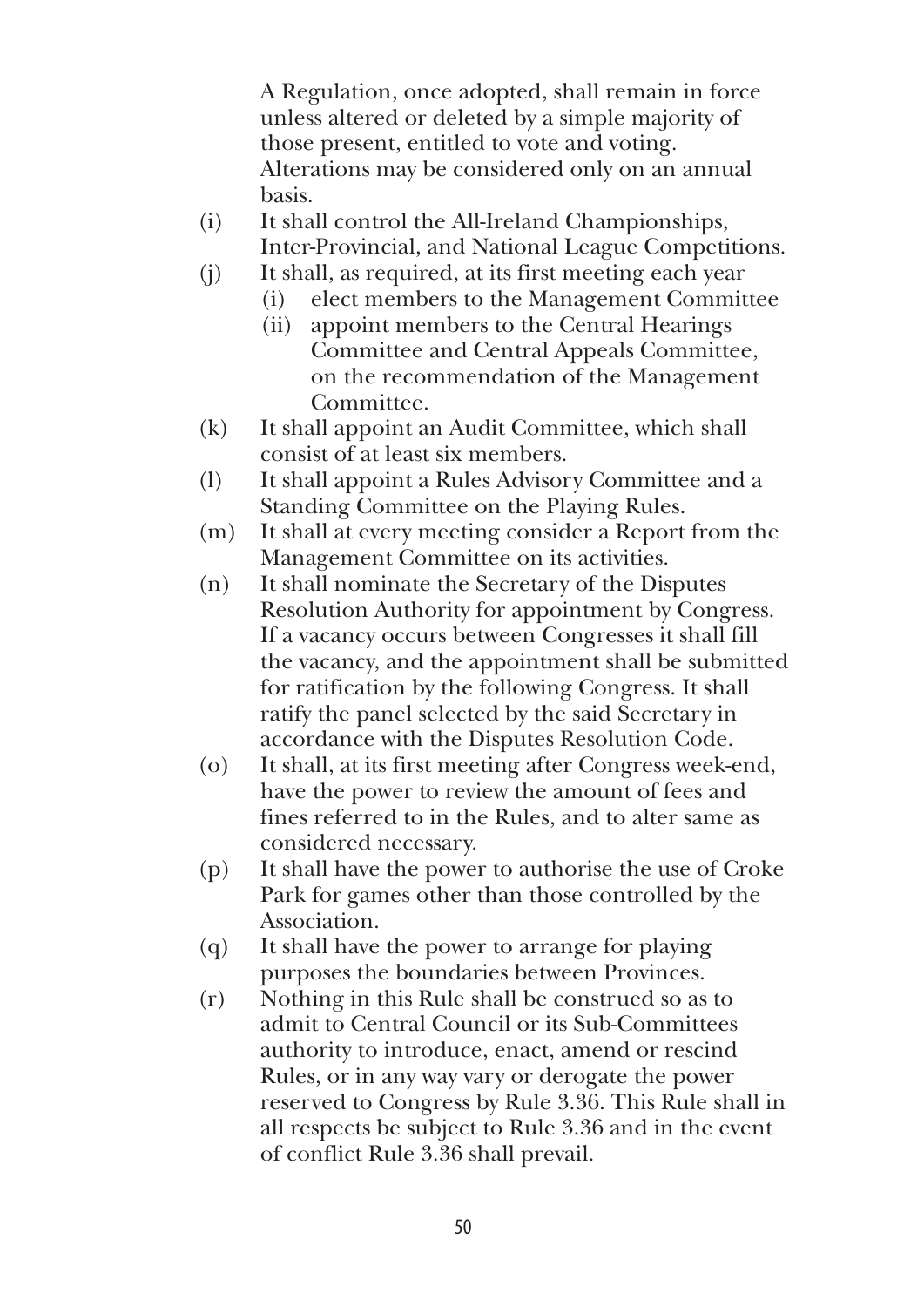A Regulation, once adopted, shall remain in force unless altered or deleted by a simple majority of those present, entitled to vote and voting. Alterations may be considered only on an annual basis.

- (i) It shall control the All-Ireland Championships, Inter-Provincial, and National League Competitions.
- (j) It shall, as required, at its first meeting each year
	- (i) elect members to the Management Committee
	- (ii) appoint members to the Central Hearings Committee and Central Appeals Committee, on the recommendation of the Management Committee.
- (k) It shall appoint an Audit Committee, which shall consist of at least six members.
- (l) It shall appoint a Rules Advisory Committee and a Standing Committee on the Playing Rules.
- (m) It shall at every meeting consider a Report from the Management Committee on its activities.
- (n) It shall nominate the Secretary of the Disputes Resolution Authority for appointment by Congress. If a vacancy occurs between Congresses it shall fill the vacancy, and the appointment shall be submitted for ratification by the following Congress. It shall ratify the panel selected by the said Secretary in accordance with the Disputes Resolution Code.
- (o) It shall, at its first meeting after Congress week-end, have the power to review the amount of fees and fines referred to in the Rules, and to alter same as considered necessary.
- (p) It shall have the power to authorise the use of Croke Park for games other than those controlled by the Association.
- (q) It shall have the power to arrange for playing purposes the boundaries between Provinces.
- (r) Nothing in this Rule shall be construed so as to admit to Central Council or its Sub-Committees authority to introduce, enact, amend or rescind Rules, or in any way vary or derogate the power reserved to Congress by Rule 3.36. This Rule shall in all respects be subject to Rule 3.36 and in the event of conflict Rule 3.36 shall prevail.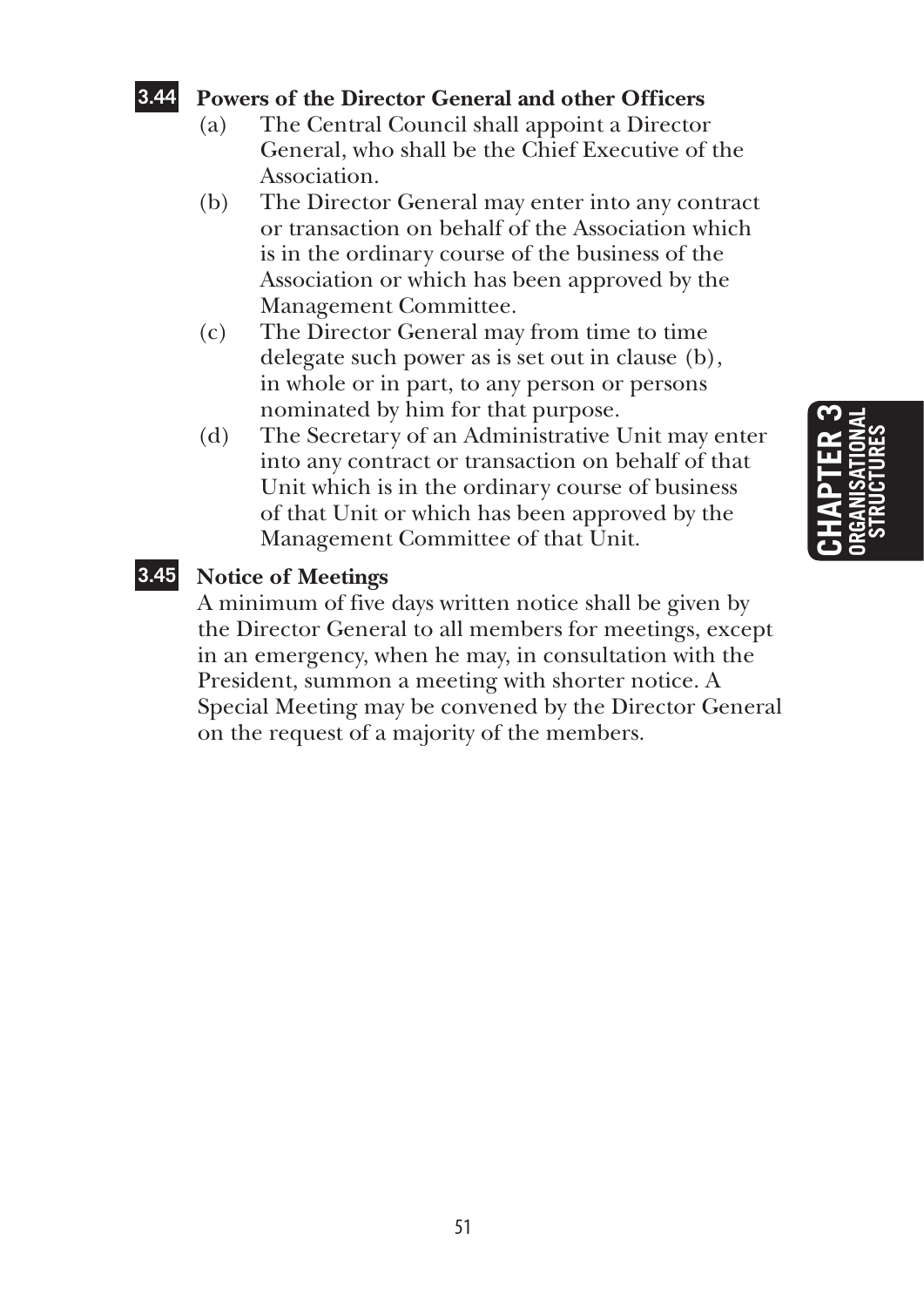### **3.44 Powers of the Director General and other Officers**

- (a) The Central Council shall appoint a Director General, who shall be the Chief Executive of the Association.
- (b) The Director General may enter into any contract or transaction on behalf of the Association which is in the ordinary course of the business of the Association or which has been approved by the Management Committee.
- (c) The Director General may from time to time delegate such power as is set out in clause (b), in whole or in part, to any person or persons nominated by him for that purpose.
- (d) The Secretary of an Administrative Unit may enter into any contract or transaction on behalf of that Unit which is in the ordinary course of business of that Unit or which has been approved by the Management Committee of that Unit.

### **3.45 Notice of Meetings**

A minimum of five days written notice shall be given by the Director General to all members for meetings, except in an emergency, when he may, in consultation with the President, summon a meeting with shorter notice. A Special Meeting may be convened by the Director General on the request of a majority of the members.

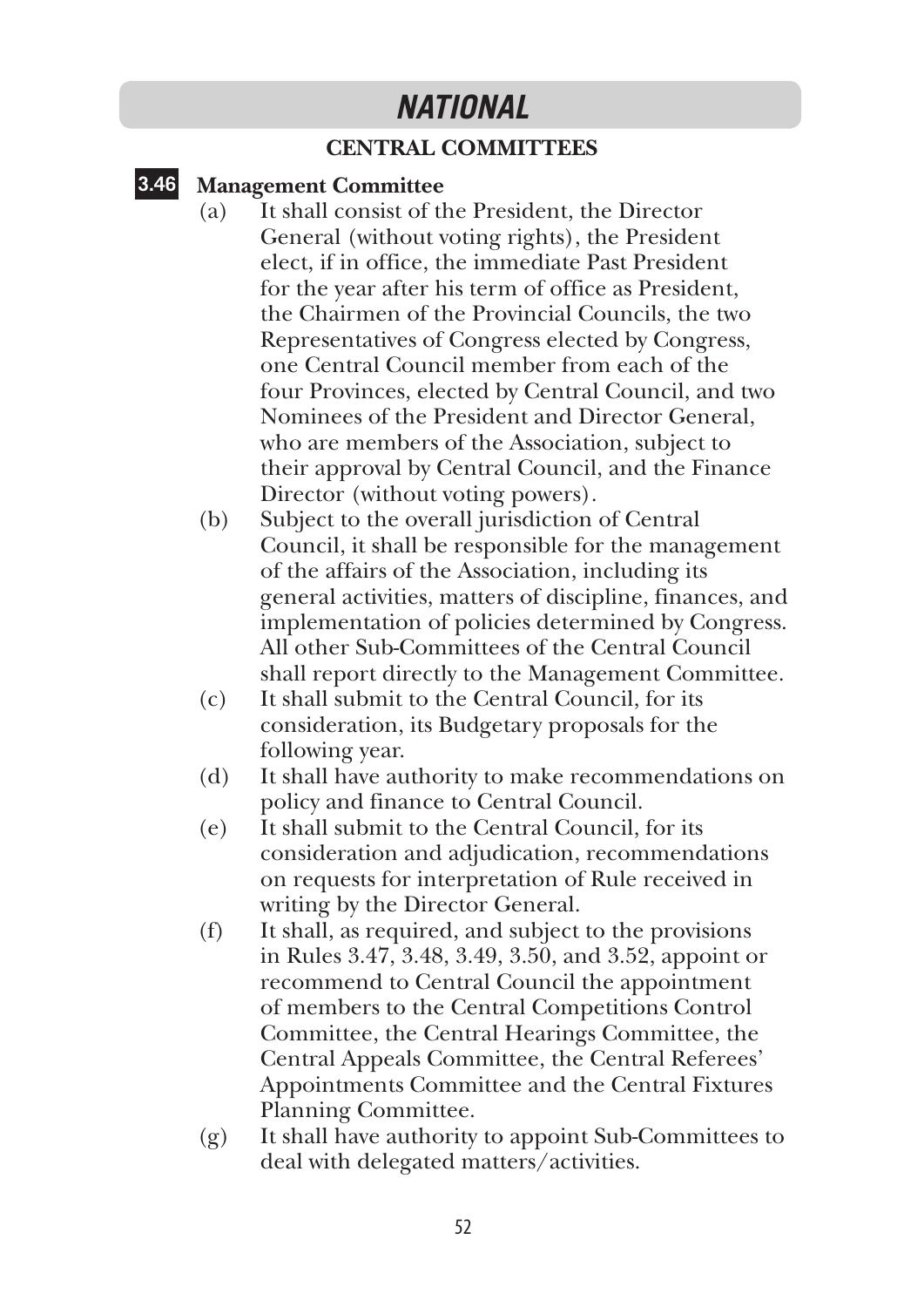### *NATIONAL*

### **CENTRAL COMMITTEES**

### **3.46 Management Committee**

- (a) It shall consist of the President, the Director General (without voting rights), the President elect, if in office, the immediate Past President for the year after his term of office as President, the Chairmen of the Provincial Councils, the two Representatives of Congress elected by Congress, one Central Council member from each of the four Provinces, elected by Central Council, and two Nominees of the President and Director General, who are members of the Association, subject to their approval by Central Council, and the Finance Director (without voting powers).
- (b) Subject to the overall jurisdiction of Central Council, it shall be responsible for the management of the affairs of the Association, including its general activities, matters of discipline, finances, and implementation of policies determined by Congress. All other Sub-Committees of the Central Council shall report directly to the Management Committee.
- (c) It shall submit to the Central Council, for its consideration, its Budgetary proposals for the following year.
- (d) It shall have authority to make recommendations on policy and finance to Central Council.
- (e) It shall submit to the Central Council, for its consideration and adjudication, recommendations on requests for interpretation of Rule received in writing by the Director General.
- (f) It shall, as required, and subject to the provisions in Rules 3.47, 3.48, 3.49, 3.50, and 3.52, appoint or recommend to Central Council the appointment of members to the Central Competitions Control Committee, the Central Hearings Committee, the Central Appeals Committee, the Central Referees' Appointments Committee and the Central Fixtures Planning Committee.
- (g) It shall have authority to appoint Sub-Committees to deal with delegated matters/activities.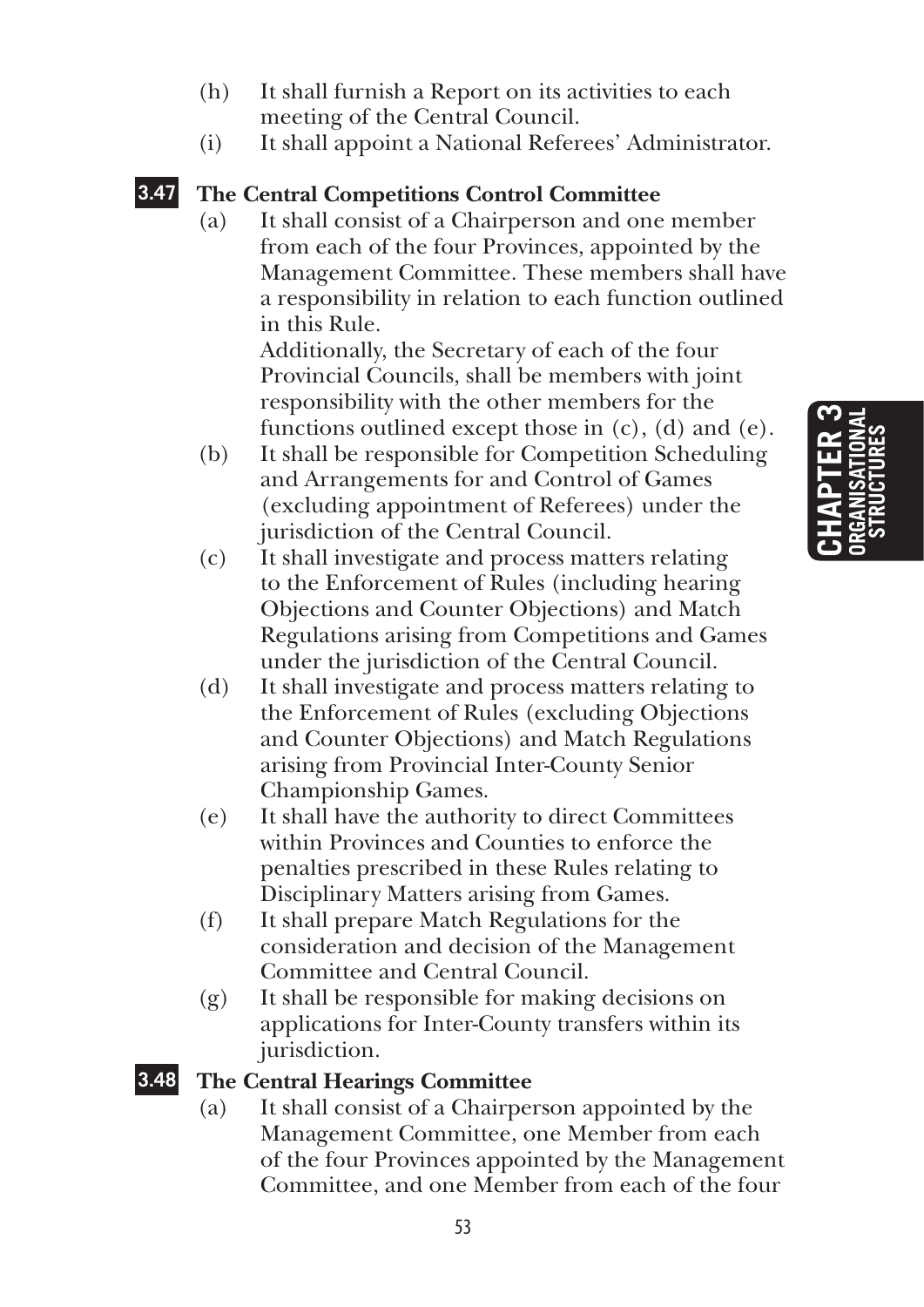**Chapter 3 organisational structures**

- (h) It shall furnish a Report on its activities to each meeting of the Central Council.
- (i) It shall appoint a National Referees' Administrator.

### **3.47 The Central Competitions Control Committee**

(a) It shall consist of a Chairperson and one member from each of the four Provinces, appointed by the Management Committee. These members shall have a responsibility in relation to each function outlined in this Rule.

Additionally, the Secretary of each of the four Provincial Councils, shall be members with joint responsibility with the other members for the functions outlined except those in  $(c)$ ,  $(d)$  and  $(e)$ .

- (b) It shall be responsible for Competition Scheduling and Arrangements for and Control of Games (excluding appointment of Referees) under the jurisdiction of the Central Council.
- (c) It shall investigate and process matters relating to the Enforcement of Rules (including hearing Objections and Counter Objections) and Match Regulations arising from Competitions and Games under the jurisdiction of the Central Council.
- (d) It shall investigate and process matters relating to the Enforcement of Rules (excluding Objections and Counter Objections) and Match Regulations arising from Provincial Inter-County Senior Championship Games.
- (e) It shall have the authority to direct Committees within Provinces and Counties to enforce the penalties prescribed in these Rules relating to Disciplinary Matters arising from Games.
- (f) It shall prepare Match Regulations for the consideration and decision of the Management Committee and Central Council.
- (g) It shall be responsible for making decisions on applications for Inter-County transfers within its jurisdiction.

### **3.48 The Central Hearings Committee**

(a) It shall consist of a Chairperson appointed by the Management Committee, one Member from each of the four Provinces appointed by the Management Committee, and one Member from each of the four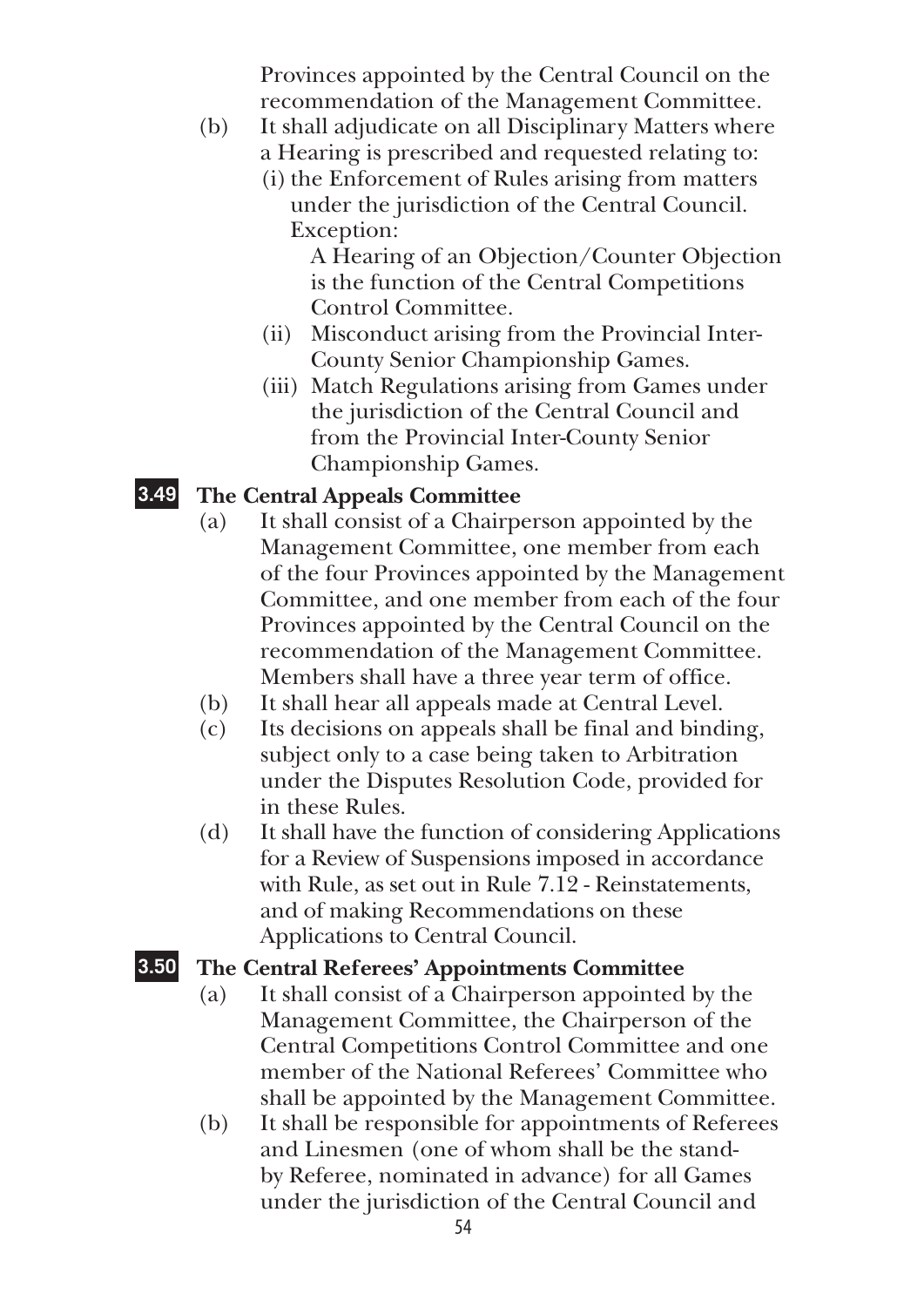Provinces appointed by the Central Council on the recommendation of the Management Committee.

- (b) It shall adjudicate on all Disciplinary Matters where a Hearing is prescribed and requested relating to:
	- (i) the Enforcement of Rules arising from matters
		- under the jurisdiction of the Central Council. Exception:

 A Hearing of an Objection/Counter Objection is the function of the Central Competitions Control Committee.

- (ii) Misconduct arising from the Provincial Inter-County Senior Championship Games.
- (iii) Match Regulations arising from Games under the jurisdiction of the Central Council and from the Provincial Inter-County Senior Championship Games.

### **3.49 The Central Appeals Committee**

- (a) It shall consist of a Chairperson appointed by the Management Committee, one member from each of the four Provinces appointed by the Management Committee, and one member from each of the four Provinces appointed by the Central Council on the recommendation of the Management Committee. Members shall have a three year term of office.
- (b) It shall hear all appeals made at Central Level.
- (c) Its decisions on appeals shall be final and binding, subject only to a case being taken to Arbitration under the Disputes Resolution Code, provided for in these Rules.
- (d) It shall have the function of considering Applications for a Review of Suspensions imposed in accordance with Rule, as set out in Rule 7.12 - Reinstatements, and of making Recommendations on these Applications to Central Council.

### **3.50 The Central Referees' Appointments Committee**

- (a) It shall consist of a Chairperson appointed by the Management Committee, the Chairperson of the Central Competitions Control Committee and one member of the National Referees' Committee who shall be appointed by the Management Committee.
- (b) It shall be responsible for appointments of Referees and Linesmen (one of whom shall be the standby Referee, nominated in advance) for all Games under the jurisdiction of the Central Council and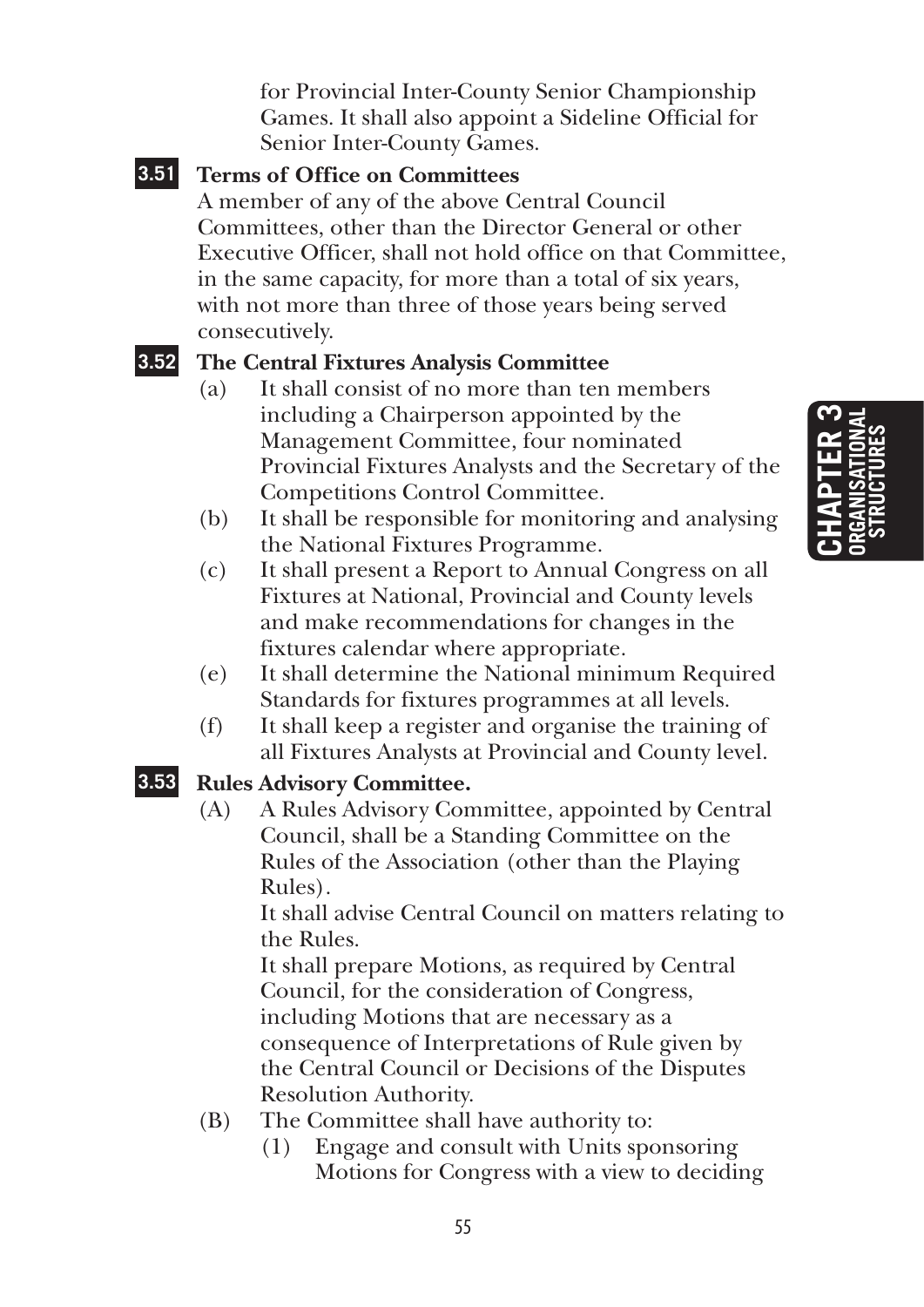for Provincial Inter-County Senior Championship Games. It shall also appoint a Sideline Official for Senior Inter-County Games.

### **3.51 Terms of Office on Committees**

A member of any of the above Central Council Committees, other than the Director General or other Executive Officer, shall not hold office on that Committee, in the same capacity, for more than a total of six years, with not more than three of those years being served consecutively.

### **3.52 The Central Fixtures Analysis Committee**

- (a) It shall consist of no more than ten members including a Chairperson appointed by the Management Committee, four nominated Provincial Fixtures Analysts and the Secretary of the Competitions Control Committee.
- (b) It shall be responsible for monitoring and analysing the National Fixtures Programme.
- (c) It shall present a Report to Annual Congress on all Fixtures at National, Provincial and County levels and make recommendations for changes in the fixtures calendar where appropriate.
- (e) It shall determine the National minimum Required Standards for fixtures programmes at all levels.
- (f) It shall keep a register and organise the training of all Fixtures Analysts at Provincial and County level.

### **3.53 Rules Advisory Committee.**

(A) A Rules Advisory Committee, appointed by Central Council, shall be a Standing Committee on the Rules of the Association (other than the Playing Rules).

 It shall advise Central Council on matters relating to the Rules.

 It shall prepare Motions, as required by Central Council, for the consideration of Congress, including Motions that are necessary as a consequence of Interpretations of Rule given by the Central Council or Decisions of the Disputes Resolution Authority.

- (B) The Committee shall have authority to:
	- (1) Engage and consult with Units sponsoring Motions for Congress with a view to deciding

**Chapter 3 organisational structures**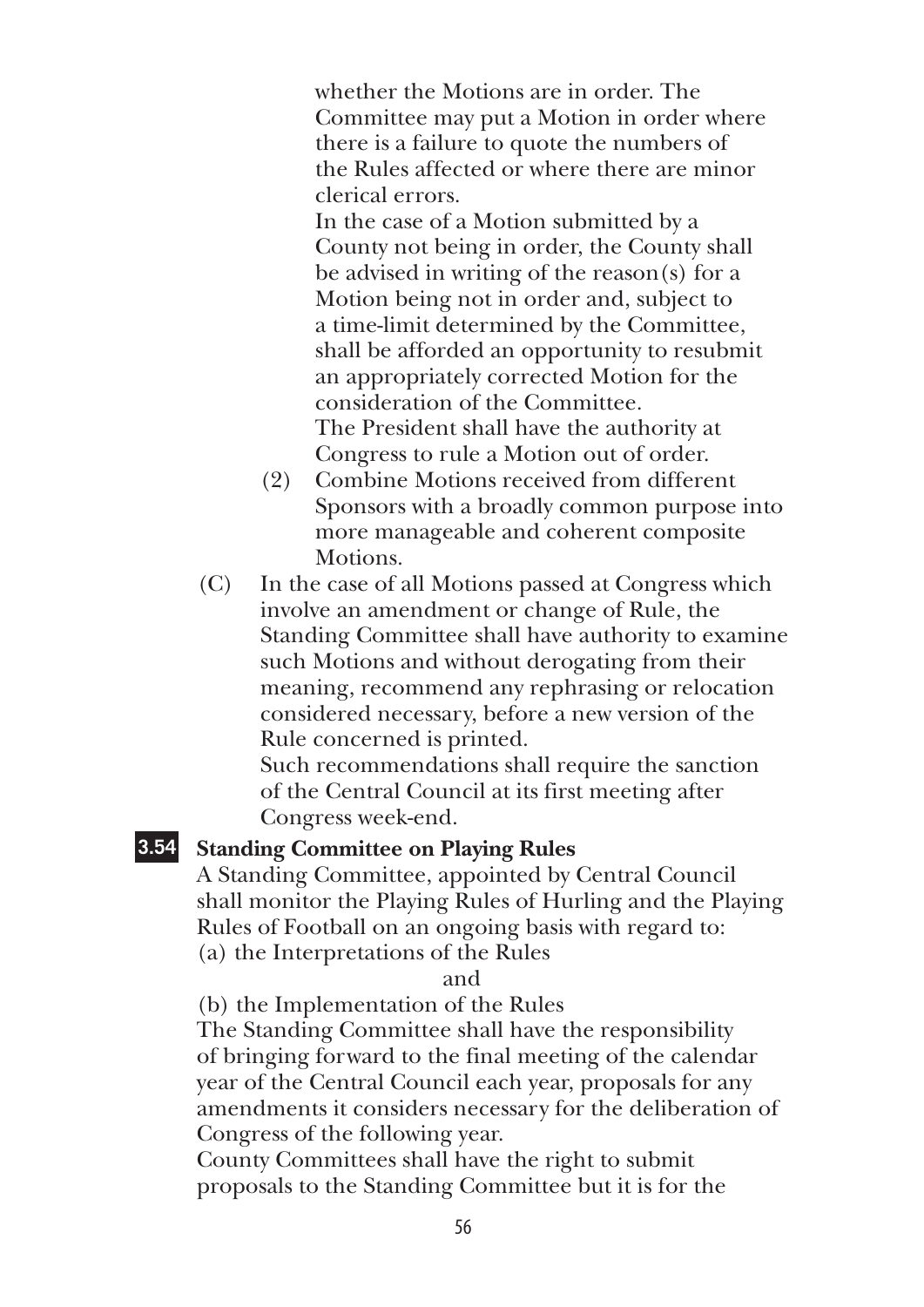whether the Motions are in order. The Committee may put a Motion in order where there is a failure to quote the numbers of the Rules affected or where there are minor clerical errors.

 In the case of a Motion submitted by a County not being in order, the County shall be advised in writing of the reason(s) for a Motion being not in order and, subject to a time-limit determined by the Committee, shall be afforded an opportunity to resubmit an appropriately corrected Motion for the consideration of the Committee. The President shall have the authority at Congress to rule a Motion out of order.

- (2) Combine Motions received from different Sponsors with a broadly common purpose into more manageable and coherent composite Motions.
- (C) In the case of all Motions passed at Congress which involve an amendment or change of Rule, the Standing Committee shall have authority to examine such Motions and without derogating from their meaning, recommend any rephrasing or relocation considered necessary, before a new version of the Rule concerned is printed.

 Such recommendations shall require the sanction of the Central Council at its first meeting after Congress week-end.

### **3.54 Standing Committee on Playing Rules**

 A Standing Committee, appointed by Central Council shall monitor the Playing Rules of Hurling and the Playing Rules of Football on an ongoing basis with regard to: (a) the Interpretations of the Rules

and

(b) the Implementation of the Rules

 The Standing Committee shall have the responsibility of bringing forward to the final meeting of the calendar year of the Central Council each year, proposals for any amendments it considers necessary for the deliberation of Congress of the following year.

 County Committees shall have the right to submit proposals to the Standing Committee but it is for the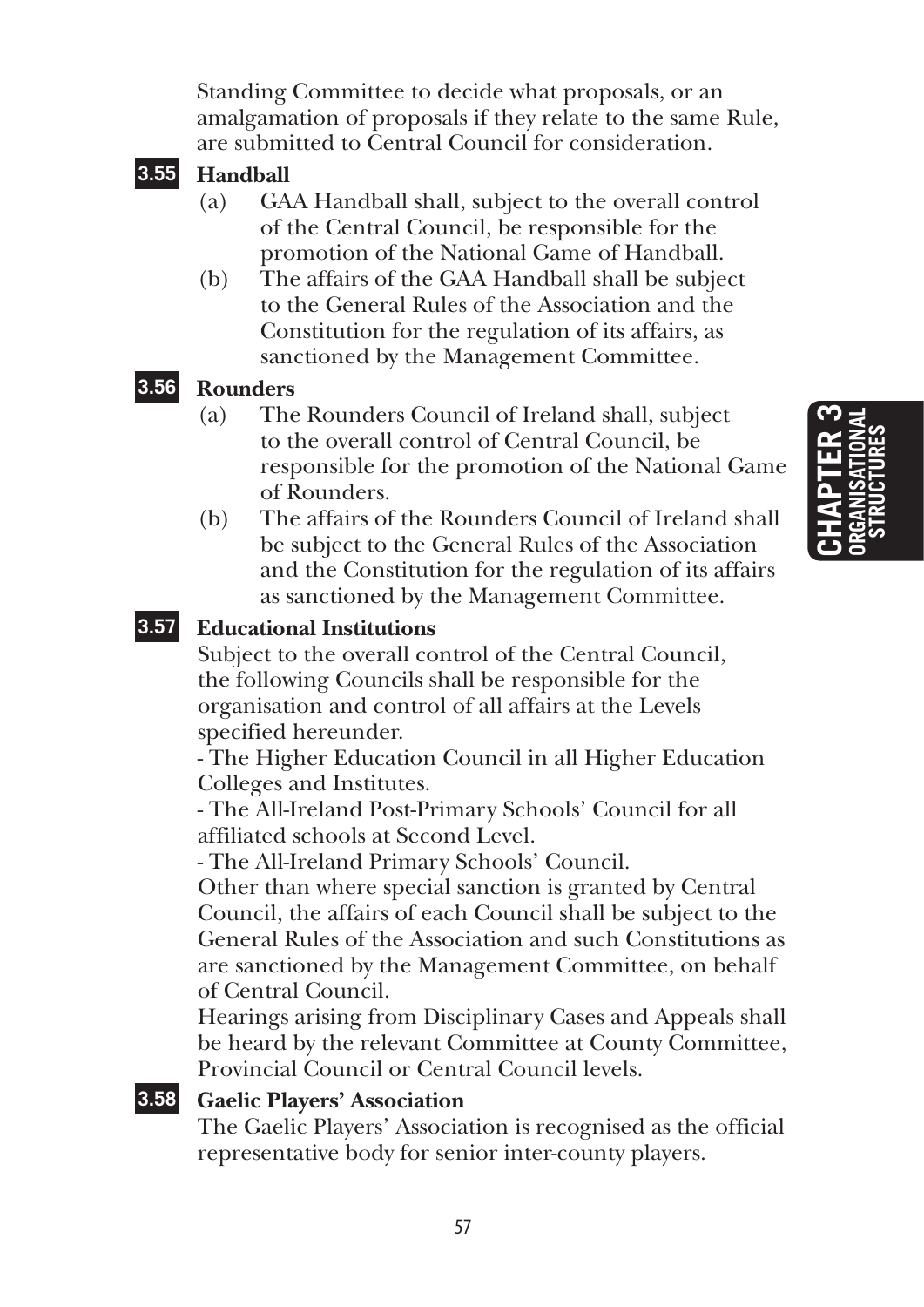Standing Committee to decide what proposals, or an amalgamation of proposals if they relate to the same Rule, are submitted to Central Council for consideration.



- (a) GAA Handball shall, subject to the overall control of the Central Council, be responsible for the promotion of the National Game of Handball.
- (b) The affairs of the GAA Handball shall be subject to the General Rules of the Association and the Constitution for the regulation of its affairs, as sanctioned by the Management Committee.

### **3.56 Rounders**

- (a) The Rounders Council of Ireland shall, subject to the overall control of Central Council, be responsible for the promotion of the National Game of Rounders.
- (b) The affairs of the Rounders Council of Ireland shall be subject to the General Rules of the Association and the Constitution for the regulation of its affairs as sanctioned by the Management Committee.



### **3.57 Educational Institutions**

Subject to the overall control of the Central Council, the following Councils shall be responsible for the organisation and control of all affairs at the Levels specified hereunder.

- The Higher Education Council in all Higher Education Colleges and Institutes.

- The All-Ireland Post-Primary Schools' Council for all affiliated schools at Second Level.

- The All-Ireland Primary Schools' Council.

Other than where special sanction is granted by Central Council, the affairs of each Council shall be subject to the General Rules of the Association and such Constitutions as are sanctioned by the Management Committee, on behalf of Central Council.

Hearings arising from Disciplinary Cases and Appeals shall be heard by the relevant Committee at County Committee, Provincial Council or Central Council levels.

### **3.58 Gaelic Players' Association**

The Gaelic Players' Association is recognised as the official representative body for senior inter-county players.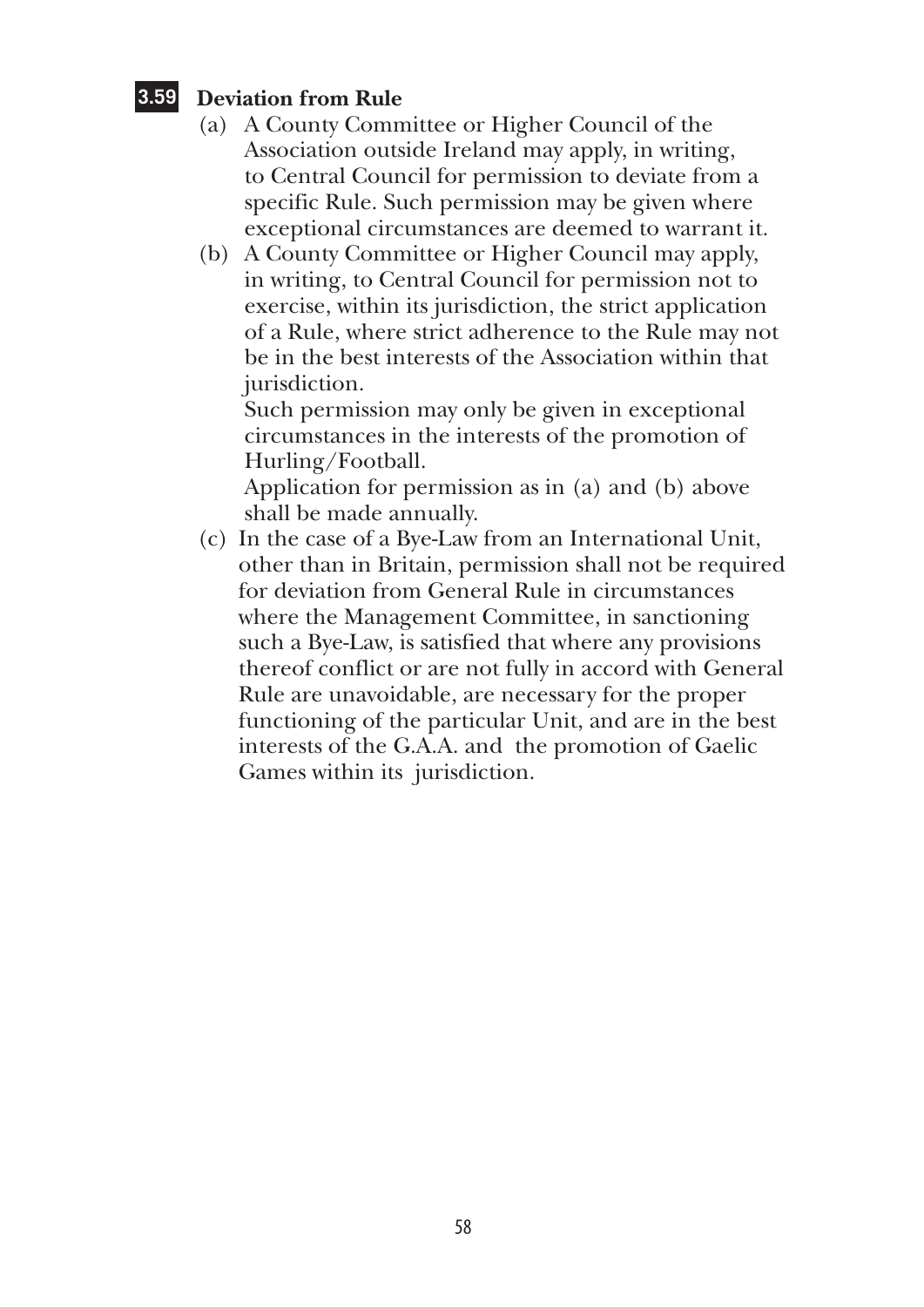### **3.59 Deviation from Rule**

- (a) A County Committee or Higher Council of the Association outside Ireland may apply, in writing, to Central Council for permission to deviate from a specific Rule. Such permission may be given where exceptional circumstances are deemed to warrant it.
- (b) A County Committee or Higher Council may apply, in writing, to Central Council for permission not to exercise, within its jurisdiction, the strict application of a Rule, where strict adherence to the Rule may not be in the best interests of the Association within that jurisdiction.

Such permission may only be given in exceptional circumstances in the interests of the promotion of Hurling/Football.

Application for permission as in (a) and (b) above shall be made annually.

(c) In the case of a Bye-Law from an International Unit, other than in Britain, permission shall not be required for deviation from General Rule in circumstances where the Management Committee, in sanctioning such a Bye-Law, is satisfied that where any provisions thereof conflict or are not fully in accord with General Rule are unavoidable, are necessary for the proper functioning of the particular Unit, and are in the best interests of the G.A.A. and the promotion of Gaelic Games within its jurisdiction.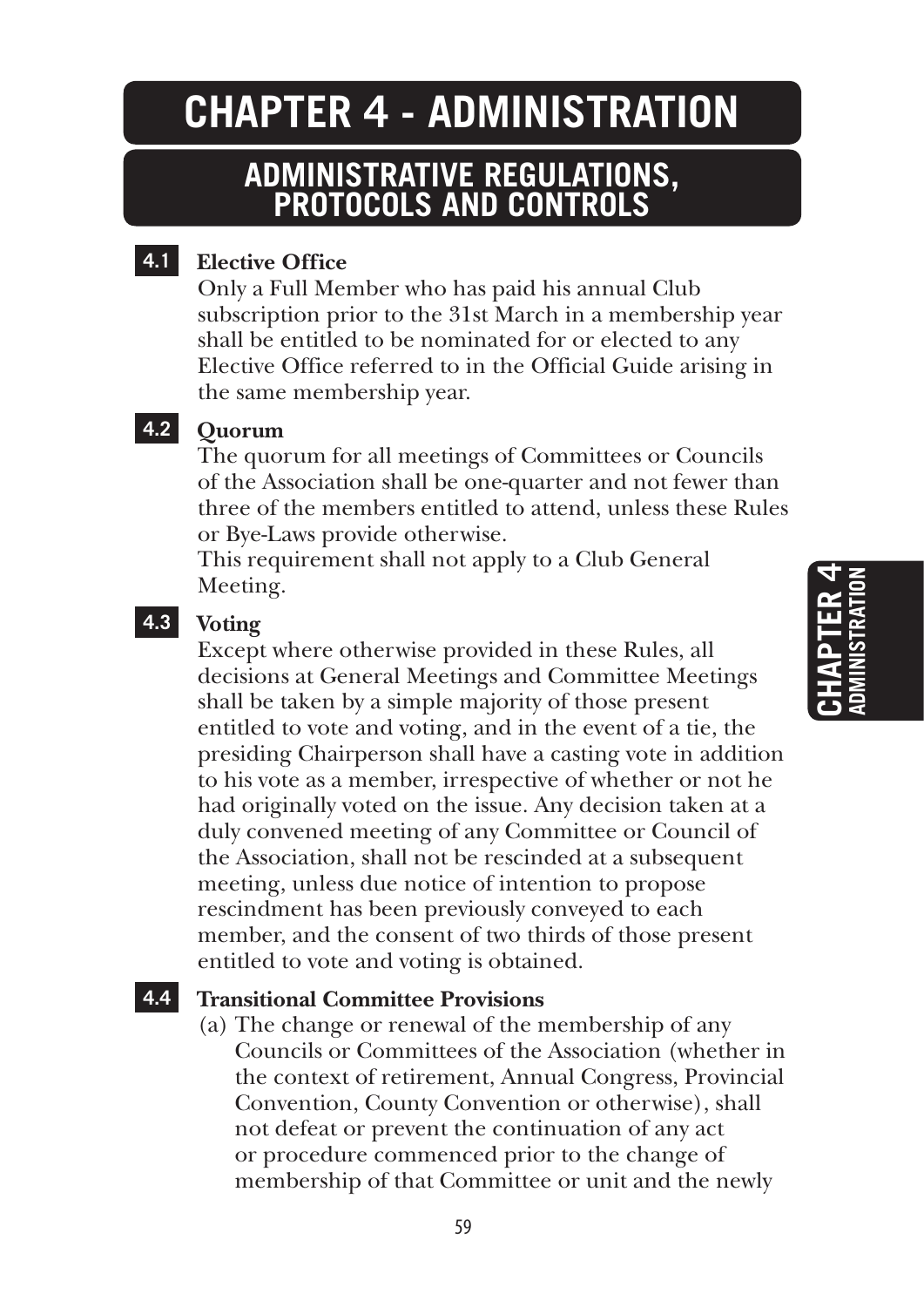### **CHAPTER 4 - ADMINISTRATION**

### **ADMINISTRATIVE REGULATIONS, PROTOCOLS AND CONTROLS**

### **4.1 Elective Office**

Only a Full Member who has paid his annual Club subscription prior to the 31st March in a membership year shall be entitled to be nominated for or elected to any Elective Office referred to in the Official Guide arising in the same membership year.

### **4.2 Quorum**

The quorum for all meetings of Committees or Councils of the Association shall be one-quarter and not fewer than three of the members entitled to attend, unless these Rules or Bye-Laws provide otherwise.

This requirement shall not apply to a Club General Meeting.

### **4.3 Voting**

Except where otherwise provided in these Rules, all decisions at General Meetings and Committee Meetings shall be taken by a simple majority of those present entitled to vote and voting, and in the event of a tie, the presiding Chairperson shall have a casting vote in addition to his vote as a member, irrespective of whether or not he had originally voted on the issue. Any decision taken at a duly convened meeting of any Committee or Council of the Association, shall not be rescinded at a subsequent meeting, unless due notice of intention to propose rescindment has been previously conveyed to each member, and the consent of two thirds of those present entitled to vote and voting is obtained.

### **4.4 Transitional Committee Provisions**

(a) The change or renewal of the membership of any Councils or Committees of the Association (whether in the context of retirement, Annual Congress, Provincial Convention, County Convention or otherwise), shall not defeat or prevent the continuation of any act or procedure commenced prior to the change of membership of that Committee or unit and the newly

# **Chapter 4 ADMINISTRATION**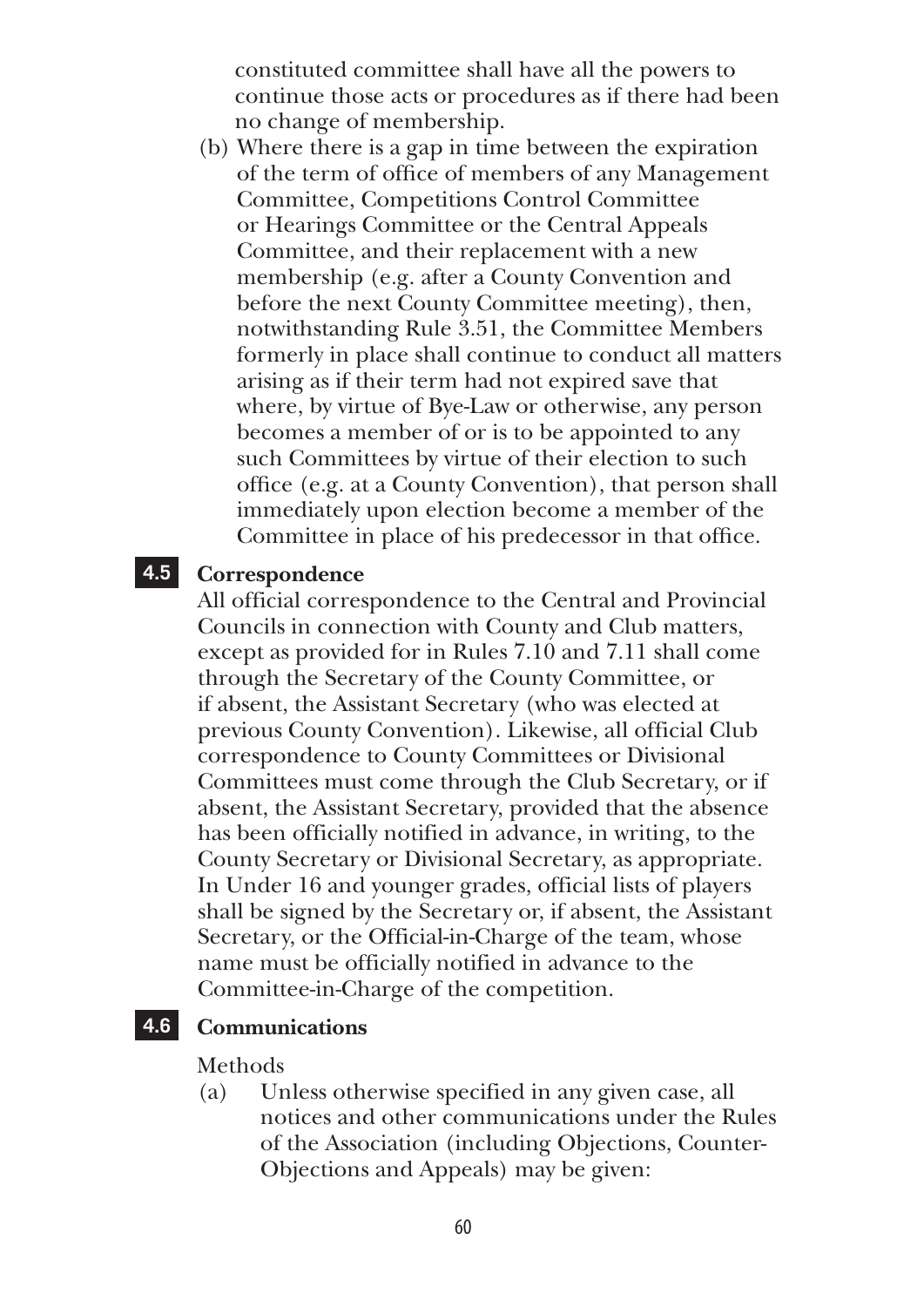constituted committee shall have all the powers to continue those acts or procedures as if there had been no change of membership.

(b) Where there is a gap in time between the expiration of the term of office of members of any Management Committee, Competitions Control Committee or Hearings Committee or the Central Appeals Committee, and their replacement with a new membership (e.g. after a County Convention and before the next County Committee meeting), then, notwithstanding Rule 3.51, the Committee Members formerly in place shall continue to conduct all matters arising as if their term had not expired save that where, by virtue of Bye-Law or otherwise, any person becomes a member of or is to be appointed to any such Committees by virtue of their election to such office (e.g. at a County Convention), that person shall immediately upon election become a member of the Committee in place of his predecessor in that office.

### **4.5 Correspondence**

All official correspondence to the Central and Provincial Councils in connection with County and Club matters, except as provided for in Rules 7.10 and 7.11 shall come through the Secretary of the County Committee, or if absent, the Assistant Secretary (who was elected at previous County Convention). Likewise, all official Club correspondence to County Committees or Divisional Committees must come through the Club Secretary, or if absent, the Assistant Secretary, provided that the absence has been officially notified in advance, in writing, to the County Secretary or Divisional Secretary, as appropriate. In Under 16 and younger grades, official lists of players shall be signed by the Secretary or, if absent, the Assistant Secretary, or the Official-in-Charge of the team, whose name must be officially notified in advance to the Committee-in-Charge of the competition.

### **4.6 Communications**

#### Methods

(a) Unless otherwise specified in any given case, all notices and other communications under the Rules of the Association (including Objections, Counter-Objections and Appeals) may be given: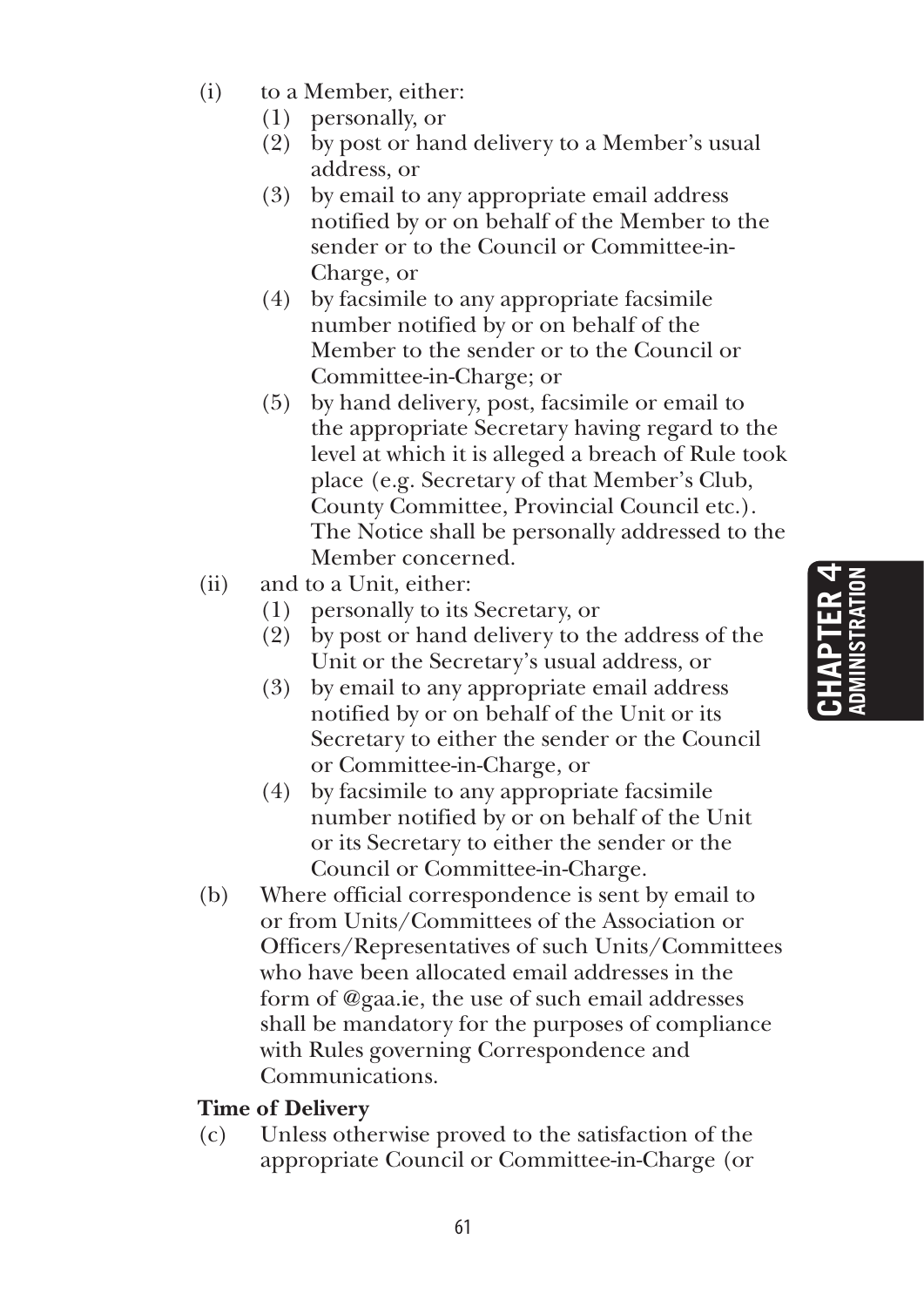- (i) to a Member, either:
	- (1) personally, or
	- (2) by post or hand delivery to a Member's usual address, or
	- (3) by email to any appropriate email address notified by or on behalf of the Member to the sender or to the Council or Committee-in-Charge, or
	- (4) by facsimile to any appropriate facsimile number notified by or on behalf of the Member to the sender or to the Council or Committee-in-Charge; or
	- (5) by hand delivery, post, facsimile or email to the appropriate Secretary having regard to the level at which it is alleged a breach of Rule took place (e.g. Secretary of that Member's Club, County Committee, Provincial Council etc.). The Notice shall be personally addressed to the Member concerned.
- (ii) and to a Unit, either:
	- (1) personally to its Secretary, or
	- (2) by post or hand delivery to the address of the Unit or the Secretary's usual address, or
	- (3) by email to any appropriate email address notified by or on behalf of the Unit or its Secretary to either the sender or the Council or Committee-in-Charge, or
	- (4) by facsimile to any appropriate facsimile number notified by or on behalf of the Unit or its Secretary to either the sender or the Council or Committee-in-Charge.
- (b) Where official correspondence is sent by email to or from Units/Committees of the Association or Officers/Representatives of such Units/Committees who have been allocated email addresses in the form of @gaa.ie, the use of such email addresses shall be mandatory for the purposes of compliance with Rules governing Correspondence and Communications.

### **Time of Delivery**

(c) Unless otherwise proved to the satisfaction of the appropriate Council or Committee-in-Charge (or

# **Chapter 4 ADMINISTRATION**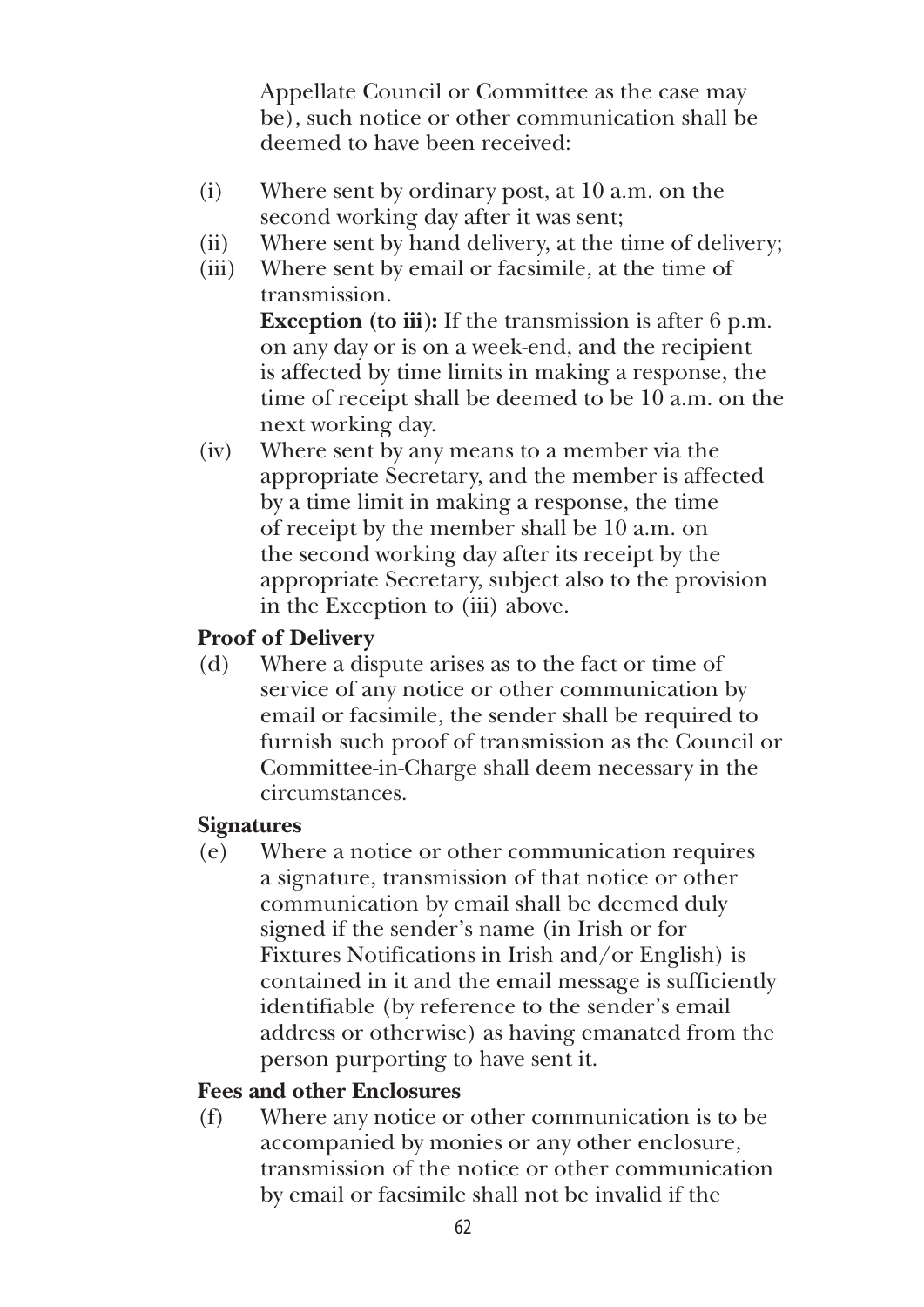Appellate Council or Committee as the case may be), such notice or other communication shall be deemed to have been received:

- (i) Where sent by ordinary post, at 10 a.m. on the second working day after it was sent;
- (ii) Where sent by hand delivery, at the time of delivery;
- (iii) Where sent by email or facsimile, at the time of transmission. **Exception (to iii):** If the transmission is after 6 p.m. on any day or is on a week-end, and the recipient is affected by time limits in making a response, the time of receipt shall be deemed to be 10 a.m. on the next working day.
- (iv) Where sent by any means to a member via the appropriate Secretary, and the member is affected by a time limit in making a response, the time of receipt by the member shall be 10 a.m. on the second working day after its receipt by the appropriate Secretary, subject also to the provision in the Exception to (iii) above.

### **Proof of Delivery**

(d) Where a dispute arises as to the fact or time of service of any notice or other communication by email or facsimile, the sender shall be required to furnish such proof of transmission as the Council or Committee-in-Charge shall deem necessary in the circumstances.

### **Signatures**

(e) Where a notice or other communication requires a signature, transmission of that notice or other communication by email shall be deemed duly signed if the sender's name (in Irish or for Fixtures Notifications in Irish and/or English) is contained in it and the email message is sufficiently identifiable (by reference to the sender's email address or otherwise) as having emanated from the person purporting to have sent it.

### **Fees and other Enclosures**

(f) Where any notice or other communication is to be accompanied by monies or any other enclosure, transmission of the notice or other communication by email or facsimile shall not be invalid if the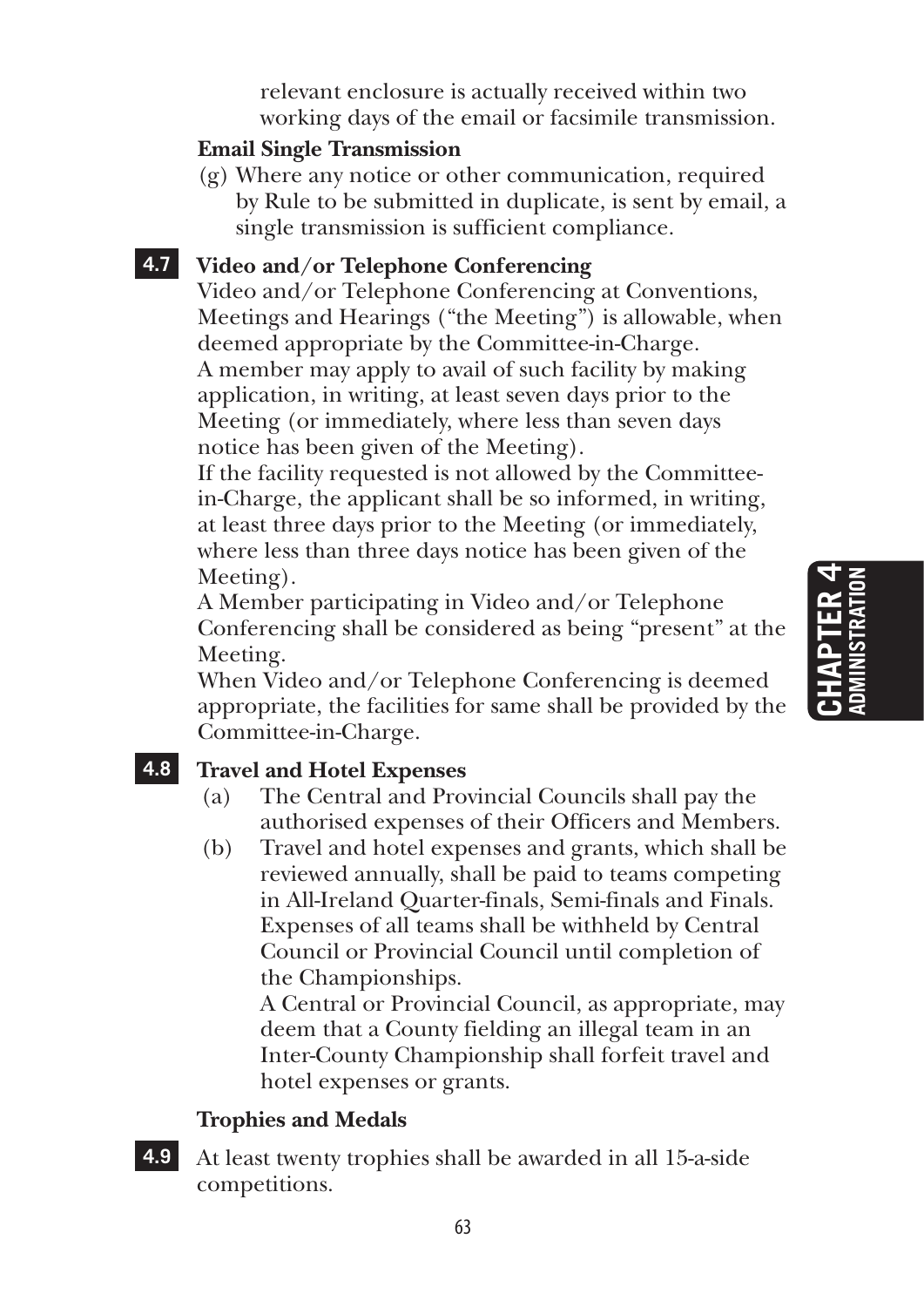relevant enclosure is actually received within two working days of the email or facsimile transmission.

### **Email Single Transmission**

(g) Where any notice or other communication, required by Rule to be submitted in duplicate, is sent by email, a single transmission is sufficient compliance.

### **4.7 Video and/or Telephone Conferencing**

Video and/or Telephone Conferencing at Conventions, Meetings and Hearings ("the Meeting") is allowable, when deemed appropriate by the Committee-in-Charge. A member may apply to avail of such facility by making application, in writing, at least seven days prior to the Meeting (or immediately, where less than seven days notice has been given of the Meeting).

If the facility requested is not allowed by the Committeein-Charge, the applicant shall be so informed, in writing, at least three days prior to the Meeting (or immediately, where less than three days notice has been given of the Meeting).

A Member participating in Video and/or Telephone Conferencing shall be considered as being "present" at the Meeting.

When Video and/or Telephone Conferencing is deemed appropriate, the facilities for same shall be provided by the Committee-in-Charge.

### **4.8 Travel and Hotel Expenses**

- (a) The Central and Provincial Councils shall pay the authorised expenses of their Officers and Members.
- (b) Travel and hotel expenses and grants, which shall be reviewed annually, shall be paid to teams competing in All-Ireland Quarter-finals, Semi-finals and Finals. Expenses of all teams shall be withheld by Central Council or Provincial Council until completion of the Championships.

 A Central or Provincial Council, as appropriate, may deem that a County fielding an illegal team in an Inter-County Championship shall forfeit travel and hotel expenses or grants.

### **Trophies and Medals**

**4.9** At least twenty trophies shall be awarded in all 15-a-side competitions.

## **Chapter 4 ADMINISTRATION** CHAPTER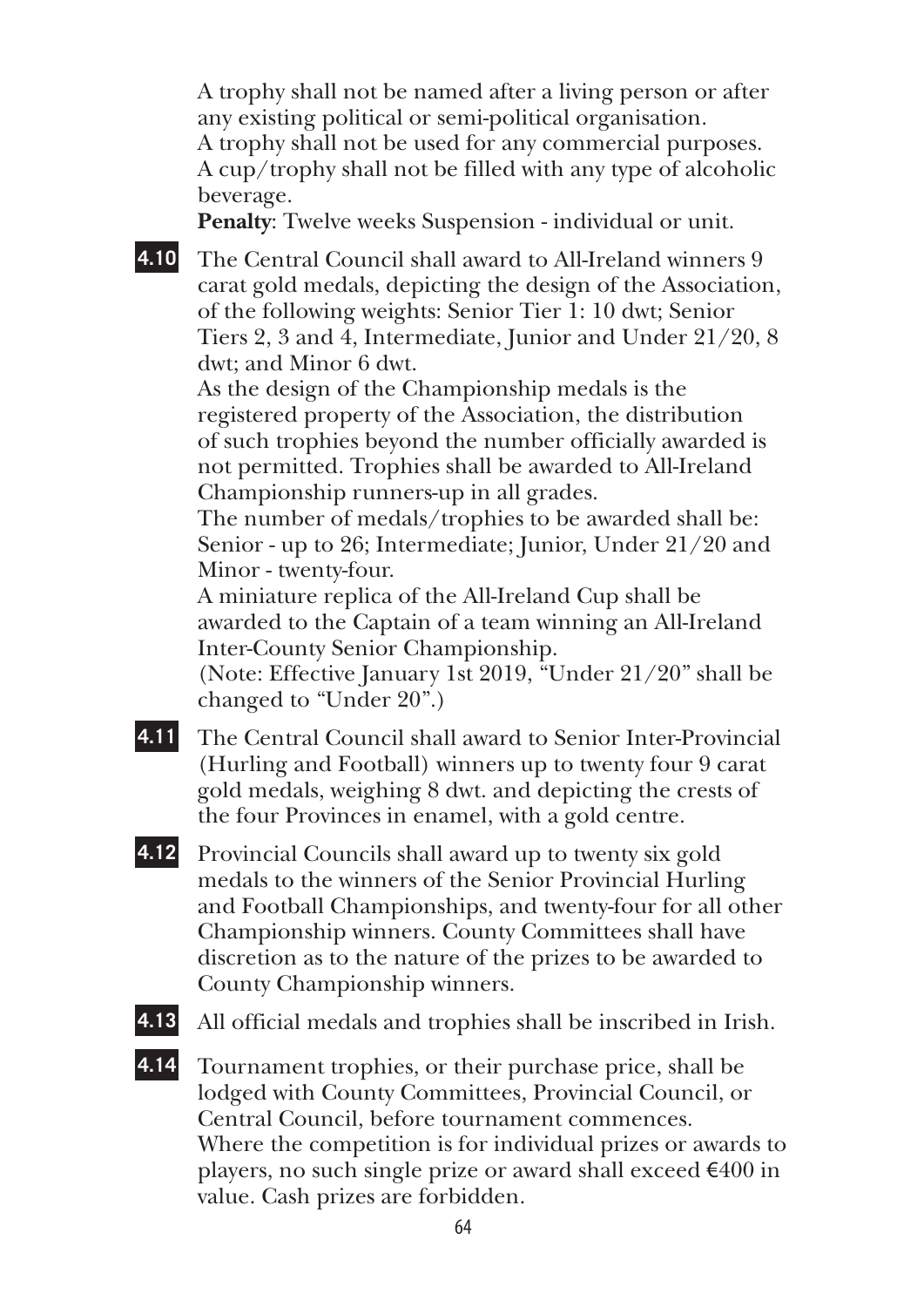A trophy shall not be named after a living person or after any existing political or semi-political organisation. A trophy shall not be used for any commercial purposes. A cup/trophy shall not be filled with any type of alcoholic beverage.

**Penalty**: Twelve weeks Suspension - individual or unit.

**4.10** The Central Council shall award to All-Ireland winners 9 carat gold medals, depicting the design of the Association, of the following weights: Senior Tier 1: 10 dwt; Senior Tiers 2, 3 and 4, Intermediate, Junior and Under 21/20, 8 dwt; and Minor 6 dwt.

As the design of the Championship medals is the registered property of the Association, the distribution of such trophies beyond the number officially awarded is not permitted. Trophies shall be awarded to All-Ireland Championship runners-up in all grades.

The number of medals/trophies to be awarded shall be: Senior - up to 26; Intermediate; Junior, Under 21/20 and Minor - twenty-four.

A miniature replica of the All-Ireland Cup shall be awarded to the Captain of a team winning an All-Ireland Inter-County Senior Championship.

(Note: Effective January 1st 2019, "Under 21/20" shall be changed to "Under 20".)

- **4.11** The Central Council shall award to Senior Inter-Provincial (Hurling and Football) winners up to twenty four 9 carat gold medals, weighing 8 dwt. and depicting the crests of the four Provinces in enamel, with a gold centre.
- **4.12** Provincial Councils shall award up to twenty six gold medals to the winners of the Senior Provincial Hurling and Football Championships, and twenty-four for all other Championship winners. County Committees shall have discretion as to the nature of the prizes to be awarded to County Championship winners.
- 

**4.13** All official medals and trophies shall be inscribed in Irish.

**4.14** Tournament trophies, or their purchase price, shall be lodged with County Committees, Provincial Council, or Central Council, before tournament commences. Where the competition is for individual prizes or awards to players, no such single prize or award shall exceed  $\epsilon$ 400 in value. Cash prizes are forbidden.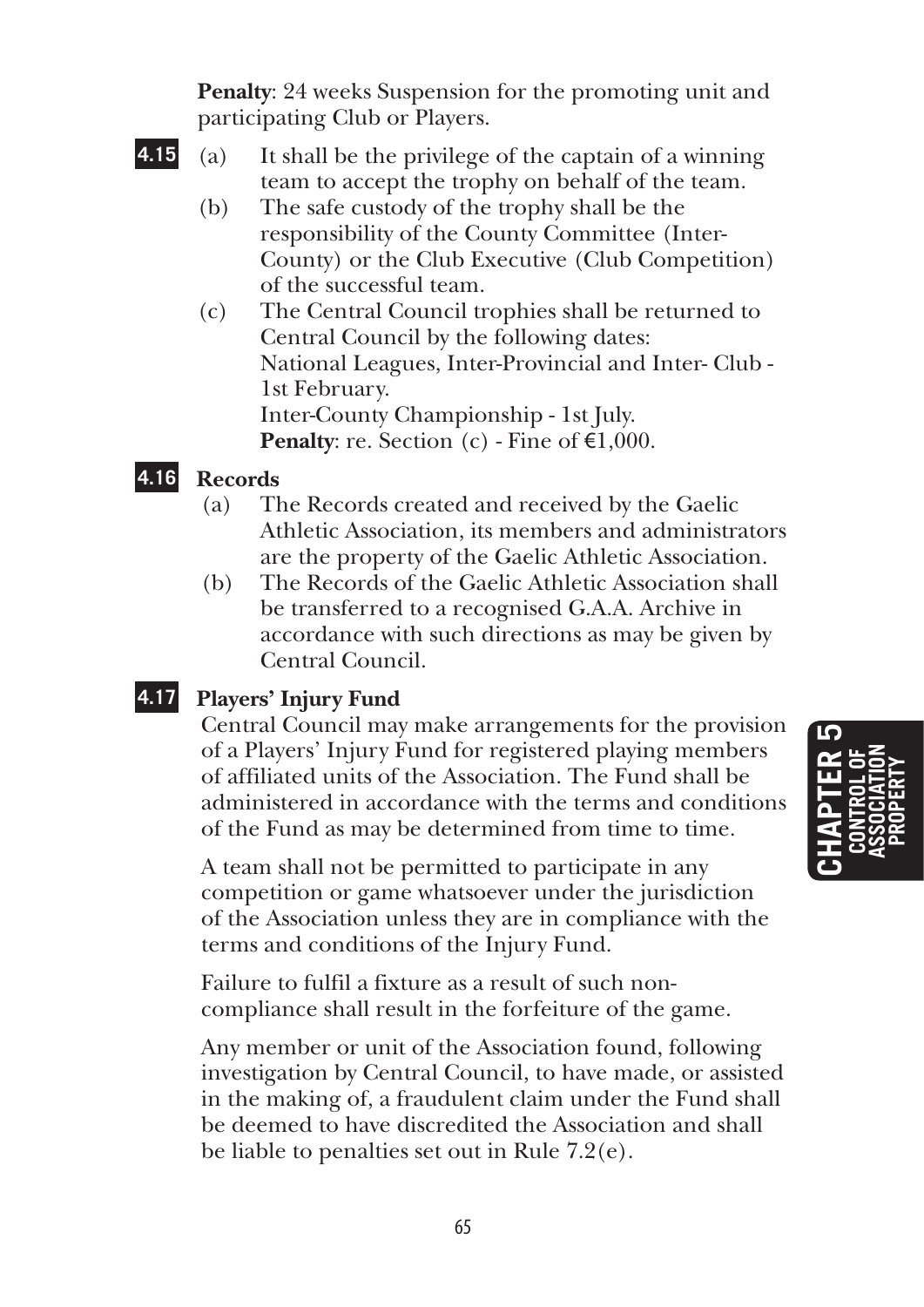**Penalty**: 24 weeks Suspension for the promoting unit and participating Club or Players.

- 
- **4.15** (a) It shall be the privilege of the captain of a winning team to accept the trophy on behalf of the team.
	- (b) The safe custody of the trophy shall be the responsibility of the County Committee (Inter-County) or the Club Executive (Club Competition) of the successful team.
	- (c) The Central Council trophies shall be returned to Central Council by the following dates: National Leagues, Inter-Provincial and Inter- Club - 1st February. Inter-County Championship - 1st July. **Penalty**: re. Section (c) - Fine of  $\epsilon$ 1,000.

### **4.16 Records**

- (a) The Records created and received by the Gaelic Athletic Association, its members and administrators are the property of the Gaelic Athletic Association.
- (b) The Records of the Gaelic Athletic Association shall be transferred to a recognised G.A.A. Archive in accordance with such directions as may be given by Central Council.

### **4.17 Players' Injury Fund**

 Central Council may make arrangements for the provision of a Players' Injury Fund for registered playing members of affiliated units of the Association. The Fund shall be administered in accordance with the terms and conditions of the Fund as may be determined from time to time.

 A team shall not be permitted to participate in any competition or game whatsoever under the jurisdiction of the Association unless they are in compliance with the terms and conditions of the Injury Fund.

 Failure to fulfil a fixture as a result of such noncompliance shall result in the forfeiture of the game.

 Any member or unit of the Association found, following investigation by Central Council, to have made, or assisted in the making of, a fraudulent claim under the Fund shall be deemed to have discredited the Association and shall be liable to penalties set out in Rule 7.2(e).

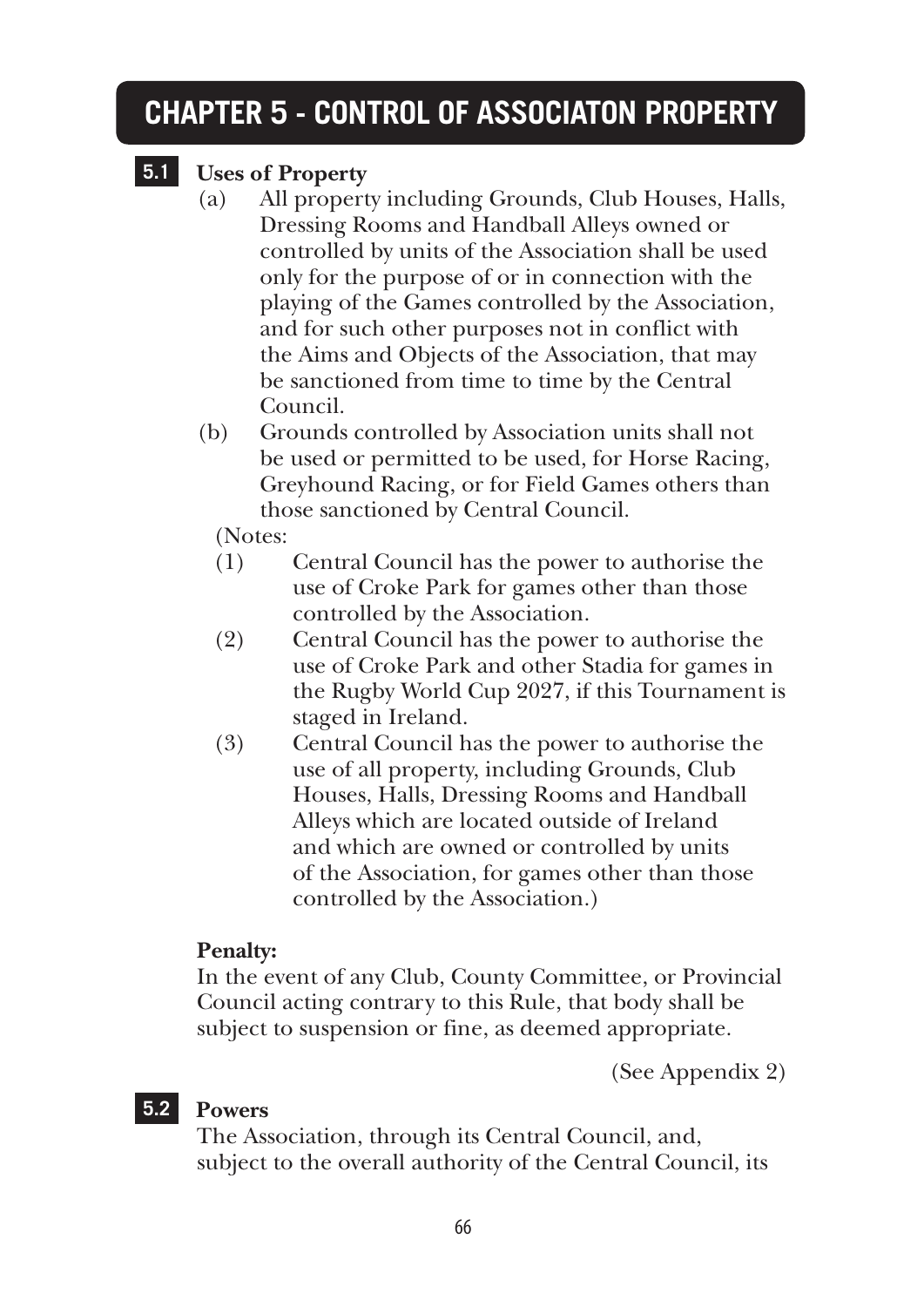### **CHAPTER 5 - CONTROL OF ASSOCIATON PROPERTY**

### **5.1 Uses of Property**

- (a) All property including Grounds, Club Houses, Halls, Dressing Rooms and Handball Alleys owned or controlled by units of the Association shall be used only for the purpose of or in connection with the playing of the Games controlled by the Association, and for such other purposes not in conflict with the Aims and Objects of the Association, that may be sanctioned from time to time by the Central Council.
- (b) Grounds controlled by Association units shall not be used or permitted to be used, for Horse Racing, Greyhound Racing, or for Field Games others than those sanctioned by Central Council.

(Notes:

- (1) Central Council has the power to authorise the use of Croke Park for games other than those controlled by the Association.
- (2) Central Council has the power to authorise the use of Croke Park and other Stadia for games in the Rugby World Cup 2027, if this Tournament is staged in Ireland.
- (3) Central Council has the power to authorise the use of all property, including Grounds, Club Houses, Halls, Dressing Rooms and Handball Alleys which are located outside of Ireland and which are owned or controlled by units of the Association, for games other than those controlled by the Association.)

### **Penalty:**

In the event of any Club, County Committee, or Provincial Council acting contrary to this Rule, that body shall be subject to suspension or fine, as deemed appropriate.

(See Appendix 2)

### **5.2 Powers**

The Association, through its Central Council, and, subject to the overall authority of the Central Council, its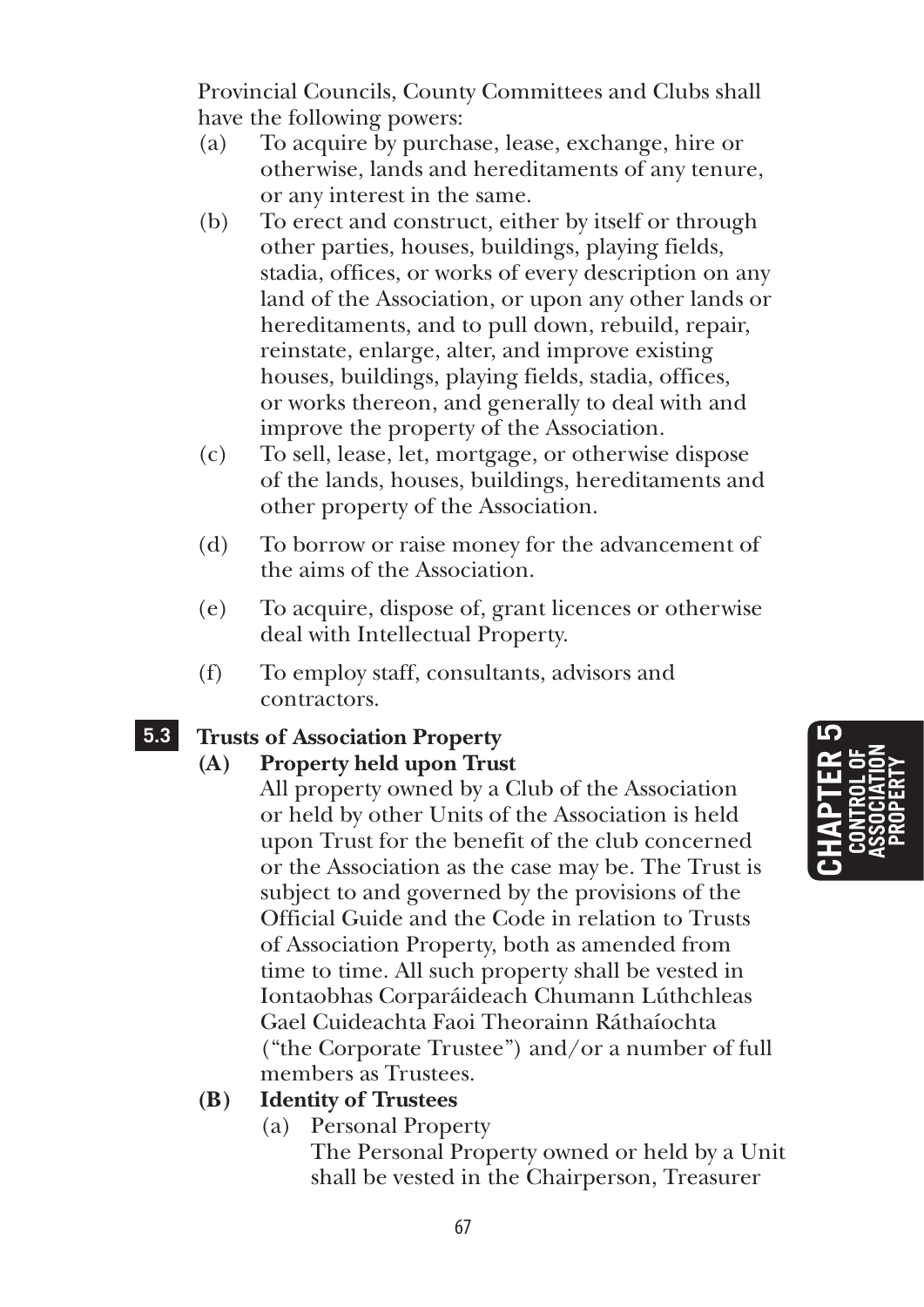Provincial Councils, County Committees and Clubs shall have the following powers:

- (a) To acquire by purchase, lease, exchange, hire or otherwise, lands and hereditaments of any tenure, or any interest in the same.
- (b) To erect and construct, either by itself or through other parties, houses, buildings, playing fields, stadia, offices, or works of every description on any land of the Association, or upon any other lands or hereditaments, and to pull down, rebuild, repair, reinstate, enlarge, alter, and improve existing houses, buildings, playing fields, stadia, offices, or works thereon, and generally to deal with and improve the property of the Association.
- (c) To sell, lease, let, mortgage, or otherwise dispose of the lands, houses, buildings, hereditaments and other property of the Association.
- (d) To borrow or raise money for the advancement of the aims of the Association.
- (e) To acquire, dispose of, grant licences or otherwise deal with Intellectual Property.
- (f) To employ staff, consultants, advisors and contractors.

### **5.3 Trusts of Association Property**

### **(A) Property held upon Trust**

 All property owned by a Club of the Association or held by other Units of the Association is held upon Trust for the benefit of the club concerned or the Association as the case may be. The Trust is subject to and governed by the provisions of the Official Guide and the Code in relation to Trusts of Association Property, both as amended from time to time. All such property shall be vested in Iontaobhas Corparáideach Chumann Lúthchleas Gael Cuideachta Faoi Theorainn Ráthaíochta ("the Corporate Trustee") and/or a number of full members as Trustees.

### **(B) Identity of Trustees**

(a) Personal Property

 The Personal Property owned or held by a Unit shall be vested in the Chairperson, Treasurer

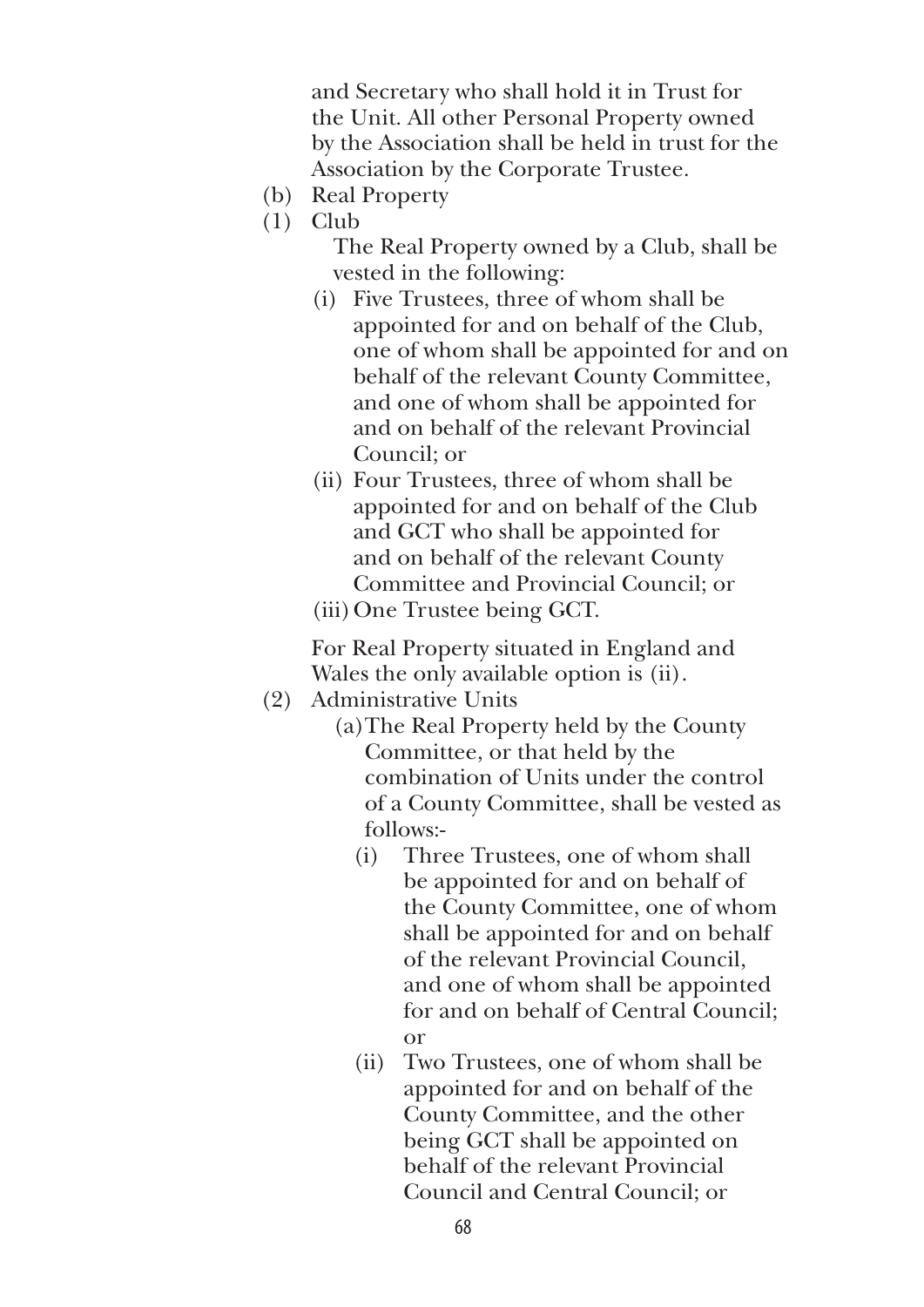and Secretary who shall hold it in Trust for the Unit. All other Personal Property owned by the Association shall be held in trust for the Association by the Corporate Trustee.

- (b) Real Property
- (1) Club

 The Real Property owned by a Club, shall be vested in the following:

- (i) Five Trustees, three of whom shall be appointed for and on behalf of the Club, one of whom shall be appointed for and on behalf of the relevant County Committee, and one of whom shall be appointed for and on behalf of the relevant Provincial Council; or
- (ii) Four Trustees, three of whom shall be appointed for and on behalf of the Club and GCT who shall be appointed for and on behalf of the relevant County Committee and Provincial Council; or
- (iii) One Trustee being GCT.

 For Real Property situated in England and Wales the only available option is (ii).

- (2) Administrative Units
	- (a)The Real Property held by the County Committee, or that held by the combination of Units under the control of a County Committee, shall be vested as follows:-
		- (i) Three Trustees, one of whom shall be appointed for and on behalf of the County Committee, one of whom shall be appointed for and on behalf of the relevant Provincial Council, and one of whom shall be appointed for and on behalf of Central Council; or
		- (ii) Two Trustees, one of whom shall be appointed for and on behalf of the County Committee, and the other being GCT shall be appointed on behalf of the relevant Provincial Council and Central Council; or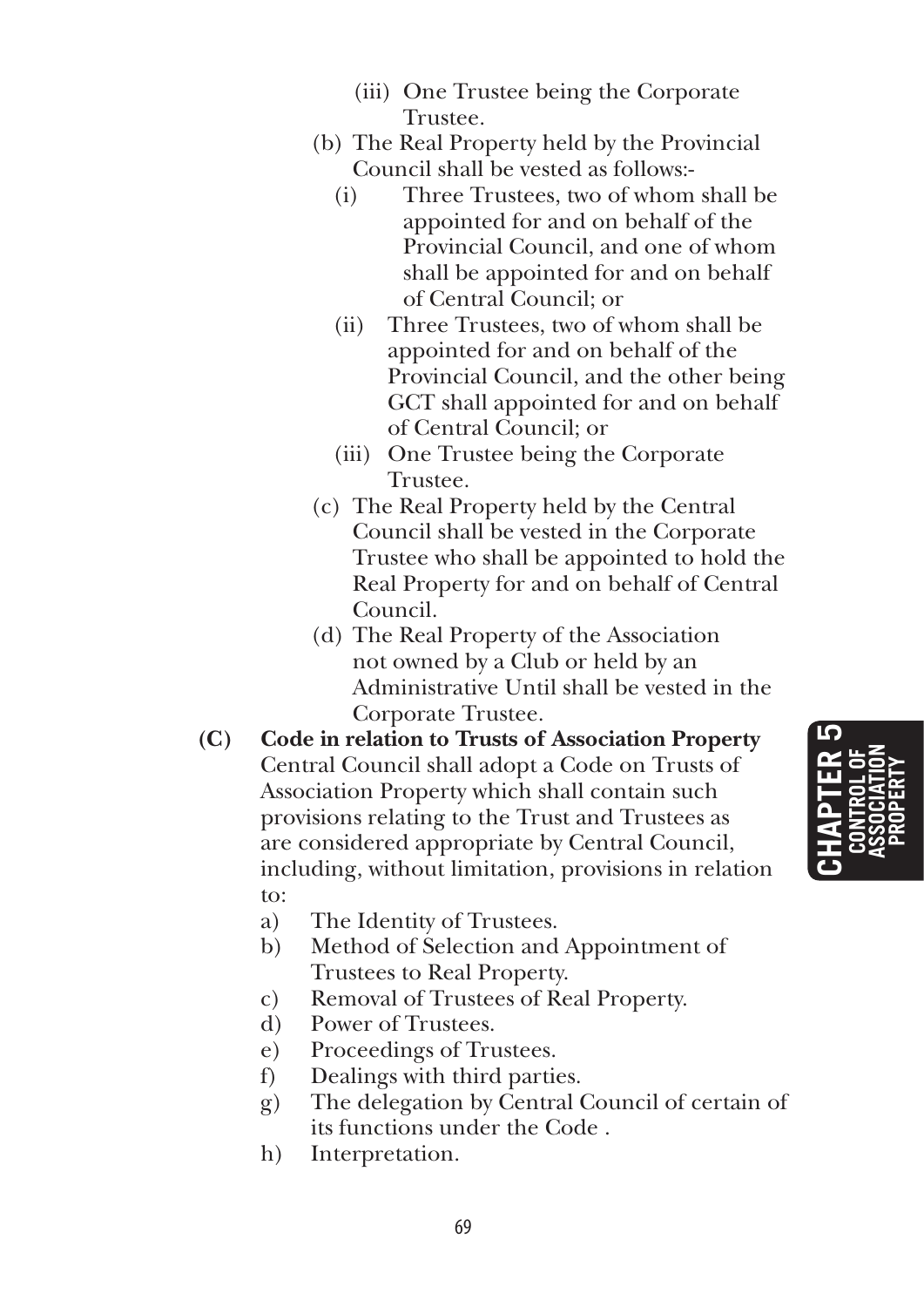- (iii) One Trustee being the Corporate Trustee.
- (b) The Real Property held by the Provincial Council shall be vested as follows:-
	- (i) Three Trustees, two of whom shall be appointed for and on behalf of the Provincial Council, and one of whom shall be appointed for and on behalf of Central Council; or
	- (ii) Three Trustees, two of whom shall be appointed for and on behalf of the Provincial Council, and the other being GCT shall appointed for and on behalf of Central Council; or
	- (iii) One Trustee being the Corporate Trustee.
- (c) The Real Property held by the Central Council shall be vested in the Corporate Trustee who shall be appointed to hold the Real Property for and on behalf of Central Council.
- (d) The Real Property of the Association not owned by a Club or held by an Administrative Until shall be vested in the Corporate Trustee.
- **(C) Code in relation to Trusts of Association Property** Central Council shall adopt a Code on Trusts of Association Property which shall contain such provisions relating to the Trust and Trustees as are considered appropriate by Central Council, including, without limitation, provisions in relation to:
	- a) The Identity of Trustees.
	- b) Method of Selection and Appointment of Trustees to Real Property.
	- c) Removal of Trustees of Real Property.
	- d) Power of Trustees.
	- e) Proceedings of Trustees.
	- f) Dealings with third parties.
	- g) The delegation by Central Council of certain of its functions under the Code .
	- h) Interpretation.

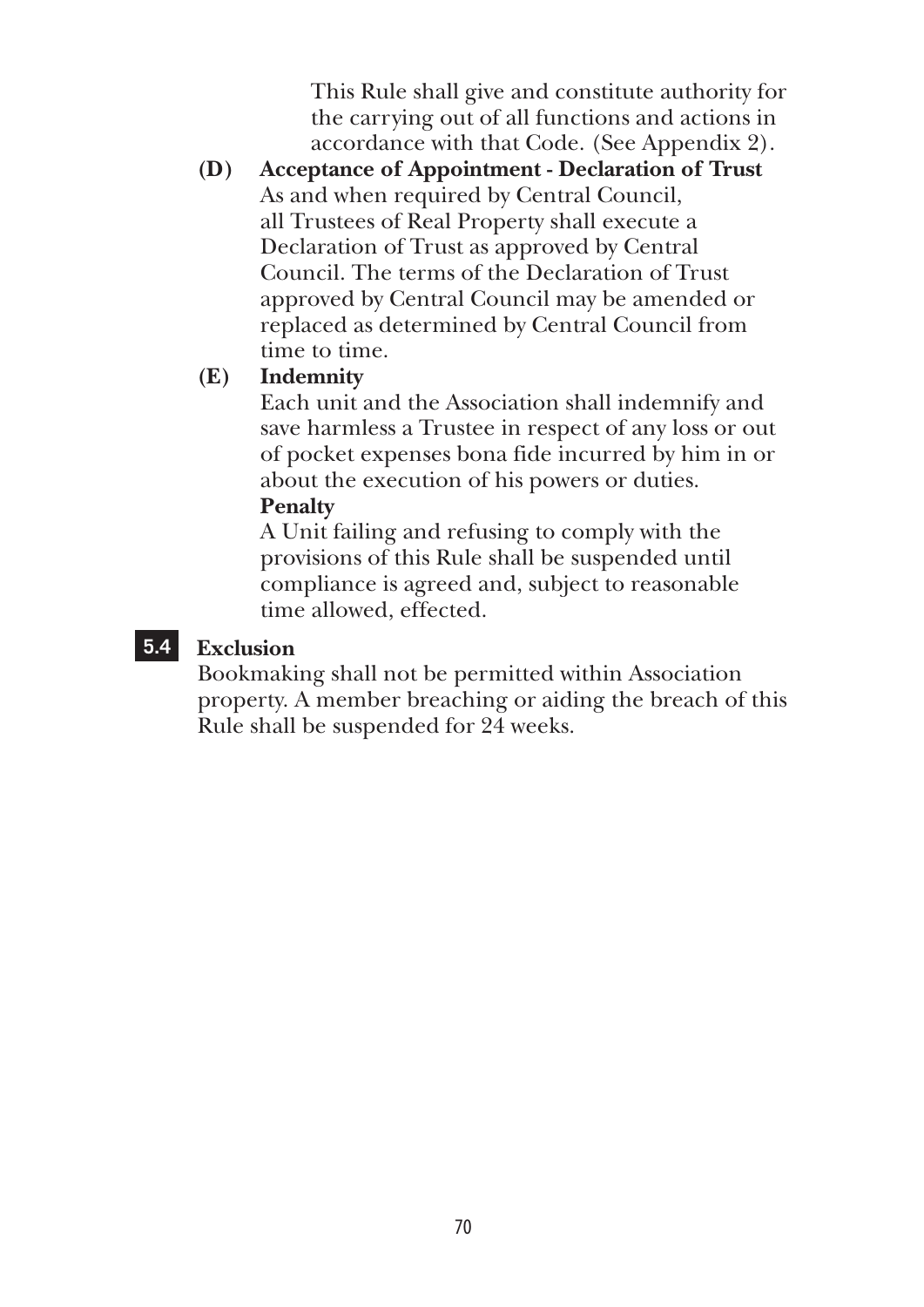This Rule shall give and constitute authority for the carrying out of all functions and actions in accordance with that Code. (See Appendix 2).

**(D) Acceptance of Appointment - Declaration of Trust** As and when required by Central Council, all Trustees of Real Property shall execute a Declaration of Trust as approved by Central Council. The terms of the Declaration of Trust approved by Central Council may be amended or replaced as determined by Central Council from time to time.

### **(E) Indemnity**

 Each unit and the Association shall indemnify and save harmless a Trustee in respect of any loss or out of pocket expenses bona fide incurred by him in or about the execution of his powers or duties.

#### **Penalty**

A Unit failing and refusing to comply with the provisions of this Rule shall be suspended until compliance is agreed and, subject to reasonable time allowed, effected.

### **5.4 Exclusion**

Bookmaking shall not be permitted within Association property. A member breaching or aiding the breach of this Rule shall be suspended for 24 weeks.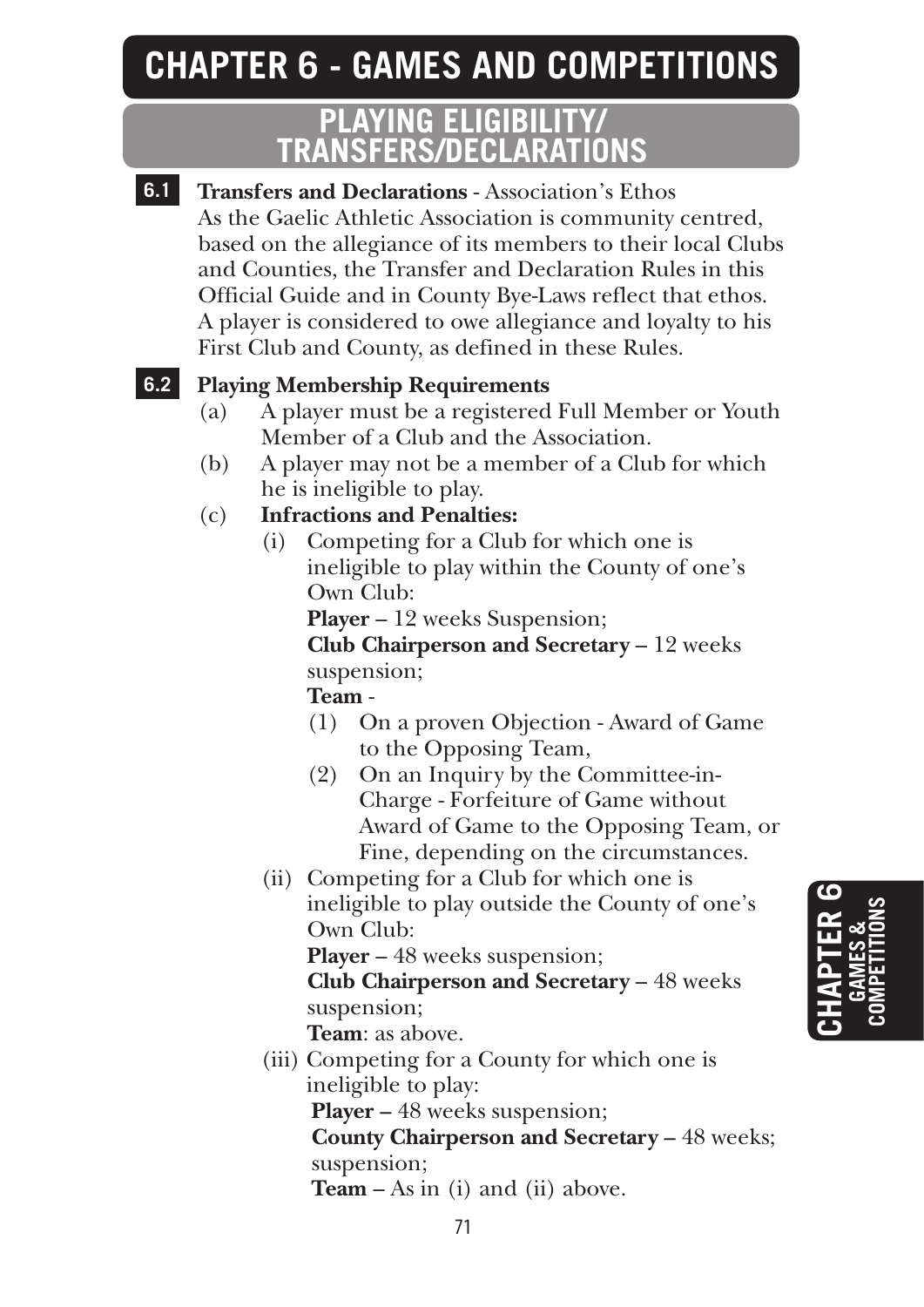### **CHAPTER 6 - GAMES AND COMPETITIONS**

### **PLAYING ELIGIBILITY/ TRANSFERS/DECLARATIONS**

**6.1 Transfers and Declarations** - Association's Ethos As the Gaelic Athletic Association is community centred, based on the allegiance of its members to their local Clubs and Counties, the Transfer and Declaration Rules in this Official Guide and in County Bye-Laws reflect that ethos. A player is considered to owe allegiance and loyalty to his First Club and County, as defined in these Rules.

### **6.2 Playing Membership Requirements**

- (a) A player must be a registered Full Member or Youth Member of a Club and the Association.
- (b) A player may not be a member of a Club for which he is ineligible to play.
- (c) **Infractions and Penalties:**
	- (i) Competing for a Club for which one is ineligible to play within the County of one's Own Club:

**Player** – 12 weeks Suspension;

 **Club Chairperson and Secretary** – 12 weeks suspension;

**Team** -

- (1) On a proven Objection Award of Game to the Opposing Team,
- (2) On an Inquiry by the Committee-in-Charge - Forfeiture of Game without Award of Game to the Opposing Team, or Fine, depending on the circumstances.
- (ii) Competing for a Club for which one is ineligible to play outside the County of one's Own Club:

**Player** – 48 weeks suspension;

 **Club Chairperson and Secretary** – 48 weeks suspension;

- **Team**: as above.
- (iii) Competing for a County for which one is ineligible to play:  **Player –** 48 weeks suspension;  **County Chairperson and Secretary –** 48 weeks;

suspension;

 **Team** – As in (i) and (ii) above.

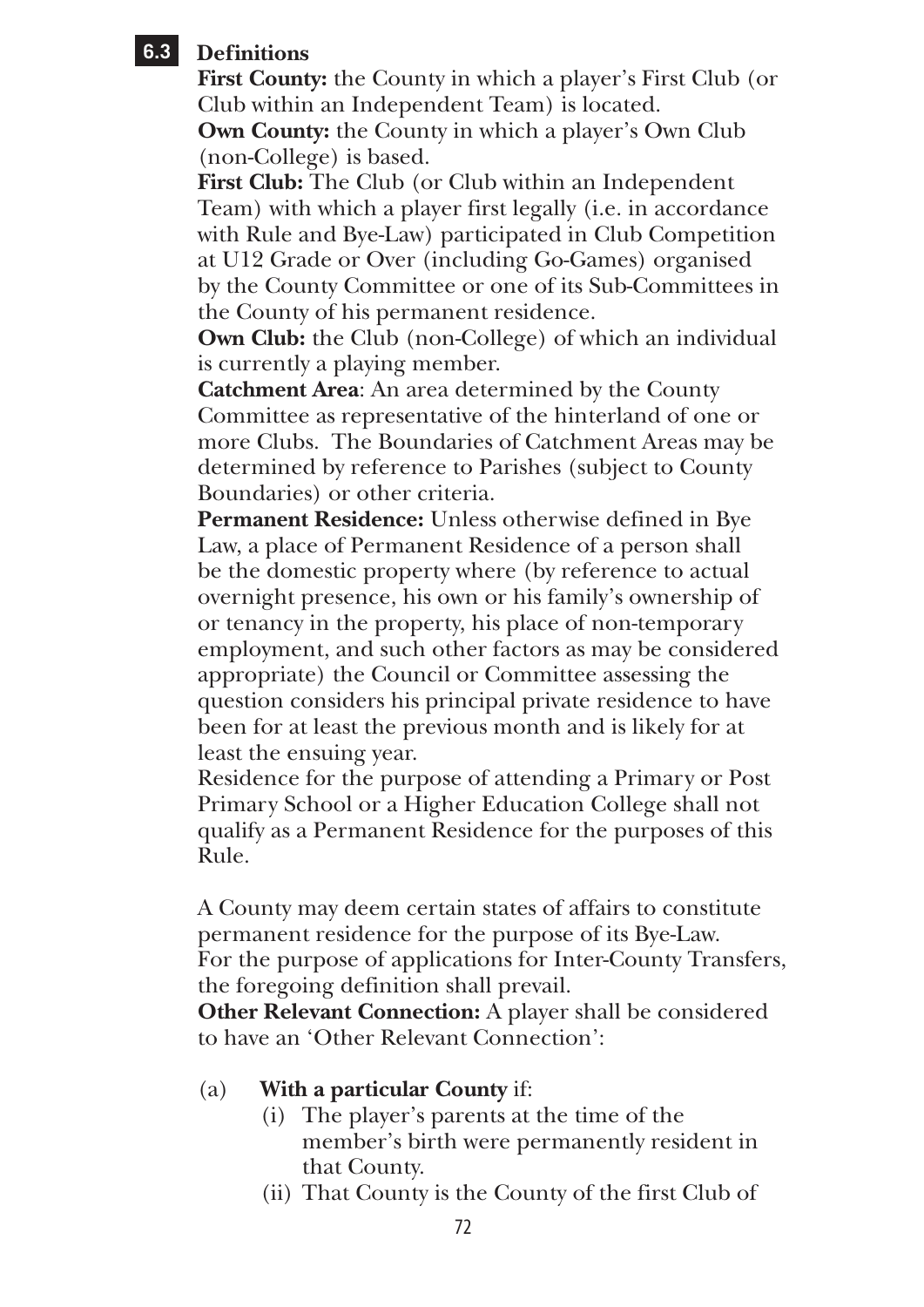### **6.3 Definitions**

**First County:** the County in which a player's First Club (or Club within an Independent Team) is located. **Own County:** the County in which a player's Own Club (non-College) is based.

**First Club:** The Club (or Club within an Independent Team) with which a player first legally (i.e. in accordance with Rule and Bye-Law) participated in Club Competition at U12 Grade or Over (including Go-Games) organised by the County Committee or one of its Sub-Committees in the County of his permanent residence.

**Own Club:** the Club (non-College) of which an individual is currently a playing member.

**Catchment Area**: An area determined by the County Committee as representative of the hinterland of one or more Clubs. The Boundaries of Catchment Areas may be determined by reference to Parishes (subject to County Boundaries) or other criteria.

**Permanent Residence:** Unless otherwise defined in Bye Law, a place of Permanent Residence of a person shall be the domestic property where (by reference to actual overnight presence, his own or his family's ownership of or tenancy in the property, his place of non-temporary employment, and such other factors as may be considered appropriate) the Council or Committee assessing the question considers his principal private residence to have been for at least the previous month and is likely for at least the ensuing year.

Residence for the purpose of attending a Primary or Post Primary School or a Higher Education College shall not qualify as a Permanent Residence for the purposes of this Rule.

A County may deem certain states of affairs to constitute permanent residence for the purpose of its Bye-Law. For the purpose of applications for Inter-County Transfers, the foregoing definition shall prevail.

**Other Relevant Connection:** A player shall be considered to have an 'Other Relevant Connection':

- (a) **With a particular County** if:
	- (i) The player's parents at the time of the member's birth were permanently resident in that County.
	- (ii) That County is the County of the first Club of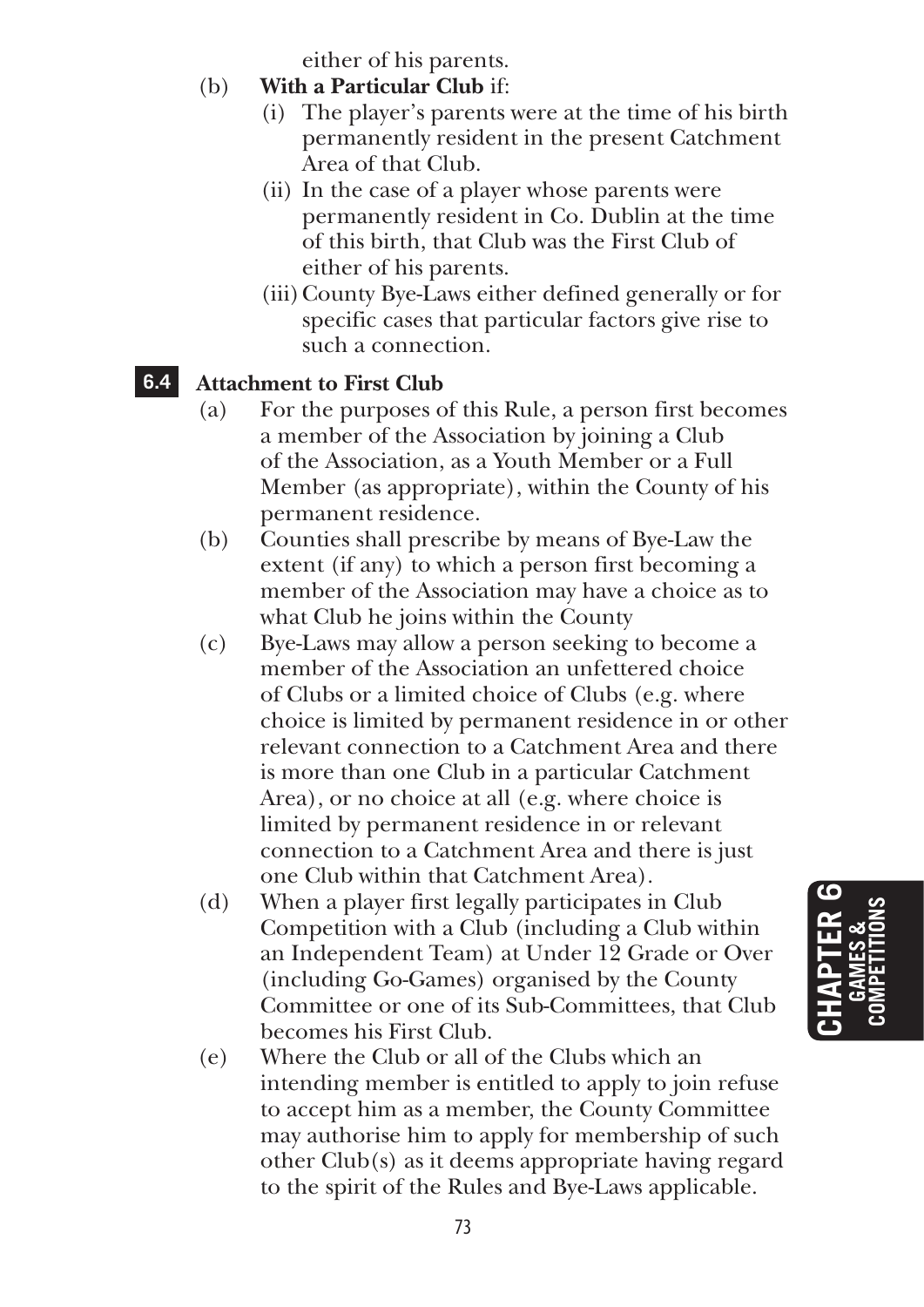either of his parents.

- (b) **With a Particular Club** if:
	- (i) The player's parents were at the time of his birth permanently resident in the present Catchment Area of that Club.
	- (ii) In the case of a player whose parents were permanently resident in Co. Dublin at the time of this birth, that Club was the First Club of either of his parents.
	- (iii) County Bye-Laws either defined generally or for specific cases that particular factors give rise to such a connection.

# **6.4 Attachment to First Club**

- (a) For the purposes of this Rule, a person first becomes a member of the Association by joining a Club of the Association, as a Youth Member or a Full Member (as appropriate), within the County of his permanent residence.
- (b) Counties shall prescribe by means of Bye-Law the extent (if any) to which a person first becoming a member of the Association may have a choice as to what Club he joins within the County
- (c) Bye-Laws may allow a person seeking to become a member of the Association an unfettered choice of Clubs or a limited choice of Clubs (e.g. where choice is limited by permanent residence in or other relevant connection to a Catchment Area and there is more than one Club in a particular Catchment Area), or no choice at all (e.g. where choice is limited by permanent residence in or relevant connection to a Catchment Area and there is just one Club within that Catchment Area).
- (d) When a player first legally participates in Club Competition with a Club (including a Club within an Independent Team) at Under 12 Grade or Over (including Go-Games) organised by the County Committee or one of its Sub-Committees, that Club becomes his First Club.
- (e) Where the Club or all of the Clubs which an intending member is entitled to apply to join refuse to accept him as a member, the County Committee may authorise him to apply for membership of such other Club(s) as it deems appropriate having regard to the spirit of the Rules and Bye-Laws applicable.

# **Chapter 6 GA MES & COMPETITIONS**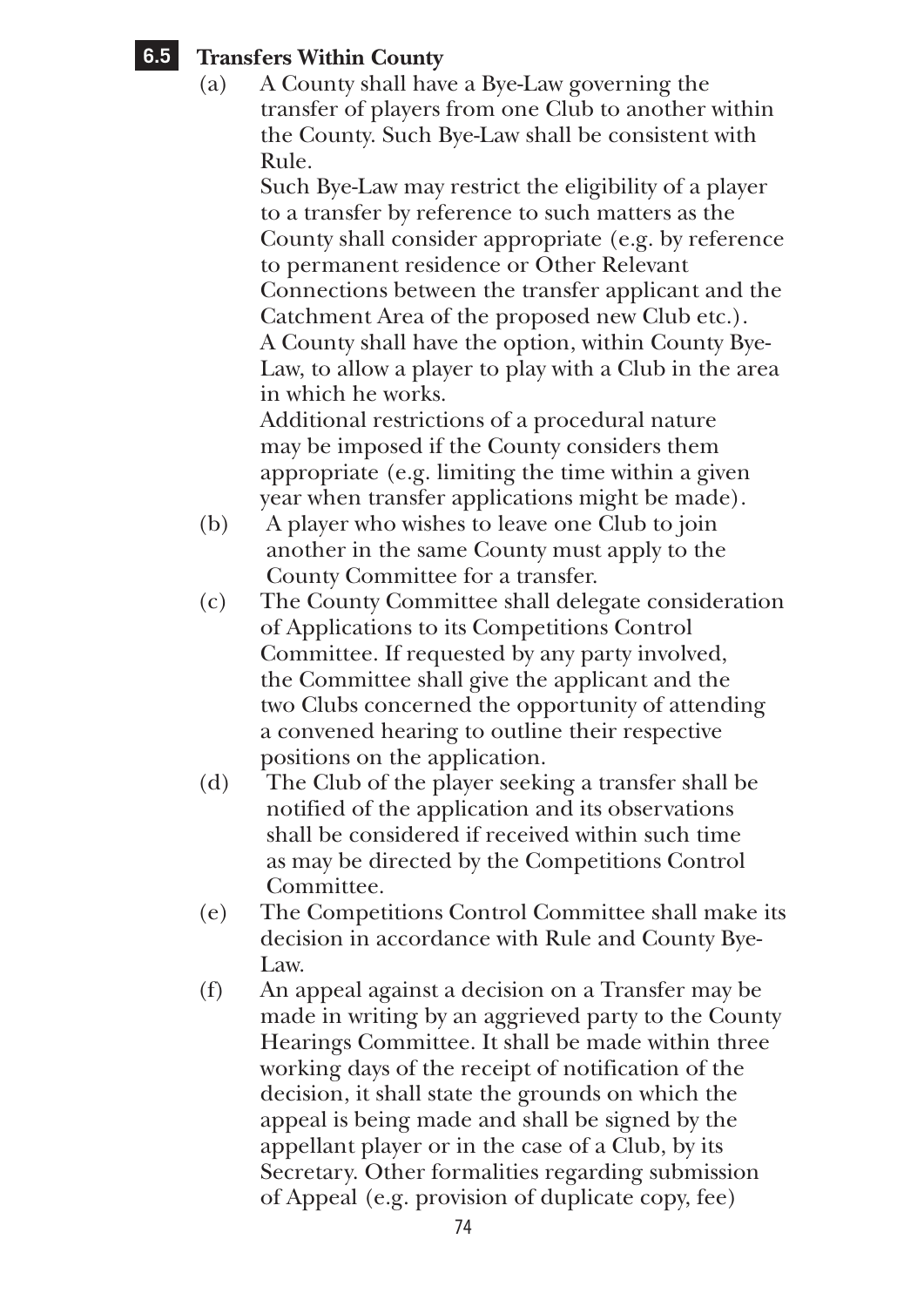# **6.5 Transfers Within County**

(a) A County shall have a Bye-Law governing the transfer of players from one Club to another within the County. Such Bye-Law shall be consistent with  $Rule<sub>1</sub>$ 

 Such Bye-Law may restrict the eligibility of a player to a transfer by reference to such matters as the County shall consider appropriate (e.g. by reference to permanent residence or Other Relevant Connections between the transfer applicant and the Catchment Area of the proposed new Club etc.). A County shall have the option, within County Bye-Law, to allow a player to play with a Club in the area in which he works.

 Additional restrictions of a procedural nature may be imposed if the County considers them appropriate (e.g. limiting the time within a given year when transfer applications might be made).

- (b) A player who wishes to leave one Club to join another in the same County must apply to the County Committee for a transfer.
- (c) The County Committee shall delegate consideration of Applications to its Competitions Control Committee. If requested by any party involved, the Committee shall give the applicant and the two Clubs concerned the opportunity of attending a convened hearing to outline their respective positions on the application.
- (d) The Club of the player seeking a transfer shall be notified of the application and its observations shall be considered if received within such time as may be directed by the Competitions Control Committee.
- (e) The Competitions Control Committee shall make its decision in accordance with Rule and County Bye-Law.
- (f) An appeal against a decision on a Transfer may be made in writing by an aggrieved party to the County Hearings Committee. It shall be made within three working days of the receipt of notification of the decision, it shall state the grounds on which the appeal is being made and shall be signed by the appellant player or in the case of a Club, by its Secretary. Other formalities regarding submission of Appeal (e.g. provision of duplicate copy, fee)

74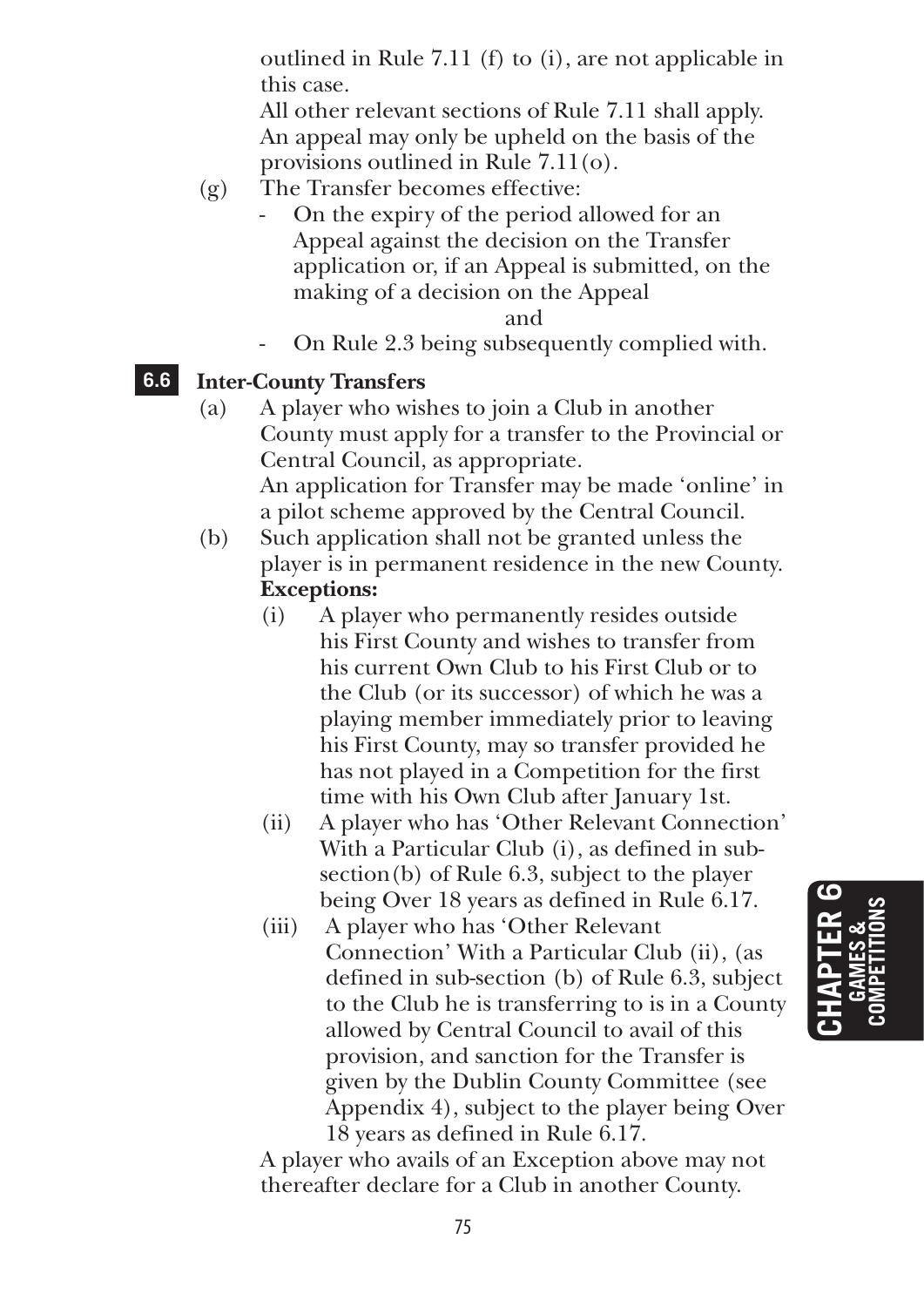outlined in Rule 7.11 (f) to (i), are not applicable in this case.

 All other relevant sections of Rule 7.11 shall apply. An appeal may only be upheld on the basis of the provisions outlined in Rule 7.11(o).

- (g) The Transfer becomes effective:
	- On the expiry of the period allowed for an Appeal against the decision on the Transfer application or, if an Appeal is submitted, on the making of a decision on the Appeal

#### and

- On Rule 2.3 being subsequently complied with.

### **6.6 Inter-County Transfers**

- (a) A player who wishes to join a Club in another County must apply for a transfer to the Provincial or Central Council, as appropriate. An application for Transfer may be made 'online' in a pilot scheme approved by the Central Council.
- (b) Such application shall not be granted unless the player is in permanent residence in the new County.  **Exceptions:**
	- (i) A player who permanently resides outside his First County and wishes to transfer from his current Own Club to his First Club or to the Club (or its successor) of which he was a playing member immediately prior to leaving his First County, may so transfer provided he has not played in a Competition for the first time with his Own Club after January 1st.
	- (ii) A player who has 'Other Relevant Connection' With a Particular Club (i), as defined in subsection(b) of Rule 6.3, subject to the player being Over 18 years as defined in Rule 6.17.
	- (iii) A player who has 'Other Relevant Connection' With a Particular Club (ii), (as defined in sub-section (b) of Rule 6.3, subject to the Club he is transferring to is in a County allowed by Central Council to avail of this provision, and sanction for the Transfer is given by the Dublin County Committee (see Appendix 4), subject to the player being Over 18 years as defined in Rule 6.17.

 A player who avails of an Exception above may not thereafter declare for a Club in another County.

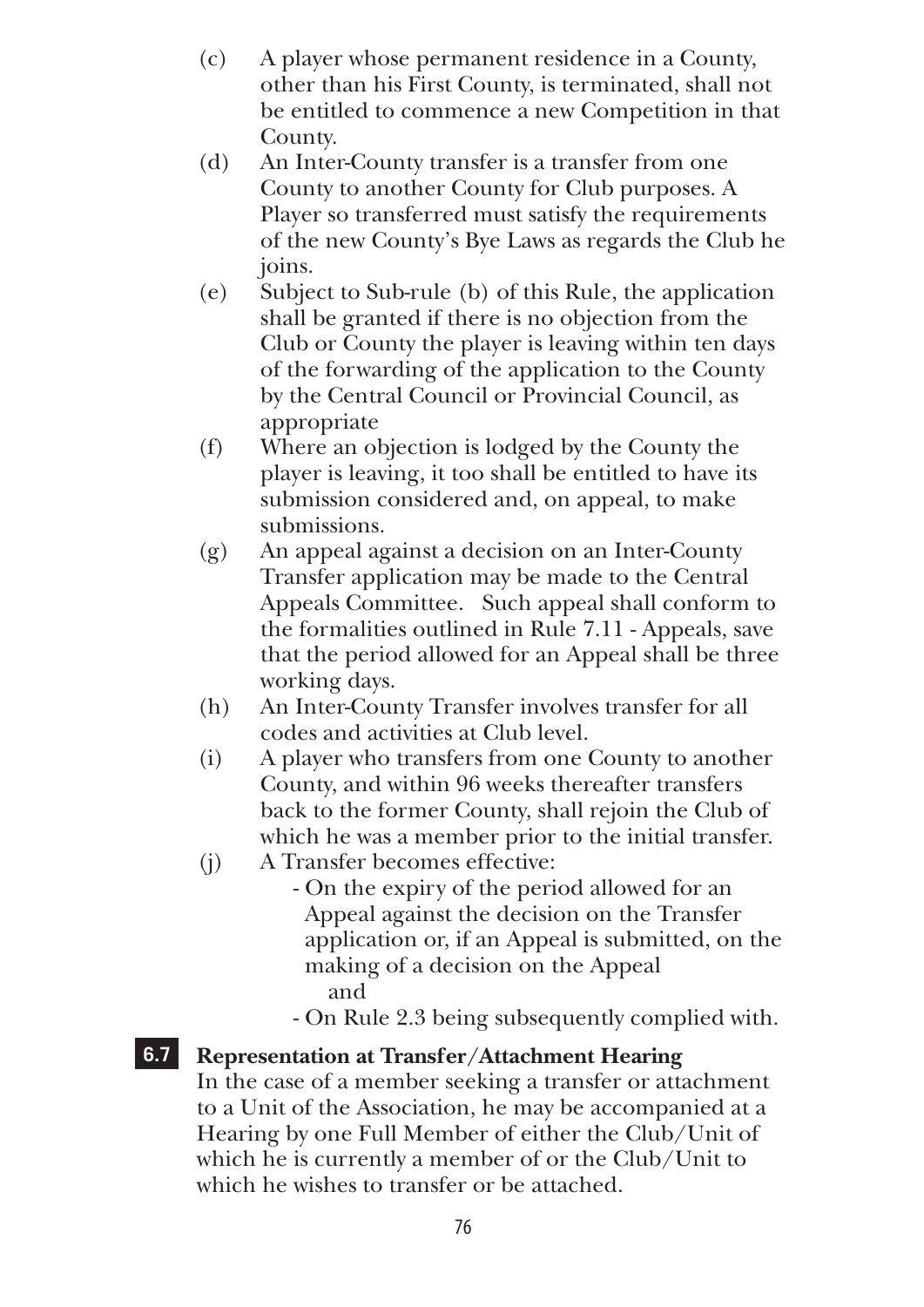- (c) A player whose permanent residence in a County, other than his First County, is terminated, shall not be entitled to commence a new Competition in that County.
- (d) An Inter-County transfer is a transfer from one County to another County for Club purposes. A Player so transferred must satisfy the requirements of the new County's Bye Laws as regards the Club he joins.
- (e) Subject to Sub-rule (b) of this Rule, the application shall be granted if there is no objection from the Club or County the player is leaving within ten days of the forwarding of the application to the County by the Central Council or Provincial Council, as appropriate
- (f) Where an objection is lodged by the County the player is leaving, it too shall be entitled to have its submission considered and, on appeal, to make submissions.
- (g) An appeal against a decision on an Inter-County Transfer application may be made to the Central Appeals Committee. Such appeal shall conform to the formalities outlined in Rule 7.11 - Appeals, save that the period allowed for an Appeal shall be three working days.
- (h) An Inter-County Transfer involves transfer for all codes and activities at Club level.
- (i) A player who transfers from one County to another County, and within 96 weeks thereafter transfers back to the former County, shall rejoin the Club of which he was a member prior to the initial transfer.
- (j) A Transfer becomes effective:
	- On the expiry of the period allowed for an Appeal against the decision on the Transfer application or, if an Appeal is submitted, on the making of a decision on the Appeal and
		- On Rule 2.3 being subsequently complied with.

### **6.7 Representation at Transfer/Attachment Hearing**

In the case of a member seeking a transfer or attachment to a Unit of the Association, he may be accompanied at a Hearing by one Full Member of either the Club/Unit of which he is currently a member of or the Club/Unit to which he wishes to transfer or be attached.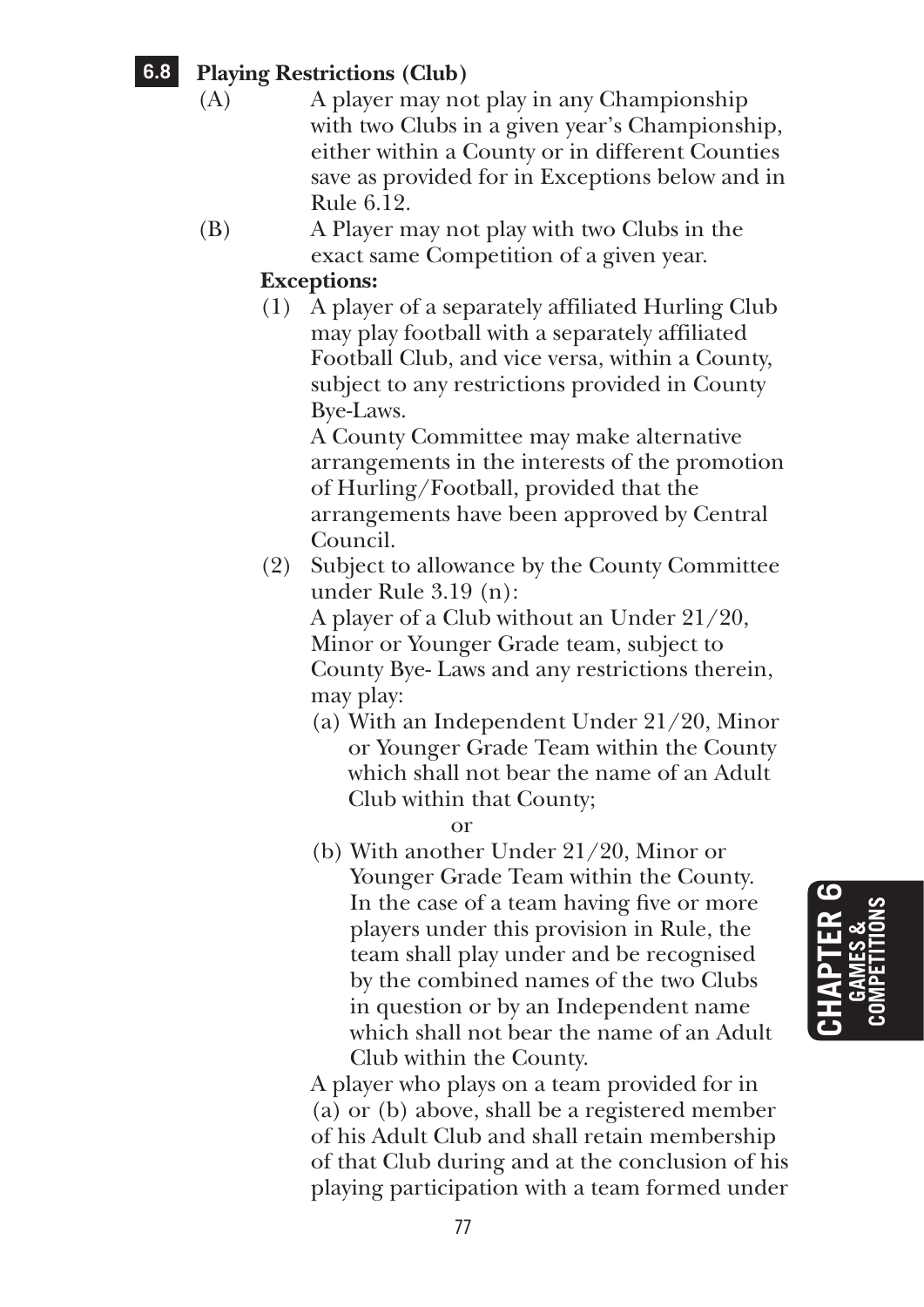# **6.8 Playing Restrictions (Club)**

- (A) A player may not play in any Championship with two Clubs in a given year's Championship, either within a County or in different Counties save as provided for in Exceptions below and in Rule 6.12.
- (B) A Player may not play with two Clubs in the exact same Competition of a given year.

#### **Exceptions:**

(1) A player of a separately affiliated Hurling Club may play football with a separately affiliated Football Club, and vice versa, within a County, subject to any restrictions provided in County Bye-Laws.

 A County Committee may make alternative arrangements in the interests of the promotion of Hurling/Football, provided that the arrangements have been approved by Central Council.

(2) Subject to allowance by the County Committee under Rule 3.19 (n):

 A player of a Club without an Under 21/20, Minor or Younger Grade team, subject to County Bye- Laws and any restrictions therein, may play:

(a) With an Independent Under 21/20, Minor or Younger Grade Team within the County which shall not bear the name of an Adult Club within that County;

or

(b) With another Under 21/20, Minor or Younger Grade Team within the County. In the case of a team having five or more players under this provision in Rule, the team shall play under and be recognised by the combined names of the two Clubs in question or by an Independent name which shall not bear the name of an Adult Club within the County.

 A player who plays on a team provided for in (a) or (b) above, shall be a registered member of his Adult Club and shall retain membership of that Club during and at the conclusion of his playing participation with a team formed under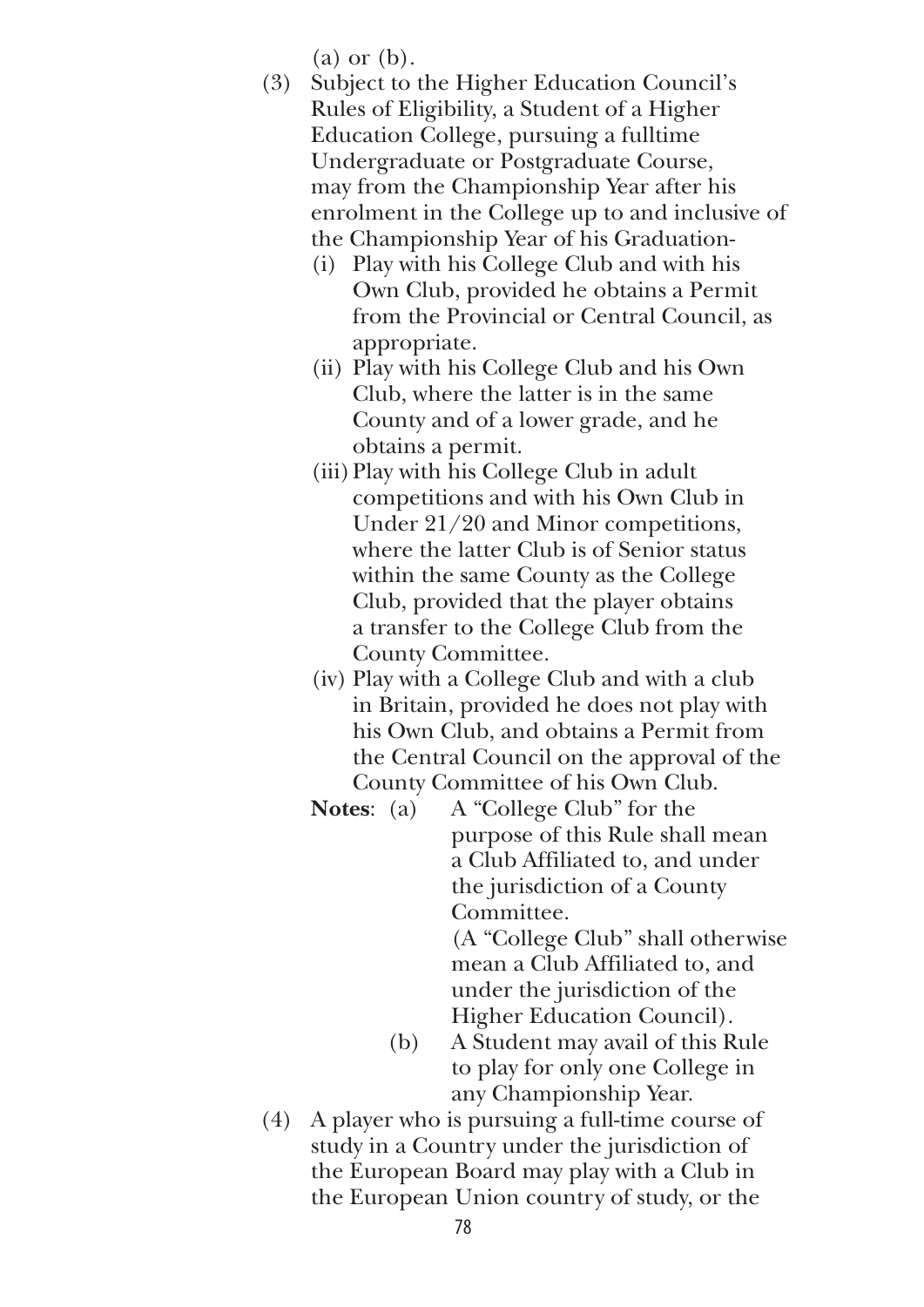(a) or (b).

- (3) Subject to the Higher Education Council's Rules of Eligibility, a Student of a Higher Education College, pursuing a fulltime Undergraduate or Postgraduate Course, may from the Championship Year after his enrolment in the College up to and inclusive of the Championship Year of his Graduation-
	- (i) Play with his College Club and with his Own Club, provided he obtains a Permit from the Provincial or Central Council, as appropriate.
	- (ii) Play with his College Club and his Own Club, where the latter is in the same County and of a lower grade, and he obtains a permit.
	- (iii) Play with his College Club in adult competitions and with his Own Club in Under 21/20 and Minor competitions, where the latter Club is of Senior status within the same County as the College Club, provided that the player obtains a transfer to the College Club from the County Committee.
	- (iv) Play with a College Club and with a club in Britain, provided he does not play with his Own Club, and obtains a Permit from the Central Council on the approval of the County Committee of his Own Club.
	- **Notes**: (a) A "College Club" for the purpose of this Rule shall mean a Club Affiliated to, and under the jurisdiction of a County Committee.

 (A "College Club" shall otherwise mean a Club Affiliated to, and under the jurisdiction of the Higher Education Council).

- (b) A Student may avail of this Rule to play for only one College in any Championship Year.
- (4) A player who is pursuing a full-time course of study in a Country under the jurisdiction of the European Board may play with a Club in the European Union country of study, or the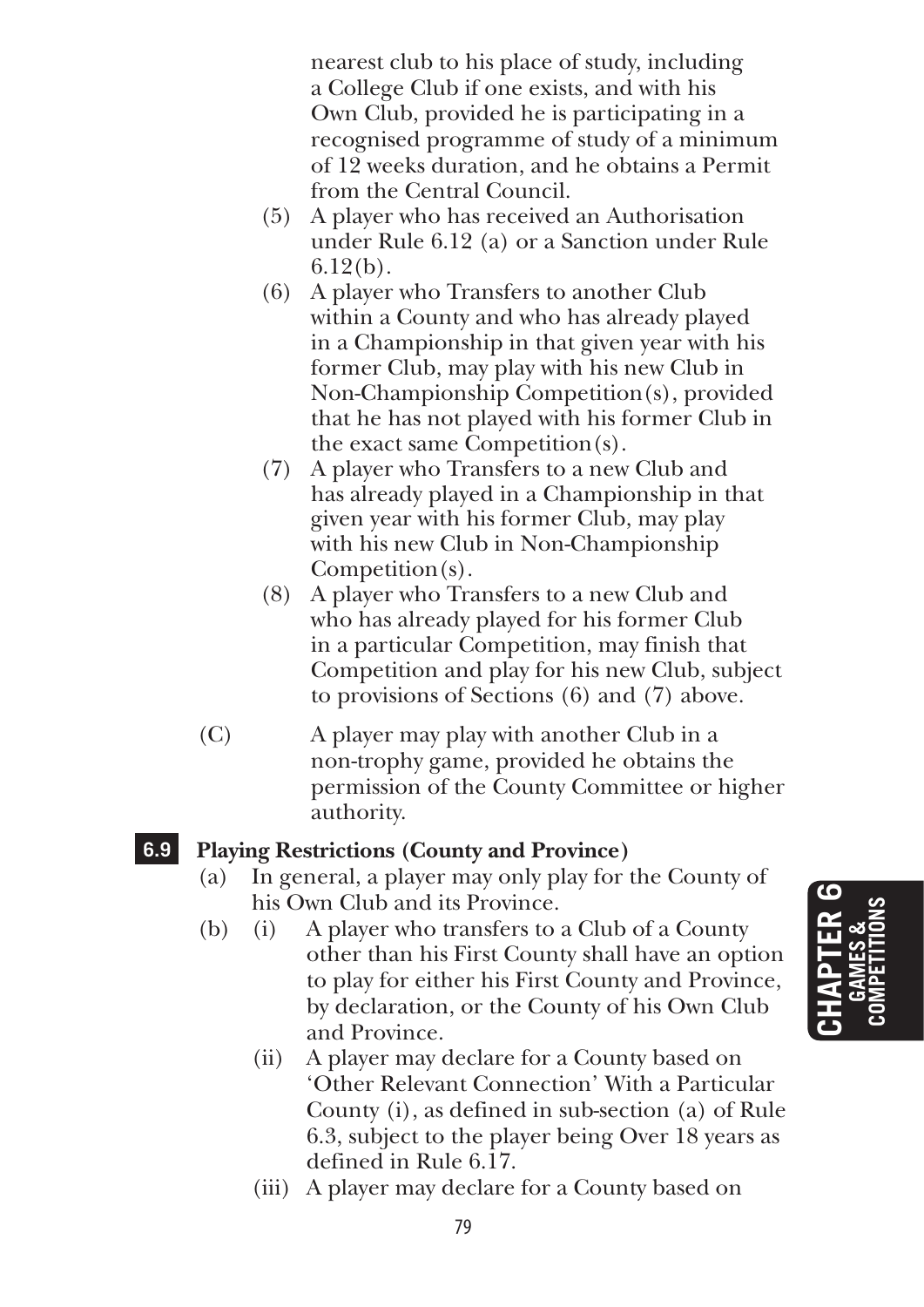nearest club to his place of study, including a College Club if one exists, and with his Own Club, provided he is participating in a recognised programme of study of a minimum of 12 weeks duration, and he obtains a Permit from the Central Council.

- (5) A player who has received an Authorisation under Rule 6.12 (a) or a Sanction under Rule 6.12(b).
- (6) A player who Transfers to another Club within a County and who has already played in a Championship in that given year with his former Club, may play with his new Club in Non-Championship Competition(s), provided that he has not played with his former Club in the exact same Competition(s).
- (7) A player who Transfers to a new Club and has already played in a Championship in that given year with his former Club, may play with his new Club in Non-Championship Competition(s).
- (8) A player who Transfers to a new Club and who has already played for his former Club in a particular Competition, may finish that Competition and play for his new Club, subject to provisions of Sections (6) and (7) above.
- (C) A player may play with another Club in a non-trophy game, provided he obtains the permission of the County Committee or higher authority.

#### **6.9 Playing Restrictions (County and Province)**

- (a) In general, a player may only play for the County of his Own Club and its Province.
- (b) (i) A player who transfers to a Club of a County other than his First County shall have an option to play for either his First County and Province, by declaration, or the County of his Own Club and Province.
	- (ii) A player may declare for a County based on 'Other Relevant Connection' With a Particular County (i), as defined in sub-section (a) of Rule 6.3, subject to the player being Over 18 years as defined in Rule 6.17.
	- (iii) A player may declare for a County based on

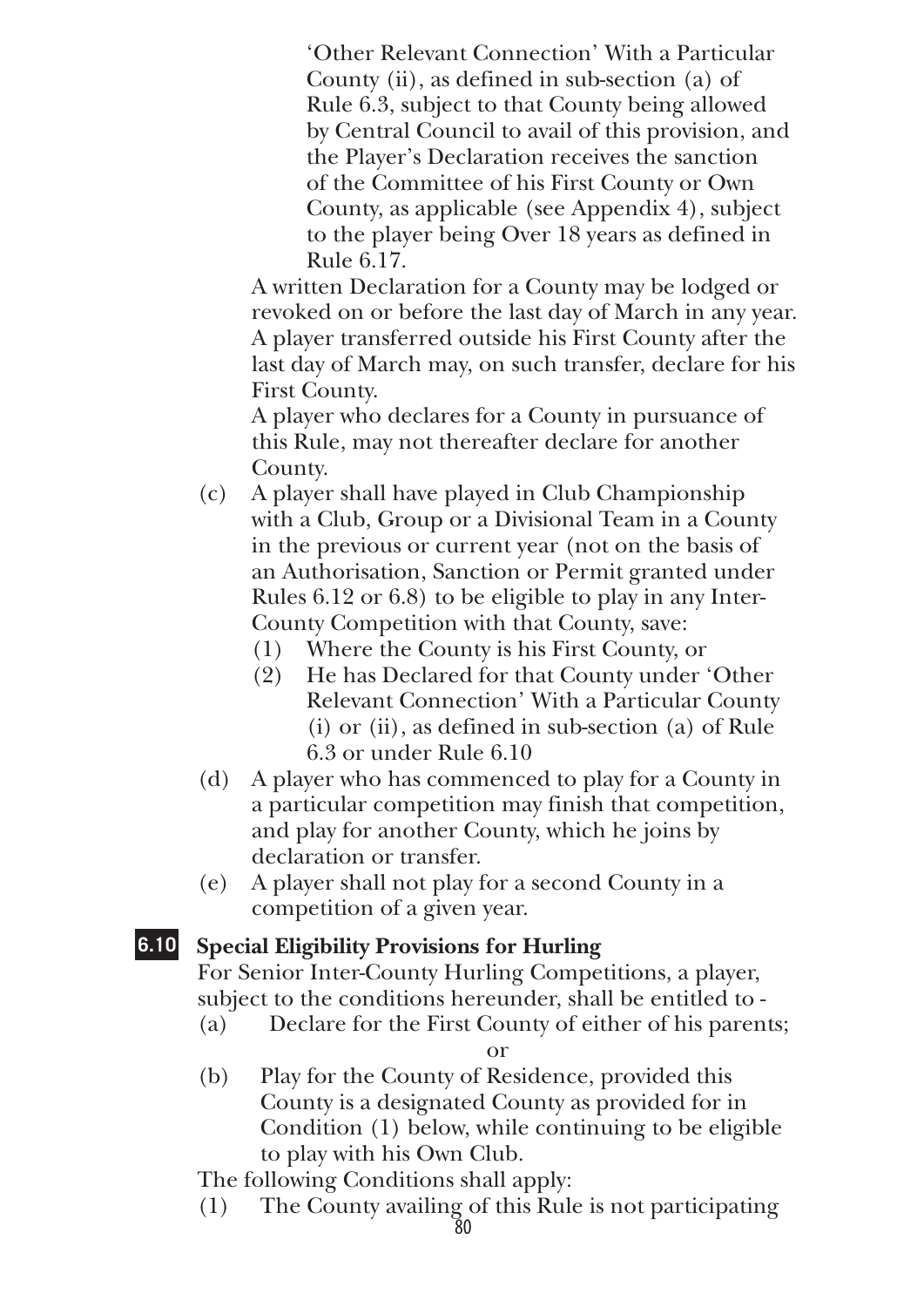'Other Relevant Connection' With a Particular County (ii), as defined in sub-section (a) of Rule 6.3, subject to that County being allowed by Central Council to avail of this provision, and the Player's Declaration receives the sanction of the Committee of his First County or Own County, as applicable (see Appendix 4), subject to the player being Over 18 years as defined in Rule 6.17.

 A written Declaration for a County may be lodged or revoked on or before the last day of March in any year. A player transferred outside his First County after the last day of March may, on such transfer, declare for his First County.

 A player who declares for a County in pursuance of this Rule, may not thereafter declare for another County.

- (c) A player shall have played in Club Championship with a Club, Group or a Divisional Team in a County in the previous or current year (not on the basis of an Authorisation, Sanction or Permit granted under Rules 6.12 or 6.8) to be eligible to play in any Inter-County Competition with that County, save:
	- (1) Where the County is his First County, or
	- (2) He has Declared for that County under 'Other Relevant Connection' With a Particular County (i) or (ii), as defined in sub-section (a) of Rule 6.3 or under Rule 6.10
- (d) A player who has commenced to play for a County in a particular competition may finish that competition, and play for another County, which he joins by declaration or transfer.
- (e) A player shall not play for a second County in a competition of a given year.

#### **6.10 Special Eligibility Provisions for Hurling**

For Senior Inter-County Hurling Competitions, a player, subject to the conditions hereunder, shall be entitled to -

(a) Declare for the First County of either of his parents;

or

(b) Play for the County of Residence, provided this County is a designated County as provided for in Condition (1) below, while continuing to be eligible to play with his Own Club.

The following Conditions shall apply:

(1) The County availing of this Rule is not participating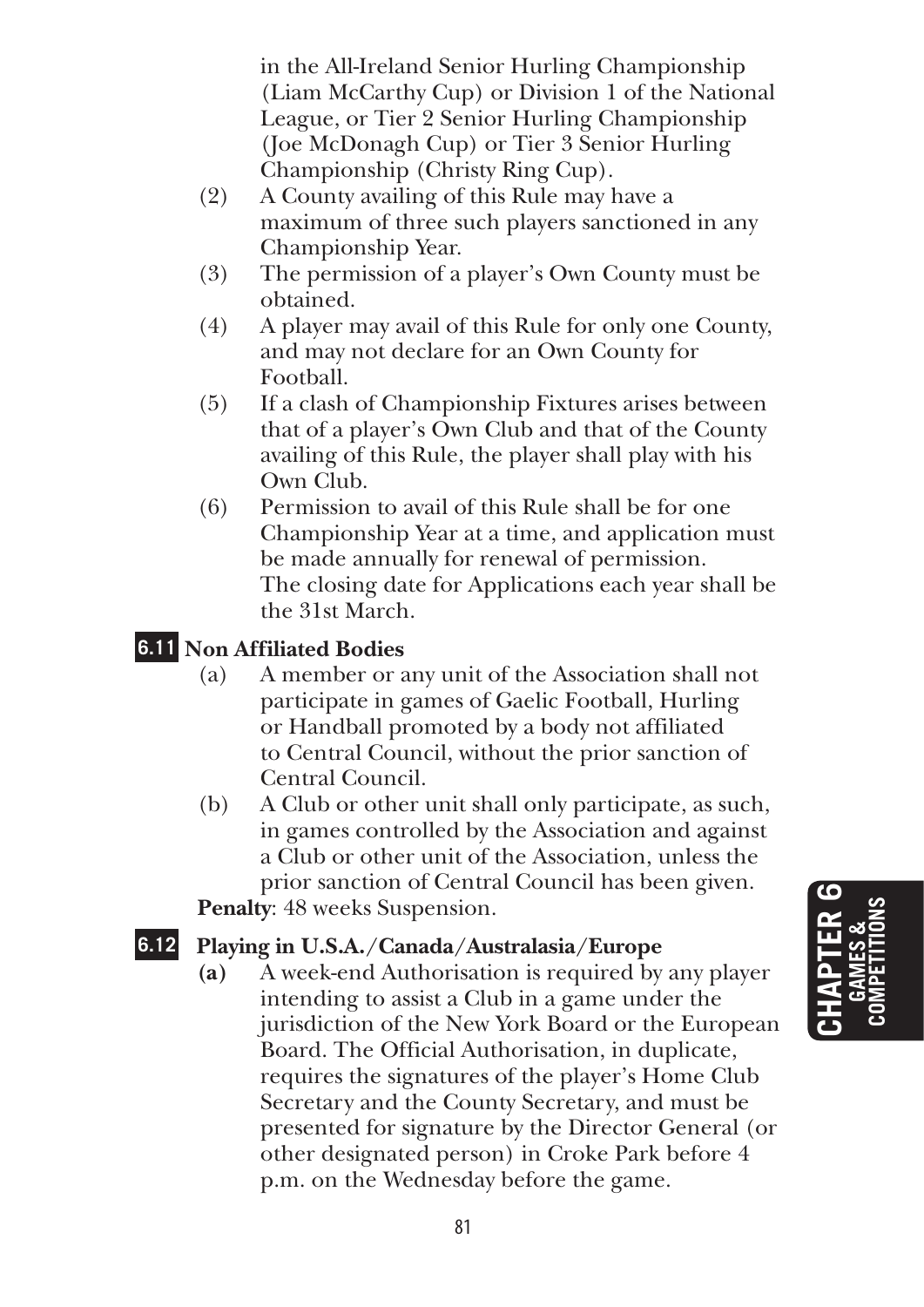in the All-Ireland Senior Hurling Championship (Liam McCarthy Cup) or Division 1 of the National League, or Tier 2 Senior Hurling Championship (Joe McDonagh Cup) or Tier 3 Senior Hurling Championship (Christy Ring Cup).

- (2) A County availing of this Rule may have a maximum of three such players sanctioned in any Championship Year.
- (3) The permission of a player's Own County must be obtained.
- (4) A player may avail of this Rule for only one County, and may not declare for an Own County for Football.
- (5) If a clash of Championship Fixtures arises between that of a player's Own Club and that of the County availing of this Rule, the player shall play with his Own Club.
- (6) Permission to avail of this Rule shall be for one Championship Year at a time, and application must be made annually for renewal of permission. The closing date for Applications each year shall be the 31st March.

# **6.11 Non Affiliated Bodies**

- (a) A member or any unit of the Association shall not participate in games of Gaelic Football, Hurling or Handball promoted by a body not affiliated to Central Council, without the prior sanction of Central Council.
- (b) A Club or other unit shall only participate, as such, in games controlled by the Association and against a Club or other unit of the Association, unless the prior sanction of Central Council has been given. **Penalty**: 48 weeks Suspension.

# **6.12 Playing in U.S.A./Canada/Australasia/Europe**

**(a)** A week-end Authorisation is required by any player intending to assist a Club in a game under the jurisdiction of the New York Board or the European Board. The Official Authorisation, in duplicate, requires the signatures of the player's Home Club Secretary and the County Secretary, and must be presented for signature by the Director General (or other designated person) in Croke Park before 4 p.m. on the Wednesday before the game.

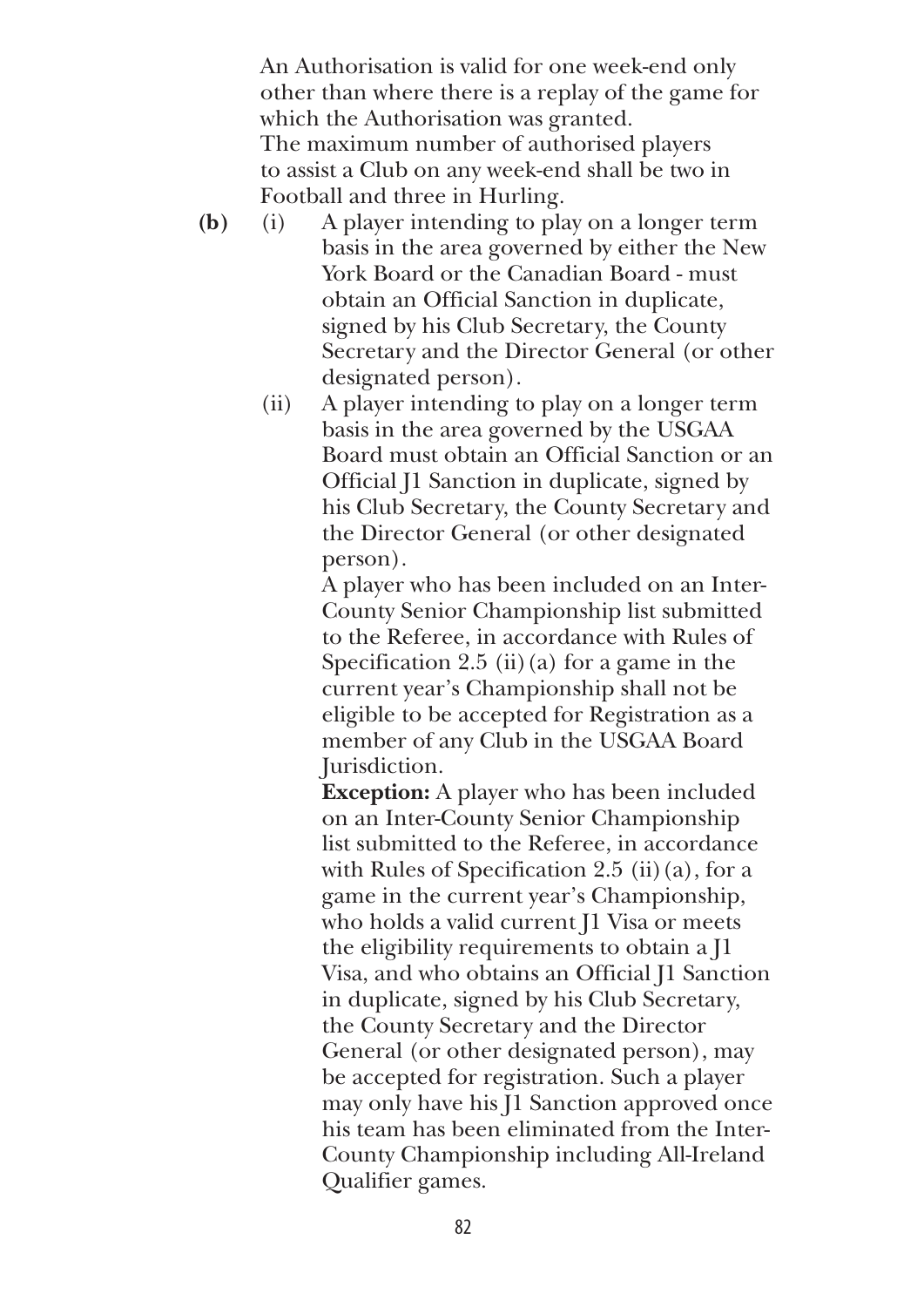An Authorisation is valid for one week-end only other than where there is a replay of the game for which the Authorisation was granted. The maximum number of authorised players to assist a Club on any week-end shall be two in Football and three in Hurling.

- **(b)** (i) A player intending to play on a longer term basis in the area governed by either the New York Board or the Canadian Board - must obtain an Official Sanction in duplicate, signed by his Club Secretary, the County Secretary and the Director General (or other designated person).
	- (ii) A player intending to play on a longer term basis in the area governed by the USGAA Board must obtain an Official Sanction or an Official J1 Sanction in duplicate, signed by his Club Secretary, the County Secretary and the Director General (or other designated person).

 A player who has been included on an Inter-County Senior Championship list submitted to the Referee, in accordance with Rules of Specification 2.5 (ii)(a) for a game in the current year's Championship shall not be eligible to be accepted for Registration as a member of any Club in the USGAA Board Jurisdiction.

 **Exception:** A player who has been included on an Inter-County Senior Championship list submitted to the Referee, in accordance with Rules of Specification 2.5 (ii)(a), for a game in the current year's Championship, who holds a valid current J1 Visa or meets the eligibility requirements to obtain a J1 Visa, and who obtains an Official J1 Sanction in duplicate, signed by his Club Secretary, the County Secretary and the Director General (or other designated person), may be accepted for registration. Such a player may only have his J1 Sanction approved once his team has been eliminated from the Inter-County Championship including All-Ireland Qualifier games.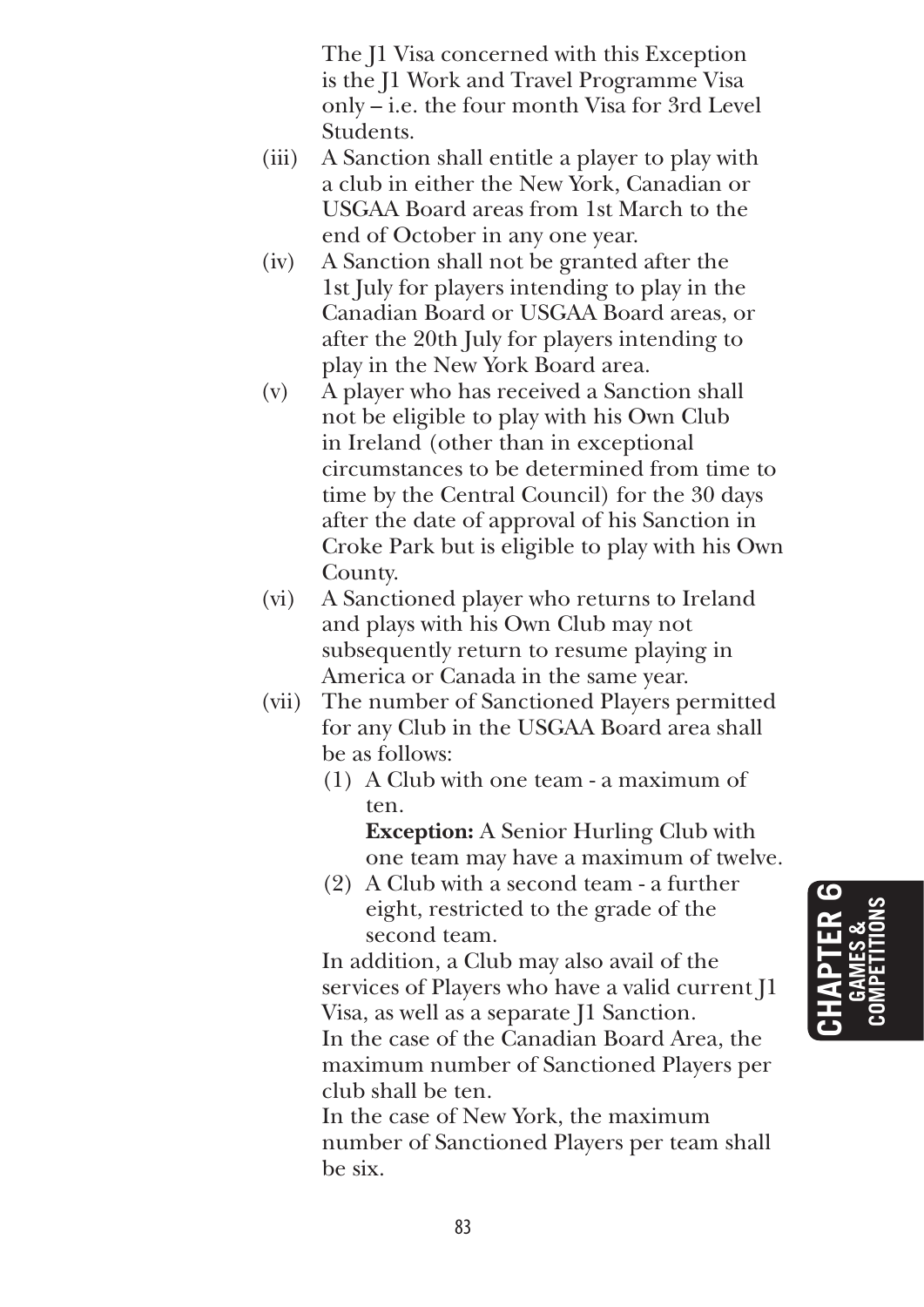The J1 Visa concerned with this Exception is the J1 Work and Travel Programme Visa only – i.e. the four month Visa for 3rd Level Students.

- (iii) A Sanction shall entitle a player to play with a club in either the New York, Canadian or USGAA Board areas from 1st March to the end of October in any one year.
- (iv) A Sanction shall not be granted after the 1st July for players intending to play in the Canadian Board or USGAA Board areas, or after the 20th July for players intending to play in the New York Board area.
- (v) A player who has received a Sanction shall not be eligible to play with his Own Club in Ireland (other than in exceptional circumstances to be determined from time to time by the Central Council) for the 30 days after the date of approval of his Sanction in Croke Park but is eligible to play with his Own County.
- (vi) A Sanctioned player who returns to Ireland and plays with his Own Club may not subsequently return to resume playing in America or Canada in the same year.
- (vii) The number of Sanctioned Players permitted for any Club in the USGAA Board area shall be as follows:
	- (1) A Club with one team a maximum of ten.

 **Exception:** A Senior Hurling Club with one team may have a maximum of twelve.

 (2) A Club with a second team - a further eight, restricted to the grade of the second team.

 In addition, a Club may also avail of the services of Players who have a valid current J1 Visa, as well as a separate J1 Sanction.

 In the case of the Canadian Board Area, the maximum number of Sanctioned Players per club shall be ten.

 In the case of New York, the maximum number of Sanctioned Players per team shall be six.

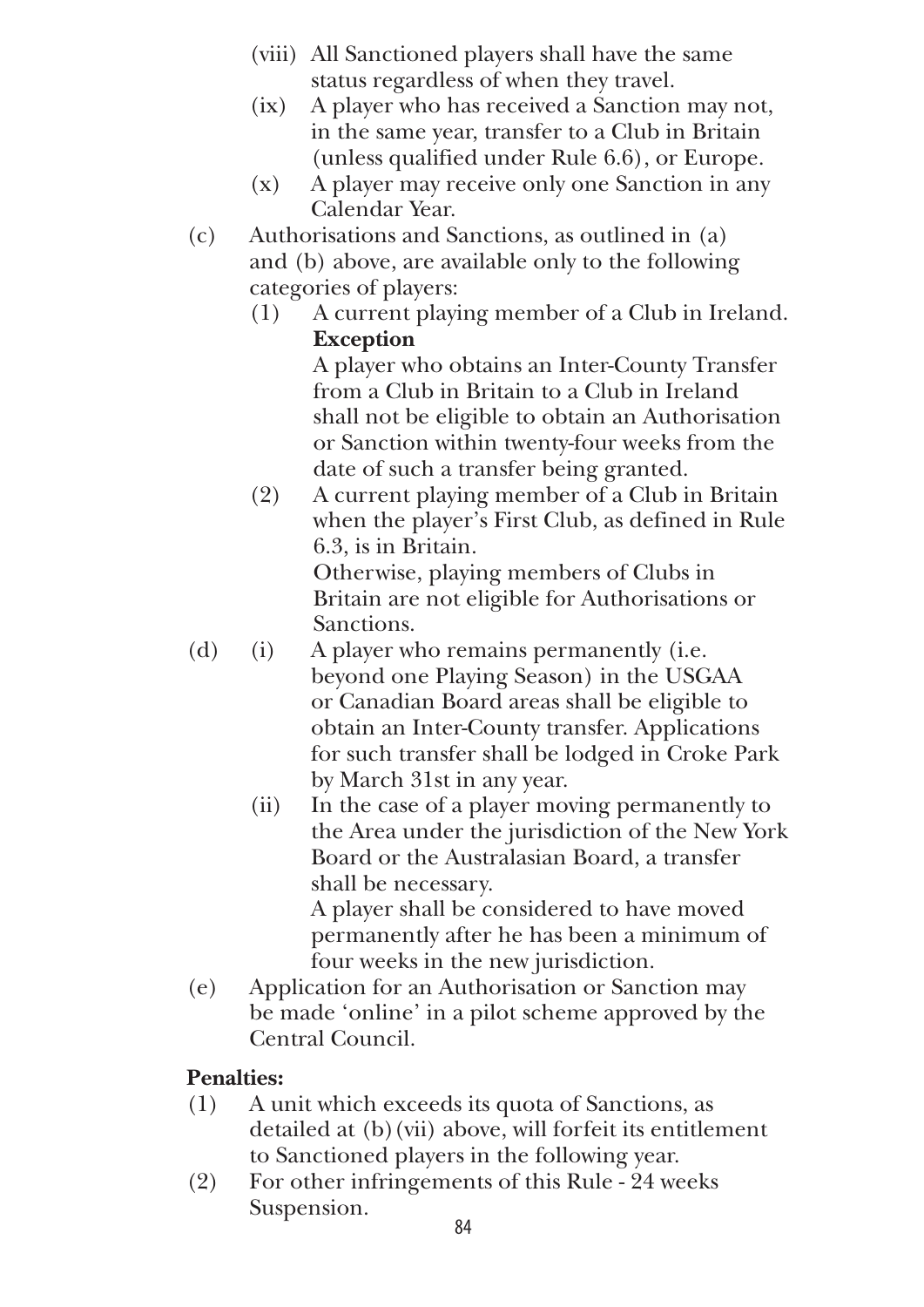- (viii) All Sanctioned players shall have the same status regardless of when they travel.
- (ix) A player who has received a Sanction may not, in the same year, transfer to a Club in Britain (unless qualified under Rule 6.6), or Europe.
- (x) A player may receive only one Sanction in any Calendar Year.
- (c) Authorisations and Sanctions, as outlined in (a) and (b) above, are available only to the following categories of players:
	- (1) A current playing member of a Club in Ireland. **Exception**

A player who obtains an Inter-County Transfer from a Club in Britain to a Club in Ireland shall not be eligible to obtain an Authorisation or Sanction within twenty-four weeks from the date of such a transfer being granted.

(2) A current playing member of a Club in Britain when the player's First Club, as defined in Rule 6.3, is in Britain.

 Otherwise, playing members of Clubs in Britain are not eligible for Authorisations or Sanctions.

- (d) (i) A player who remains permanently (i.e. beyond one Playing Season) in the USGAA or Canadian Board areas shall be eligible to obtain an Inter-County transfer. Applications for such transfer shall be lodged in Croke Park by March 31st in any year.
	- (ii) In the case of a player moving permanently to the Area under the jurisdiction of the New York Board or the Australasian Board, a transfer shall be necessary. A player shall be considered to have moved

permanently after he has been a minimum of four weeks in the new jurisdiction.

(e) Application for an Authorisation or Sanction may be made 'online' in a pilot scheme approved by the Central Council.

# **Penalties:**

- (1) A unit which exceeds its quota of Sanctions, as detailed at (b)(vii) above, will forfeit its entitlement to Sanctioned players in the following year.
- (2) For other infringements of this Rule 24 weeks Suspension.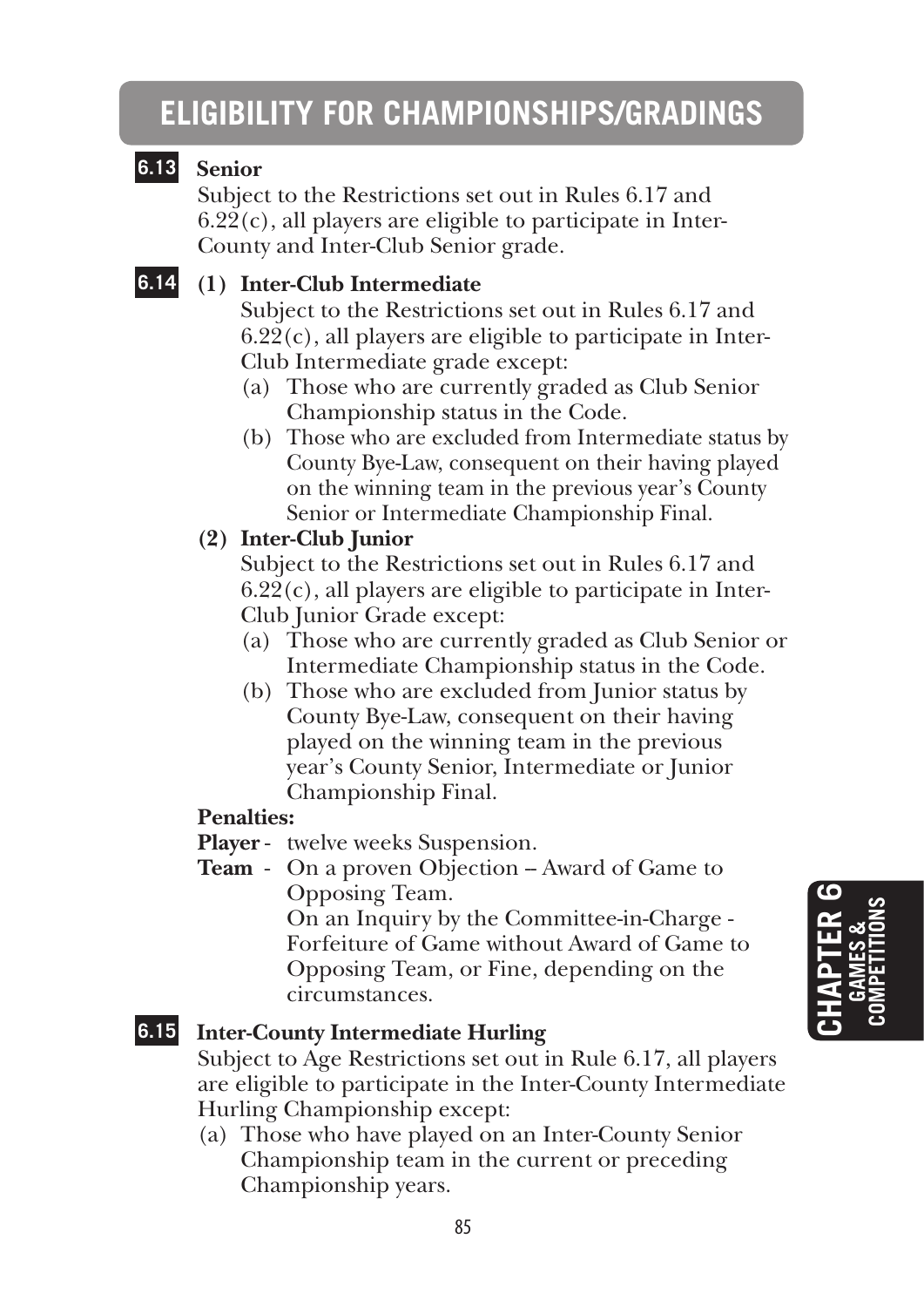# **ELIGIBILITY FOR CHAMPIONSHIPS/GRADINGS**

# **6.13 Senior**

Subject to the Restrictions set out in Rules 6.17 and  $6.22(c)$ , all players are eligible to participate in Inter-County and Inter-Club Senior grade.

## **6.14 (1) Inter-Club Intermediate**

 Subject to the Restrictions set out in Rules 6.17 and  $6.22(c)$ , all players are eligible to participate in Inter-Club Intermediate grade except:

- (a) Those who are currently graded as Club Senior Championship status in the Code.
- (b) Those who are excluded from Intermediate status by County Bye-Law, consequent on their having played on the winning team in the previous year's County Senior or Intermediate Championship Final.

#### **(2) Inter-Club Junior**

 Subject to the Restrictions set out in Rules 6.17 and  $6.22(c)$ , all players are eligible to participate in Inter-Club Junior Grade except:

- (a) Those who are currently graded as Club Senior or Intermediate Championship status in the Code.
- (b) Those who are excluded from Junior status by County Bye-Law, consequent on their having played on the winning team in the previous year's County Senior, Intermediate or Junior Championship Final.

#### **Penalties:**

**Player** - twelve weeks Suspension.

**Team** - On a proven Objection – Award of Game to Opposing Team.

 On an Inquiry by the Committee-in-Charge - Forfeiture of Game without Award of Game to Opposing Team, or Fine, depending on the circumstances.

# **6.15 Inter-County Intermediate Hurling**

Subject to Age Restrictions set out in Rule 6.17, all players are eligible to participate in the Inter-County Intermediate Hurling Championship except:

(a) Those who have played on an Inter-County Senior Championship team in the current or preceding Championship years.

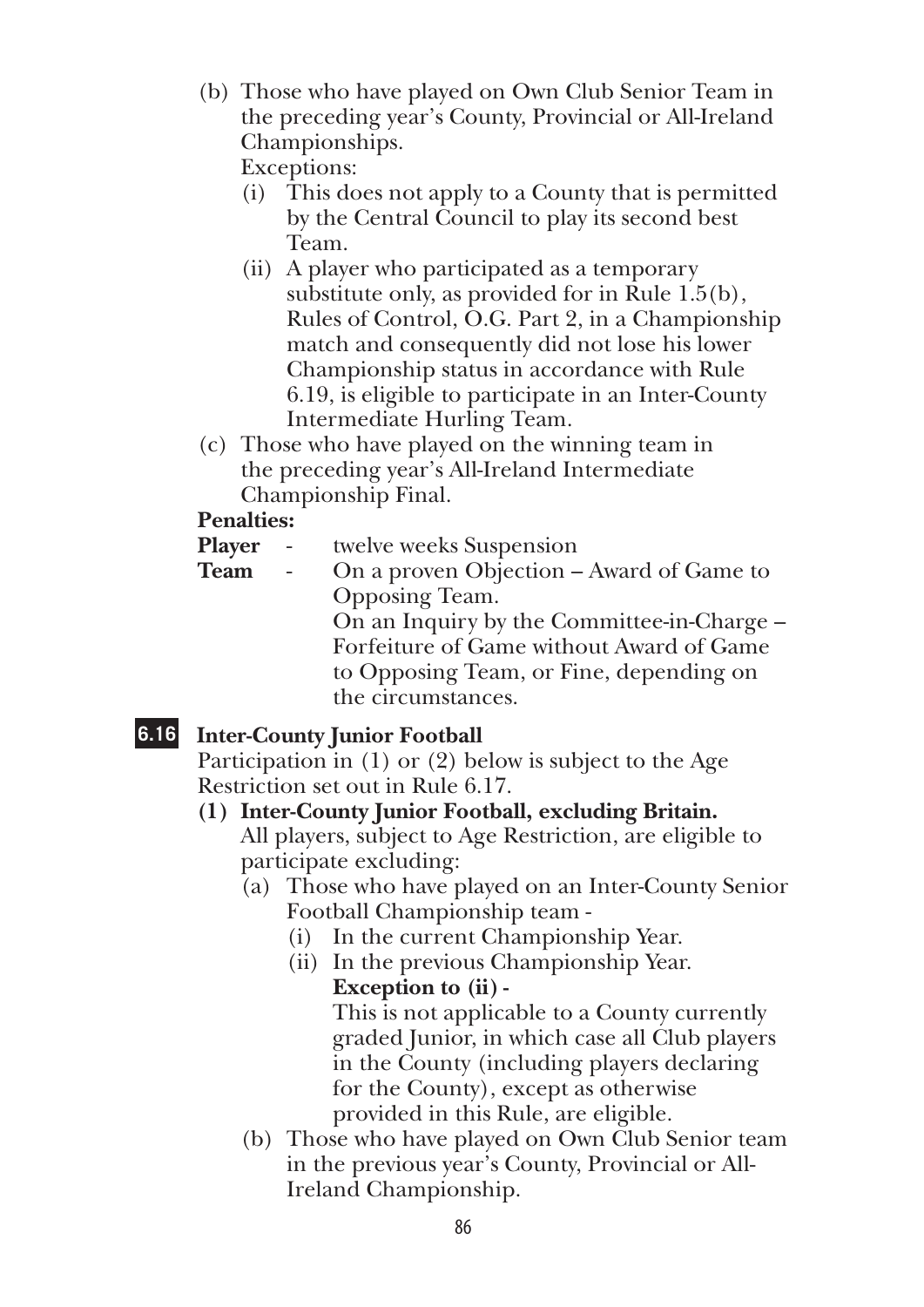(b) Those who have played on Own Club Senior Team in the preceding year's County, Provincial or All-Ireland Championships.

Exceptions:

- (i) This does not apply to a County that is permitted by the Central Council to play its second best Team.
- (ii) A player who participated as a temporary substitute only, as provided for in Rule 1.5(b), Rules of Control, O.G. Part 2, in a Championship match and consequently did not lose his lower Championship status in accordance with Rule 6.19, is eligible to participate in an Inter-County Intermediate Hurling Team.
- (c) Those who have played on the winning team in the preceding year's All-Ireland Intermediate Championship Final.

# **Penalties:**

- **Player** twelve weeks Suspension
- **Team** On a proven Objection Award of Game to Opposing Team. On an Inquiry by the Committee-in-Charge – Forfeiture of Game without Award of Game to Opposing Team, or Fine, depending on the circumstances.

# **6.16 Inter-County Junior Football**

Participation in (1) or (2) below is subject to the Age Restriction set out in Rule 6.17.

**(1) Inter-County Junior Football, excluding Britain.** 

 All players, subject to Age Restriction, are eligible to participate excluding:

- (a) Those who have played on an Inter-County Senior Football Championship team -
	- (i) In the current Championship Year.
	- (ii) In the previous Championship Year. **Exception to (ii) -**

 This is not applicable to a County currently graded Junior, in which case all Club players in the County (including players declaring for the County), except as otherwise provided in this Rule, are eligible.

(b) Those who have played on Own Club Senior team in the previous year's County, Provincial or All-Ireland Championship.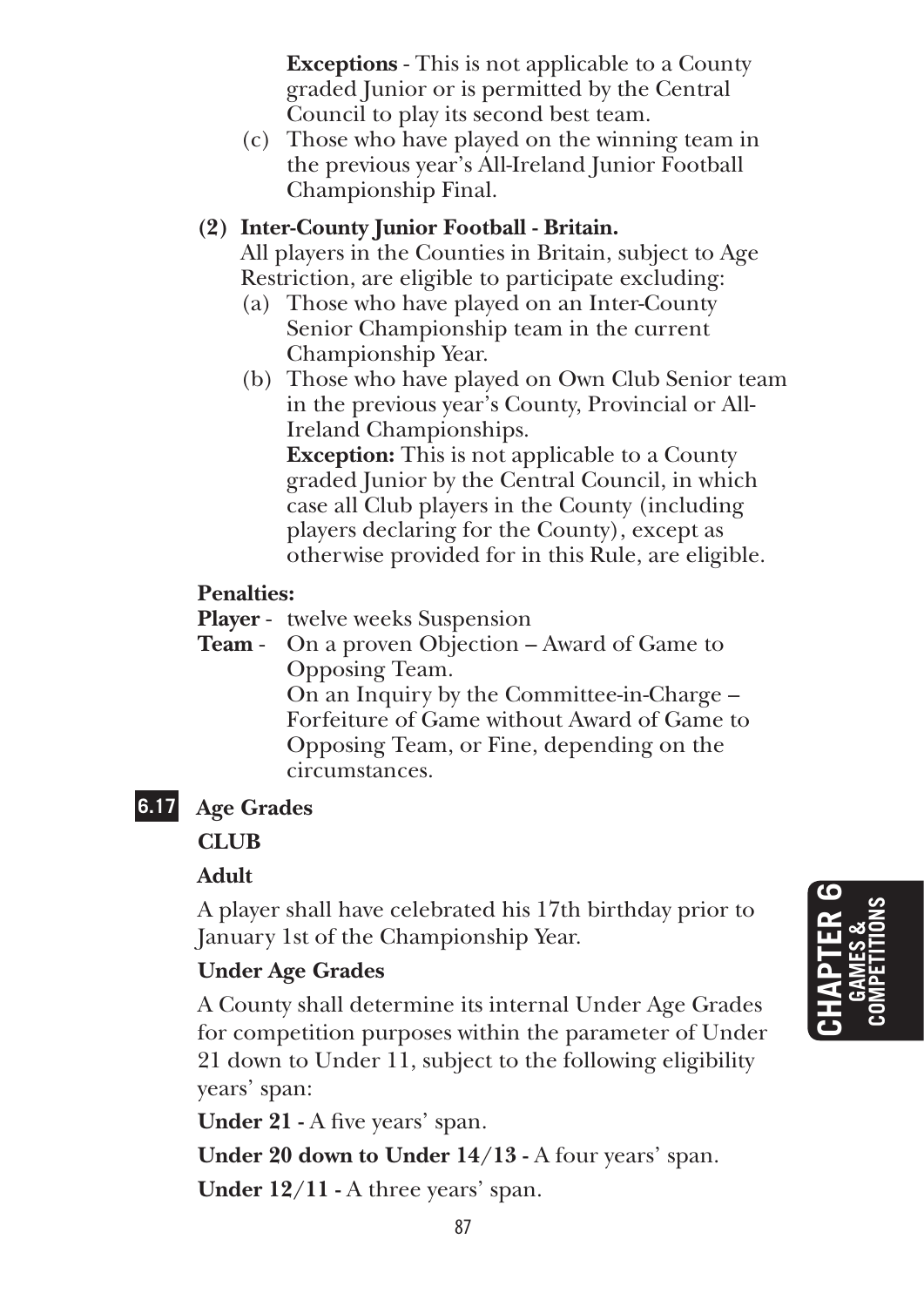**Exceptions** - This is not applicable to a County graded Junior or is permitted by the Central Council to play its second best team.

(c) Those who have played on the winning team in the previous year's All-Ireland Junior Football Championship Final.

### **(2) Inter-County Junior Football - Britain.**

 All players in the Counties in Britain, subject to Age Restriction, are eligible to participate excluding:

- (a) Those who have played on an Inter-County Senior Championship team in the current Championship Year.
- (b) Those who have played on Own Club Senior team in the previous year's County, Provincial or All-Ireland Championships.

 **Exception:** This is not applicable to a County graded Junior by the Central Council, in which case all Club players in the County (including players declaring for the County), except as otherwise provided for in this Rule, are eligible.

### **Penalties:**

**Player** - twelve weeks Suspension

**Team** - On a proven Objection – Award of Game to Opposing Team. On an Inquiry by the Committee-in-Charge – Forfeiture of Game without Award of Game to Opposing Team, or Fine, depending on the circumstances.

# **6.17 Age Grades**

**Club**

#### **Adult**

A player shall have celebrated his 17th birthday prior to January 1st of the Championship Year.

# **Under Age Grades**

A County shall determine its internal Under Age Grades for competition purposes within the parameter of Under 21 down to Under 11, subject to the following eligibility years' span:

**Under 21 -** A five years' span.

**Under 20 down to Under 14/13 -** A four years' span.

**Under 12/11 -** A three years' span.

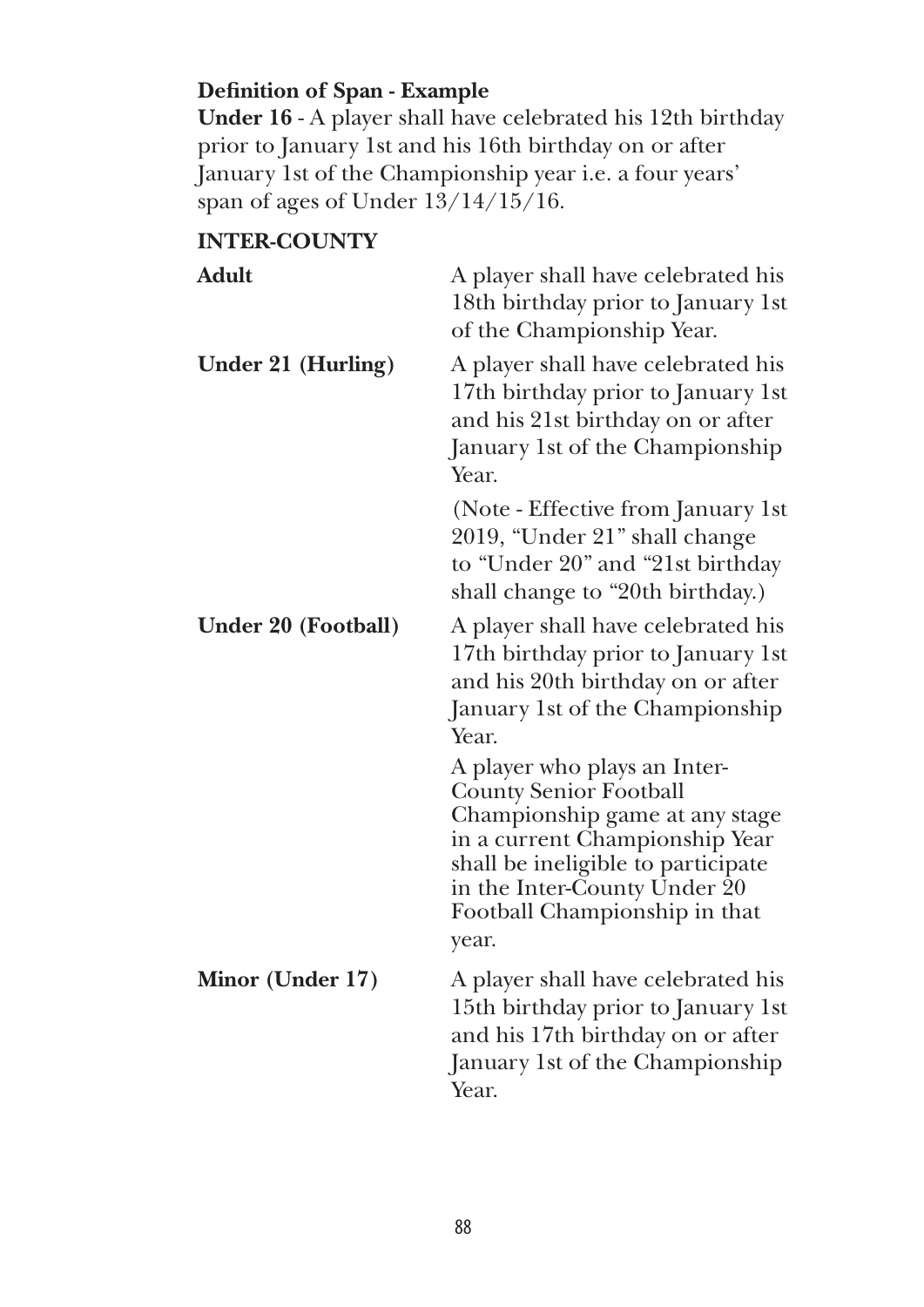# **Definition of Span - Example**

**Under 16** - A player shall have celebrated his 12th birthday prior to January 1st and his 16th birthday on or after January 1st of the Championship year i.e. a four years' span of ages of Under 13/14/15/16.

# **INTER-COUNTY**

| Adult               | A player shall have celebrated his<br>18th birthday prior to January 1st<br>of the Championship Year.                                                                                                                                             |
|---------------------|---------------------------------------------------------------------------------------------------------------------------------------------------------------------------------------------------------------------------------------------------|
| Under 21 (Hurling)  | A player shall have celebrated his<br>17th birthday prior to January 1st<br>and his 21st birthday on or after<br>January 1st of the Championship<br>Year.                                                                                         |
|                     | (Note - Effective from January 1st<br>2019, "Under 21" shall change<br>to "Under 20" and "21st birthday<br>shall change to "20th birthday.)                                                                                                       |
| Under 20 (Football) | A player shall have celebrated his<br>17th birthday prior to January 1st<br>and his 20th birthday on or after<br>January 1st of the Championship<br>Year.                                                                                         |
|                     | A player who plays an Inter-<br><b>County Senior Football</b><br>Championship game at any stage<br>in a current Championship Year<br>shall be ineligible to participate<br>in the Inter-County Under 20<br>Football Championship in that<br>year. |
| Minor (Under 17)    | A player shall have celebrated his<br>15th birthday prior to January 1st<br>and his 17th birthday on or after<br>January 1st of the Championship<br>Year.                                                                                         |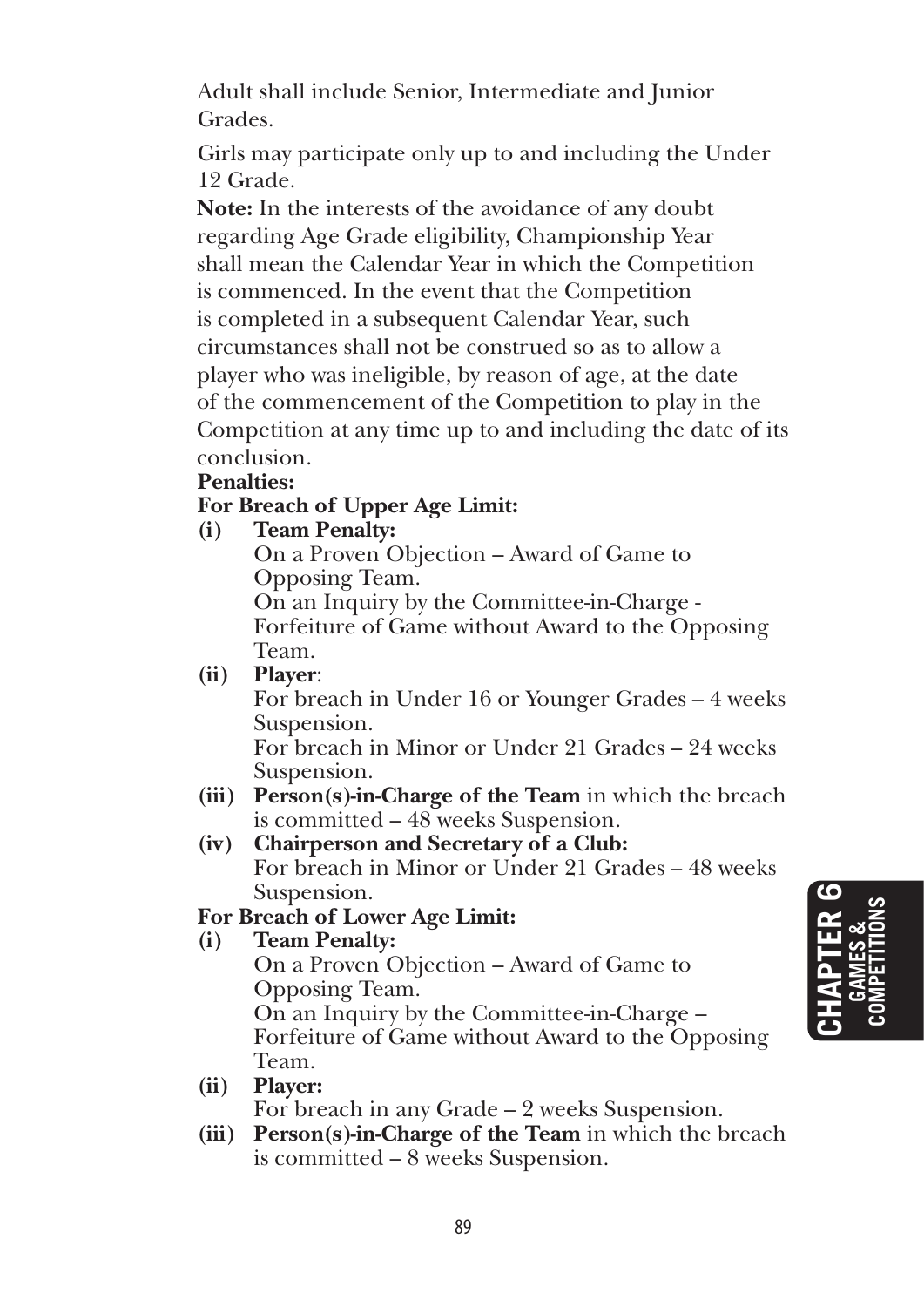Adult shall include Senior, Intermediate and Junior Grades.

Girls may participate only up to and including the Under 12 Grade.

 **Note:** In the interests of the avoidance of any doubt regarding Age Grade eligibility, Championship Year shall mean the Calendar Year in which the Competition is commenced. In the event that the Competition is completed in a subsequent Calendar Year, such circumstances shall not be construed so as to allow a player who was ineligible, by reason of age, at the date of the commencement of the Competition to play in the Competition at any time up to and including the date of its conclusion.

#### **Penalties:**

#### **For Breach of Upper Age Limit:**

#### **(i) Team Penalty:**

 On a Proven Objection – Award of Game to Opposing Team.

 On an Inquiry by the Committee-in-Charge - Forfeiture of Game without Award to the Opposing Team.

#### **(ii) Player**:

 For breach in Under 16 or Younger Grades – 4 weeks Suspension.

 For breach in Minor or Under 21 Grades – 24 weeks Suspension.

**(iii) Person(s)-in-Charge of the Team** in which the breach is committed – 48 weeks Suspension.

#### **(iv) Chairperson and Secretary of a Club:**

 For breach in Minor or Under 21 Grades – 48 weeks Suspension.

#### **For Breach of Lower Age Limit:**

#### **(i) Team Penalty:**

 On a Proven Objection – Award of Game to Opposing Team. On an Inquiry by the Committee-in-Charge – Forfeiture of Game without Award to the Opposing Team.

- **(ii) Player:** For breach in any Grade – 2 weeks Suspension.
- **(iii) Person(s)-in-Charge of the Team** in which the breach is committed – 8 weeks Suspension.

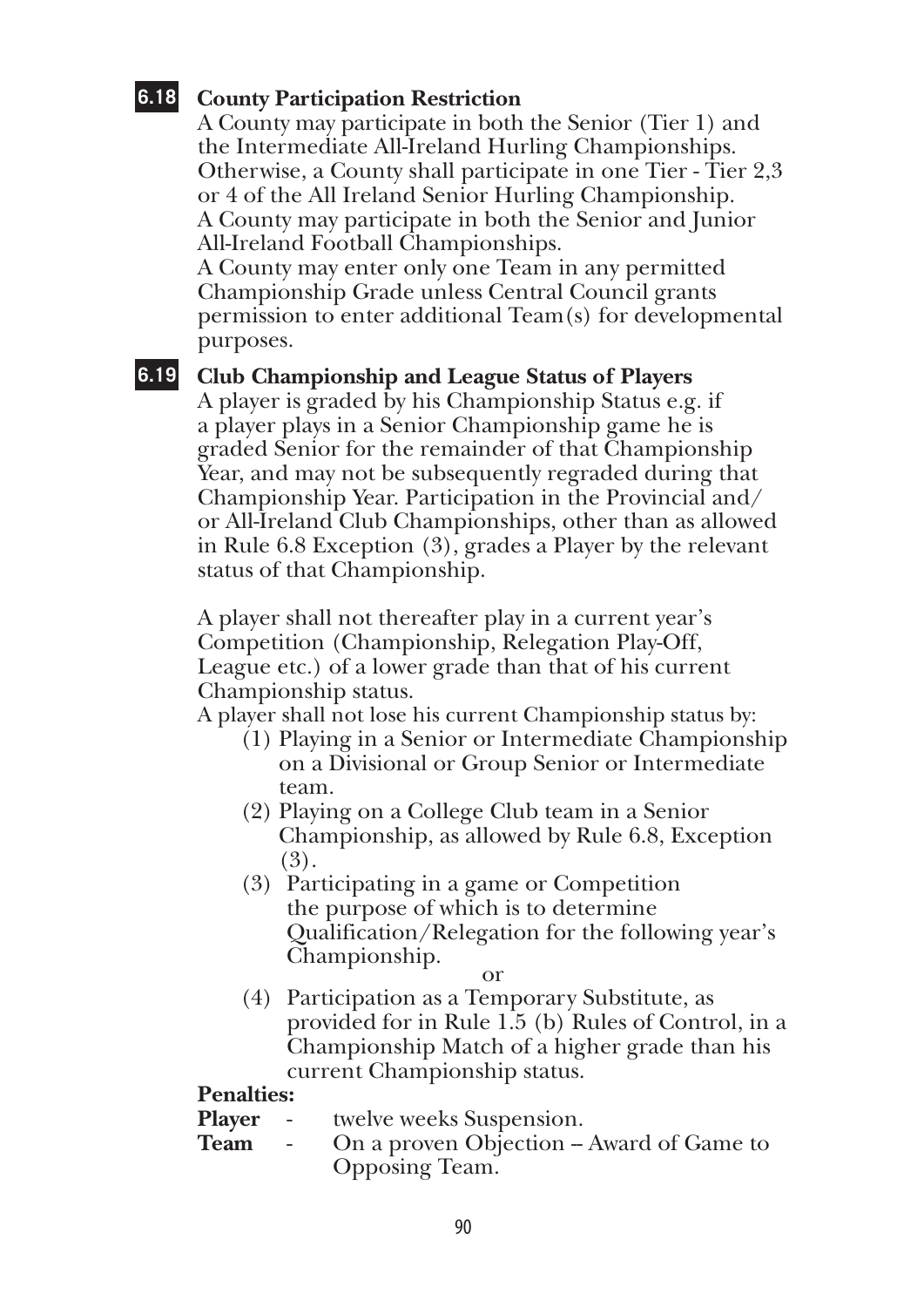#### **6.18 County Participation Restriction**

A County may participate in both the Senior (Tier 1) and the Intermediate All-Ireland Hurling Championships. Otherwise, a County shall participate in one Tier - Tier 2,3 or 4 of the All Ireland Senior Hurling Championship. A County may participate in both the Senior and Junior All-Ireland Football Championships.

A County may enter only one Team in any permitted Championship Grade unless Central Council grants permission to enter additional Team(s) for developmental purposes.

#### **6.19 Club Championship and League Status of Players**

A player is graded by his Championship Status e.g. if a player plays in a Senior Championship game he is graded Senior for the remainder of that Championship Year, and may not be subsequently regraded during that Championship Year. Participation in the Provincial and/ or All-Ireland Club Championships, other than as allowed in Rule 6.8 Exception (3), grades a Player by the relevant status of that Championship.

A player shall not thereafter play in a current year's Competition (Championship, Relegation Play-Off, League etc.) of a lower grade than that of his current Championship status.

A player shall not lose his current Championship status by:

- (1) Playing in a Senior or Intermediate Championship on a Divisional or Group Senior or Intermediate team.
- (2) Playing on a College Club team in a Senior Championship, as allowed by Rule 6.8, Exception (3).
- (3) Participating in a game or Competition the purpose of which is to determine Qualification/Relegation for the following year's Championship.

or

(4) Participation as a Temporary Substitute, as provided for in Rule 1.5 (b) Rules of Control, in a Championship Match of a higher grade than his current Championship status.

#### **Penalties:**

**Player** - twelve weeks Suspension.

**Team** - On a proven Objection – Award of Game to Opposing Team.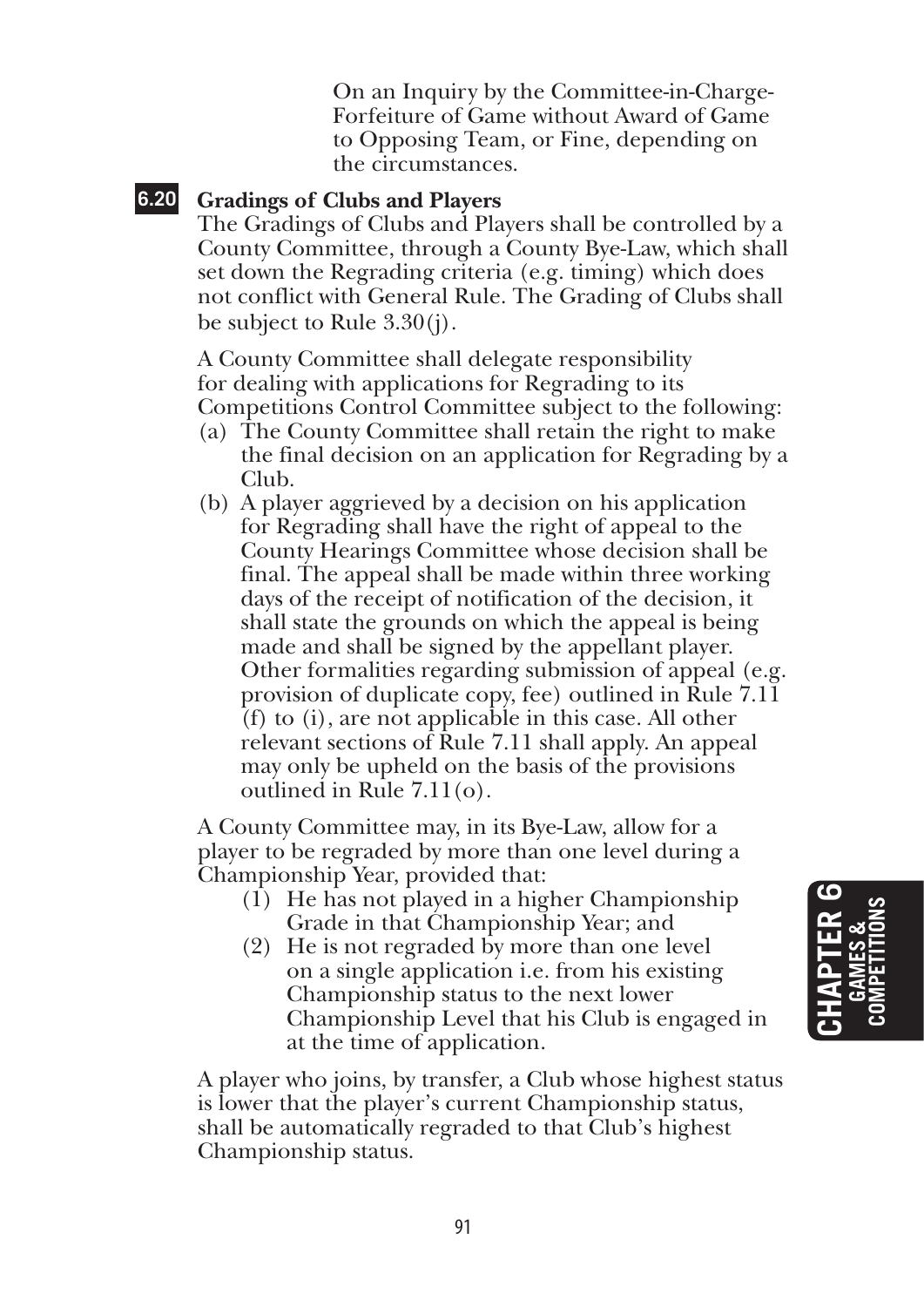On an Inquiry by the Committee-in-Charge-Forfeiture of Game without Award of Game to Opposing Team, or Fine, depending on the circumstances.

### **6.20 Gradings of Clubs and Players**

The Gradings of Clubs and Players shall be controlled by a County Committee, through a County Bye-Law, which shall set down the Regrading criteria (e.g. timing) which does not conflict with General Rule. The Grading of Clubs shall be subject to Rule 3.30(j).

A County Committee shall delegate responsibility for dealing with applications for Regrading to its Competitions Control Committee subject to the following:

- (a) The County Committee shall retain the right to make the final decision on an application for Regrading by a Club.
- (b) A player aggrieved by a decision on his application for Regrading shall have the right of appeal to the County Hearings Committee whose decision shall be final. The appeal shall be made within three working days of the receipt of notification of the decision, it shall state the grounds on which the appeal is being made and shall be signed by the appellant player. Other formalities regarding submission of appeal (e.g. provision of duplicate copy, fee) outlined in Rule 7.11 (f) to (i), are not applicable in this case. All other relevant sections of Rule 7.11 shall apply. An appeal may only be upheld on the basis of the provisions outlined in Rule 7.11(o).

A County Committee may, in its Bye-Law, allow for a player to be regraded by more than one level during a Championship Year, provided that:

- $(1)$  He has not played in a higher Championship Grade in that Championship Year; and
- (2) He is not regraded by more than one level on a single application i.e. from his existing Championship status to the next lower Championship Level that his Club is engaged in at the time of application.

A player who joins, by transfer, a Club whose highest status is lower that the player's current Championship status, shall be automatically regraded to that Club's highest Championship status.

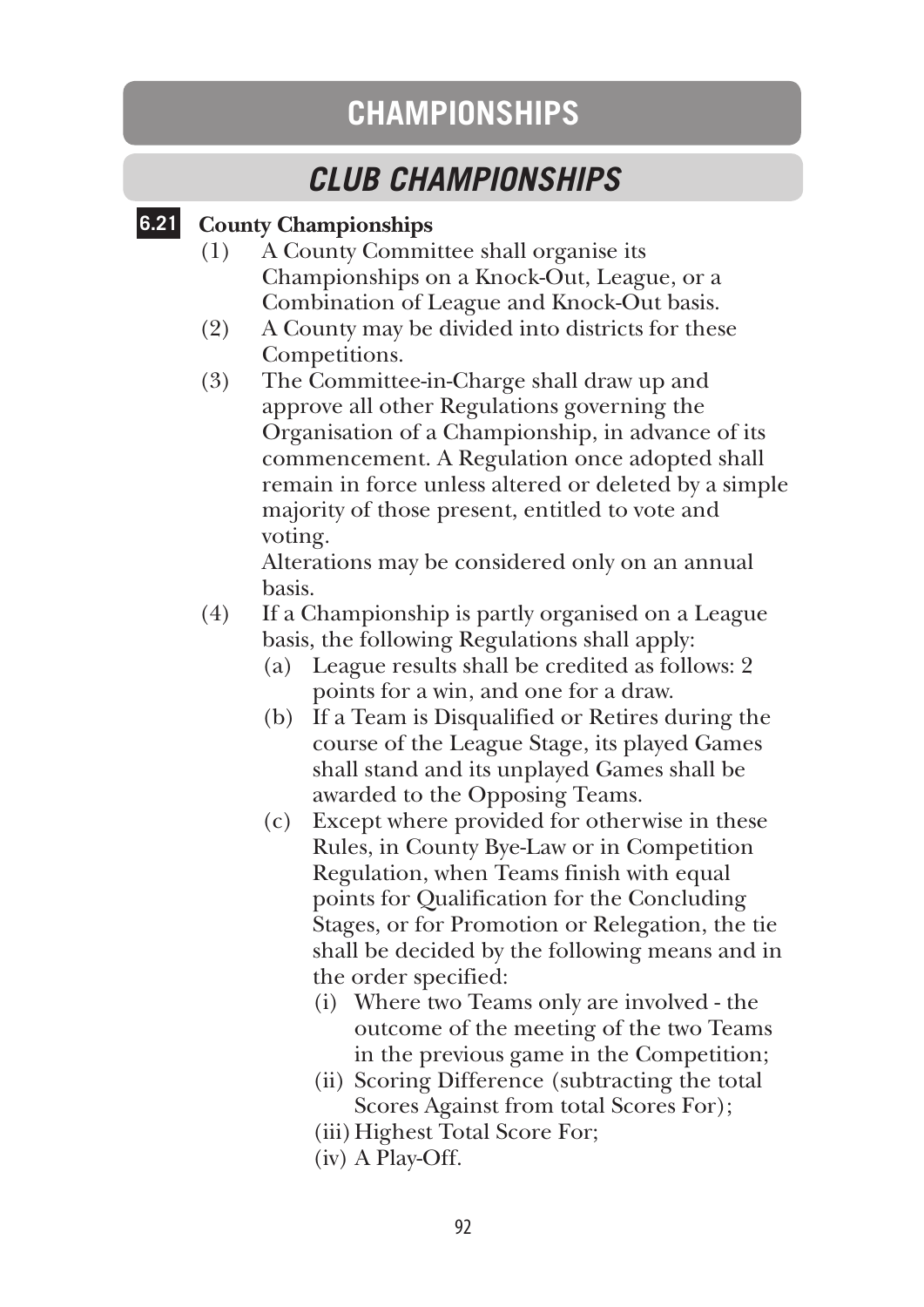# **CHAMPIONSHIPS**

# *CLUB CHAMPIONSHIPS*

### **6.21 County Championships**

- (1) A County Committee shall organise its Championships on a Knock-Out, League, or a Combination of League and Knock-Out basis.
- (2) A County may be divided into districts for these Competitions.
- (3) The Committee-in-Charge shall draw up and approve all other Regulations governing the Organisation of a Championship, in advance of its commencement. A Regulation once adopted shall remain in force unless altered or deleted by a simple majority of those present, entitled to vote and voting.

 Alterations may be considered only on an annual basis.

- (4) If a Championship is partly organised on a League basis, the following Regulations shall apply:
	- (a) League results shall be credited as follows: 2 points for a win, and one for a draw.
	- (b) If a Team is Disqualified or Retires during the course of the League Stage, its played Games shall stand and its unplayed Games shall be awarded to the Opposing Teams.
	- (c) Except where provided for otherwise in these Rules, in County Bye-Law or in Competition Regulation, when Teams finish with equal points for Qualification for the Concluding Stages, or for Promotion or Relegation, the tie shall be decided by the following means and in the order specified:
		- (i) Where two Teams only are involved the outcome of the meeting of the two Teams in the previous game in the Competition;
		- (ii) Scoring Difference (subtracting the total Scores Against from total Scores For);
		- (iii) Highest Total Score For;
		- (iv) A Play-Off.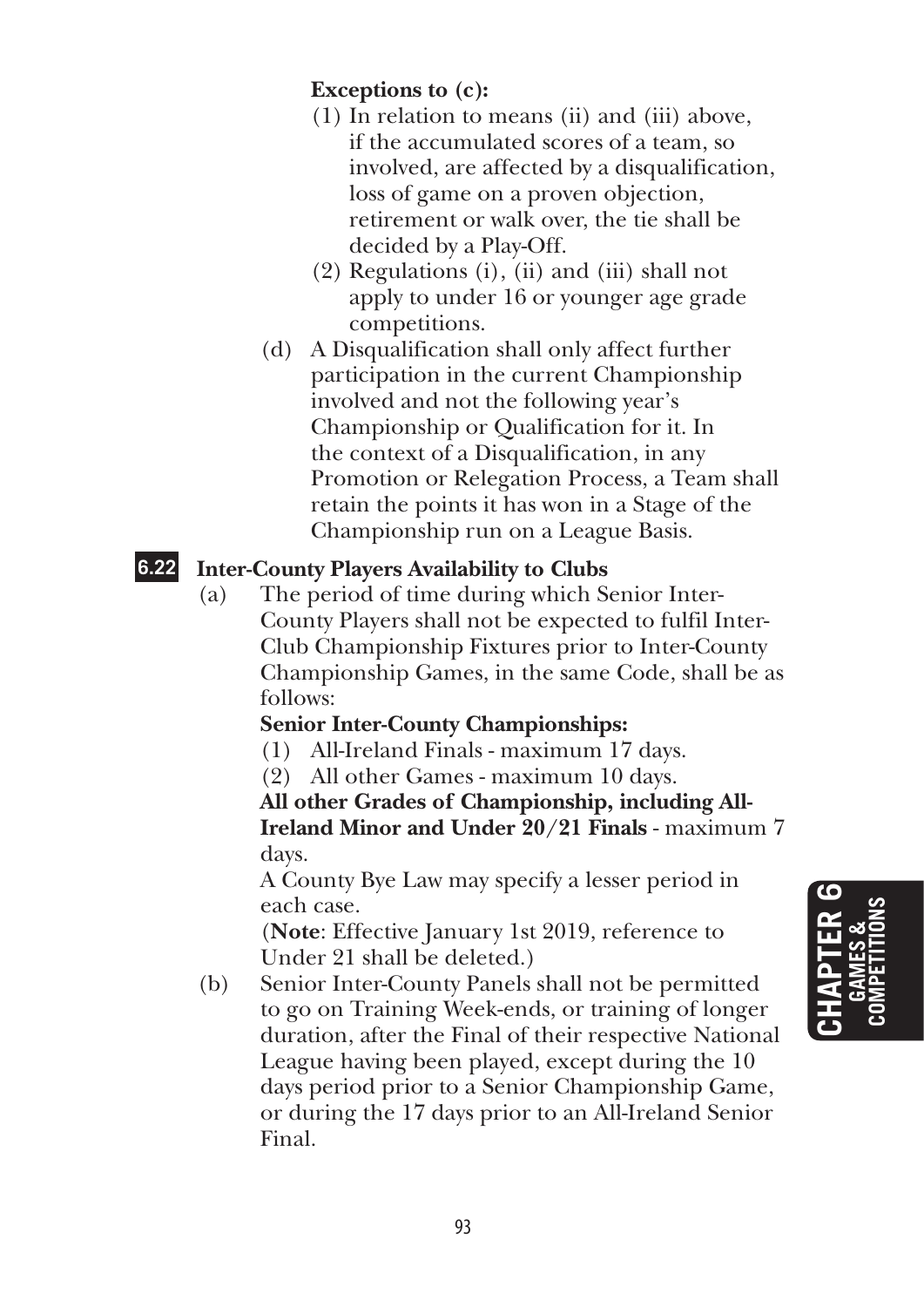## **Exceptions to (c):**

- (1) In relation to means (ii) and (iii) above, if the accumulated scores of a team, so involved, are affected by a disqualification, loss of game on a proven objection, retirement or walk over, the tie shall be decided by a Play-Off.
- (2) Regulations (i), (ii) and (iii) shall not apply to under 16 or younger age grade competitions.
- (d) A Disqualification shall only affect further participation in the current Championship involved and not the following year's Championship or Qualification for it. In the context of a Disqualification, in any Promotion or Relegation Process, a Team shall retain the points it has won in a Stage of the Championship run on a League Basis.

# **6.22 Inter-County Players Availability to Clubs**

(a) The period of time during which Senior Inter-County Players shall not be expected to fulfil Inter-Club Championship Fixtures prior to Inter-County Championship Games, in the same Code, shall be as follows:

# **Senior Inter-County Championships:**

- (1) All-Ireland Finals maximum 17 days.
- (2) All other Games maximum 10 days.

**All other Grades of Championship, including All-Ireland Minor and Under 20/21 Finals** - maximum 7 days.

 A County Bye Law may specify a lesser period in each case.

 (**Note**: Effective January 1st 2019, reference to Under 21 shall be deleted.)

(b) Senior Inter-County Panels shall not be permitted to go on Training Week-ends, or training of longer duration, after the Final of their respective National League having been played, except during the 10 days period prior to a Senior Championship Game, or during the 17 days prior to an All-Ireland Senior Final.

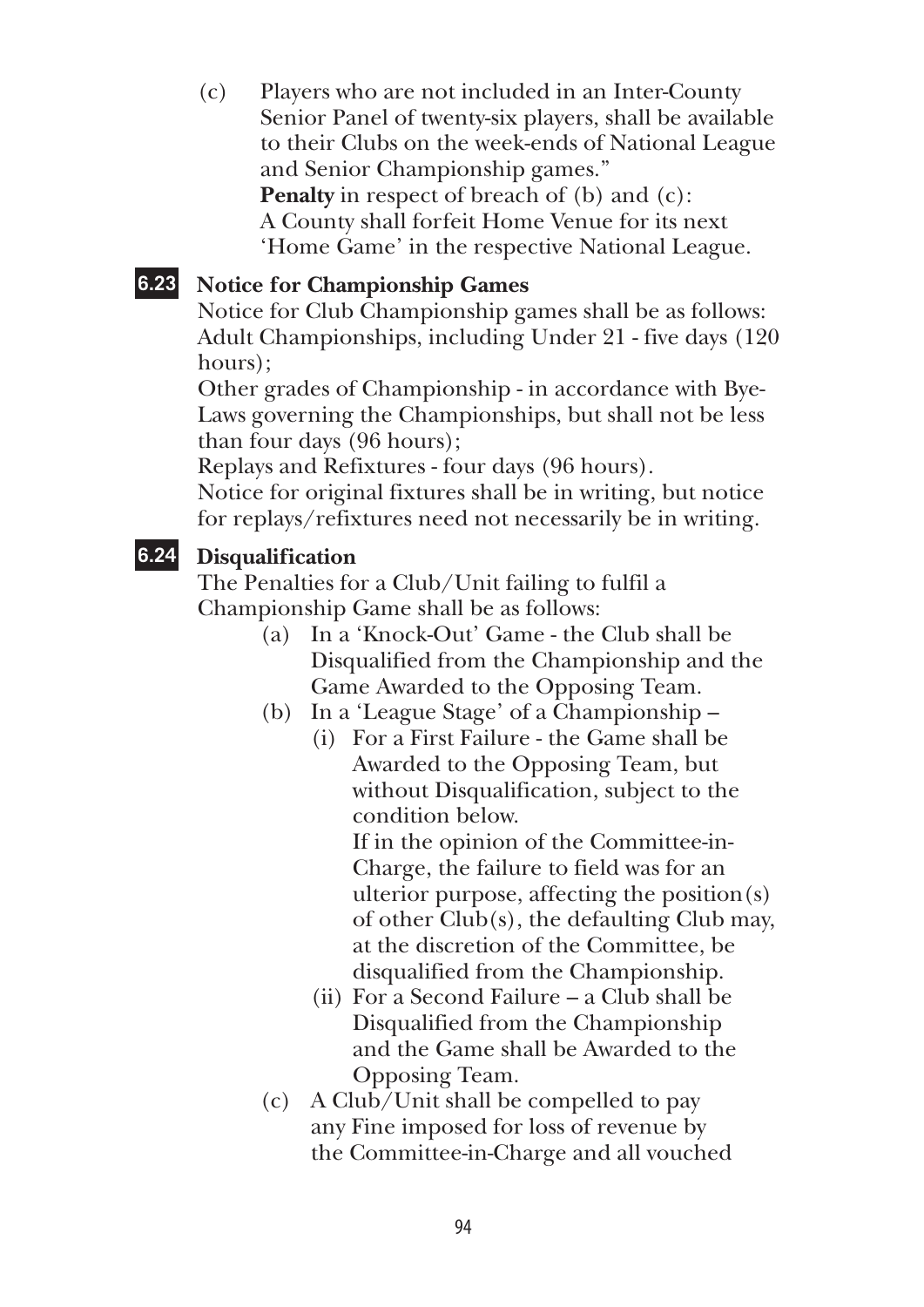(c) Players who are not included in an Inter-County Senior Panel of twenty-six players, shall be available to their Clubs on the week-ends of National League and Senior Championship games." **Penalty** in respect of breach of (b) and (c): A County shall forfeit Home Venue for its next 'Home Game' in the respective National League.

# **6.23 Notice for Championship Games**

Notice for Club Championship games shall be as follows: Adult Championships, including Under 21 - five days (120 hours);

Other grades of Championship - in accordance with Bye-Laws governing the Championships, but shall not be less than four days (96 hours);

Replays and Refixtures - four days (96 hours).

Notice for original fixtures shall be in writing, but notice for replays/refixtures need not necessarily be in writing.

# **6.24 Disqualification**

The Penalties for a Club/Unit failing to fulfil a Championship Game shall be as follows:

- (a) In a 'Knock-Out' Game the Club shall be Disqualified from the Championship and the Game Awarded to the Opposing Team.
- (b) In a 'League Stage' of a Championship
	- (i) For a First Failure the Game shall be Awarded to the Opposing Team, but without Disqualification, subject to the condition below.

 If in the opinion of the Committee-in-Charge, the failure to field was for an ulterior purpose, affecting the position(s) of other Club(s), the defaulting Club may, at the discretion of the Committee, be disqualified from the Championship.

- (ii) For a Second Failure a Club shall be Disqualified from the Championship and the Game shall be Awarded to the Opposing Team.
- (c) A Club/Unit shall be compelled to pay any Fine imposed for loss of revenue by the Committee-in-Charge and all vouched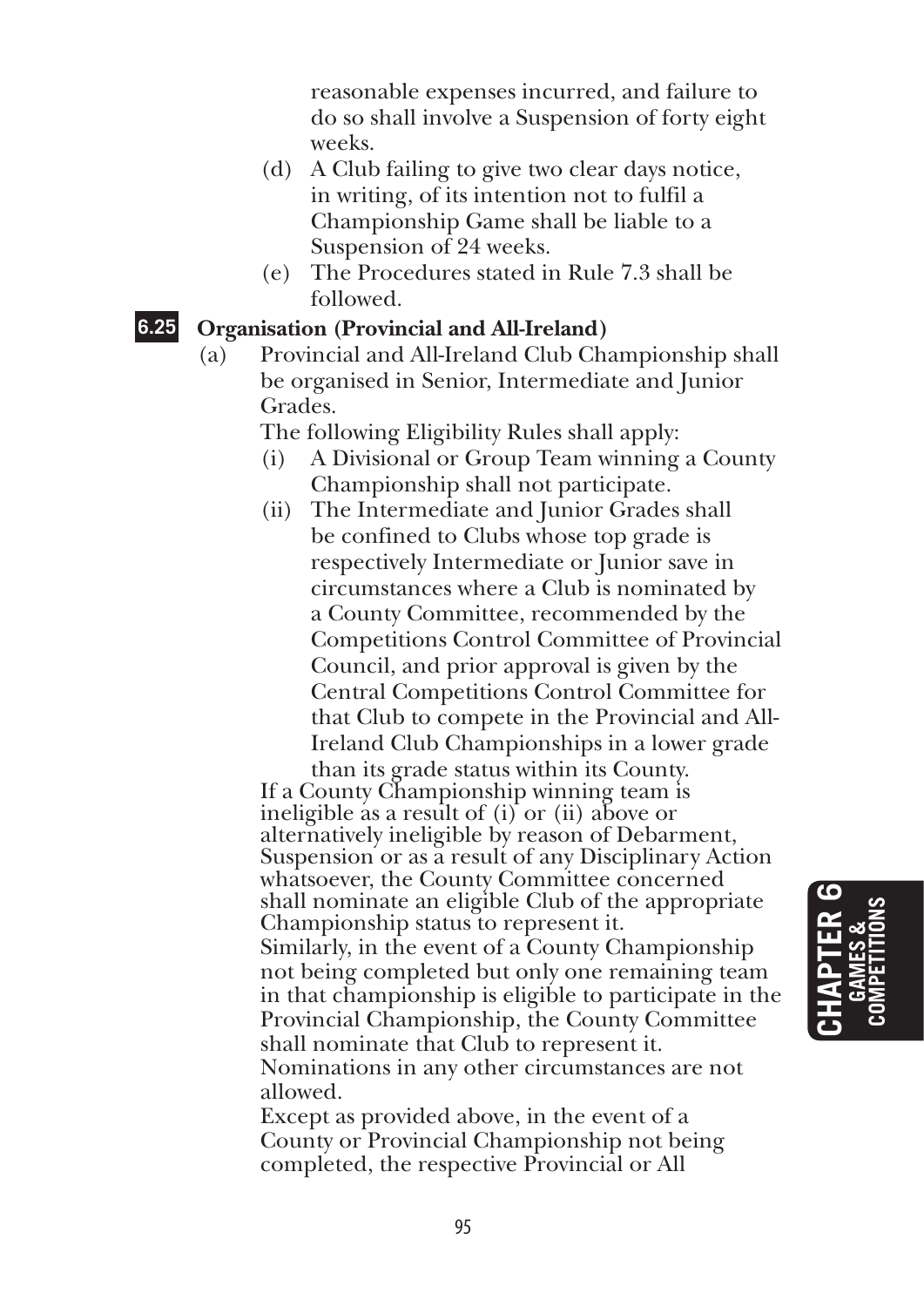reasonable expenses incurred, and failure to do so shall involve a Suspension of forty eight weeks.

- (d) A Club failing to give two clear days notice, in writing, of its intention not to fulfil a Championship Game shall be liable to a Suspension of 24 weeks.
- (e) The Procedures stated in Rule 7.3 shall be followed.

#### **6.25 Organisation (Provincial and All-Ireland)**

(a) Provincial and All-Ireland Club Championship shall be organised in Senior, Intermediate and Junior Grades.

The following Eligibility Rules shall apply:

- (i) A Divisional or Group Team winning a County Championship shall not participate.
- (ii) The Intermediate and Junior Grades shall be confined to Clubs whose top grade is respectively Intermediate or Junior save in circumstances where a Club is nominated by a County Committee, recommended by the Competitions Control Committee of Provincial Council, and prior approval is given by the Central Competitions Control Committee for that Club to compete in the Provincial and All-Ireland Club Championships in a lower grade

than its grade status within its County. If a County Championship winning team is ineligible as a result of (i) or (ii) above or alternatively ineligible by reason of Debarment, Suspension or as a result of any Disciplinary Action whatsoever, the County Committee concerned shall nominate an eligible Club of the appropriate Championship status to represent it. Similarly, in the event of a County Championship not being completed but only one remaining team in that championship is eligible to participate in the Provincial Championship, the County Committee shall nominate that Club to represent it. Nominations in any other circumstances are not allowed.

 Except as provided above, in the event of a County or Provincial Championship not being completed, the respective Provincial or All

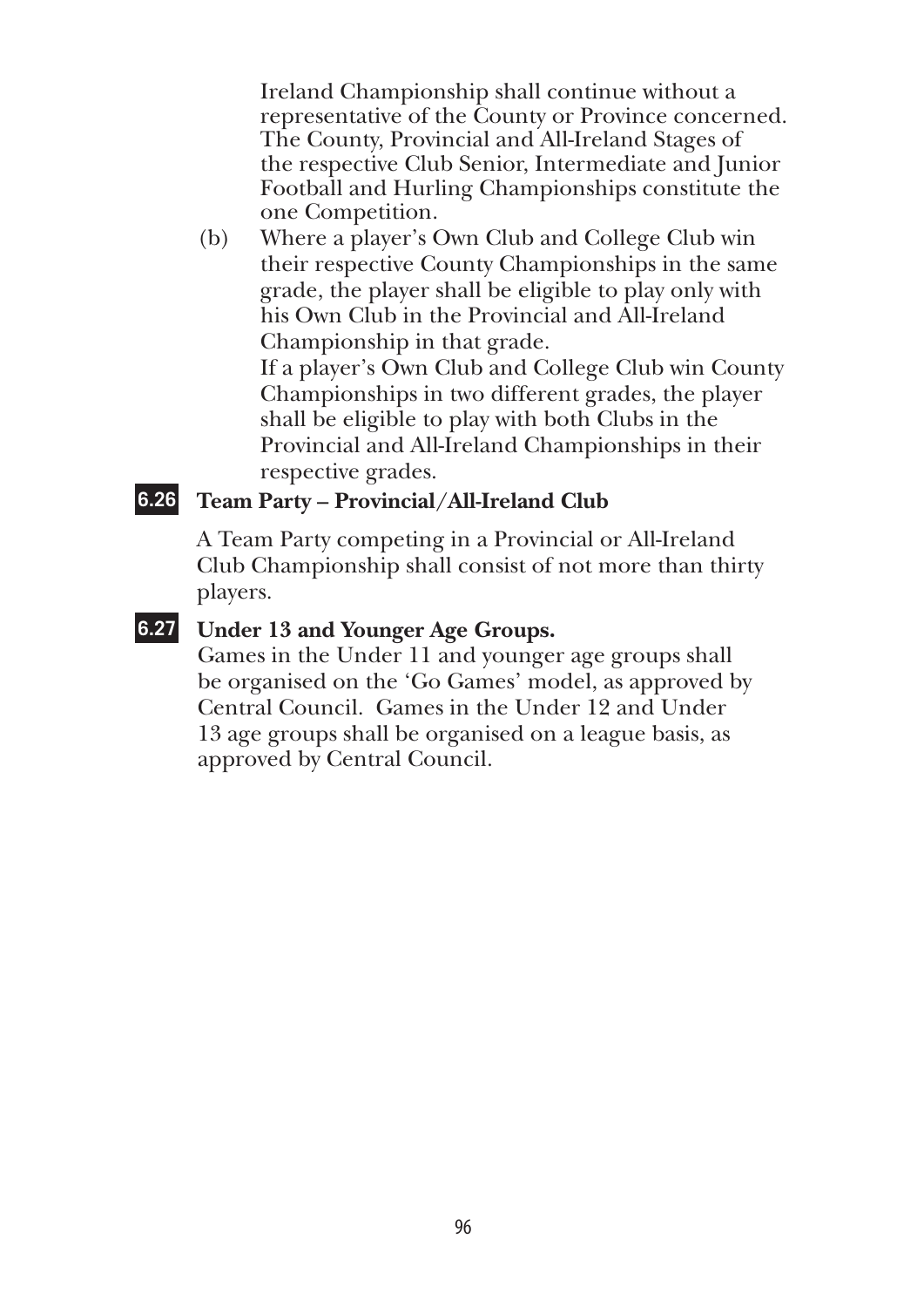Ireland Championship shall continue without a representative of the County or Province concerned. The County, Provincial and All-Ireland Stages of the respective Club Senior, Intermediate and Junior Football and Hurling Championships constitute the one Competition.

(b) Where a player's Own Club and College Club win their respective County Championships in the same grade, the player shall be eligible to play only with his Own Club in the Provincial and All-Ireland Championship in that grade. If a player's Own Club and College Club win County

Championships in two different grades, the player shall be eligible to play with both Clubs in the Provincial and All-Ireland Championships in their respective grades.

#### **6.26 Team Party – Provincial/All-Ireland Club**

 A Team Party competing in a Provincial or All-Ireland Club Championship shall consist of not more than thirty players.

### **6.27 Under 13 and Younger Age Groups.**

Games in the Under 11 and younger age groups shall be organised on the 'Go Games' model, as approved by Central Council. Games in the Under 12 and Under 13 age groups shall be organised on a league basis, as approved by Central Council.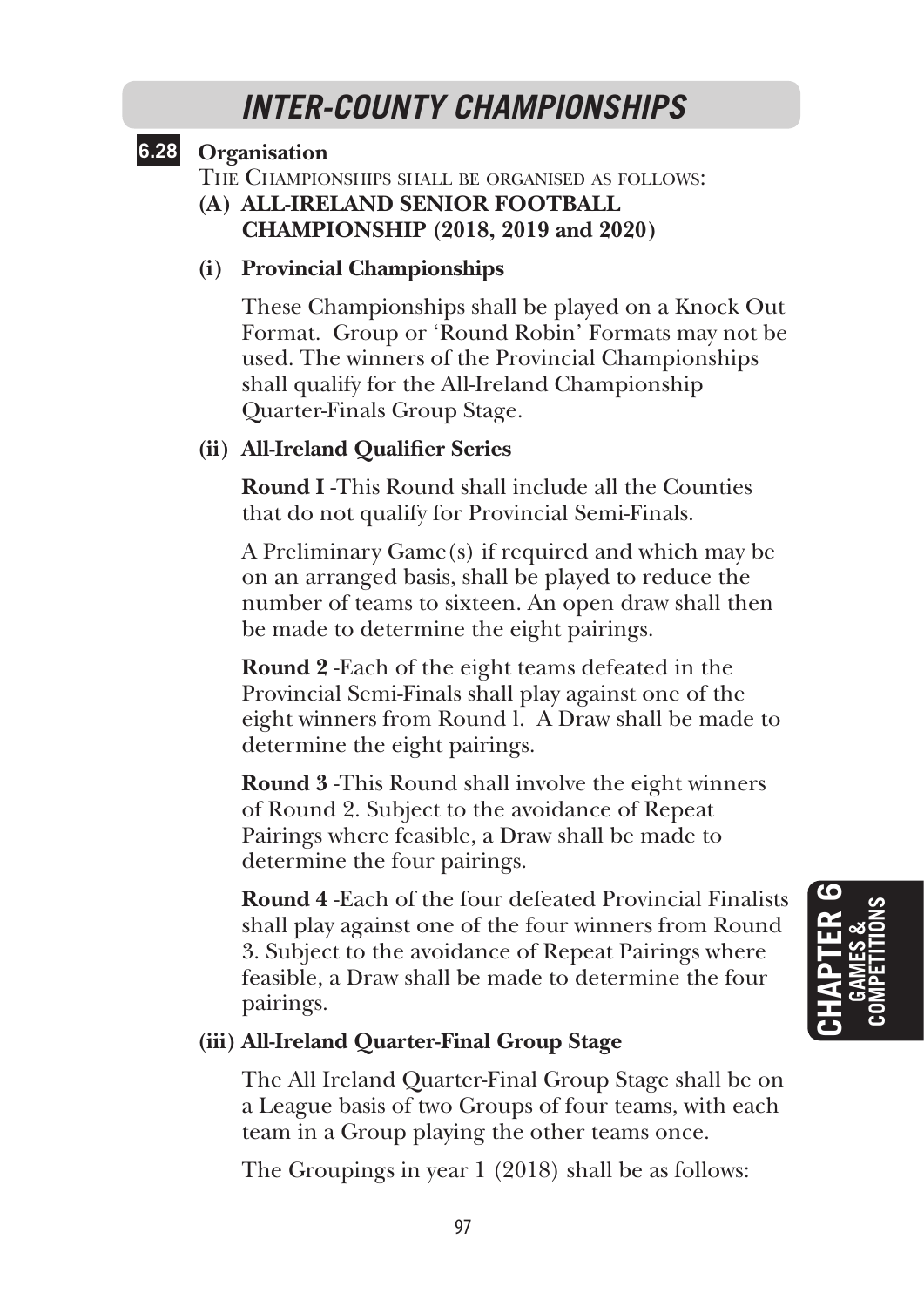# *INTER-COUNTY CHAMPIONSHIPS*

# **6.28 Organisation**

The Championships shall be organised as follows:

**(A) All-Ireland Senior Football Championship (2018, 2019 and 2020)**

#### **(i) Provincial Championships**

 These Championships shall be played on a Knock Out Format. Group or 'Round Robin' Formats may not be used. The winners of the Provincial Championships shall qualify for the All-Ireland Championship Quarter-Finals Group Stage.

#### **(ii) All-Ireland Qualifier Series**

 **Round I** -This Round shall include all the Counties that do not qualify for Provincial Semi-Finals.

 A Preliminary Game(s) if required and which may be on an arranged basis, shall be played to reduce the number of teams to sixteen. An open draw shall then be made to determine the eight pairings.

 **Round 2** -Each of the eight teams defeated in the Provincial Semi-Finals shall play against one of the eight winners from Round l. A Draw shall be made to determine the eight pairings.

 **Round 3** -This Round shall involve the eight winners of Round 2. Subject to the avoidance of Repeat Pairings where feasible, a Draw shall be made to determine the four pairings.

 **Round 4** -Each of the four defeated Provincial Finalists shall play against one of the four winners from Round 3. Subject to the avoidance of Repeat Pairings where feasible, a Draw shall be made to determine the four pairings.

#### **(iii) All-Ireland Quarter-Final Group Stage**

 The All Ireland Quarter-Final Group Stage shall be on a League basis of two Groups of four teams, with each team in a Group playing the other teams once.

The Groupings in year 1 (2018) shall be as follows: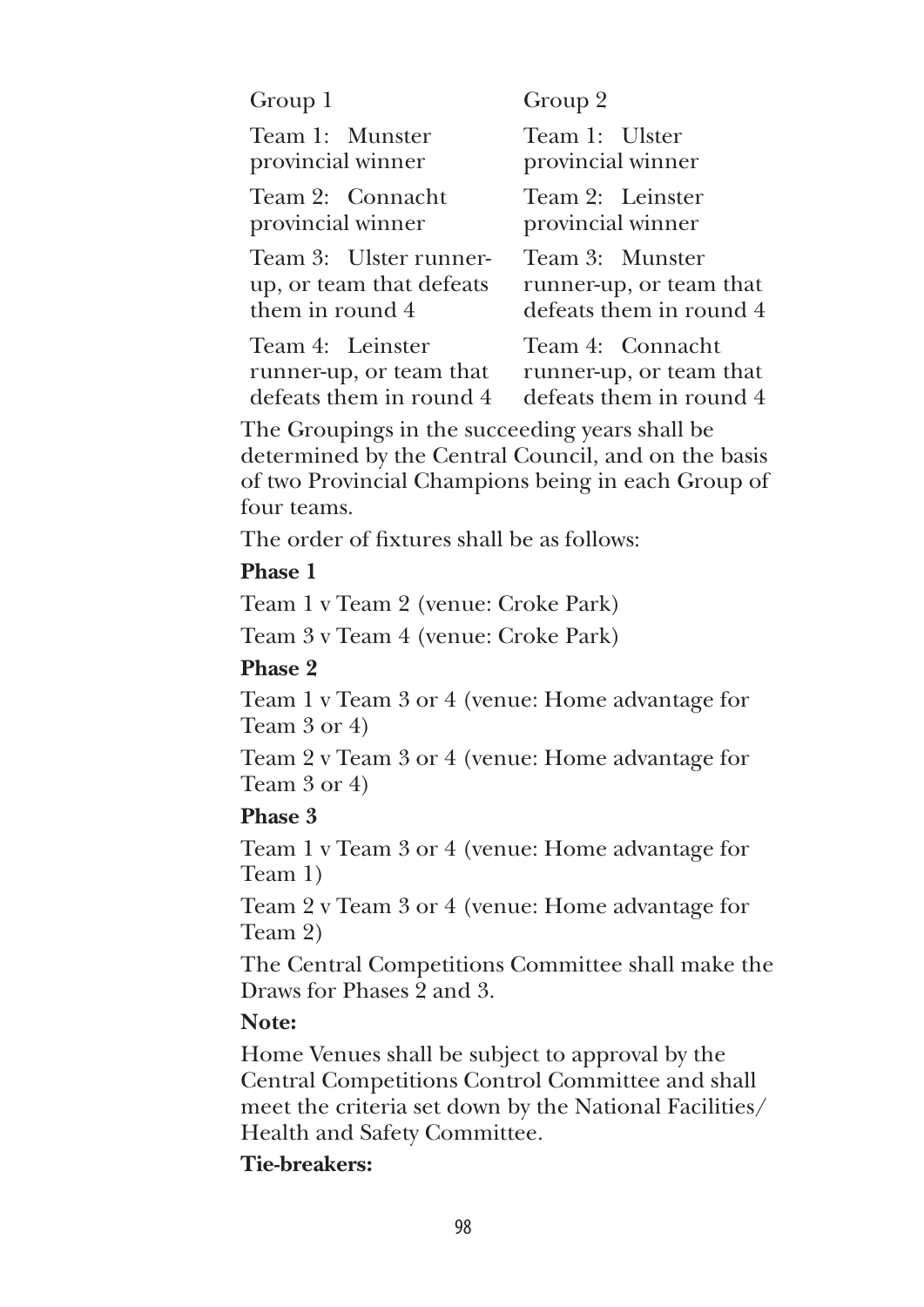| Group 1                                                                                                                                                                    | Group 2                                                                |
|----------------------------------------------------------------------------------------------------------------------------------------------------------------------------|------------------------------------------------------------------------|
| Team 1: Munster<br>provincial winner                                                                                                                                       | Team 1: Ulster<br>provincial winner                                    |
| Team 2: Connacht<br>provincial winner                                                                                                                                      | Team 2: Leinster<br>provincial winner                                  |
| Team 3: Ulster runner-<br>up, or team that defeats<br>them in round 4                                                                                                      | Team 3: Munster<br>runner-up, or team that<br>defeats them in round 4  |
| Team 4: Leinster<br>runner-up, or team that<br>defeats them in round 4                                                                                                     | Team 4: Connacht<br>runner-up, or team that<br>defeats them in round 4 |
| The Groupings in the succeeding years shall be<br>determined by the Central Council, and on the basis<br>of two Provincial Champions being in each Group of<br>four teams. |                                                                        |
| The order of fixtures shall be as follows:                                                                                                                                 |                                                                        |
| <b>Phase 1</b>                                                                                                                                                             |                                                                        |
| Team 1 v Team 2 (venue: Croke Park)                                                                                                                                        |                                                                        |
| Team 3 v Team 4 (venue: Croke Park)                                                                                                                                        |                                                                        |
| Phase 2                                                                                                                                                                    |                                                                        |
| Team 1 v Team 3 or 4 (venue: Home advantage for<br>Team 3 or 4)                                                                                                            |                                                                        |
| Team 2 v Team 3 or 4 (venue: Home advantage for<br>Team 3 or 4)                                                                                                            |                                                                        |
| Phase 3                                                                                                                                                                    |                                                                        |
| Team 1 v Team 3 or 4 (venue: Home advantage for<br>Team 1)                                                                                                                 |                                                                        |
| Team 2 v Team 3 or 4 (venue: Home advantage for<br>Team 2)                                                                                                                 |                                                                        |
| The Control Competitions Committee shall make the                                                                                                                          |                                                                        |

 The Central Competitions Committee shall make the Draws for Phases 2 and 3.

#### **Note:**

 Home Venues shall be subject to approval by the Central Competitions Control Committee and shall meet the criteria set down by the National Facilities/ Health and Safety Committee.

#### **Tie-breakers:**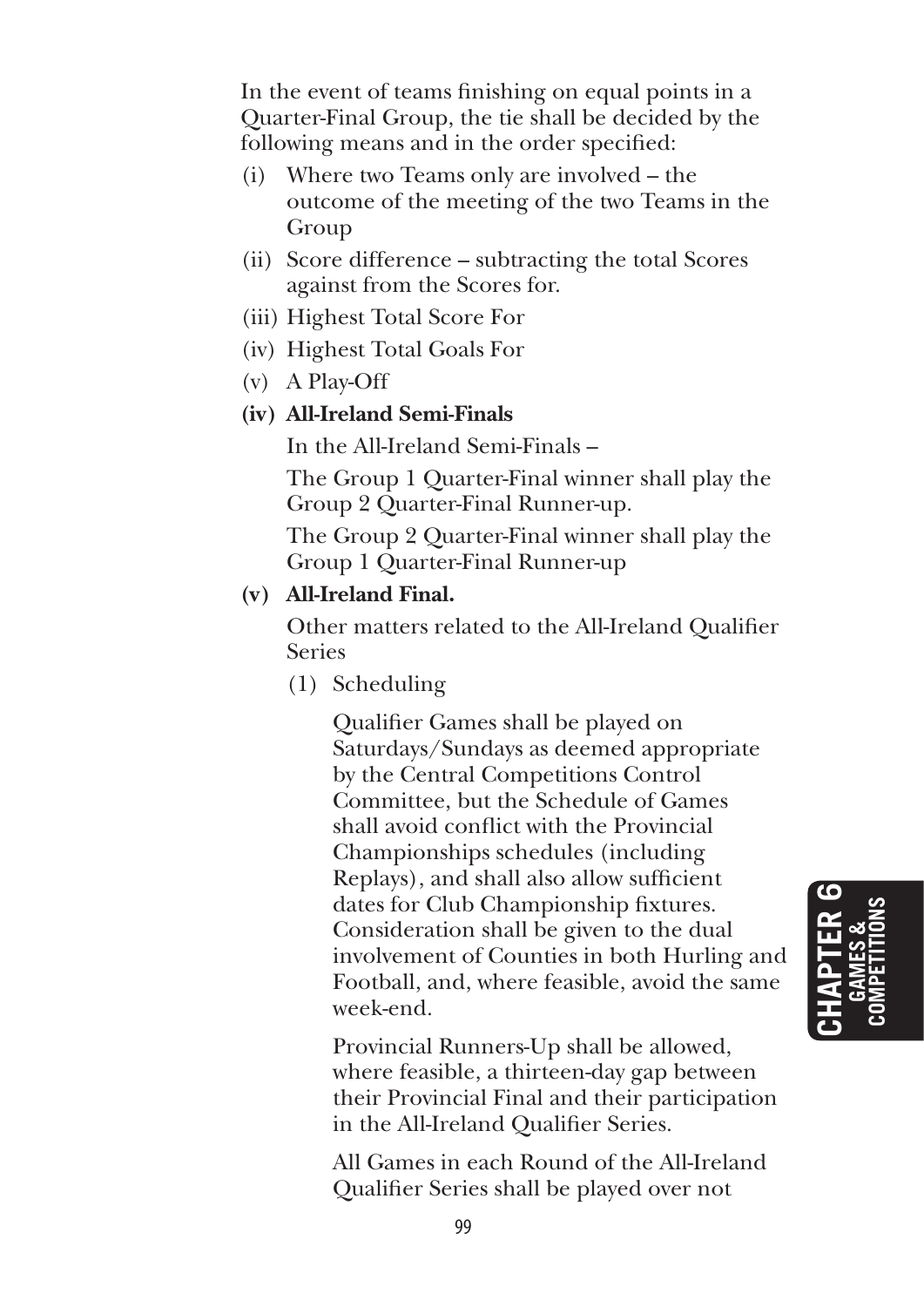In the event of teams finishing on equal points in a Quarter-Final Group, the tie shall be decided by the following means and in the order specified:

- (i) Where two Teams only are involved the outcome of the meeting of the two Teams in the Group
- (ii) Score difference subtracting the total Scores against from the Scores for.
- (iii) Highest Total Score For
- (iv) Highest Total Goals For
- (v) A Play-Off

#### **(iv) All-Ireland Semi-Finals**

In the All-Ireland Semi-Finals –

 The Group 1 Quarter-Final winner shall play the Group 2 Quarter-Final Runner-up.

 The Group 2 Quarter-Final winner shall play the Group 1 Quarter-Final Runner-up

#### **(v) All-Ireland Final.**

 Other matters related to the All-Ireland Qualifier Series

(1) Scheduling

 Qualifier Games shall be played on Saturdays/Sundays as deemed appropriate by the Central Competitions Control Committee, but the Schedule of Games shall avoid conflict with the Provincial Championships schedules (including Replays), and shall also allow sufficient dates for Club Championship fixtures. Consideration shall be given to the dual involvement of Counties in both Hurling and Football, and, where feasible, avoid the same week-end.

 Provincial Runners-Up shall be allowed, where feasible, a thirteen-day gap between their Provincial Final and their participation in the All-Ireland Qualifier Series.

 All Games in each Round of the All-Ireland Qualifier Series shall be played over not

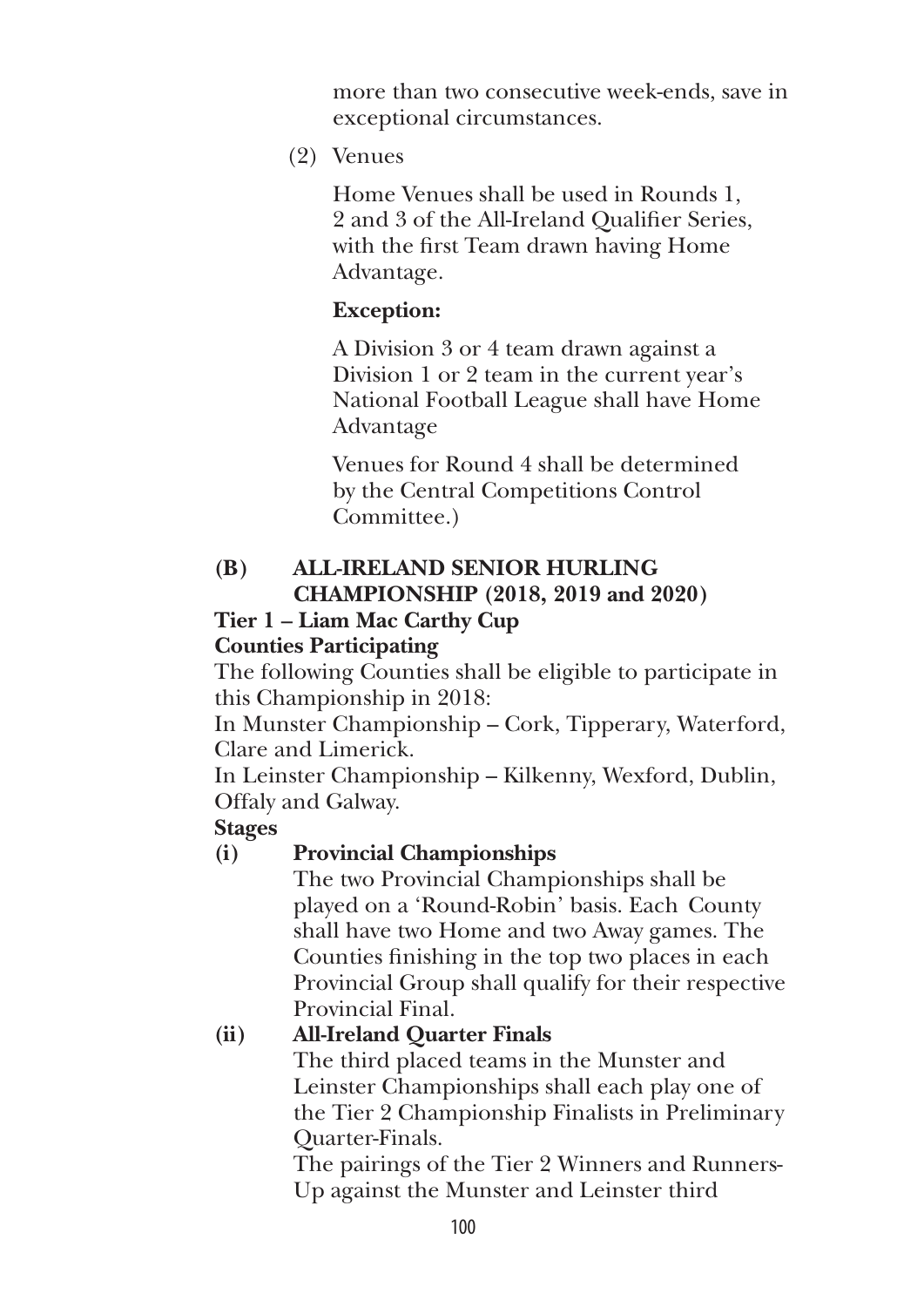more than two consecutive week-ends, save in exceptional circumstances.

(2) Venues

 Home Venues shall be used in Rounds 1, 2 and 3 of the All-Ireland Qualifier Series, with the first Team drawn having Home Advantage.

# **Exception:**

 A Division 3 or 4 team drawn against a Division 1 or 2 team in the current year's National Football League shall have Home Advantage

 Venues for Round 4 shall be determined by the Central Competitions Control Committee.)

# **(B) All-Ireland Senior Hurling Championship (2018, 2019 and 2020)**

# **Tier 1 – Liam Mac Carthy Cup**

# **Counties Participating**

 The following Counties shall be eligible to participate in this Championship in 2018:

 In Munster Championship – Cork, Tipperary, Waterford, Clare and Limerick.

 In Leinster Championship – Kilkenny, Wexford, Dublin, Offaly and Galway.

# **Stages**

# **(i) Provincial Championships**

 The two Provincial Championships shall be played on a 'Round-Robin' basis. Each County shall have two Home and two Away games. The Counties finishing in the top two places in each Provincial Group shall qualify for their respective Provincial Final.

# **(ii) All-Ireland Quarter Finals**

 The third placed teams in the Munster and Leinster Championships shall each play one of the Tier 2 Championship Finalists in Preliminary Quarter-Finals.

 The pairings of the Tier 2 Winners and Runners-Up against the Munster and Leinster third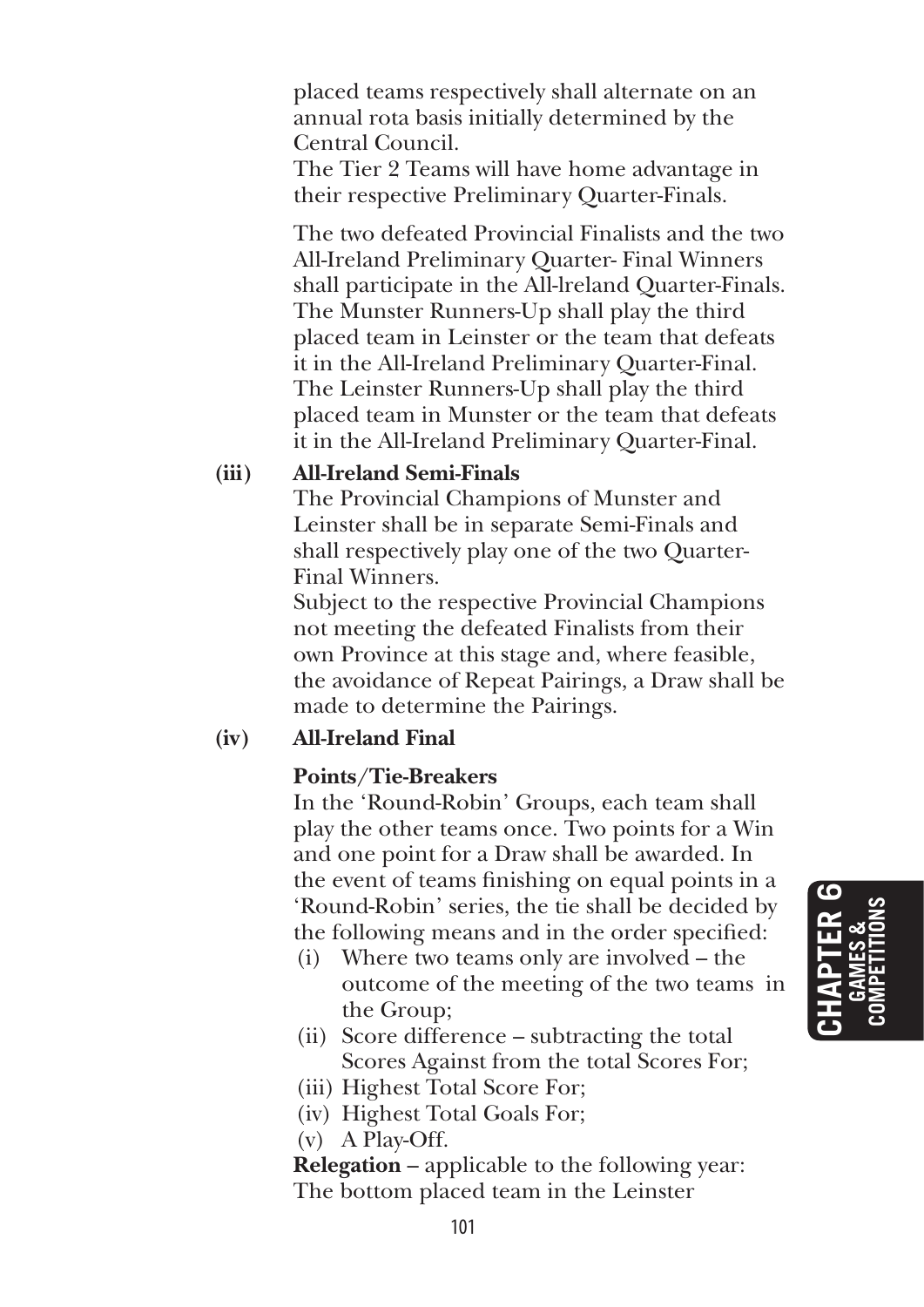placed teams respectively shall alternate on an annual rota basis initially determined by the Central Council.

 The Tier 2 Teams will have home advantage in their respective Preliminary Quarter-Finals.

 The two defeated Provincial Finalists and the two All-Ireland Preliminary Quarter- Final Winners shall participate in the All-lreland Quarter-Finals. The Munster Runners-Up shall play the third placed team in Leinster or the team that defeats it in the All-Ireland Preliminary Quarter-Final. The Leinster Runners-Up shall play the third placed team in Munster or the team that defeats it in the All-Ireland Preliminary Quarter-Final.

### **(iii) All-Ireland Semi-Finals**

 The Provincial Champions of Munster and Leinster shall be in separate Semi-Finals and shall respectively play one of the two Quarter-Final Winners.

 Subject to the respective Provincial Champions not meeting the defeated Finalists from their own Province at this stage and, where feasible, the avoidance of Repeat Pairings, a Draw shall be made to determine the Pairings.

# **(iv) All-Ireland Final**

# **Points/Tie-Breakers**

 In the 'Round-Robin' Groups, each team shall play the other teams once. Two points for a Win and one point for a Draw shall be awarded. In the event of teams finishing on equal points in a 'Round-Robin' series, the tie shall be decided by the following means and in the order specified:

- (i) Where two teams only are involved the outcome of the meeting of the two teams in the Group;
- (ii) Score difference subtracting the total Scores Against from the total Scores For;
- (iii) Highest Total Score For;
- (iv) Highest Total Goals For;

(v) A Play-Off.

 **Relegation** – applicable to the following year: The bottom placed team in the Leinster

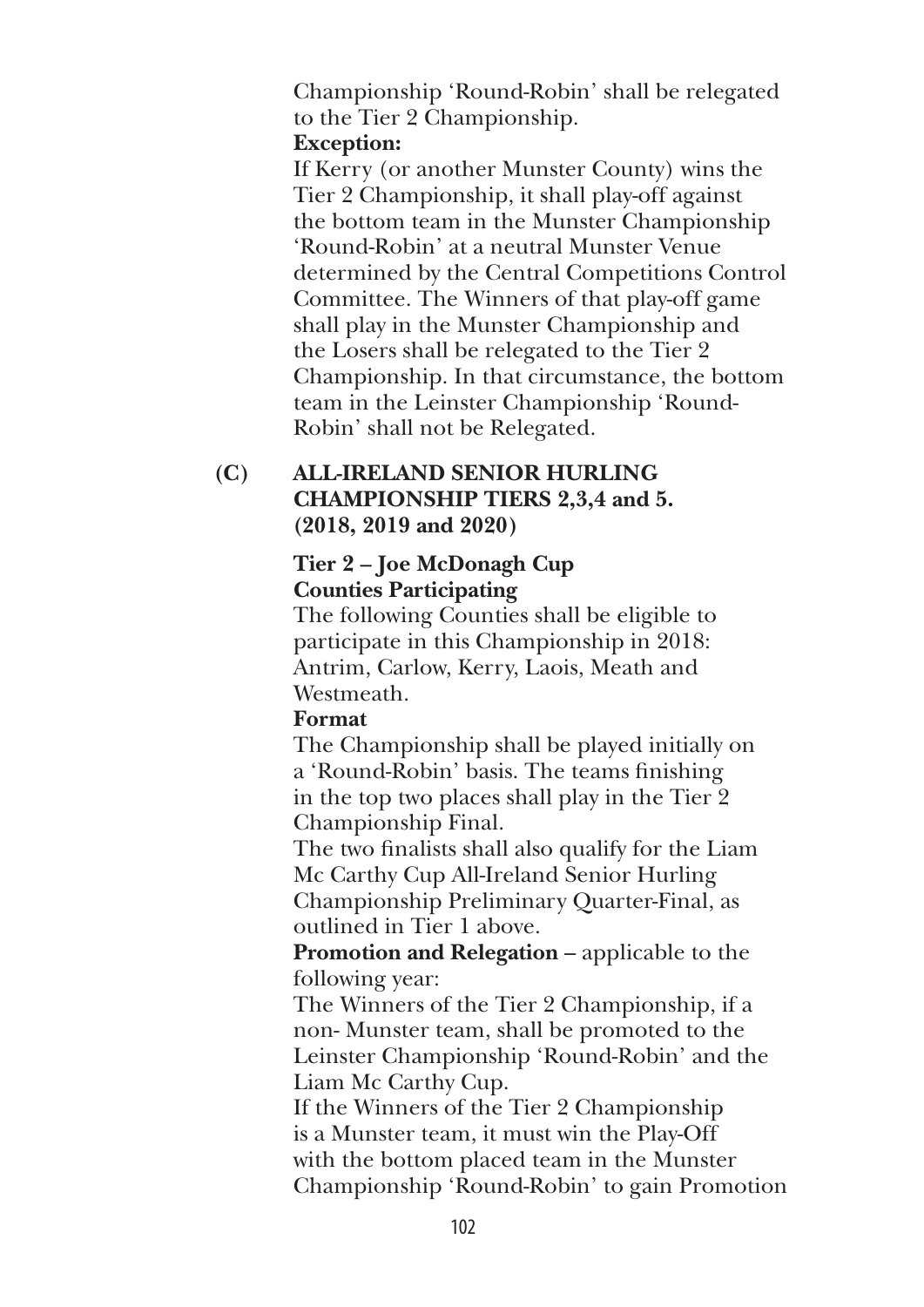Championship 'Round-Robin' shall be relegated to the Tier 2 Championship.  **Exception:** 

 If Kerry (or another Munster County) wins the Tier 2 Championship, it shall play-off against the bottom team in the Munster Championship 'Round-Robin' at a neutral Munster Venue determined by the Central Competitions Control Committee. The Winners of that play-off game shall play in the Munster Championship and the Losers shall be relegated to the Tier 2 Championship. In that circumstance, the bottom team in the Leinster Championship 'Round-Robin' shall not be Relegated.

### **(C) All-Ireland Senior Hurling Championship Tiers 2,3,4 and 5. (2018, 2019 and 2020)**

## **Tier 2 – Joe McDonagh Cup Counties Participating**

 The following Counties shall be eligible to participate in this Championship in 2018: Antrim, Carlow, Kerry, Laois, Meath and Westmeath.

# **Format**

 The Championship shall be played initially on a 'Round-Robin' basis. The teams finishing in the top two places shall play in the Tier 2 Championship Final.

 The two finalists shall also qualify for the Liam Mc Carthy Cup All-Ireland Senior Hurling Championship Preliminary Quarter-Final, as outlined in Tier 1 above.

**Promotion and Relegation** – applicable to the following year:

 The Winners of the Tier 2 Championship, if a non- Munster team, shall be promoted to the Leinster Championship 'Round-Robin' and the Liam Mc Carthy Cup.

 If the Winners of the Tier 2 Championship is a Munster team, it must win the Play-Off with the bottom placed team in the Munster Championship 'Round-Robin' to gain Promotion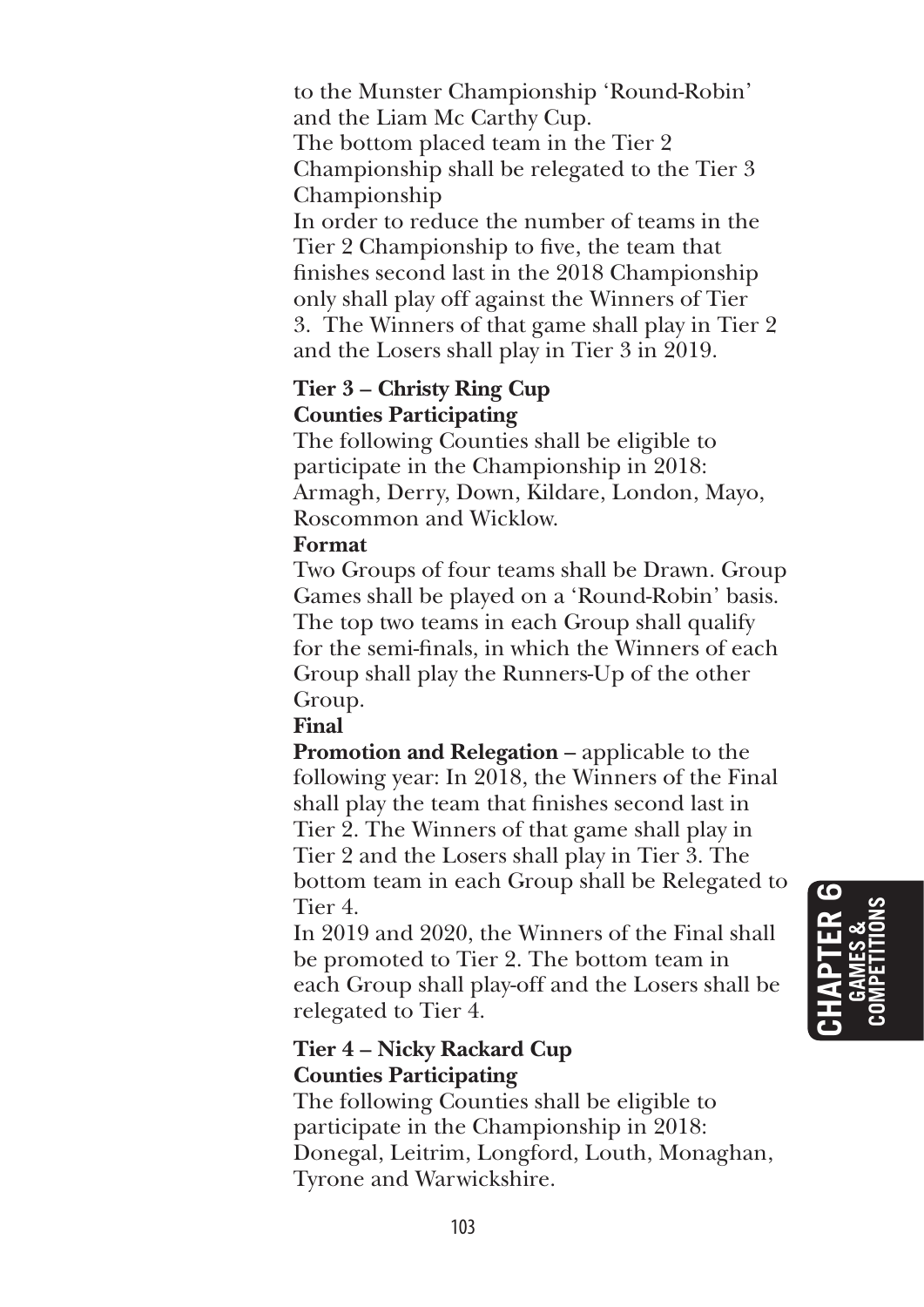to the Munster Championship 'Round-Robin' and the Liam Mc Carthy Cup. The bottom placed team in the Tier 2 Championship shall be relegated to the Tier 3 Championship In order to reduce the number of teams in the

Tier 2 Championship to five, the team that finishes second last in the 2018 Championship only shall play off against the Winners of Tier 3. The Winners of that game shall play in Tier 2 and the Losers shall play in Tier 3 in 2019.

#### **Tier 3 – Christy Ring Cup Counties Participating**

 The following Counties shall be eligible to participate in the Championship in 2018: Armagh, Derry, Down, Kildare, London, Mayo, Roscommon and Wicklow.

# **Format**

 Two Groups of four teams shall be Drawn. Group Games shall be played on a 'Round-Robin' basis. The top two teams in each Group shall qualify for the semi-finals, in which the Winners of each Group shall play the Runners-Up of the other Group.

# **Final**

**Promotion and Relegation** – applicable to the following year: In 2018, the Winners of the Final shall play the team that finishes second last in Tier 2. The Winners of that game shall play in Tier 2 and the Losers shall play in Tier 3. The bottom team in each Group shall be Relegated to Tier 4.

 In 2019 and 2020, the Winners of the Final shall be promoted to Tier 2. The bottom team in each Group shall play-off and the Losers shall be relegated to Tier 4.

# **Tier 4 – Nicky Rackard Cup Counties Participating**

 The following Counties shall be eligible to participate in the Championship in 2018: Donegal, Leitrim, Longford, Louth, Monaghan, Tyrone and Warwickshire.

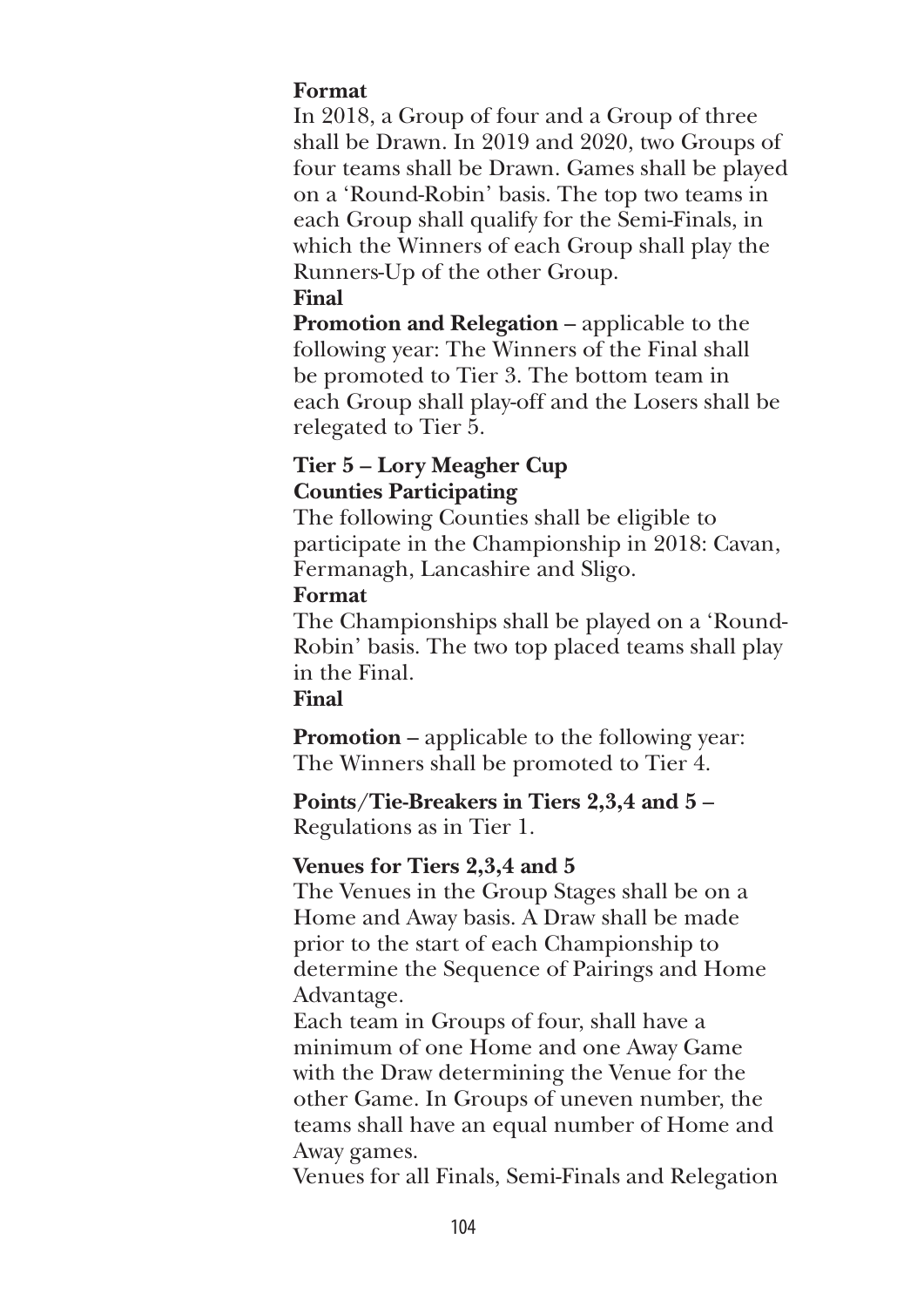#### **Format**

 In 2018, a Group of four and a Group of three shall be Drawn. In 2019 and 2020, two Groups of four teams shall be Drawn. Games shall be played on a 'Round-Robin' basis. The top two teams in each Group shall qualify for the Semi-Finals, in which the Winners of each Group shall play the Runners-Up of the other Group.

#### **Final**

 **Promotion and Relegation** – applicable to the following year: The Winners of the Final shall be promoted to Tier 3. The bottom team in each Group shall play-off and the Losers shall be relegated to Tier 5.

#### **Tier 5 – Lory Meagher Cup Counties Participating**

 The following Counties shall be eligible to participate in the Championship in 2018: Cavan, Fermanagh, Lancashire and Sligo.

#### **Format**

 The Championships shall be played on a 'Round-Robin' basis. The two top placed teams shall play in the Final.

# **Final**

 **Promotion** – applicable to the following year: The Winners shall be promoted to Tier 4.

 **Points/Tie-Breakers in Tiers 2,3,4 and 5** – Regulations as in Tier 1.

# **Venues for Tiers 2,3,4 and 5**

 The Venues in the Group Stages shall be on a Home and Away basis. A Draw shall be made prior to the start of each Championship to determine the Sequence of Pairings and Home Advantage.

 Each team in Groups of four, shall have a minimum of one Home and one Away Game with the Draw determining the Venue for the other Game. In Groups of uneven number, the teams shall have an equal number of Home and Away games.

Venues for all Finals, Semi-Finals and Relegation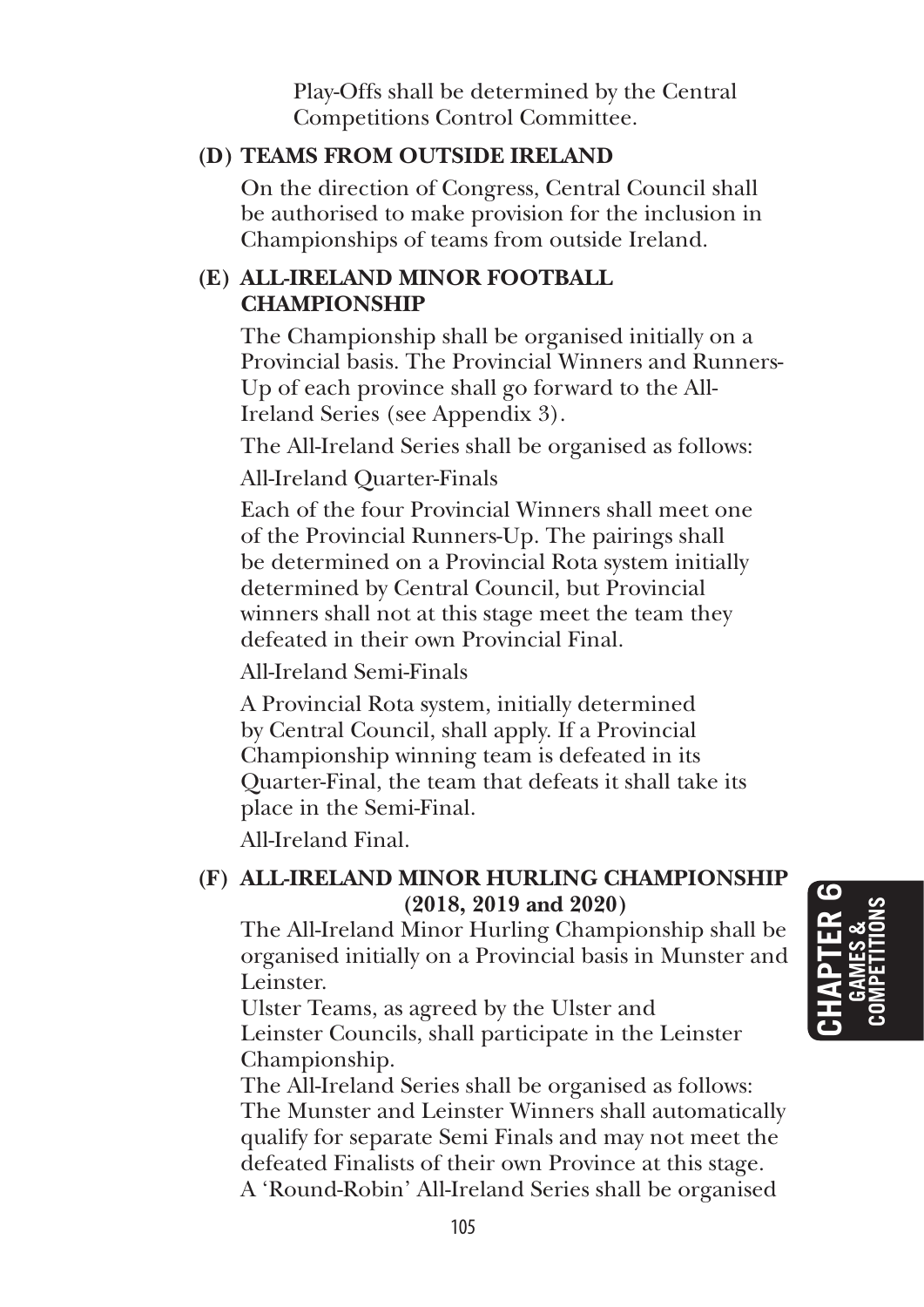Play-Offs shall be determined by the Central Competitions Control Committee.

#### **(D) Teams from Outside Ireland**

 On the direction of Congress, Central Council shall be authorised to make provision for the inclusion in Championships of teams from outside Ireland.

#### **(E) All-Ireland Minor Football Championship**

 The Championship shall be organised initially on a Provincial basis. The Provincial Winners and Runners-Up of each province shall go forward to the All-Ireland Series (see Appendix 3).

The All-Ireland Series shall be organised as follows:

All-Ireland Quarter-Finals

 Each of the four Provincial Winners shall meet one of the Provincial Runners-Up. The pairings shall be determined on a Provincial Rota system initially determined by Central Council, but Provincial winners shall not at this stage meet the team they defeated in their own Provincial Final.

All-Ireland Semi-Finals

 A Provincial Rota system, initially determined by Central Council, shall apply. If a Provincial Championship winning team is defeated in its Quarter-Final, the team that defeats it shall take its place in the Semi-Final.

All-Ireland Final.

# **(F) All-Ireland Minor Hurling Championship (2018, 2019 and 2020)**

 The All-Ireland Minor Hurling Championship shall be organised initially on a Provincial basis in Munster and Leinster.

 Ulster Teams, as agreed by the Ulster and Leinster Councils, shall participate in the Leinster Championship.

 The All-Ireland Series shall be organised as follows: The Munster and Leinster Winners shall automatically qualify for separate Semi Finals and may not meet the defeated Finalists of their own Province at this stage. A 'Round-Robin' All-Ireland Series shall be organised

**Chapter 6 GA MES & COMPETITIONS**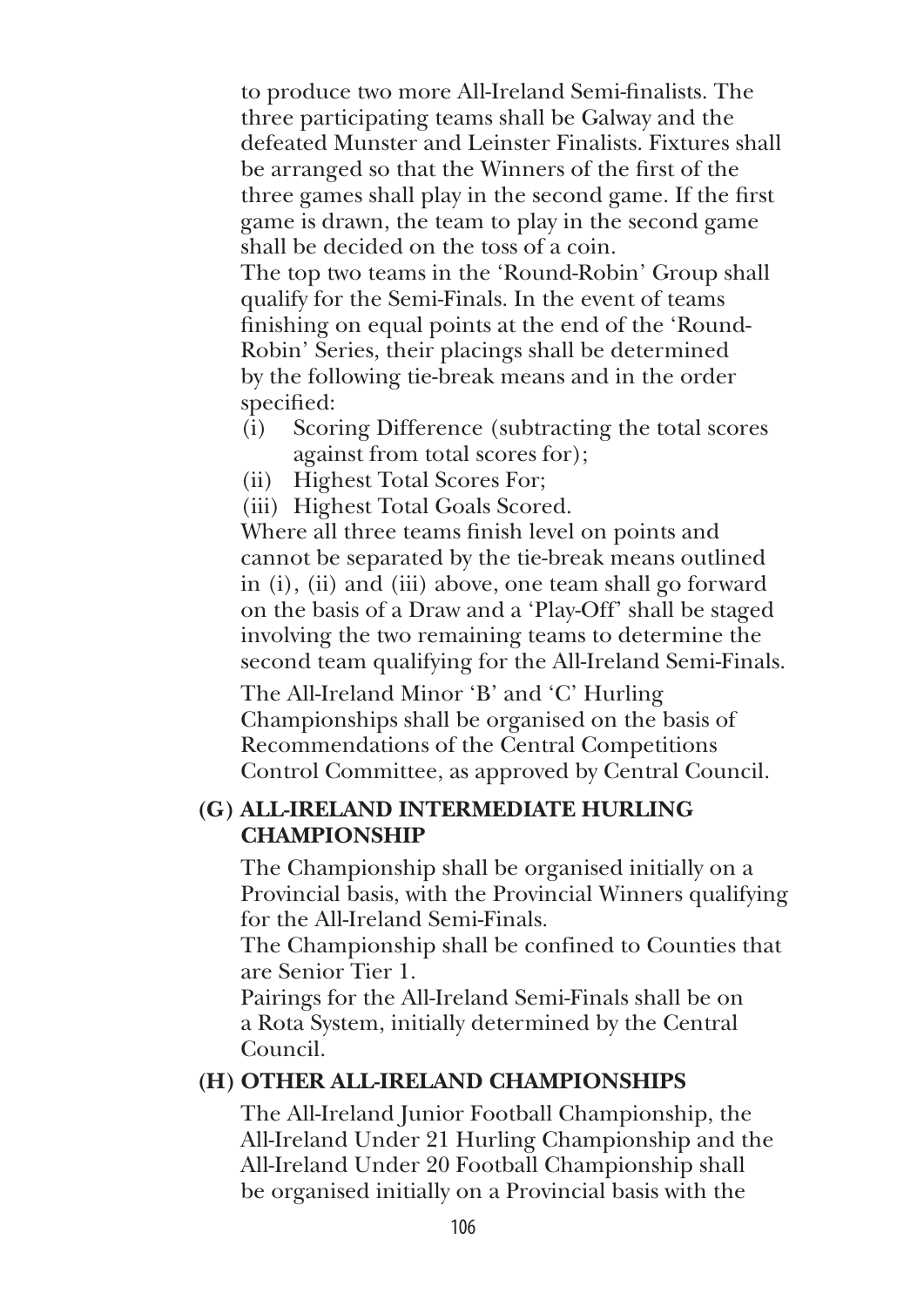to produce two more All-Ireland Semi-finalists. The three participating teams shall be Galway and the defeated Munster and Leinster Finalists. Fixtures shall be arranged so that the Winners of the first of the three games shall play in the second game. If the first game is drawn, the team to play in the second game shall be decided on the toss of a coin.

 The top two teams in the 'Round-Robin' Group shall qualify for the Semi-Finals. In the event of teams finishing on equal points at the end of the 'Round-Robin' Series, their placings shall be determined by the following tie-break means and in the order specified:

- (i) Scoring Difference (subtracting the total scores against from total scores for);
- (ii) Highest Total Scores For;

(iii) Highest Total Goals Scored.

 Where all three teams finish level on points and cannot be separated by the tie-break means outlined in (i), (ii) and (iii) above, one team shall go forward on the basis of a Draw and a 'Play-Off' shall be staged involving the two remaining teams to determine the second team qualifying for the All-Ireland Semi-Finals.

 The All-Ireland Minor 'B' and 'C' Hurling Championships shall be organised on the basis of Recommendations of the Central Competitions Control Committee, as approved by Central Council.

#### **(G) All-Ireland Intermediate Hurling Championship**

 The Championship shall be organised initially on a Provincial basis, with the Provincial Winners qualifying for the All-Ireland Semi-Finals.

 The Championship shall be confined to Counties that are Senior Tier 1.

 Pairings for the All-Ireland Semi-Finals shall be on a Rota System, initially determined by the Central Council.

#### **(H) Other All-Ireland Championships**

 The All-Ireland Junior Football Championship, the All-Ireland Under 21 Hurling Championship and the All-Ireland Under 20 Football Championship shall be organised initially on a Provincial basis with the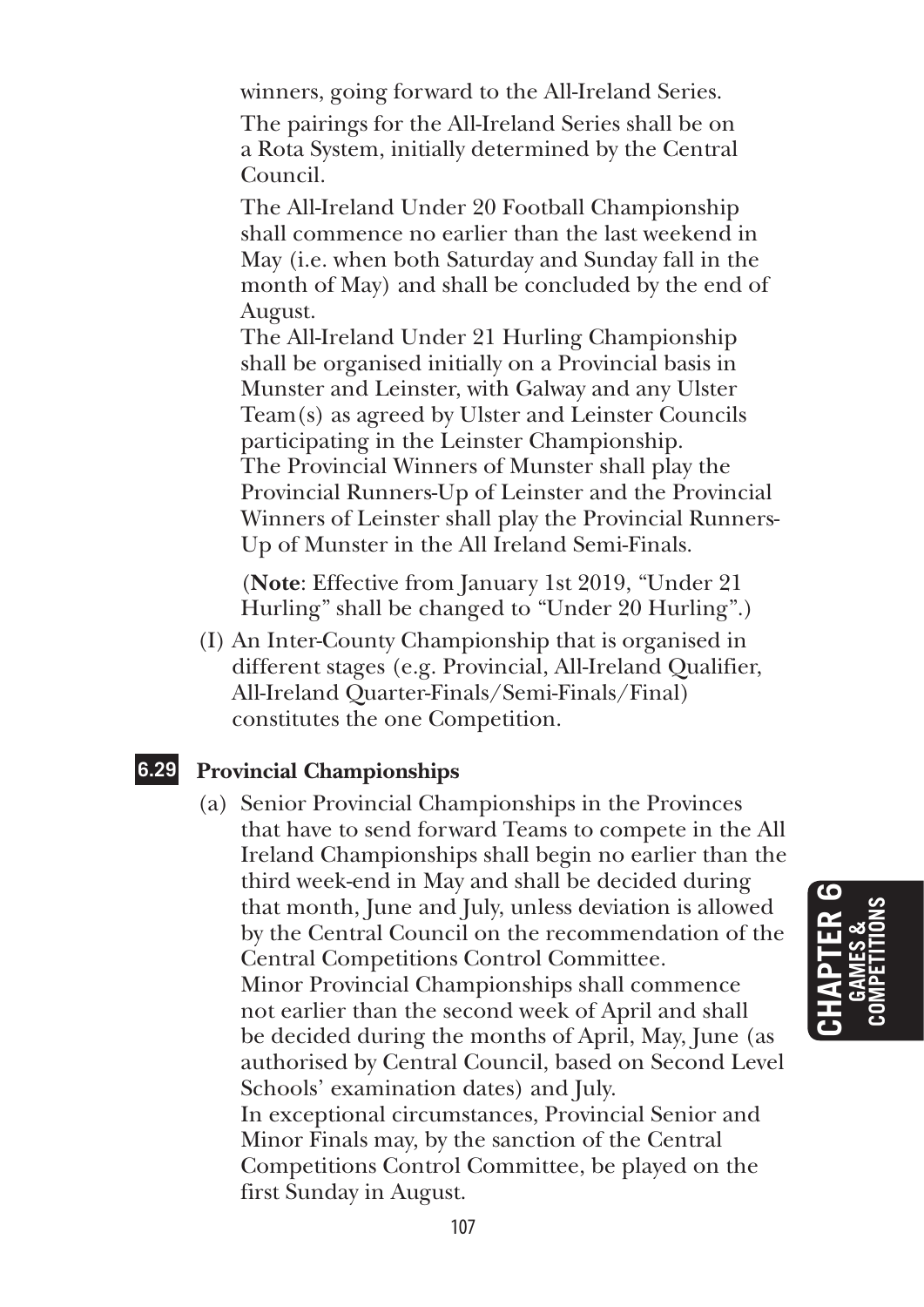winners, going forward to the All-Ireland Series.

 The pairings for the All-Ireland Series shall be on a Rota System, initially determined by the Central Council.

 The All-Ireland Under 20 Football Championship shall commence no earlier than the last weekend in May (i.e. when both Saturday and Sunday fall in the month of May) and shall be concluded by the end of August.

 The All-Ireland Under 21 Hurling Championship shall be organised initially on a Provincial basis in Munster and Leinster, with Galway and any Ulster Team(s) as agreed by Ulster and Leinster Councils participating in the Leinster Championship. The Provincial Winners of Munster shall play the Provincial Runners-Up of Leinster and the Provincial Winners of Leinster shall play the Provincial Runners-Up of Munster in the All Ireland Semi-Finals.

 (**Note**: Effective from January 1st 2019, "Under 21 Hurling" shall be changed to "Under 20 Hurling".)

(I) An Inter-County Championship that is organised in different stages (e.g. Provincial, All-Ireland Qualifier, All-Ireland Quarter-Finals/Semi-Finals/Final) constitutes the one Competition.

#### **6.29 Provincial Championships**

(a) Senior Provincial Championships in the Provinces that have to send forward Teams to compete in the All Ireland Championships shall begin no earlier than the third week-end in May and shall be decided during that month, June and July, unless deviation is allowed by the Central Council on the recommendation of the Central Competitions Control Committee. Minor Provincial Championships shall commence not earlier than the second week of April and shall be decided during the months of April, May, June (as authorised by Central Council, based on Second Level Schools' examination dates) and July. In exceptional circumstances, Provincial Senior and Minor Finals may, by the sanction of the Central Competitions Control Committee, be played on the first Sunday in August.

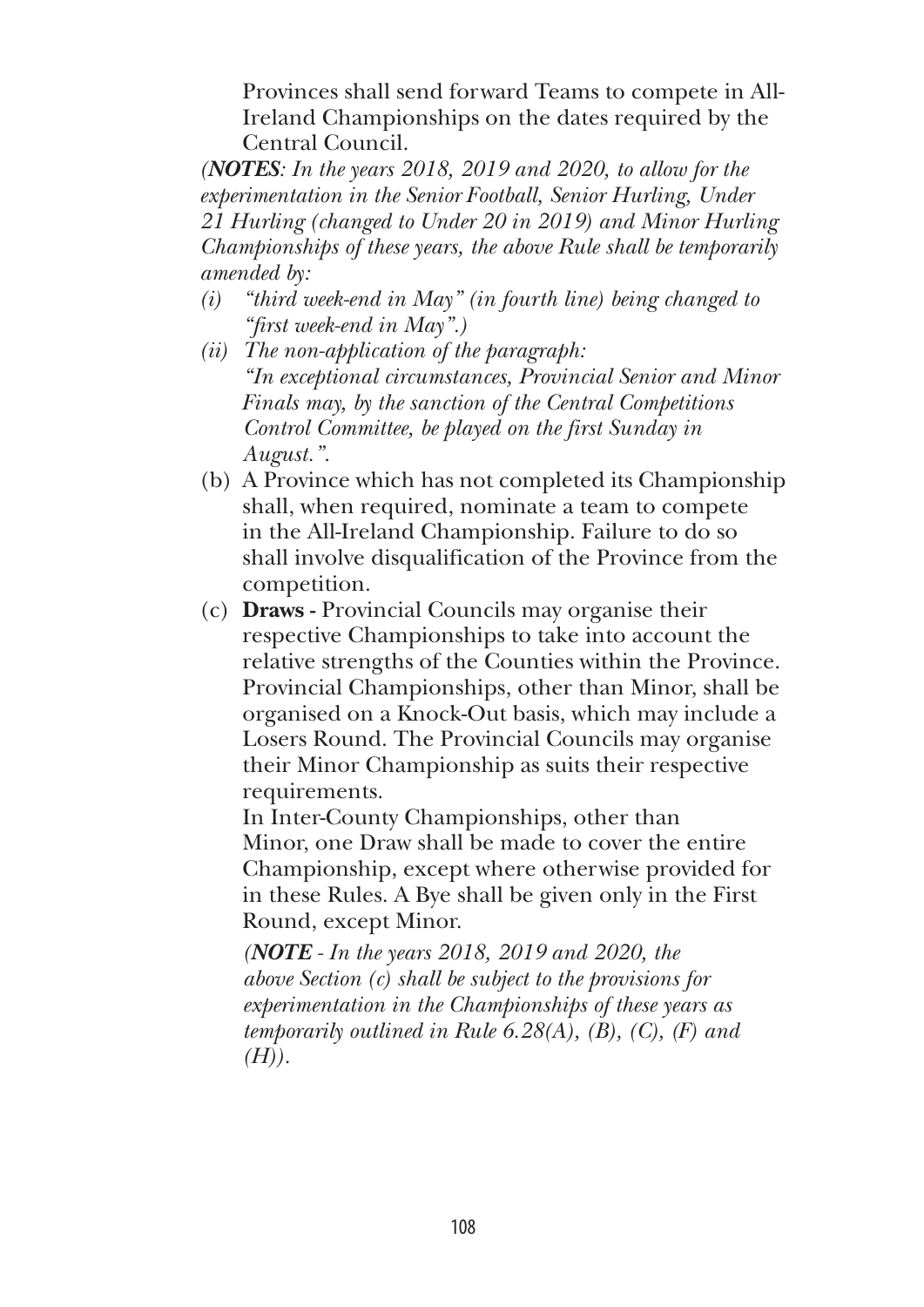Provinces shall send forward Teams to compete in All-Ireland Championships on the dates required by the Central Council.

*(NoteS: In the years 2018, 2019 and 2020, to allow for the experimentation in the Senior Football, Senior Hurling, Under 21 Hurling (changed to Under 20 in 2019) and Minor Hurling Championships of these years, the above Rule shall be temporarily amended by:*

- *(i) "third week-end in May" (in fourth line) being changed to "first week-end in May".)*
- *(ii) The non-application of the paragraph: "In exceptional circumstances, Provincial Senior and Minor Finals may, by the sanction of the Central Competitions Control Committee, be played on the first Sunday in August.".*
- (b) A Province which has not completed its Championship shall, when required, nominate a team to compete in the All-Ireland Championship. Failure to do so shall involve disqualification of the Province from the competition.
- (c) **Draws** Provincial Councils may organise their respective Championships to take into account the relative strengths of the Counties within the Province. Provincial Championships, other than Minor, shall be organised on a Knock-Out basis, which may include a Losers Round. The Provincial Councils may organise their Minor Championship as suits their respective requirements.

 In Inter-County Championships, other than Minor, one Draw shall be made to cover the entire Championship, except where otherwise provided for in these Rules. A Bye shall be given only in the First Round, except Minor.

 *(Note - In the years 2018, 2019 and 2020, the above Section (c) shall be subject to the provisions for experimentation in the Championships of these years as temporarily outlined in Rule 6.28(A), (B), (C), (F) and (H)).*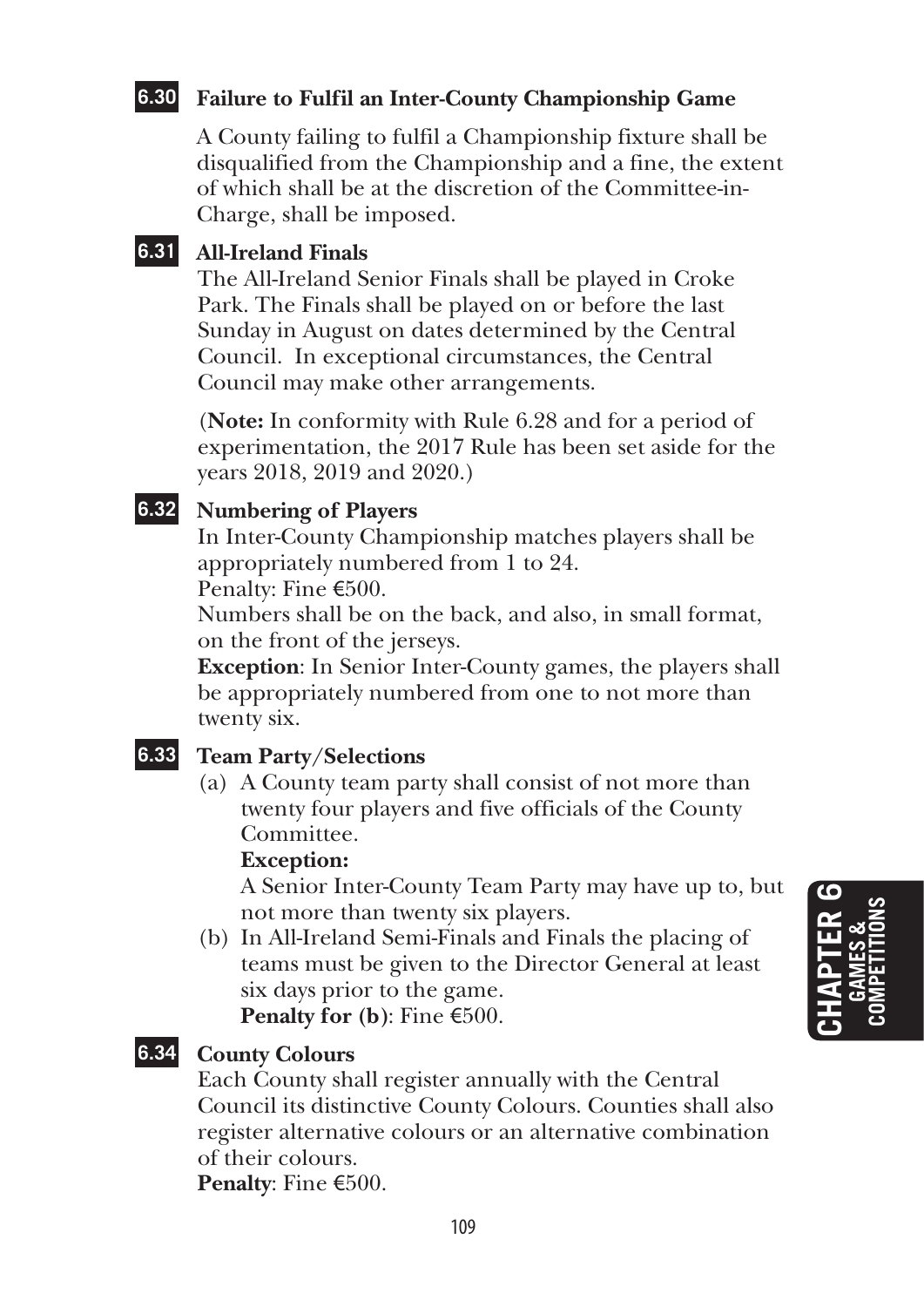## **6.30 Failure to Fulfil an Inter-County Championship Game**

A County failing to fulfil a Championship fixture shall be disqualified from the Championship and a fine, the extent of which shall be at the discretion of the Committee-in-Charge, shall be imposed.

## **6.31 All-Ireland Finals**

The All-Ireland Senior Finals shall be played in Croke Park. The Finals shall be played on or before the last Sunday in August on dates determined by the Central Council. In exceptional circumstances, the Central Council may make other arrangements.

(**Note:** In conformity with Rule 6.28 and for a period of experimentation, the 2017 Rule has been set aside for the years 2018, 2019 and 2020.)

## **6.32 Numbering of Players**

In Inter-County Championship matches players shall be appropriately numbered from 1 to 24.

Penalty: Fine €500.

Numbers shall be on the back, and also, in small format, on the front of the jerseys.

**Exception**: In Senior Inter-County games, the players shall be appropriately numbered from one to not more than twenty six.

## **6.33 Team Party/Selections**

(a) A County team party shall consist of not more than twenty four players and five officials of the County Committee.

#### **Exception:**

 A Senior Inter-County Team Party may have up to, but not more than twenty six players.

(b) In All-Ireland Semi-Finals and Finals the placing of teams must be given to the Director General at least six days prior to the game.

**Penalty for (b)**: Fine €500.

### **6.34 County Colours**

Each County shall register annually with the Central Council its distinctive County Colours. Counties shall also register alternative colours or an alternative combination of their colours.

**Penalty**: Fine €500.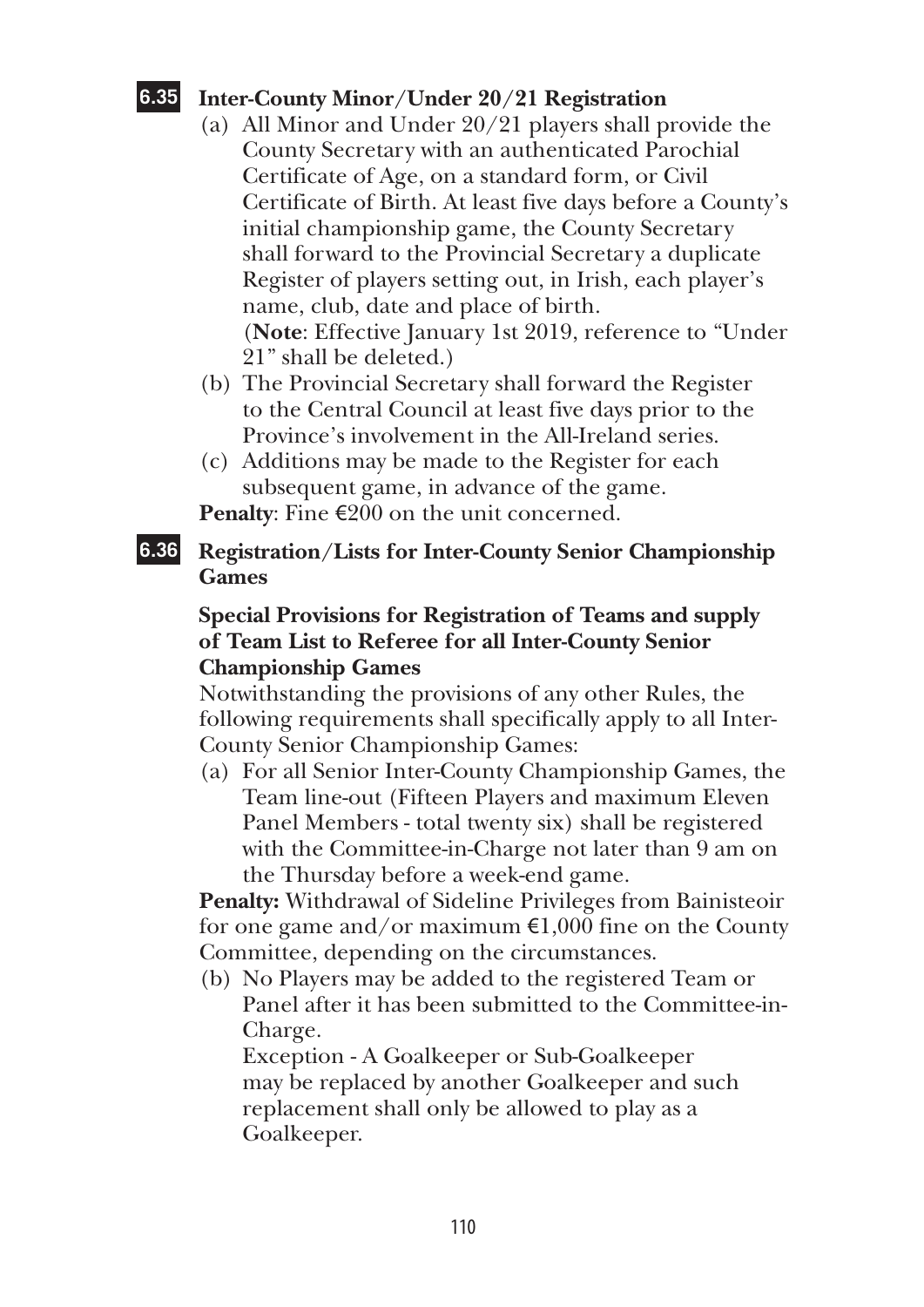## **6.35 Inter-County Minor/Under 20/21 Registration**

- (a) All Minor and Under 20/21 players shall provide the County Secretary with an authenticated Parochial Certificate of Age, on a standard form, or Civil Certificate of Birth. At least five days before a County's initial championship game, the County Secretary shall forward to the Provincial Secretary a duplicate Register of players setting out, in Irish, each player's name, club, date and place of birth. (**Note**: Effective January 1st 2019, reference to "Under 21" shall be deleted.)
- (b) The Provincial Secretary shall forward the Register to the Central Council at least five days prior to the Province's involvement in the All-Ireland series.
- (c) Additions may be made to the Register for each subsequent game, in advance of the game.

**Penalty**: Fine €200 on the unit concerned.

## **6.36 Registration/Lists for Inter-County Senior Championship Games**

## **Special Provisions for Registration of Teams and supply of Team List to Referee for all Inter-County Senior Championship Games**

Notwithstanding the provisions of any other Rules, the following requirements shall specifically apply to all Inter-County Senior Championship Games:

(a) For all Senior Inter-County Championship Games, the Team line-out (Fifteen Players and maximum Eleven Panel Members - total twenty six) shall be registered with the Committee-in-Charge not later than 9 am on the Thursday before a week-end game.

**Penalty:** Withdrawal of Sideline Privileges from Bainisteoir for one game and/or maximum  $\epsilon$ 1,000 fine on the County Committee, depending on the circumstances.

(b) No Players may be added to the registered Team or Panel after it has been submitted to the Committee-in-Charge.

Exception - A Goalkeeper or Sub-Goalkeeper may be replaced by another Goalkeeper and such replacement shall only be allowed to play as a Goalkeeper.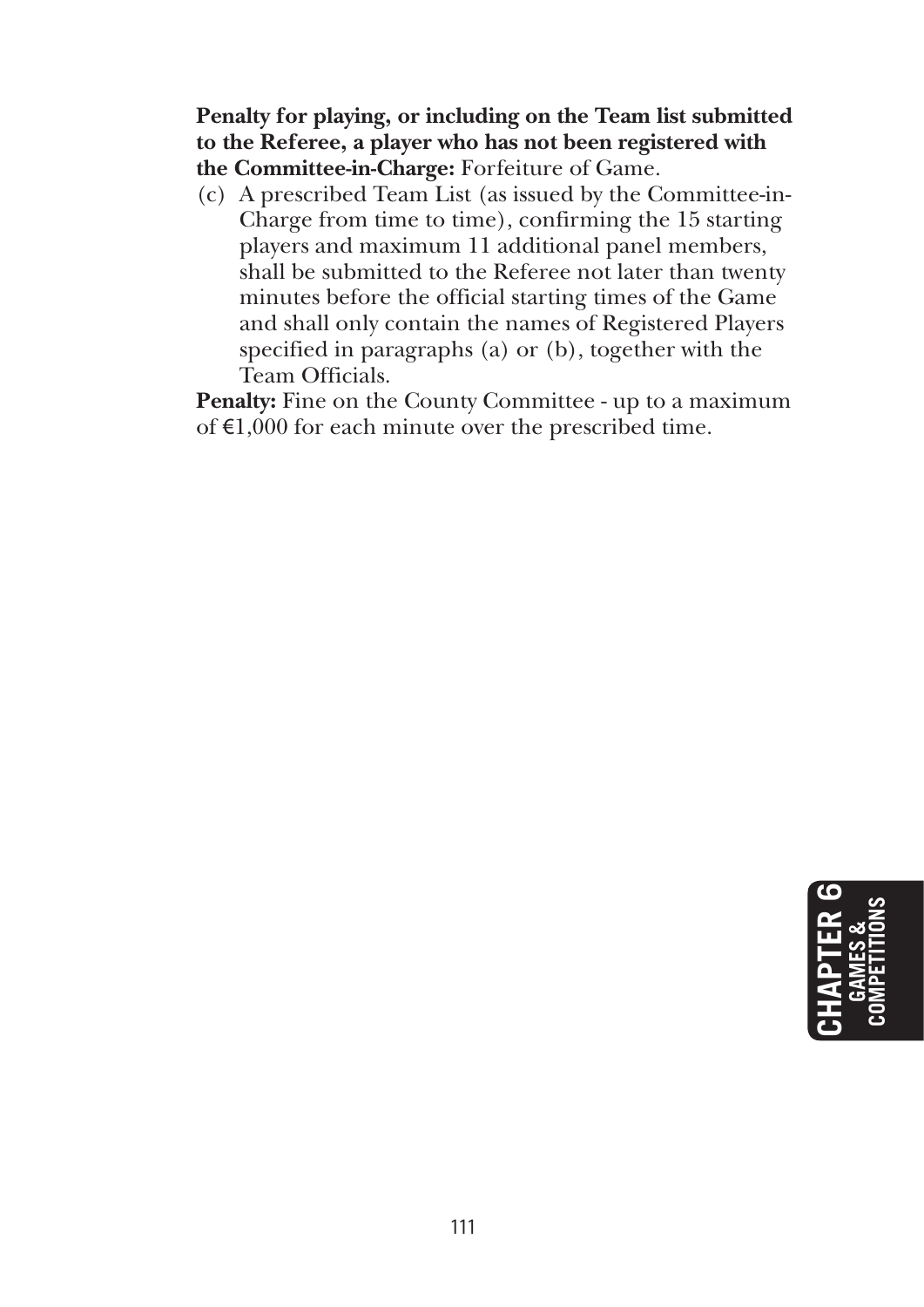**Penalty for playing, or including on the Team list submitted to the Referee, a player who has not been registered with the Committee-in-Charge:** Forfeiture of Game.

(c) A prescribed Team List (as issued by the Committee-in-Charge from time to time), confirming the 15 starting players and maximum 11 additional panel members, shall be submitted to the Referee not later than twenty minutes before the official starting times of the Game and shall only contain the names of Registered Players specified in paragraphs (a) or (b), together with the Team Officials.

Penalty: Fine on the County Committee - up to a maximum of €1,000 for each minute over the prescribed time.

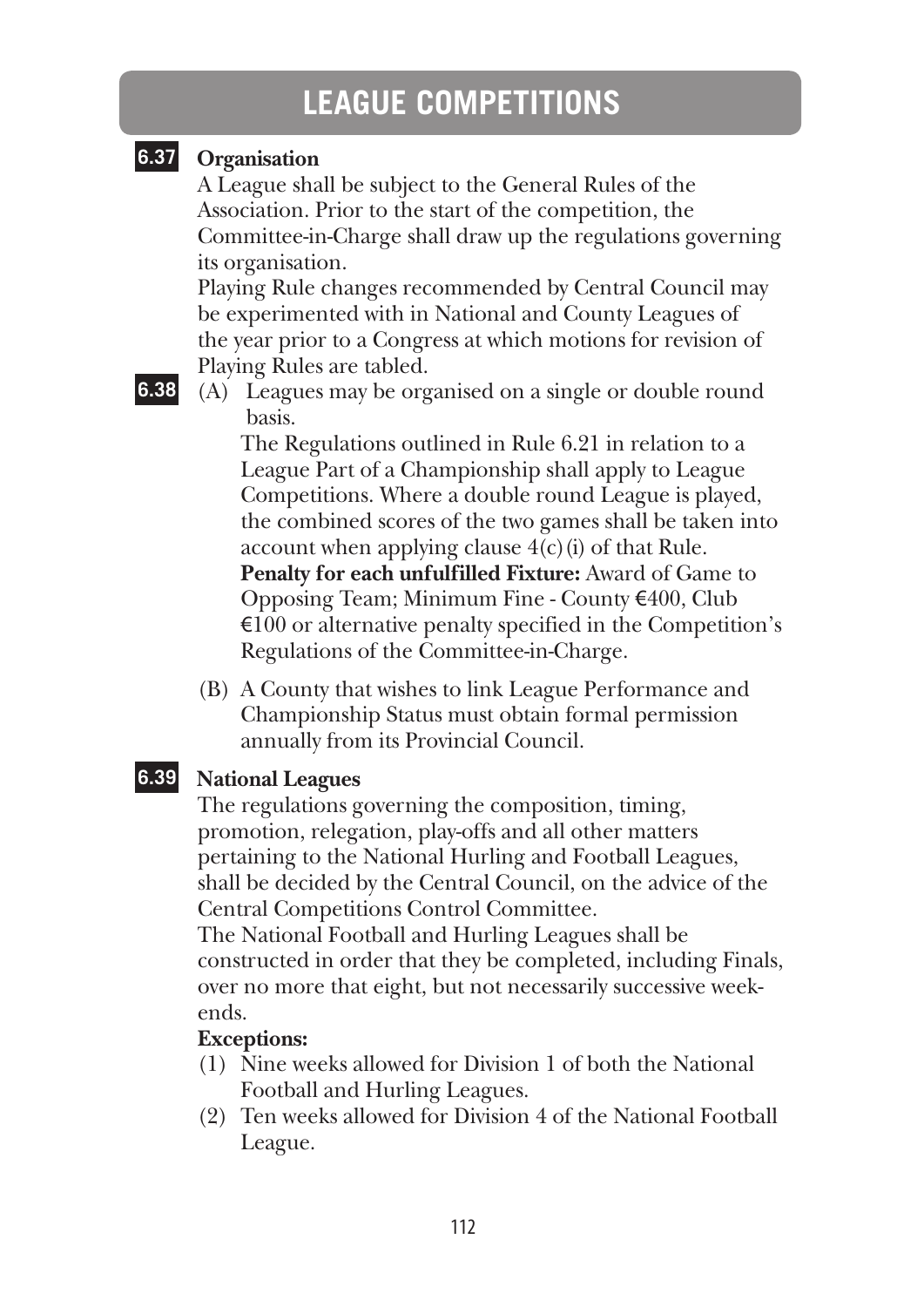# **LEAGUE COMPETITIONS**

## **6.37 Organisation**

A League shall be subject to the General Rules of the Association. Prior to the start of the competition, the Committee-in-Charge shall draw up the regulations governing its organisation.

Playing Rule changes recommended by Central Council may be experimented with in National and County Leagues of the year prior to a Congress at which motions for revision of Playing Rules are tabled.

**6.38** (A) Leagues may be organised on a single or double round basis.

> The Regulations outlined in Rule 6.21 in relation to a League Part of a Championship shall apply to League Competitions. Where a double round League is played, the combined scores of the two games shall be taken into account when applying clause  $4(c)(i)$  of that Rule. **Penalty for each unfulfilled Fixture:** Award of Game to Opposing Team; Minimum Fine - County €400, Club  $\epsilon$ 100 or alternative penalty specified in the Competition's Regulations of the Committee-in-Charge.

(B) A County that wishes to link League Performance and Championship Status must obtain formal permission annually from its Provincial Council.

## **6.39 National Leagues**

The regulations governing the composition, timing, promotion, relegation, play-offs and all other matters pertaining to the National Hurling and Football Leagues, shall be decided by the Central Council, on the advice of the Central Competitions Control Committee.

The National Football and Hurling Leagues shall be constructed in order that they be completed, including Finals, over no more that eight, but not necessarily successive weekends.

## **Exceptions:**

- (1) Nine weeks allowed for Division 1 of both the National Football and Hurling Leagues.
- (2) Ten weeks allowed for Division 4 of the National Football League.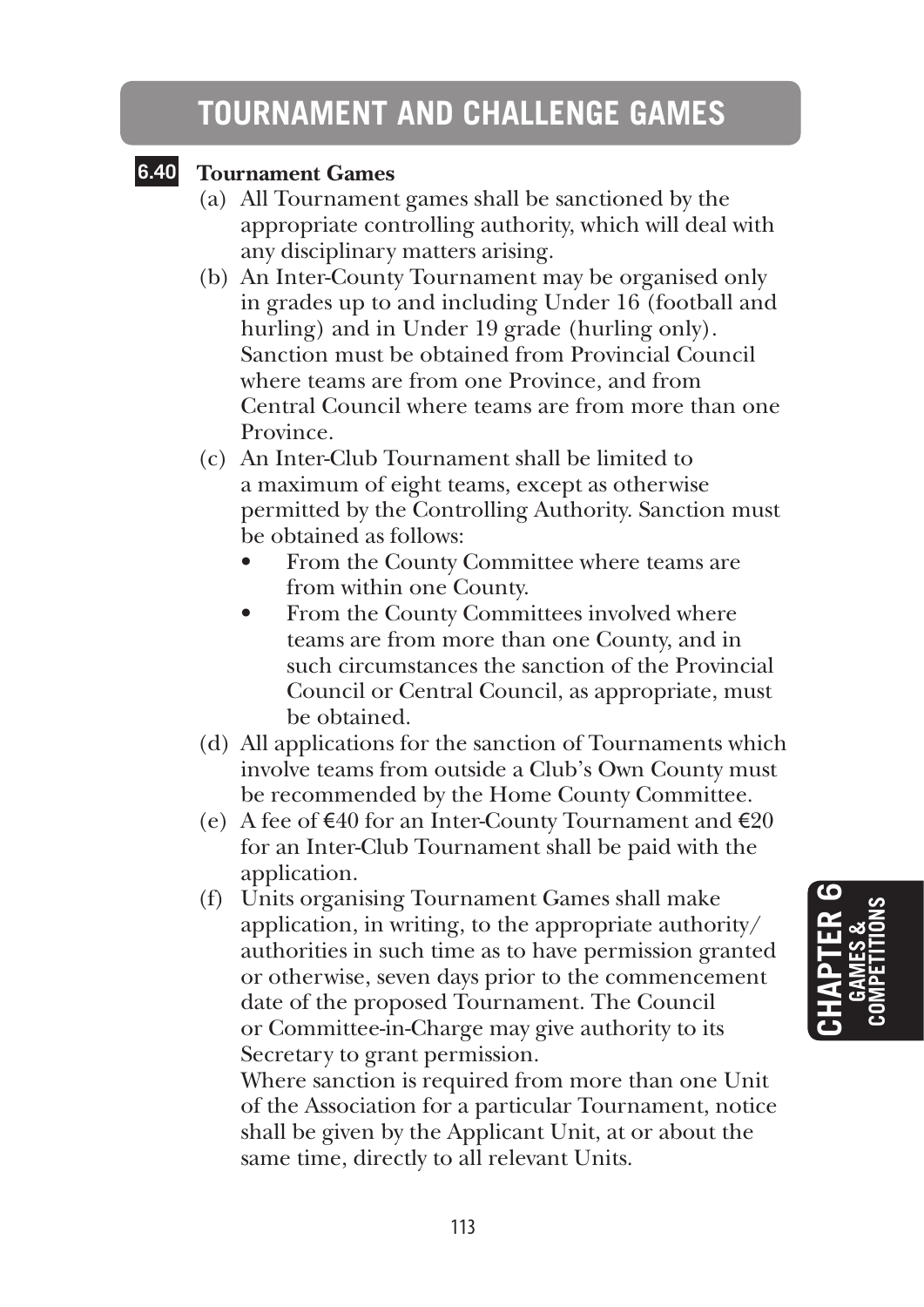# **TOURNAMENT AND CHALLENGE GAMES**

## **6.40 Tournament Games**

- (a) All Tournament games shall be sanctioned by the appropriate controlling authority, which will deal with any disciplinary matters arising.
- (b) An Inter-County Tournament may be organised only in grades up to and including Under 16 (football and hurling) and in Under 19 grade (hurling only). Sanction must be obtained from Provincial Council where teams are from one Province, and from Central Council where teams are from more than one Province.
- (c) An Inter-Club Tournament shall be limited to a maximum of eight teams, except as otherwise permitted by the Controlling Authority. Sanction must be obtained as follows:
	- From the County Committee where teams are from within one County.
	- From the County Committees involved where teams are from more than one County, and in such circumstances the sanction of the Provincial Council or Central Council, as appropriate, must be obtained.
- (d) All applications for the sanction of Tournaments which involve teams from outside a Club's Own County must be recommended by the Home County Committee.
- (e) A fee of  $\epsilon$ 40 for an Inter-County Tournament and  $\epsilon$ 20 for an Inter-Club Tournament shall be paid with the application.
- (f) Units organising Tournament Games shall make application, in writing, to the appropriate authority/ authorities in such time as to have permission granted or otherwise, seven days prior to the commencement date of the proposed Tournament. The Council or Committee-in-Charge may give authority to its Secretary to grant permission.

 Where sanction is required from more than one Unit of the Association for a particular Tournament, notice shall be given by the Applicant Unit, at or about the same time, directly to all relevant Units.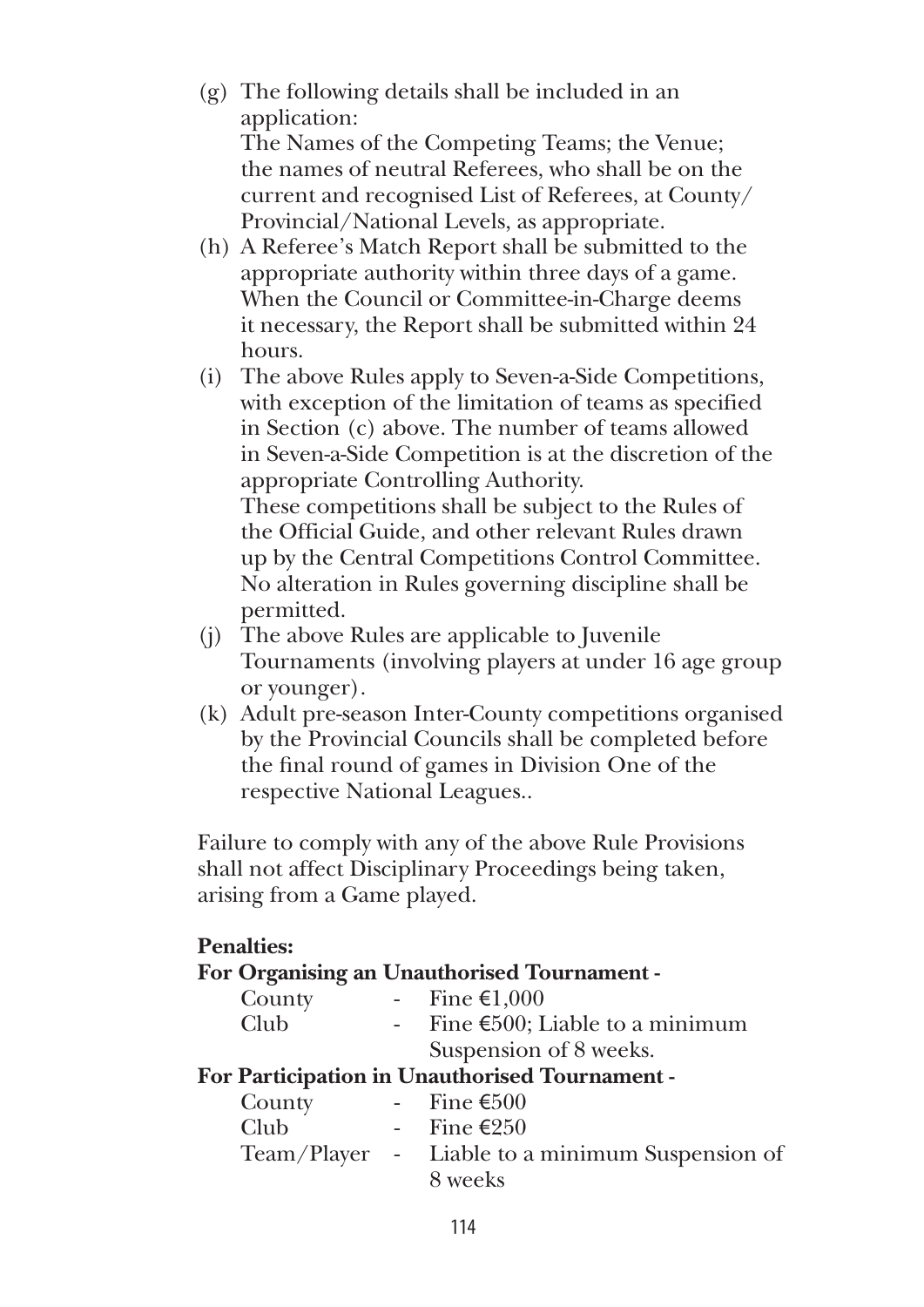- (g) The following details shall be included in an application: The Names of the Competing Teams; the Venue; the names of neutral Referees, who shall be on the current and recognised List of Referees, at County/ Provincial/National Levels, as appropriate.
- (h) A Referee's Match Report shall be submitted to the appropriate authority within three days of a game. When the Council or Committee-in-Charge deems it necessary, the Report shall be submitted within 24 hours.
- (i) The above Rules apply to Seven-a-Side Competitions, with exception of the limitation of teams as specified in Section (c) above. The number of teams allowed in Seven-a-Side Competition is at the discretion of the appropriate Controlling Authority. These competitions shall be subject to the Rules of

the Official Guide, and other relevant Rules drawn up by the Central Competitions Control Committee. No alteration in Rules governing discipline shall be permitted.

- (j) The above Rules are applicable to Juvenile Tournaments (involving players at under 16 age group or younger).
- (k) Adult pre-season Inter-County competitions organised by the Provincial Councils shall be completed before the final round of games in Division One of the respective National Leagues..

Failure to comply with any of the above Rule Provisions shall not affect Disciplinary Proceedings being taken, arising from a Game played.

#### **Penalties:**

#### **For Organising an Unauthorised Tournament -**

| County      |     | Fine $\epsilon$ 1,000                    |
|-------------|-----|------------------------------------------|
| <b>Club</b> | $-$ | Fine $\epsilon$ 500; Liable to a minimum |
|             |     | Suspension of 8 weeks.                   |

#### **For Participation in Unauthorised Tournament -**

| County | - Fine €500                                     |
|--------|-------------------------------------------------|
| Club   | - Fine €250                                     |
|        | Team/Player - Liable to a minimum Suspension of |
|        | 8 weeks                                         |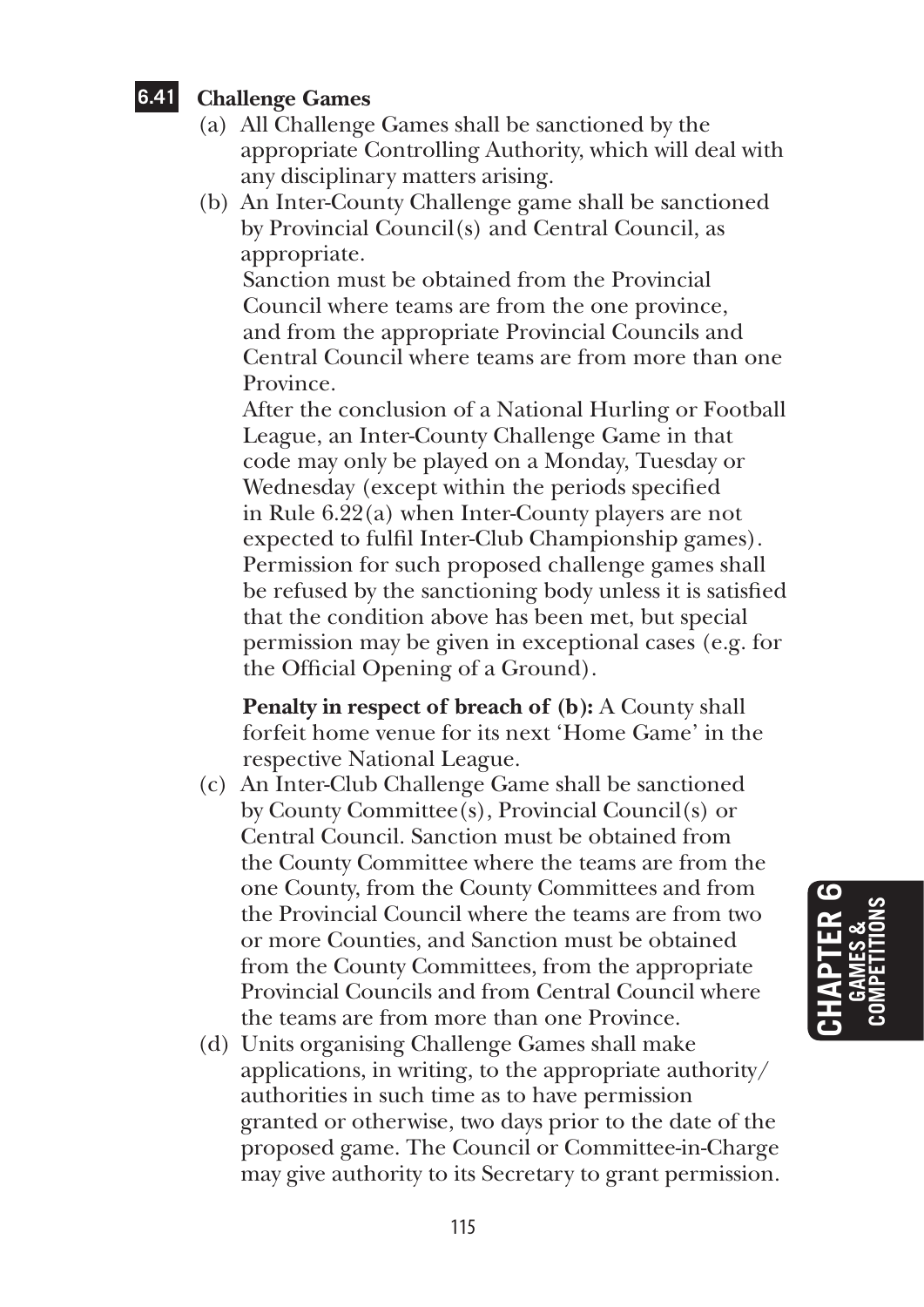## **6.41 Challenge Games**

- (a) All Challenge Games shall be sanctioned by the appropriate Controlling Authority, which will deal with any disciplinary matters arising.
- (b) An Inter-County Challenge game shall be sanctioned by Provincial Council(s) and Central Council, as appropriate.

 Sanction must be obtained from the Provincial Council where teams are from the one province, and from the appropriate Provincial Councils and Central Council where teams are from more than one Province.

 After the conclusion of a National Hurling or Football League, an Inter-County Challenge Game in that code may only be played on a Monday, Tuesday or Wednesday (except within the periods specified in Rule 6.22(a) when Inter-County players are not expected to fulfil Inter-Club Championship games). Permission for such proposed challenge games shall be refused by the sanctioning body unless it is satisfied that the condition above has been met, but special permission may be given in exceptional cases (e.g. for the Official Opening of a Ground).

 **Penalty in respect of breach of (b):** A County shall forfeit home venue for its next 'Home Game' in the respective National League.

- (c) An Inter-Club Challenge Game shall be sanctioned by County Committee(s), Provincial Council(s) or Central Council. Sanction must be obtained from the County Committee where the teams are from the one County, from the County Committees and from the Provincial Council where the teams are from two or more Counties, and Sanction must be obtained from the County Committees, from the appropriate Provincial Councils and from Central Council where the teams are from more than one Province.
- (d) Units organising Challenge Games shall make applications, in writing, to the appropriate authority/ authorities in such time as to have permission granted or otherwise, two days prior to the date of the proposed game. The Council or Committee-in-Charge may give authority to its Secretary to grant permission.

**Chapter 6 GA MES & COMPETITIONS**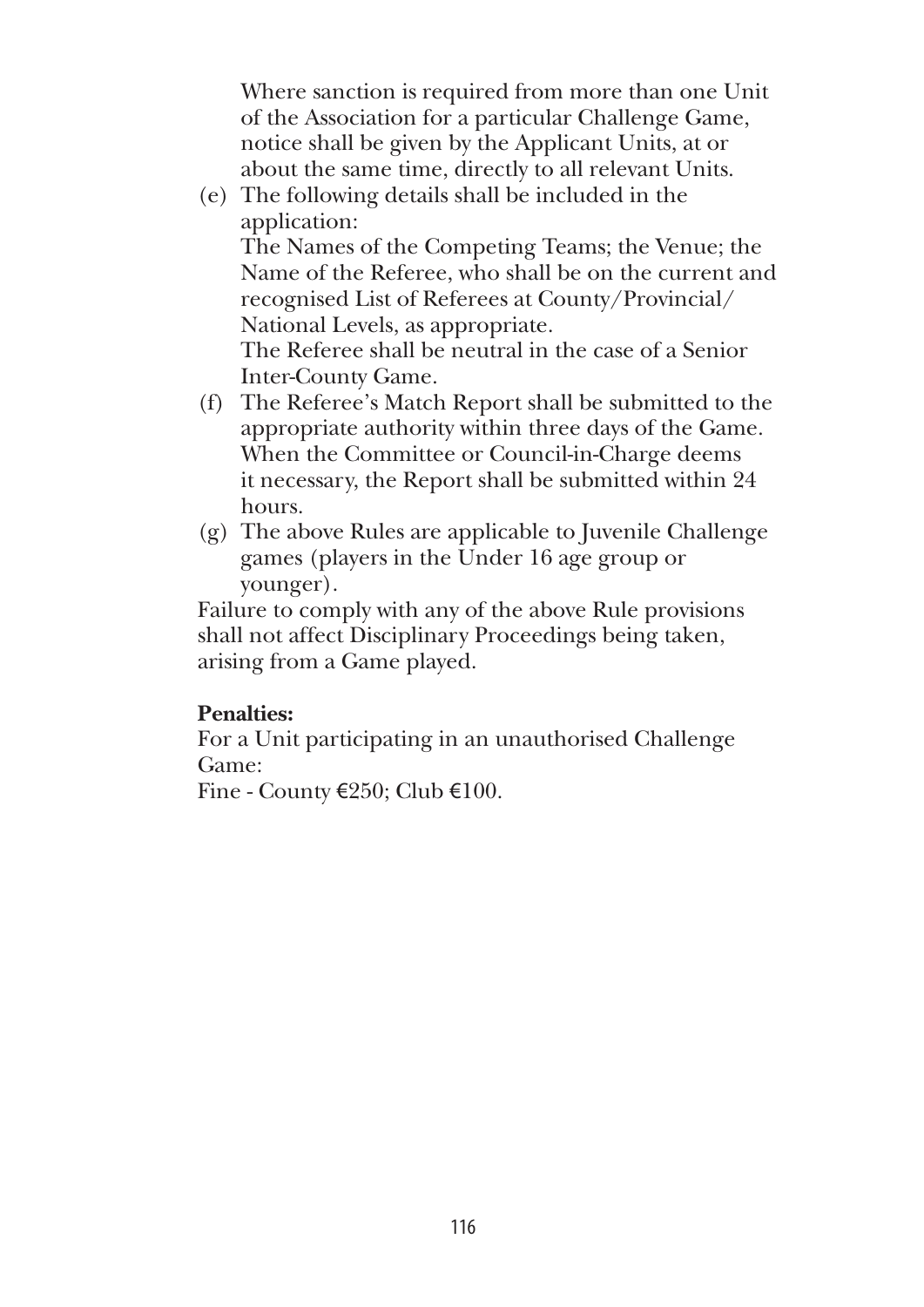Where sanction is required from more than one Unit of the Association for a particular Challenge Game, notice shall be given by the Applicant Units, at or about the same time, directly to all relevant Units.

- (e) The following details shall be included in the application: The Names of the Competing Teams; the Venue; the Name of the Referee, who shall be on the current and recognised List of Referees at County/Provincial/ National Levels, as appropriate. The Referee shall be neutral in the case of a Senior Inter-County Game.
- (f) The Referee's Match Report shall be submitted to the appropriate authority within three days of the Game. When the Committee or Council-in-Charge deems it necessary, the Report shall be submitted within 24 hours.
- (g) The above Rules are applicable to Juvenile Challenge games (players in the Under 16 age group or younger).

Failure to comply with any of the above Rule provisions shall not affect Disciplinary Proceedings being taken, arising from a Game played.

## **Penalties:**

For a Unit participating in an unauthorised Challenge Game:

Fine - County €250; Club €100.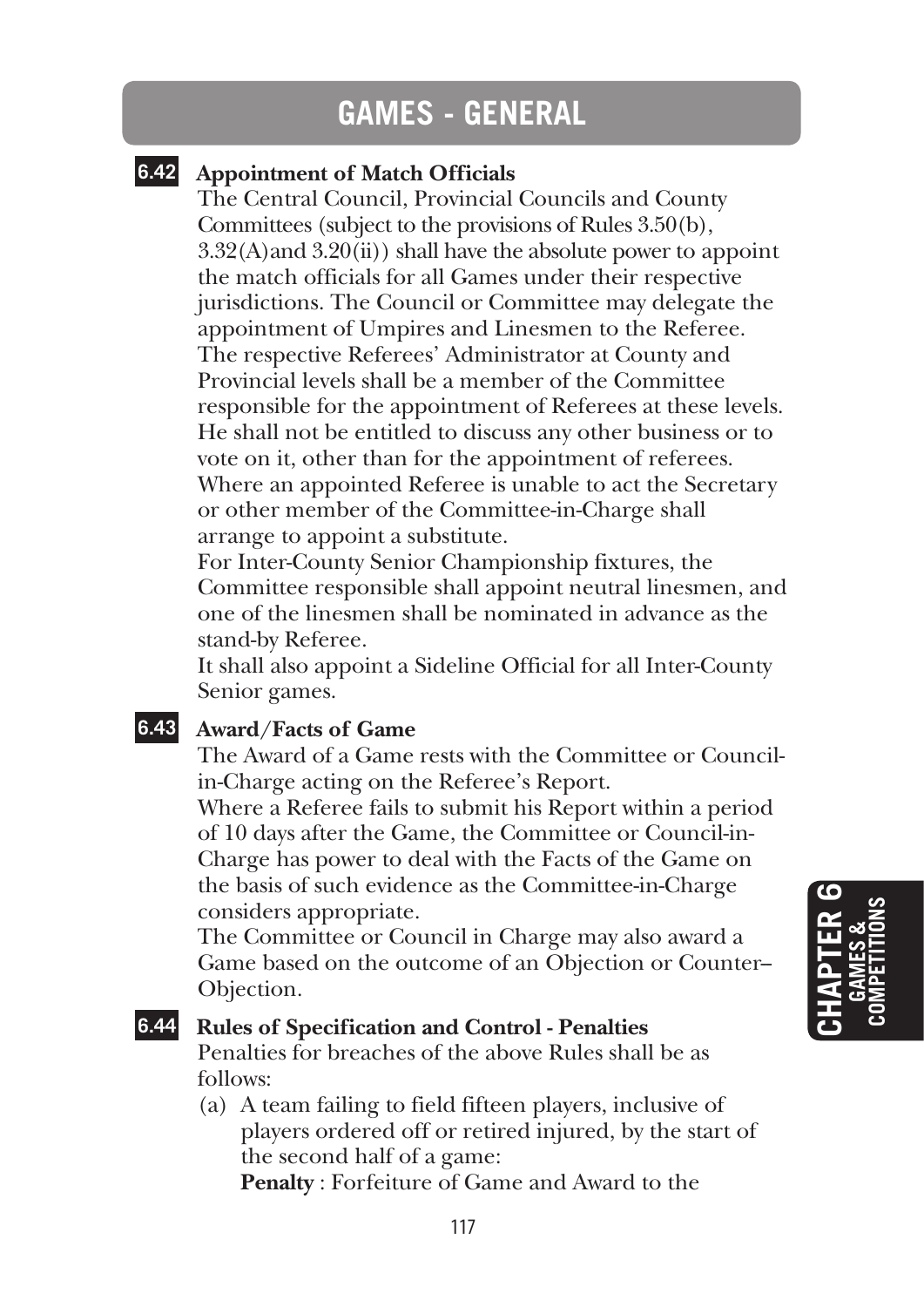## **GAMES - GENERAL**

## **6.42 Appointment of Match Officials**

The Central Council, Provincial Councils and County Committees (subject to the provisions of Rules 3.50(b),  $3.32(A)$  and  $3.20(ii)$ ) shall have the absolute power to appoint the match officials for all Games under their respective jurisdictions. The Council or Committee may delegate the appointment of Umpires and Linesmen to the Referee. The respective Referees' Administrator at County and Provincial levels shall be a member of the Committee responsible for the appointment of Referees at these levels. He shall not be entitled to discuss any other business or to vote on it, other than for the appointment of referees. Where an appointed Referee is unable to act the Secretary or other member of the Committee-in-Charge shall arrange to appoint a substitute.

For Inter-County Senior Championship fixtures, the Committee responsible shall appoint neutral linesmen, and one of the linesmen shall be nominated in advance as the stand-by Referee.

It shall also appoint a Sideline Official for all Inter-County Senior games.

### **6.43 Award/Facts of Game**

The Award of a Game rests with the Committee or Councilin-Charge acting on the Referee's Report.

Where a Referee fails to submit his Report within a period of 10 days after the Game, the Committee or Council-in-Charge has power to deal with the Facts of the Game on the basis of such evidence as the Committee-in-Charge considers appropriate.

The Committee or Council in Charge may also award a Game based on the outcome of an Objection or Counter-- Objection.

#### **6.44 Rules of Specification and Control - Penalties**

Penalties for breaches of the above Rules shall be as follows:

(a) A team failing to field fifteen players, inclusive of players ordered off or retired injured, by the start of the second half of a game:

**Penalty** : Forfeiture of Game and Award to the

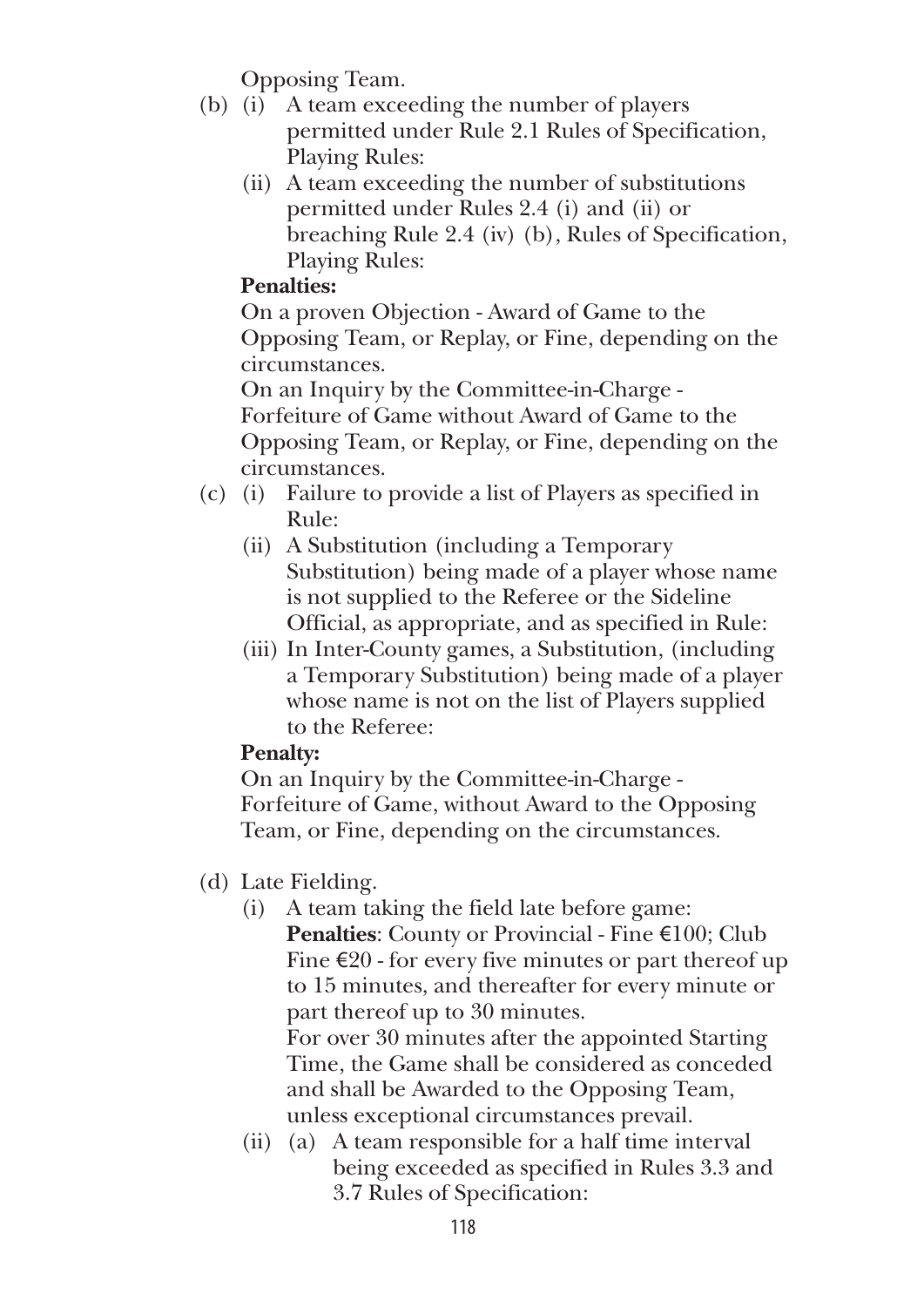Opposing Team.

- (b) (i) A team exceeding the number of players permitted under Rule 2.1 Rules of Specification, Playing Rules:
	- (ii) A team exceeding the number of substitutions permitted under Rules 2.4 (i) and (ii) or breaching Rule 2.4 (iv) (b), Rules of Specification, Playing Rules:

## **Penalties:**

 On a proven Objection - Award of Game to the Opposing Team, or Replay, or Fine, depending on the circumstances.

 On an Inquiry by the Committee-in-Charge - Forfeiture of Game without Award of Game to the Opposing Team, or Replay, or Fine, depending on the circumstances.

- (c) (i) Failure to provide a list of Players as specified in Rule:
	- (ii) A Substitution (including a Temporary Substitution) being made of a player whose name is not supplied to the Referee or the Sideline Official, as appropriate, and as specified in Rule:
	- (iii) In Inter-County games, a Substitution, (including a Temporary Substitution) being made of a player whose name is not on the list of Players supplied to the Referee:

## **Penalty:**

 On an Inquiry by the Committee-in-Charge - Forfeiture of Game, without Award to the Opposing Team, or Fine, depending on the circumstances.

- (d) Late Fielding.
	- (i) A team taking the field late before game: **Penalties**: County or Provincial - Fine €100; Club Fine  $\epsilon$ 20 - for every five minutes or part thereof up to 15 minutes, and thereafter for every minute or part thereof up to 30 minutes.

 For over 30 minutes after the appointed Starting Time, the Game shall be considered as conceded and shall be Awarded to the Opposing Team, unless exceptional circumstances prevail.

(ii) (a) A team responsible for a half time interval being exceeded as specified in Rules 3.3 and 3.7 Rules of Specification: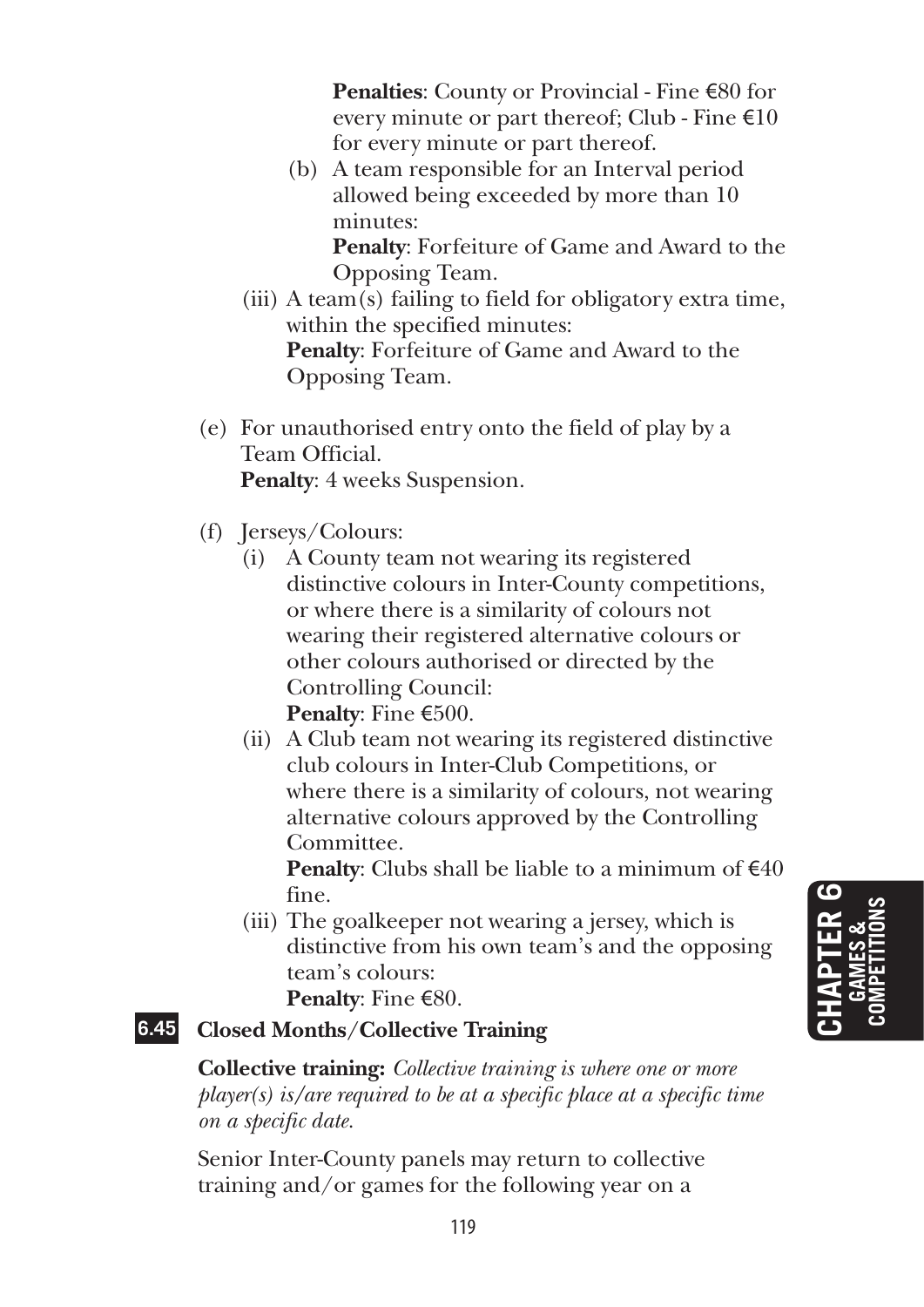**Penalties**: County or Provincial - Fine €80 for every minute or part thereof; Club - Fine  $\epsilon$ 10 for every minute or part thereof.

 (b) A team responsible for an Interval period allowed being exceeded by more than 10 minutes:

 **Penalty**: Forfeiture of Game and Award to the Opposing Team.

- (iii) A team(s) failing to field for obligatory extra time, within the specified minutes: **Penalty**: Forfeiture of Game and Award to the Opposing Team.
- (e) For unauthorised entry onto the field of play by a Team Official. **Penalty**: 4 weeks Suspension.
- (f) Jerseys/Colours:
	- (i) A County team not wearing its registered distinctive colours in Inter-County competitions, or where there is a similarity of colours not wearing their registered alternative colours or other colours authorised or directed by the Controlling Council: **Penalty**: Fine €500.
	- (ii) A Club team not wearing its registered distinctive club colours in Inter-Club Competitions, or where there is a similarity of colours, not wearing alternative colours approved by the Controlling Committee.

**Penalty**: Clubs shall be liable to a minimum of  $\epsilon$ 40 fine.

(iii) The goalkeeper not wearing a jersey, which is distinctive from his own team's and the opposing team's colours:

**Penalty**: Fine €80.

## **6.45 Closed Months/Collective Training**

**Collective training:** *Collective training is where one or more player(s) is/are required to be at a specific place at a specific time on a specific date.*

Senior Inter-County panels may return to collective training and/or games for the following year on a

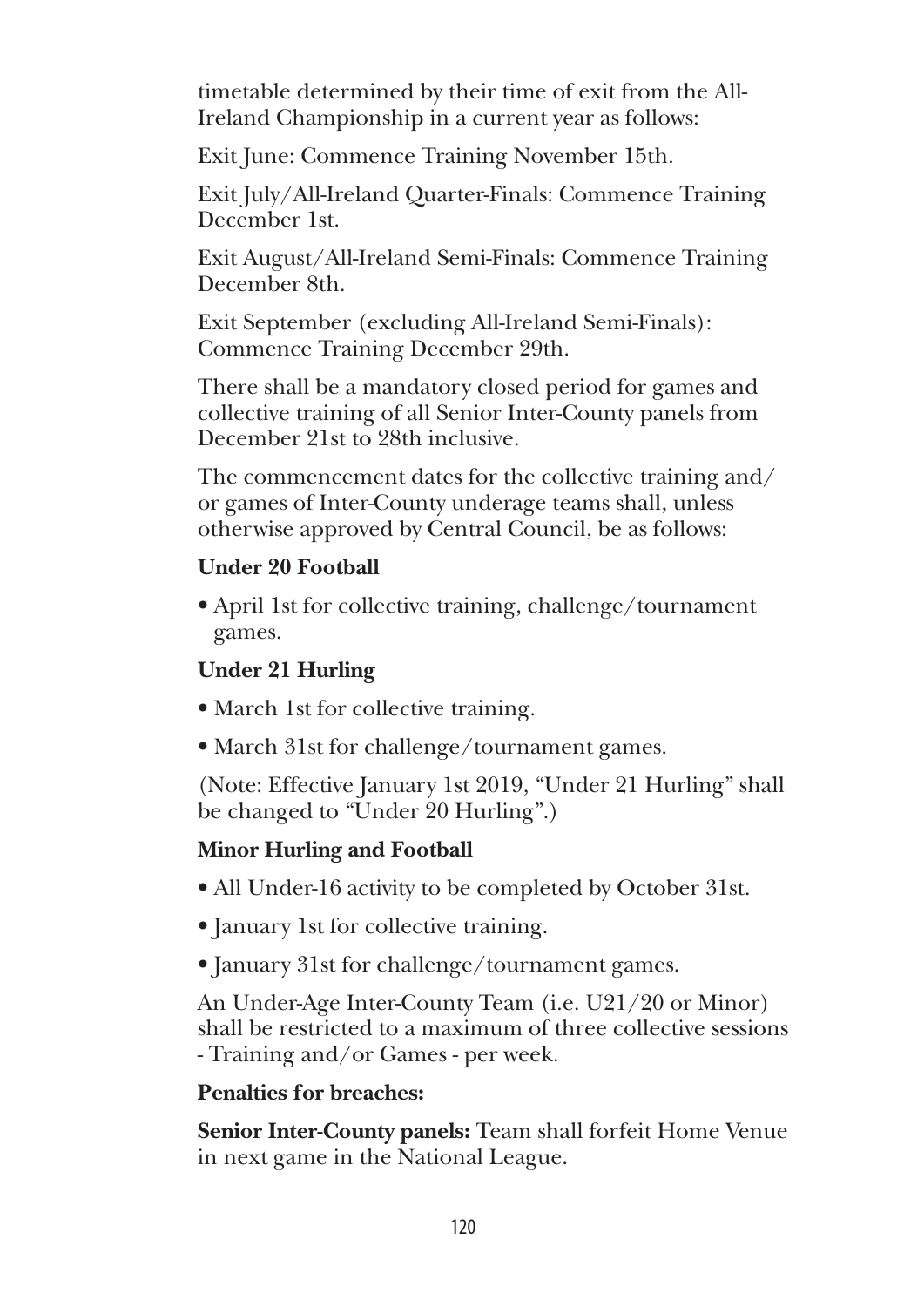timetable determined by their time of exit from the All-Ireland Championship in a current year as follows:

Exit June: Commence Training November 15th.

Exit July/All-Ireland Quarter-Finals: Commence Training December 1st.

Exit August/All-Ireland Semi-Finals: Commence Training December 8th.

Exit September (excluding All-Ireland Semi-Finals): Commence Training December 29th.

There shall be a mandatory closed period for games and collective training of all Senior Inter-County panels from December 21st to 28th inclusive.

The commencement dates for the collective training and/ or games of Inter-County underage teams shall, unless otherwise approved by Central Council, be as follows:

## **Under 20 Football**

• April 1st for collective training, challenge/tournament games.

## **Under 21 Hurling**

- March 1st for collective training.
- March 31st for challenge/tournament games.

(Note: Effective January 1st 2019, "Under 21 Hurling" shall be changed to "Under 20 Hurling".)

## **Minor Hurling and Football**

- All Under-16 activity to be completed by October 31st.
- January 1st for collective training.
- January 31st for challenge/tournament games.

An Under-Age Inter-County Team (i.e. U21/20 or Minor) shall be restricted to a maximum of three collective sessions - Training and/or Games - per week.

## **Penalties for breaches:**

**Senior Inter-County panels:** Team shall forfeit Home Venue in next game in the National League.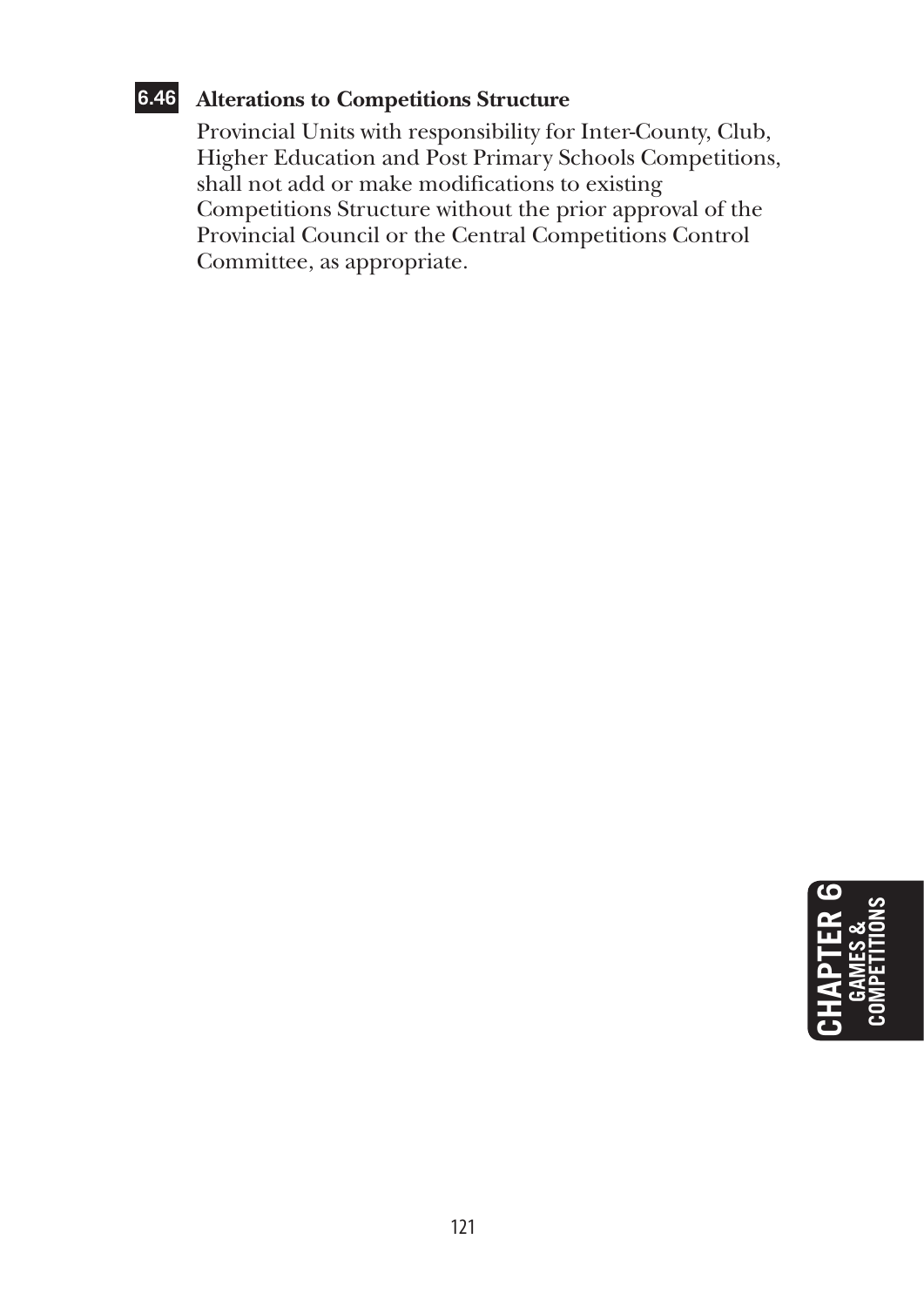## **6.46 Alterations to Competitions Structure**

 Provincial Units with responsibility for Inter-County, Club, Higher Education and Post Primary Schools Competitions, shall not add or make modifications to existing Competitions Structure without the prior approval of the Provincial Council or the Central Competitions Control Committee, as appropriate.

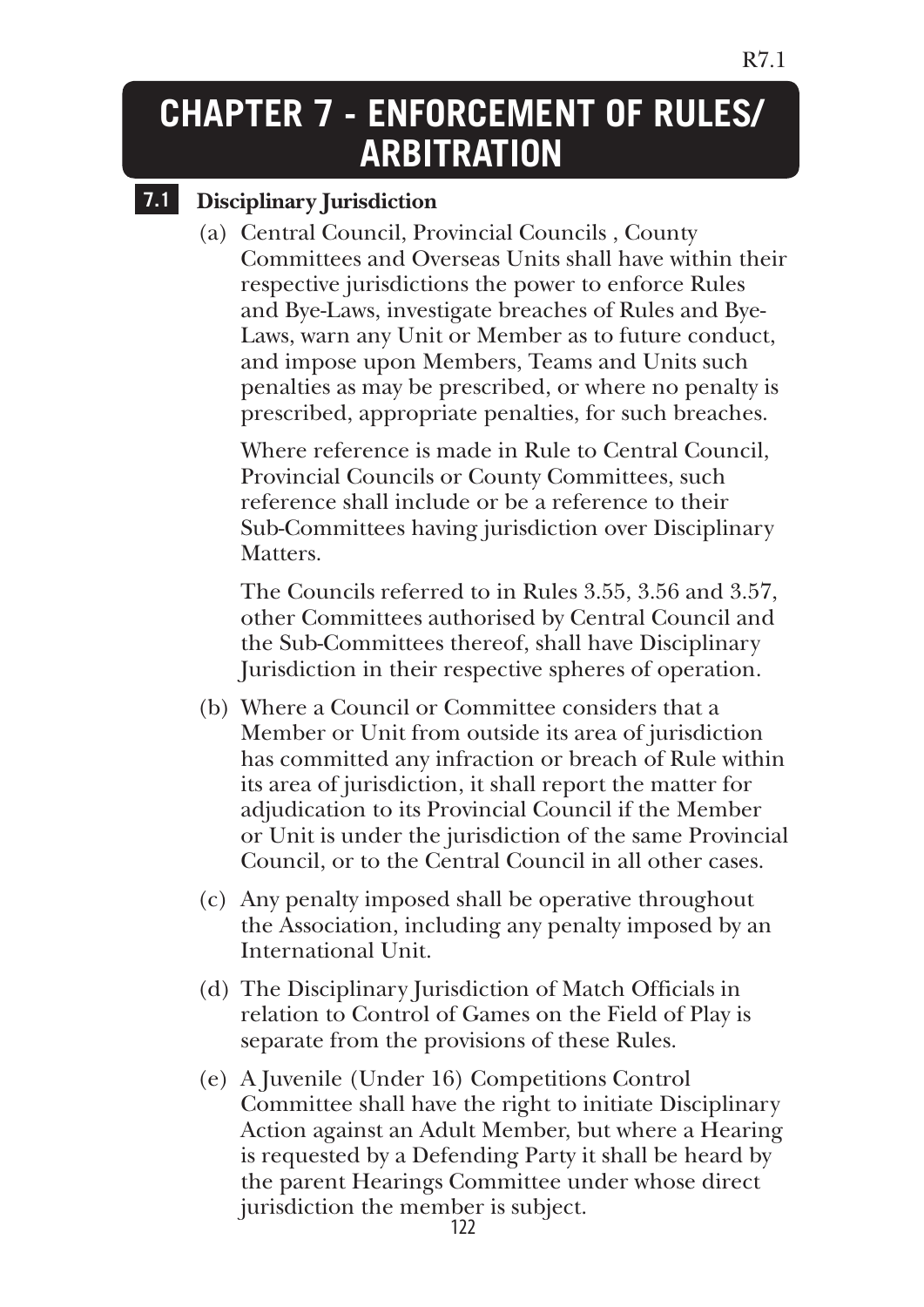## **CHAPTER 7 - Enforcement of Rules/ ARBITRATION**

## **7.1 Disciplinary Jurisdiction**

(a) Central Council, Provincial Councils , County Committees and Overseas Units shall have within their respective jurisdictions the power to enforce Rules and Bye-Laws, investigate breaches of Rules and Bye-Laws, warn any Unit or Member as to future conduct, and impose upon Members, Teams and Units such penalties as may be prescribed, or where no penalty is prescribed, appropriate penalties, for such breaches.

 Where reference is made in Rule to Central Council, Provincial Councils or County Committees, such reference shall include or be a reference to their Sub-Committees having jurisdiction over Disciplinary **Matters** 

 The Councils referred to in Rules 3.55, 3.56 and 3.57, other Committees authorised by Central Council and the Sub-Committees thereof, shall have Disciplinary Jurisdiction in their respective spheres of operation.

- (b) Where a Council or Committee considers that a Member or Unit from outside its area of jurisdiction has committed any infraction or breach of Rule within its area of jurisdiction, it shall report the matter for adjudication to its Provincial Council if the Member or Unit is under the jurisdiction of the same Provincial Council, or to the Central Council in all other cases.
- (c) Any penalty imposed shall be operative throughout the Association, including any penalty imposed by an International Unit.
- (d) The Disciplinary Jurisdiction of Match Officials in relation to Control of Games on the Field of Play is separate from the provisions of these Rules.
- (e) A Juvenile (Under 16) Competitions Control Committee shall have the right to initiate Disciplinary Action against an Adult Member, but where a Hearing is requested by a Defending Party it shall be heard by the parent Hearings Committee under whose direct jurisdiction the member is subject.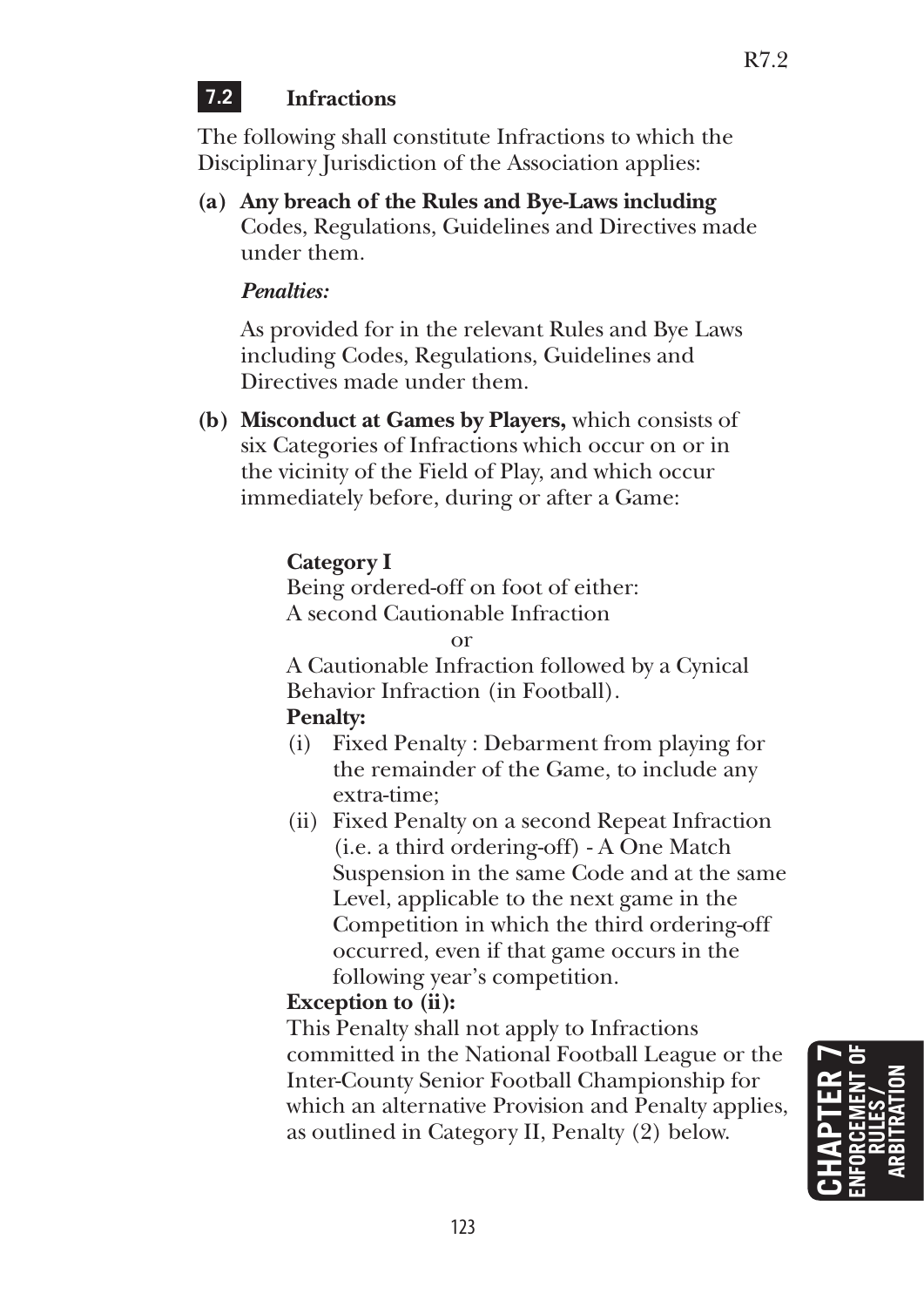## **7.2 Infractions**

The following shall constitute Infractions to which the Disciplinary Jurisdiction of the Association applies:

**(a) Any breach of the Rules and Bye-Laws including**  Codes, Regulations, Guidelines and Directives made under them.

## *Penalties:*

 As provided for in the relevant Rules and Bye Laws including Codes, Regulations, Guidelines and Directives made under them.

**(b) Misconduct at Games by Players,** which consists of six Categories of Infractions which occur on or in the vicinity of the Field of Play, and which occur immediately before, during or after a Game:

## **Category I**

 Being ordered-off on foot of either: A second Cautionable Infraction

or

 A Cautionable Infraction followed by a Cynical Behavior Infraction (in Football).

## **Penalty:**

- (i) Fixed Penalty : Debarment from playing for the remainder of the Game, to include any extra-time;
- (ii) Fixed Penalty on a second Repeat Infraction (i.e. a third ordering-off) - A One Match Suspension in the same Code and at the same Level, applicable to the next game in the Competition in which the third ordering-off occurred, even if that game occurs in the following year's competition.

## **Exception to (ii):**

 This Penalty shall not apply to Infractions committed in the National Football League or the Inter-County Senior Football Championship for which an alternative Provision and Penalty applies, as outlined in Category II, Penalty (2) below.

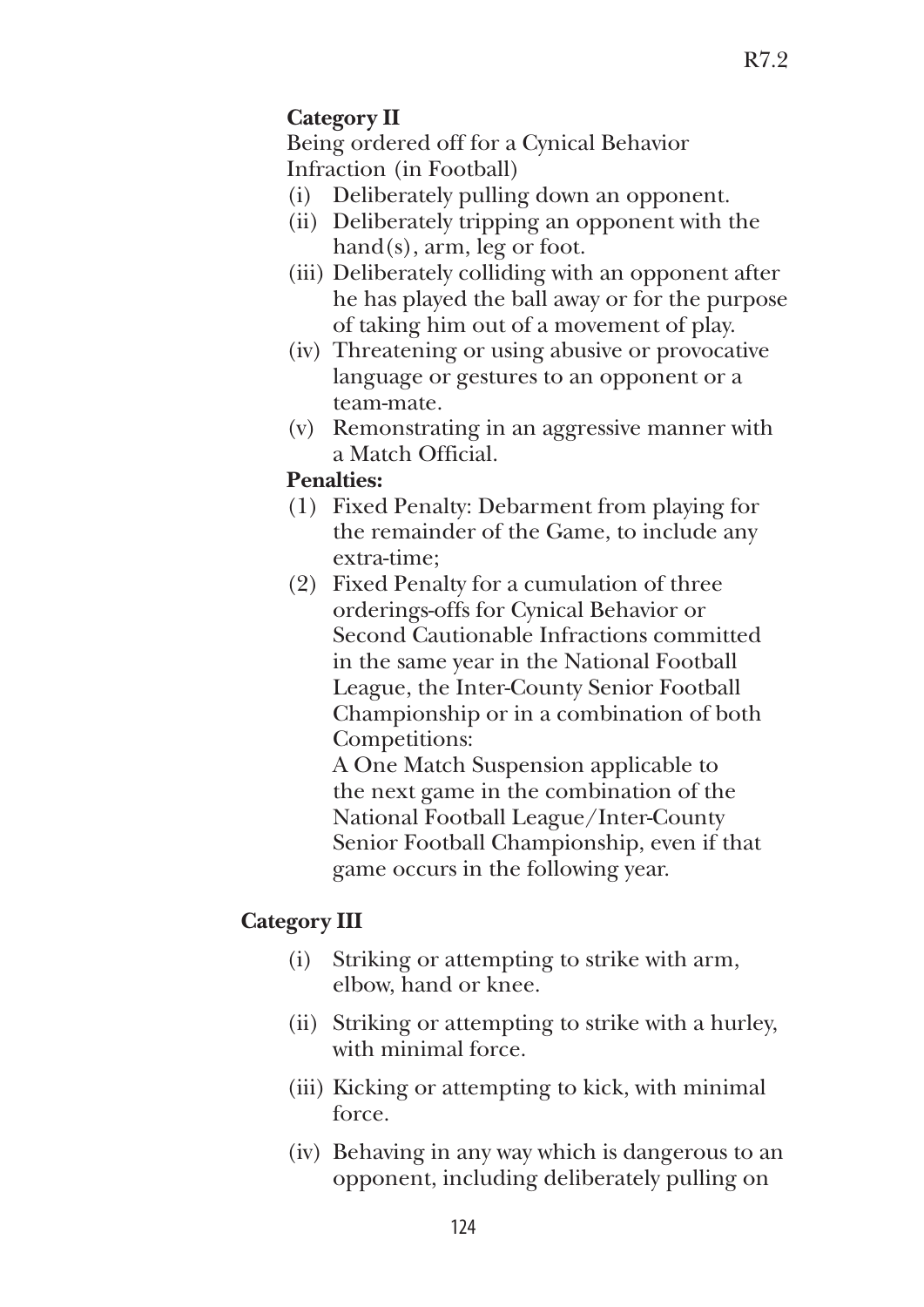## **Category II**

 Being ordered off for a Cynical Behavior Infraction (in Football)

- (i) Deliberately pulling down an opponent.
- (ii) Deliberately tripping an opponent with the hand(s), arm, leg or foot.
- (iii) Deliberately colliding with an opponent after he has played the ball away or for the purpose of taking him out of a movement of play.
- (iv) Threatening or using abusive or provocative language or gestures to an opponent or a team-mate.
- (v) Remonstrating in an aggressive manner with a Match Official.

### **Penalties:**

- (1) Fixed Penalty: Debarment from playing for the remainder of the Game, to include any extra-time;
- (2) Fixed Penalty for a cumulation of three orderings-offs for Cynical Behavior or Second Cautionable Infractions committed in the same year in the National Football League, the Inter-County Senior Football Championship or in a combination of both Competitions:

 A One Match Suspension applicable to the next game in the combination of the National Football League/Inter-County Senior Football Championship, even if that game occurs in the following year.

## **Category III**

- (i) Striking or attempting to strike with arm, elbow, hand or knee.
- (ii) Striking or attempting to strike with a hurley, with minimal force.
- (iii) Kicking or attempting to kick, with minimal force.
- (iv) Behaving in any way which is dangerous to an opponent, including deliberately pulling on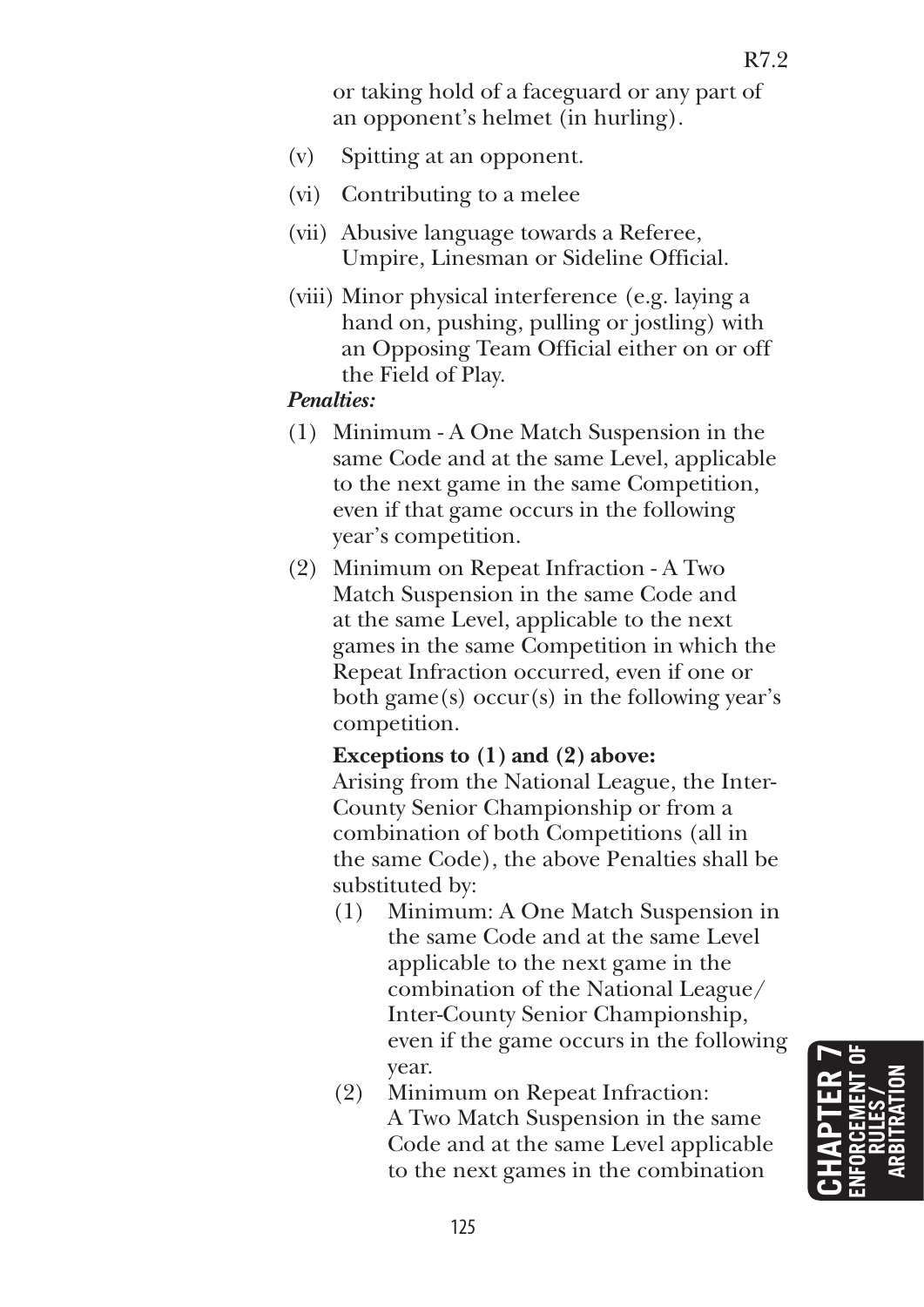or taking hold of a faceguard or any part of an opponent's helmet (in hurling).

- (v) Spitting at an opponent.
- (vi) Contributing to a melee
- (vii) Abusive language towards a Referee, Umpire, Linesman or Sideline Official.
- (viii) Minor physical interference (e.g. laying a hand on, pushing, pulling or jostling) with an Opposing Team Official either on or off the Field of Play.

#### *Penalties:*

- (1) Minimum A One Match Suspension in the same Code and at the same Level, applicable to the next game in the same Competition, even if that game occurs in the following year's competition.
- (2) Minimum on Repeat Infraction A Two Match Suspension in the same Code and at the same Level, applicable to the next games in the same Competition in which the Repeat Infraction occurred, even if one or both game(s) occur(s) in the following year's competition.

#### **Exceptions to (1) and (2) above:**

 Arising from the National League, the Inter-County Senior Championship or from a combination of both Competitions (all in the same Code), the above Penalties shall be substituted by:

- (1) Minimum: A One Match Suspension in the same Code and at the same Level applicable to the next game in the combination of the National League/ Inter-County Senior Championship, even if the game occurs in the following year.
- (2) Minimum on Repeat Infraction: A Two Match Suspension in the same Code and at the same Level applicable to the next games in the combination

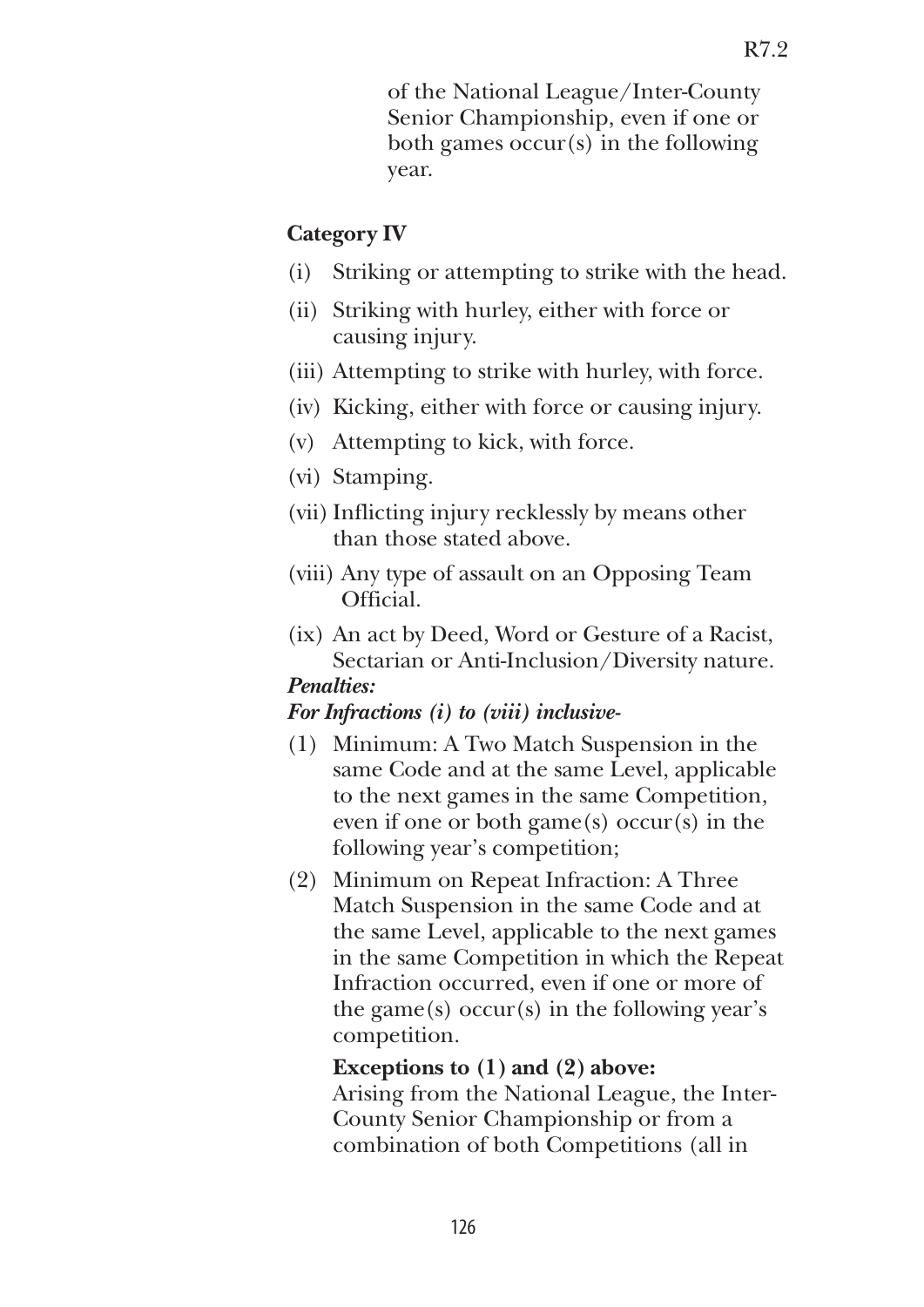of the National League/Inter-County Senior Championship, even if one or both games occur(s) in the following year.

#### **Category IV**

- (i) Striking or attempting to strike with the head.
- (ii) Striking with hurley, either with force or causing injury.
- (iii) Attempting to strike with hurley, with force.
- (iv) Kicking, either with force or causing injury.
- (v) Attempting to kick, with force.
- (vi) Stamping.
- (vii) Inflicting injury recklessly by means other than those stated above.
- (viii) Any type of assault on an Opposing Team Official.
- (ix) An act by Deed, Word or Gesture of a Racist, Sectarian or Anti-Inclusion/Diversity nature.  *Penalties:*

#### *For Infractions (i) to (viii) inclusive-*

- (1) Minimum: A Two Match Suspension in the same Code and at the same Level, applicable to the next games in the same Competition, even if one or both game $(s)$  occur $(s)$  in the following year's competition;
- (2) Minimum on Repeat Infraction: A Three Match Suspension in the same Code and at the same Level, applicable to the next games in the same Competition in which the Repeat Infraction occurred, even if one or more of the game(s) occur(s) in the following year's competition.

#### **Exceptions to (1) and (2) above:**

 Arising from the National League, the Inter-County Senior Championship or from a combination of both Competitions (all in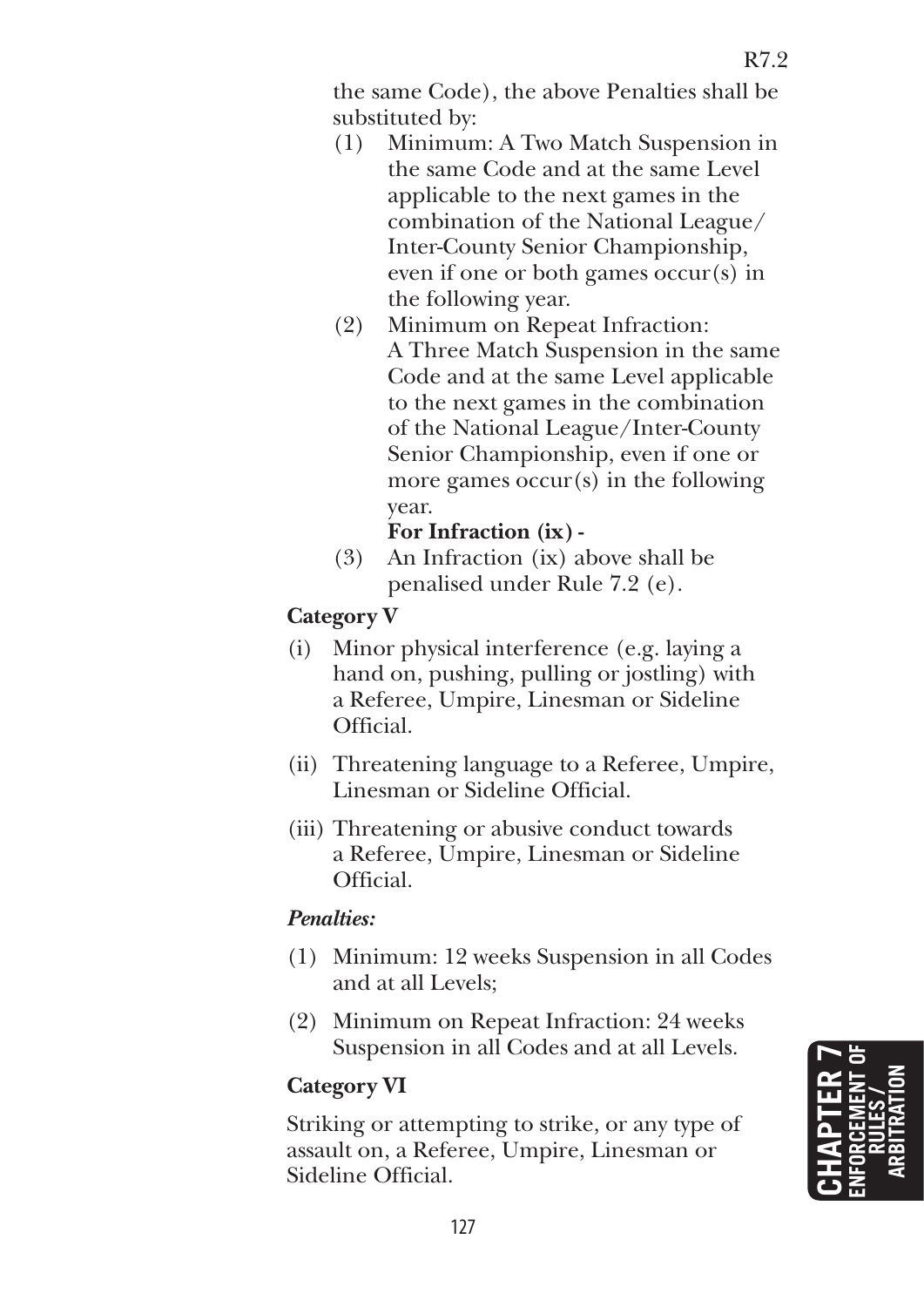the same Code), the above Penalties shall be substituted by:

- (1) Minimum: A Two Match Suspension in the same Code and at the same Level applicable to the next games in the combination of the National League/ Inter-County Senior Championship, even if one or both games occur(s) in the following year.
- (2) Minimum on Repeat Infraction: A Three Match Suspension in the same Code and at the same Level applicable to the next games in the combination of the National League/Inter-County Senior Championship, even if one or more games occur(s) in the following year.

## **For Infraction (ix) -**

 (3) An Infraction (ix) above shall be penalised under Rule 7.2 (e).

## **Category V**

- (i) Minor physical interference (e.g. laying a hand on, pushing, pulling or jostling) with a Referee, Umpire, Linesman or Sideline Official.
- (ii) Threatening language to a Referee, Umpire, Linesman or Sideline Official.
- (iii) Threatening or abusive conduct towards a Referee, Umpire, Linesman or Sideline Official.

## *Penalties:*

- (1) Minimum: 12 weeks Suspension in all Codes and at all Levels;
- (2) Minimum on Repeat Infraction: 24 weeks Suspension in all Codes and at all Levels.

## **Category VI**

 Striking or attempting to strike, or any type of assault on, a Referee, Umpire, Linesman or Sideline Official.

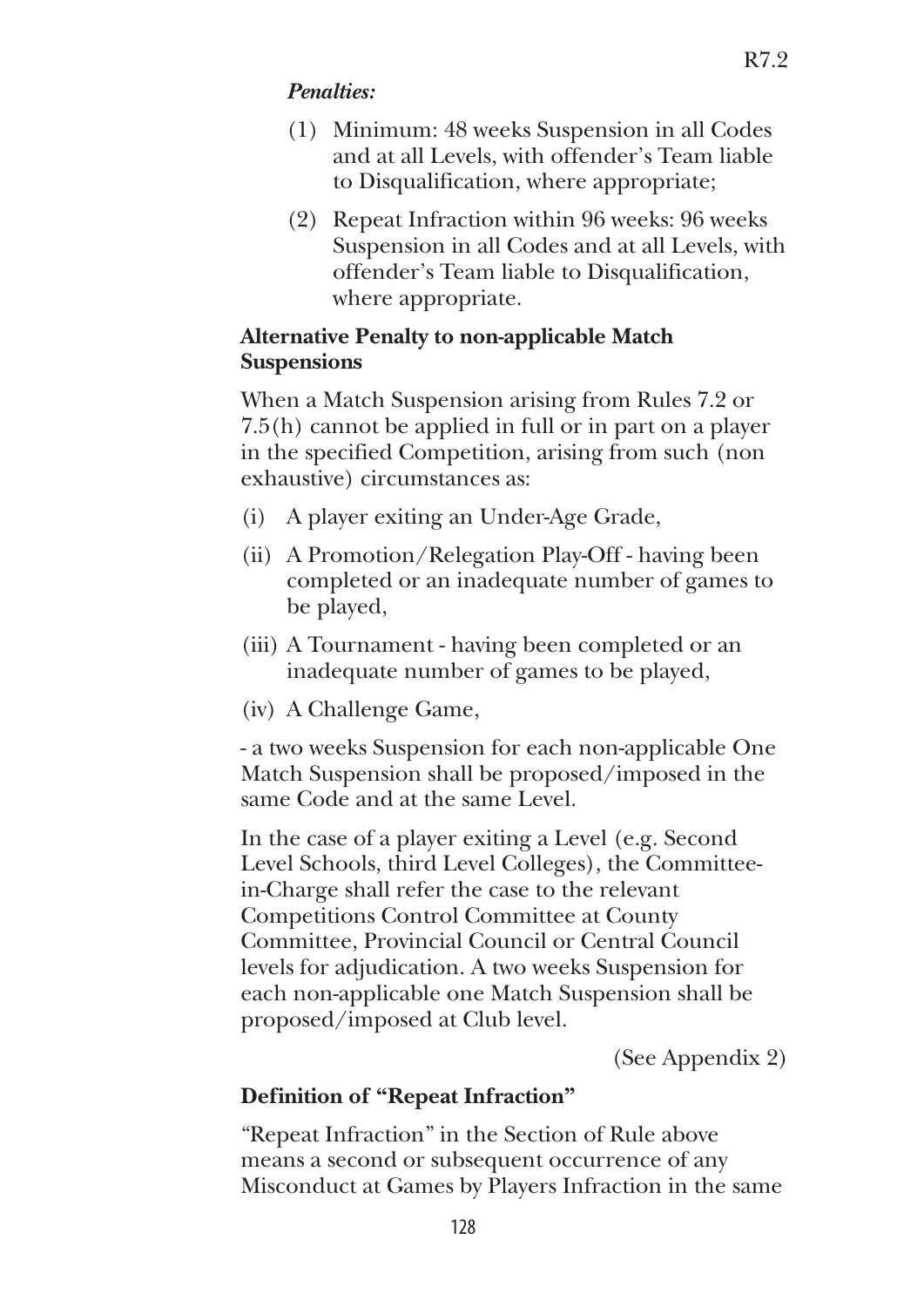## *Penalties:*

- (1) Minimum: 48 weeks Suspension in all Codes and at all Levels, with offender's Team liable to Disqualification, where appropriate;
- (2) Repeat Infraction within 96 weeks: 96 weeks Suspension in all Codes and at all Levels, with offender's Team liable to Disqualification, where appropriate.

### **Alternative Penalty to non-applicable Match Suspensions**

When a Match Suspension arising from Rules 7.2 or 7.5(h) cannot be applied in full or in part on a player in the specified Competition, arising from such (non exhaustive) circumstances as:

- (i) A player exiting an Under-Age Grade,
- (ii) A Promotion/Relegation Play-Off having been completed or an inadequate number of games to be played,
- (iii) A Tournament having been completed or an inadequate number of games to be played,
- (iv) A Challenge Game,

 - a two weeks Suspension for each non-applicable One Match Suspension shall be proposed/imposed in the same Code and at the same Level.

 In the case of a player exiting a Level (e.g. Second Level Schools, third Level Colleges), the Committeein-Charge shall refer the case to the relevant Competitions Control Committee at County Committee, Provincial Council or Central Council levels for adjudication. A two weeks Suspension for each non-applicable one Match Suspension shall be proposed/imposed at Club level.

(See Appendix 2)

## **Definition of "Repeat Infraction"**

 "Repeat Infraction" in the Section of Rule above means a second or subsequent occurrence of any Misconduct at Games by Players Infraction in the same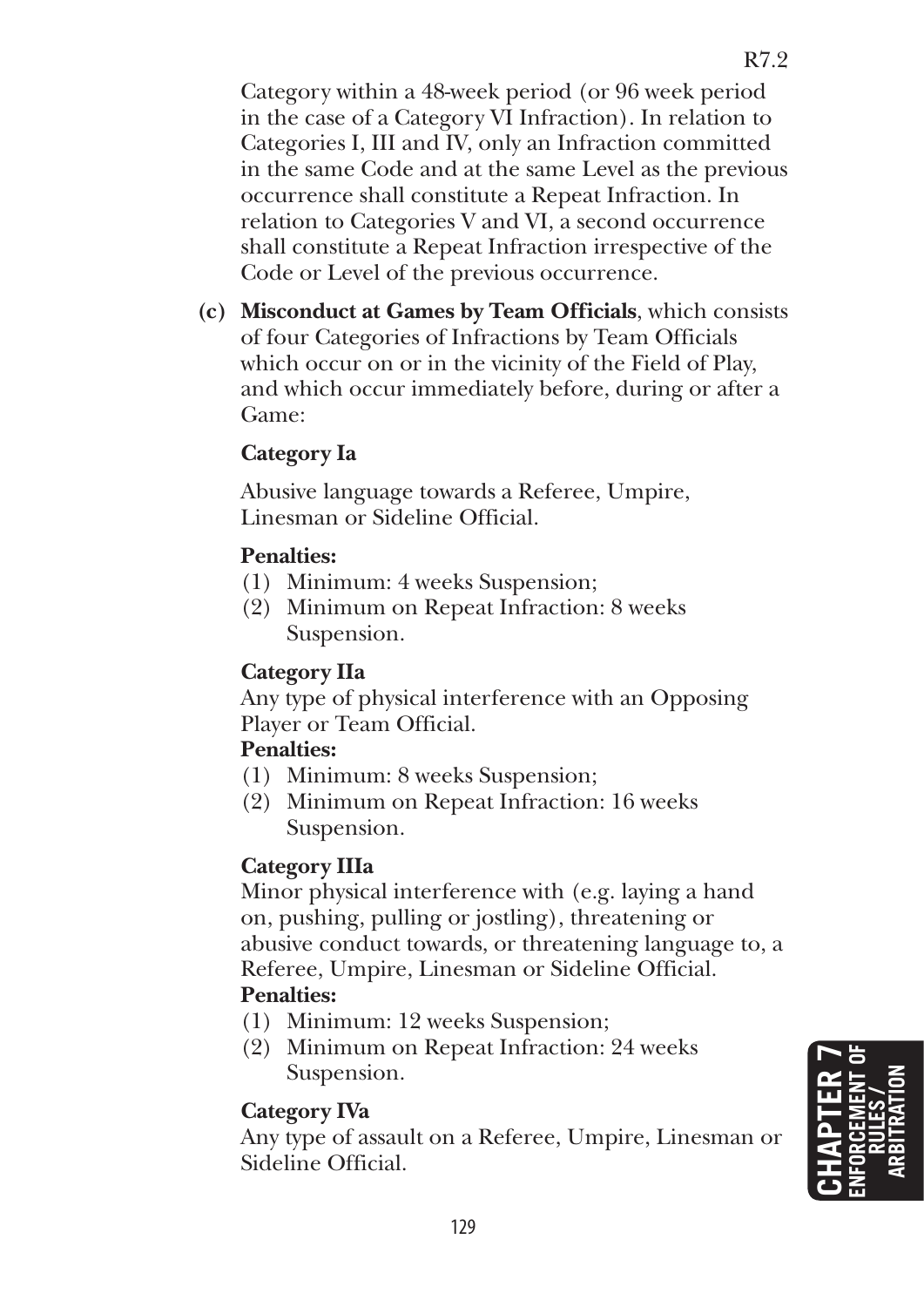Category within a 48-week period (or 96 week period in the case of a Category VI Infraction). In relation to Categories I, III and IV, only an Infraction committed in the same Code and at the same Level as the previous occurrence shall constitute a Repeat Infraction. In relation to Categories V and VI, a second occurrence shall constitute a Repeat Infraction irrespective of the Code or Level of the previous occurrence.

**(c) Misconduct at Games by Team Officials**, which consists of four Categories of Infractions by Team Officials which occur on or in the vicinity of the Field of Play, and which occur immediately before, during or after a Game:

## **Category Ia**

 Abusive language towards a Referee, Umpire, Linesman or Sideline Official.

## **Penalties:**

- (1) Minimum: 4 weeks Suspension;
- (2) Minimum on Repeat Infraction: 8 weeks Suspension.

## **Category IIa**

 Any type of physical interference with an Opposing Player or Team Official.

## **Penalties:**

- (1) Minimum: 8 weeks Suspension;
- (2) Minimum on Repeat Infraction: 16 weeks Suspension.

## **Category IIIa**

 Minor physical interference with (e.g. laying a hand on, pushing, pulling or jostling), threatening or abusive conduct towards, or threatening language to, a Referee, Umpire, Linesman or Sideline Official.

## **Penalties:**

- (1) Minimum: 12 weeks Suspension;
- (2) Minimum on Repeat Infraction: 24 weeks Suspension.

## **Category IVa**

 Any type of assault on a Referee, Umpire, Linesman or Sideline Official.

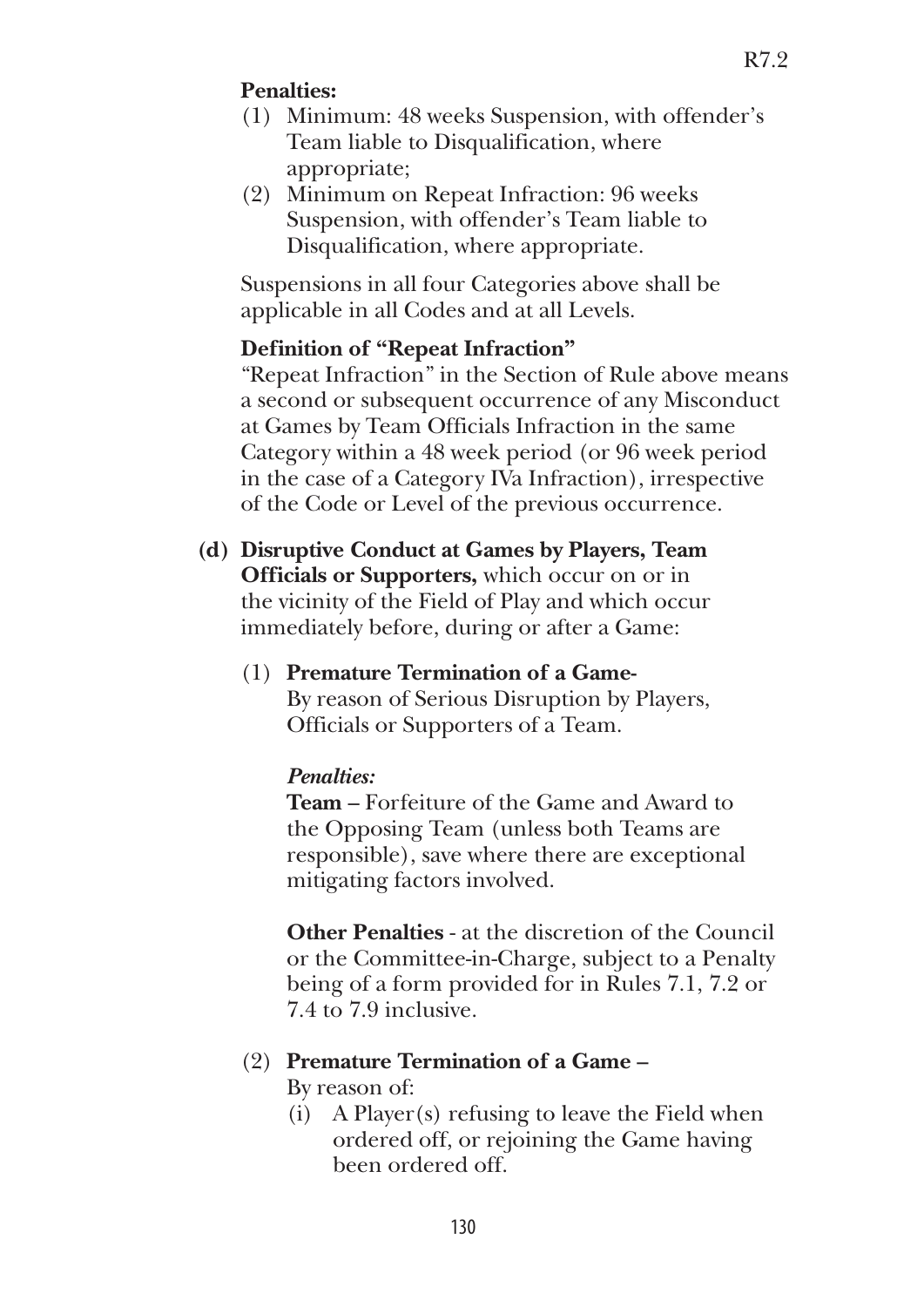### **Penalties:**

- (1) Minimum: 48 weeks Suspension, with offender's Team liable to Disqualification, where appropriate;
- (2) Minimum on Repeat Infraction: 96 weeks Suspension, with offender's Team liable to Disqualification, where appropriate.

 Suspensions in all four Categories above shall be applicable in all Codes and at all Levels.

#### **Definition of "Repeat Infraction"**

 "Repeat Infraction" in the Section of Rule above means a second or subsequent occurrence of any Misconduct at Games by Team Officials Infraction in the same Category within a 48 week period (or 96 week period in the case of a Category IVa Infraction), irrespective of the Code or Level of the previous occurrence.

- **(d) Disruptive Conduct at Games by Players, Team Officials or Supporters,** which occur on or in the vicinity of the Field of Play and which occur immediately before, during or after a Game:
	- (1) **Premature Termination of a Game-** By reason of Serious Disruption by Players, Officials or Supporters of a Team.

## *Penalties:*

 **Team** – Forfeiture of the Game and Award to the Opposing Team (unless both Teams are responsible), save where there are exceptional mitigating factors involved.

 **Other Penalties** - at the discretion of the Council or the Committee-in-Charge, subject to a Penalty being of a form provided for in Rules 7.1, 7.2 or 7.4 to 7.9 inclusive.

## (2) **Premature Termination of a Game –**

By reason of:

 (i) A Player(s) refusing to leave the Field when ordered off, or rejoining the Game having been ordered off.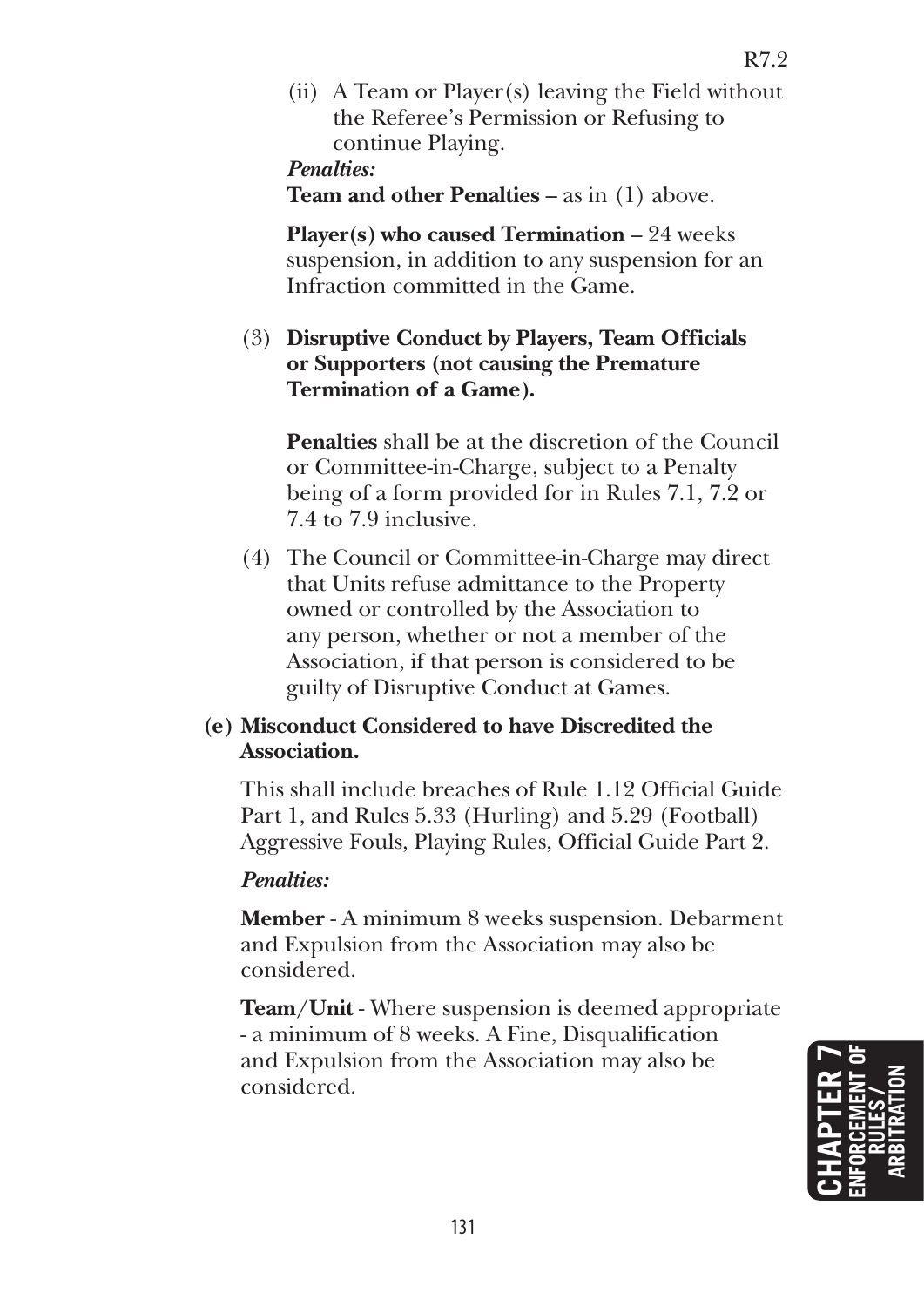(ii) A Team or Player(s) leaving the Field without the Referee's Permission or Refusing to continue Playing.

#### *Penalties:*

**Team and other Penalties** – as in (1) above.

 **Player(s) who caused Termination** – 24 weeks suspension, in addition to any suspension for an Infraction committed in the Game.

## (3) **Disruptive Conduct by Players, Team Officials or Supporters (not causing the Premature Termination of a Game).**

 **Penalties** shall be at the discretion of the Council or Committee-in-Charge, subject to a Penalty being of a form provided for in Rules 7.1, 7.2 or 7.4 to 7.9 inclusive.

(4) The Council or Committee-in-Charge may direct that Units refuse admittance to the Property owned or controlled by the Association to any person, whether or not a member of the Association, if that person is considered to be guilty of Disruptive Conduct at Games.

## **(e) Misconduct Considered to have Discredited the Association.**

This shall include breaches of Rule 1.12 Official Guide Part 1, and Rules 5.33 (Hurling) and 5.29 (Football) Aggressive Fouls, Playing Rules, Official Guide Part 2.

#### *Penalties:*

 **Member** - A minimum 8 weeks suspension. Debarment and Expulsion from the Association may also be considered.

 **Team/Unit** - Where suspension is deemed appropriate - a minimum of 8 weeks. A Fine, Disqualification and Expulsion from the Association may also be considered.

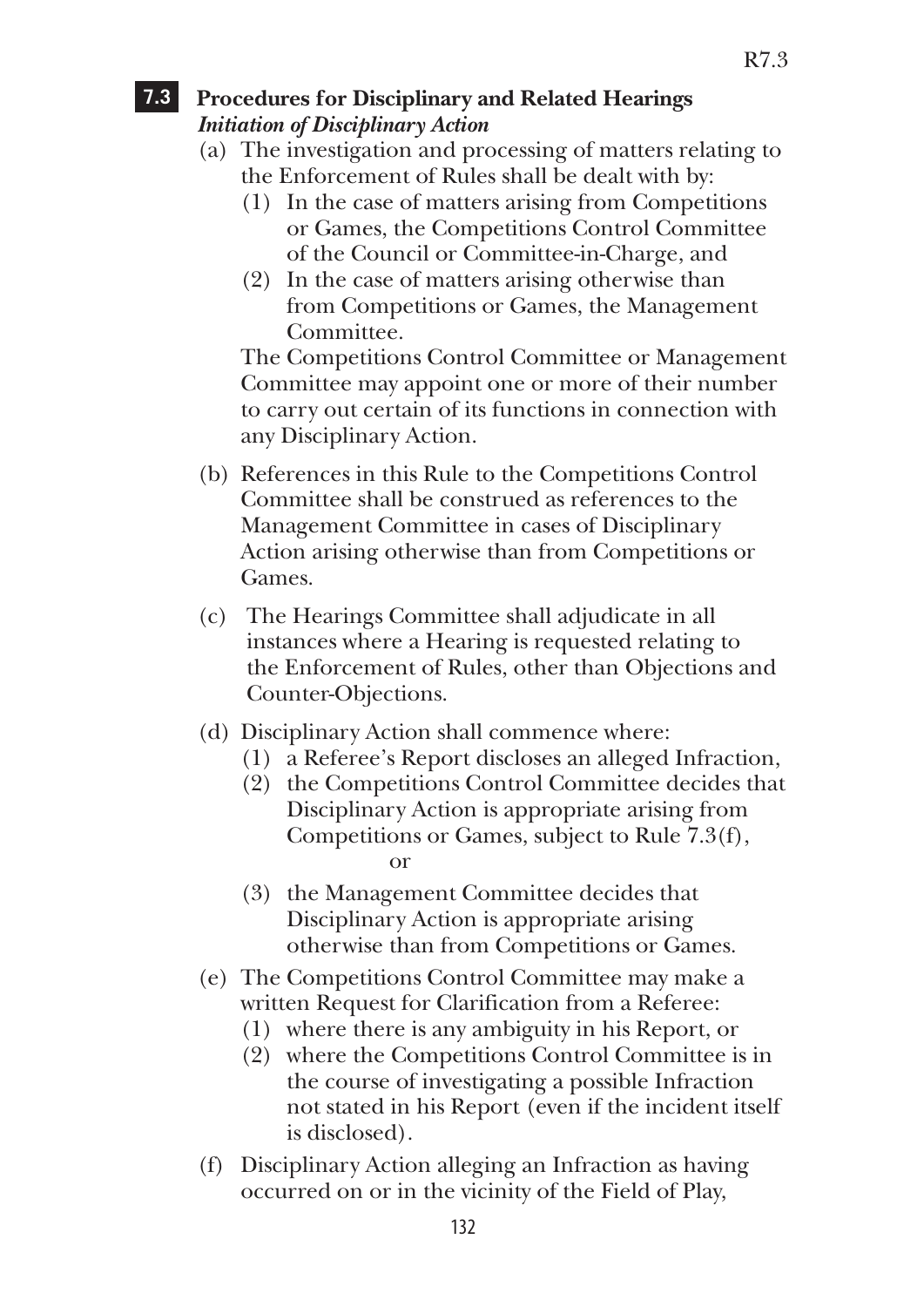## **7.3 Procedures for Disciplinary and Related Hearings**  *Initiation of Disciplinary Action*

- (a) The investigation and processing of matters relating to the Enforcement of Rules shall be dealt with by:
	- (1) In the case of matters arising from Competitions or Games, the Competitions Control Committee of the Council or Committee-in-Charge, and
	- (2) In the case of matters arising otherwise than from Competitions or Games, the Management Committee.

 The Competitions Control Committee or Management Committee may appoint one or more of their number to carry out certain of its functions in connection with any Disciplinary Action.

- (b) References in this Rule to the Competitions Control Committee shall be construed as references to the Management Committee in cases of Disciplinary Action arising otherwise than from Competitions or Games.
- (c) The Hearings Committee shall adjudicate in all instances where a Hearing is requested relating to the Enforcement of Rules, other than Objections and Counter-Objections.
- (d) Disciplinary Action shall commence where:
	- (1) a Referee's Report discloses an alleged Infraction,
	- (2) the Competitions Control Committee decides that Disciplinary Action is appropriate arising from Competitions or Games, subject to Rule 7.3(f), or
	- (3) the Management Committee decides that Disciplinary Action is appropriate arising otherwise than from Competitions or Games.
- (e) The Competitions Control Committee may make a written Request for Clarification from a Referee:
	- (1) where there is any ambiguity in his Report, or
	- (2) where the Competitions Control Committee is in the course of investigating a possible Infraction not stated in his Report (even if the incident itself is disclosed).
- (f) Disciplinary Action alleging an Infraction as having occurred on or in the vicinity of the Field of Play,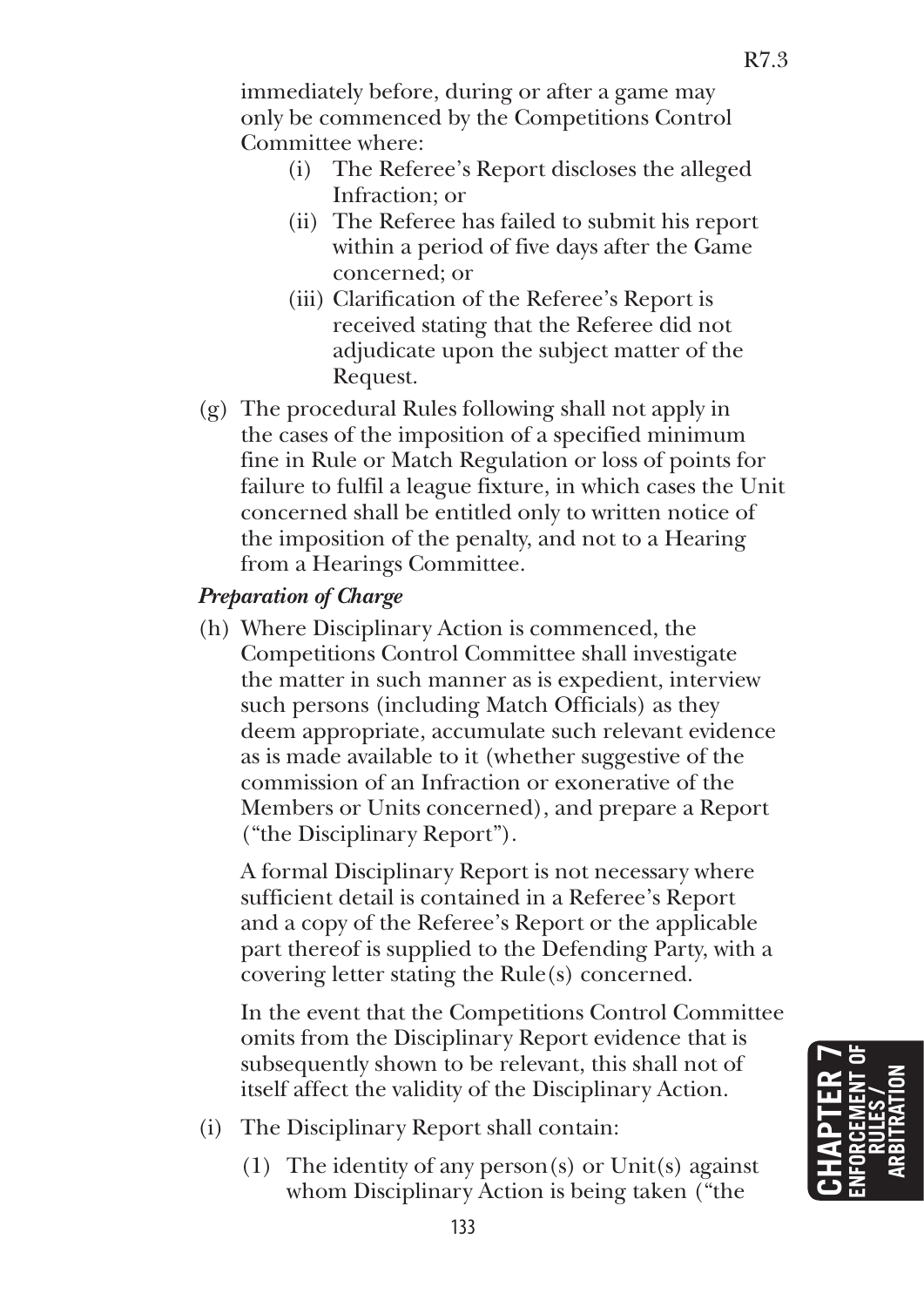immediately before, during or after a game may only be commenced by the Competitions Control Committee where:

- (i) The Referee's Report discloses the alleged Infraction; or
- (ii) The Referee has failed to submit his report within a period of five days after the Game concerned; or
- (iii) Clarification of the Referee's Report is received stating that the Referee did not adjudicate upon the subject matter of the Request.
- (g) The procedural Rules following shall not apply in the cases of the imposition of a specified minimum fine in Rule or Match Regulation or loss of points for failure to fulfil a league fixture, in which cases the Unit concerned shall be entitled only to written notice of the imposition of the penalty, and not to a Hearing from a Hearings Committee.

## *Preparation of Charge*

(h) Where Disciplinary Action is commenced, the Competitions Control Committee shall investigate the matter in such manner as is expedient, interview such persons (including Match Officials) as they deem appropriate, accumulate such relevant evidence as is made available to it (whether suggestive of the commission of an Infraction or exonerative of the Members or Units concerned), and prepare a Report ("the Disciplinary Report").

 A formal Disciplinary Report is not necessary where sufficient detail is contained in a Referee's Report and a copy of the Referee's Report or the applicable part thereof is supplied to the Defending Party, with a covering letter stating the Rule(s) concerned.

 In the event that the Competitions Control Committee omits from the Disciplinary Report evidence that is subsequently shown to be relevant, this shall not of itself affect the validity of the Disciplinary Action.

- (i) The Disciplinary Report shall contain:
	- (1) The identity of any person(s) or Unit(s) against whom Disciplinary Action is being taken ("the

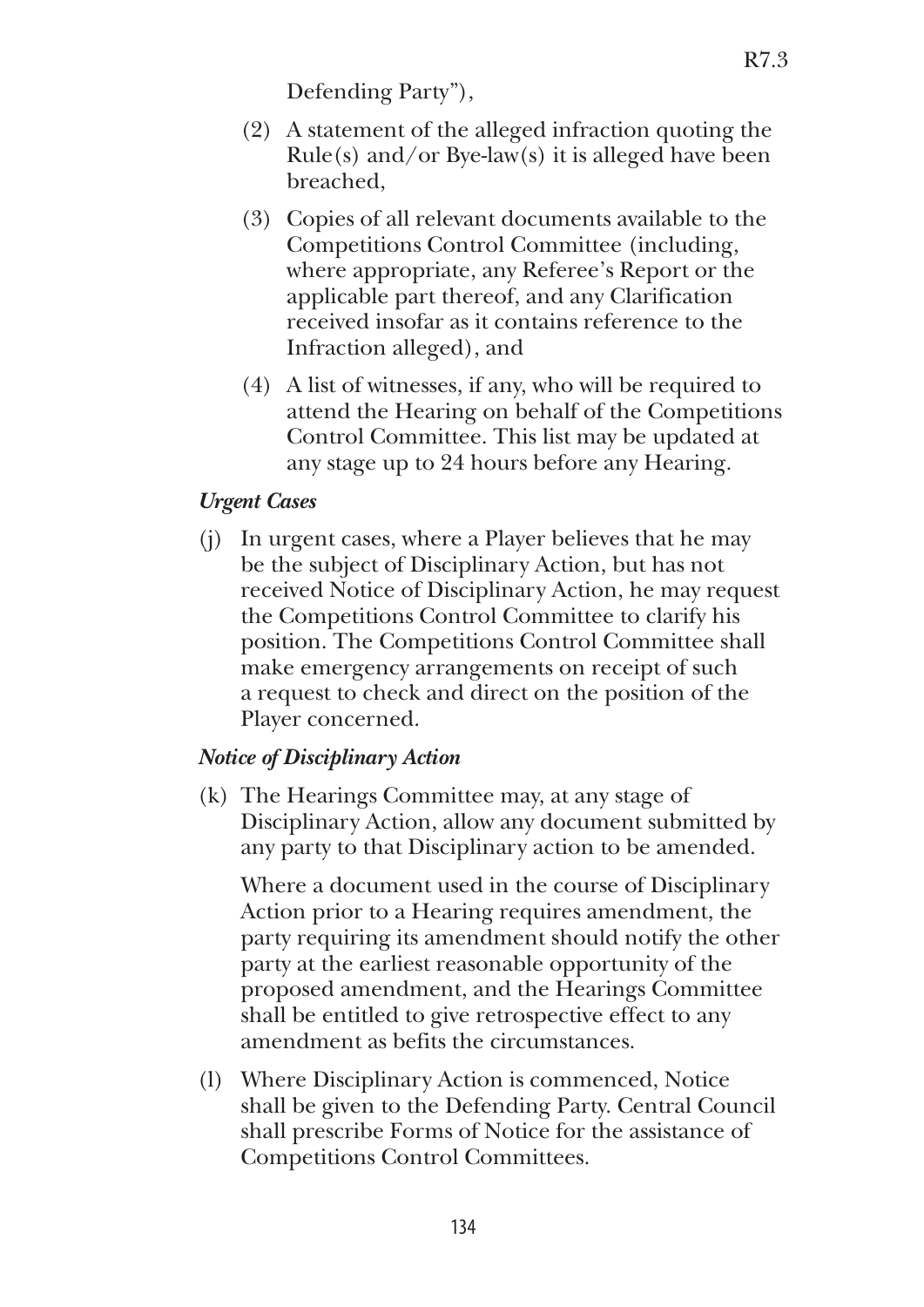Defending Party"),

- (2) A statement of the alleged infraction quoting the  $Rule(s)$  and/or Bye-law(s) it is alleged have been breached,
- (3) Copies of all relevant documents available to the Competitions Control Committee (including, where appropriate, any Referee's Report or the applicable part thereof, and any Clarification received insofar as it contains reference to the Infraction alleged), and
- (4) A list of witnesses, if any, who will be required to attend the Hearing on behalf of the Competitions Control Committee. This list may be updated at any stage up to 24 hours before any Hearing.

### *Urgent Cases*

(j) In urgent cases, where a Player believes that he may be the subject of Disciplinary Action, but has not received Notice of Disciplinary Action, he may request the Competitions Control Committee to clarify his position. The Competitions Control Committee shall make emergency arrangements on receipt of such a request to check and direct on the position of the Player concerned.

## *Notice of Disciplinary Action*

(k) The Hearings Committee may, at any stage of Disciplinary Action, allow any document submitted by any party to that Disciplinary action to be amended.

 Where a document used in the course of Disciplinary Action prior to a Hearing requires amendment, the party requiring its amendment should notify the other party at the earliest reasonable opportunity of the proposed amendment, and the Hearings Committee shall be entitled to give retrospective effect to any amendment as befits the circumstances.

(l) Where Disciplinary Action is commenced, Notice shall be given to the Defending Party. Central Council shall prescribe Forms of Notice for the assistance of Competitions Control Committees.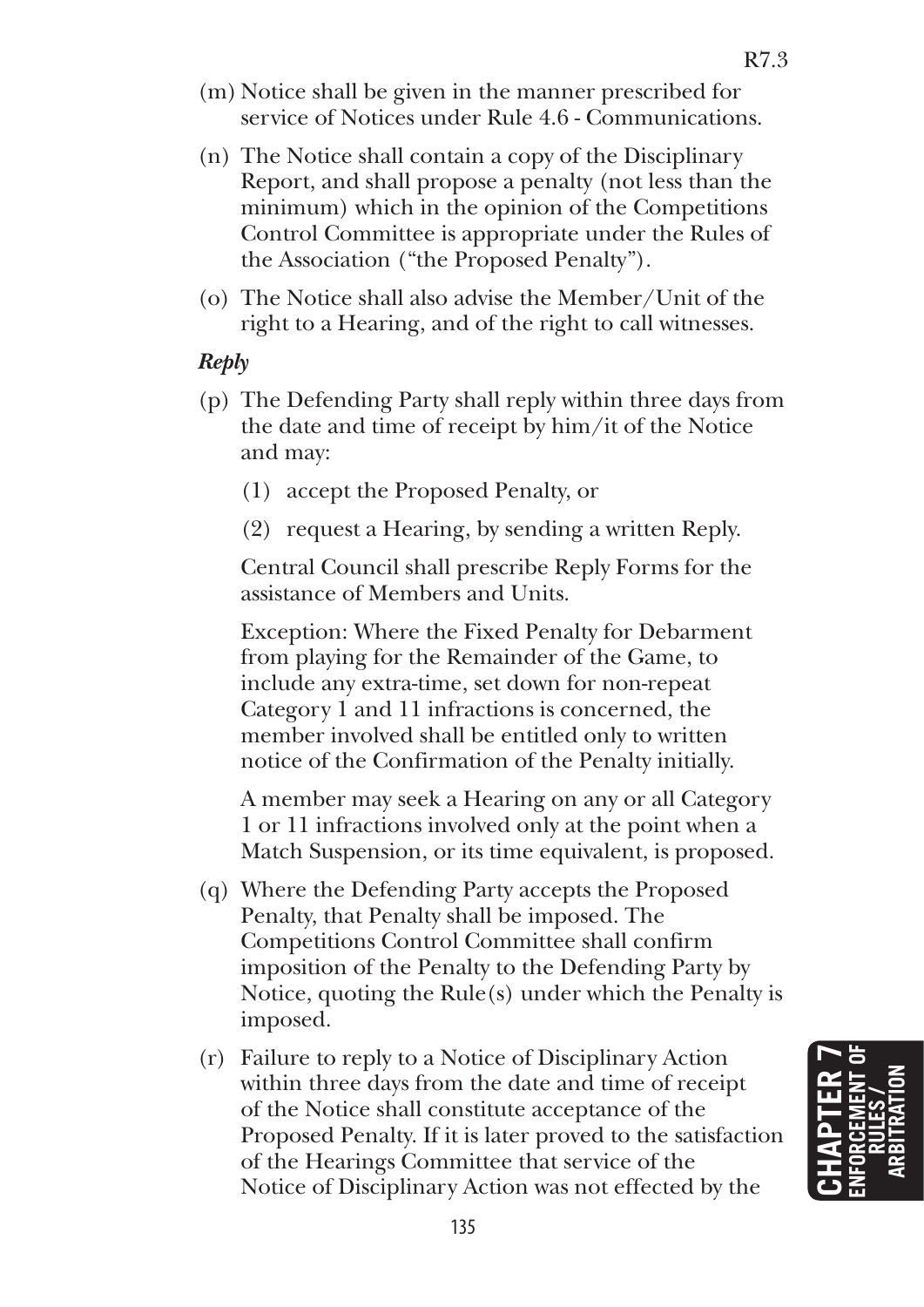- (m) Notice shall be given in the manner prescribed for service of Notices under Rule 4.6 - Communications.
- (n) The Notice shall contain a copy of the Disciplinary Report, and shall propose a penalty (not less than the minimum) which in the opinion of the Competitions Control Committee is appropriate under the Rules of the Association ("the Proposed Penalty").
- (o) The Notice shall also advise the Member/Unit of the right to a Hearing, and of the right to call witnesses.

### *Reply*

- (p) The Defending Party shall reply within three days from the date and time of receipt by him/it of the Notice and may:
	- (1) accept the Proposed Penalty, or
	- (2) request a Hearing, by sending a written Reply.

 Central Council shall prescribe Reply Forms for the assistance of Members and Units.

 Exception: Where the Fixed Penalty for Debarment from playing for the Remainder of the Game, to include any extra-time, set down for non-repeat Category 1 and 11 infractions is concerned, the member involved shall be entitled only to written notice of the Confirmation of the Penalty initially.

 A member may seek a Hearing on any or all Category 1 or 11 infractions involved only at the point when a Match Suspension, or its time equivalent, is proposed.

- (q) Where the Defending Party accepts the Proposed Penalty, that Penalty shall be imposed. The Competitions Control Committee shall confirm imposition of the Penalty to the Defending Party by Notice, quoting the Rule(s) under which the Penalty is imposed.
- (r) Failure to reply to a Notice of Disciplinary Action within three days from the date and time of receipt of the Notice shall constitute acceptance of the Proposed Penalty. If it is later proved to the satisfaction of the Hearings Committee that service of the Notice of Disciplinary Action was not effected by the

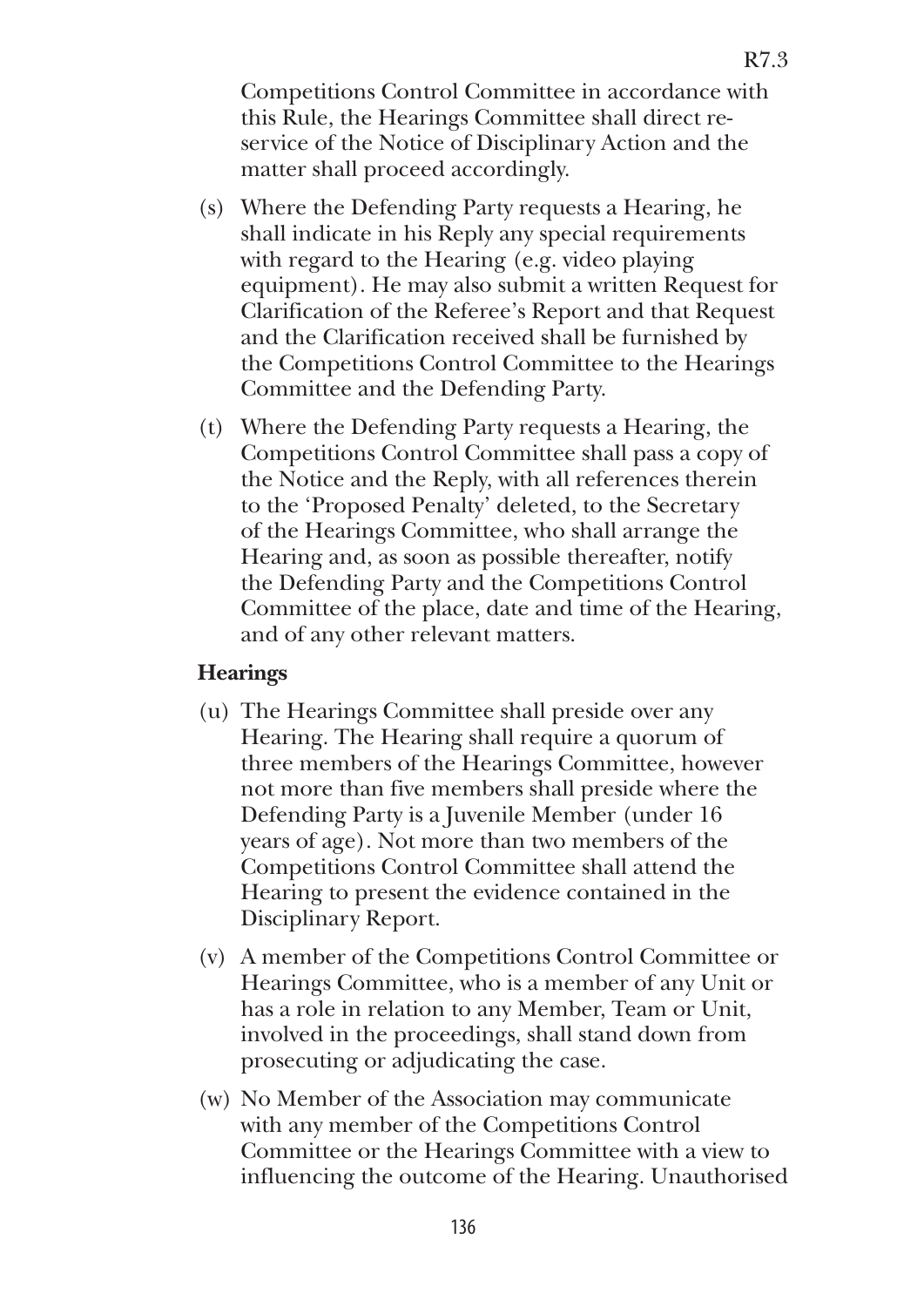Competitions Control Committee in accordance with this Rule, the Hearings Committee shall direct reservice of the Notice of Disciplinary Action and the matter shall proceed accordingly.

- (s) Where the Defending Party requests a Hearing, he shall indicate in his Reply any special requirements with regard to the Hearing (e.g. video playing equipment). He may also submit a written Request for Clarification of the Referee's Report and that Request and the Clarification received shall be furnished by the Competitions Control Committee to the Hearings Committee and the Defending Party.
- (t) Where the Defending Party requests a Hearing, the Competitions Control Committee shall pass a copy of the Notice and the Reply, with all references therein to the 'Proposed Penalty' deleted, to the Secretary of the Hearings Committee, who shall arrange the Hearing and, as soon as possible thereafter, notify the Defending Party and the Competitions Control Committee of the place, date and time of the Hearing, and of any other relevant matters.

#### **Hearings**

- (u) The Hearings Committee shall preside over any Hearing. The Hearing shall require a quorum of three members of the Hearings Committee, however not more than five members shall preside where the Defending Party is a Juvenile Member (under 16 years of age). Not more than two members of the Competitions Control Committee shall attend the Hearing to present the evidence contained in the Disciplinary Report.
- (v) A member of the Competitions Control Committee or Hearings Committee, who is a member of any Unit or has a role in relation to any Member, Team or Unit, involved in the proceedings, shall stand down from prosecuting or adjudicating the case.
- (w) No Member of the Association may communicate with any member of the Competitions Control Committee or the Hearings Committee with a view to influencing the outcome of the Hearing. Unauthorised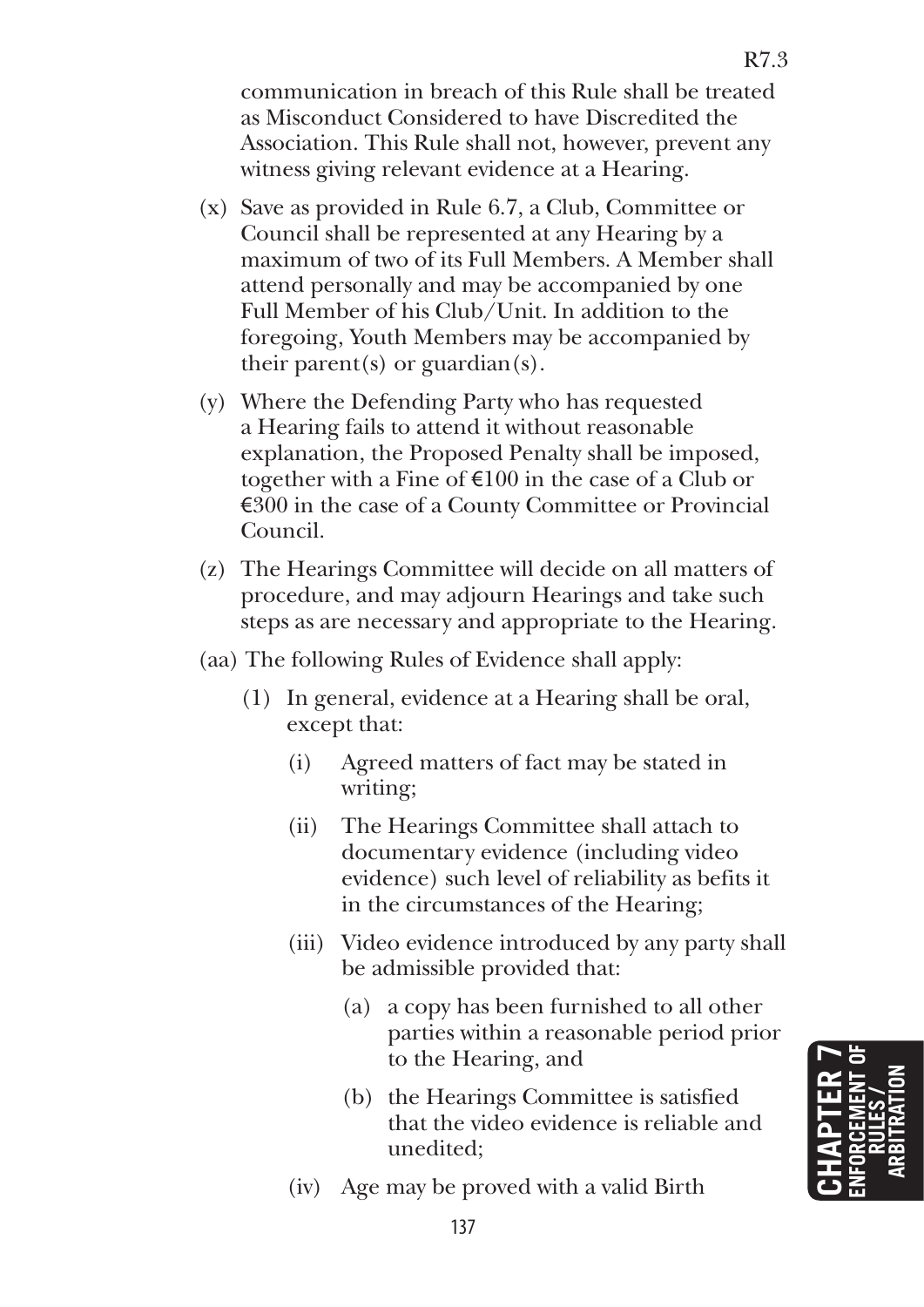communication in breach of this Rule shall be treated as Misconduct Considered to have Discredited the Association. This Rule shall not, however, prevent any witness giving relevant evidence at a Hearing.

- (x) Save as provided in Rule 6.7, a Club, Committee or Council shall be represented at any Hearing by a maximum of two of its Full Members. A Member shall attend personally and may be accompanied by one Full Member of his Club/Unit. In addition to the foregoing, Youth Members may be accompanied by their parent(s) or guardian(s).
- (y) Where the Defending Party who has requested a Hearing fails to attend it without reasonable explanation, the Proposed Penalty shall be imposed, together with a Fine of  $\epsilon$ 100 in the case of a Club or €300 in the case of a County Committee or Provincial Council.
- (z) The Hearings Committee will decide on all matters of procedure, and may adjourn Hearings and take such steps as are necessary and appropriate to the Hearing.
- (aa) The following Rules of Evidence shall apply:
	- (1) In general, evidence at a Hearing shall be oral, except that:
		- (i) Agreed matters of fact may be stated in writing;
		- (ii) The Hearings Committee shall attach to documentary evidence (including video evidence) such level of reliability as befits it in the circumstances of the Hearing;
		- (iii) Video evidence introduced by any party shall be admissible provided that:
			- (a) a copy has been furnished to all other parties within a reasonable period prior to the Hearing, and
			- (b) the Hearings Committee is satisfied that the video evidence is reliable and unedited;
		- (iv) Age may be proved with a valid Birth

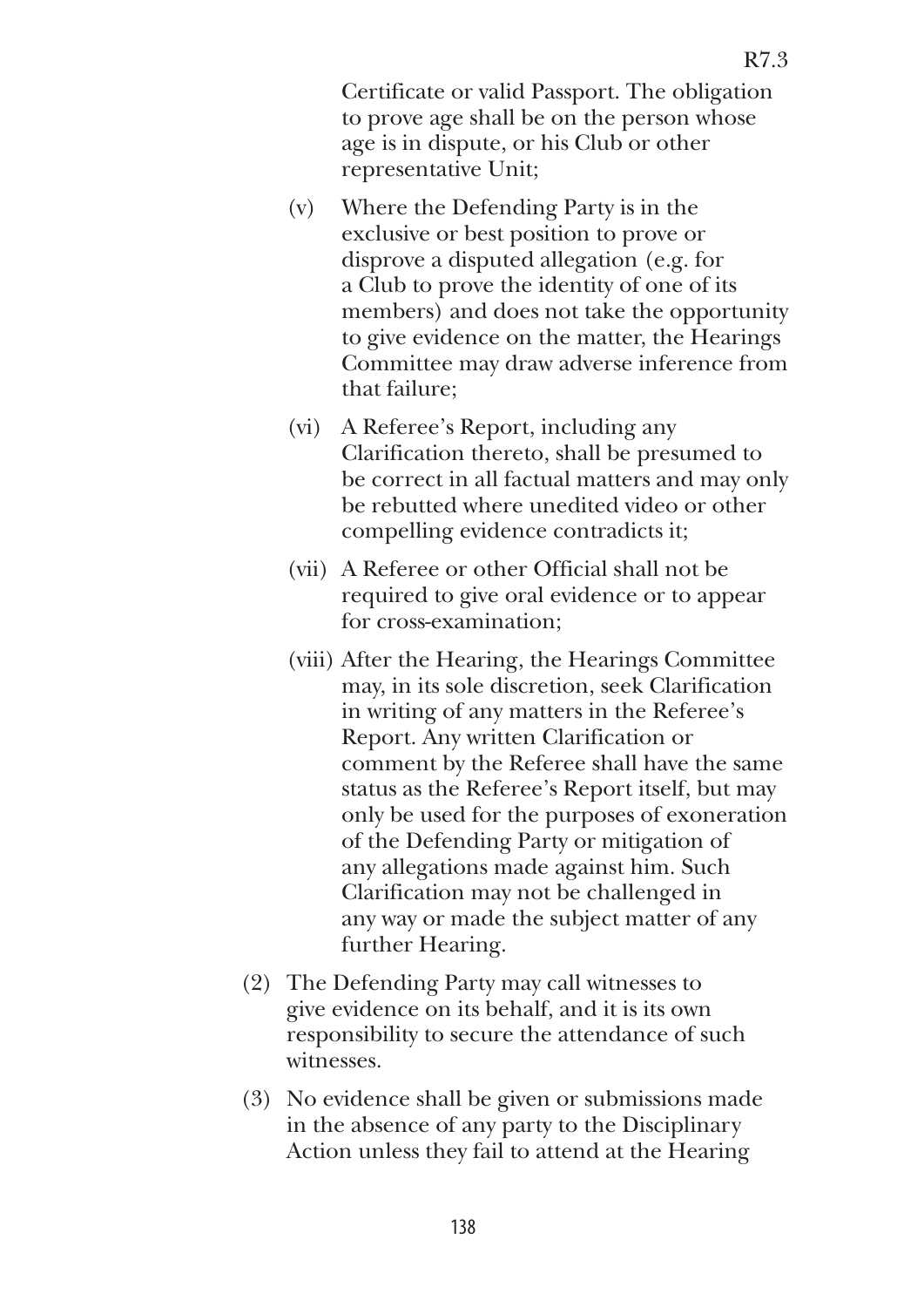Certificate or valid Passport. The obligation to prove age shall be on the person whose age is in dispute, or his Club or other representative Unit;

- (v) Where the Defending Party is in the exclusive or best position to prove or disprove a disputed allegation (e.g. for a Club to prove the identity of one of its members) and does not take the opportunity to give evidence on the matter, the Hearings Committee may draw adverse inference from that failure;
- (vi) A Referee's Report, including any Clarification thereto, shall be presumed to be correct in all factual matters and may only be rebutted where unedited video or other compelling evidence contradicts it;
- (vii) A Referee or other Official shall not be required to give oral evidence or to appear for cross-examination;
- (viii) After the Hearing, the Hearings Committee may, in its sole discretion, seek Clarification in writing of any matters in the Referee's Report. Any written Clarification or comment by the Referee shall have the same status as the Referee's Report itself, but may only be used for the purposes of exoneration of the Defending Party or mitigation of any allegations made against him. Such Clarification may not be challenged in any way or made the subject matter of any further Hearing.
- (2) The Defending Party may call witnesses to give evidence on its behalf, and it is its own responsibility to secure the attendance of such witnesses.
- (3) No evidence shall be given or submissions made in the absence of any party to the Disciplinary Action unless they fail to attend at the Hearing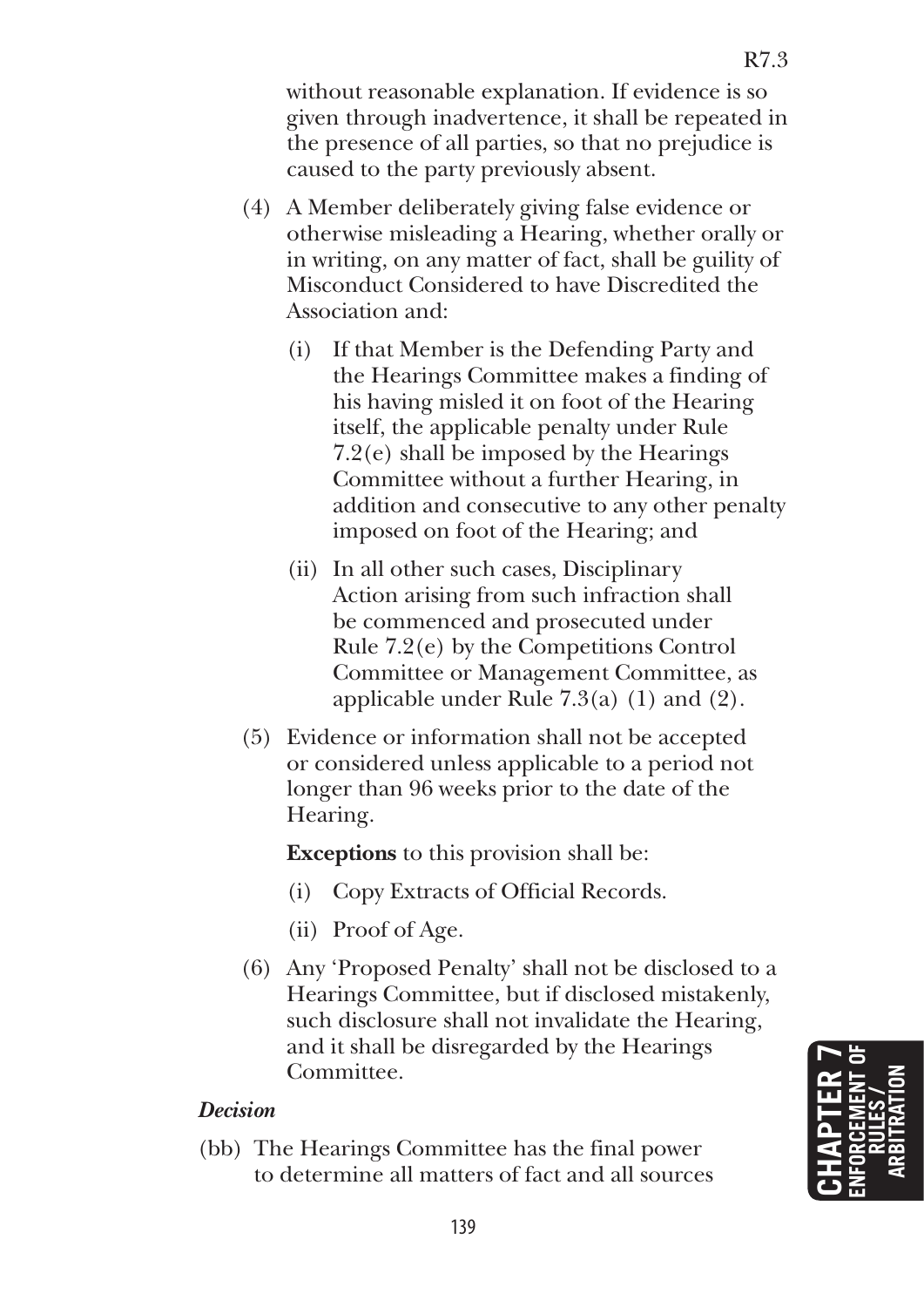without reasonable explanation. If evidence is so given through inadvertence, it shall be repeated in the presence of all parties, so that no prejudice is caused to the party previously absent.

- (4) A Member deliberately giving false evidence or otherwise misleading a Hearing, whether orally or in writing, on any matter of fact, shall be guility of Misconduct Considered to have Discredited the Association and:
	- (i) If that Member is the Defending Party and the Hearings Committee makes a finding of his having misled it on foot of the Hearing itself, the applicable penalty under Rule 7.2(e) shall be imposed by the Hearings Committee without a further Hearing, in addition and consecutive to any other penalty imposed on foot of the Hearing; and
	- (ii) In all other such cases, Disciplinary Action arising from such infraction shall be commenced and prosecuted under Rule 7.2(e) by the Competitions Control Committee or Management Committee, as applicable under Rule 7.3(a) (1) and (2).
- (5) Evidence or information shall not be accepted or considered unless applicable to a period not longer than 96 weeks prior to the date of the Hearing.

**Exceptions** to this provision shall be:

- (i) Copy Extracts of Official Records.
- (ii) Proof of Age.
- (6) Any 'Proposed Penalty' shall not be disclosed to a Hearings Committee, but if disclosed mistakenly, such disclosure shall not invalidate the Hearing, and it shall be disregarded by the Hearings Committee.

## *Decision*

(bb) The Hearings Committee has the final power to determine all matters of fact and all sources

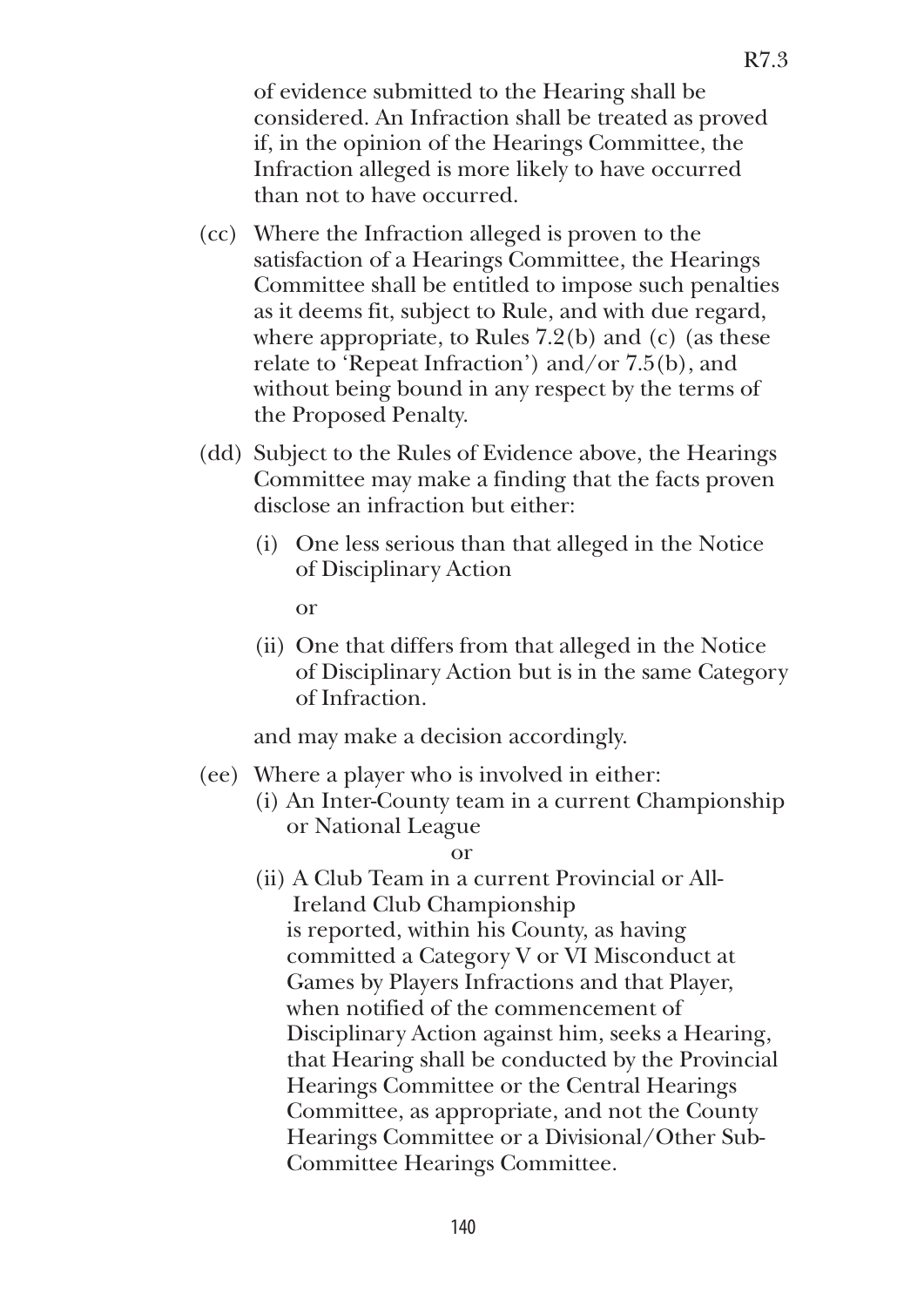of evidence submitted to the Hearing shall be considered. An Infraction shall be treated as proved if, in the opinion of the Hearings Committee, the Infraction alleged is more likely to have occurred than not to have occurred.

- (cc) Where the Infraction alleged is proven to the satisfaction of a Hearings Committee, the Hearings Committee shall be entitled to impose such penalties as it deems fit, subject to Rule, and with due regard, where appropriate, to Rules  $7.2(b)$  and (c) (as these relate to 'Repeat Infraction') and/or 7.5(b), and without being bound in any respect by the terms of the Proposed Penalty.
- (dd) Subject to the Rules of Evidence above, the Hearings Committee may make a finding that the facts proven disclose an infraction but either:
	- (i) One less serious than that alleged in the Notice of Disciplinary Action

or

(ii) One that differs from that alleged in the Notice of Disciplinary Action but is in the same Category of Infraction.

and may make a decision accordingly.

- (ee) Where a player who is involved in either:
	- (i) An Inter-County team in a current Championship or National League

or

(ii) A Club Team in a current Provincial or All-Ireland Club Championship is reported, within his County, as having committed a Category V or VI Misconduct at Games by Players Infractions and that Player, when notified of the commencement of Disciplinary Action against him, seeks a Hearing, that Hearing shall be conducted by the Provincial Hearings Committee or the Central Hearings Committee, as appropriate, and not the County Hearings Committee or a Divisional/Other Sub-Committee Hearings Committee.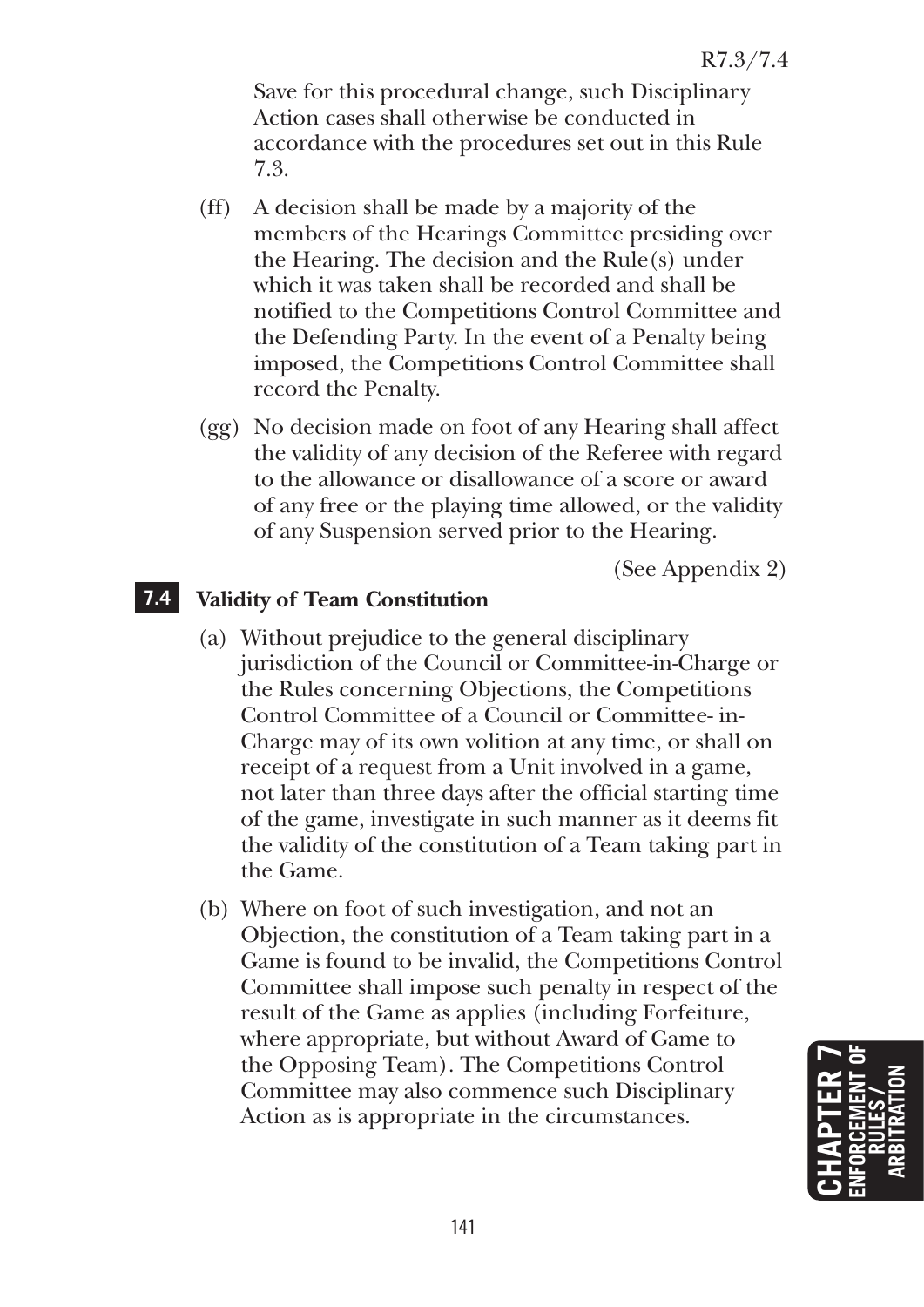Save for this procedural change, such Disciplinary Action cases shall otherwise be conducted in accordance with the procedures set out in this Rule 7.3.

- (ff) A decision shall be made by a majority of the members of the Hearings Committee presiding over the Hearing. The decision and the Rule(s) under which it was taken shall be recorded and shall be notified to the Competitions Control Committee and the Defending Party. In the event of a Penalty being imposed, the Competitions Control Committee shall record the Penalty.
- (gg) No decision made on foot of any Hearing shall affect the validity of any decision of the Referee with regard to the allowance or disallowance of a score or award of any free or the playing time allowed, or the validity of any Suspension served prior to the Hearing.

(See Appendix 2)

## **7.4 Validity of Team Constitution**

- (a) Without prejudice to the general disciplinary jurisdiction of the Council or Committee-in-Charge or the Rules concerning Objections, the Competitions Control Committee of a Council or Committee- in-Charge may of its own volition at any time, or shall on receipt of a request from a Unit involved in a game, not later than three days after the official starting time of the game, investigate in such manner as it deems fit the validity of the constitution of a Team taking part in the Game.
- (b) Where on foot of such investigation, and not an Objection, the constitution of a Team taking part in a Game is found to be invalid, the Competitions Control Committee shall impose such penalty in respect of the result of the Game as applies (including Forfeiture, where appropriate, but without Award of Game to the Opposing Team). The Competitions Control Committee may also commence such Disciplinary Action as is appropriate in the circumstances.

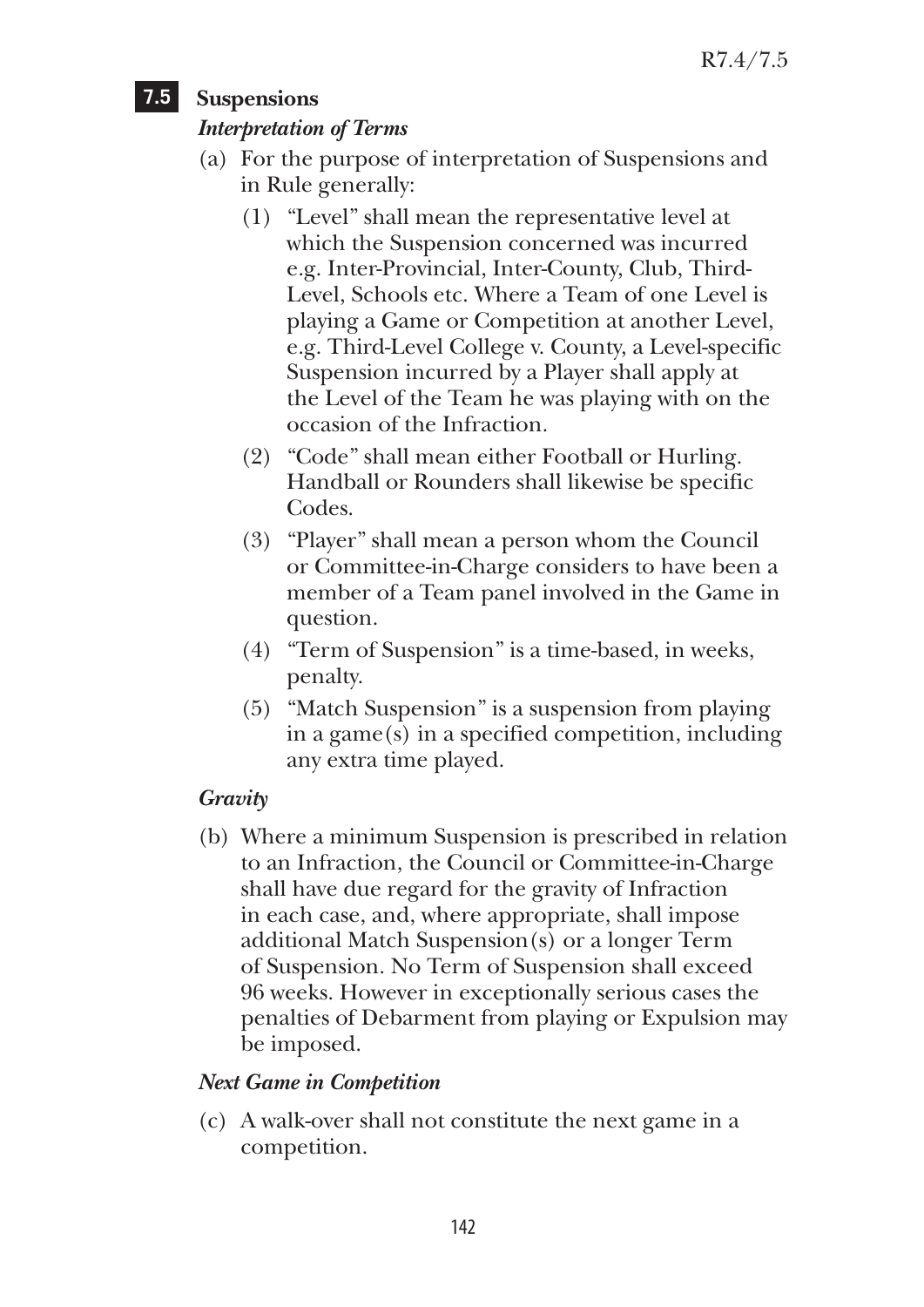## **7.5 Suspensions**

## *Interpretation of Terms*

- (a) For the purpose of interpretation of Suspensions and in Rule generally:
	- (1) "Level" shall mean the representative level at which the Suspension concerned was incurred e.g. Inter-Provincial, Inter-County, Club, Third-Level, Schools etc. Where a Team of one Level is playing a Game or Competition at another Level, e.g. Third-Level College v. County, a Level-specific Suspension incurred by a Player shall apply at the Level of the Team he was playing with on the occasion of the Infraction.
	- (2) "Code" shall mean either Football or Hurling. Handball or Rounders shall likewise be specific Codes.
	- (3) "Player" shall mean a person whom the Council or Committee-in-Charge considers to have been a member of a Team panel involved in the Game in question.
	- (4) "Term of Suspension" is a time-based, in weeks, penalty.
	- (5) "Match Suspension" is a suspension from playing in a game(s) in a specified competition, including any extra time played.

## *Gravity*

(b) Where a minimum Suspension is prescribed in relation to an Infraction, the Council or Committee-in-Charge shall have due regard for the gravity of Infraction in each case, and, where appropriate, shall impose additional Match Suspension(s) or a longer Term of Suspension. No Term of Suspension shall exceed 96 weeks. However in exceptionally serious cases the penalties of Debarment from playing or Expulsion may be imposed.

## *Next Game in Competition*

(c) A walk-over shall not constitute the next game in a competition.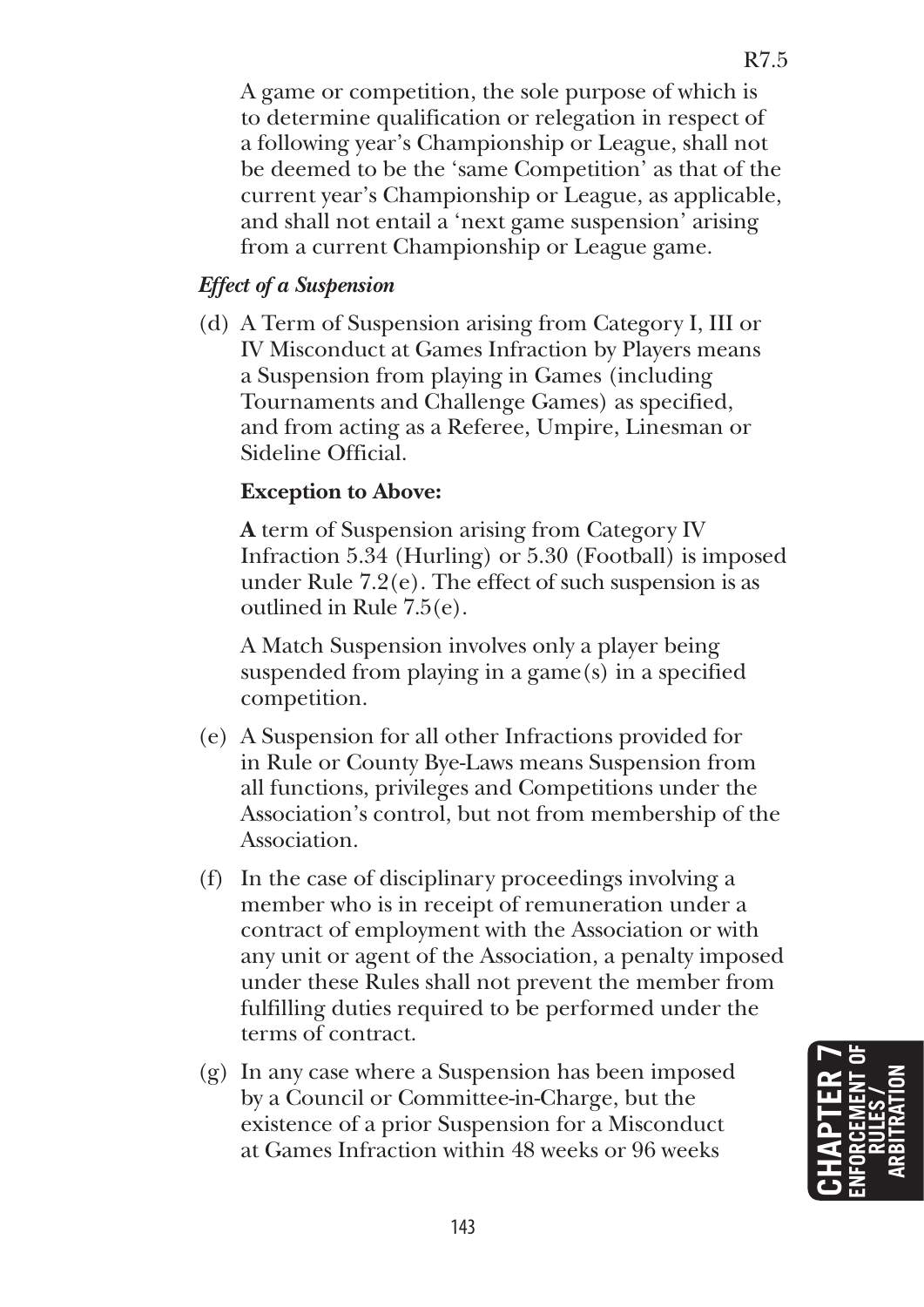R7.5

 A game or competition, the sole purpose of which is to determine qualification or relegation in respect of a following year's Championship or League, shall not be deemed to be the 'same Competition' as that of the current year's Championship or League, as applicable, and shall not entail a 'next game suspension' arising from a current Championship or League game.

## *Effect of a Suspension*

(d) A Term of Suspension arising from Category I, III or IV Misconduct at Games Infraction by Players means a Suspension from playing in Games (including Tournaments and Challenge Games) as specified, and from acting as a Referee, Umpire, Linesman or Sideline Official.

## **Exception to Above:**

 **A** term of Suspension arising from Category IV Infraction 5.34 (Hurling) or 5.30 (Football) is imposed under Rule 7.2(e). The effect of such suspension is as outlined in Rule 7.5(e).

 A Match Suspension involves only a player being suspended from playing in a game(s) in a specified competition.

- (e) A Suspension for all other Infractions provided for in Rule or County Bye-Laws means Suspension from all functions, privileges and Competitions under the Association's control, but not from membership of the Association.
- (f) In the case of disciplinary proceedings involving a member who is in receipt of remuneration under a contract of employment with the Association or with any unit or agent of the Association, a penalty imposed under these Rules shall not prevent the member from fulfilling duties required to be performed under the terms of contract.
- (g) In any case where a Suspension has been imposed by a Council or Committee-in-Charge, but the existence of a prior Suspension for a Misconduct at Games Infraction within 48 weeks or 96 weeks

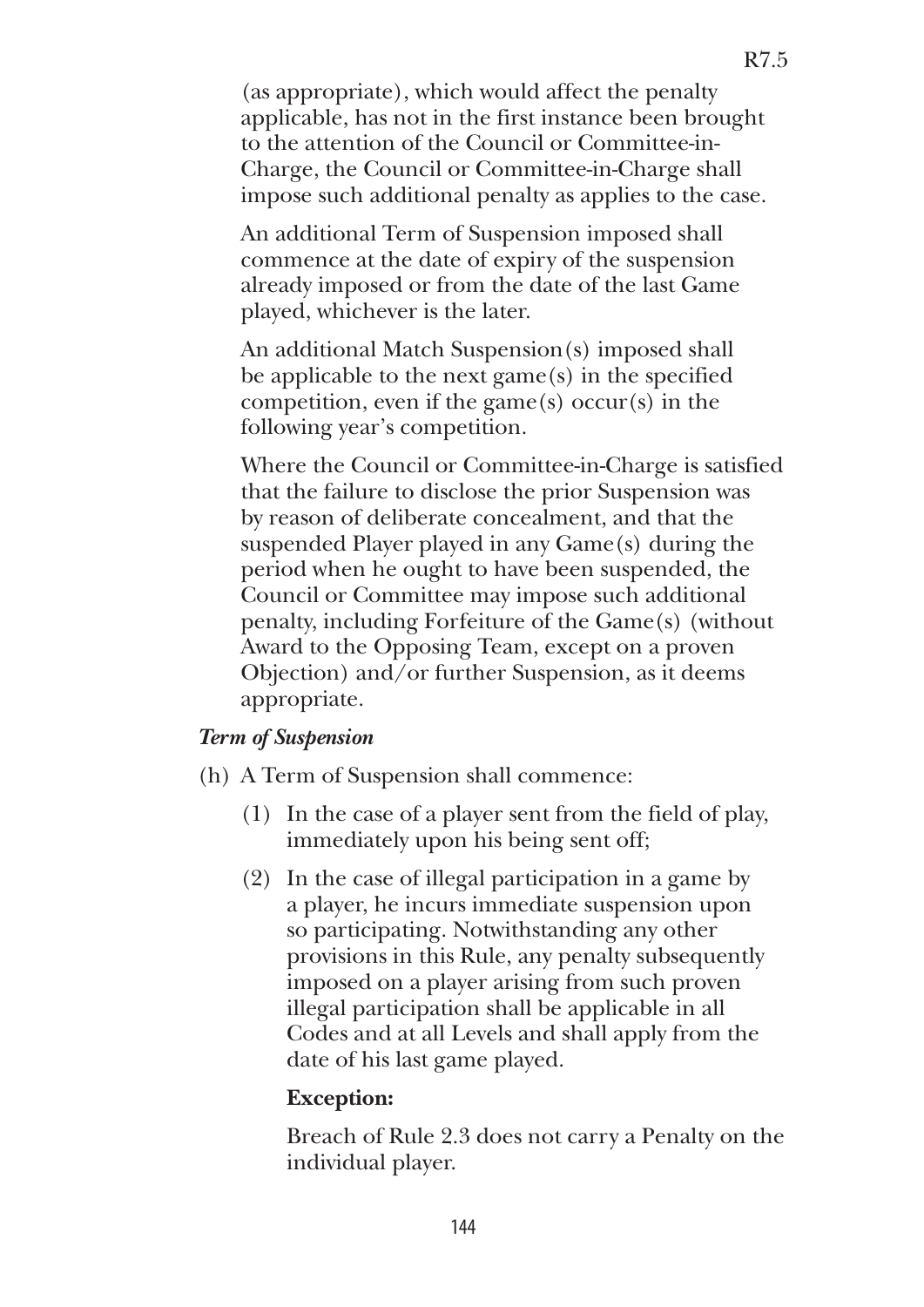(as appropriate), which would affect the penalty applicable, has not in the first instance been brought to the attention of the Council or Committee-in-Charge, the Council or Committee-in-Charge shall impose such additional penalty as applies to the case.

 An additional Term of Suspension imposed shall commence at the date of expiry of the suspension already imposed or from the date of the last Game played, whichever is the later.

 An additional Match Suspension(s) imposed shall be applicable to the next game(s) in the specified competition, even if the game $(s)$  occur $(s)$  in the following year's competition.

 Where the Council or Committee-in-Charge is satisfied that the failure to disclose the prior Suspension was by reason of deliberate concealment, and that the suspended Player played in any Game(s) during the period when he ought to have been suspended, the Council or Committee may impose such additional penalty, including Forfeiture of the Game(s) (without Award to the Opposing Team, except on a proven Objection) and/or further Suspension, as it deems appropriate.

#### *Term of Suspension*

- (h) A Term of Suspension shall commence:
	- (1) In the case of a player sent from the field of play, immediately upon his being sent off;
	- (2) In the case of illegal participation in a game by a player, he incurs immediate suspension upon so participating. Notwithstanding any other provisions in this Rule, any penalty subsequently imposed on a player arising from such proven illegal participation shall be applicable in all Codes and at all Levels and shall apply from the date of his last game played.

#### **Exception:**

Breach of Rule 2.3 does not carry a Penalty on the individual player.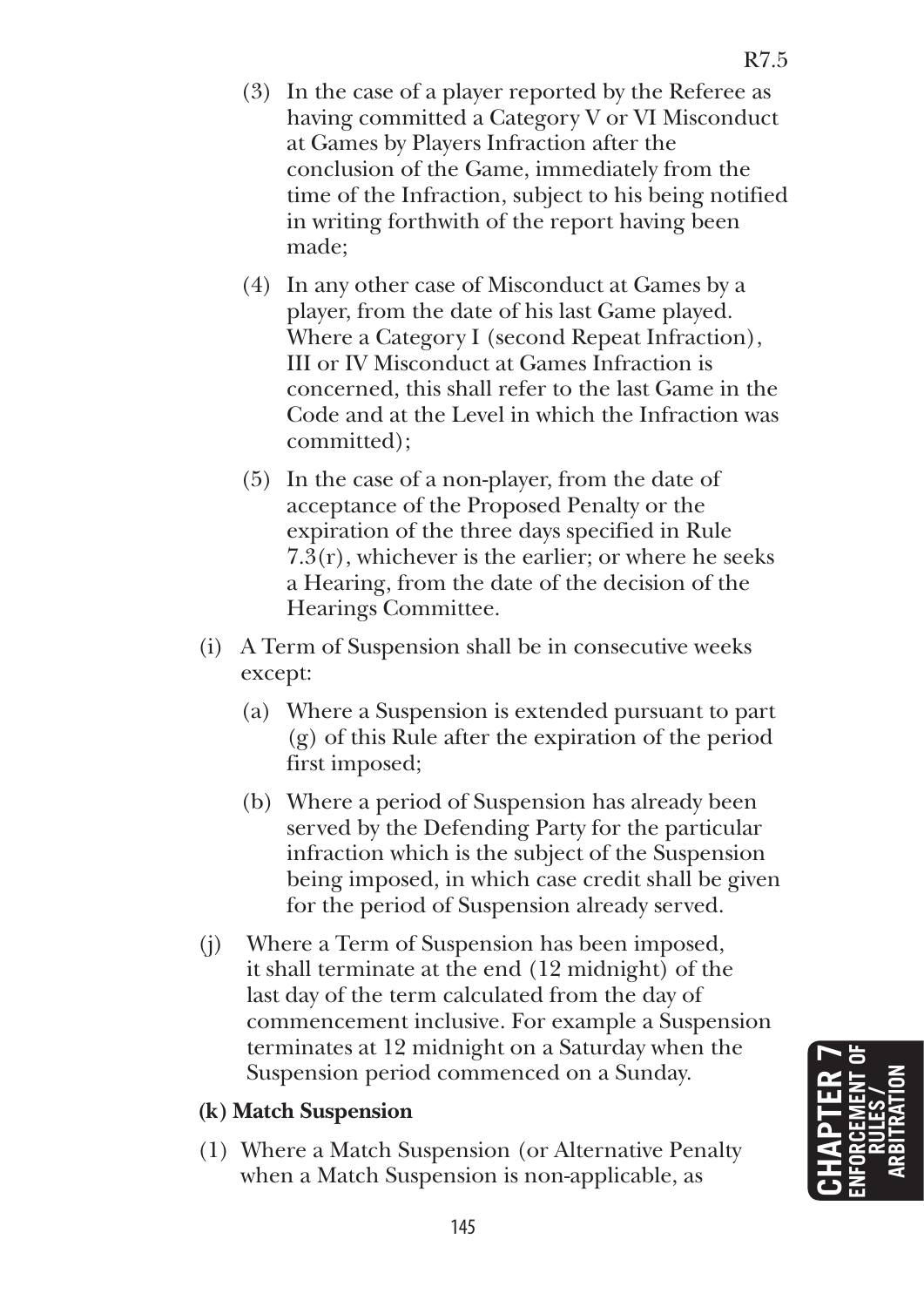- (3) In the case of a player reported by the Referee as having committed a Category V or VI Misconduct at Games by Players Infraction after the conclusion of the Game, immediately from the time of the Infraction, subject to his being notified in writing forthwith of the report having been made;
- (4) In any other case of Misconduct at Games by a player, from the date of his last Game played. Where a Category I (second Repeat Infraction), III or IV Misconduct at Games Infraction is concerned, this shall refer to the last Game in the Code and at the Level in which the Infraction was committed);
- (5) In the case of a non-player, from the date of acceptance of the Proposed Penalty or the expiration of the three days specified in Rule 7.3(r), whichever is the earlier; or where he seeks a Hearing, from the date of the decision of the Hearings Committee.
- (i) A Term of Suspension shall be in consecutive weeks except:
	- (a) Where a Suspension is extended pursuant to part (g) of this Rule after the expiration of the period first imposed;
	- (b) Where a period of Suspension has already been served by the Defending Party for the particular infraction which is the subject of the Suspension being imposed, in which case credit shall be given for the period of Suspension already served.
- (j) Where a Term of Suspension has been imposed, it shall terminate at the end (12 midnight) of the last day of the term calculated from the day of commencement inclusive. For example a Suspension terminates at 12 midnight on a Saturday when the Suspension period commenced on a Sunday.

## **(k) Match Suspension**

(1) Where a Match Suspension (or Alternative Penalty when a Match Suspension is non-applicable, as

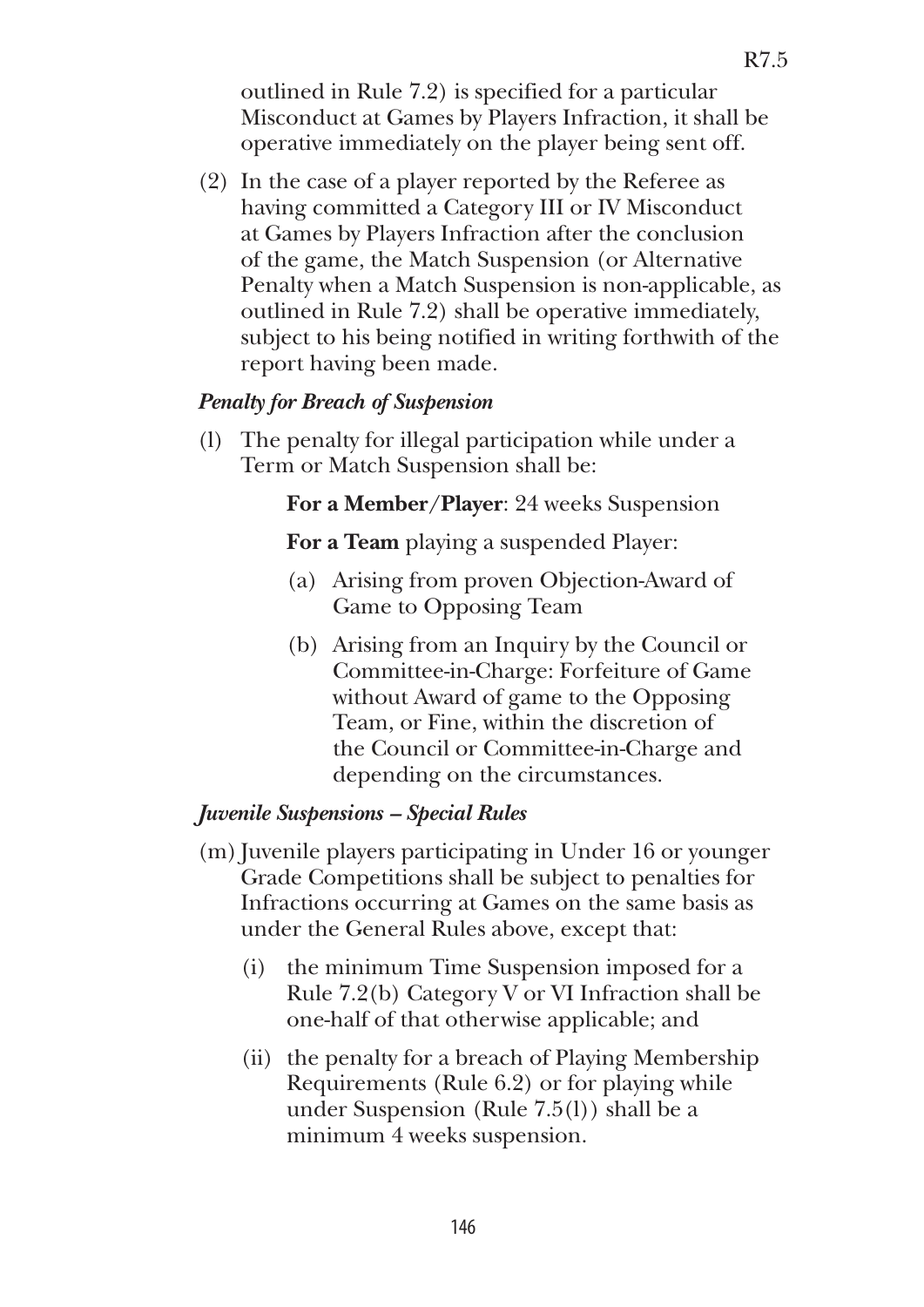outlined in Rule 7.2) is specified for a particular Misconduct at Games by Players Infraction, it shall be operative immediately on the player being sent off.

(2) In the case of a player reported by the Referee as having committed a Category III or IV Misconduct at Games by Players Infraction after the conclusion of the game, the Match Suspension (or Alternative Penalty when a Match Suspension is non-applicable, as outlined in Rule 7.2) shall be operative immediately, subject to his being notified in writing forthwith of the report having been made.

#### *Penalty for Breach of Suspension*

(l) The penalty for illegal participation while under a Term or Match Suspension shall be:

#### **For a Member/Player**: 24 weeks Suspension

**For a Team** playing a suspended Player:

- (a) Arising from proven Objection-Award of Game to Opposing Team
- (b) Arising from an Inquiry by the Council or Committee-in-Charge: Forfeiture of Game without Award of game to the Opposing Team, or Fine, within the discretion of the Council or Committee-in-Charge and depending on the circumstances.

#### *Juvenile Suspensions – Special Rules*

- (m) Juvenile players participating in Under 16 or younger Grade Competitions shall be subject to penalties for Infractions occurring at Games on the same basis as under the General Rules above, except that:
	- (i) the minimum Time Suspension imposed for a Rule 7.2(b) Category V or VI Infraction shall be one-half of that otherwise applicable; and
	- (ii) the penalty for a breach of Playing Membership Requirements (Rule 6.2) or for playing while under Suspension (Rule 7.5(l)) shall be a minimum 4 weeks suspension.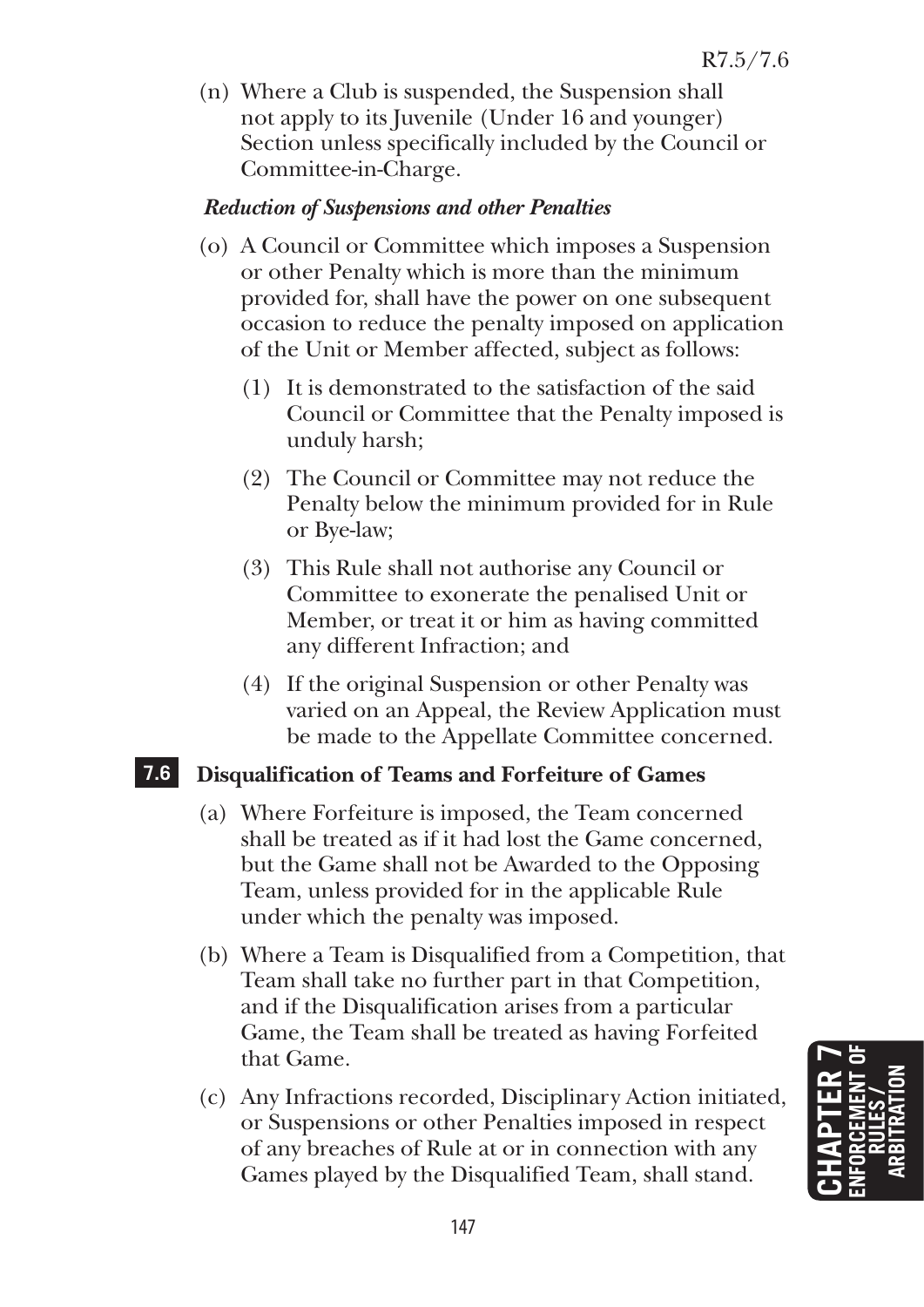(n) Where a Club is suspended, the Suspension shall not apply to its Juvenile (Under 16 and younger) Section unless specifically included by the Council or Committee-in-Charge.

#### *Reduction of Suspensions and other Penalties*

- (o) A Council or Committee which imposes a Suspension or other Penalty which is more than the minimum provided for, shall have the power on one subsequent occasion to reduce the penalty imposed on application of the Unit or Member affected, subject as follows:
	- (1) It is demonstrated to the satisfaction of the said Council or Committee that the Penalty imposed is unduly harsh;
	- (2) The Council or Committee may not reduce the Penalty below the minimum provided for in Rule or Bye-law;
	- (3) This Rule shall not authorise any Council or Committee to exonerate the penalised Unit or Member, or treat it or him as having committed any different Infraction; and
	- (4) If the original Suspension or other Penalty was varied on an Appeal, the Review Application must be made to the Appellate Committee concerned.

## **7.6 Disqualification of Teams and Forfeiture of Games**

- (a) Where Forfeiture is imposed, the Team concerned shall be treated as if it had lost the Game concerned, but the Game shall not be Awarded to the Opposing Team, unless provided for in the applicable Rule under which the penalty was imposed.
- (b) Where a Team is Disqualified from a Competition, that Team shall take no further part in that Competition, and if the Disqualification arises from a particular Game, the Team shall be treated as having Forfeited that Game.
- (c) Any Infractions recorded, Disciplinary Action initiated, or Suspensions or other Penalties imposed in respect of any breaches of Rule at or in connection with any Games played by the Disqualified Team, shall stand.

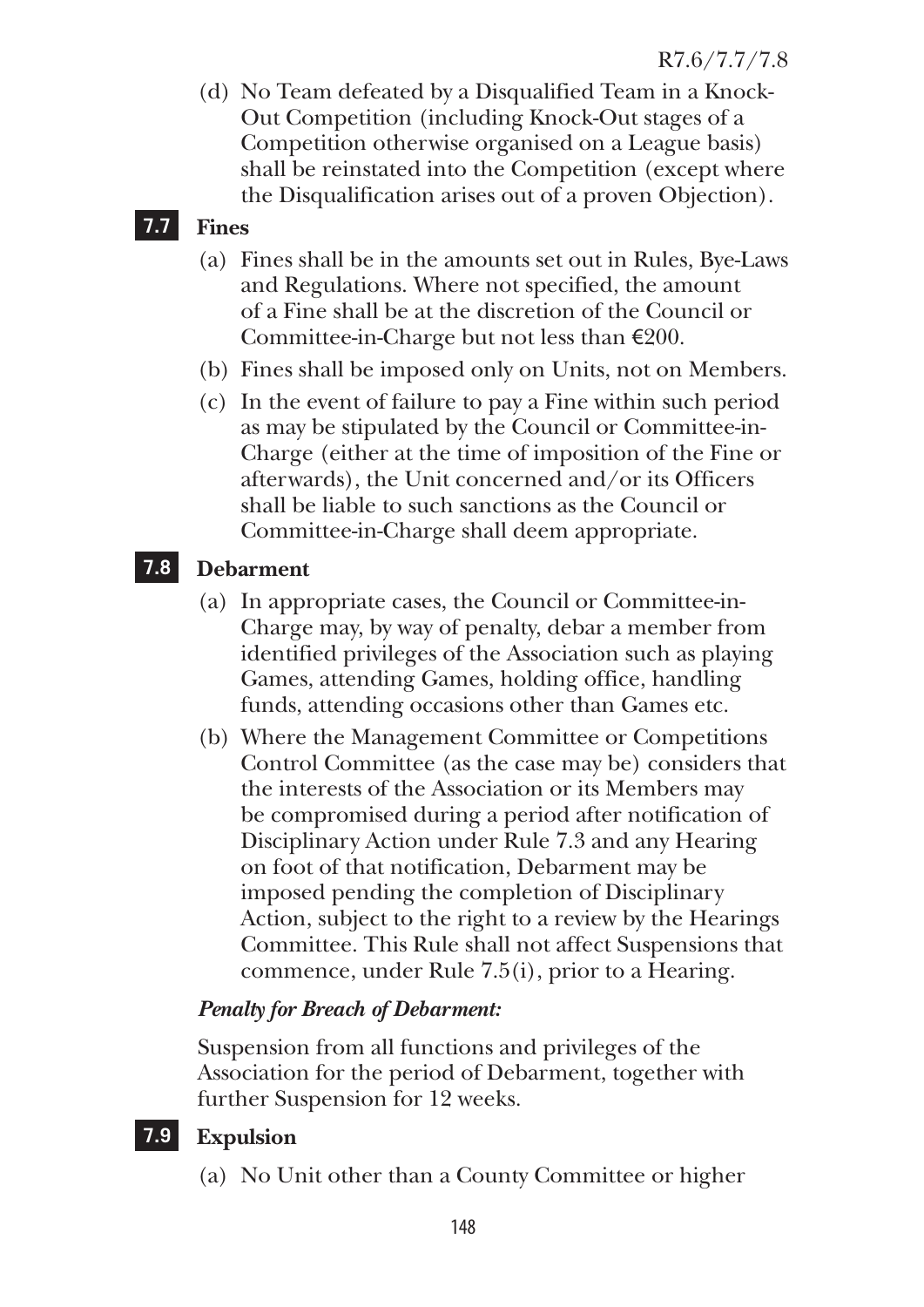(d) No Team defeated by a Disqualified Team in a Knock-Out Competition (including Knock-Out stages of a Competition otherwise organised on a League basis) shall be reinstated into the Competition (except where the Disqualification arises out of a proven Objection).

# **7.7 Fines**

- (a) Fines shall be in the amounts set out in Rules, Bye-Laws and Regulations. Where not specified, the amount of a Fine shall be at the discretion of the Council or Committee-in-Charge but not less than  $\epsilon$ 200.
- (b) Fines shall be imposed only on Units, not on Members.
- (c) In the event of failure to pay a Fine within such period as may be stipulated by the Council or Committee-in-Charge (either at the time of imposition of the Fine or afterwards), the Unit concerned and/or its Officers shall be liable to such sanctions as the Council or Committee-in-Charge shall deem appropriate.

# **7.8 Debarment**

- (a) In appropriate cases, the Council or Committee-in-Charge may, by way of penalty, debar a member from identified privileges of the Association such as playing Games, attending Games, holding office, handling funds, attending occasions other than Games etc.
- (b) Where the Management Committee or Competitions Control Committee (as the case may be) considers that the interests of the Association or its Members may be compromised during a period after notification of Disciplinary Action under Rule 7.3 and any Hearing on foot of that notification, Debarment may be imposed pending the completion of Disciplinary Action, subject to the right to a review by the Hearings Committee. This Rule shall not affect Suspensions that commence, under Rule 7.5(i), prior to a Hearing.

# *Penalty for Breach of Debarment:*

Suspension from all functions and privileges of the Association for the period of Debarment, together with further Suspension for 12 weeks.

# **7.9 Expulsion**

(a) No Unit other than a County Committee or higher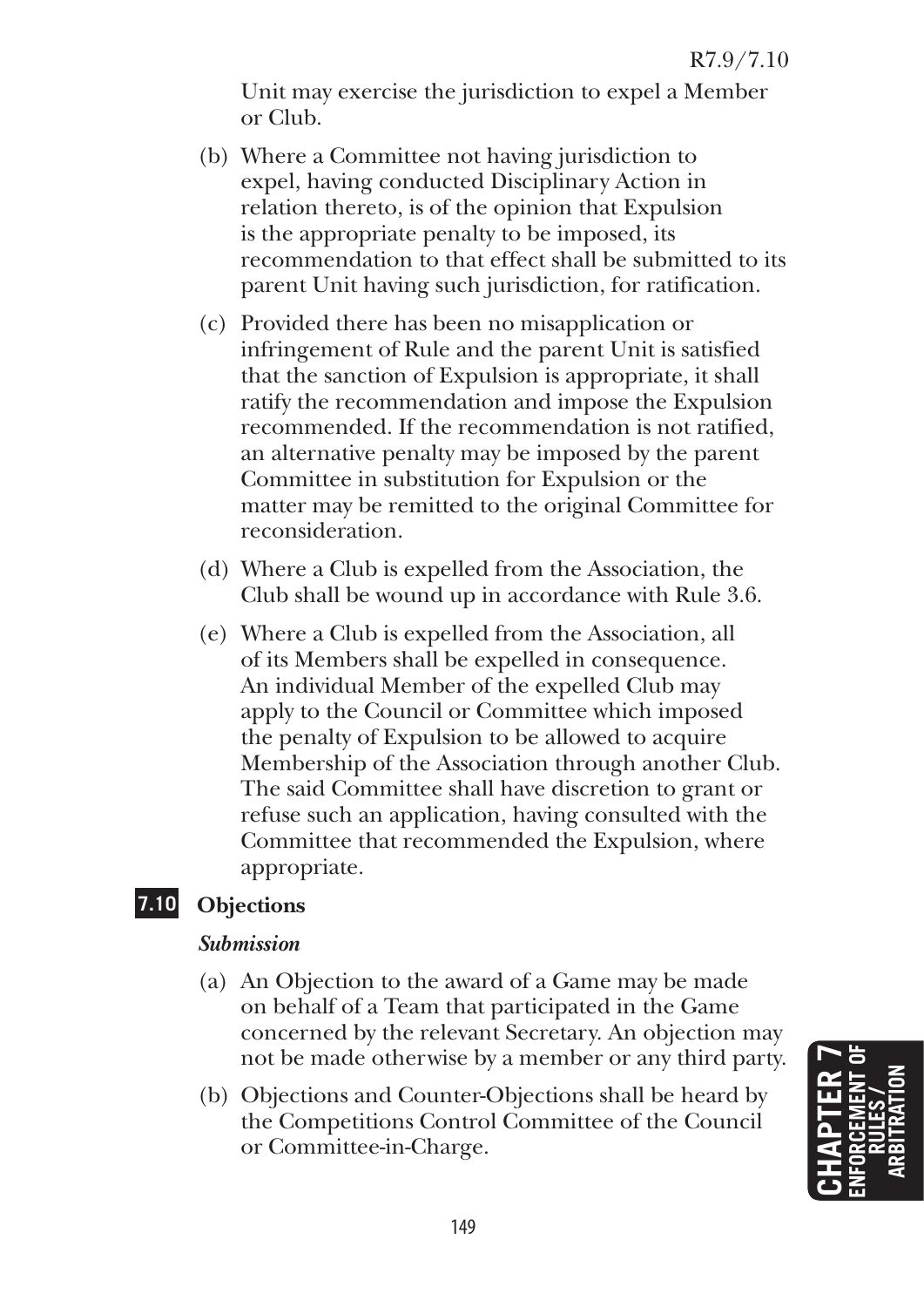Unit may exercise the jurisdiction to expel a Member or Club.

- (b) Where a Committee not having jurisdiction to expel, having conducted Disciplinary Action in relation thereto, is of the opinion that Expulsion is the appropriate penalty to be imposed, its recommendation to that effect shall be submitted to its parent Unit having such jurisdiction, for ratification.
- (c) Provided there has been no misapplication or infringement of Rule and the parent Unit is satisfied that the sanction of Expulsion is appropriate, it shall ratify the recommendation and impose the Expulsion recommended. If the recommendation is not ratified, an alternative penalty may be imposed by the parent Committee in substitution for Expulsion or the matter may be remitted to the original Committee for reconsideration.
- (d) Where a Club is expelled from the Association, the Club shall be wound up in accordance with Rule 3.6.
- (e) Where a Club is expelled from the Association, all of its Members shall be expelled in consequence. An individual Member of the expelled Club may apply to the Council or Committee which imposed the penalty of Expulsion to be allowed to acquire Membership of the Association through another Club. The said Committee shall have discretion to grant or refuse such an application, having consulted with the Committee that recommended the Expulsion, where appropriate.

# **7.10 Objections**

#### *Submission*

- (a) An Objection to the award of a Game may be made on behalf of a Team that participated in the Game concerned by the relevant Secretary. An objection may not be made otherwise by a member or any third party.
- (b) Objections and Counter-Objections shall be heard by the Competitions Control Committee of the Council or Committee-in-Charge.

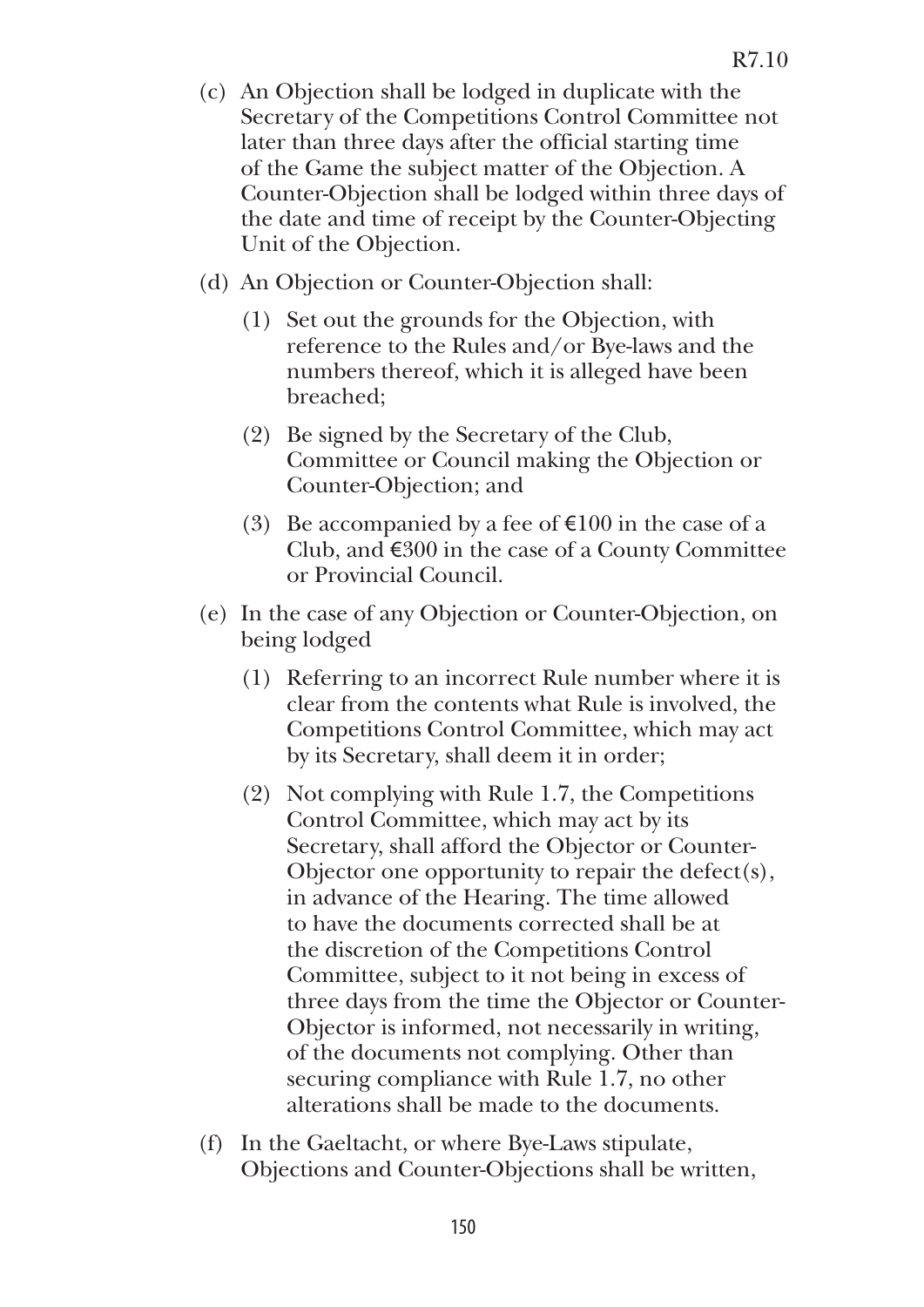- (c) An Objection shall be lodged in duplicate with the Secretary of the Competitions Control Committee not later than three days after the official starting time of the Game the subject matter of the Objection. A Counter-Objection shall be lodged within three days of the date and time of receipt by the Counter-Objecting Unit of the Objection.
- (d) An Objection or Counter-Objection shall:
	- (1) Set out the grounds for the Objection, with reference to the Rules and/or Bye-laws and the numbers thereof, which it is alleged have been breached;
	- (2) Be signed by the Secretary of the Club, Committee or Council making the Objection or Counter-Objection; and
	- (3) Be accompanied by a fee of  $\epsilon$ 100 in the case of a Club, and  $\epsilon$ 300 in the case of a County Committee or Provincial Council.
- (e) In the case of any Objection or Counter-Objection, on being lodged
	- (1) Referring to an incorrect Rule number where it is clear from the contents what Rule is involved, the Competitions Control Committee, which may act by its Secretary, shall deem it in order;
	- (2) Not complying with Rule 1.7, the Competitions Control Committee, which may act by its Secretary, shall afford the Objector or Counter-Objector one opportunity to repair the defect(s), in advance of the Hearing. The time allowed to have the documents corrected shall be at the discretion of the Competitions Control Committee, subject to it not being in excess of three days from the time the Objector or Counter-Objector is informed, not necessarily in writing, of the documents not complying. Other than securing compliance with Rule 1.7, no other alterations shall be made to the documents.
- (f) In the Gaeltacht, or where Bye-Laws stipulate, Objections and Counter-Objections shall be written,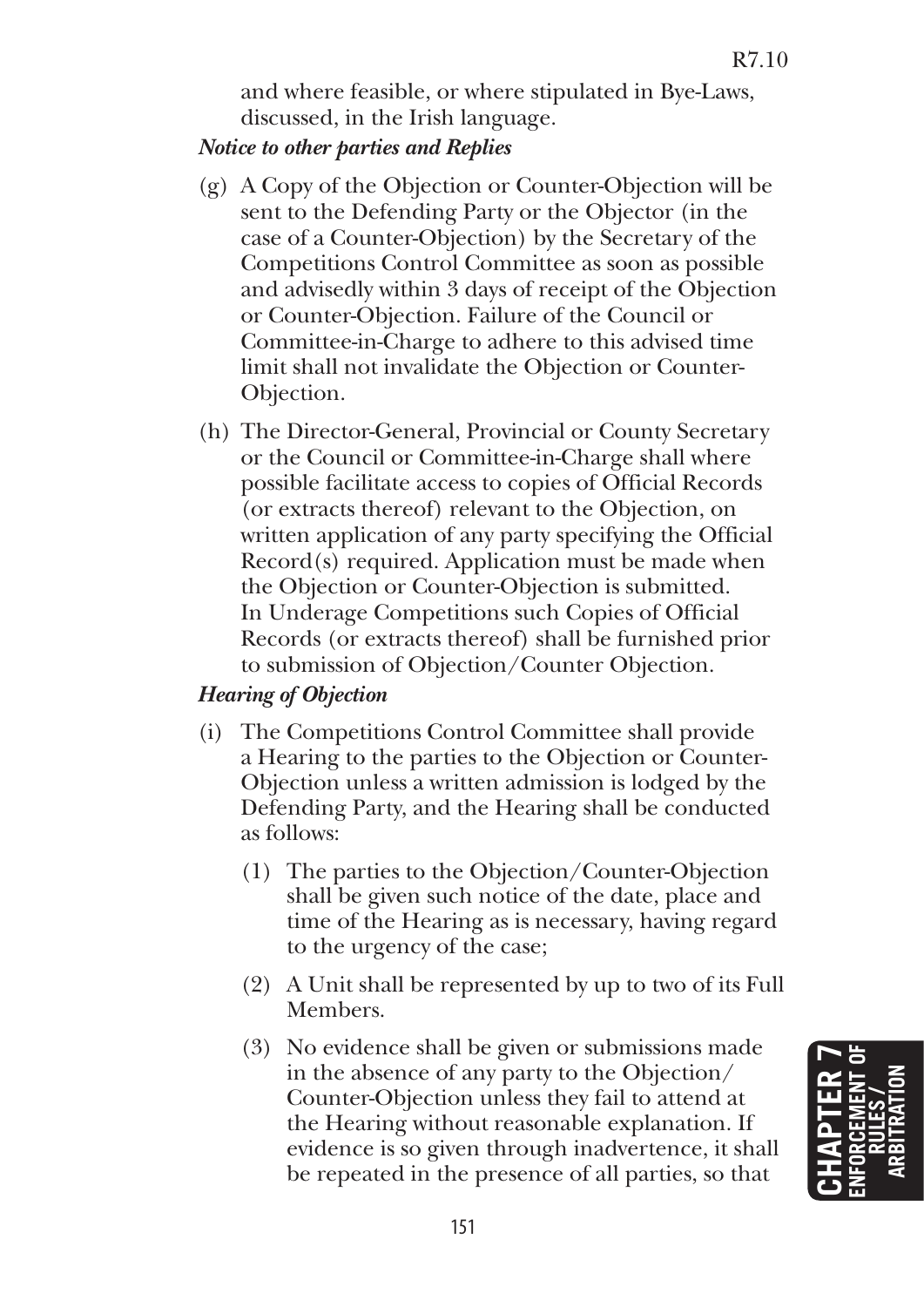and where feasible, or where stipulated in Bye-Laws, discussed, in the Irish language.

## *Notice to other parties and Replies*

- (g) A Copy of the Objection or Counter-Objection will be sent to the Defending Party or the Objector (in the case of a Counter-Objection) by the Secretary of the Competitions Control Committee as soon as possible and advisedly within 3 days of receipt of the Objection or Counter-Objection. Failure of the Council or Committee-in-Charge to adhere to this advised time limit shall not invalidate the Objection or Counter-Objection.
- (h) The Director-General, Provincial or County Secretary or the Council or Committee-in-Charge shall where possible facilitate access to copies of Official Records (or extracts thereof) relevant to the Objection, on written application of any party specifying the Official Record(s) required. Application must be made when the Objection or Counter-Objection is submitted. In Underage Competitions such Copies of Official Records (or extracts thereof) shall be furnished prior to submission of Objection/Counter Objection.

# *Hearing of Objection*

- (i) The Competitions Control Committee shall provide a Hearing to the parties to the Objection or Counter-Objection unless a written admission is lodged by the Defending Party, and the Hearing shall be conducted as follows:
	- (1) The parties to the Objection/Counter-Objection shall be given such notice of the date, place and time of the Hearing as is necessary, having regard to the urgency of the case;
	- (2) A Unit shall be represented by up to two of its Full Members.
	- (3) No evidence shall be given or submissions made in the absence of any party to the Objection/ Counter-Objection unless they fail to attend at the Hearing without reasonable explanation. If evidence is so given through inadvertence, it shall be repeated in the presence of all parties, so that

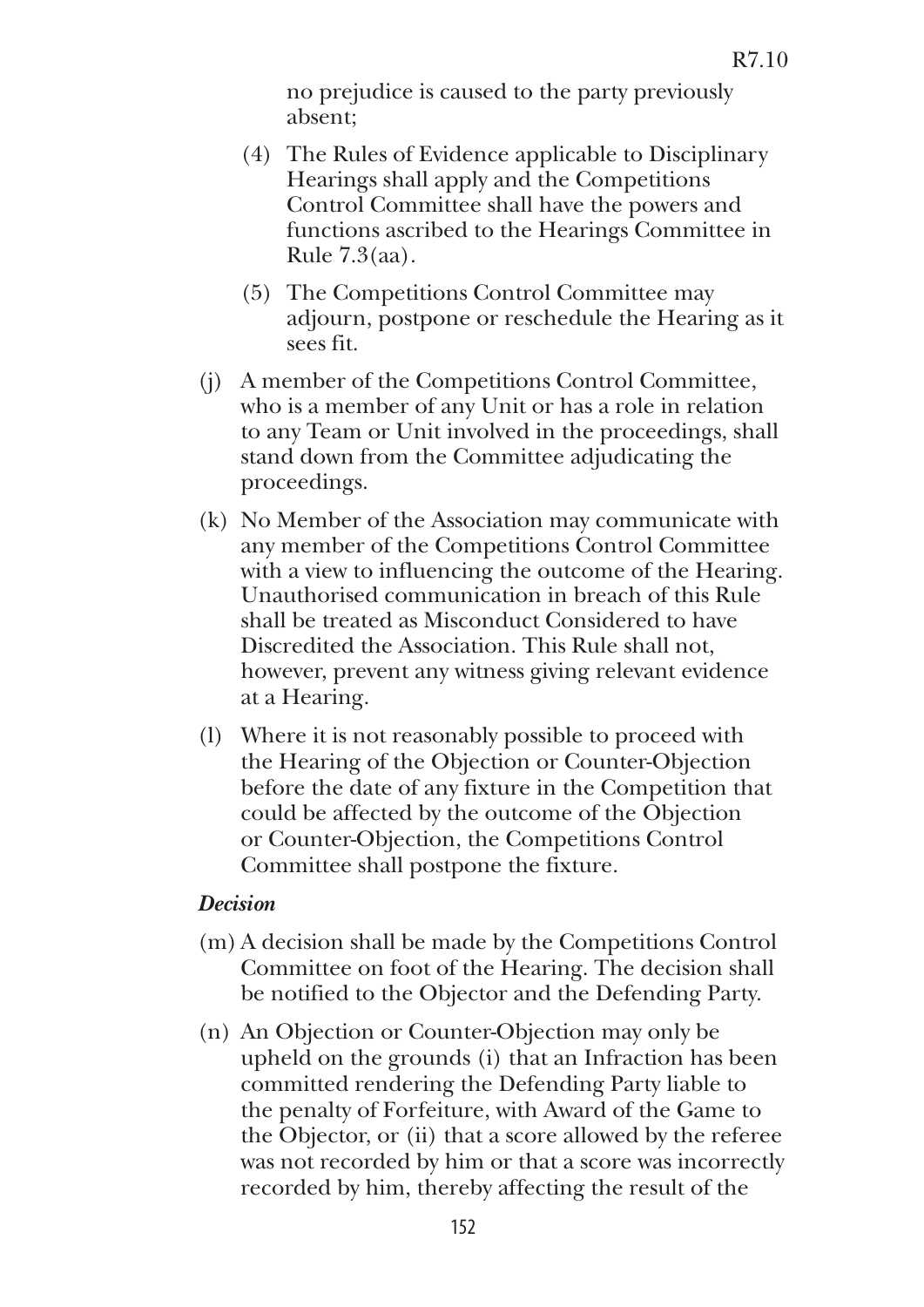no prejudice is caused to the party previously absent;

- (4) The Rules of Evidence applicable to Disciplinary Hearings shall apply and the Competitions Control Committee shall have the powers and functions ascribed to the Hearings Committee in Rule 7.3(aa).
- (5) The Competitions Control Committee may adjourn, postpone or reschedule the Hearing as it sees fit.
- (j) A member of the Competitions Control Committee, who is a member of any Unit or has a role in relation to any Team or Unit involved in the proceedings, shall stand down from the Committee adjudicating the proceedings.
- (k) No Member of the Association may communicate with any member of the Competitions Control Committee with a view to influencing the outcome of the Hearing. Unauthorised communication in breach of this Rule shall be treated as Misconduct Considered to have Discredited the Association. This Rule shall not, however, prevent any witness giving relevant evidence at a Hearing.
- (l) Where it is not reasonably possible to proceed with the Hearing of the Objection or Counter-Objection before the date of any fixture in the Competition that could be affected by the outcome of the Objection or Counter-Objection, the Competitions Control Committee shall postpone the fixture.

#### *Decision*

- (m) A decision shall be made by the Competitions Control Committee on foot of the Hearing. The decision shall be notified to the Objector and the Defending Party.
- (n) An Objection or Counter-Objection may only be upheld on the grounds (i) that an Infraction has been committed rendering the Defending Party liable to the penalty of Forfeiture, with Award of the Game to the Objector, or (ii) that a score allowed by the referee was not recorded by him or that a score was incorrectly recorded by him, thereby affecting the result of the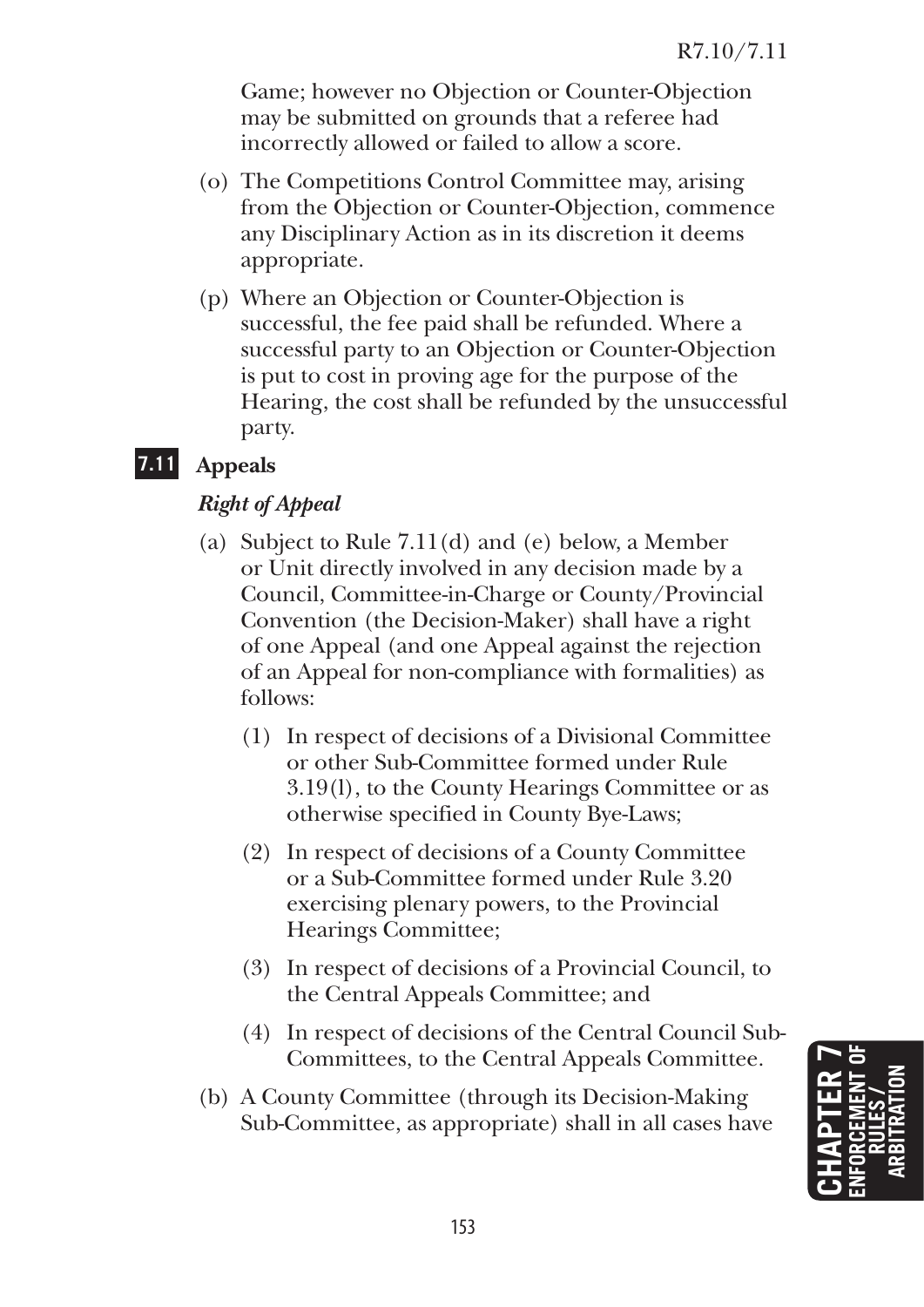Game; however no Objection or Counter-Objection may be submitted on grounds that a referee had incorrectly allowed or failed to allow a score.

- (o) The Competitions Control Committee may, arising from the Objection or Counter-Objection, commence any Disciplinary Action as in its discretion it deems appropriate.
- (p) Where an Objection or Counter-Objection is successful, the fee paid shall be refunded. Where a successful party to an Objection or Counter-Objection is put to cost in proving age for the purpose of the Hearing, the cost shall be refunded by the unsuccessful party.

# **7.11 Appeals**

# *Right of Appeal*

- (a) Subject to Rule 7.11(d) and (e) below, a Member or Unit directly involved in any decision made by a Council, Committee-in-Charge or County/Provincial Convention (the Decision-Maker) shall have a right of one Appeal (and one Appeal against the rejection of an Appeal for non-compliance with formalities) as follows:
	- (1) In respect of decisions of a Divisional Committee or other Sub-Committee formed under Rule 3.19(l), to the County Hearings Committee or as otherwise specified in County Bye-Laws;
	- (2) In respect of decisions of a County Committee or a Sub-Committee formed under Rule 3.20 exercising plenary powers, to the Provincial Hearings Committee;
	- (3) In respect of decisions of a Provincial Council, to the Central Appeals Committee; and
	- (4) In respect of decisions of the Central Council Sub-Committees, to the Central Appeals Committee.
- (b) A County Committee (through its Decision-Making Sub-Committee, as appropriate) shall in all cases have

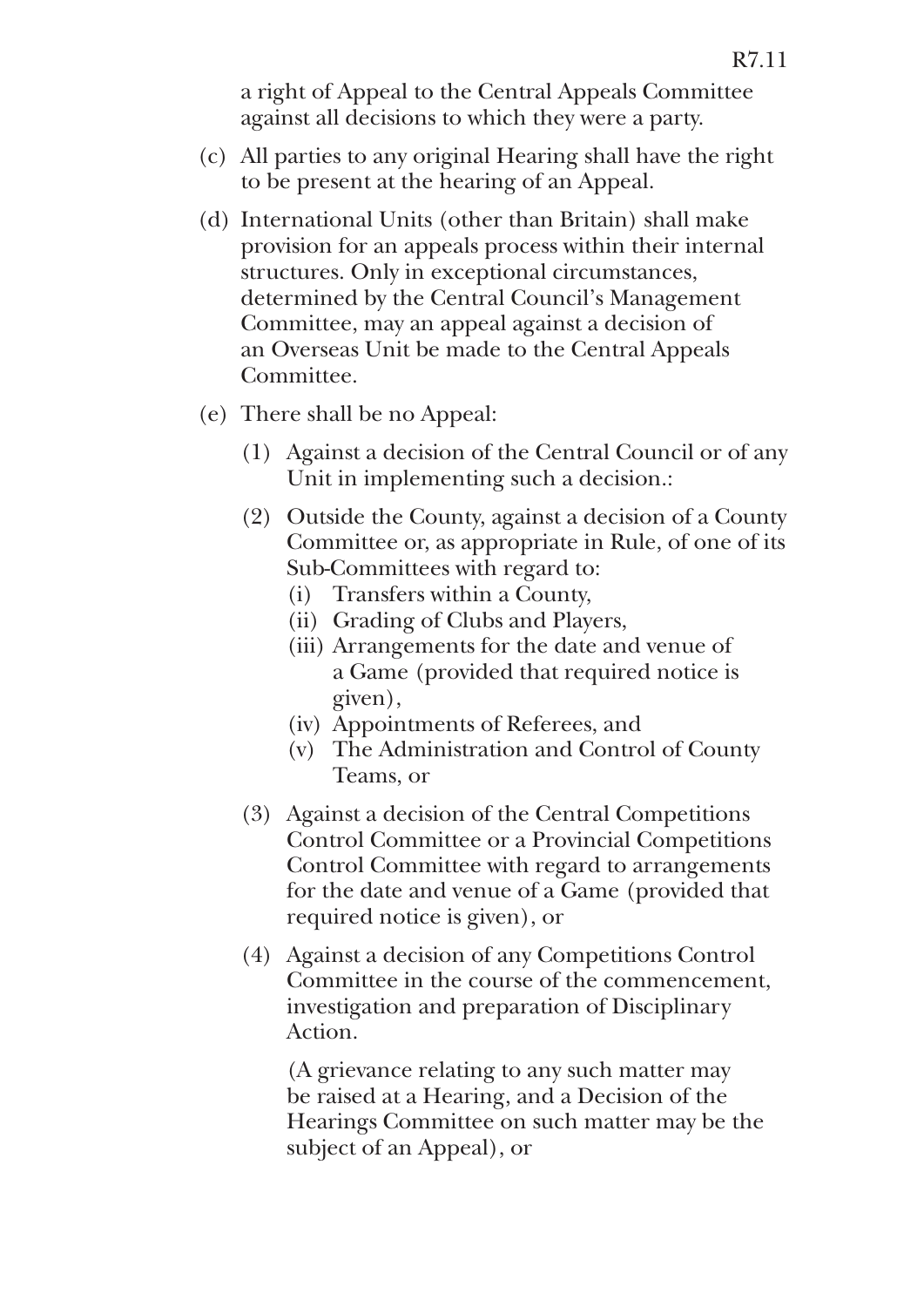a right of Appeal to the Central Appeals Committee against all decisions to which they were a party.

- (c) All parties to any original Hearing shall have the right to be present at the hearing of an Appeal.
- (d) International Units (other than Britain) shall make provision for an appeals process within their internal structures. Only in exceptional circumstances, determined by the Central Council's Management Committee, may an appeal against a decision of an Overseas Unit be made to the Central Appeals Committee.
- (e) There shall be no Appeal:
	- (1) Against a decision of the Central Council or of any Unit in implementing such a decision.:
	- (2) Outside the County, against a decision of a County Committee or, as appropriate in Rule, of one of its Sub-Committees with regard to:
		- (i) Transfers within a County,
		- (ii) Grading of Clubs and Players,
		- (iii) Arrangements for the date and venue of a Game (provided that required notice is given),
		- (iv) Appointments of Referees, and
		- (v) The Administration and Control of County Teams, or
	- (3) Against a decision of the Central Competitions Control Committee or a Provincial Competitions Control Committee with regard to arrangements for the date and venue of a Game (provided that required notice is given), or
	- (4) Against a decision of any Competitions Control Committee in the course of the commencement, investigation and preparation of Disciplinary Action.

 (A grievance relating to any such matter may be raised at a Hearing, and a Decision of the Hearings Committee on such matter may be the subject of an Appeal), or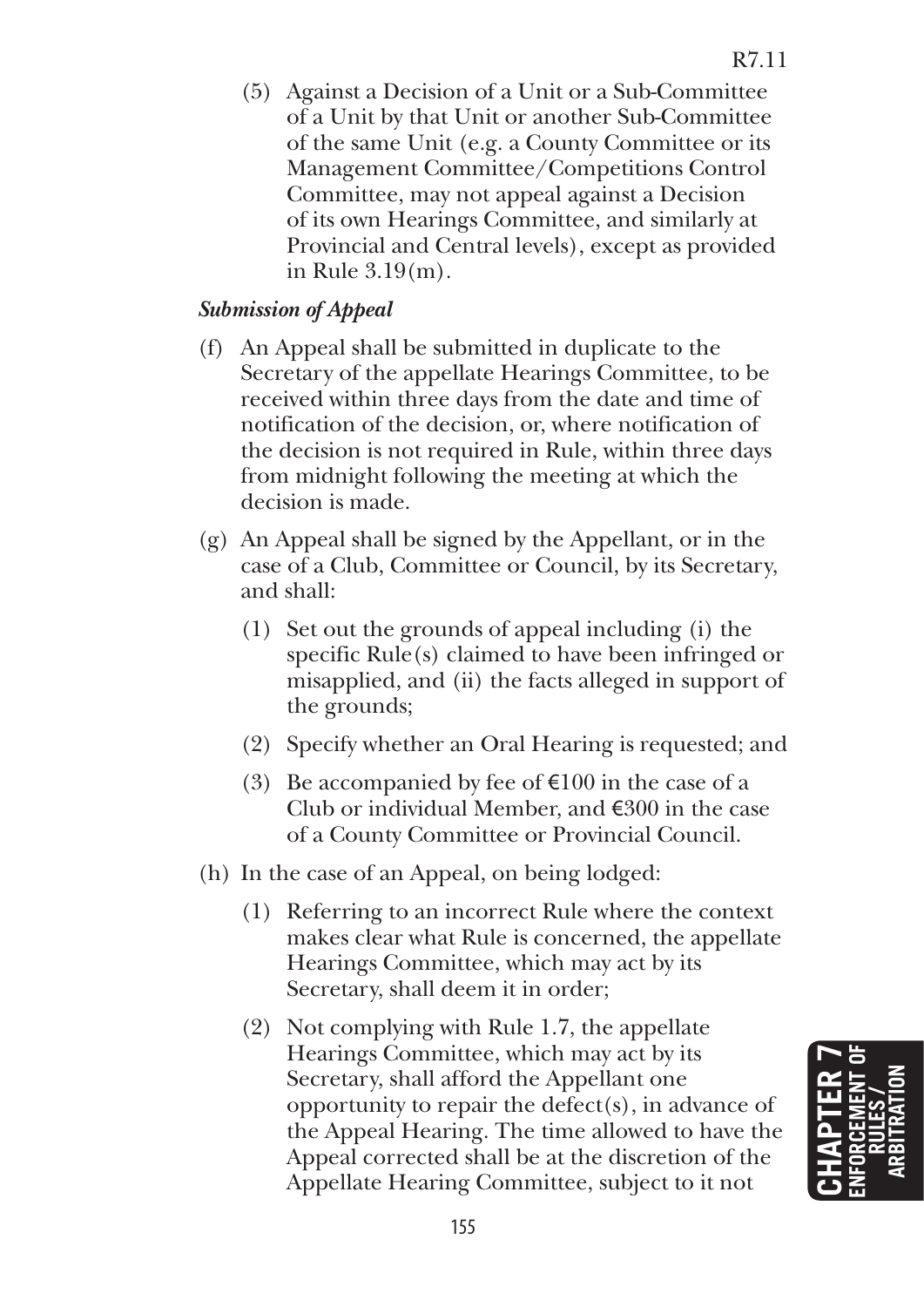(5) Against a Decision of a Unit or a Sub-Committee of a Unit by that Unit or another Sub-Committee of the same Unit (e.g. a County Committee or its Management Committee/Competitions Control Committee, may not appeal against a Decision of its own Hearings Committee, and similarly at Provincial and Central levels), except as provided in Rule 3.19(m).

#### *Submission of Appeal*

- (f) An Appeal shall be submitted in duplicate to the Secretary of the appellate Hearings Committee, to be received within three days from the date and time of notification of the decision, or, where notification of the decision is not required in Rule, within three days from midnight following the meeting at which the decision is made.
- (g) An Appeal shall be signed by the Appellant, or in the case of a Club, Committee or Council, by its Secretary, and shall:
	- (1) Set out the grounds of appeal including (i) the specific Rule(s) claimed to have been infringed or misapplied, and (ii) the facts alleged in support of the grounds;
	- (2) Specify whether an Oral Hearing is requested; and
	- (3) Be accompanied by fee of  $\epsilon$ 100 in the case of a Club or individual Member, and  $\epsilon$ 300 in the case of a County Committee or Provincial Council.
- (h) In the case of an Appeal, on being lodged:
	- (1) Referring to an incorrect Rule where the context makes clear what Rule is concerned, the appellate Hearings Committee, which may act by its Secretary, shall deem it in order;
	- (2) Not complying with Rule 1.7, the appellate Hearings Committee, which may act by its Secretary, shall afford the Appellant one opportunity to repair the defect(s), in advance of the Appeal Hearing. The time allowed to have the Appeal corrected shall be at the discretion of the Appellate Hearing Committee, subject to it not

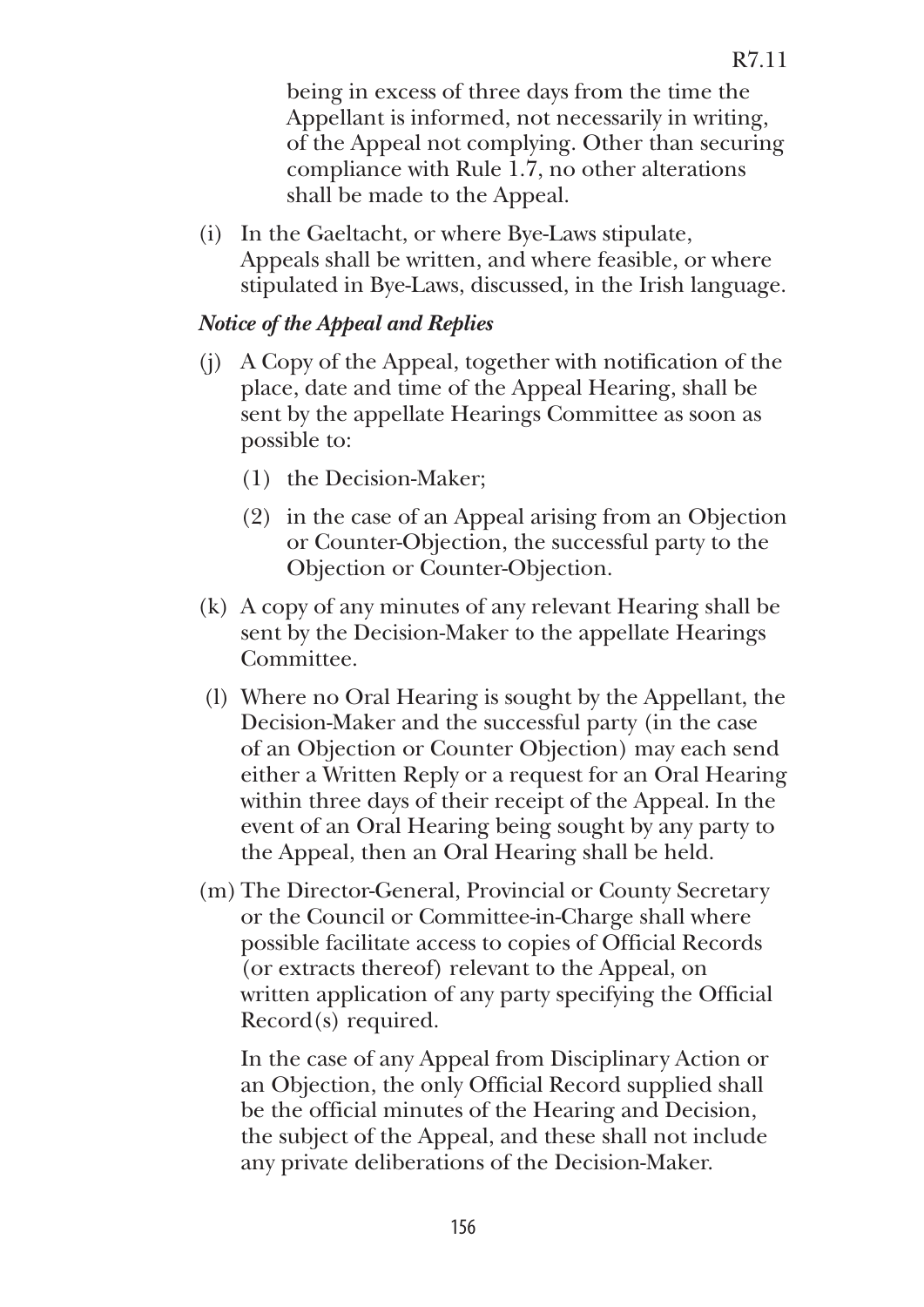being in excess of three days from the time the Appellant is informed, not necessarily in writing, of the Appeal not complying. Other than securing compliance with Rule 1.7, no other alterations shall be made to the Appeal.

(i) In the Gaeltacht, or where Bye-Laws stipulate, Appeals shall be written, and where feasible, or where stipulated in Bye-Laws, discussed, in the Irish language.

#### *Notice of the Appeal and Replies*

- (j) A Copy of the Appeal, together with notification of the place, date and time of the Appeal Hearing, shall be sent by the appellate Hearings Committee as soon as possible to:
	- (1) the Decision-Maker;
	- (2) in the case of an Appeal arising from an Objection or Counter-Objection, the successful party to the Objection or Counter-Objection.
- (k) A copy of any minutes of any relevant Hearing shall be sent by the Decision-Maker to the appellate Hearings Committee.
- (l) Where no Oral Hearing is sought by the Appellant, the Decision-Maker and the successful party (in the case of an Objection or Counter Objection) may each send either a Written Reply or a request for an Oral Hearing within three days of their receipt of the Appeal. In the event of an Oral Hearing being sought by any party to the Appeal, then an Oral Hearing shall be held.
- (m) The Director-General, Provincial or County Secretary or the Council or Committee-in-Charge shall where possible facilitate access to copies of Official Records (or extracts thereof) relevant to the Appeal, on written application of any party specifying the Official Record(s) required.

 In the case of any Appeal from Disciplinary Action or an Objection, the only Official Record supplied shall be the official minutes of the Hearing and Decision, the subject of the Appeal, and these shall not include any private deliberations of the Decision-Maker.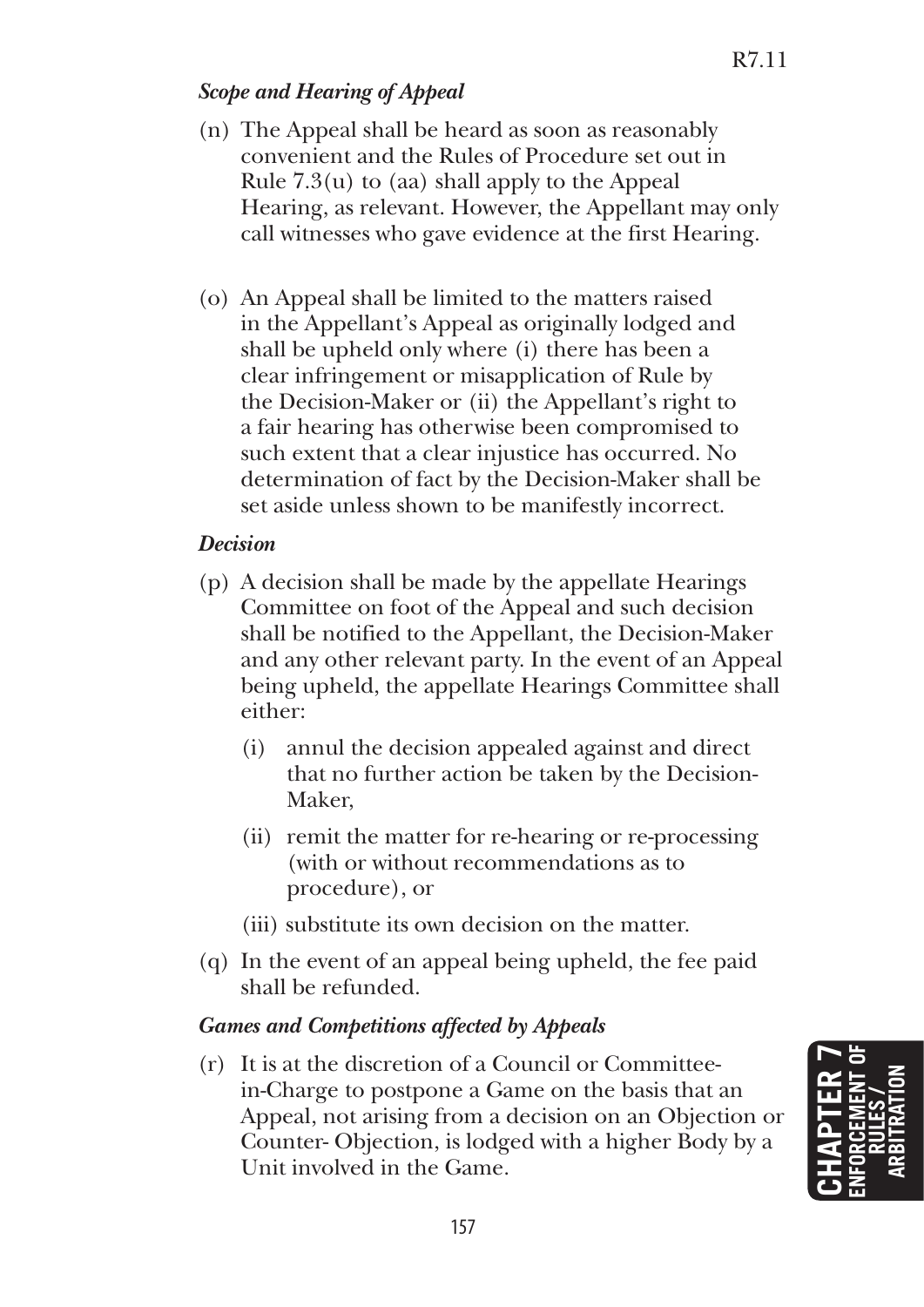# *Scope and Hearing of Appeal*

- (n) The Appeal shall be heard as soon as reasonably convenient and the Rules of Procedure set out in Rule  $7.3(u)$  to (aa) shall apply to the Appeal Hearing, as relevant. However, the Appellant may only call witnesses who gave evidence at the first Hearing.
- (o) An Appeal shall be limited to the matters raised in the Appellant's Appeal as originally lodged and shall be upheld only where (i) there has been a clear infringement or misapplication of Rule by the Decision-Maker or (ii) the Appellant's right to a fair hearing has otherwise been compromised to such extent that a clear injustice has occurred. No determination of fact by the Decision-Maker shall be set aside unless shown to be manifestly incorrect.

#### *Decision*

- (p) A decision shall be made by the appellate Hearings Committee on foot of the Appeal and such decision shall be notified to the Appellant, the Decision-Maker and any other relevant party. In the event of an Appeal being upheld, the appellate Hearings Committee shall either:
	- (i) annul the decision appealed against and direct that no further action be taken by the Decision-Maker,
	- (ii) remit the matter for re-hearing or re-processing (with or without recommendations as to procedure), or
	- (iii) substitute its own decision on the matter.
- (q) In the event of an appeal being upheld, the fee paid shall be refunded.

## *Games and Competitions affected by Appeals*

(r) It is at the discretion of a Council or Committeein-Charge to postpone a Game on the basis that an Appeal, not arising from a decision on an Objection or Counter- Objection, is lodged with a higher Body by a Unit involved in the Game.

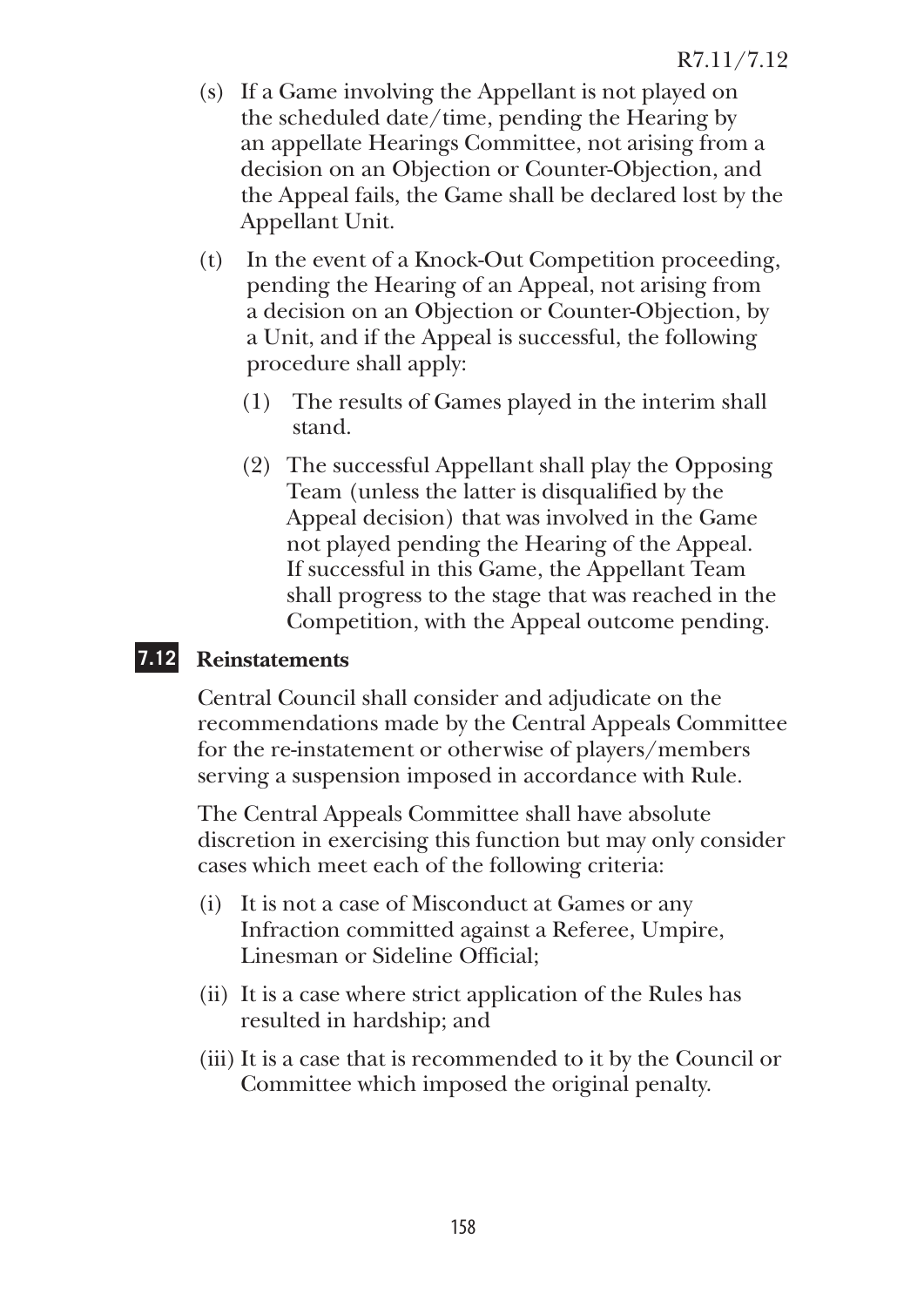- (s) If a Game involving the Appellant is not played on the scheduled date/time, pending the Hearing by an appellate Hearings Committee, not arising from a decision on an Objection or Counter-Objection, and the Appeal fails, the Game shall be declared lost by the Appellant Unit.
- (t) In the event of a Knock-Out Competition proceeding, pending the Hearing of an Appeal, not arising from a decision on an Objection or Counter-Objection, by a Unit, and if the Appeal is successful, the following procedure shall apply:
	- (1) The results of Games played in the interim shall stand.
	- (2) The successful Appellant shall play the Opposing Team (unless the latter is disqualified by the Appeal decision) that was involved in the Game not played pending the Hearing of the Appeal. If successful in this Game, the Appellant Team shall progress to the stage that was reached in the Competition, with the Appeal outcome pending.

# **7.12 Reinstatements**

Central Council shall consider and adjudicate on the recommendations made by the Central Appeals Committee for the re-instatement or otherwise of players/members serving a suspension imposed in accordance with Rule.

The Central Appeals Committee shall have absolute discretion in exercising this function but may only consider cases which meet each of the following criteria:

- (i) It is not a case of Misconduct at Games or any Infraction committed against a Referee, Umpire, Linesman or Sideline Official;
- (ii) It is a case where strict application of the Rules has resulted in hardship; and
- (iii) It is a case that is recommended to it by the Council or Committee which imposed the original penalty.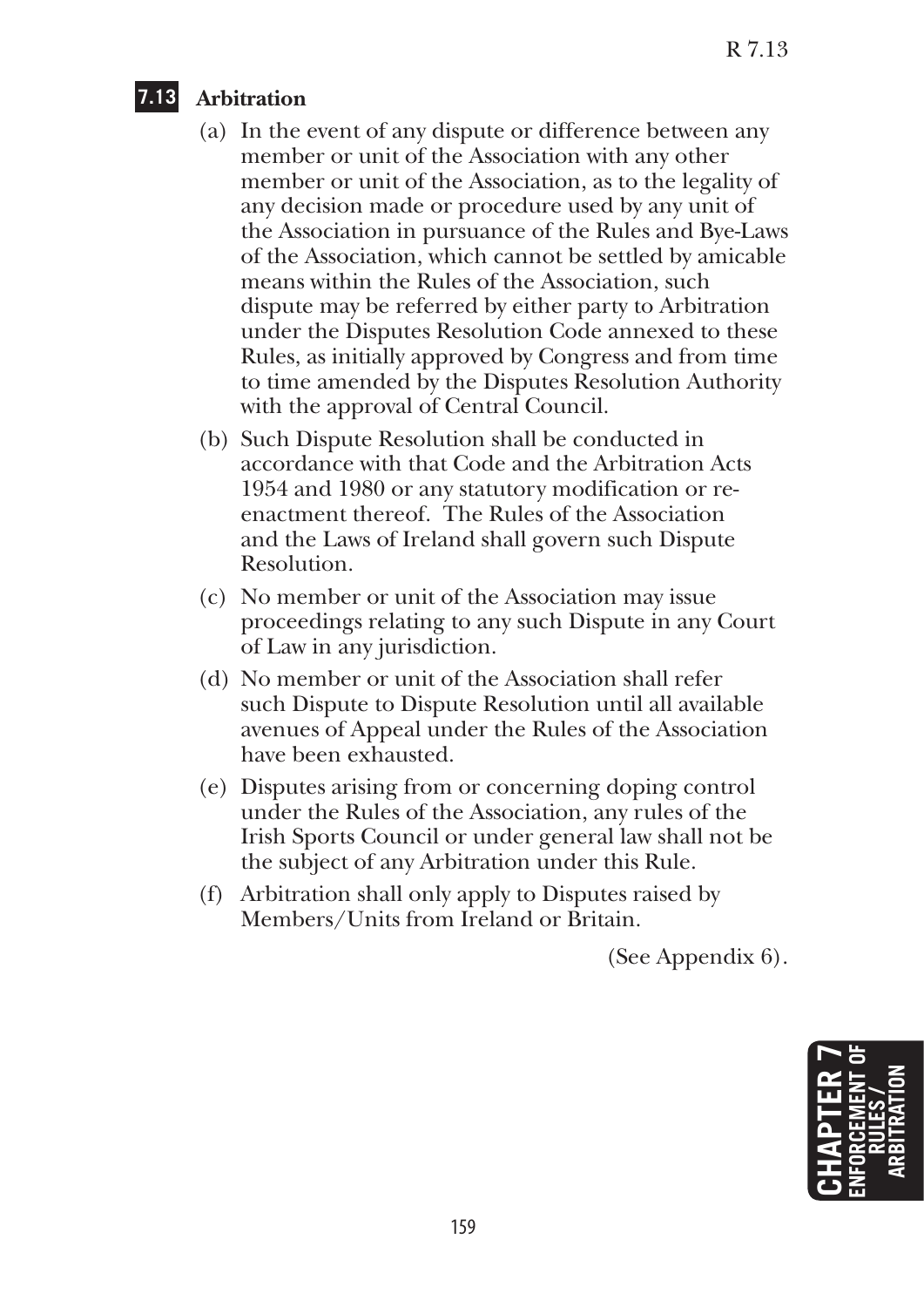# **7.13 Arbitration**

- (a) In the event of any dispute or difference between any member or unit of the Association with any other member or unit of the Association, as to the legality of any decision made or procedure used by any unit of the Association in pursuance of the Rules and Bye-Laws of the Association, which cannot be settled by amicable means within the Rules of the Association, such dispute may be referred by either party to Arbitration under the Disputes Resolution Code annexed to these Rules, as initially approved by Congress and from time to time amended by the Disputes Resolution Authority with the approval of Central Council.
- (b) Such Dispute Resolution shall be conducted in accordance with that Code and the Arbitration Acts 1954 and 1980 or any statutory modification or reenactment thereof. The Rules of the Association and the Laws of Ireland shall govern such Dispute Resolution.
- (c) No member or unit of the Association may issue proceedings relating to any such Dispute in any Court of Law in any jurisdiction.
- (d) No member or unit of the Association shall refer such Dispute to Dispute Resolution until all available avenues of Appeal under the Rules of the Association have been exhausted.
- (e) Disputes arising from or concerning doping control under the Rules of the Association, any rules of the Irish Sports Council or under general law shall not be the subject of any Arbitration under this Rule.
- (f) Arbitration shall only apply to Disputes raised by Members/Units from Ireland or Britain.

(See Appendix 6).

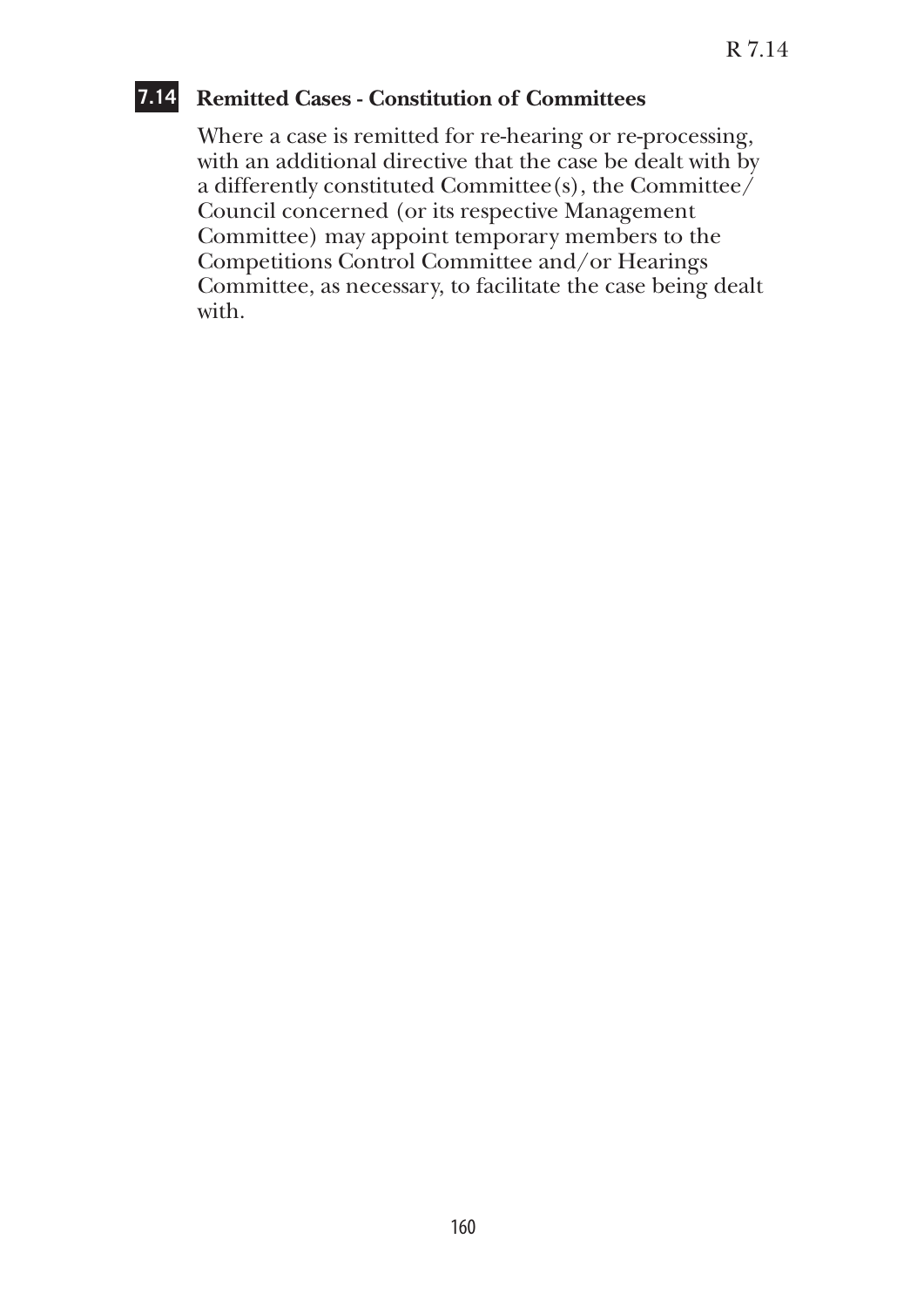## **7.14 Remitted Cases - Constitution of Committees**

Where a case is remitted for re-hearing or re-processing, with an additional directive that the case be dealt with by a differently constituted Committee $(s)$ , the Committee $\ell$ Council concerned (or its respective Management Committee) may appoint temporary members to the Competitions Control Committee and/or Hearings Committee, as necessary, to facilitate the case being dealt with.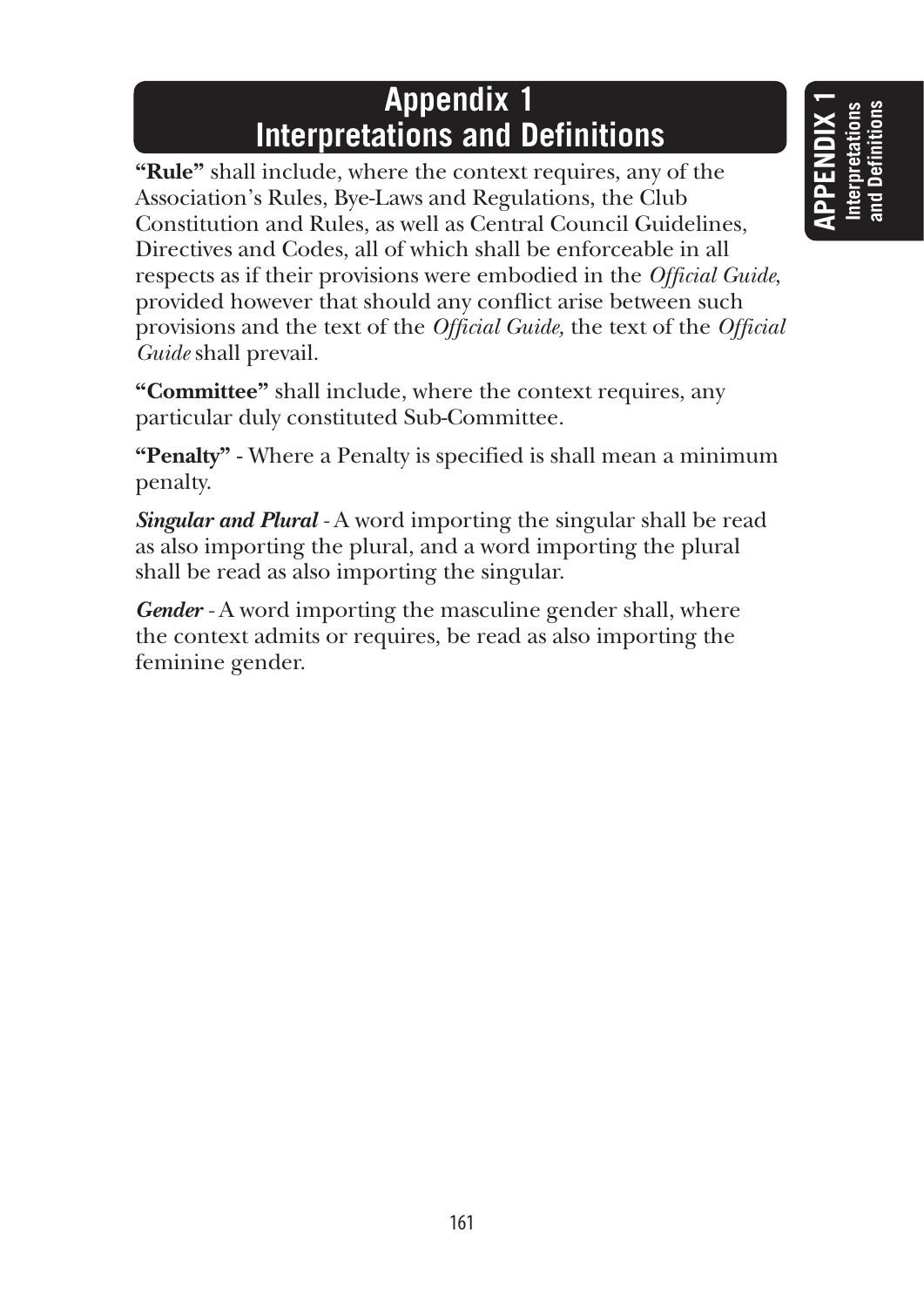# **Appendix 1 Interpretations and Definitions**

**"Rule"** shall include, where the context requires, any of the Association's Rules, Bye-Laws and Regulations, the Club Constitution and Rules, as well as Central Council Guidelines, Directives and Codes, all of which shall be enforceable in all respects as if their provisions were embodied in the *Official Guide*, provided however that should any conflict arise between such provisions and the text of the *Official Guide,* the text of the *Official Guide* shall prevail.

**"Committee"** shall include, where the context requires, any particular duly constituted Sub-Committee.

**"Penalty"** - Where a Penalty is specified is shall mean a minimum penalty.

*Singular and Plural* - A word importing the singular shall be read as also importing the plural, and a word importing the plural shall be read as also importing the singular.

Gender - A word importing the masculine gender shall, where the context admits or requires, be read as also importing the feminine gender.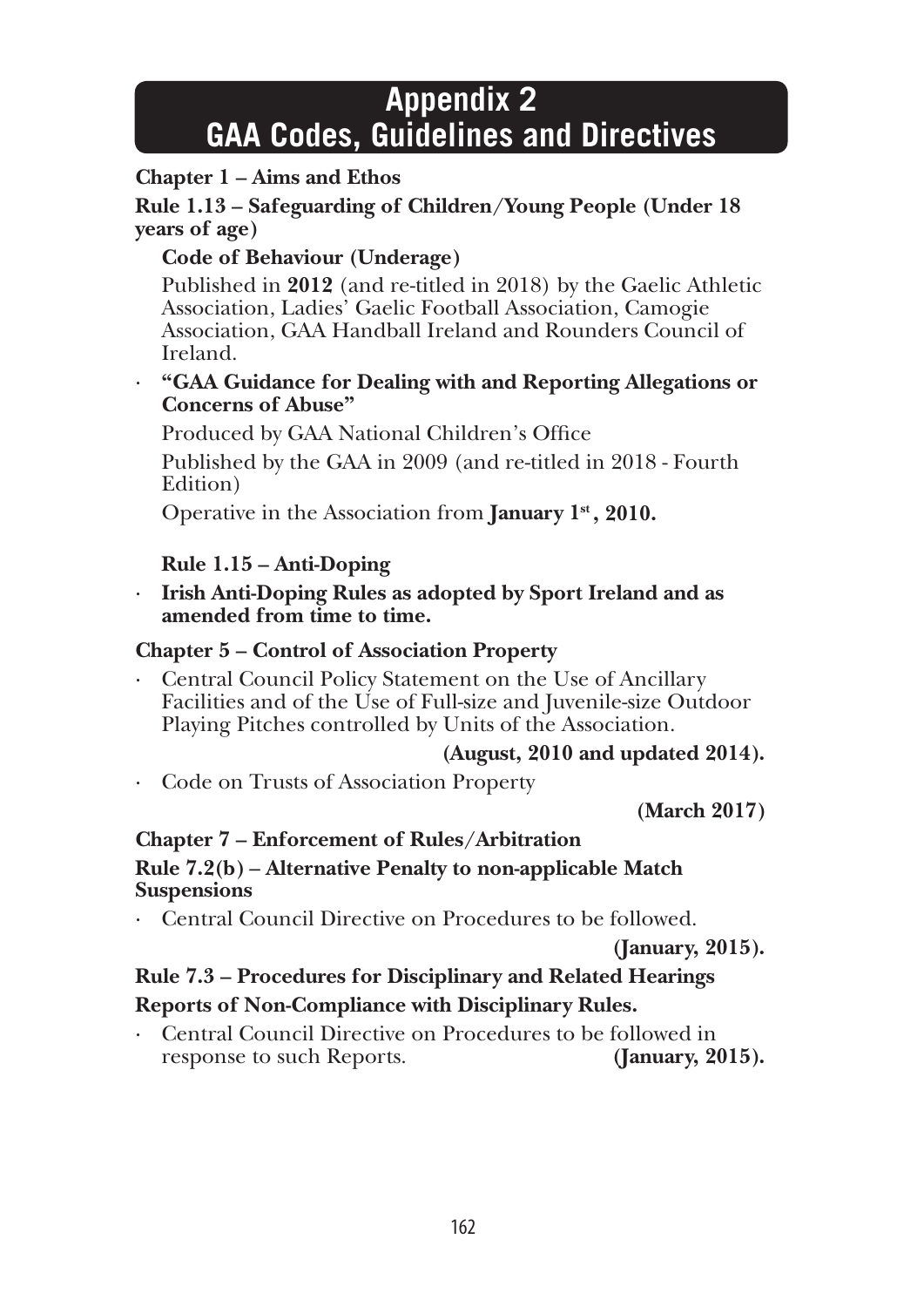# **Appendix 2 GAA Codes, Guidelines and Directives**

## **Chapter 1 – Aims and Ethos**

**Rule 1.13 – Safeguarding of Children/Young People (Under 18 years of age)**

## **Code of Behaviour (Underage)**

Published in **2012** (and re-titled in 2018) by the Gaelic Athletic Association, Ladies' Gaelic Football Association, Camogie Association, GAA Handball Ireland and Rounders Council of Ireland.

#### · **"GAA Guidance for Dealing with and Reporting Allegations or Concerns of Abuse"**

Produced by GAA National Children's Office

 Published by the GAA in 2009 (and re-titled in 2018 - Fourth Edition)

Operative in the Association from **January 1st , 2010.**

## **Rule 1.15 – Anti-Doping**

· **Irish Anti-Doping Rules as adopted by Sport Ireland and as amended from time to time.**

#### **Chapter 5 – Control of Association Property**

Central Council Policy Statement on the Use of Ancillary Facilities and of the Use of Full-size and Juvenile-size Outdoor Playing Pitches controlled by Units of the Association.

## **(August, 2010 and updated 2014).**

· Code on Trusts of Association Property

 **(March 2017)**

#### **Chapter 7 – Enforcement of Rules/Arbitration**

#### **Rule 7.2(b)** – **Alternative Penalty to non-applicable Match Suspensions**

· Central Council Directive on Procedures to be followed.

**(January, 2015).**

## **Rule 7.3 – Procedures for Disciplinary and Related Hearings Reports of Non-Compliance with Disciplinary Rules.**

· Central Council Directive on Procedures to be followed in response to such Reports. **(January, 2015).**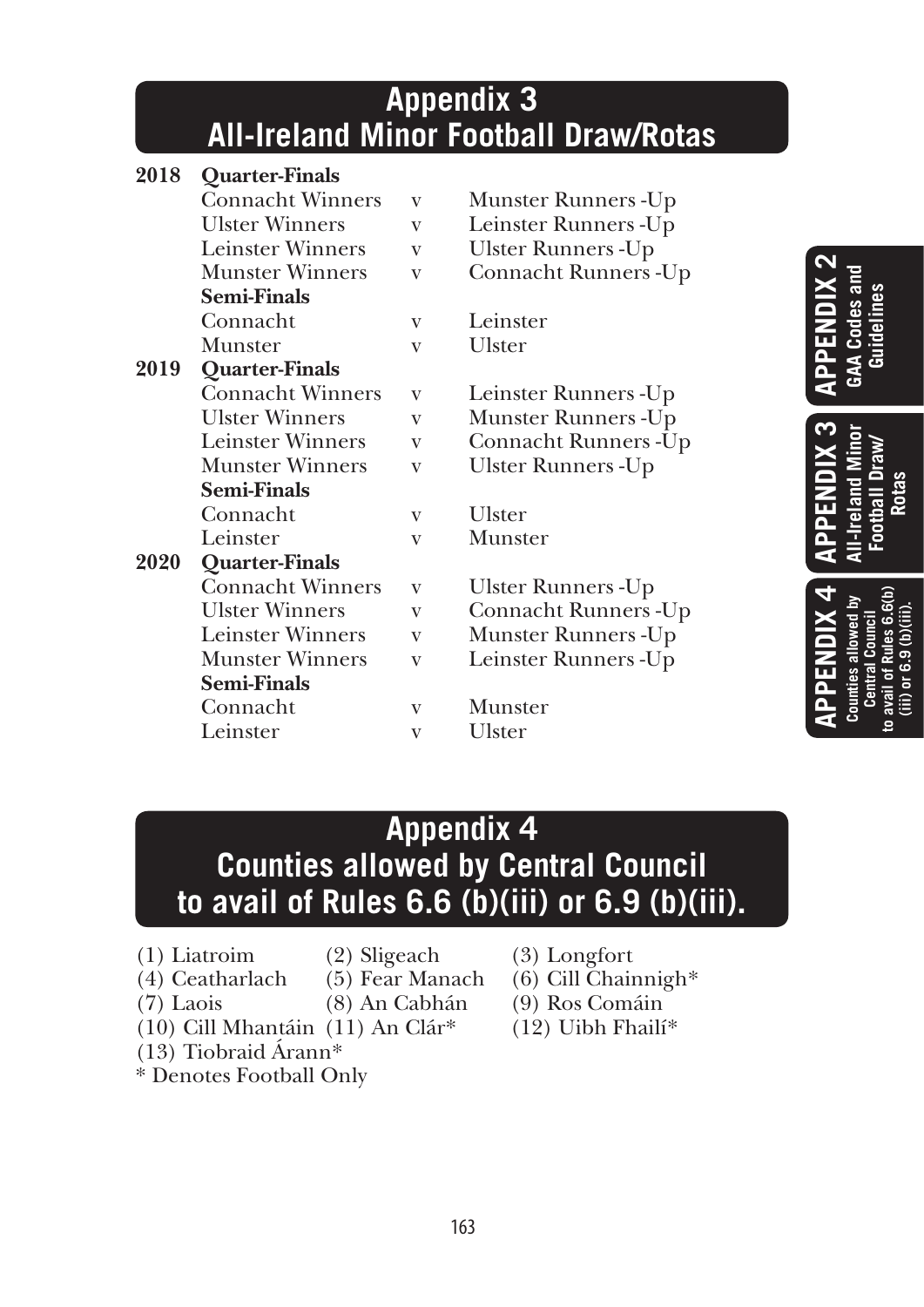# **Appendix 3 All-Ireland Minor Football Draw/Rotas**

| 2018 | <b>Quarter-Finals</b>   |   |                       |
|------|-------------------------|---|-----------------------|
|      | <b>Connacht Winners</b> | V | Munster Runners -Up   |
|      | <b>Ulster Winners</b>   | V | Leinster Runners - Up |
|      | <b>Leinster Winners</b> | V | Ulster Runners - Up   |
|      | <b>Munster Winners</b>  | V | Connacht Runners - Up |
|      | <b>Semi-Finals</b>      |   |                       |
|      | Connacht                | V | Leinster              |
|      | Munster                 | V | Ulster                |
| 2019 | Quarter-Finals          |   |                       |
|      | <b>Connacht Winners</b> | V | Leinster Runners - Up |
|      | <b>Ulster Winners</b>   | V | Munster Runners -Up   |
|      | <b>Leinster Winners</b> | V | Connacht Runners - Up |
|      | <b>Munster Winners</b>  | V | Ulster Runners -Up    |
|      | <b>Semi-Finals</b>      |   |                       |
|      | Connacht                | V | Ulster                |
|      | Leinster                | V | Munster               |
| 2020 | Quarter-Finals          |   |                       |
|      | <b>Connacht Winners</b> | V | Ulster Runners -Up    |
|      | <b>Ulster Winners</b>   | V | Connacht Runners - Up |
|      | <b>Leinster Winners</b> | V | Munster Runners -Up   |
|      | <b>Munster Winners</b>  | V | Leinster Runners - Up |
|      | <b>Semi-Finals</b>      |   |                       |
|      | Connacht                | V | Munster               |
|      | Leinster                | V | Ulster                |
|      |                         |   |                       |

**APPENDIX 2 GAA Codes and Guidelines Counties allowed by Central Council to avail of Rules 6.6(b) (iii) or 6.9 (b)(iii). APPENDIX 3 APPENDIX 4 All-Ireland Minor Football Draw/ Rotas**

# **Appendix 4 Counties allowed by Central Council to avail of Rules 6.6 (b)(iii) or 6.9 (b)(iii).**

- (1) Liatroim (2) Sligeach (3) Longfort
	-
- 
- -
- (13) Tiobraid Árann\*
- \* Denotes Football Only
- 
- (4) Ceatharlach (5) Fear Manach (6) Cill Chainnigh\*
- (7) Laois (8) An Cabhán (9) Ros Comáin
- (10) Cill Mhantáin (11) An Clár<sup>\*</sup> (12) Uibh Fhailí<sup>\*</sup>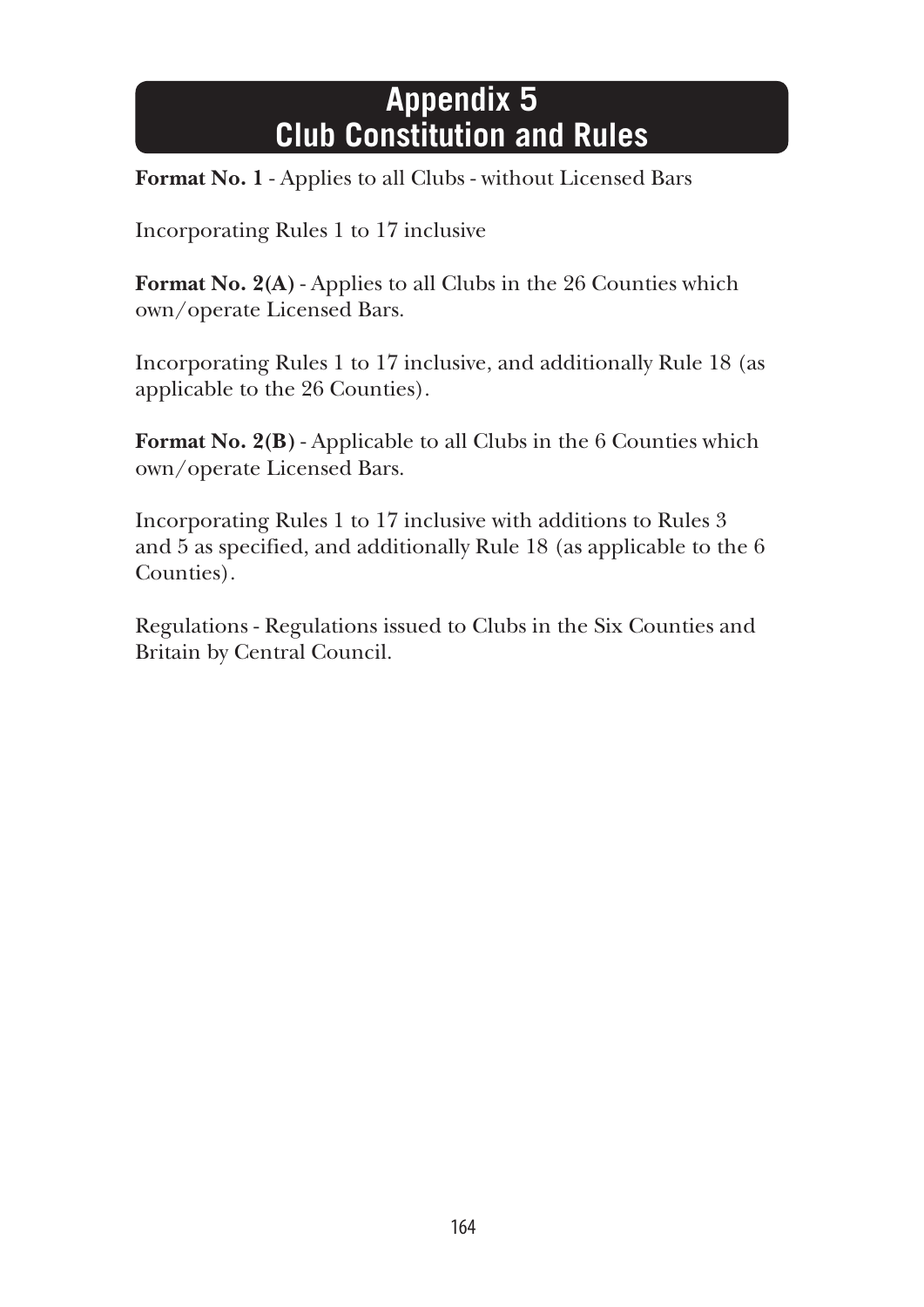# **Appendix 5 Club Constitution and Rules**

**Format No. 1** - Applies to all Clubs - without Licensed Bars

Incorporating Rules 1 to 17 inclusive

**Format No. 2(A)** - Applies to all Clubs in the 26 Counties which own/operate Licensed Bars.

Incorporating Rules 1 to 17 inclusive, and additionally Rule 18 (as applicable to the 26 Counties).

**Format No. 2(B)** - Applicable to all Clubs in the 6 Counties which own/operate Licensed Bars.

Incorporating Rules 1 to 17 inclusive with additions to Rules 3 and 5 as specified, and additionally Rule 18 (as applicable to the 6 Counties).

Regulations - Regulations issued to Clubs in the Six Counties and Britain by Central Council.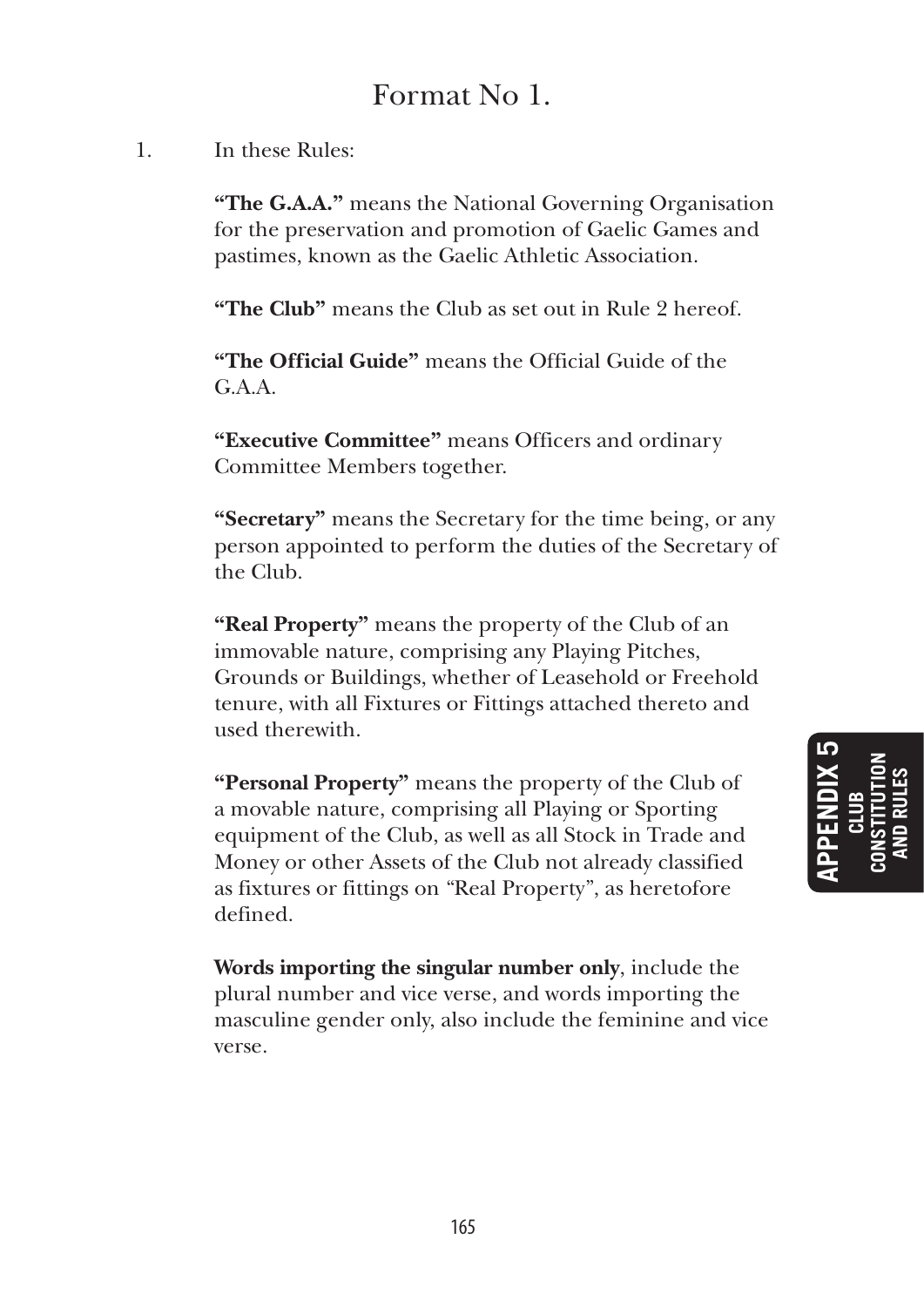# Format No 1.

## 1. In these Rules:

**"The G.A.A."** means the National Governing Organisation for the preservation and promotion of Gaelic Games and pastimes, known as the Gaelic Athletic Association.

**"The Club"** means the Club as set out in Rule 2 hereof.

 **"The Official Guide"** means the Official Guide of the  $G.A.A.$ 

 **"Executive Committee"** means Officers and ordinary Committee Members together.

 **"Secretary"** means the Secretary for the time being, or any person appointed to perform the duties of the Secretary of the Club.

 **"Real Property"** means the property of the Club of an immovable nature, comprising any Playing Pitches, Grounds or Buildings, whether of Leasehold or Freehold tenure, with all Fixtures or Fittings attached thereto and used therewith.

**"Personal Property"** means the property of the Club of a movable nature, comprising all Playing or Sporting equipment of the Club, as well as all Stock in Trade and Money or other Assets of the Club not already classified as fixtures or fittings on "Real Property", as heretofore defined.

 **Words importing the singular number only**, include the plural number and vice verse, and words importing the masculine gender only, also include the feminine and vice verse.

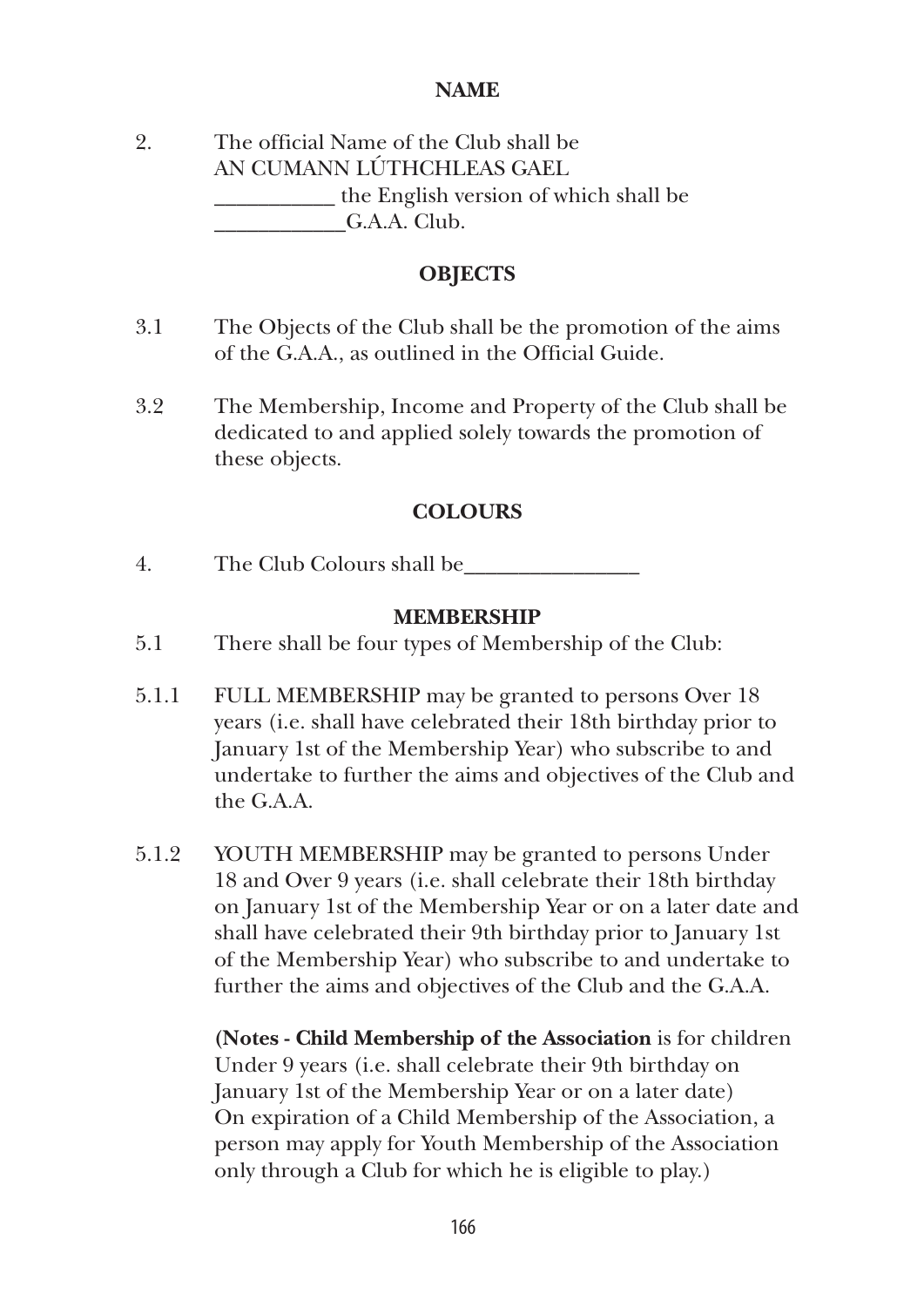#### **NAME**

2. The official Name of the Club shall be AN CUMANN LÚTHCHLEAS GAEL \_\_\_\_\_\_\_\_\_\_\_ the English version of which shall be G.A.A. Club.

#### **OBJECTS**

- 3.1 The Objects of the Club shall be the promotion of the aims of the G.A.A., as outlined in the Official Guide.
- 3.2 The Membership, Income and Property of the Club shall be dedicated to and applied solely towards the promotion of these objects.

#### **COLOURS**

4. The Club Colours shall be\_\_\_\_\_\_\_\_\_\_\_\_\_\_\_\_

#### **MEMBERSHIP**

- 5.1 There shall be four types of Membership of the Club:
- 5.1.1 FULL MEMBERSHIP may be granted to persons Over 18 years (i.e. shall have celebrated their 18th birthday prior to January 1st of the Membership Year) who subscribe to and undertake to further the aims and objectives of the Club and the G.A.A.
- 5.1.2 YOUTH MEMBERSHIP may be granted to persons Under 18 and Over 9 years (i.e. shall celebrate their 18th birthday on January 1st of the Membership Year or on a later date and shall have celebrated their 9th birthday prior to January 1st of the Membership Year) who subscribe to and undertake to further the aims and objectives of the Club and the G.A.A.

 **(Notes - Child Membership of the Association** is for children Under 9 years (i.e. shall celebrate their 9th birthday on January 1st of the Membership Year or on a later date) On expiration of a Child Membership of the Association, a person may apply for Youth Membership of the Association only through a Club for which he is eligible to play.)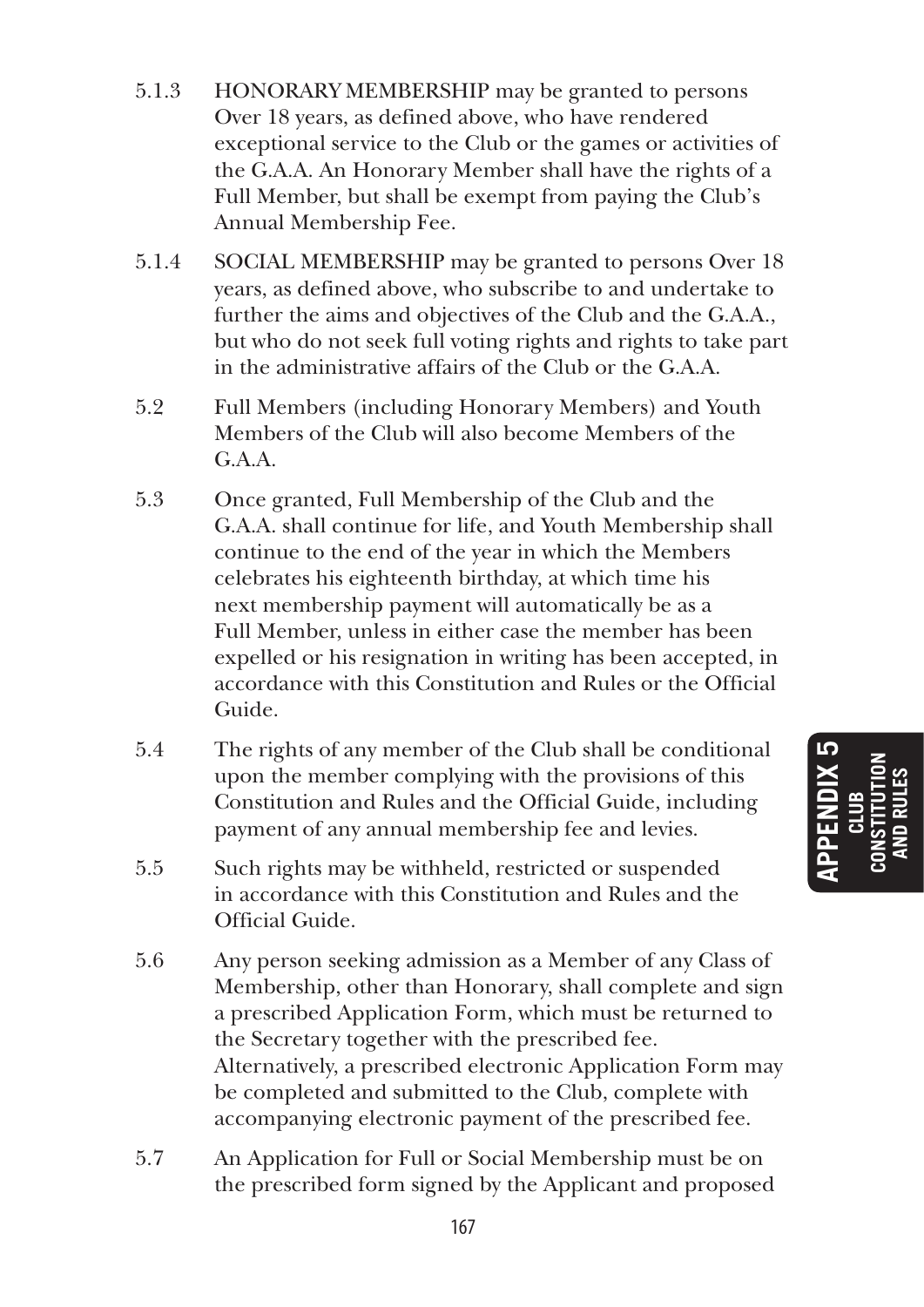- 5.1.3 HONORARY MEMBERSHIP may be granted to persons Over 18 years, as defined above, who have rendered exceptional service to the Club or the games or activities of the G.A.A. An Honorary Member shall have the rights of a Full Member, but shall be exempt from paying the Club's Annual Membership Fee.
- 5.1.4 SOCIAL MEMBERSHIP may be granted to persons Over 18 years, as defined above, who subscribe to and undertake to further the aims and objectives of the Club and the G.A.A., but who do not seek full voting rights and rights to take part in the administrative affairs of the Club or the G.A.A.
- 5.2 Full Members (including Honorary Members) and Youth Members of the Club will also become Members of the G.A.A.
- 5.3 Once granted, Full Membership of the Club and the G.A.A. shall continue for life, and Youth Membership shall continue to the end of the year in which the Members celebrates his eighteenth birthday, at which time his next membership payment will automatically be as a Full Member, unless in either case the member has been expelled or his resignation in writing has been accepted, in accordance with this Constitution and Rules or the Official Guide.
- 5.4 The rights of any member of the Club shall be conditional upon the member complying with the provisions of this Constitution and Rules and the Official Guide, including payment of any annual membership fee and levies.
- 5.5 Such rights may be withheld, restricted or suspended in accordance with this Constitution and Rules and the Official Guide.
- 5.6 Any person seeking admission as a Member of any Class of Membership, other than Honorary, shall complete and sign a prescribed Application Form, which must be returned to the Secretary together with the prescribed fee. Alternatively, a prescribed electronic Application Form may be completed and submitted to the Club, complete with accompanying electronic payment of the prescribed fee.
- 5.7 An Application for Full or Social Membership must be on the prescribed form signed by the Applicant and proposed

IQ **APPENDIX 5 CONSTITUTION AND RULES CLUB**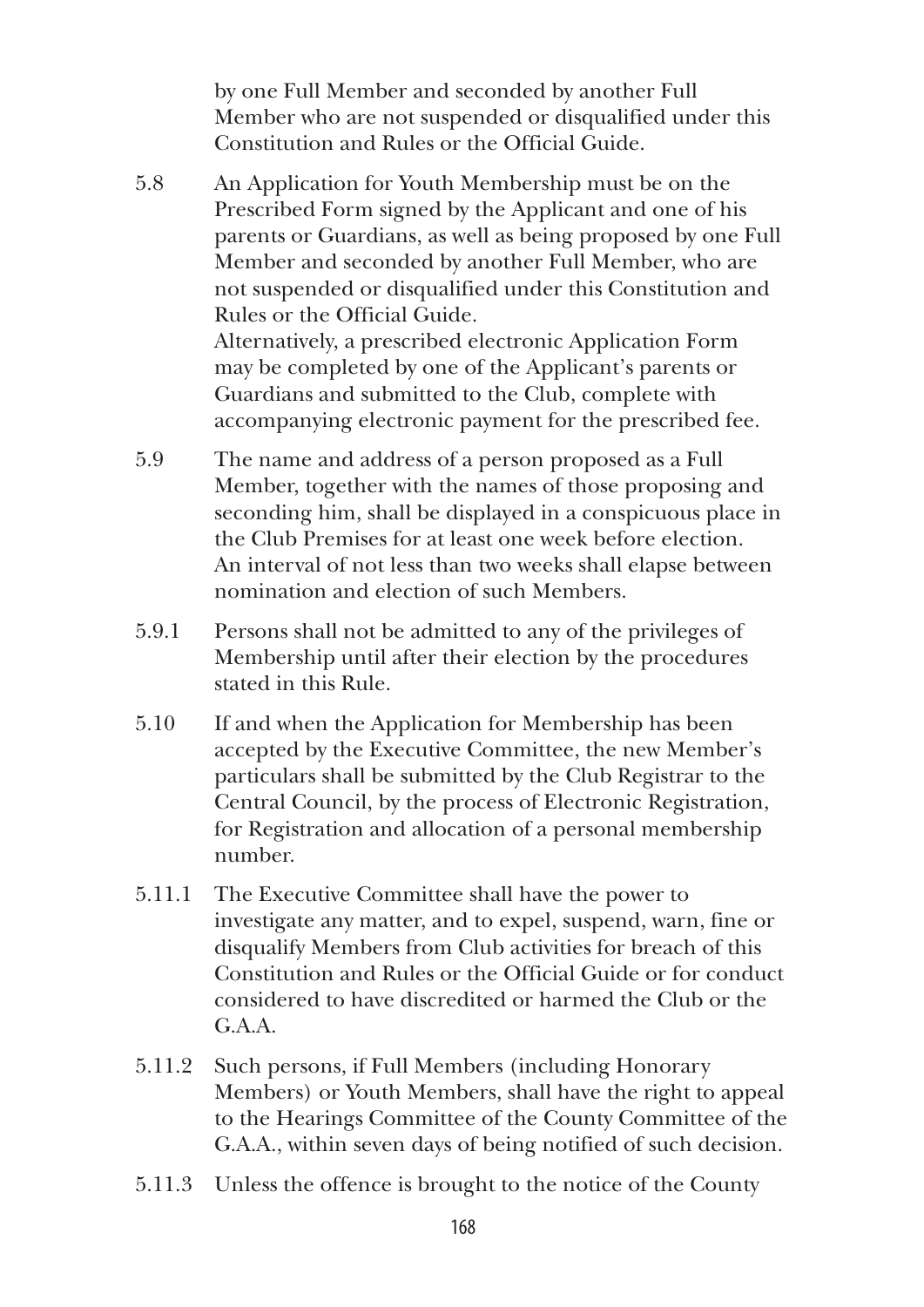by one Full Member and seconded by another Full Member who are not suspended or disqualified under this Constitution and Rules or the Official Guide.

- 5.8 An Application for Youth Membership must be on the Prescribed Form signed by the Applicant and one of his parents or Guardians, as well as being proposed by one Full Member and seconded by another Full Member, who are not suspended or disqualified under this Constitution and Rules or the Official Guide. Alternatively, a prescribed electronic Application Form may be completed by one of the Applicant's parents or Guardians and submitted to the Club, complete with accompanying electronic payment for the prescribed fee.
- 5.9 The name and address of a person proposed as a Full Member, together with the names of those proposing and seconding him, shall be displayed in a conspicuous place in the Club Premises for at least one week before election. An interval of not less than two weeks shall elapse between nomination and election of such Members.
- 5.9.1 Persons shall not be admitted to any of the privileges of Membership until after their election by the procedures stated in this Rule.
- 5.10 If and when the Application for Membership has been accepted by the Executive Committee, the new Member's particulars shall be submitted by the Club Registrar to the Central Council, by the process of Electronic Registration, for Registration and allocation of a personal membership number.
- 5.11.1 The Executive Committee shall have the power to investigate any matter, and to expel, suspend, warn, fine or disqualify Members from Club activities for breach of this Constitution and Rules or the Official Guide or for conduct considered to have discredited or harmed the Club or the  $G.A.A.$
- 5.11.2 Such persons, if Full Members (including Honorary Members) or Youth Members, shall have the right to appeal to the Hearings Committee of the County Committee of the G.A.A., within seven days of being notified of such decision.
- 5.11.3 Unless the offence is brought to the notice of the County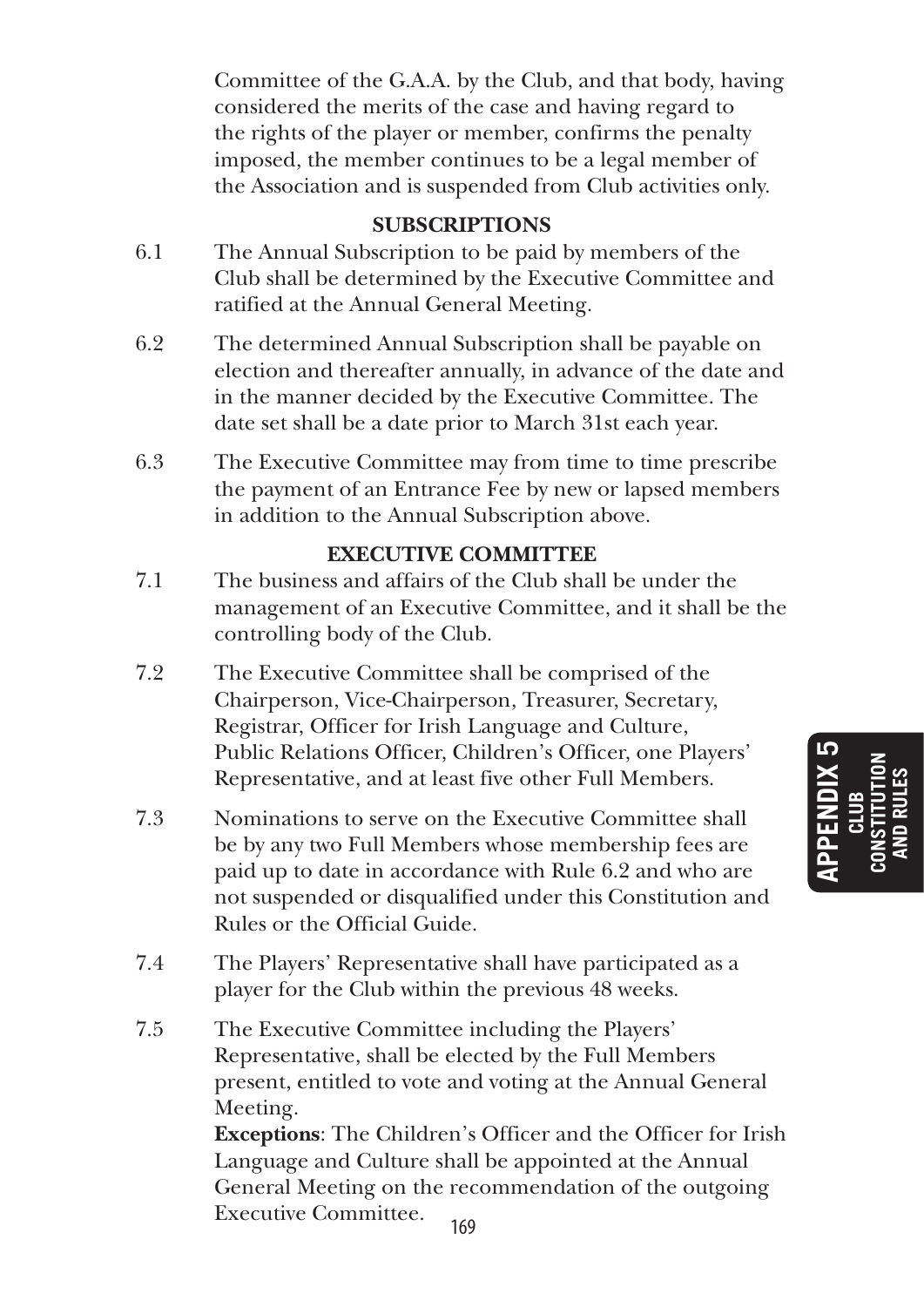Committee of the G.A.A. by the Club, and that body, having considered the merits of the case and having regard to the rights of the player or member, confirms the penalty imposed, the member continues to be a legal member of the Association and is suspended from Club activities only.

#### **SUBSCRIPTIONS**

- 6.1 The Annual Subscription to be paid by members of the Club shall be determined by the Executive Committee and ratified at the Annual General Meeting.
- 6.2 The determined Annual Subscription shall be payable on election and thereafter annually, in advance of the date and in the manner decided by the Executive Committee. The date set shall be a date prior to March 31st each year.
- 6.3 The Executive Committee may from time to time prescribe the payment of an Entrance Fee by new or lapsed members in addition to the Annual Subscription above.

#### **EXECUTIVE COMMITTEE**

- 7.1 The business and affairs of the Club shall be under the management of an Executive Committee, and it shall be the controlling body of the Club.
- 7.2 The Executive Committee shall be comprised of the Chairperson, Vice-Chairperson, Treasurer, Secretary, Registrar, Officer for Irish Language and Culture, Public Relations Officer, Children's Officer, one Players' Representative, and at least five other Full Members.
- 7.3 Nominations to serve on the Executive Committee shall be by any two Full Members whose membership fees are paid up to date in accordance with Rule 6.2 and who are not suspended or disqualified under this Constitution and Rules or the Official Guide.
- 7.4 The Players' Representative shall have participated as a player for the Club within the previous 48 weeks.
- 7.5 The Executive Committee including the Players' Representative, shall be elected by the Full Members present, entitled to vote and voting at the Annual General Meeting. **Exceptions**: The Children's Officer and the Officer for Irish

Language and Culture shall be appointed at the Annual General Meeting on the recommendation of the outgoing Executive Committee.

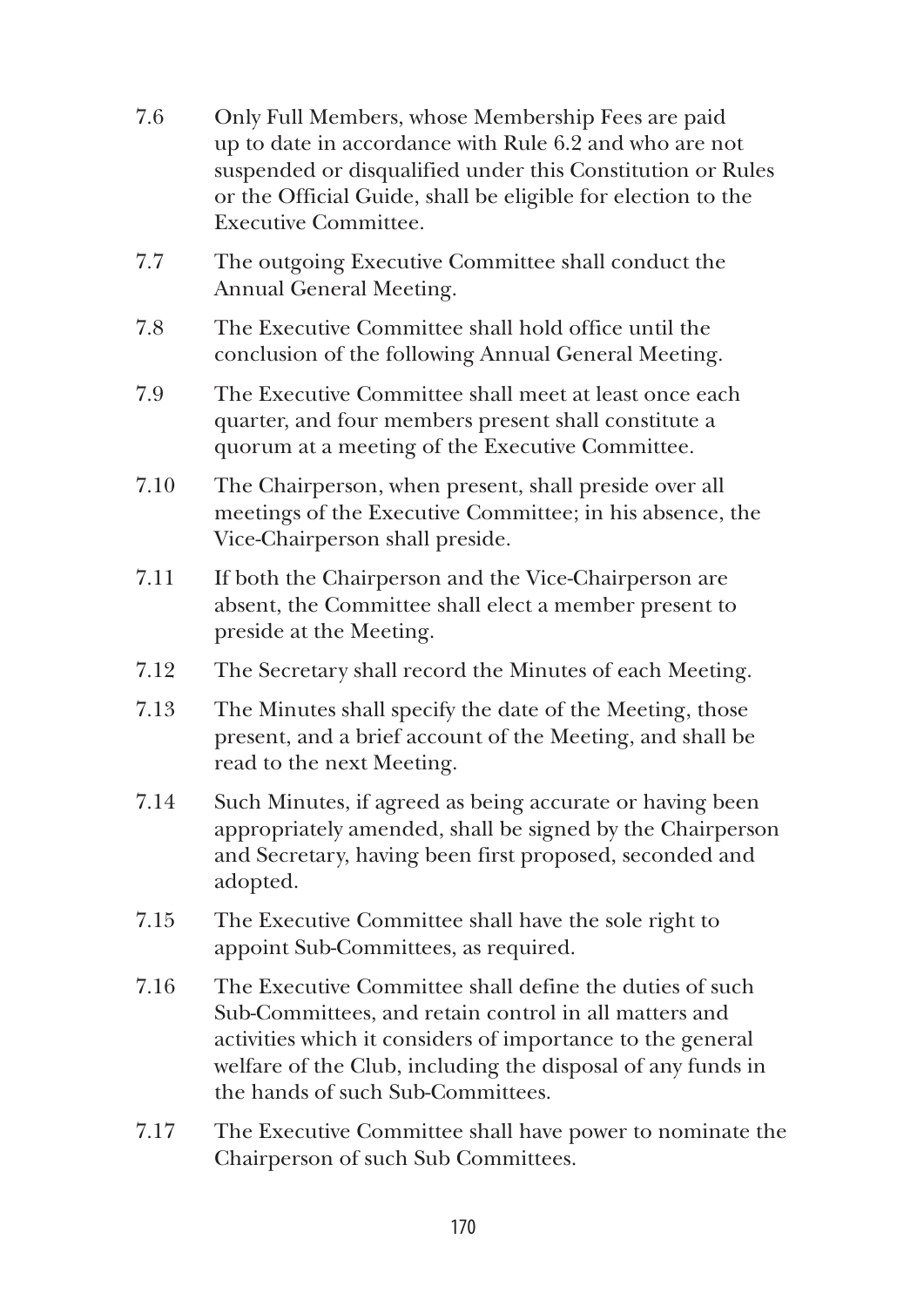- 7.6 Only Full Members, whose Membership Fees are paid up to date in accordance with Rule 6.2 and who are not suspended or disqualified under this Constitution or Rules or the Official Guide, shall be eligible for election to the Executive Committee.
- 7.7 The outgoing Executive Committee shall conduct the Annual General Meeting.
- 7.8 The Executive Committee shall hold office until the conclusion of the following Annual General Meeting.
- 7.9 The Executive Committee shall meet at least once each quarter, and four members present shall constitute a quorum at a meeting of the Executive Committee.
- 7.10 The Chairperson, when present, shall preside over all meetings of the Executive Committee; in his absence, the Vice-Chairperson shall preside.
- 7.11 If both the Chairperson and the Vice-Chairperson are absent, the Committee shall elect a member present to preside at the Meeting.
- 7.12 The Secretary shall record the Minutes of each Meeting.
- 7.13 The Minutes shall specify the date of the Meeting, those present, and a brief account of the Meeting, and shall be read to the next Meeting.
- 7.14 Such Minutes, if agreed as being accurate or having been appropriately amended, shall be signed by the Chairperson and Secretary, having been first proposed, seconded and adopted.
- 7.15 The Executive Committee shall have the sole right to appoint Sub-Committees, as required.
- 7.16 The Executive Committee shall define the duties of such Sub-Committees, and retain control in all matters and activities which it considers of importance to the general welfare of the Club, including the disposal of any funds in the hands of such Sub-Committees.
- 7.17 The Executive Committee shall have power to nominate the Chairperson of such Sub Committees.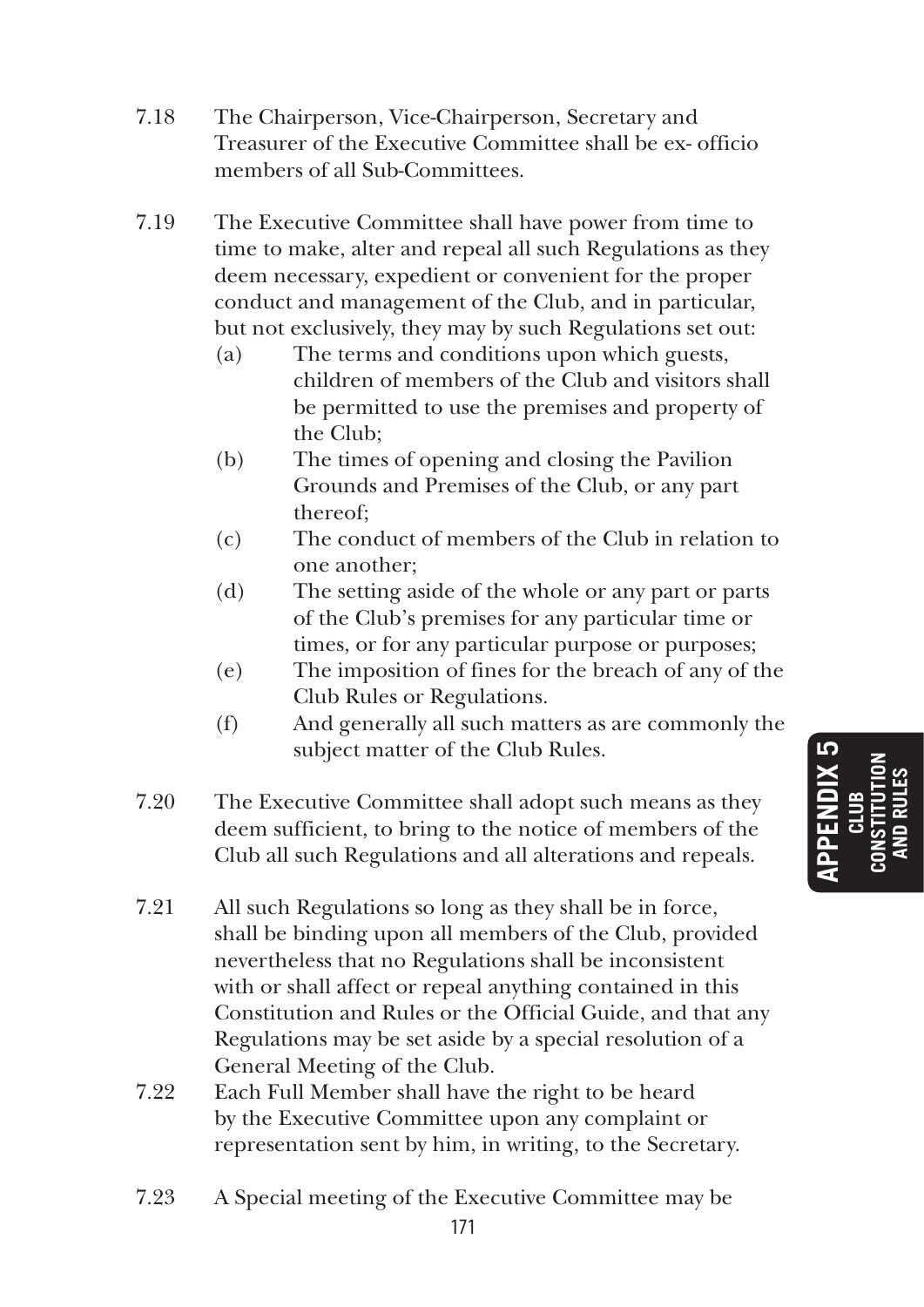- 7.18 The Chairperson, Vice-Chairperson, Secretary and Treasurer of the Executive Committee shall be ex- officio members of all Sub-Committees.
- 7.19 The Executive Committee shall have power from time to time to make, alter and repeal all such Regulations as they deem necessary, expedient or convenient for the proper conduct and management of the Club, and in particular, but not exclusively, they may by such Regulations set out:
	- (a) The terms and conditions upon which guests, children of members of the Club and visitors shall be permitted to use the premises and property of the Club;
	- (b) The times of opening and closing the Pavilion Grounds and Premises of the Club, or any part thereof;
	- (c) The conduct of members of the Club in relation to one another;
	- (d) The setting aside of the whole or any part or parts of the Club's premises for any particular time or times, or for any particular purpose or purposes;
	- (e) The imposition of fines for the breach of any of the Club Rules or Regulations.
	- (f) And generally all such matters as are commonly the subject matter of the Club Rules.
- 7.20 The Executive Committee shall adopt such means as they deem sufficient, to bring to the notice of members of the Club all such Regulations and all alterations and repeals.
- 7.21 All such Regulations so long as they shall be in force, shall be binding upon all members of the Club, provided nevertheless that no Regulations shall be inconsistent with or shall affect or repeal anything contained in this Constitution and Rules or the Official Guide, and that any Regulations may be set aside by a special resolution of a General Meeting of the Club.
- 7.22 Each Full Member shall have the right to be heard by the Executive Committee upon any complaint or representation sent by him, in writing, to the Secretary.
- 7.23 A Special meeting of the Executive Committee may be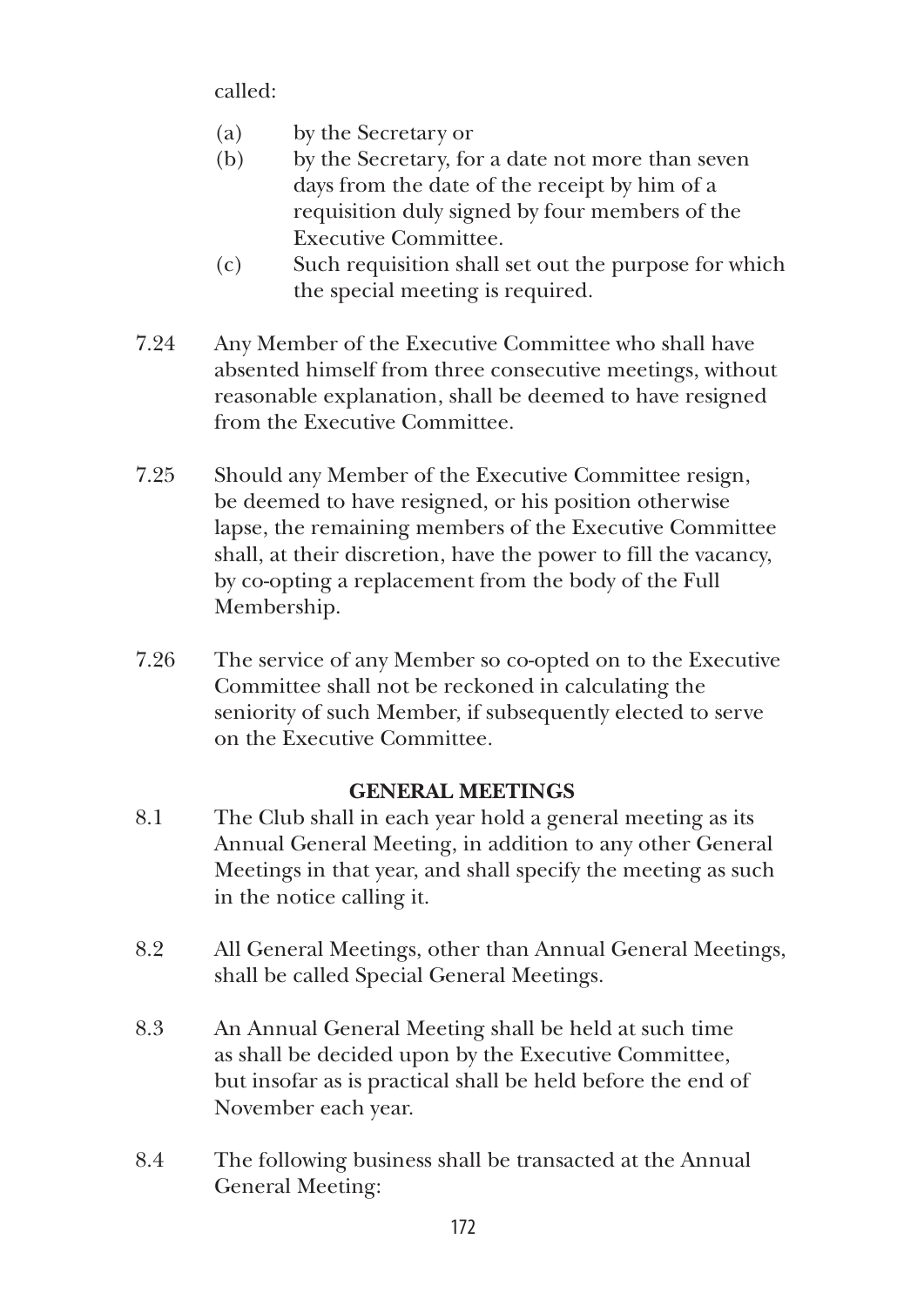called:

- (a) by the Secretary or
- (b) by the Secretary, for a date not more than seven days from the date of the receipt by him of a requisition duly signed by four members of the Executive Committee.
- (c) Such requisition shall set out the purpose for which the special meeting is required.
- 7.24 Any Member of the Executive Committee who shall have absented himself from three consecutive meetings, without reasonable explanation, shall be deemed to have resigned from the Executive Committee.
- 7.25 Should any Member of the Executive Committee resign, be deemed to have resigned, or his position otherwise lapse, the remaining members of the Executive Committee shall, at their discretion, have the power to fill the vacancy, by co-opting a replacement from the body of the Full Membership.
- 7.26 The service of any Member so co-opted on to the Executive Committee shall not be reckoned in calculating the seniority of such Member, if subsequently elected to serve on the Executive Committee.

# **GENERAL MEETINGS**

- 8.1 The Club shall in each year hold a general meeting as its Annual General Meeting, in addition to any other General Meetings in that year, and shall specify the meeting as such in the notice calling it.
- 8.2 All General Meetings, other than Annual General Meetings, shall be called Special General Meetings.
- 8.3 An Annual General Meeting shall be held at such time as shall be decided upon by the Executive Committee, but insofar as is practical shall be held before the end of November each year.
- 8.4 The following business shall be transacted at the Annual General Meeting: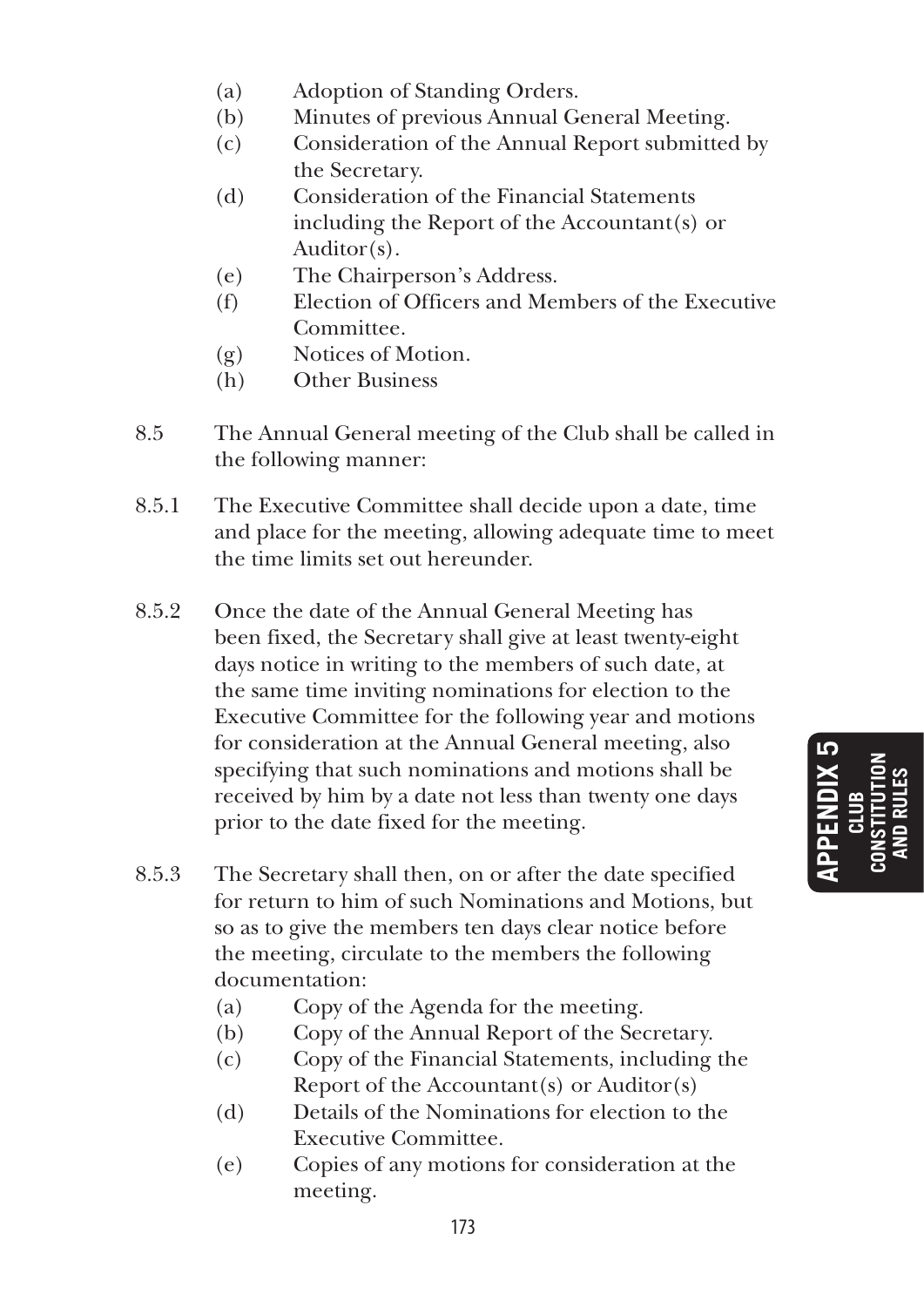- (a) Adoption of Standing Orders.
- (b) Minutes of previous Annual General Meeting.
- (c) Consideration of the Annual Report submitted by the Secretary.
- (d) Consideration of the Financial Statements including the Report of the Accountant(s) or Auditor(s).
- (e) The Chairperson's Address.
- (f) Election of Officers and Members of the Executive Committee.
- (g) Notices of Motion.
- (h) Other Business
- 8.5 The Annual General meeting of the Club shall be called in the following manner:
- 8.5.1 The Executive Committee shall decide upon a date, time and place for the meeting, allowing adequate time to meet the time limits set out hereunder.
- 8.5.2 Once the date of the Annual General Meeting has been fixed, the Secretary shall give at least twenty-eight days notice in writing to the members of such date, at the same time inviting nominations for election to the Executive Committee for the following year and motions for consideration at the Annual General meeting, also specifying that such nominations and motions shall be received by him by a date not less than twenty one days prior to the date fixed for the meeting.
- 8.5.3 The Secretary shall then, on or after the date specified for return to him of such Nominations and Motions, but so as to give the members ten days clear notice before the meeting, circulate to the members the following documentation:
	- (a) Copy of the Agenda for the meeting.
	- (b) Copy of the Annual Report of the Secretary.
	- (c) Copy of the Financial Statements, including the Report of the Accountant(s) or Auditor(s)
	- (d) Details of the Nominations for election to the Executive Committee.
	- (e) Copies of any motions for consideration at the meeting.

**APPENDIX 5 CLUB CONSTITUTION AND RULES**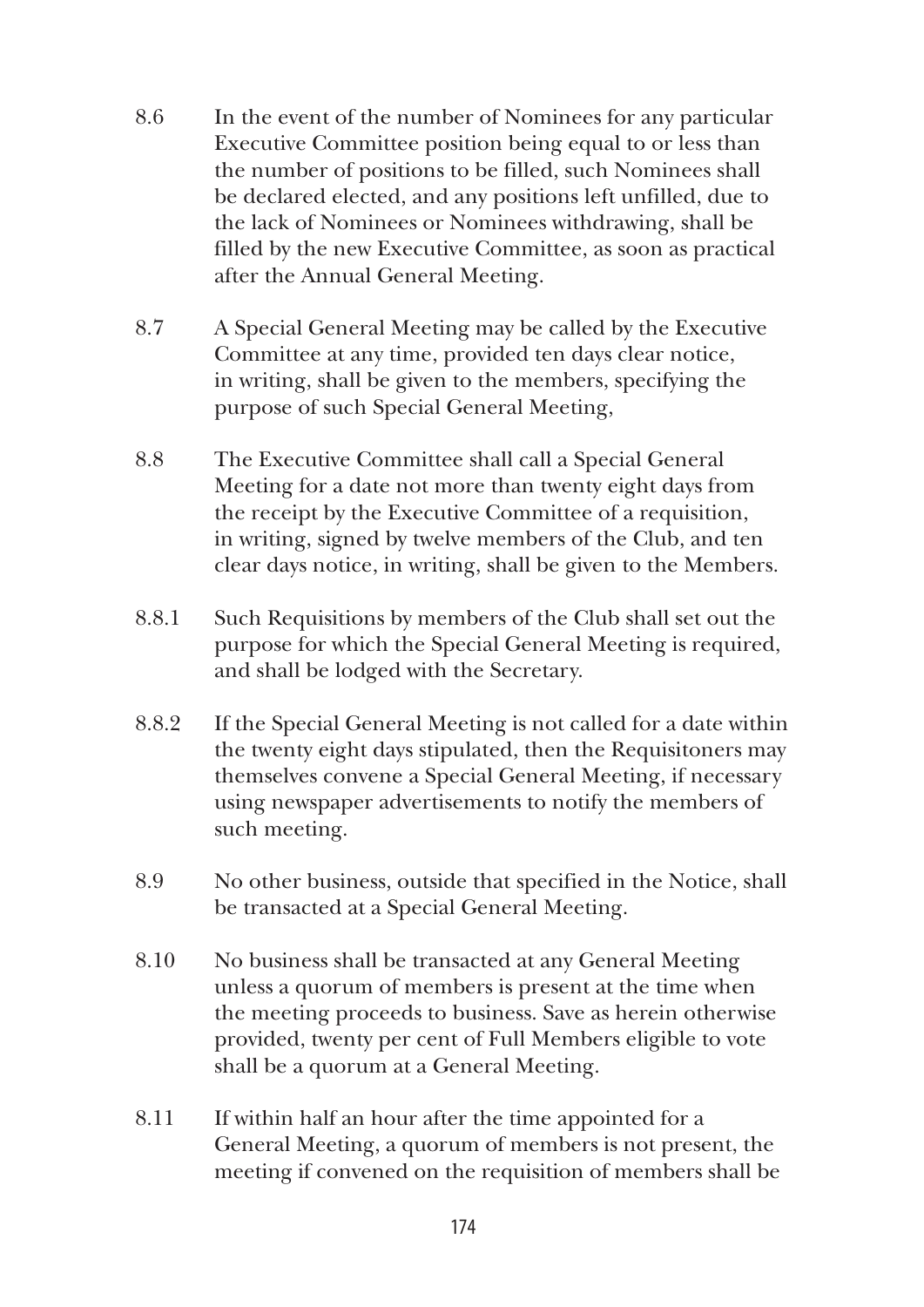- 8.6 In the event of the number of Nominees for any particular Executive Committee position being equal to or less than the number of positions to be filled, such Nominees shall be declared elected, and any positions left unfilled, due to the lack of Nominees or Nominees withdrawing, shall be filled by the new Executive Committee, as soon as practical after the Annual General Meeting.
- 8.7 A Special General Meeting may be called by the Executive Committee at any time, provided ten days clear notice, in writing, shall be given to the members, specifying the purpose of such Special General Meeting,
- 8.8 The Executive Committee shall call a Special General Meeting for a date not more than twenty eight days from the receipt by the Executive Committee of a requisition, in writing, signed by twelve members of the Club, and ten clear days notice, in writing, shall be given to the Members.
- 8.8.1 Such Requisitions by members of the Club shall set out the purpose for which the Special General Meeting is required, and shall be lodged with the Secretary.
- 8.8.2 If the Special General Meeting is not called for a date within the twenty eight days stipulated, then the Requisitoners may themselves convene a Special General Meeting, if necessary using newspaper advertisements to notify the members of such meeting.
- 8.9 No other business, outside that specified in the Notice, shall be transacted at a Special General Meeting.
- 8.10 No business shall be transacted at any General Meeting unless a quorum of members is present at the time when the meeting proceeds to business. Save as herein otherwise provided, twenty per cent of Full Members eligible to vote shall be a quorum at a General Meeting.
- 8.11 If within half an hour after the time appointed for a General Meeting, a quorum of members is not present, the meeting if convened on the requisition of members shall be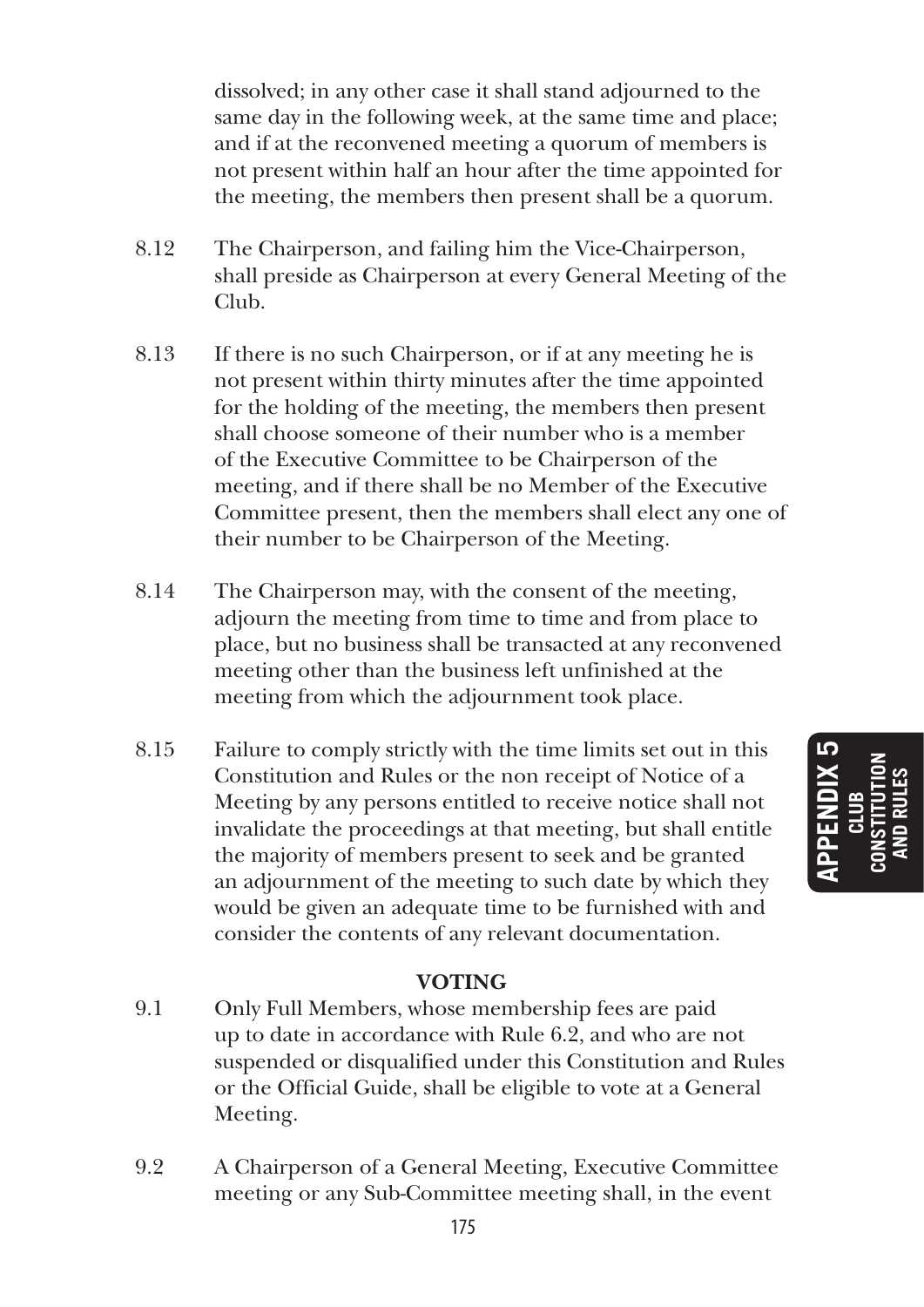dissolved; in any other case it shall stand adjourned to the same day in the following week, at the same time and place; and if at the reconvened meeting a quorum of members is not present within half an hour after the time appointed for the meeting, the members then present shall be a quorum.

- 8.12 The Chairperson, and failing him the Vice-Chairperson, shall preside as Chairperson at every General Meeting of the Club.
- 8.13 If there is no such Chairperson, or if at any meeting he is not present within thirty minutes after the time appointed for the holding of the meeting, the members then present shall choose someone of their number who is a member of the Executive Committee to be Chairperson of the meeting, and if there shall be no Member of the Executive Committee present, then the members shall elect any one of their number to be Chairperson of the Meeting.
- 8.14 The Chairperson may, with the consent of the meeting, adjourn the meeting from time to time and from place to place, but no business shall be transacted at any reconvened meeting other than the business left unfinished at the meeting from which the adjournment took place.
- 8.15 Failure to comply strictly with the time limits set out in this Constitution and Rules or the non receipt of Notice of a Meeting by any persons entitled to receive notice shall not invalidate the proceedings at that meeting, but shall entitle the majority of members present to seek and be granted an adjournment of the meeting to such date by which they would be given an adequate time to be furnished with and consider the contents of any relevant documentation.

#### **VOTING**

- 9.1 Only Full Members, whose membership fees are paid up to date in accordance with Rule 6.2, and who are not suspended or disqualified under this Constitution and Rules or the Official Guide, shall be eligible to vote at a General Meeting.
- 9.2 A Chairperson of a General Meeting, Executive Committee meeting or any Sub-Committee meeting shall, in the event

**APPENDIX 5 CLUB CONSTITUTION AND RULES**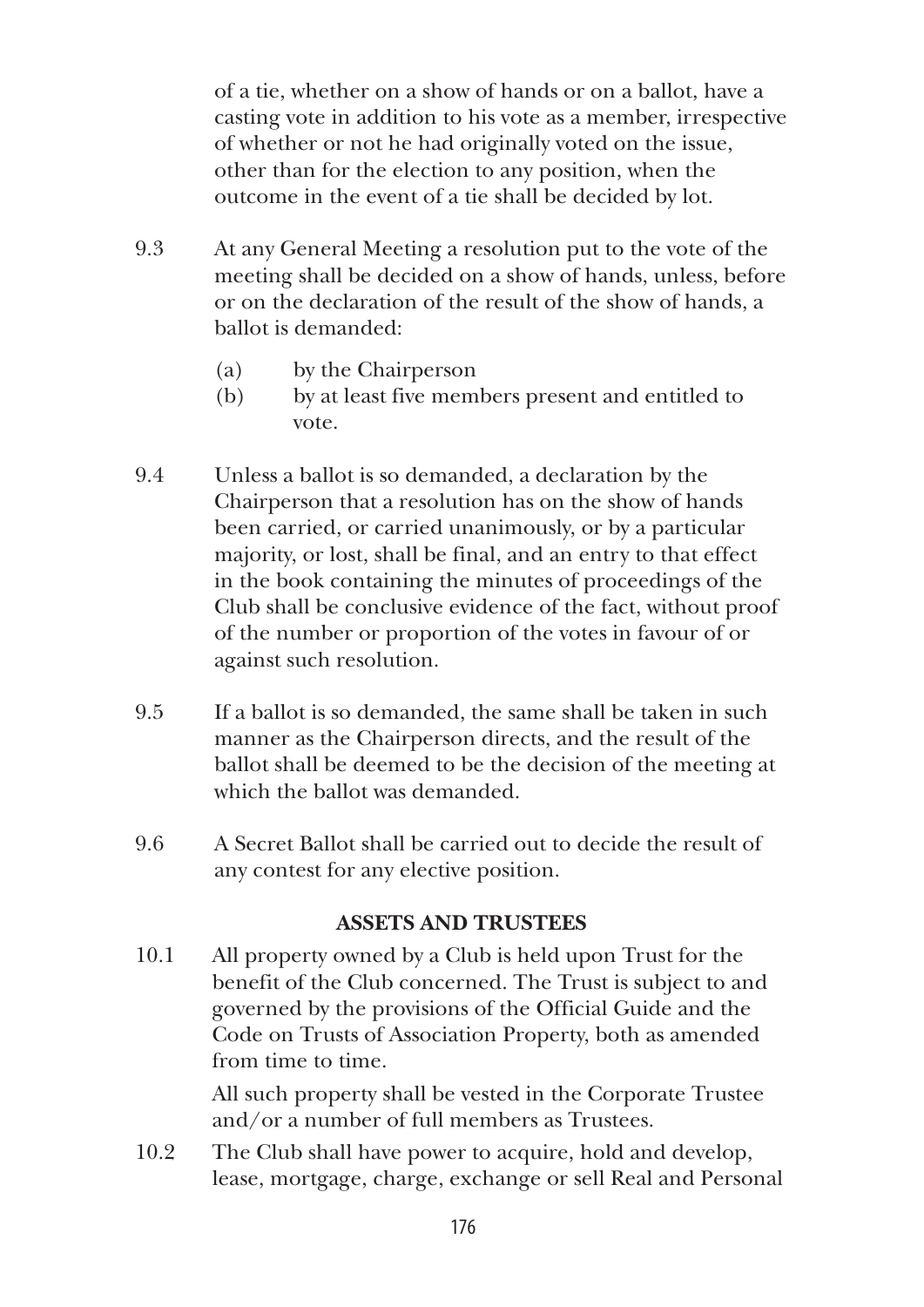of a tie, whether on a show of hands or on a ballot, have a casting vote in addition to his vote as a member, irrespective of whether or not he had originally voted on the issue, other than for the election to any position, when the outcome in the event of a tie shall be decided by lot.

- 9.3 At any General Meeting a resolution put to the vote of the meeting shall be decided on a show of hands, unless, before or on the declaration of the result of the show of hands, a ballot is demanded:
	- (a) by the Chairperson
	- (b) by at least five members present and entitled to vote.
- 9.4 Unless a ballot is so demanded, a declaration by the Chairperson that a resolution has on the show of hands been carried, or carried unanimously, or by a particular majority, or lost, shall be final, and an entry to that effect in the book containing the minutes of proceedings of the Club shall be conclusive evidence of the fact, without proof of the number or proportion of the votes in favour of or against such resolution.
- 9.5 If a ballot is so demanded, the same shall be taken in such manner as the Chairperson directs, and the result of the ballot shall be deemed to be the decision of the meeting at which the ballot was demanded.
- 9.6 A Secret Ballot shall be carried out to decide the result of any contest for any elective position.

#### **ASSETS AND TRUSTEES**

10.1 All property owned by a Club is held upon Trust for the benefit of the Club concerned. The Trust is subject to and governed by the provisions of the Official Guide and the Code on Trusts of Association Property, both as amended from time to time.

> All such property shall be vested in the Corporate Trustee and/or a number of full members as Trustees.

10.2 The Club shall have power to acquire, hold and develop, lease, mortgage, charge, exchange or sell Real and Personal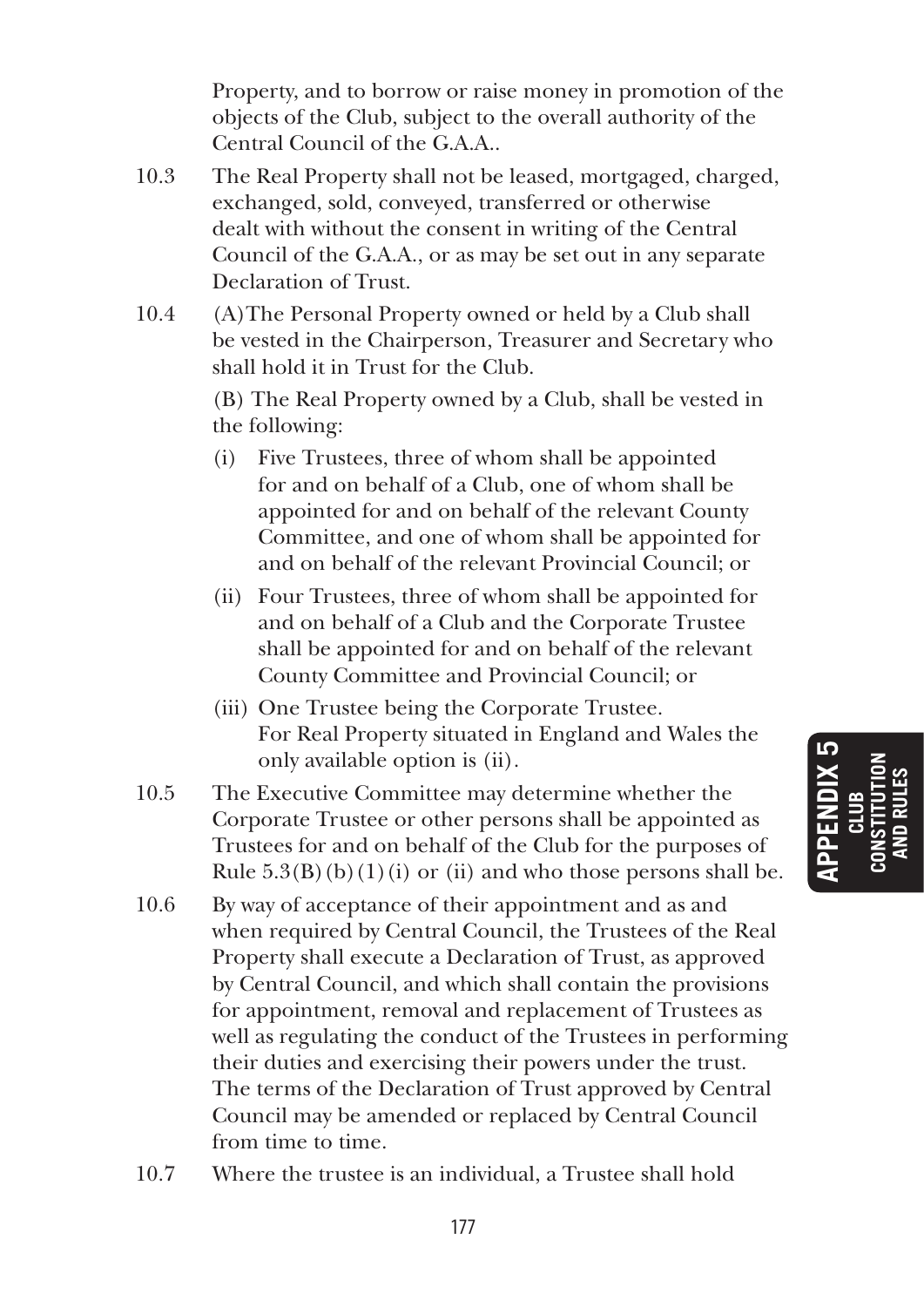Property, and to borrow or raise money in promotion of the objects of the Club, subject to the overall authority of the Central Council of the G.A.A..

- 10.3 The Real Property shall not be leased, mortgaged, charged, exchanged, sold, conveyed, transferred or otherwise dealt with without the consent in writing of the Central Council of the G.A.A., or as may be set out in any separate Declaration of Trust.
- 10.4 (A)The Personal Property owned or held by a Club shall be vested in the Chairperson, Treasurer and Secretary who shall hold it in Trust for the Club.

 (B) The Real Property owned by a Club, shall be vested in the following:

- (i) Five Trustees, three of whom shall be appointed for and on behalf of a Club, one of whom shall be appointed for and on behalf of the relevant County Committee, and one of whom shall be appointed for and on behalf of the relevant Provincial Council; or
- (ii) Four Trustees, three of whom shall be appointed for and on behalf of a Club and the Corporate Trustee shall be appointed for and on behalf of the relevant County Committee and Provincial Council; or
- (iii) One Trustee being the Corporate Trustee. For Real Property situated in England and Wales the only available option is (ii).
- 10.5 The Executive Committee may determine whether the Corporate Trustee or other persons shall be appointed as Trustees for and on behalf of the Club for the purposes of Rule  $5.3(B)(b)(1)(i)$  or (ii) and who those persons shall be.
- 10.6 By way of acceptance of their appointment and as and when required by Central Council, the Trustees of the Real Property shall execute a Declaration of Trust, as approved by Central Council, and which shall contain the provisions for appointment, removal and replacement of Trustees as well as regulating the conduct of the Trustees in performing their duties and exercising their powers under the trust. The terms of the Declaration of Trust approved by Central Council may be amended or replaced by Central Council from time to time.
- 10.7 Where the trustee is an individual, a Trustee shall hold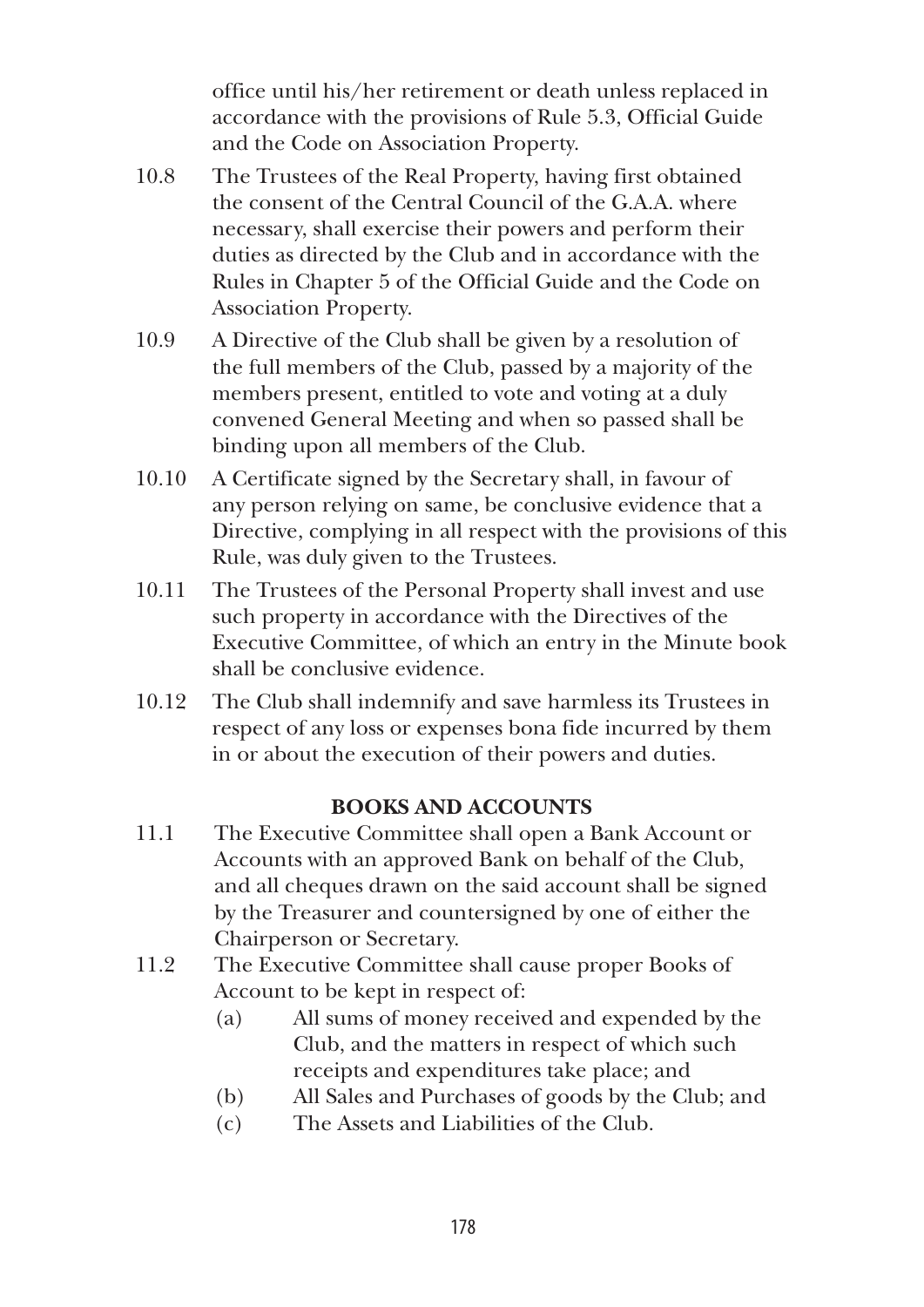office until his/her retirement or death unless replaced in accordance with the provisions of Rule 5.3, Official Guide and the Code on Association Property.

- 10.8 The Trustees of the Real Property, having first obtained the consent of the Central Council of the G.A.A. where necessary, shall exercise their powers and perform their duties as directed by the Club and in accordance with the Rules in Chapter 5 of the Official Guide and the Code on Association Property.
- 10.9 A Directive of the Club shall be given by a resolution of the full members of the Club, passed by a majority of the members present, entitled to vote and voting at a duly convened General Meeting and when so passed shall be binding upon all members of the Club.
- 10.10 A Certificate signed by the Secretary shall, in favour of any person relying on same, be conclusive evidence that a Directive, complying in all respect with the provisions of this Rule, was duly given to the Trustees.
- 10.11 The Trustees of the Personal Property shall invest and use such property in accordance with the Directives of the Executive Committee, of which an entry in the Minute book shall be conclusive evidence.
- 10.12 The Club shall indemnify and save harmless its Trustees in respect of any loss or expenses bona fide incurred by them in or about the execution of their powers and duties.

## **BOOKS AND ACCOUNTS**

- 11.1 The Executive Committee shall open a Bank Account or Accounts with an approved Bank on behalf of the Club, and all cheques drawn on the said account shall be signed by the Treasurer and countersigned by one of either the Chairperson or Secretary.
- 11.2 The Executive Committee shall cause proper Books of Account to be kept in respect of:
	- (a) All sums of money received and expended by the Club, and the matters in respect of which such receipts and expenditures take place; and
	- (b) All Sales and Purchases of goods by the Club; and
	- (c) The Assets and Liabilities of the Club.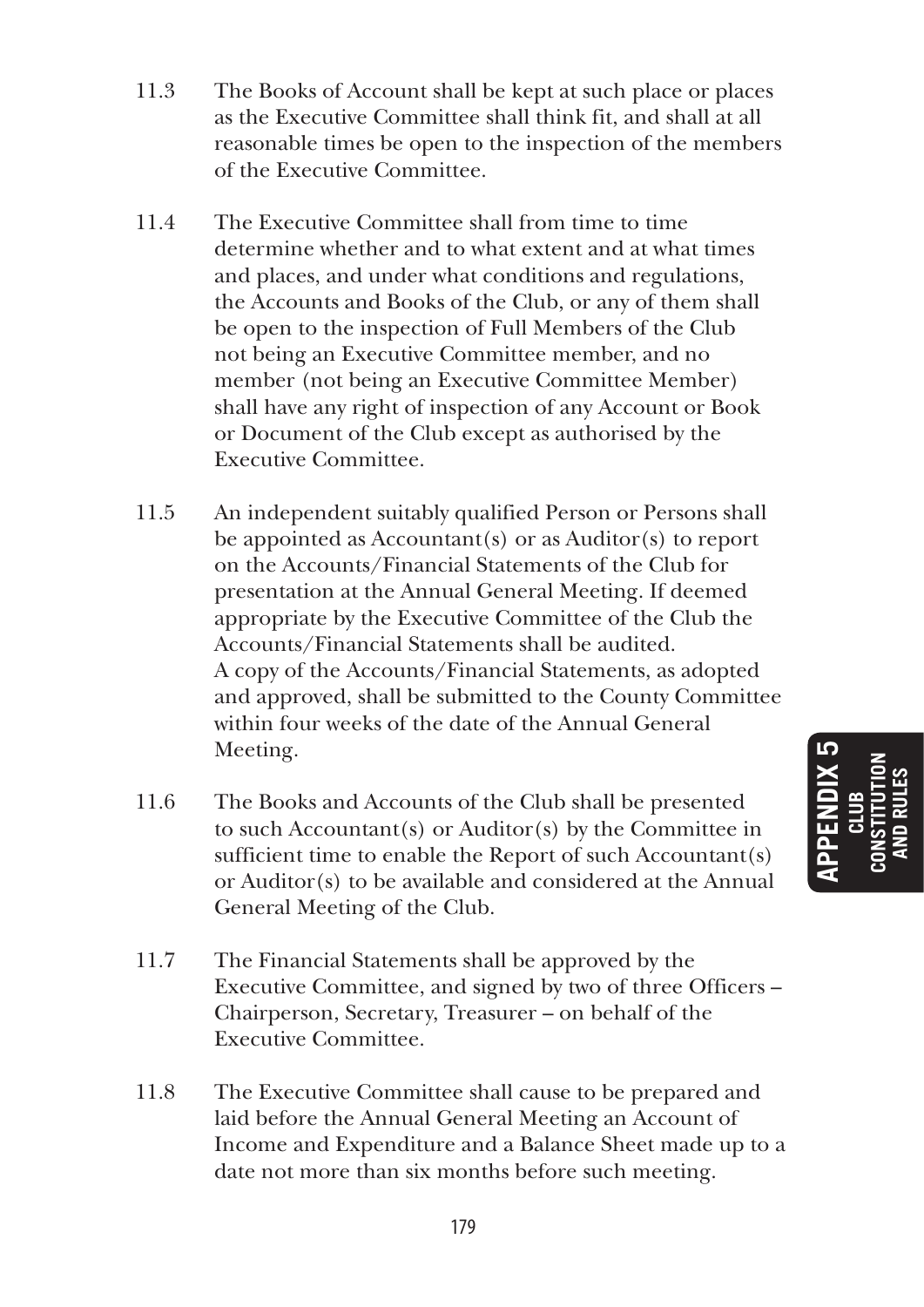- 11.3 The Books of Account shall be kept at such place or places as the Executive Committee shall think fit, and shall at all reasonable times be open to the inspection of the members of the Executive Committee.
- 11.4 The Executive Committee shall from time to time determine whether and to what extent and at what times and places, and under what conditions and regulations, the Accounts and Books of the Club, or any of them shall be open to the inspection of Full Members of the Club not being an Executive Committee member, and no member (not being an Executive Committee Member) shall have any right of inspection of any Account or Book or Document of the Club except as authorised by the Executive Committee.
- 11.5 An independent suitably qualified Person or Persons shall be appointed as Accountant(s) or as Auditor(s) to report on the Accounts/Financial Statements of the Club for presentation at the Annual General Meeting. If deemed appropriate by the Executive Committee of the Club the Accounts/Financial Statements shall be audited. A copy of the Accounts/Financial Statements, as adopted and approved, shall be submitted to the County Committee within four weeks of the date of the Annual General Meeting.
- 11.6 The Books and Accounts of the Club shall be presented to such Accountant(s) or Auditor(s) by the Committee in sufficient time to enable the Report of such Accountant(s) or Auditor(s) to be available and considered at the Annual General Meeting of the Club.
- 11.7 The Financial Statements shall be approved by the Executive Committee, and signed by two of three Officers – Chairperson, Secretary, Treasurer – on behalf of the Executive Committee.
- 11.8 The Executive Committee shall cause to be prepared and laid before the Annual General Meeting an Account of Income and Expenditure and a Balance Sheet made up to a date not more than six months before such meeting.

**APPENDIX 5 CLUB CONSTITUTION AND RULES**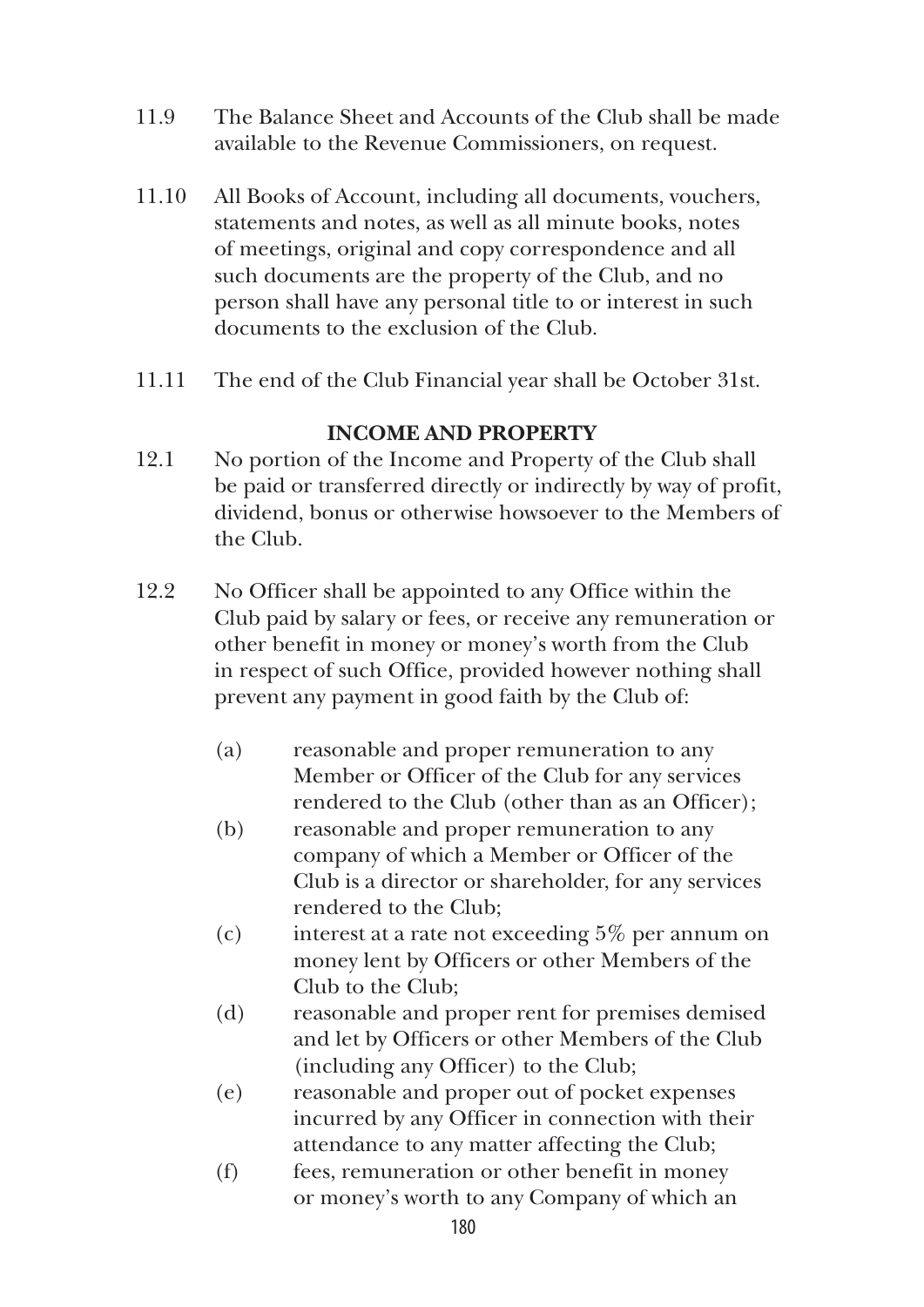- 11.9 The Balance Sheet and Accounts of the Club shall be made available to the Revenue Commissioners, on request.
- 11.10 All Books of Account, including all documents, vouchers, statements and notes, as well as all minute books, notes of meetings, original and copy correspondence and all such documents are the property of the Club, and no person shall have any personal title to or interest in such documents to the exclusion of the Club.
- 11.11 The end of the Club Financial year shall be October 31st.

## **INCOME AND PROPERTY**

- 12.1 No portion of the Income and Property of the Club shall be paid or transferred directly or indirectly by way of profit, dividend, bonus or otherwise howsoever to the Members of the Club.
- 12.2 No Officer shall be appointed to any Office within the Club paid by salary or fees, or receive any remuneration or other benefit in money or money's worth from the Club in respect of such Office, provided however nothing shall prevent any payment in good faith by the Club of:
	- (a) reasonable and proper remuneration to any Member or Officer of the Club for any services rendered to the Club (other than as an Officer);
	- (b) reasonable and proper remuneration to any company of which a Member or Officer of the Club is a director or shareholder, for any services rendered to the Club;
	- (c) interest at a rate not exceeding 5% per annum on money lent by Officers or other Members of the Club to the Club;
	- (d) reasonable and proper rent for premises demised and let by Officers or other Members of the Club (including any Officer) to the Club;
	- (e) reasonable and proper out of pocket expenses incurred by any Officer in connection with their attendance to any matter affecting the Club;
	- (f) fees, remuneration or other benefit in money or money's worth to any Company of which an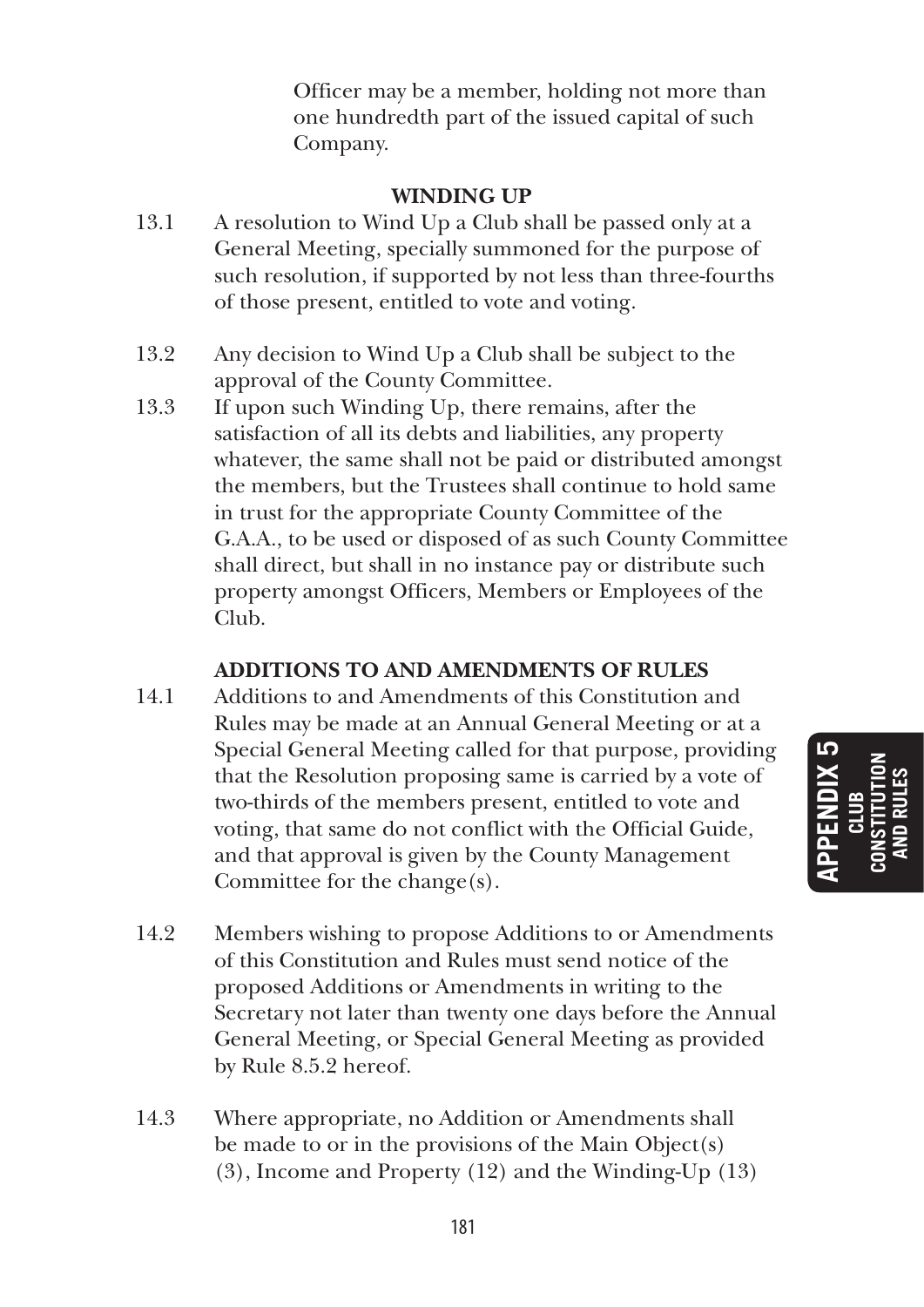Officer may be a member, holding not more than one hundredth part of the issued capital of such Company.

# **WINDING UP**

- 13.1 A resolution to Wind Up a Club shall be passed only at a General Meeting, specially summoned for the purpose of such resolution, if supported by not less than three-fourths of those present, entitled to vote and voting.
- 13.2 Any decision to Wind Up a Club shall be subject to the approval of the County Committee.
- 13.3 If upon such Winding Up, there remains, after the satisfaction of all its debts and liabilities, any property whatever, the same shall not be paid or distributed amongst the members, but the Trustees shall continue to hold same in trust for the appropriate County Committee of the G.A.A., to be used or disposed of as such County Committee shall direct, but shall in no instance pay or distribute such property amongst Officers, Members or Employees of the Club.

# **ADDITIONS TO AND AMENDMENTS OF RULES**

- 14.1 Additions to and Amendments of this Constitution and Rules may be made at an Annual General Meeting or at a Special General Meeting called for that purpose, providing that the Resolution proposing same is carried by a vote of two-thirds of the members present, entitled to vote and voting, that same do not conflict with the Official Guide, and that approval is given by the County Management Committee for the change(s).
- 14.2 Members wishing to propose Additions to or Amendments of this Constitution and Rules must send notice of the proposed Additions or Amendments in writing to the Secretary not later than twenty one days before the Annual General Meeting, or Special General Meeting as provided by Rule 8.5.2 hereof.
- 14.3 Where appropriate, no Addition or Amendments shall be made to or in the provisions of the Main Object(s) (3), Income and Property (12) and the Winding-Up (13)

מו **APPENDIX 5 CONSTITUTION AND RULES CLUB**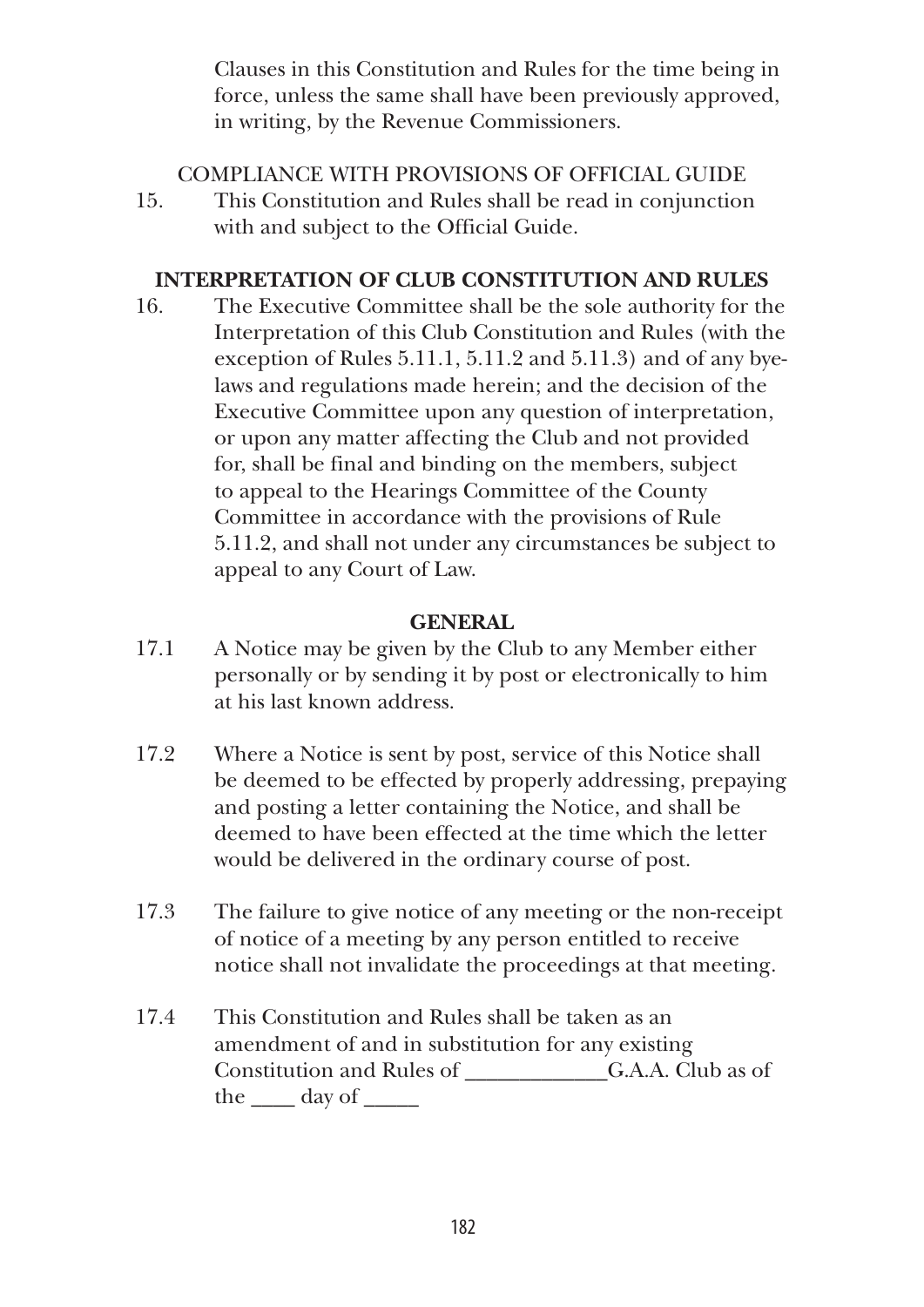Clauses in this Constitution and Rules for the time being in force, unless the same shall have been previously approved, in writing, by the Revenue Commissioners.

# COMPLIANCE WITH PROVISIONS OF OFFICIAL GUIDE

15. This Constitution and Rules shall be read in conjunction with and subject to the Official Guide.

# **INTERPRETATION OF CLUB CONSTITUTION AND RULES**

16. The Executive Committee shall be the sole authority for the Interpretation of this Club Constitution and Rules (with the exception of Rules 5.11.1, 5.11.2 and 5.11.3) and of any byelaws and regulations made herein; and the decision of the Executive Committee upon any question of interpretation, or upon any matter affecting the Club and not provided for, shall be final and binding on the members, subject to appeal to the Hearings Committee of the County Committee in accordance with the provisions of Rule 5.11.2, and shall not under any circumstances be subject to appeal to any Court of Law.

## **GENERAL**

- 17.1 A Notice may be given by the Club to any Member either personally or by sending it by post or electronically to him at his last known address.
- 17.2 Where a Notice is sent by post, service of this Notice shall be deemed to be effected by properly addressing, prepaying and posting a letter containing the Notice, and shall be deemed to have been effected at the time which the letter would be delivered in the ordinary course of post.
- 17.3 The failure to give notice of any meeting or the non-receipt of notice of a meeting by any person entitled to receive notice shall not invalidate the proceedings at that meeting.
- 17.4 This Constitution and Rules shall be taken as an amendment of and in substitution for any existing Constitution and Rules of G.A.A. Club as of the day of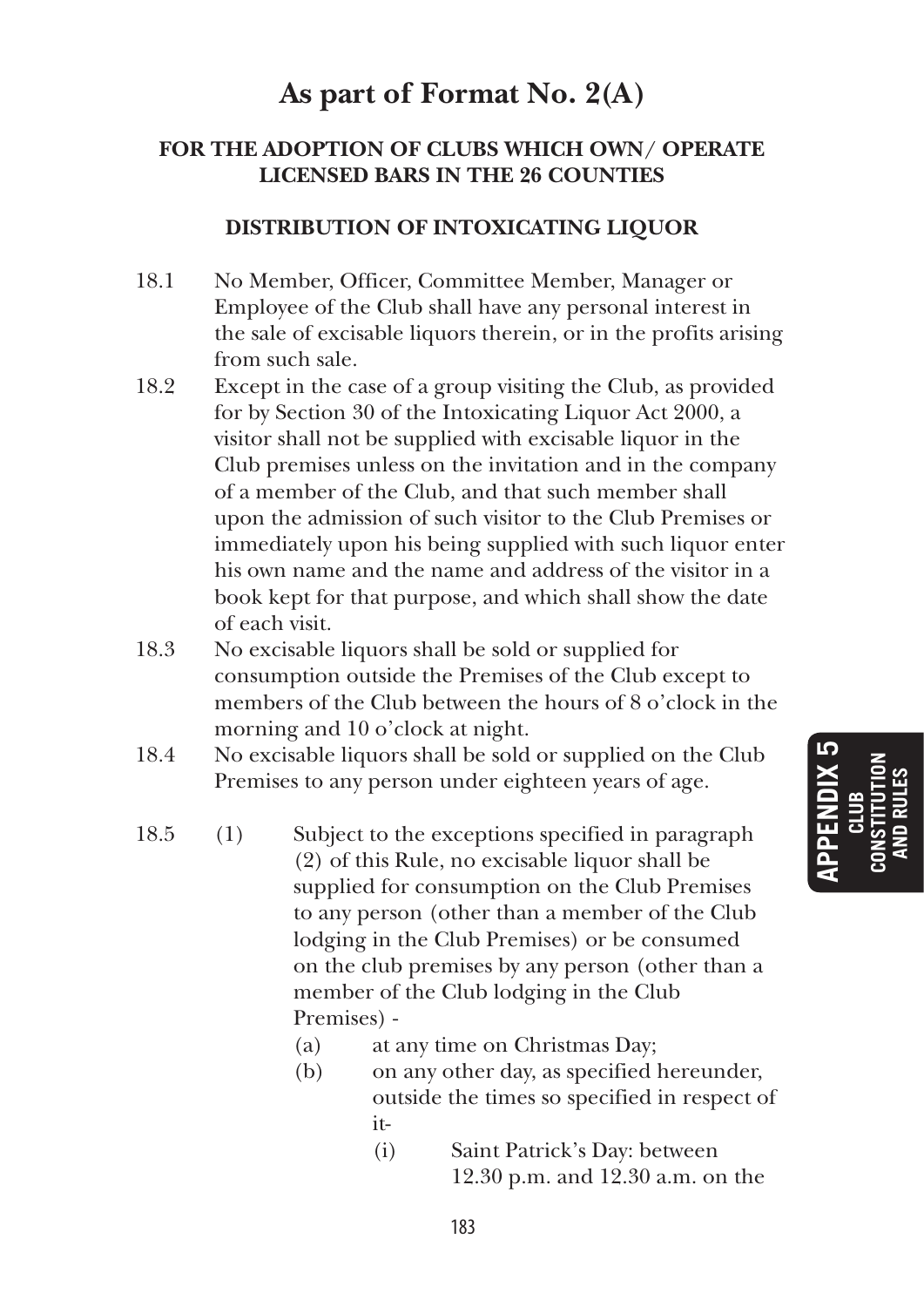# **As part of Format No. 2(A)**

# **FOR THE ADOPTION OF CLUBS WHICH OWN/ OPERATE LICENSED BARS IN THE 26 COUNTIES**

### **DISTRIBUTION OF INTOXICATING LIQUOR**

- 18.1 No Member, Officer, Committee Member, Manager or Employee of the Club shall have any personal interest in the sale of excisable liquors therein, or in the profits arising from such sale.
- 18.2 Except in the case of a group visiting the Club, as provided for by Section 30 of the Intoxicating Liquor Act 2000, a visitor shall not be supplied with excisable liquor in the Club premises unless on the invitation and in the company of a member of the Club, and that such member shall upon the admission of such visitor to the Club Premises or immediately upon his being supplied with such liquor enter his own name and the name and address of the visitor in a book kept for that purpose, and which shall show the date of each visit.
- 18.3 No excisable liquors shall be sold or supplied for consumption outside the Premises of the Club except to members of the Club between the hours of 8 o'clock in the morning and 10 o'clock at night.
- 18.4 No excisable liquors shall be sold or supplied on the Club Premises to any person under eighteen years of age.
- 18.5 (1) Subject to the exceptions specified in paragraph (2) of this Rule, no excisable liquor shall be supplied for consumption on the Club Premises to any person (other than a member of the Club lodging in the Club Premises) or be consumed on the club premises by any person (other than a member of the Club lodging in the Club Premises) -
	- (a) at any time on Christmas Day;
	- (b) on any other day, as specified hereunder, outside the times so specified in respect of it-
		- (i) Saint Patrick's Day: between 12.30 p.m. and 12.30 a.m. on the

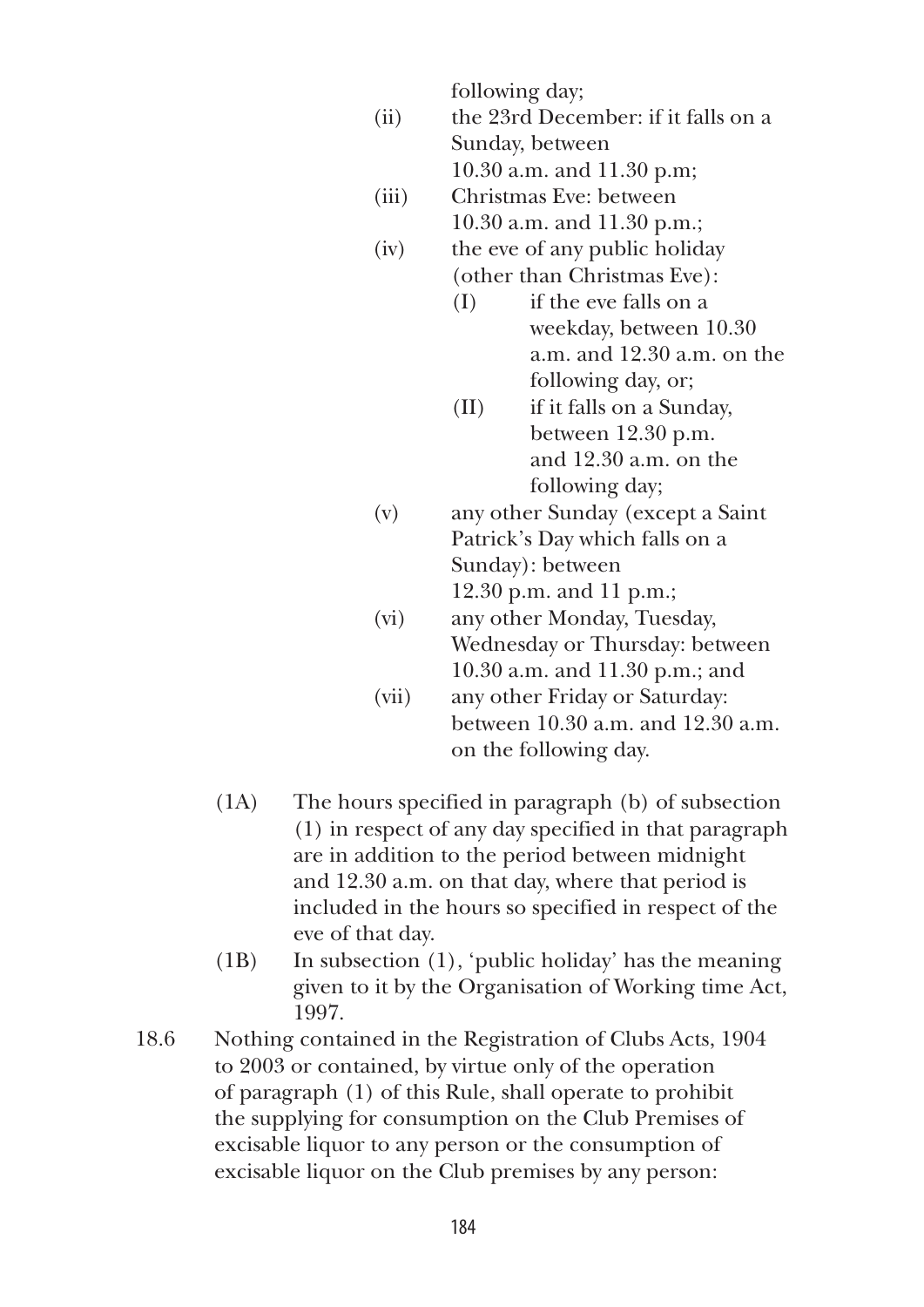following day;

 (ii) the 23rd December: if it falls on a Sunday, between

10.30 a.m. and 11.30 p.m;

- (iii) Christmas Eve: between 10.30 a.m. and 11.30 p.m.;
- (iv) the eve of any public holiday (other than Christmas Eve):
	- (I) if the eve falls on a weekday, between 10.30 a.m. and 12.30 a.m. on the following day, or;
	- (II) if it falls on a Sunday, between 12.30 p.m. and 12.30 a.m. on the following day;
- (v) any other Sunday (except a Saint Patrick's Day which falls on a Sunday): between 12.30 p.m. and 11 p.m.;
- (vi) any other Monday, Tuesday, Wednesday or Thursday: between 10.30 a.m. and 11.30 p.m.; and
- (vii) any other Friday or Saturday: between 10.30 a.m. and 12.30 a.m. on the following day.
- (1A) The hours specified in paragraph (b) of subsection (1) in respect of any day specified in that paragraph are in addition to the period between midnight and 12.30 a.m. on that day, where that period is included in the hours so specified in respect of the eve of that day.
- (1B) In subsection (1), 'public holiday' has the meaning given to it by the Organisation of Working time Act, 1997.
- 18.6 Nothing contained in the Registration of Clubs Acts, 1904 to 2003 or contained, by virtue only of the operation of paragraph (1) of this Rule, shall operate to prohibit the supplying for consumption on the Club Premises of excisable liquor to any person or the consumption of excisable liquor on the Club premises by any person: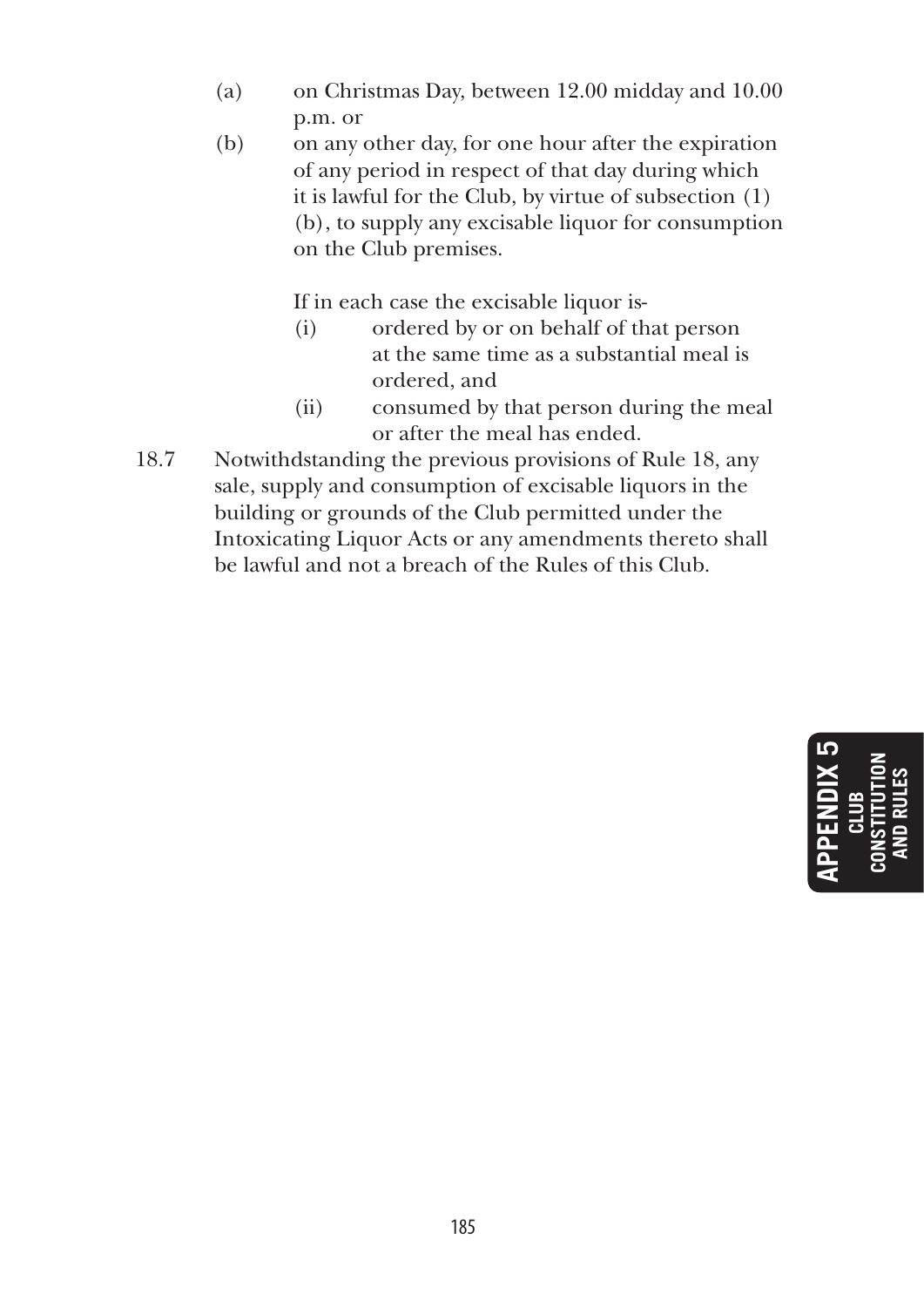- (a) on Christmas Day, between 12.00 midday and 10.00 p.m. or
- (b) on any other day, for one hour after the expiration of any period in respect of that day during which it is lawful for the Club, by virtue of subsection (1) (b), to supply any excisable liquor for consumption on the Club premises.

If in each case the excisable liquor is-

- (i) ordered by or on behalf of that person at the same time as a substantial meal is ordered, and
- (ii) consumed by that person during the meal or after the meal has ended.
- 18.7 Notwithdstanding the previous provisions of Rule 18, any sale, supply and consumption of excisable liquors in the building or grounds of the Club permitted under the Intoxicating Liquor Acts or any amendments thereto shall be lawful and not a breach of the Rules of this Club.

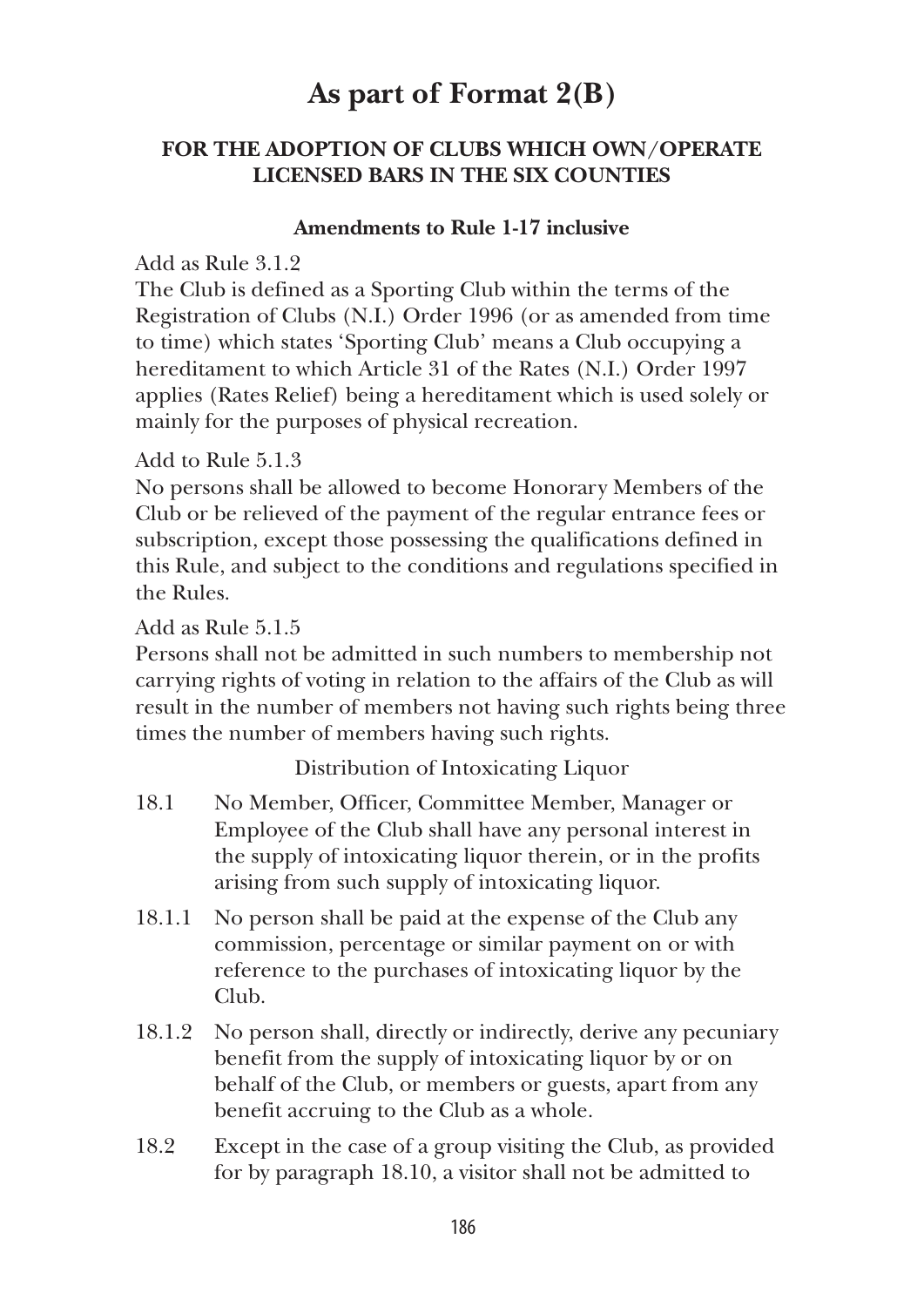# **As part of Format 2(B)**

# **FOR THE ADOPTION OF CLUBS WHICH OWN/OPERATE LICENSED BARS IN THE SIX COUNTIES**

## **Amendments to Rule 1-17 inclusive**

Add as Rule 3.1.2

The Club is defined as a Sporting Club within the terms of the Registration of Clubs (N.I.) Order 1996 (or as amended from time to time) which states 'Sporting Club' means a Club occupying a hereditament to which Article 31 of the Rates (N.I.) Order 1997 applies (Rates Relief) being a hereditament which is used solely or mainly for the purposes of physical recreation.

Add to Rule 5.1.3

No persons shall be allowed to become Honorary Members of the Club or be relieved of the payment of the regular entrance fees or subscription, except those possessing the qualifications defined in this Rule, and subject to the conditions and regulations specified in the Rules.

Add as Rule 5.1.5

Persons shall not be admitted in such numbers to membership not carrying rights of voting in relation to the affairs of the Club as will result in the number of members not having such rights being three times the number of members having such rights.

Distribution of Intoxicating Liquor

- 18.1 No Member, Officer, Committee Member, Manager or Employee of the Club shall have any personal interest in the supply of intoxicating liquor therein, or in the profits arising from such supply of intoxicating liquor.
- 18.1.1 No person shall be paid at the expense of the Club any commission, percentage or similar payment on or with reference to the purchases of intoxicating liquor by the Club.
- 18.1.2 No person shall, directly or indirectly, derive any pecuniary benefit from the supply of intoxicating liquor by or on behalf of the Club, or members or guests, apart from any benefit accruing to the Club as a whole.
- 18.2 Except in the case of a group visiting the Club, as provided for by paragraph 18.10, a visitor shall not be admitted to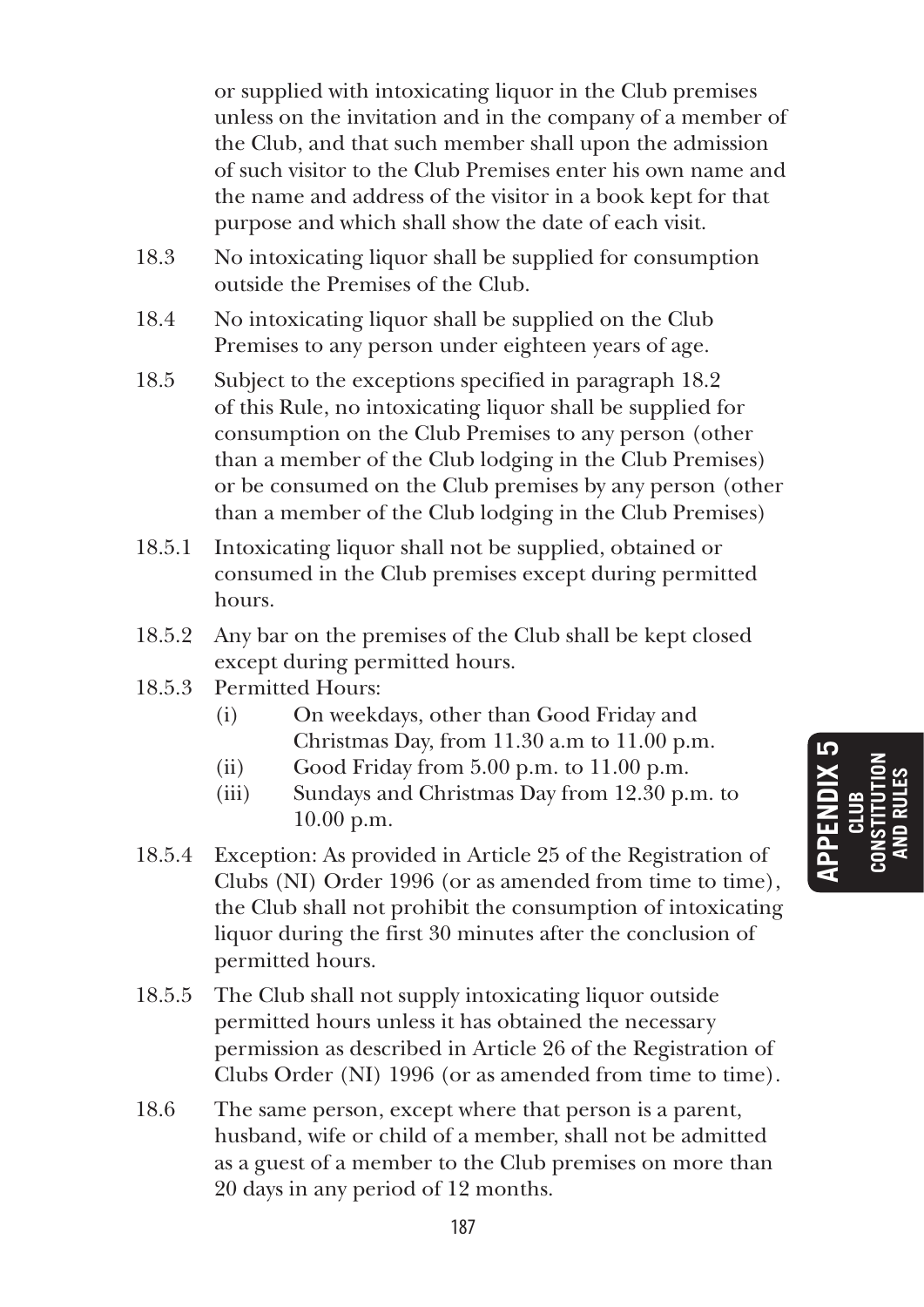or supplied with intoxicating liquor in the Club premises unless on the invitation and in the company of a member of the Club, and that such member shall upon the admission of such visitor to the Club Premises enter his own name and the name and address of the visitor in a book kept for that purpose and which shall show the date of each visit.

- 18.3 No intoxicating liquor shall be supplied for consumption outside the Premises of the Club.
- 18.4 No intoxicating liquor shall be supplied on the Club Premises to any person under eighteen years of age.
- 18.5 Subject to the exceptions specified in paragraph 18.2 of this Rule, no intoxicating liquor shall be supplied for consumption on the Club Premises to any person (other than a member of the Club lodging in the Club Premises) or be consumed on the Club premises by any person (other than a member of the Club lodging in the Club Premises)
- 18.5.1 Intoxicating liquor shall not be supplied, obtained or consumed in the Club premises except during permitted hours.
- 18.5.2 Any bar on the premises of the Club shall be kept closed except during permitted hours.
- 18.5.3 Permitted Hours:
	- (i) On weekdays, other than Good Friday and Christmas Day, from 11.30 a.m to 11.00 p.m.
	- (ii) Good Friday from 5.00 p.m. to 11.00 p.m.
	- (iii) Sundays and Christmas Day from 12.30 p.m. to 10.00 p.m.
- 18.5.4 Exception: As provided in Article 25 of the Registration of Clubs (NI) Order 1996 (or as amended from time to time), the Club shall not prohibit the consumption of intoxicating liquor during the first 30 minutes after the conclusion of permitted hours.
- 18.5.5 The Club shall not supply intoxicating liquor outside permitted hours unless it has obtained the necessary permission as described in Article 26 of the Registration of Clubs Order (NI) 1996 (or as amended from time to time).
- 18.6 The same person, except where that person is a parent, husband, wife or child of a member, shall not be admitted as a guest of a member to the Club premises on more than 20 days in any period of 12 months.

**APPENDIX 5 CLUB CONSTITUTION AND RULES**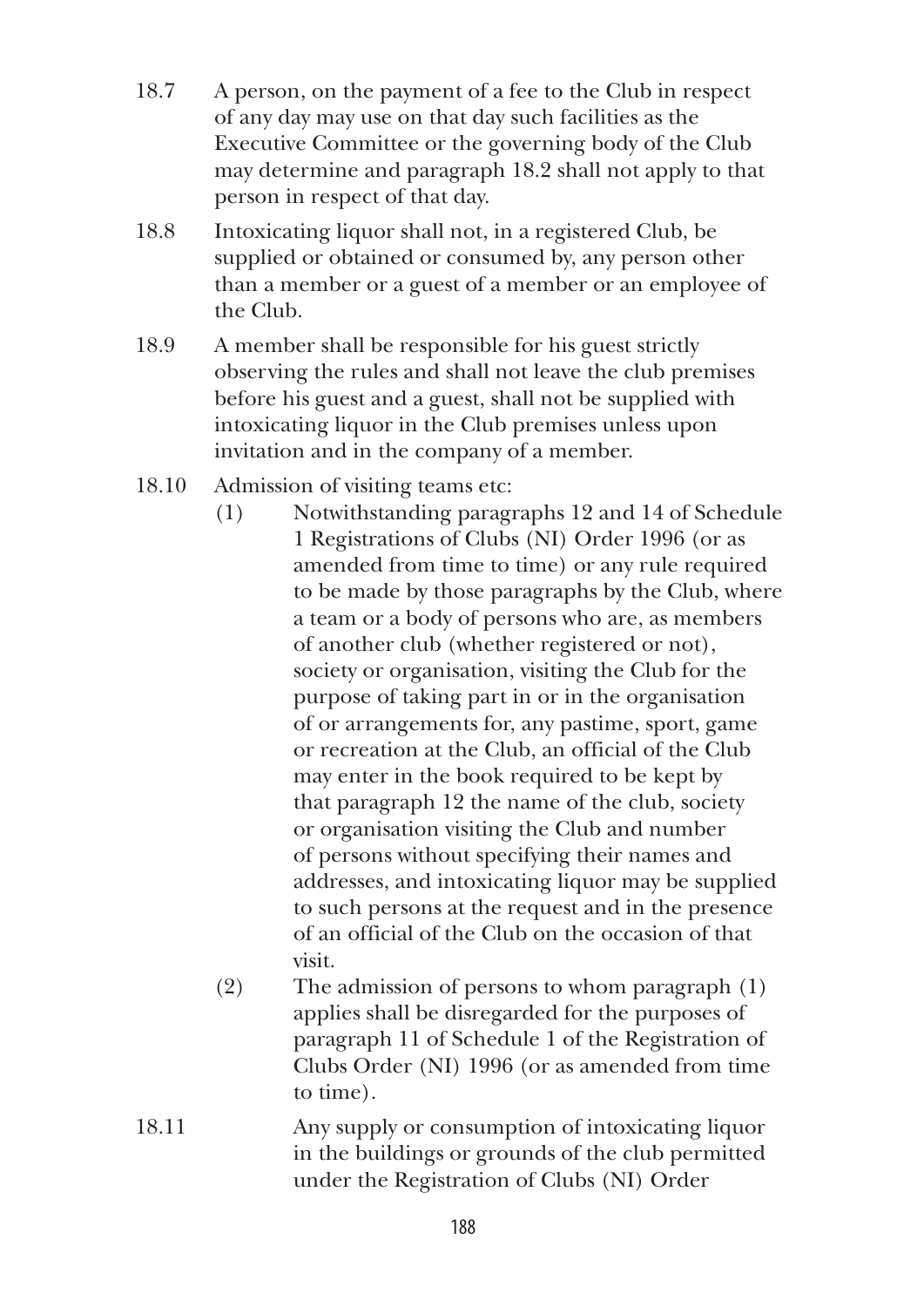- 18.7 A person, on the payment of a fee to the Club in respect of any day may use on that day such facilities as the Executive Committee or the governing body of the Club may determine and paragraph 18.2 shall not apply to that person in respect of that day.
- 18.8 Intoxicating liquor shall not, in a registered Club, be supplied or obtained or consumed by, any person other than a member or a guest of a member or an employee of the Club.
- 18.9 A member shall be responsible for his guest strictly observing the rules and shall not leave the club premises before his guest and a guest, shall not be supplied with intoxicating liquor in the Club premises unless upon invitation and in the company of a member.
- 18.10 Admission of visiting teams etc:
	- (1) Notwithstanding paragraphs 12 and 14 of Schedule 1 Registrations of Clubs (NI) Order 1996 (or as amended from time to time) or any rule required to be made by those paragraphs by the Club, where a team or a body of persons who are, as members of another club (whether registered or not), society or organisation, visiting the Club for the purpose of taking part in or in the organisation of or arrangements for, any pastime, sport, game or recreation at the Club, an official of the Club may enter in the book required to be kept by that paragraph 12 the name of the club, society or organisation visiting the Club and number of persons without specifying their names and addresses, and intoxicating liquor may be supplied to such persons at the request and in the presence of an official of the Club on the occasion of that visit.
	- (2) The admission of persons to whom paragraph (1) applies shall be disregarded for the purposes of paragraph 11 of Schedule 1 of the Registration of Clubs Order (NI) 1996 (or as amended from time to time).
- 18.11 Any supply or consumption of intoxicating liquor in the buildings or grounds of the club permitted under the Registration of Clubs (NI) Order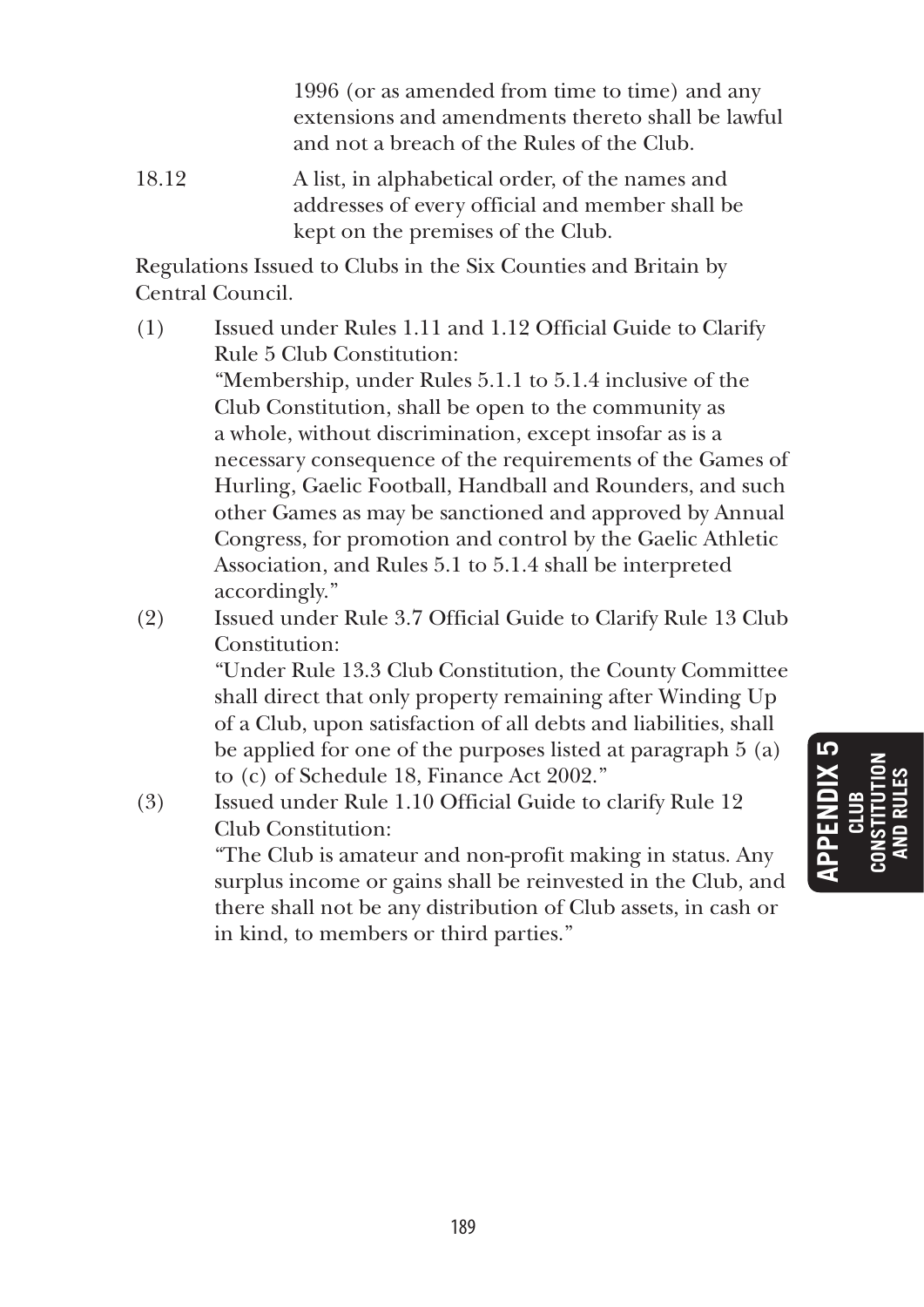1996 (or as amended from time to time) and any extensions and amendments thereto shall be lawful and not a breach of the Rules of the Club.

18.12 A list, in alphabetical order, of the names and addresses of every official and member shall be kept on the premises of the Club.

Regulations Issued to Clubs in the Six Counties and Britain by Central Council.

- (1) Issued under Rules 1.11 and 1.12 Official Guide to Clarify Rule 5 Club Constitution: "Membership, under Rules 5.1.1 to 5.1.4 inclusive of the Club Constitution, shall be open to the community as a whole, without discrimination, except insofar as is a necessary consequence of the requirements of the Games of Hurling, Gaelic Football, Handball and Rounders, and such other Games as may be sanctioned and approved by Annual Congress, for promotion and control by the Gaelic Athletic Association, and Rules 5.1 to 5.1.4 shall be interpreted accordingly."
- (2) Issued under Rule 3.7 Official Guide to Clarify Rule 13 Club Constitution:

 "Under Rule 13.3 Club Constitution, the County Committee shall direct that only property remaining after Winding Up of a Club, upon satisfaction of all debts and liabilities, shall be applied for one of the purposes listed at paragraph 5 (a) to (c) of Schedule 18, Finance Act 2002."

(3) Issued under Rule 1.10 Official Guide to clarify Rule 12 Club Constitution:

> "The Club is amateur and non-profit making in status. Any surplus income or gains shall be reinvested in the Club, and there shall not be any distribution of Club assets, in cash or in kind, to members or third parties."

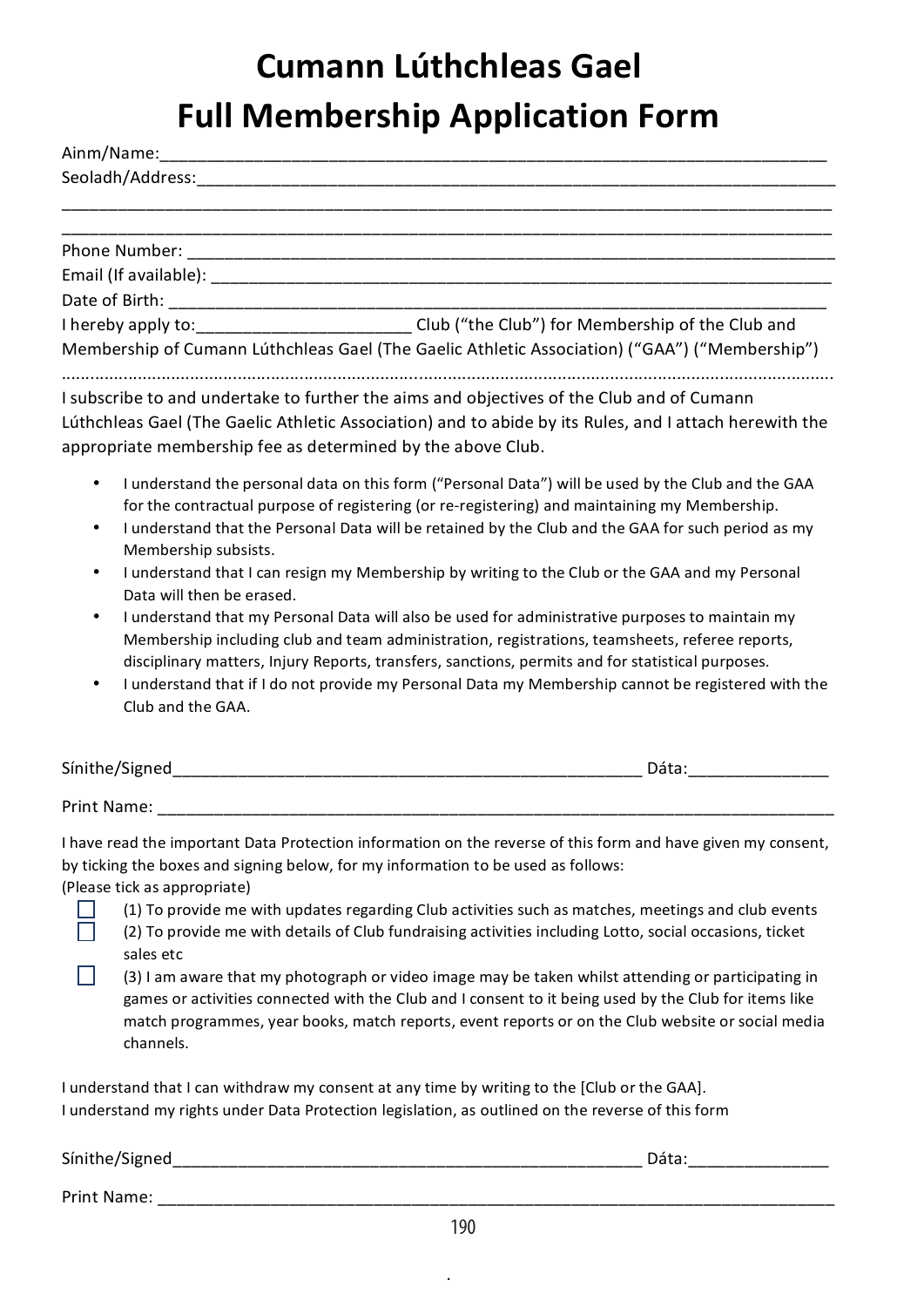# **Cumann Lúthchleas Gael Full Membership Application Form**

|           | Seoladh/Address: North and Seoladh/Address:                                                                                                                                                                                                                                                                                                                                                                  |
|-----------|--------------------------------------------------------------------------------------------------------------------------------------------------------------------------------------------------------------------------------------------------------------------------------------------------------------------------------------------------------------------------------------------------------------|
|           |                                                                                                                                                                                                                                                                                                                                                                                                              |
|           |                                                                                                                                                                                                                                                                                                                                                                                                              |
|           |                                                                                                                                                                                                                                                                                                                                                                                                              |
|           |                                                                                                                                                                                                                                                                                                                                                                                                              |
|           |                                                                                                                                                                                                                                                                                                                                                                                                              |
|           | I hereby apply to: ___________________________Club ("the Club") for Membership of the Club and                                                                                                                                                                                                                                                                                                               |
|           | Membership of Cumann Lúthchleas Gael (The Gaelic Athletic Association) ("GAA") ("Membership")                                                                                                                                                                                                                                                                                                                |
|           | I subscribe to and undertake to further the aims and objectives of the Club and of Cumann<br>Lúthchleas Gael (The Gaelic Athletic Association) and to abide by its Rules, and I attach herewith the                                                                                                                                                                                                          |
|           | appropriate membership fee as determined by the above Club.                                                                                                                                                                                                                                                                                                                                                  |
| ٠<br>٠    | I understand the personal data on this form ("Personal Data") will be used by the Club and the GAA<br>for the contractual purpose of registering (or re-registering) and maintaining my Membership.<br>I understand that the Personal Data will be retained by the Club and the GAA for such period as my<br>Membership subsists.                                                                            |
| $\bullet$ | I understand that I can resign my Membership by writing to the Club or the GAA and my Personal<br>Data will then be erased.                                                                                                                                                                                                                                                                                  |
| ٠         | I understand that my Personal Data will also be used for administrative purposes to maintain my<br>Membership including club and team administration, registrations, teamsheets, referee reports,<br>disciplinary matters, Injury Reports, transfers, sanctions, permits and for statistical purposes.<br>I understand that if I do not provide my Personal Data my Membership cannot be registered with the |

• I understand that if I do not provide my Personal Data my Membership cannot be registered with the Club and the GAA.

| Sínithe/Signed     | Dáta |  |  |
|--------------------|------|--|--|
| <b>Print Name:</b> |      |  |  |

I have read the important Data Protection information on the reverse of this form and have given my consent. by ticking the boxes and signing below, for my information to be used as follows: (Please tick as appropriate)

(1) To provide me with updates regarding Club activities such as matches, meetings and club events (2) To provide me with details of Club fundraising activities including Lotto, social occasions, ticket sales etc

П (3) I am aware that my photograph or video image may be taken whilst attending or participating in games or activities connected with the Club and I consent to it being used by the Club for items like match programmes, year books, match reports, event reports or on the Club website or social media channels.

I understand that I can withdraw my consent at any time by writing to the [Club or the GAA]. I understand my rights under Data Protection legislation, as outlined on the reverse of this form

| Sínithe/Sigi<br>_ | . .<br>____ |
|-------------------|-------------|
|                   |             |

П

.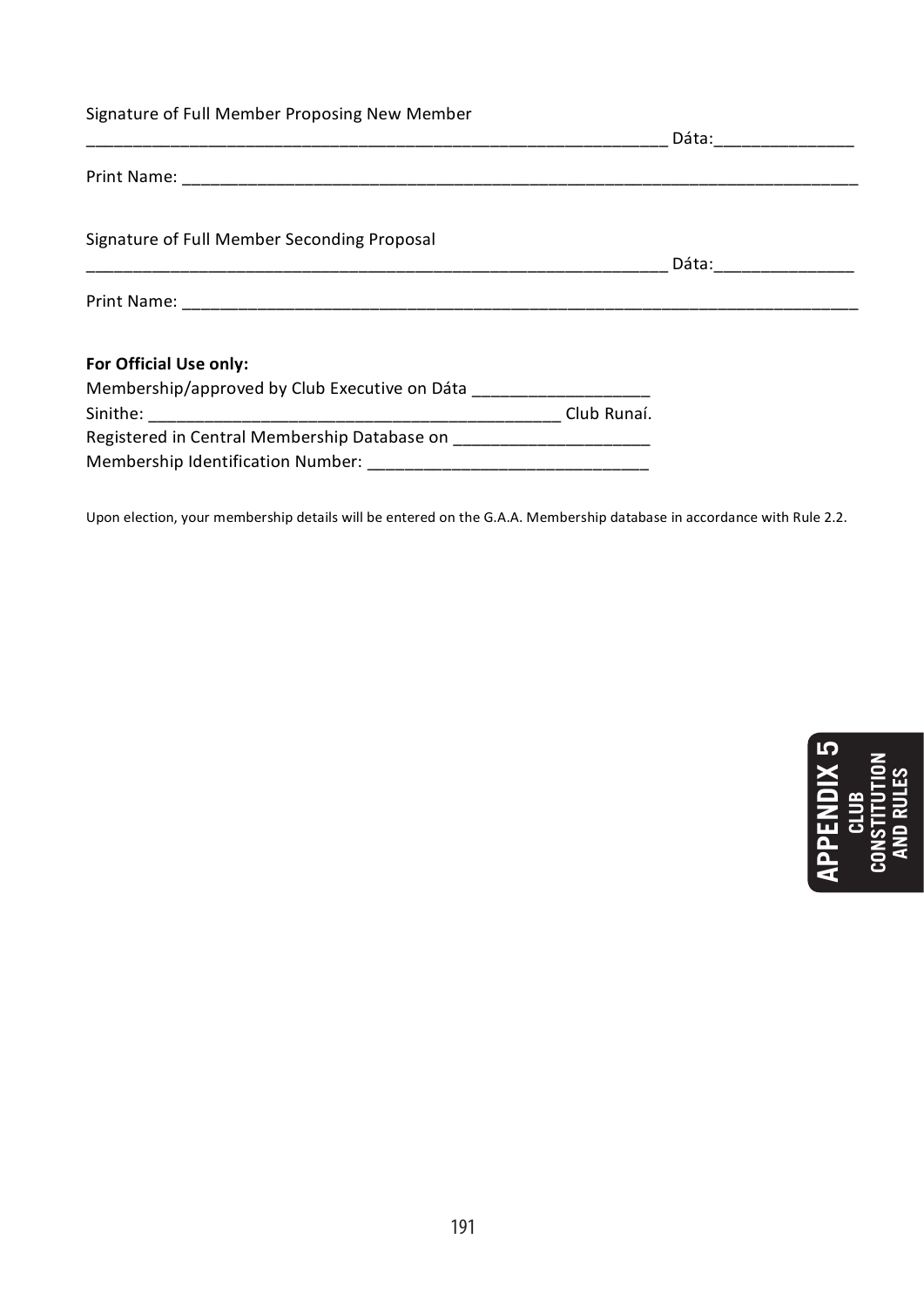| Signature of Full Member Proposing New Member                                                                      |             |                         |
|--------------------------------------------------------------------------------------------------------------------|-------------|-------------------------|
|                                                                                                                    |             | Dáta: _________________ |
|                                                                                                                    |             |                         |
| Signature of Full Member Seconding Proposal                                                                        |             | Dáta: ________________  |
| <u> 1980 - Jan James James James James James James James James James James James James James James James James</u> |             |                         |
| For Official Use only:                                                                                             |             |                         |
| Membership/approved by Club Executive on Dáta                                                                      |             |                         |
|                                                                                                                    | Club Runaí. |                         |
| Registered in Central Membership Database on                                                                       |             |                         |
|                                                                                                                    |             |                         |

Upon election, your membership details will be entered on the G.A.A. Membership database in accordance with Rule 2.2.

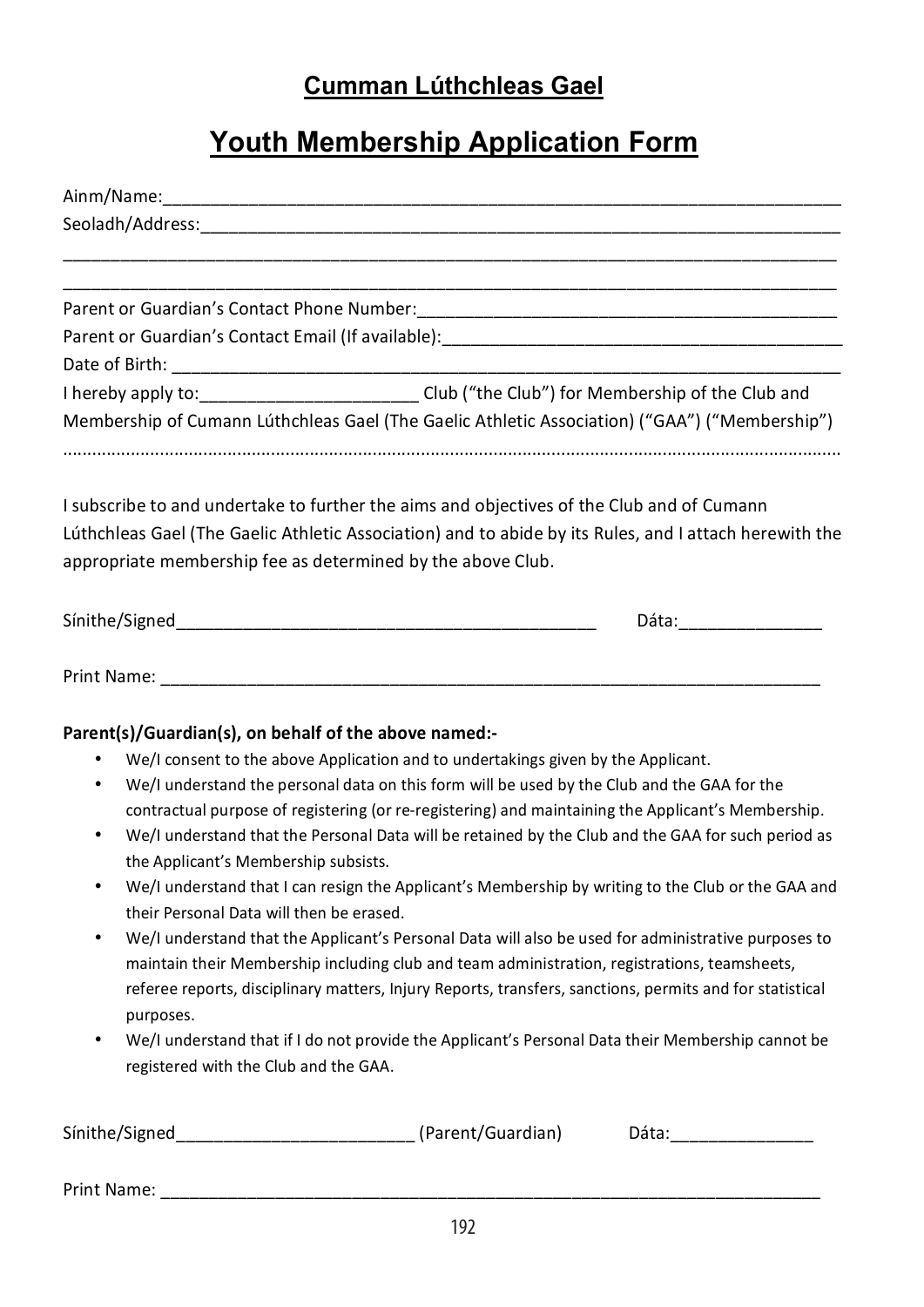# **Cumman Lúthchleas Gael**

# **Youth Membership Application Form**

| Seoladh/Address: with a state of the state of the state of the state of the state of the state of the state of the state of the state of the state of the state of the state of the state of the state of the state of the sta                                                                                                                                                                                                                 |
|------------------------------------------------------------------------------------------------------------------------------------------------------------------------------------------------------------------------------------------------------------------------------------------------------------------------------------------------------------------------------------------------------------------------------------------------|
|                                                                                                                                                                                                                                                                                                                                                                                                                                                |
|                                                                                                                                                                                                                                                                                                                                                                                                                                                |
| Parent or Guardian's Contact Email (If available): [19] The Context of Guardian's Contact Email (If available)                                                                                                                                                                                                                                                                                                                                 |
|                                                                                                                                                                                                                                                                                                                                                                                                                                                |
| I hereby apply to:___________________________Club ("the Club") for Membership of the Club and                                                                                                                                                                                                                                                                                                                                                  |
| Membership of Cumann Lúthchleas Gael (The Gaelic Athletic Association) ("GAA") ("Membership")                                                                                                                                                                                                                                                                                                                                                  |
| I subscribe to and undertake to further the aims and objectives of the Club and of Cumann<br>Lúthchleas Gael (The Gaelic Athletic Association) and to abide by its Rules, and I attach herewith the<br>appropriate membership fee as determined by the above Club.                                                                                                                                                                             |
| Dáta: and a contract of the contract of the contract of the contract of the contract of the contract of the contract of the contract of the contract of the contract of the contract of the contract of the contract of the co                                                                                                                                                                                                                 |
|                                                                                                                                                                                                                                                                                                                                                                                                                                                |
| Parent(s)/Guardian(s), on behalf of the above named:-                                                                                                                                                                                                                                                                                                                                                                                          |
| We/I consent to the above Application and to undertakings given by the Applicant.                                                                                                                                                                                                                                                                                                                                                              |
| We/I understand the personal data on this form will be used by the Club and the GAA for the<br>٠                                                                                                                                                                                                                                                                                                                                               |
| contractual purpose of registering (or re-registering) and maintaining the Applicant's Membership.<br>We/I understand that the Personal Data will be retained by the Club and the GAA for such period as<br>٠<br>the Applicant's Membership subsists.                                                                                                                                                                                          |
| We/I understand that I can resign the Applicant's Membership by writing to the Club or the GAA and<br>$\bullet$<br>their Personal Data will then be erased.                                                                                                                                                                                                                                                                                    |
| We/I understand that the Applicant's Personal Data will also be used for administrative purposes to<br>$\bullet$<br>maintain their Membership including club and team administration, registrations, teamsheets,<br>referee reports, disciplinary matters, Injury Reports, transfers, sanctions, permits and for statistical<br>purposes.<br>We/I understand that if I do not provide the Applicant's Personal Data their Membership cannot be |
| registered with the Club and the GAA.                                                                                                                                                                                                                                                                                                                                                                                                          |
| Sinithe/Signed_________________________________(Parent/Guardian)<br>Dáta:__________________                                                                                                                                                                                                                                                                                                                                                    |
|                                                                                                                                                                                                                                                                                                                                                                                                                                                |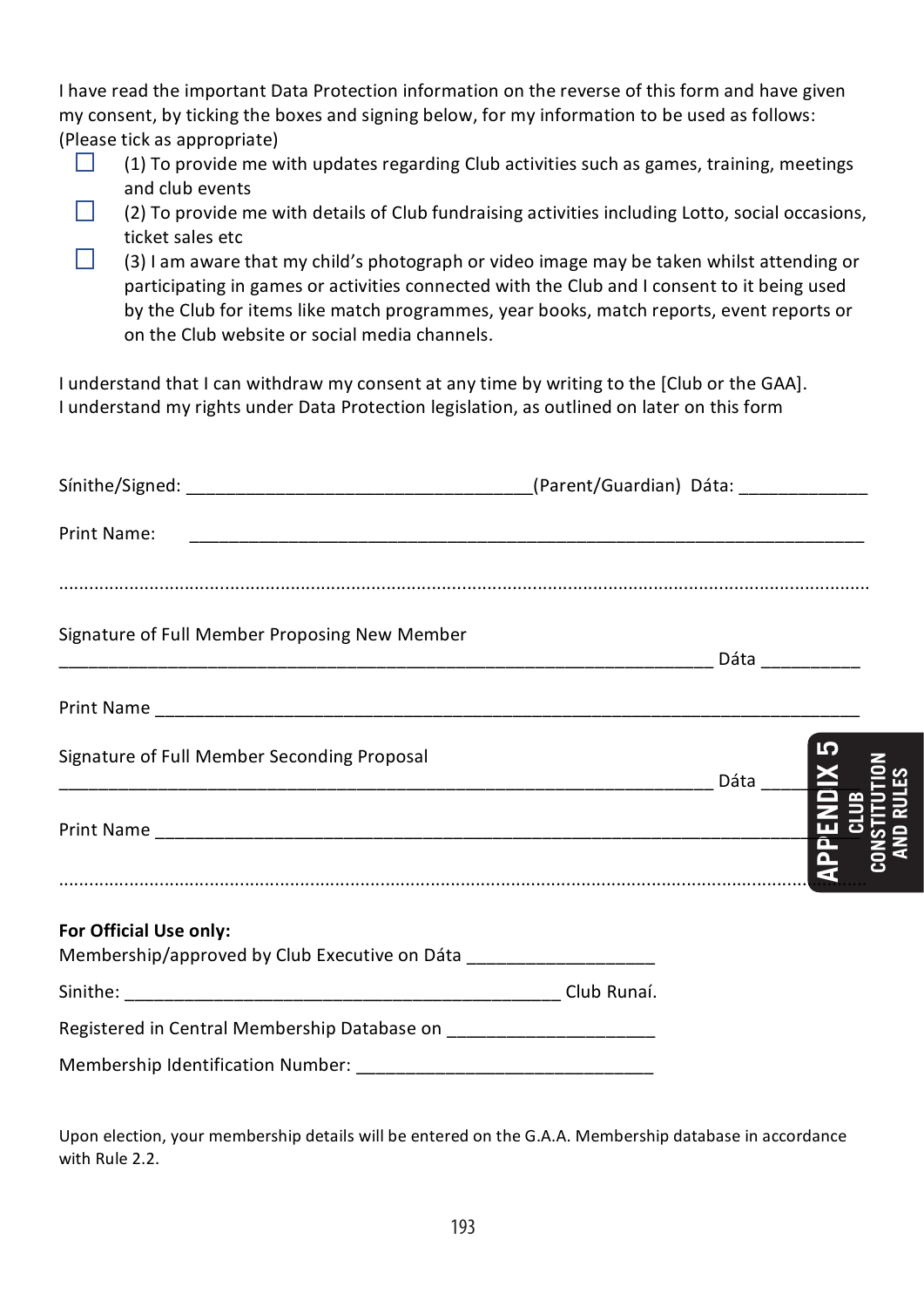| I have read the important Data Protection information on the reverse of this form and have given |
|--------------------------------------------------------------------------------------------------|
| my consent, by ticking the boxes and signing below, for my information to be used as follows:    |
| (Please tick as appropriate)                                                                     |

- $\Box$ (1) To provide me with updates regarding Club activities such as games, training, meetings and club events
- $\Box$ (2) To provide me with details of Club fundraising activities including Lotto, social occasions, ticket sales etc
- $\Box$ (3) I am aware that my child's photograph or video image may be taken whilst attending or participating in games or activities connected with the Club and I consent to it being used by the Club for items like match programmes, year books, match reports, event reports or on the Club website or social media channels.

I understand that I can withdraw my consent at any time by writing to the [Club or the GAA]. I understand my rights under Data Protection legislation, as outlined on later on this form

| Print Name:                                                                                   |  |              |
|-----------------------------------------------------------------------------------------------|--|--------------|
|                                                                                               |  |              |
| Signature of Full Member Proposing New Member                                                 |  |              |
|                                                                                               |  |              |
| Signature of Full Member Seconding Proposal                                                   |  |              |
|                                                                                               |  | <b>APPEN</b> |
|                                                                                               |  |              |
| For Official Use only:<br>Membership/approved by Club Executive on Dáta _____________________ |  |              |
|                                                                                               |  |              |
| Registered in Central Membership Database on _______________________                          |  |              |
|                                                                                               |  |              |

Upon election, your membership details will be entered on the G.A.A. Membership database in accordance with Rule 2.2.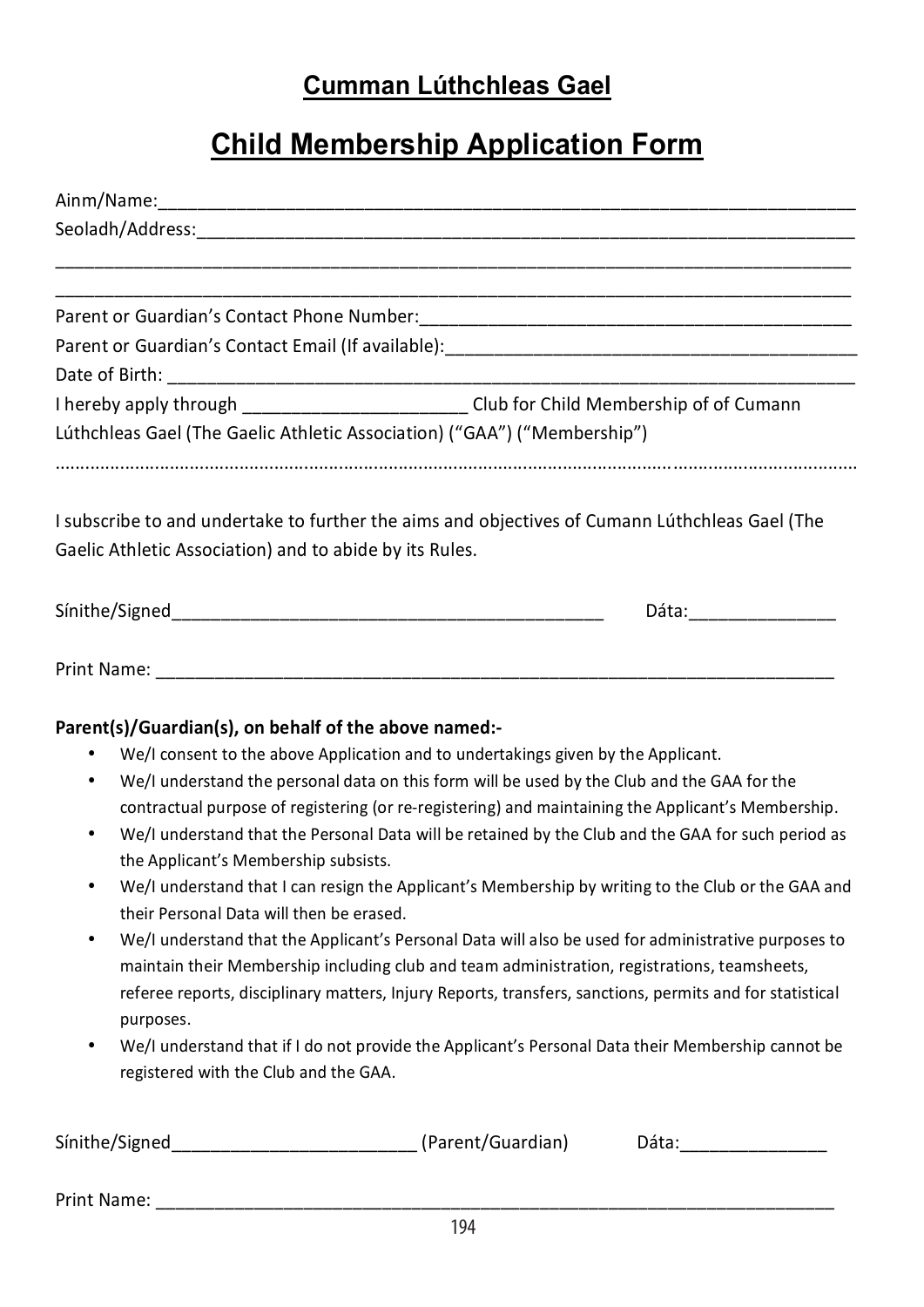# **Cumman Lúthchleas Gael**

# **Child Membership Application Form**

| Seoladh/Address: The Contract of the Contract of the Contract of the Contract of the Contract of the Contract of the Contract of the Contract of the Contract of the Contract of the Contract of the Contract of the Contract                                                               |                                                                                                                                                                                                                                                                                                                 |  |
|---------------------------------------------------------------------------------------------------------------------------------------------------------------------------------------------------------------------------------------------------------------------------------------------|-----------------------------------------------------------------------------------------------------------------------------------------------------------------------------------------------------------------------------------------------------------------------------------------------------------------|--|
|                                                                                                                                                                                                                                                                                             |                                                                                                                                                                                                                                                                                                                 |  |
|                                                                                                                                                                                                                                                                                             |                                                                                                                                                                                                                                                                                                                 |  |
|                                                                                                                                                                                                                                                                                             | Parent or Guardian's Contact Email (If available): ______________________________                                                                                                                                                                                                                               |  |
|                                                                                                                                                                                                                                                                                             |                                                                                                                                                                                                                                                                                                                 |  |
|                                                                                                                                                                                                                                                                                             | I hereby apply through _____________________________Club for Child Membership of of Cumann                                                                                                                                                                                                                      |  |
|                                                                                                                                                                                                                                                                                             | Lúthchleas Gael (The Gaelic Athletic Association) ("GAA") ("Membership")                                                                                                                                                                                                                                        |  |
| Gaelic Athletic Association) and to abide by its Rules.                                                                                                                                                                                                                                     | I subscribe to and undertake to further the aims and objectives of Cumann Lúthchleas Gael (The                                                                                                                                                                                                                  |  |
|                                                                                                                                                                                                                                                                                             | Dáta:___________________                                                                                                                                                                                                                                                                                        |  |
| <b>Print Name:</b> The contract of the contract of the contract of the contract of the contract of the contract of the contract of the contract of the contract of the contract of the contract of the contract of the contract of<br>Parent(s)/Guardian(s), on behalf of the above named:- |                                                                                                                                                                                                                                                                                                                 |  |
|                                                                                                                                                                                                                                                                                             | We/I consent to the above Application and to undertakings given by the Applicant.                                                                                                                                                                                                                               |  |
| $\bullet$                                                                                                                                                                                                                                                                                   | We/I understand the personal data on this form will be used by the Club and the GAA for the                                                                                                                                                                                                                     |  |
|                                                                                                                                                                                                                                                                                             | contractual purpose of registering (or re-registering) and maintaining the Applicant's Membership.                                                                                                                                                                                                              |  |
| $\bullet$                                                                                                                                                                                                                                                                                   | We/I understand that the Personal Data will be retained by the Club and the GAA for such period as                                                                                                                                                                                                              |  |
| the Applicant's Membership subsists.<br>$\bullet$                                                                                                                                                                                                                                           | We/I understand that I can resign the Applicant's Membership by writing to the Club or the GAA and                                                                                                                                                                                                              |  |
| their Personal Data will then be erased.                                                                                                                                                                                                                                                    |                                                                                                                                                                                                                                                                                                                 |  |
| $\bullet$<br>purposes.                                                                                                                                                                                                                                                                      | We/I understand that the Applicant's Personal Data will also be used for administrative purposes to<br>maintain their Membership including club and team administration, registrations, teamsheets,<br>referee reports, disciplinary matters, Injury Reports, transfers, sanctions, permits and for statistical |  |
| registered with the Club and the GAA.                                                                                                                                                                                                                                                       | We/I understand that if I do not provide the Applicant's Personal Data their Membership cannot be                                                                                                                                                                                                               |  |
|                                                                                                                                                                                                                                                                                             | Dáta: and a controller and a controller and a controller and a controller and a controller and a controller and a controller and a controller and a controller and a controller and a controller and a controller and a contro                                                                                  |  |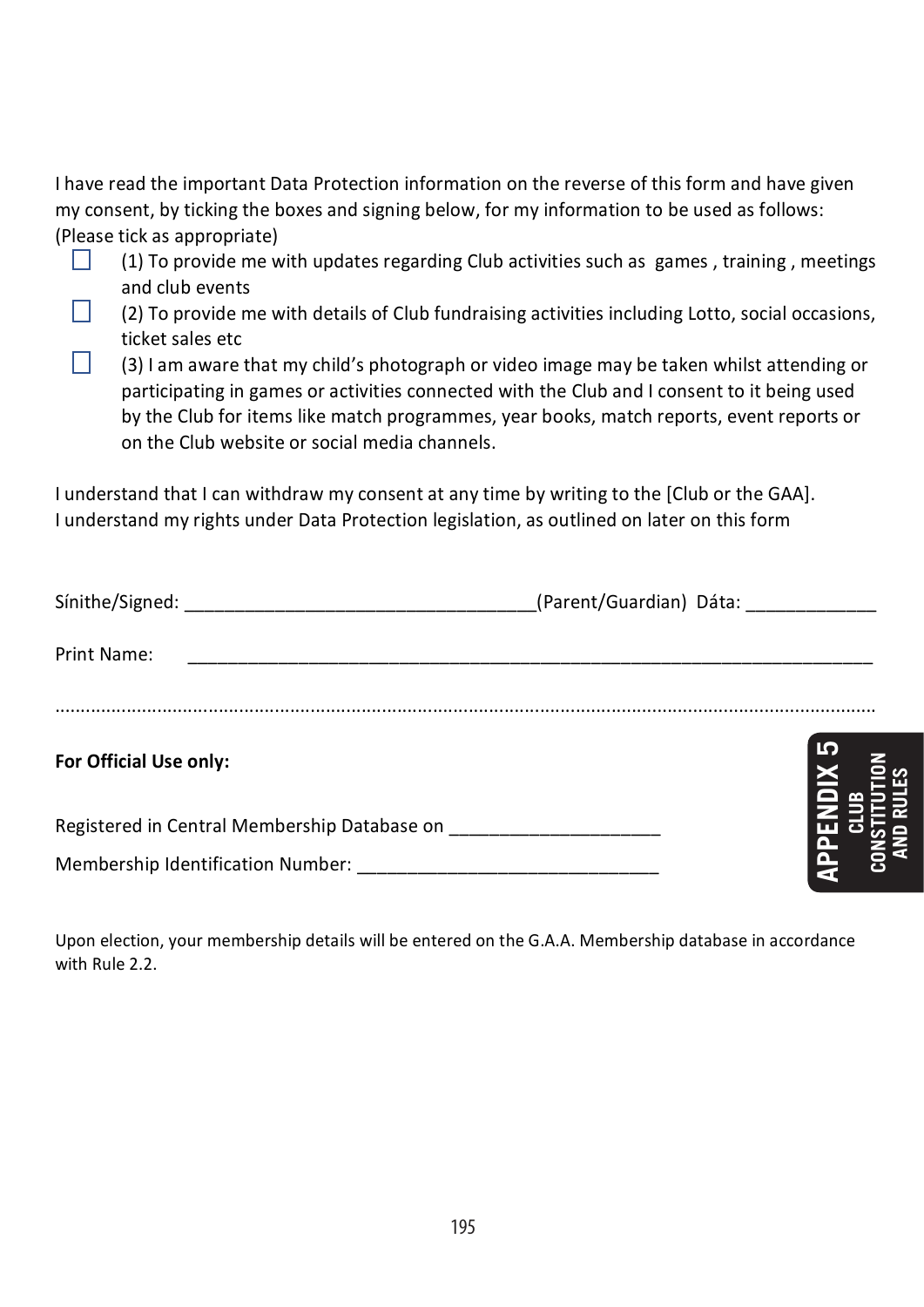I have read the important Data Protection information on the reverse of this form and have given my consent, by ticking the boxes and signing below, for my information to be used as follows: (Please tick as appropriate)

- (1) To provide me with updates regarding Club activities such as games, training, meetings  $\Box$ and club events
- (2) To provide me with details of Club fundraising activities including Lotto, social occasions, ticket sales etc
- (3) I am aware that my child's photograph or video image may be taken whilst attending or participating in games or activities connected with the Club and I consent to it being used by the Club for items like match programmes, year books, match reports, event reports or on the Club website or social media channels.

I understand that I can withdraw my consent at any time by writing to the [Club or the GAA]. I understand my rights under Data Protection legislation, as outlined on later on this form

|                                   | (Parent/Guardian) Dáta: _____________ |
|-----------------------------------|---------------------------------------|
| Print Name:                       |                                       |
| For Official Use only:            | חו                                    |
|                                   |                                       |
| Membership Identification Number: |                                       |

Upon election, your membership details will be entered on the G.A.A. Membership database in accordance with Rule 2.2.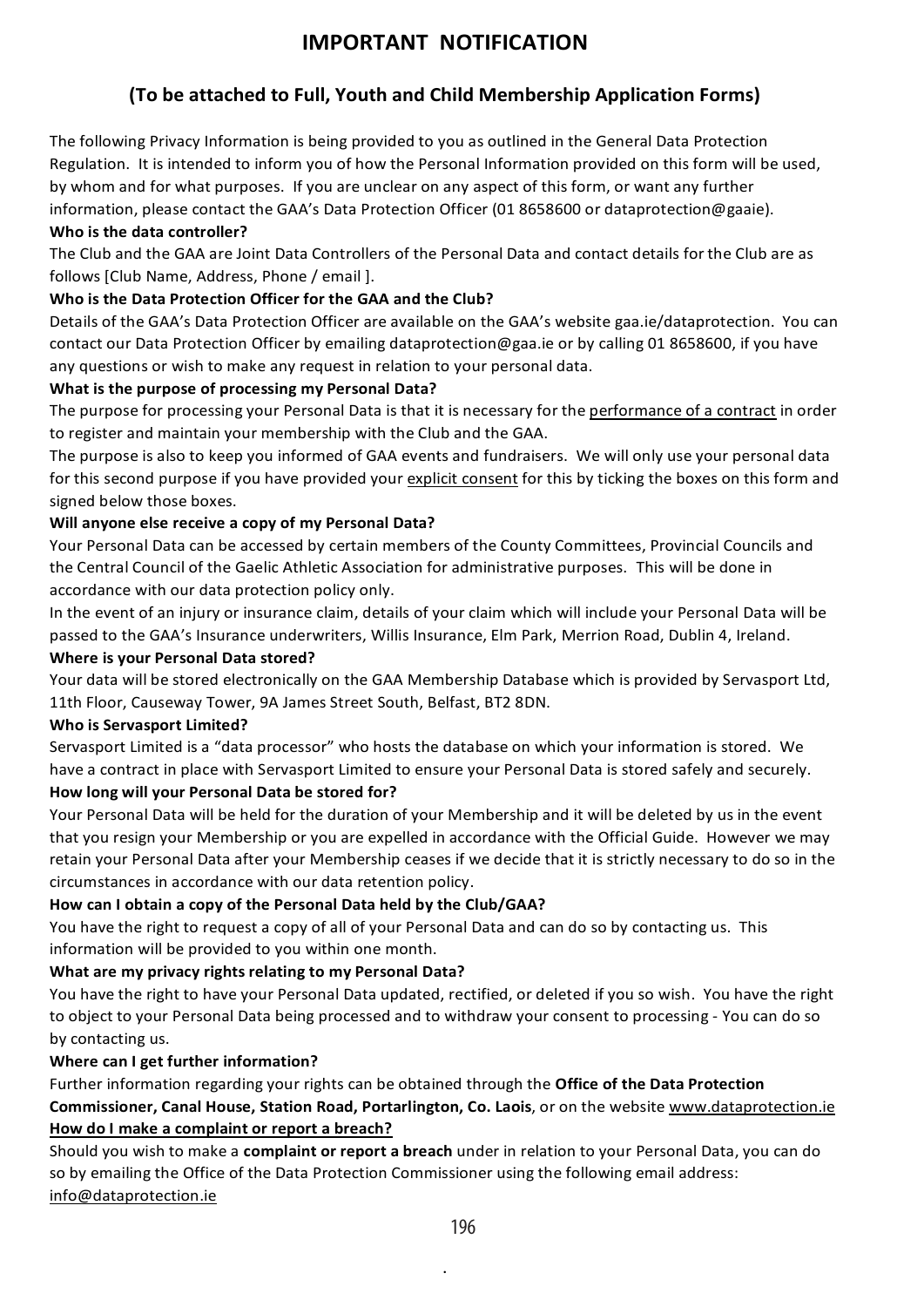# **IMPORTANT 
NOTIFICATION**

## **(To be attached to Full, Youth and Child Membership Application Forms)**

The following Privacy Information is being provided to you as outlined in the General Data Protection Regulation. It is intended to inform you of how the Personal Information provided on this form will be used, by whom and for what purposes. If you are unclear on any aspect of this form, or want any further information, please contact the GAA's Data Protection Officer (01 8658600 or dataprotection@gaaie).

#### **Who is the data controller?**

The Club and the GAA are Joint Data Controllers of the Personal Data and contact details for the Club are as follows [Club Name, Address, Phone / email ].

#### Who is the Data Protection Officer for the GAA and the Club?

Details of the GAA's Data Protection Officer are available on the GAA's website gaa.ie/dataprotection. You can contact our Data Protection Officer by emailing dataprotection@gaa.ie or by calling 01 8658600, if you have any questions or wish to make any request in relation to your personal data.

#### What is the purpose of processing my Personal Data?

The purpose for processing your Personal Data is that it is necessary for the performance of a contract in order to register and maintain your membership with the Club and the GAA.

The purpose is also to keep you informed of GAA events and fundraisers. We will only use your personal data for this second purpose if you have provided your explicit consent for this by ticking the boxes on this form and signed below those boxes.

#### Will anyone else receive a copy of my Personal Data?

Your Personal Data can be accessed by certain members of the County Committees, Provincial Councils and the Central Council of the Gaelic Athletic Association for administrative purposes. This will be done in accordance with our data protection policy only.

In the event of an injury or insurance claim, details of your claim which will include your Personal Data will be passed to the GAA's Insurance underwriters, Willis Insurance, Elm Park, Merrion Road, Dublin 4, Ireland.

#### **Where is your Personal Data stored?**

Your data will be stored electronically on the GAA Membership Database which is provided by Servasport Ltd, 11th Floor, Causeway Tower, 9A James Street South, Belfast, BT2 8DN.

#### **Who is Servasport Limited?**

Servasport Limited is a "data processor" who hosts the database on which your information is stored. We have a contract in place with Servasport Limited to ensure your Personal Data is stored safely and securely.

#### How long will your Personal Data be stored for?

Your Personal Data will be held for the duration of your Membership and it will be deleted by us in the event that you resign your Membership or you are expelled in accordance with the Official Guide. However we may retain your Personal Data after your Membership ceases if we decide that it is strictly necessary to do so in the circumstances in accordance with our data retention policy.

#### How can I obtain a copy of the Personal Data held by the Club/GAA?

You have the right to request a copy of all of your Personal Data and can do so by contacting us. This information will be provided to you within one month.

#### What are my privacy rights relating to my Personal Data?

You have the right to have your Personal Data updated, rectified, or deleted if you so wish. You have the right to object to your Personal Data being processed and to withdraw your consent to processing - You can do so by contacting us.

#### **Where can I get further information?**

Further information regarding your rights can be obtained through the **Office of the Data Protection Commissioner, Canal House, Station Road, Portarlington, Co. Laois**, or on the website www.dataprotection.ie How do I make a complaint or report a breach?

Should you wish to make a complaint or report a breach under in relation to your Personal Data, you can do so by emailing the Office of the Data Protection Commissioner using the following email address: info@dataprotection.ie

.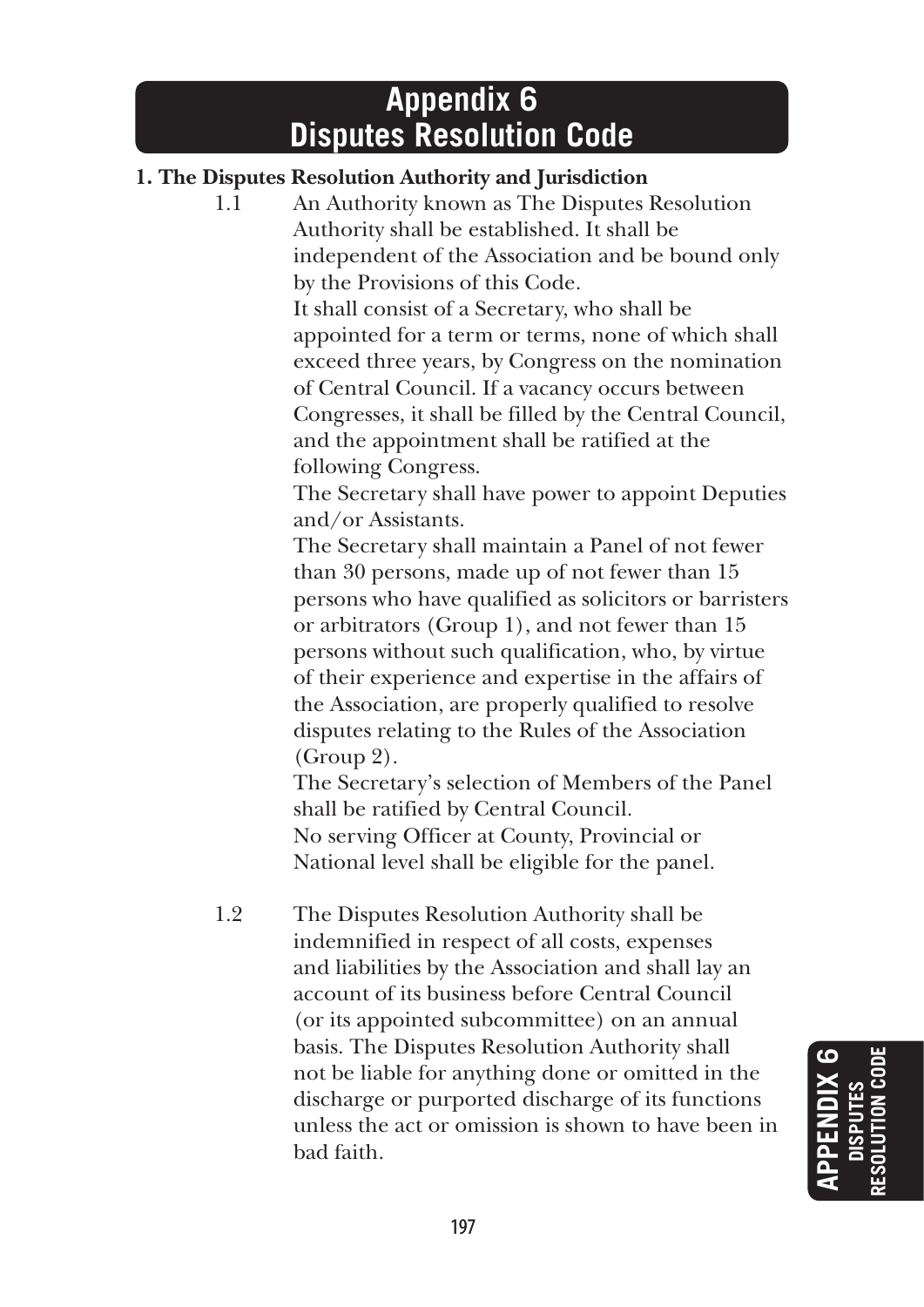# **Appendix 6 Disputes Resolution Code**

# **1. The Disputes Resolution Authority and Jurisdiction**

1.1 An Authority known as The Disputes Resolution Authority shall be established. It shall be independent of the Association and be bound only by the Provisions of this Code.

> It shall consist of a Secretary, who shall be appointed for a term or terms, none of which shall exceed three years, by Congress on the nomination of Central Council. If a vacancy occurs between Congresses, it shall be filled by the Central Council, and the appointment shall be ratified at the following Congress.

> The Secretary shall have power to appoint Deputies and/or Assistants.

> The Secretary shall maintain a Panel of not fewer than 30 persons, made up of not fewer than 15 persons who have qualified as solicitors or barristers or arbitrators (Group 1), and not fewer than 15 persons without such qualification, who, by virtue of their experience and expertise in the affairs of the Association, are properly qualified to resolve disputes relating to the Rules of the Association (Group 2).

 The Secretary's selection of Members of the Panel shall be ratified by Central Council. No serving Officer at County, Provincial or National level shall be eligible for the panel.

1.2 The Disputes Resolution Authority shall be indemnified in respect of all costs, expenses and liabilities by the Association and shall lay an account of its business before Central Council (or its appointed subcommittee) on an annual basis. The Disputes Resolution Authority shall not be liable for anything done or omitted in the discharge or purported discharge of its functions unless the act or omission is shown to have been in bad faith.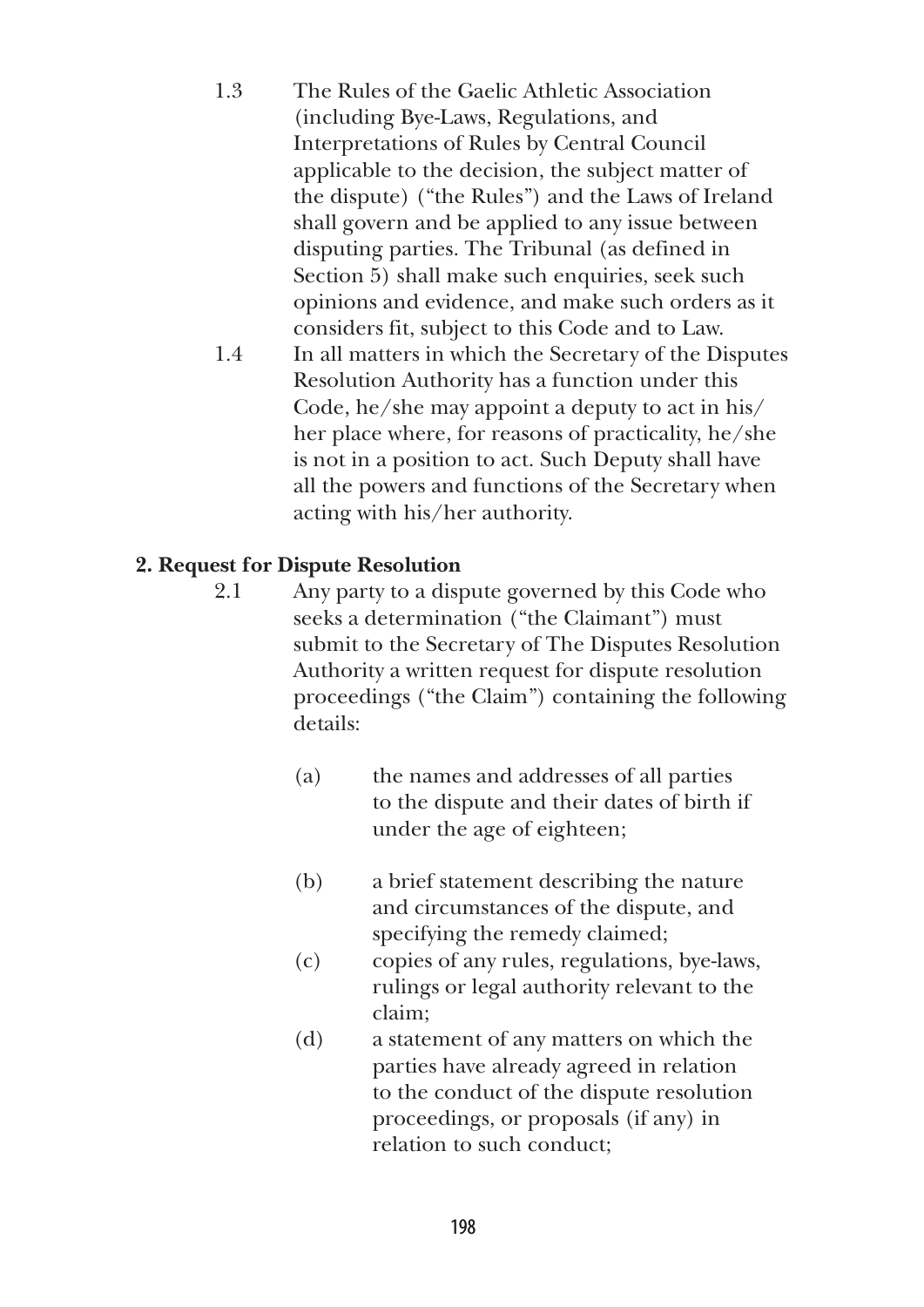1.3 The Rules of the Gaelic Athletic Association (including Bye-Laws, Regulations, and Interpretations of Rules by Central Council applicable to the decision, the subject matter of the dispute) ("the Rules") and the Laws of Ireland shall govern and be applied to any issue between disputing parties. The Tribunal (as defined in Section 5) shall make such enquiries, seek such opinions and evidence, and make such orders as it considers fit, subject to this Code and to Law. 1.4 In all matters in which the Secretary of the Disputes Resolution Authority has a function under this Code, he/she may appoint a deputy to act in his/ her place where, for reasons of practicality, he/she is not in a position to act. Such Deputy shall have all the powers and functions of the Secretary when acting with his/her authority.

# **2. Request for Dispute Resolution**

- 2.1 Any party to a dispute governed by this Code who seeks a determination ("the Claimant") must submit to the Secretary of The Disputes Resolution Authority a written request for dispute resolution proceedings ("the Claim") containing the following details:
	- (a) the names and addresses of all parties to the dispute and their dates of birth if under the age of eighteen;
	- (b) a brief statement describing the nature and circumstances of the dispute, and specifying the remedy claimed;
	- (c) copies of any rules, regulations, bye-laws, rulings or legal authority relevant to the claim;
	- (d) a statement of any matters on which the parties have already agreed in relation to the conduct of the dispute resolution proceedings, or proposals (if any) in relation to such conduct;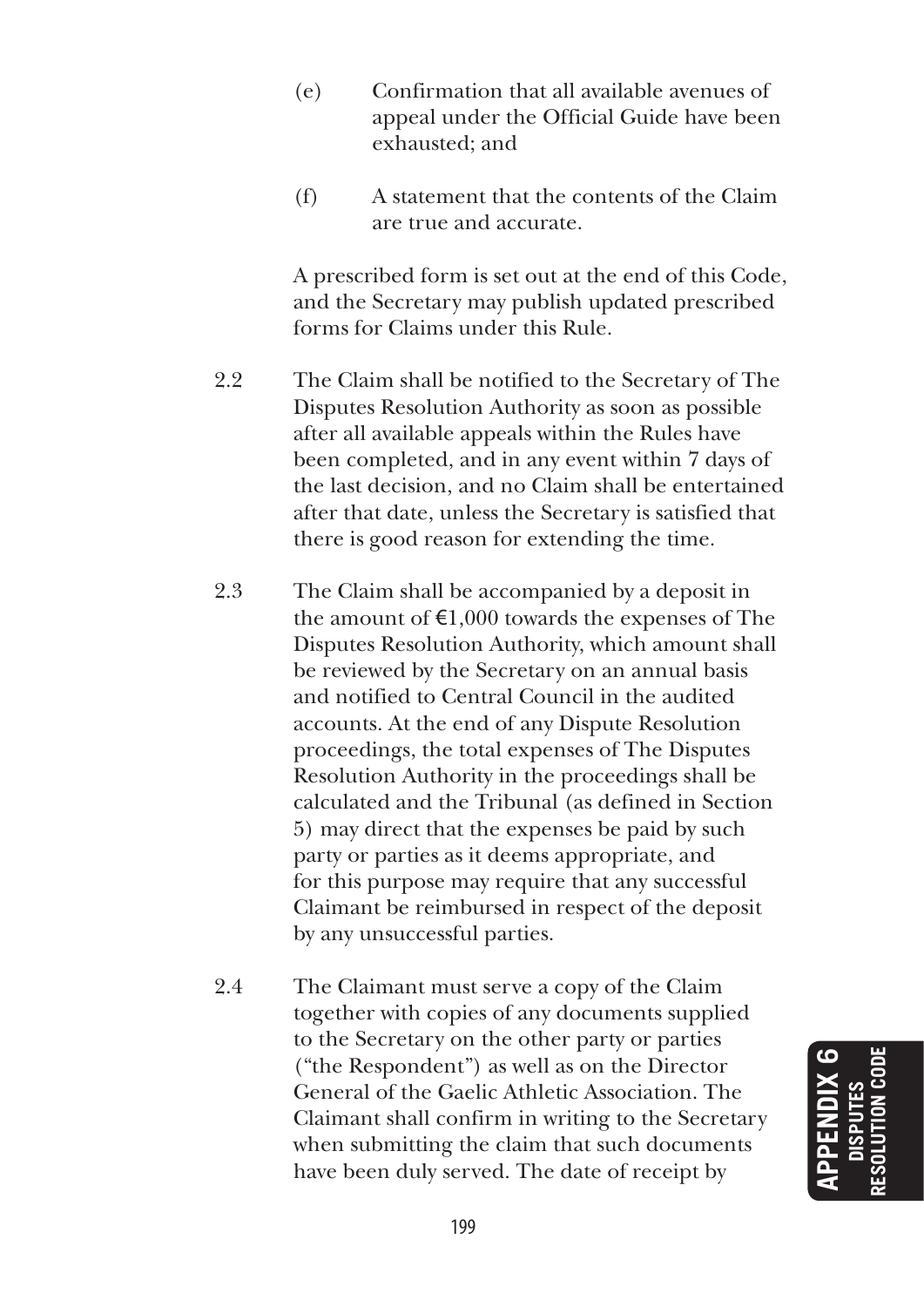- (e) Confirmation that all available avenues of appeal under the Official Guide have been exhausted; and
- (f) A statement that the contents of the Claim are true and accurate.

 A prescribed form is set out at the end of this Code, and the Secretary may publish updated prescribed forms for Claims under this Rule.

- 2.2 The Claim shall be notified to the Secretary of The Disputes Resolution Authority as soon as possible after all available appeals within the Rules have been completed, and in any event within 7 days of the last decision, and no Claim shall be entertained after that date, unless the Secretary is satisfied that there is good reason for extending the time.
- 2.3 The Claim shall be accompanied by a deposit in the amount of  $\epsilon$ 1,000 towards the expenses of The Disputes Resolution Authority, which amount shall be reviewed by the Secretary on an annual basis and notified to Central Council in the audited accounts. At the end of any Dispute Resolution proceedings, the total expenses of The Disputes Resolution Authority in the proceedings shall be calculated and the Tribunal (as defined in Section 5) may direct that the expenses be paid by such party or parties as it deems appropriate, and for this purpose may require that any successful Claimant be reimbursed in respect of the deposit by any unsuccessful parties.
- 2.4 The Claimant must serve a copy of the Claim together with copies of any documents supplied to the Secretary on the other party or parties ("the Respondent") as well as on the Director General of the Gaelic Athletic Association. The Claimant shall confirm in writing to the Secretary when submitting the claim that such documents have been duly served. The date of receipt by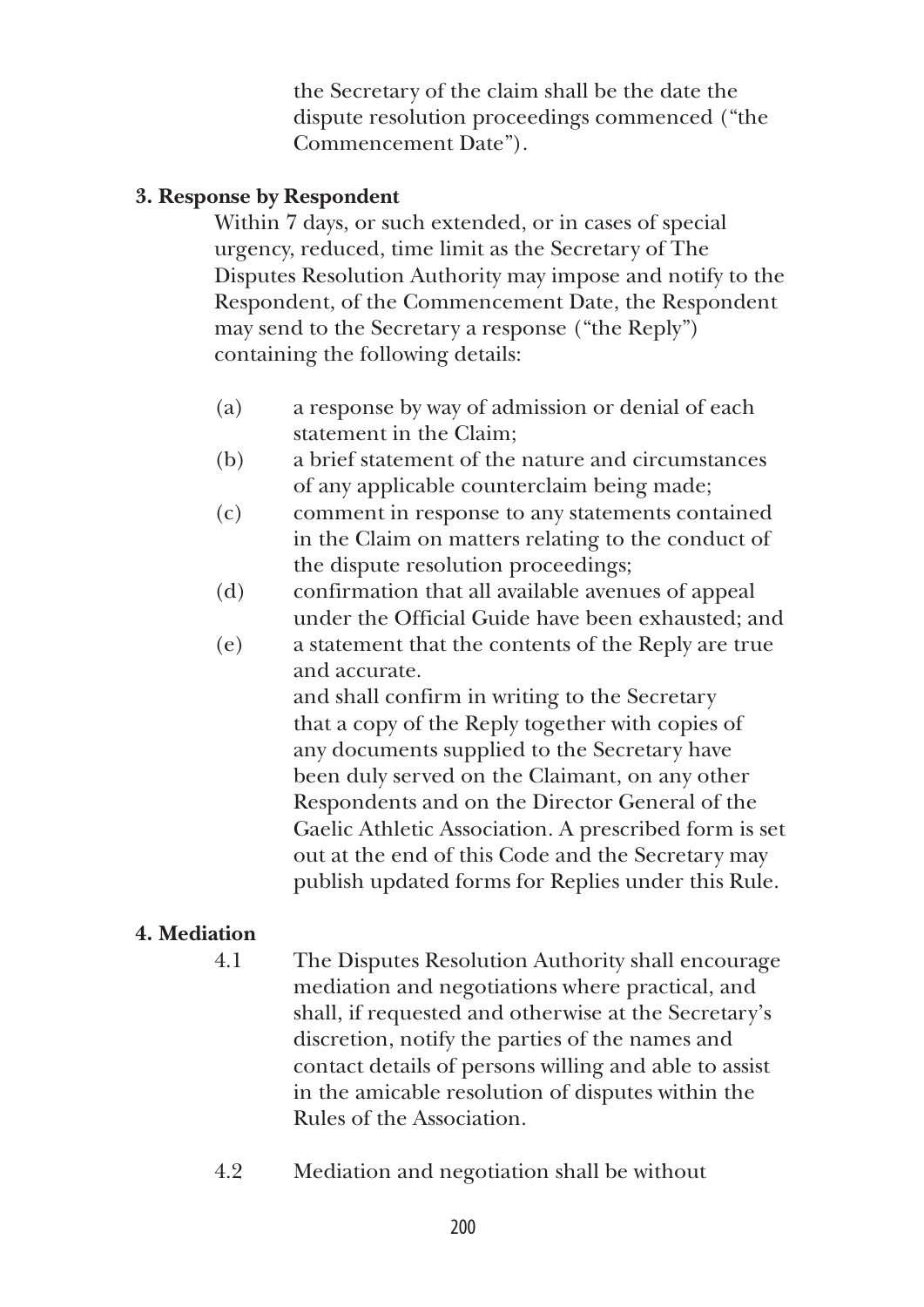the Secretary of the claim shall be the date the dispute resolution proceedings commenced ("the Commencement Date").

# **3. Response by Respondent**

 Within 7 days, or such extended, or in cases of special urgency, reduced, time limit as the Secretary of The Disputes Resolution Authority may impose and notify to the Respondent, of the Commencement Date, the Respondent may send to the Secretary a response ("the Reply") containing the following details:

- (a) a response by way of admission or denial of each statement in the Claim;
- (b) a brief statement of the nature and circumstances of any applicable counterclaim being made;
- (c) comment in response to any statements contained in the Claim on matters relating to the conduct of the dispute resolution proceedings;
- (d) confirmation that all available avenues of appeal under the Official Guide have been exhausted; and
- (e) a statement that the contents of the Reply are true and accurate.

 and shall confirm in writing to the Secretary that a copy of the Reply together with copies of any documents supplied to the Secretary have been duly served on the Claimant, on any other Respondents and on the Director General of the Gaelic Athletic Association. A prescribed form is set out at the end of this Code and the Secretary may publish updated forms for Replies under this Rule.

# **4. Mediation**

- 4.1 The Disputes Resolution Authority shall encourage mediation and negotiations where practical, and shall, if requested and otherwise at the Secretary's discretion, notify the parties of the names and contact details of persons willing and able to assist in the amicable resolution of disputes within the Rules of the Association.
- 4.2 Mediation and negotiation shall be without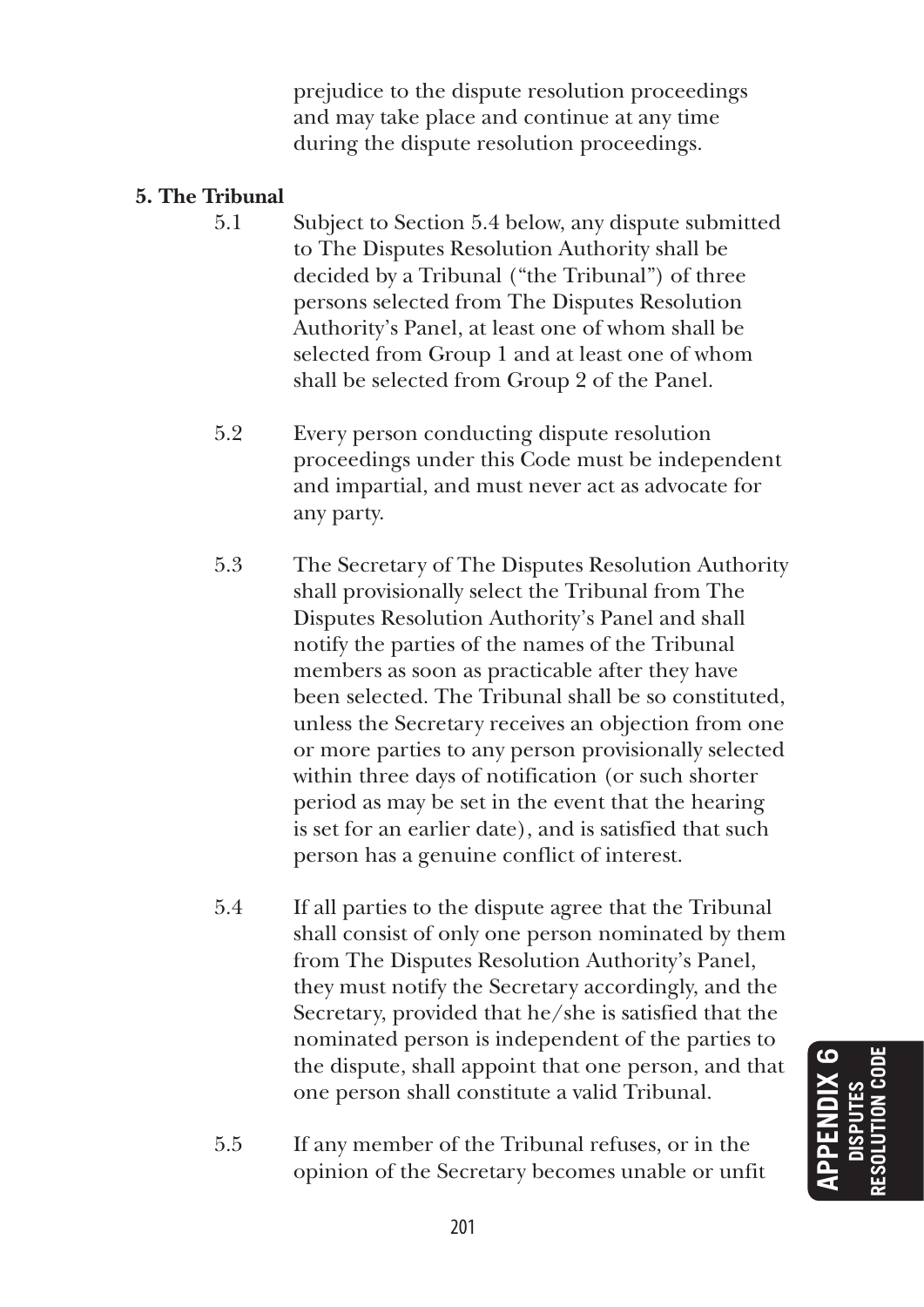prejudice to the dispute resolution proceedings and may take place and continue at any time during the dispute resolution proceedings.

# **5. The Tribunal**

- 5.1 Subject to Section 5.4 below, any dispute submitted to The Disputes Resolution Authority shall be decided by a Tribunal ("the Tribunal") of three persons selected from The Disputes Resolution Authority's Panel, at least one of whom shall be selected from Group 1 and at least one of whom shall be selected from Group 2 of the Panel.
- 5.2 Every person conducting dispute resolution proceedings under this Code must be independent and impartial, and must never act as advocate for any party.
- 5.3 The Secretary of The Disputes Resolution Authority shall provisionally select the Tribunal from The Disputes Resolution Authority's Panel and shall notify the parties of the names of the Tribunal members as soon as practicable after they have been selected. The Tribunal shall be so constituted, unless the Secretary receives an objection from one or more parties to any person provisionally selected within three days of notification (or such shorter period as may be set in the event that the hearing is set for an earlier date), and is satisfied that such person has a genuine conflict of interest.
- 5.4 If all parties to the dispute agree that the Tribunal shall consist of only one person nominated by them from The Disputes Resolution Authority's Panel, they must notify the Secretary accordingly, and the Secretary, provided that he/she is satisfied that the nominated person is independent of the parties to the dispute, shall appoint that one person, and that one person shall constitute a valid Tribunal.
- 5.5 If any member of the Tribunal refuses, or in the opinion of the Secretary becomes unable or unfit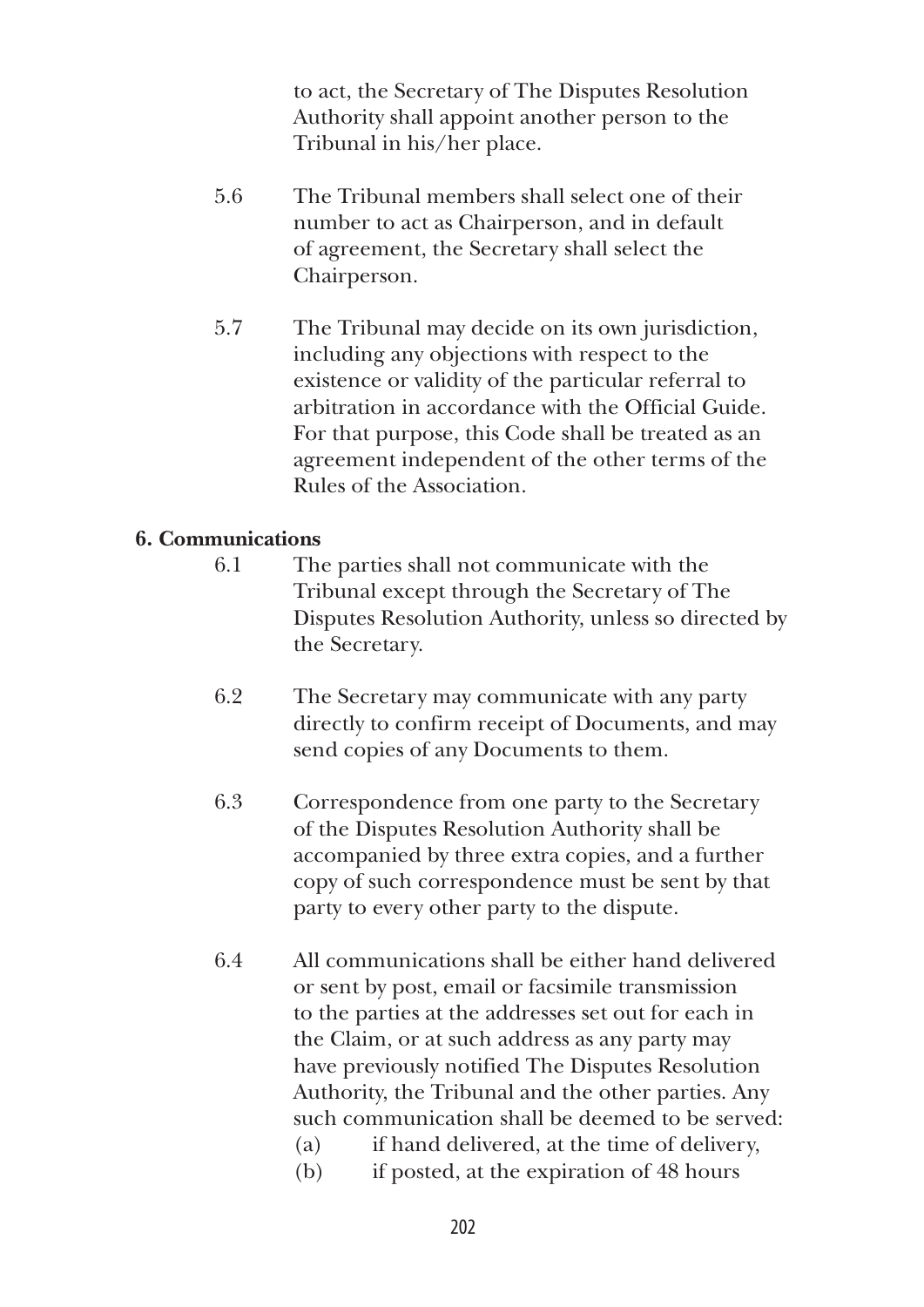to act, the Secretary of The Disputes Resolution Authority shall appoint another person to the Tribunal in his/her place.

- 5.6 The Tribunal members shall select one of their number to act as Chairperson, and in default of agreement, the Secretary shall select the Chairperson.
- 5.7 The Tribunal may decide on its own jurisdiction, including any objections with respect to the existence or validity of the particular referral to arbitration in accordance with the Official Guide. For that purpose, this Code shall be treated as an agreement independent of the other terms of the Rules of the Association.

## **6. Communications**

- 6.1 The parties shall not communicate with the Tribunal except through the Secretary of The Disputes Resolution Authority, unless so directed by the Secretary.
- 6.2 The Secretary may communicate with any party directly to confirm receipt of Documents, and may send copies of any Documents to them.
- 6.3 Correspondence from one party to the Secretary of the Disputes Resolution Authority shall be accompanied by three extra copies, and a further copy of such correspondence must be sent by that party to every other party to the dispute.
- 6.4 All communications shall be either hand delivered or sent by post, email or facsimile transmission to the parties at the addresses set out for each in the Claim, or at such address as any party may have previously notified The Disputes Resolution Authority, the Tribunal and the other parties. Any such communication shall be deemed to be served: (a) if hand delivered, at the time of delivery,
	- (b) if posted, at the expiration of 48 hours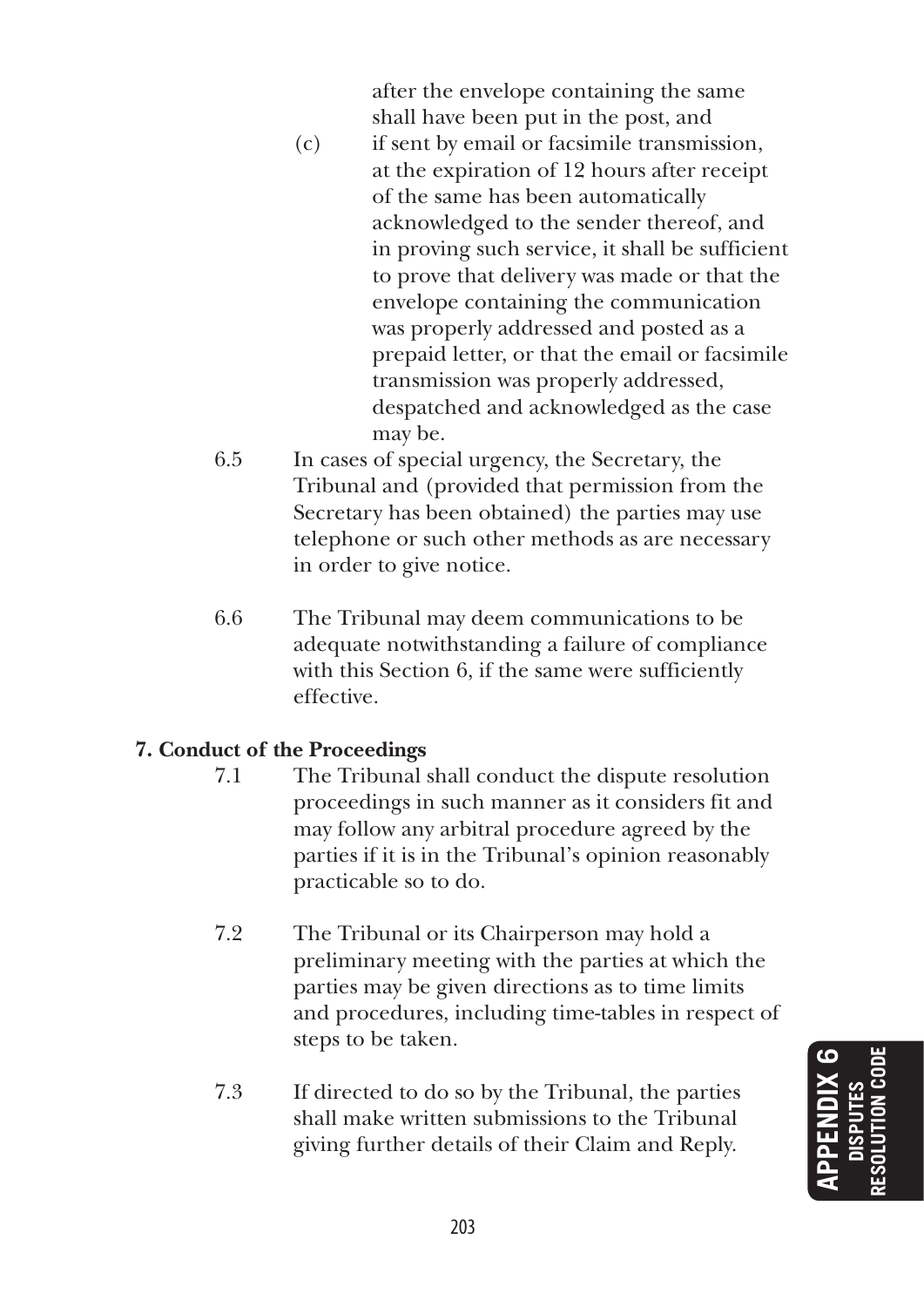after the envelope containing the same shall have been put in the post, and

- (c) if sent by email or facsimile transmission, at the expiration of 12 hours after receipt of the same has been automatically acknowledged to the sender thereof, and in proving such service, it shall be sufficient to prove that delivery was made or that the envelope containing the communication was properly addressed and posted as a prepaid letter, or that the email or facsimile transmission was properly addressed, despatched and acknowledged as the case may be.
- 6.5 In cases of special urgency, the Secretary, the Tribunal and (provided that permission from the Secretary has been obtained) the parties may use telephone or such other methods as are necessary in order to give notice.
- 6.6 The Tribunal may deem communications to be adequate notwithstanding a failure of compliance with this Section 6, if the same were sufficiently effective.

## **7. Conduct of the Proceedings**

- 7.1 The Tribunal shall conduct the dispute resolution proceedings in such manner as it considers fit and may follow any arbitral procedure agreed by the parties if it is in the Tribunal's opinion reasonably practicable so to do.
- 7.2 The Tribunal or its Chairperson may hold a preliminary meeting with the parties at which the parties may be given directions as to time limits and procedures, including time-tables in respect of steps to be taken.
- 7.3 If directed to do so by the Tribunal, the parties shall make written submissions to the Tribunal giving further details of their Claim and Reply.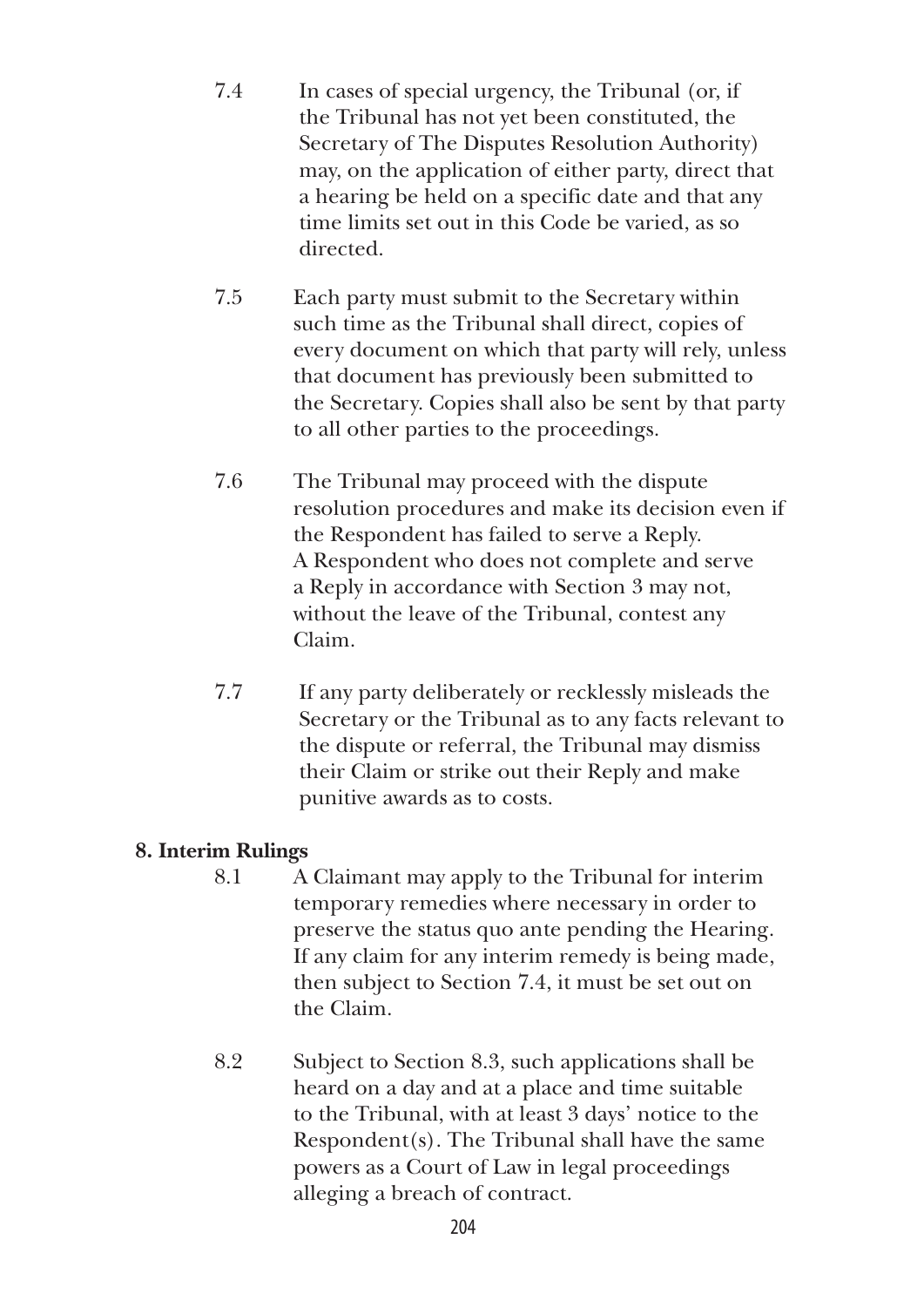- 7.4 In cases of special urgency, the Tribunal (or, if the Tribunal has not yet been constituted, the Secretary of The Disputes Resolution Authority) may, on the application of either party, direct that a hearing be held on a specific date and that any time limits set out in this Code be varied, as so directed.
- 7.5 Each party must submit to the Secretary within such time as the Tribunal shall direct, copies of every document on which that party will rely, unless that document has previously been submitted to the Secretary. Copies shall also be sent by that party to all other parties to the proceedings.
- 7.6 The Tribunal may proceed with the dispute resolution procedures and make its decision even if the Respondent has failed to serve a Reply. A Respondent who does not complete and serve a Reply in accordance with Section 3 may not, without the leave of the Tribunal, contest any Claim.
- 7.7 If any party deliberately or recklessly misleads the Secretary or the Tribunal as to any facts relevant to the dispute or referral, the Tribunal may dismiss their Claim or strike out their Reply and make punitive awards as to costs.

# **8. Interim Rulings**

- 8.1 A Claimant may apply to the Tribunal for interim temporary remedies where necessary in order to preserve the status quo ante pending the Hearing. If any claim for any interim remedy is being made, then subject to Section 7.4, it must be set out on the Claim.
- 8.2 Subject to Section 8.3, such applications shall be heard on a day and at a place and time suitable to the Tribunal, with at least 3 days' notice to the Respondent(s). The Tribunal shall have the same powers as a Court of Law in legal proceedings alleging a breach of contract.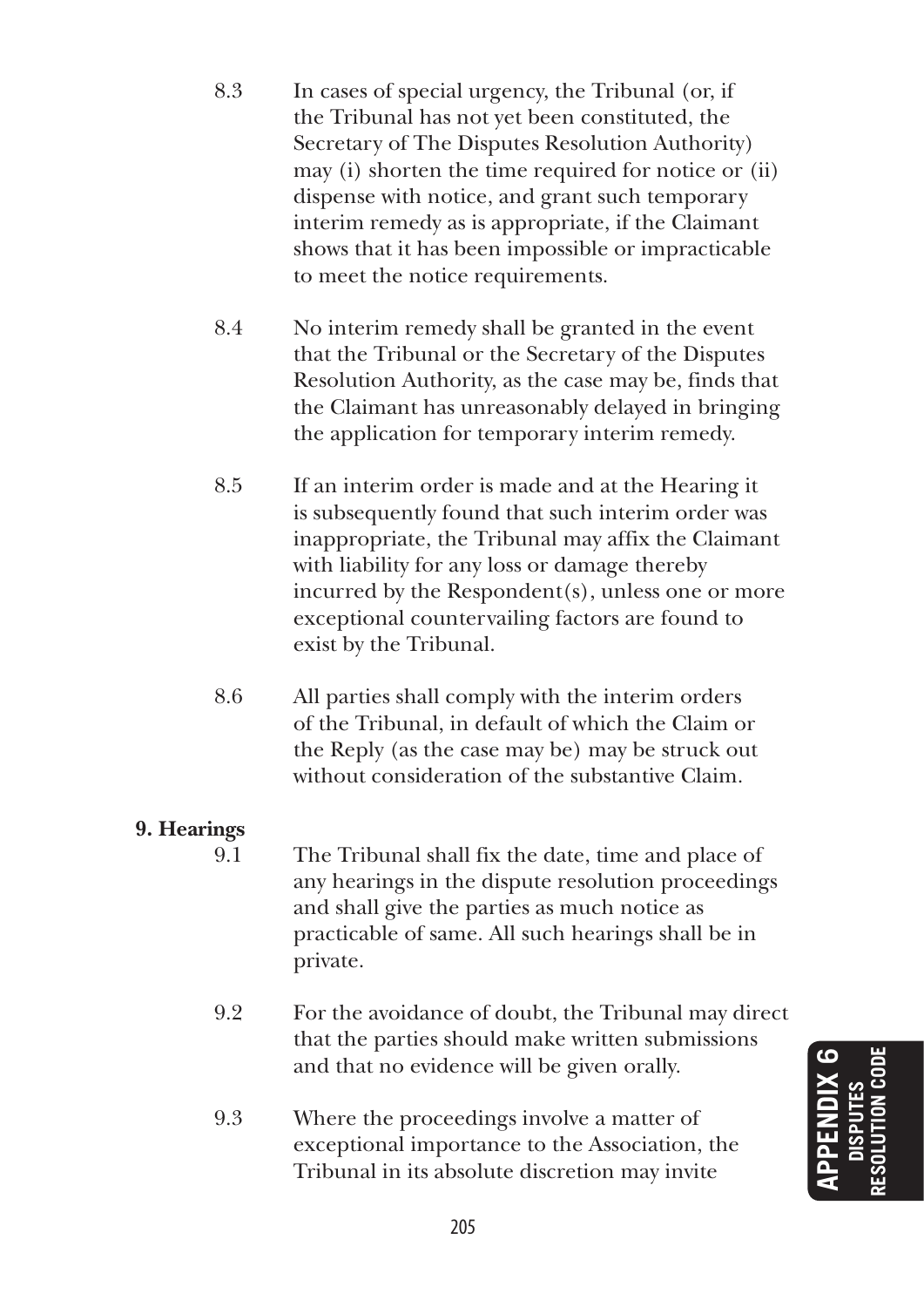- 8.3 In cases of special urgency, the Tribunal (or, if the Tribunal has not yet been constituted, the Secretary of The Disputes Resolution Authority) may (i) shorten the time required for notice or (ii) dispense with notice, and grant such temporary interim remedy as is appropriate, if the Claimant shows that it has been impossible or impracticable to meet the notice requirements.
- 8.4 No interim remedy shall be granted in the event that the Tribunal or the Secretary of the Disputes Resolution Authority, as the case may be, finds that the Claimant has unreasonably delayed in bringing the application for temporary interim remedy.
- 8.5 If an interim order is made and at the Hearing it is subsequently found that such interim order was inappropriate, the Tribunal may affix the Claimant with liability for any loss or damage thereby incurred by the Respondent(s), unless one or more exceptional countervailing factors are found to exist by the Tribunal.
- 8.6 All parties shall comply with the interim orders of the Tribunal, in default of which the Claim or the Reply (as the case may be) may be struck out without consideration of the substantive Claim.

# **9. Hearings**

- 9.1 The Tribunal shall fix the date, time and place of any hearings in the dispute resolution proceedings and shall give the parties as much notice as practicable of same. All such hearings shall be in private.
- 9.2 For the avoidance of doubt, the Tribunal may direct that the parties should make written submissions and that no evidence will be given orally.
- 9.3 Where the proceedings involve a matter of exceptional importance to the Association, the Tribunal in its absolute discretion may invite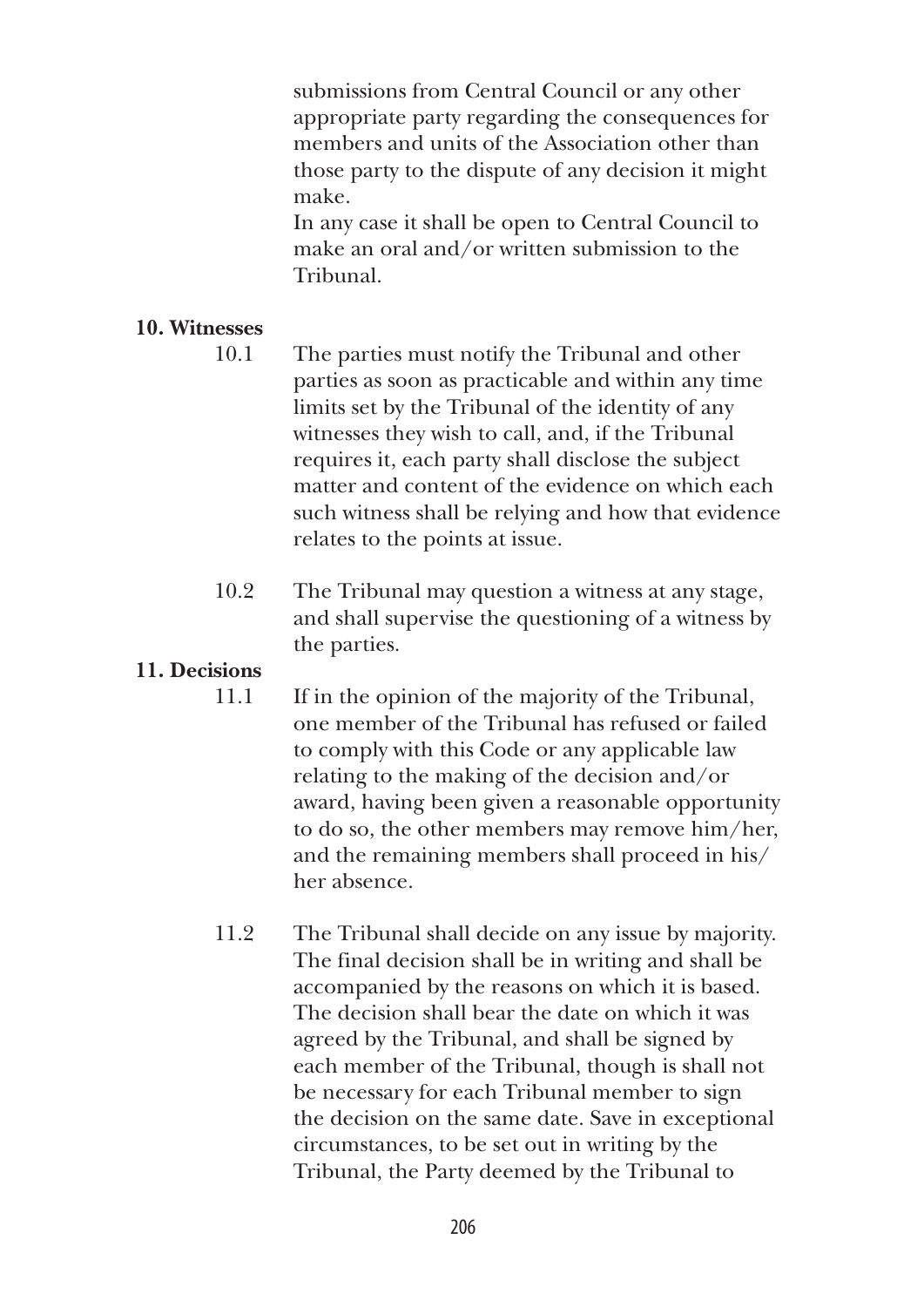submissions from Central Council or any other appropriate party regarding the consequences for members and units of the Association other than those party to the dispute of any decision it might make.

 In any case it shall be open to Central Council to make an oral and/or written submission to the Tribunal.

# **10. Witnesses**

- 10.1 The parties must notify the Tribunal and other parties as soon as practicable and within any time limits set by the Tribunal of the identity of any witnesses they wish to call, and, if the Tribunal requires it, each party shall disclose the subject matter and content of the evidence on which each such witness shall be relying and how that evidence relates to the points at issue.
- 10.2 The Tribunal may question a witness at any stage, and shall supervise the questioning of a witness by the parties.

# **11. Decisions**

- 11.1 If in the opinion of the majority of the Tribunal, one member of the Tribunal has refused or failed to comply with this Code or any applicable law relating to the making of the decision and/or award, having been given a reasonable opportunity to do so, the other members may remove him/her, and the remaining members shall proceed in his/ her absence.
- 11.2 The Tribunal shall decide on any issue by majority. The final decision shall be in writing and shall be accompanied by the reasons on which it is based. The decision shall bear the date on which it was agreed by the Tribunal, and shall be signed by each member of the Tribunal, though is shall not be necessary for each Tribunal member to sign the decision on the same date. Save in exceptional circumstances, to be set out in writing by the Tribunal, the Party deemed by the Tribunal to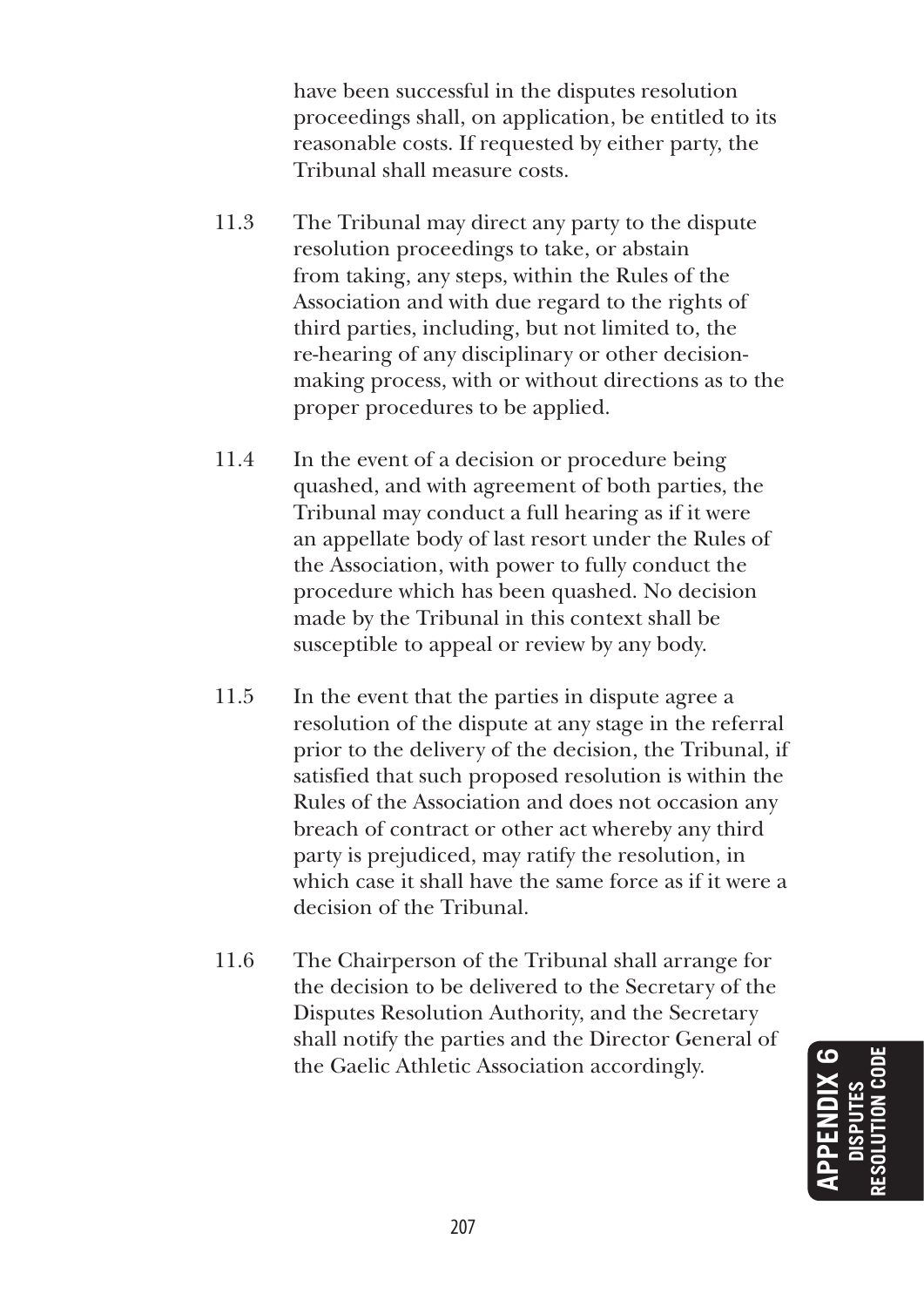have been successful in the disputes resolution proceedings shall, on application, be entitled to its reasonable costs. If requested by either party, the Tribunal shall measure costs.

- 11.3 The Tribunal may direct any party to the dispute resolution proceedings to take, or abstain from taking, any steps, within the Rules of the Association and with due regard to the rights of third parties, including, but not limited to, the re-hearing of any disciplinary or other decisionmaking process, with or without directions as to the proper procedures to be applied.
- 11.4 In the event of a decision or procedure being quashed, and with agreement of both parties, the Tribunal may conduct a full hearing as if it were an appellate body of last resort under the Rules of the Association, with power to fully conduct the procedure which has been quashed. No decision made by the Tribunal in this context shall be susceptible to appeal or review by any body.
- 11.5 In the event that the parties in dispute agree a resolution of the dispute at any stage in the referral prior to the delivery of the decision, the Tribunal, if satisfied that such proposed resolution is within the Rules of the Association and does not occasion any breach of contract or other act whereby any third party is prejudiced, may ratify the resolution, in which case it shall have the same force as if it were a decision of the Tribunal.
- 11.6 The Chairperson of the Tribunal shall arrange for the decision to be delivered to the Secretary of the Disputes Resolution Authority, and the Secretary shall notify the parties and the Director General of the Gaelic Athletic Association accordingly.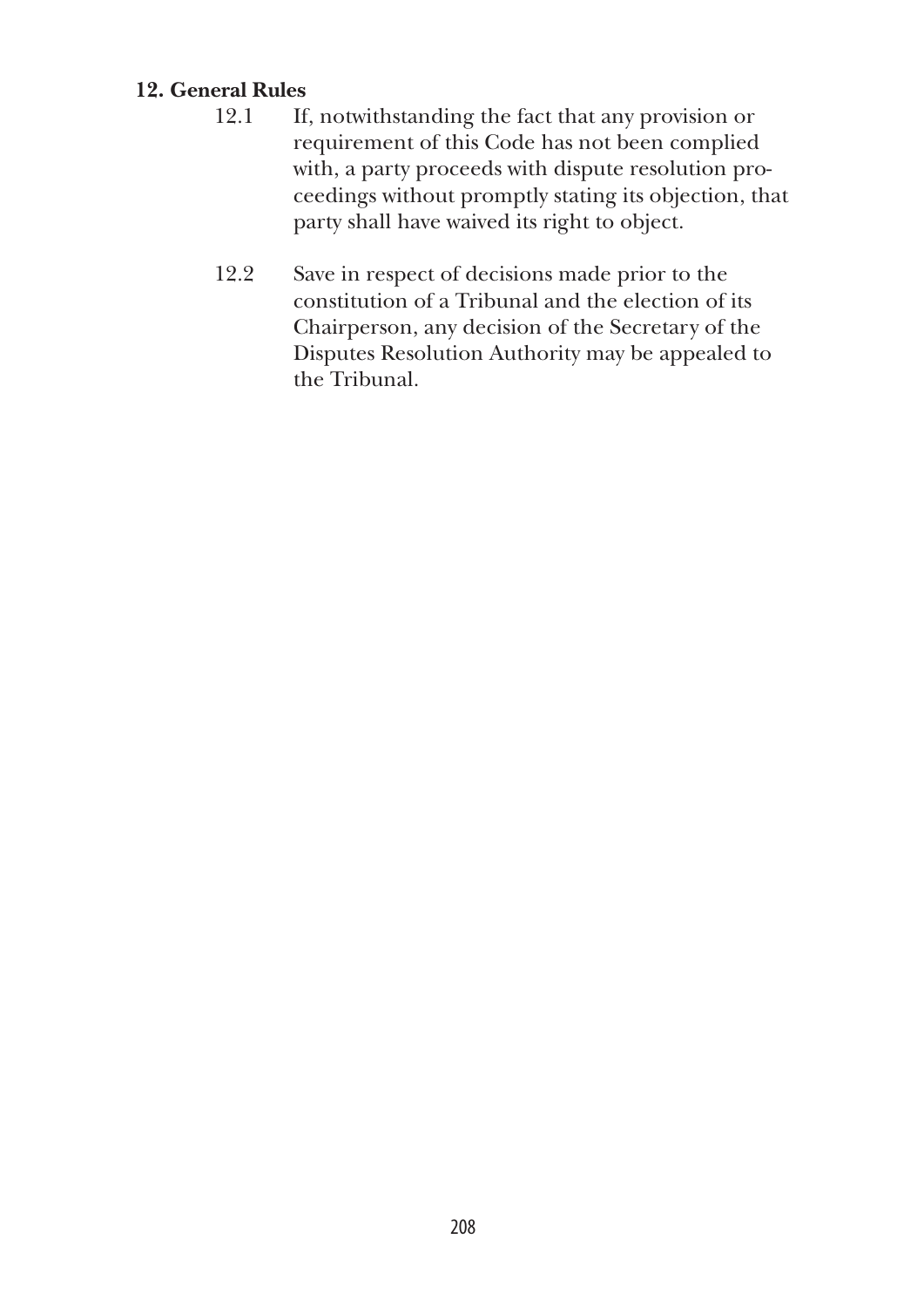# **12. General Rules**

- 12.1 If, notwithstanding the fact that any provision or requirement of this Code has not been complied with, a party proceeds with dispute resolution proceedings without promptly stating its objection, that party shall have waived its right to object.
- 12.2 Save in respect of decisions made prior to the constitution of a Tribunal and the election of its Chairperson, any decision of the Secretary of the Disputes Resolution Authority may be appealed to the Tribunal.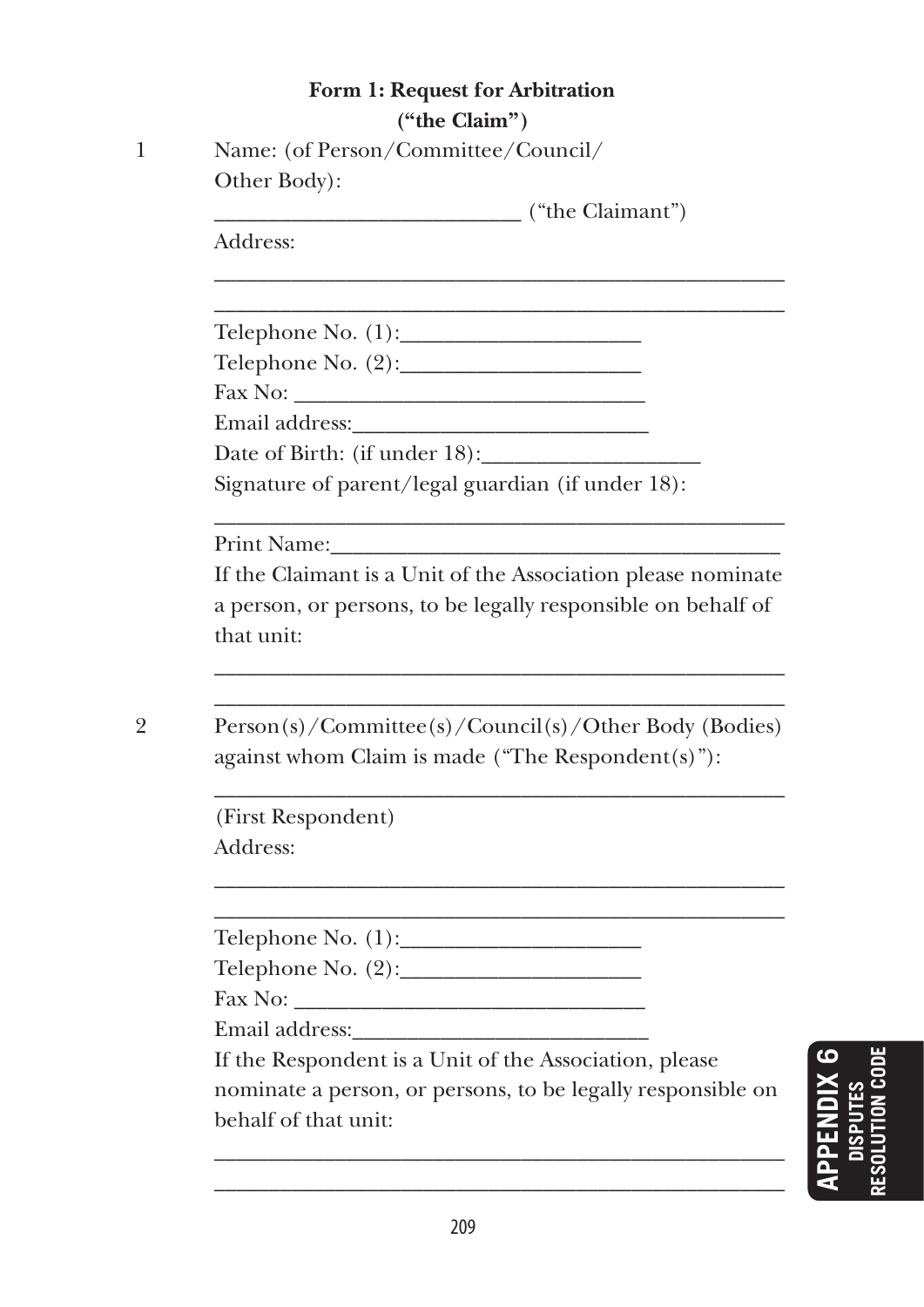# **Form 1: Request for Arbitration ("the Claim")**

| Name: (of Person/Committee/Council/ |
|-------------------------------------|
| Other Body):                        |

\_\_\_\_\_\_\_\_\_\_\_\_\_\_\_\_\_\_\_\_\_\_\_\_\_\_\_\_ ("the Claimant")

\_\_\_\_\_\_\_\_\_\_\_\_\_\_\_\_\_\_\_\_\_\_\_\_\_\_\_\_\_\_\_\_\_\_\_\_\_\_\_\_\_\_\_\_\_\_\_\_\_\_\_\_ \_\_\_\_\_\_\_\_\_\_\_\_\_\_\_\_\_\_\_\_\_\_\_\_\_\_\_\_\_\_\_\_\_\_\_\_\_\_\_\_\_\_\_\_\_\_\_\_\_\_\_\_

Address:

Telephone No.  $(1)$ :

Telephone No. (2):\_\_\_\_\_\_\_\_\_\_\_\_\_\_\_\_\_\_\_\_\_\_

Fax No: \_\_\_\_\_\_\_\_\_\_\_\_\_\_\_\_\_\_\_\_\_\_\_\_\_\_\_\_\_\_\_\_ Email address:\_\_\_\_\_\_\_\_\_\_\_\_\_\_\_\_\_\_\_\_\_\_\_\_\_\_\_

Date of Birth: (if under 18):

Signature of parent/legal guardian (if under 18):

Print Name:

 If the Claimant is a Unit of the Association please nominate a person, or persons, to be legally responsible on behalf of that unit:

\_\_\_\_\_\_\_\_\_\_\_\_\_\_\_\_\_\_\_\_\_\_\_\_\_\_\_\_\_\_\_\_\_\_\_\_\_\_\_\_\_\_\_\_\_\_\_\_\_\_\_\_ \_\_\_\_\_\_\_\_\_\_\_\_\_\_\_\_\_\_\_\_\_\_\_\_\_\_\_\_\_\_\_\_\_\_\_\_\_\_\_\_\_\_\_\_\_\_\_\_\_\_\_\_

\_\_\_\_\_\_\_\_\_\_\_\_\_\_\_\_\_\_\_\_\_\_\_\_\_\_\_\_\_\_\_\_\_\_\_\_\_\_\_\_\_\_\_\_\_\_\_\_\_\_\_\_

2 Person(s)/Committee(s)/Council(s)/Other Body (Bodies) against whom Claim is made ("The Respondent(s)"):

\_\_\_\_\_\_\_\_\_\_\_\_\_\_\_\_\_\_\_\_\_\_\_\_\_\_\_\_\_\_\_\_\_\_\_\_\_\_\_\_\_\_\_\_\_\_\_\_\_\_\_\_

\_\_\_\_\_\_\_\_\_\_\_\_\_\_\_\_\_\_\_\_\_\_\_\_\_\_\_\_\_\_\_\_\_\_\_\_\_\_\_\_\_\_\_\_\_\_\_\_\_\_\_\_ \_\_\_\_\_\_\_\_\_\_\_\_\_\_\_\_\_\_\_\_\_\_\_\_\_\_\_\_\_\_\_\_\_\_\_\_\_\_\_\_\_\_\_\_\_\_\_\_\_\_\_\_

(First Respondent) Address:

Telephone No.  $(1)$ :

Telephone No.  $(2)$ :

Fax No: \_\_\_\_\_\_\_\_\_\_\_\_\_\_\_\_\_\_\_\_\_\_\_\_\_\_\_\_\_\_\_\_

Email address:\_\_\_\_\_\_\_\_\_\_\_\_\_\_\_\_\_\_\_\_\_\_\_\_\_\_\_

 If the Respondent is a Unit of the Association, please nominate a person, or persons, to be legally responsible on behalf of that unit:

\_\_\_\_\_\_\_\_\_\_\_\_\_\_\_\_\_\_\_\_\_\_\_\_\_\_\_\_\_\_\_\_\_\_\_\_\_\_\_\_\_\_\_\_\_\_\_\_\_\_\_\_ \_\_\_\_\_\_\_\_\_\_\_\_\_\_\_\_\_\_\_\_\_\_\_\_\_\_\_\_\_\_\_\_\_\_\_\_\_\_\_\_\_\_\_\_\_\_\_\_\_\_\_\_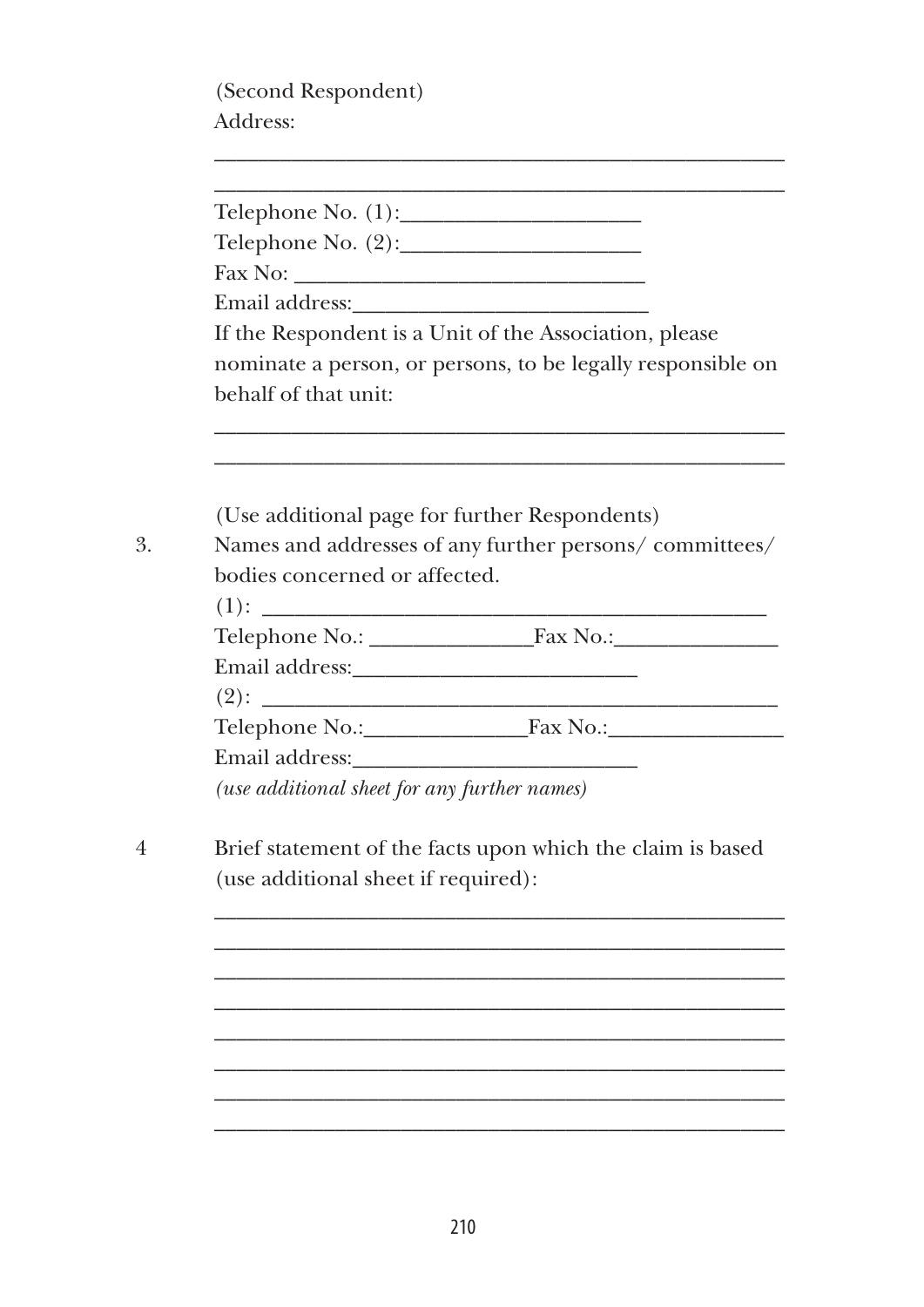(Second Respondent) Address:

|                                               | If the Respondent is a Unit of the Association, please      |
|-----------------------------------------------|-------------------------------------------------------------|
|                                               | nominate a person, or persons, to be legally responsible on |
| behalf of that unit:                          |                                                             |
|                                               |                                                             |
| (Use additional page for further Respondents) |                                                             |
|                                               | Names and addresses of any further persons/committees/      |
| bodies concerned or affected.                 |                                                             |
|                                               |                                                             |
|                                               |                                                             |
|                                               |                                                             |
|                                               |                                                             |
|                                               | Telephone No.: Fax No.: Fax No.:                            |
|                                               |                                                             |
|                                               |                                                             |
| (use additional sheet for any further names)  |                                                             |
|                                               |                                                             |
| (use additional sheet if required):           | Brief statement of the facts upon which the claim is based  |
|                                               |                                                             |
|                                               |                                                             |
|                                               |                                                             |
|                                               |                                                             |
|                                               |                                                             |

\_\_\_\_\_\_\_\_\_\_\_\_\_\_\_\_\_\_\_\_\_\_\_\_\_\_\_\_\_\_\_\_\_\_\_\_\_\_\_\_\_\_\_\_\_\_\_\_\_\_\_\_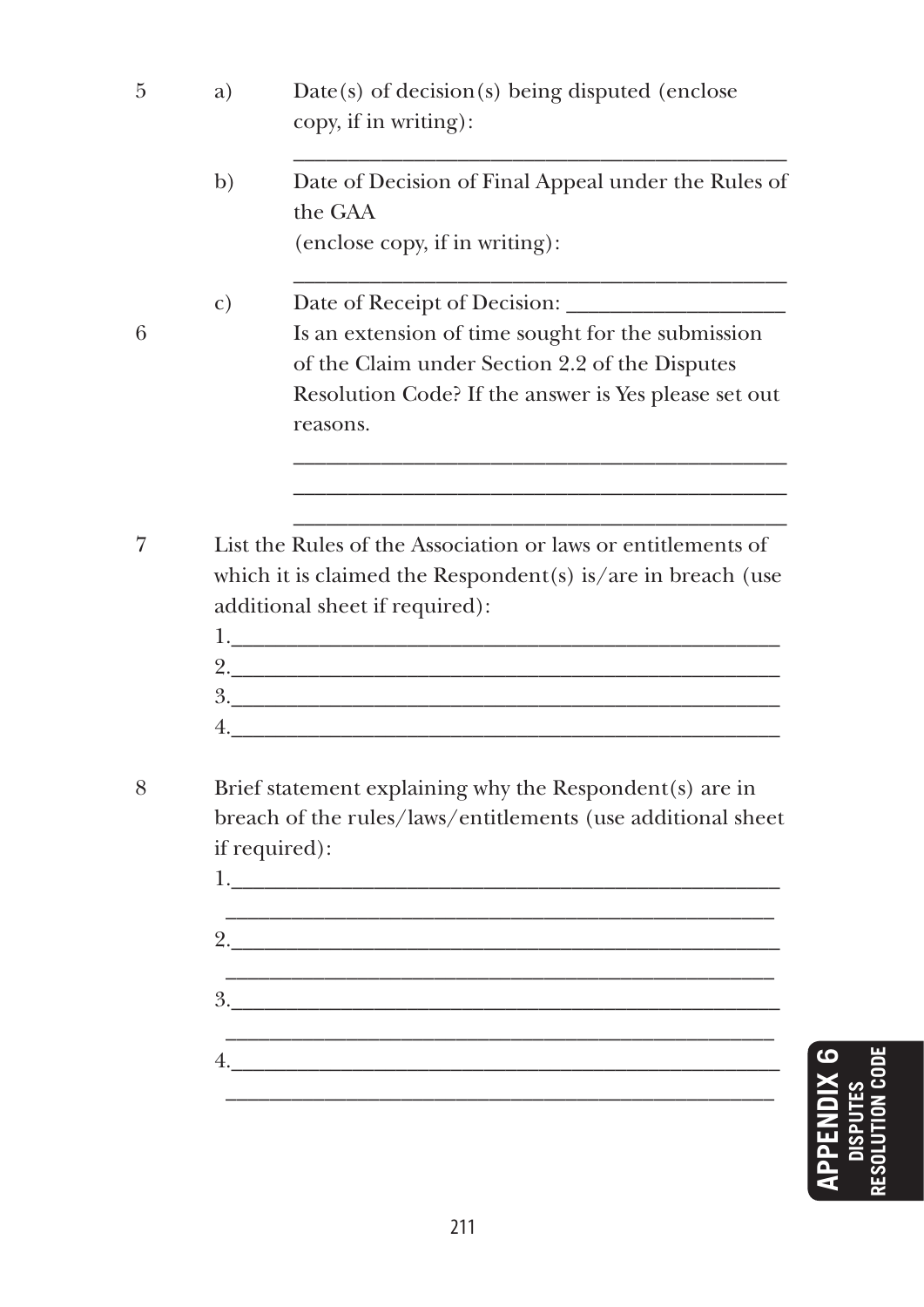- 5 a) Date(s) of decision(s) being disputed (enclose copy, if in writing): \_\_\_\_\_\_\_\_\_\_\_\_\_\_\_\_\_\_\_\_\_\_\_\_\_\_\_\_\_\_\_\_\_\_\_\_\_\_\_\_\_\_\_\_\_ b) Date of Decision of Final Appeal under the Rules of the GAA (enclose copy, if in writing): \_\_\_\_\_\_\_\_\_\_\_\_\_\_\_\_\_\_\_\_\_\_\_\_\_\_\_\_\_\_\_\_\_\_\_\_\_\_\_\_\_\_\_\_\_ c) Date of Receipt of Decision: 6 Is an extension of time sought for the submission of the Claim under Section 2.2 of the Disputes Resolution Code? If the answer is Yes please set out reasons. \_\_\_\_\_\_\_\_\_\_\_\_\_\_\_\_\_\_\_\_\_\_\_\_\_\_\_\_\_\_\_\_\_\_\_\_\_\_\_\_\_\_\_\_\_ \_\_\_\_\_\_\_\_\_\_\_\_\_\_\_\_\_\_\_\_\_\_\_\_\_\_\_\_\_\_\_\_\_\_\_\_\_\_\_\_\_\_\_\_\_ \_\_\_\_\_\_\_\_\_\_\_\_\_\_\_\_\_\_\_\_\_\_\_\_\_\_\_\_\_\_\_\_\_\_\_\_\_\_\_\_\_\_\_\_\_ 7 List the Rules of the Association or laws or entitlements of which it is claimed the Respondent(s) is/are in breach (use additional sheet if required): 1.  $2.$  $3.$  $4.$
- 8 Brief statement explaining why the Respondent(s) are in breach of the rules/laws/entitlements (use additional sheet if required):

 $1.$  $\mathcal{L}_\text{max}$  and the contract of the contract of the contract of the contract of the contract of the contract of the contract of the contract of the contract of the contract of the contract of the contract of the contrac  $2.$  \_\_\_\_\_\_\_\_\_\_\_\_\_\_\_\_\_\_\_\_\_\_\_\_\_\_\_\_\_\_\_\_\_\_\_\_\_\_\_\_\_\_\_\_\_\_\_\_\_\_ 3.\_\_\_\_\_\_\_\_\_\_\_\_\_\_\_\_\_\_\_\_\_\_\_\_\_\_\_\_\_\_\_\_\_\_\_\_\_\_\_\_\_\_\_\_\_\_\_\_\_\_  $\mathcal{L}_\text{max} = \mathcal{L}_\text{max} = \mathcal{L}_\text{max} = \mathcal{L}_\text{max} = \mathcal{L}_\text{max} = \mathcal{L}_\text{max} = \mathcal{L}_\text{max} = \mathcal{L}_\text{max} = \mathcal{L}_\text{max} = \mathcal{L}_\text{max} = \mathcal{L}_\text{max} = \mathcal{L}_\text{max} = \mathcal{L}_\text{max} = \mathcal{L}_\text{max} = \mathcal{L}_\text{max} = \mathcal{L}_\text{max} = \mathcal{L}_\text{max} = \mathcal{L}_\text{max} = \mathcal{$ 4.\_\_\_\_\_\_\_\_\_\_\_\_\_\_\_\_\_\_\_\_\_\_\_\_\_\_\_\_\_\_\_\_\_\_\_\_\_\_\_\_\_\_\_\_\_\_\_\_\_\_ \_\_\_\_\_\_\_\_\_\_\_\_\_\_\_\_\_\_\_\_\_\_\_\_\_\_\_\_\_\_\_\_\_\_\_\_\_\_\_\_\_\_\_\_\_\_\_\_\_\_

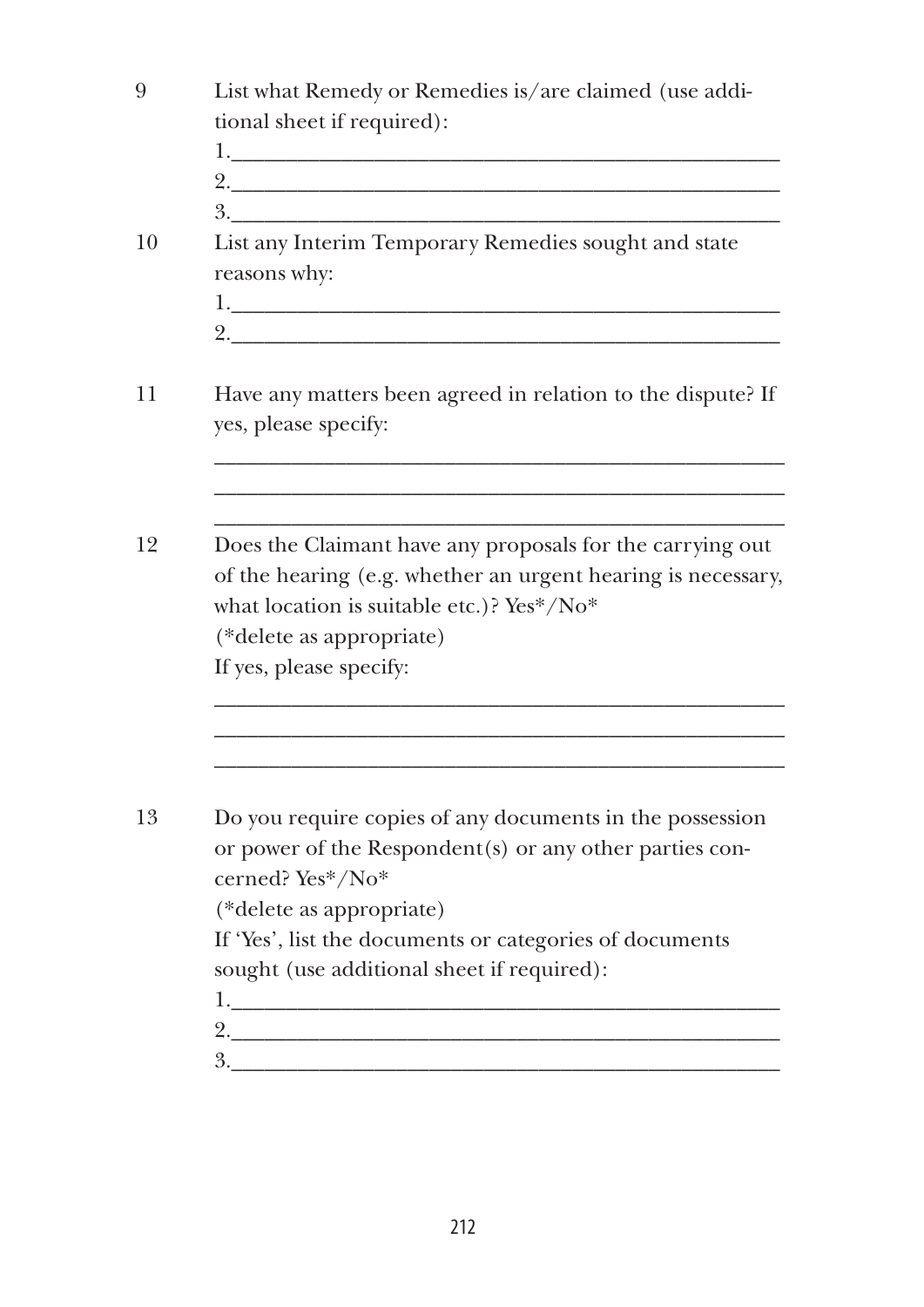| 9  | List what Remedy or Remedies is/are claimed (use addi-               |
|----|----------------------------------------------------------------------|
|    | tional sheet if required):                                           |
|    |                                                                      |
|    |                                                                      |
|    | 3.                                                                   |
| 10 | List any Interim Temporary Remedies sought and state                 |
|    | reasons why:                                                         |
|    | 1.                                                                   |
|    |                                                                      |
| 11 | Have any matters been agreed in relation to the dispute? If          |
|    | yes, please specify:                                                 |
|    |                                                                      |
|    |                                                                      |
|    |                                                                      |
| 12 | Does the Claimant have any proposals for the carrying out            |
|    | of the hearing (e.g. whether an urgent hearing is necessary,         |
|    | what location is suitable etc.)? Yes*/No*                            |
|    | (*delete as appropriate)                                             |
|    | If yes, please specify:                                              |
|    |                                                                      |
|    |                                                                      |
|    |                                                                      |
| 13 | Do you require copies of any documents in the possession             |
|    | or power of the Respondent(s) or any other parties con-              |
|    | cerned? Yes*/No*                                                     |
|    | (*delete as appropriate)                                             |
|    |                                                                      |
|    | If 'Yes', list the documents or categories of documents              |
|    | sought (use additional sheet if required):                           |
|    | $1.$ The contract of the contract of the contract of $\mathcal{L}_1$ |
|    | 2.                                                                   |
|    | 3.                                                                   |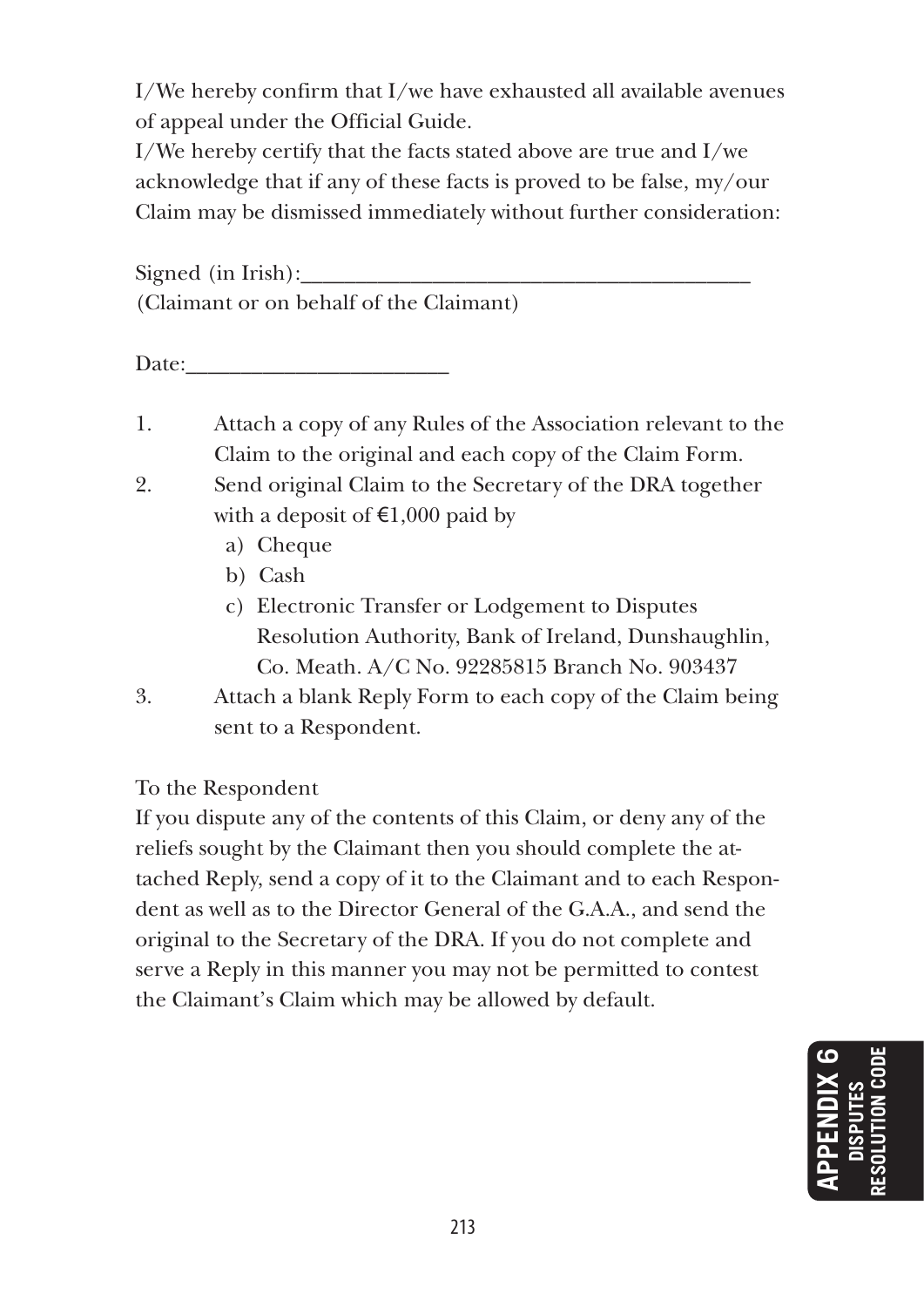I/We hereby confirm that I/we have exhausted all available avenues of appeal under the Official Guide.

I/We hereby certify that the facts stated above are true and I/we acknowledge that if any of these facts is proved to be false, my/our Claim may be dismissed immediately without further consideration:

Signed (in Irish): (Claimant or on behalf of the Claimant)

Date:

- 1. Attach a copy of any Rules of the Association relevant to the Claim to the original and each copy of the Claim Form.
- 2. Send original Claim to the Secretary of the DRA together with a deposit of  $\text{€1,000}$  paid by
	- a) Cheque
	- b) Cash
	- c) Electronic Transfer or Lodgement to Disputes Resolution Authority, Bank of Ireland, Dunshaughlin, Co. Meath. A/C No. 92285815 Branch No. 903437
- 3. Attach a blank Reply Form to each copy of the Claim being sent to a Respondent.

To the Respondent

If you dispute any of the contents of this Claim, or deny any of the reliefs sought by the Claimant then you should complete the attached Reply, send a copy of it to the Claimant and to each Respondent as well as to the Director General of the G.A.A., and send the original to the Secretary of the DRA. If you do not complete and serve a Reply in this manner you may not be permitted to contest the Claimant's Claim which may be allowed by default.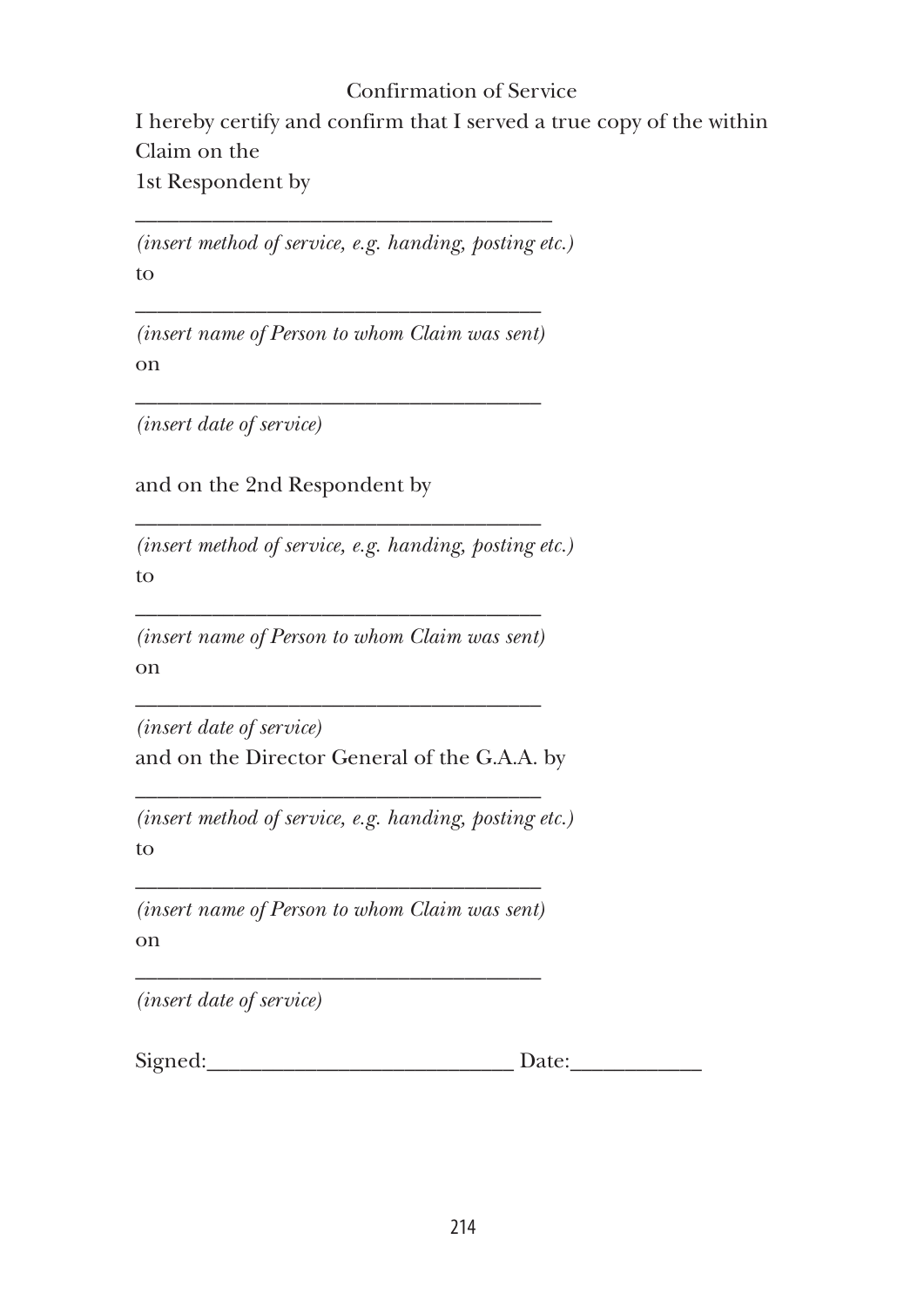# Confirmation of Service

I hereby certify and confirm that I served a true copy of the within Claim on the

1st Respondent by

*(insert method of service, e.g. handing, posting etc.)* to

\_\_\_\_\_\_\_\_\_\_\_\_\_\_\_\_\_\_\_\_\_\_\_\_\_\_\_\_\_\_\_\_\_\_\_\_\_\_

\_\_\_\_\_\_\_\_\_\_\_\_\_\_\_\_\_\_\_\_\_\_\_\_\_\_\_\_\_\_\_\_\_\_\_\_\_ *(insert name of Person to whom Claim was sent)* on

\_\_\_\_\_\_\_\_\_\_\_\_\_\_\_\_\_\_\_\_\_\_\_\_\_\_\_\_\_\_\_\_\_\_\_\_\_

\_\_\_\_\_\_\_\_\_\_\_\_\_\_\_\_\_\_\_\_\_\_\_\_\_\_\_\_\_\_\_\_\_\_\_\_\_

*(insert date of service)*

and on the 2nd Respondent by

*(insert method of service, e.g. handing, posting etc.)* to

\_\_\_\_\_\_\_\_\_\_\_\_\_\_\_\_\_\_\_\_\_\_\_\_\_\_\_\_\_\_\_\_\_\_\_\_\_ *(insert name of Person to whom Claim was sent)* on

\_\_\_\_\_\_\_\_\_\_\_\_\_\_\_\_\_\_\_\_\_\_\_\_\_\_\_\_\_\_\_\_\_\_\_\_\_

\_\_\_\_\_\_\_\_\_\_\_\_\_\_\_\_\_\_\_\_\_\_\_\_\_\_\_\_\_\_\_\_\_\_\_\_\_

*(insert date of service)* and on the Director General of the G.A.A. by

*(insert method of service, e.g. handing, posting etc.)* to

\_\_\_\_\_\_\_\_\_\_\_\_\_\_\_\_\_\_\_\_\_\_\_\_\_\_\_\_\_\_\_\_\_\_\_\_\_ *(insert name of Person to whom Claim was sent)* on

\_\_\_\_\_\_\_\_\_\_\_\_\_\_\_\_\_\_\_\_\_\_\_\_\_\_\_\_\_\_\_\_\_\_\_\_\_

*(insert date of service)*

Signed:\_\_\_\_\_\_\_\_\_\_\_\_\_\_\_\_\_\_\_\_\_\_\_\_\_\_\_\_ Date:\_\_\_\_\_\_\_\_\_\_\_\_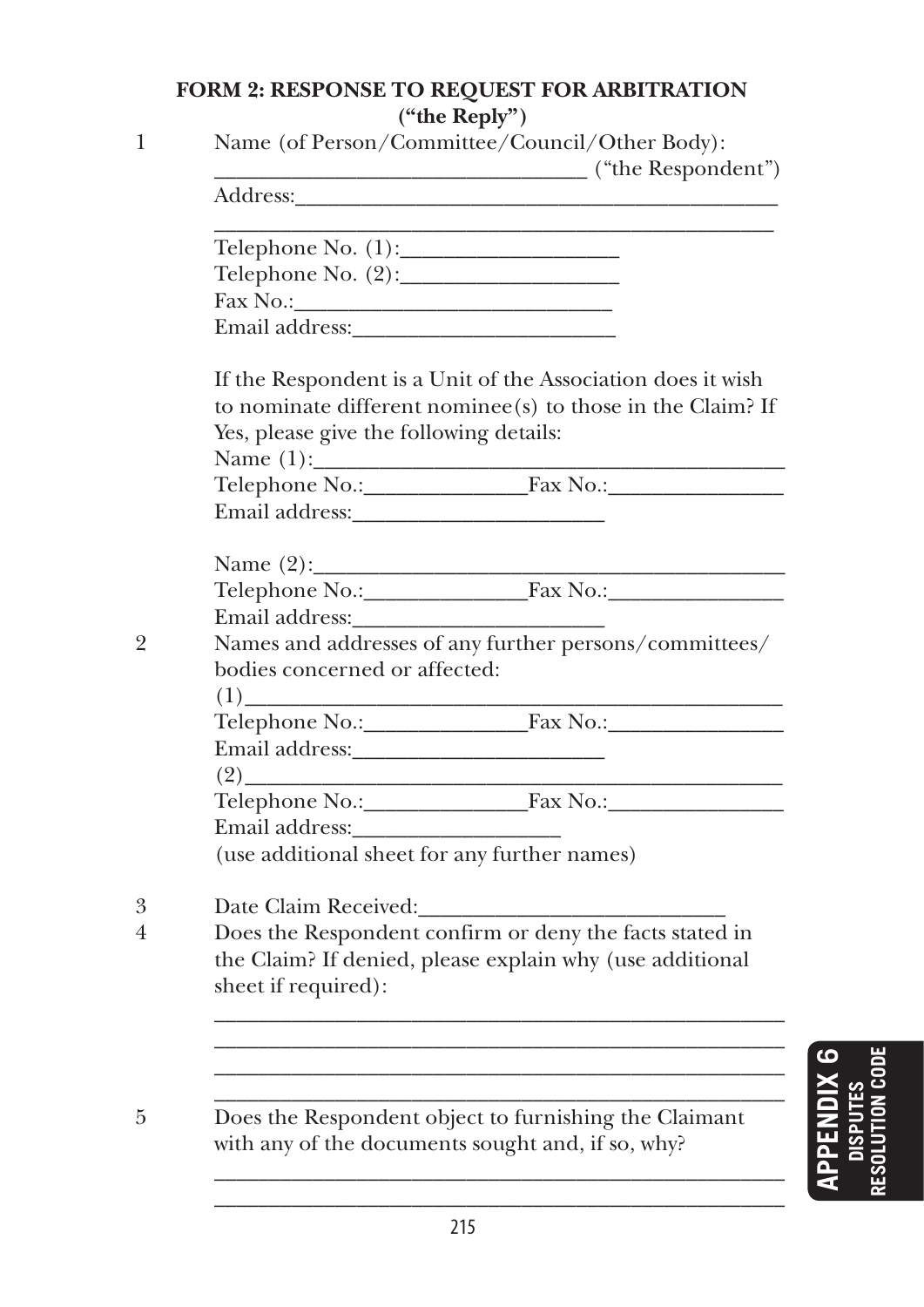# **Form 2: Response to Request for Arbitration ("the Reply")**

| ("the Respondent")<br>Address: Address: Address: Address: Address: Address: Address: Address: Address: Address: Address: Address: Address: Address: Address: Address: Address: Address: Address: Address: Address: Address: Address: Address: Addres |
|------------------------------------------------------------------------------------------------------------------------------------------------------------------------------------------------------------------------------------------------------|
|                                                                                                                                                                                                                                                      |
|                                                                                                                                                                                                                                                      |
|                                                                                                                                                                                                                                                      |
|                                                                                                                                                                                                                                                      |
|                                                                                                                                                                                                                                                      |
| If the Respondent is a Unit of the Association does it wish                                                                                                                                                                                          |
| to nominate different nominee(s) to those in the Claim? If                                                                                                                                                                                           |
| Yes, please give the following details:                                                                                                                                                                                                              |
|                                                                                                                                                                                                                                                      |
|                                                                                                                                                                                                                                                      |
|                                                                                                                                                                                                                                                      |
| Name $(2)$ :                                                                                                                                                                                                                                         |
| Telephone No.: Fax No.: Fax No.:                                                                                                                                                                                                                     |
|                                                                                                                                                                                                                                                      |
| Names and addresses of any further persons/committees/                                                                                                                                                                                               |
| bodies concerned or affected:                                                                                                                                                                                                                        |
|                                                                                                                                                                                                                                                      |
|                                                                                                                                                                                                                                                      |
|                                                                                                                                                                                                                                                      |
| the control of the control of the control of                                                                                                                                                                                                         |
|                                                                                                                                                                                                                                                      |
|                                                                                                                                                                                                                                                      |
| (use additional sheet for any further names)                                                                                                                                                                                                         |
| Date Claim Received:                                                                                                                                                                                                                                 |
| Does the Respondent confirm or deny the facts stated in                                                                                                                                                                                              |
| the Claim? If denied, please explain why (use additional                                                                                                                                                                                             |
| sheet if required):                                                                                                                                                                                                                                  |
|                                                                                                                                                                                                                                                      |
|                                                                                                                                                                                                                                                      |
|                                                                                                                                                                                                                                                      |
|                                                                                                                                                                                                                                                      |
|                                                                                                                                                                                                                                                      |
| Does the Respondent object to furnishing the Claimant                                                                                                                                                                                                |

\_\_\_\_\_\_\_\_\_\_\_\_\_\_\_\_\_\_\_\_\_\_\_\_\_\_\_\_\_\_\_\_\_\_\_\_\_\_\_\_\_\_\_\_\_\_\_\_\_\_\_\_ \_\_\_\_\_\_\_\_\_\_\_\_\_\_\_\_\_\_\_\_\_\_\_\_\_\_\_\_\_\_\_\_\_\_\_\_\_\_\_\_\_\_\_\_\_\_\_\_\_\_\_\_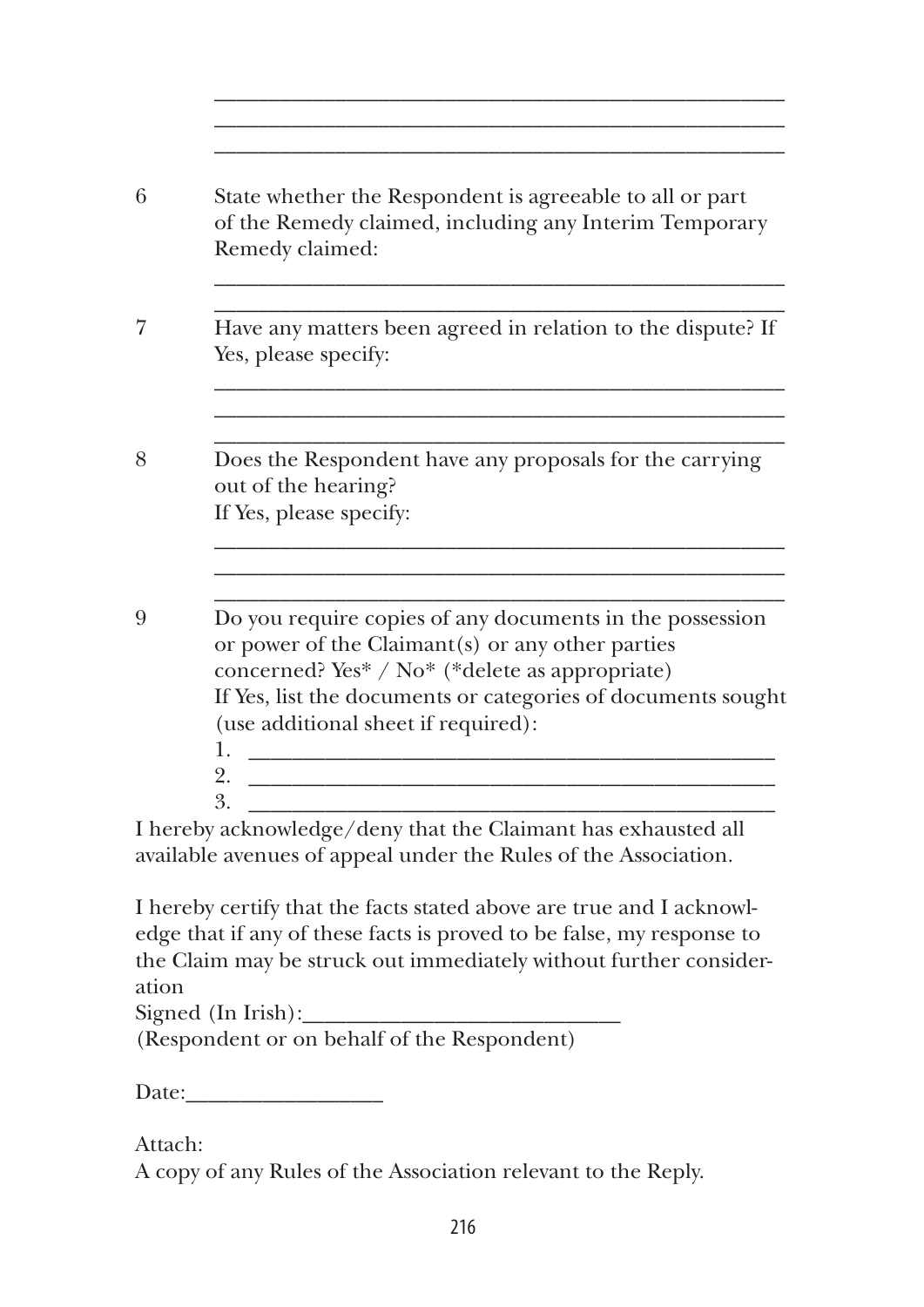| State whether the Respondent is agreeable to all or part<br>of the Remedy claimed, including any Interim Temporary<br>Remedy claimed:                                                                                                                                 |
|-----------------------------------------------------------------------------------------------------------------------------------------------------------------------------------------------------------------------------------------------------------------------|
| Have any matters been agreed in relation to the dispute? If<br>Yes, please specify:                                                                                                                                                                                   |
| Does the Respondent have any proposals for the carrying<br>out of the hearing?<br>If Yes, please specify:                                                                                                                                                             |
|                                                                                                                                                                                                                                                                       |
| Do you require copies of any documents in the possession<br>or power of the Claimant(s) or any other parties<br>concerned? Yes* / No* (*delete as appropriate)<br>If Yes, list the documents or categories of documents sought<br>(use additional sheet if required): |
| 1.<br><u> 1989 - Johann Barn, mars ann an t-Amhain Aonaich an t-Aonaich an t-Aonaich ann an t-Aonaich ann an t-Aonaich</u><br>2.<br>3.                                                                                                                                |

\_\_\_\_\_\_\_\_\_\_\_\_\_\_\_\_\_\_\_\_\_\_\_\_\_\_\_\_\_\_\_\_\_\_\_\_\_\_\_\_\_\_\_\_\_\_\_\_\_\_\_\_

I hereby certify that the facts stated above are true and I acknowledge that if any of these facts is proved to be false, my response to the Claim may be struck out immediately without further consideration

 $Signed (In Irish):$ 

(Respondent or on behalf of the Respondent)

Date:

Attach:

A copy of any Rules of the Association relevant to the Reply.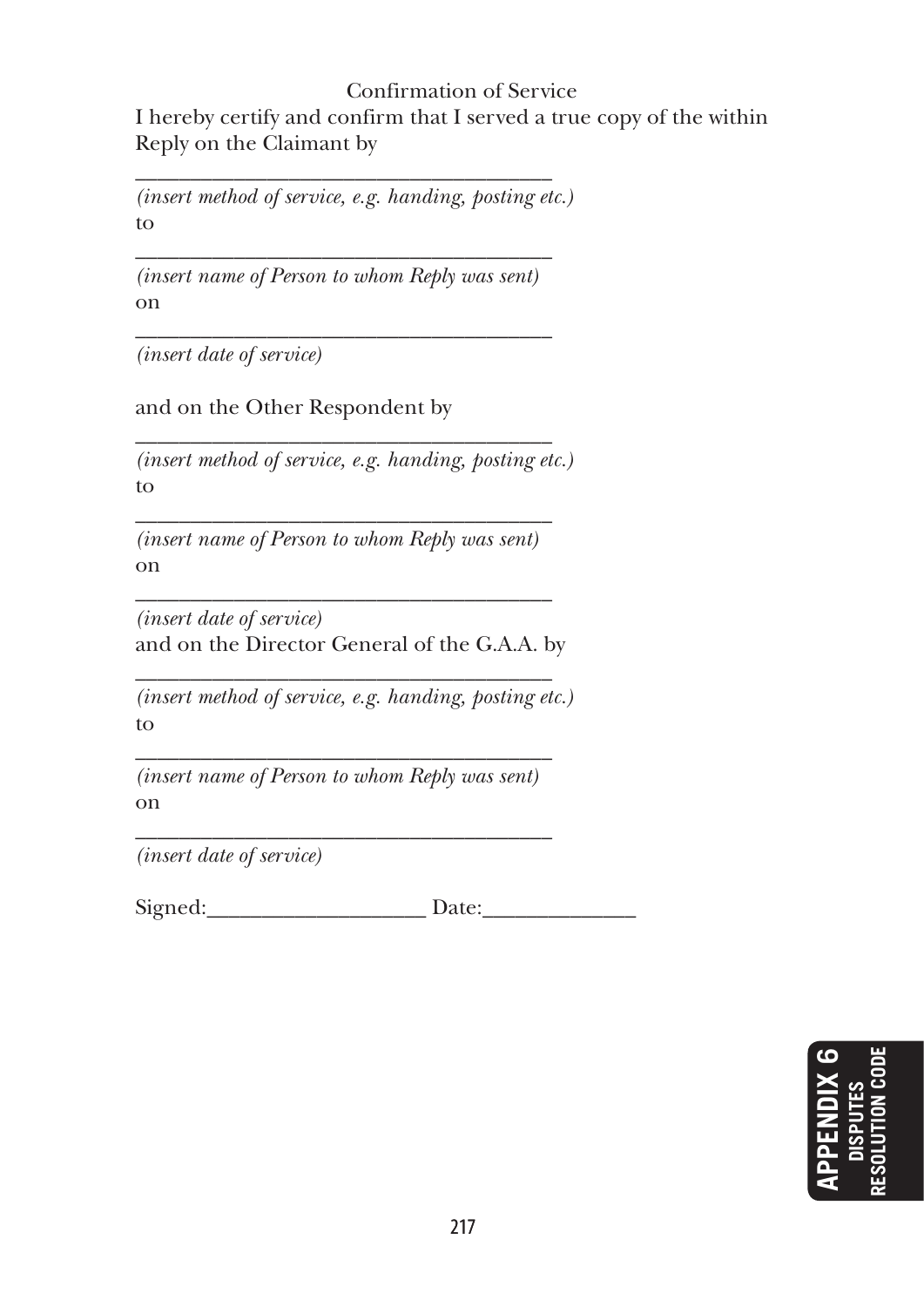#### Confirmation of Service I hereby certify and confirm that I served a true copy of the within Reply on the Claimant by

\_\_\_\_\_\_\_\_\_\_\_\_\_\_\_\_\_\_\_\_\_\_\_\_\_\_\_\_\_\_\_\_\_\_\_\_\_\_ *(insert method of service, e.g. handing, posting etc.)* to

\_\_\_\_\_\_\_\_\_\_\_\_\_\_\_\_\_\_\_\_\_\_\_\_\_\_\_\_\_\_\_\_\_\_\_\_\_\_ *(insert name of Person to whom Reply was sent)* on \_\_\_\_\_\_\_\_\_\_\_\_\_\_\_\_\_\_\_\_\_\_\_\_\_\_\_\_\_\_\_\_\_\_\_\_\_\_

*(insert date of service)*

and on the Other Respondent by

\_\_\_\_\_\_\_\_\_\_\_\_\_\_\_\_\_\_\_\_\_\_\_\_\_\_\_\_\_\_\_\_\_\_\_\_\_\_ *(insert method of service, e.g. handing, posting etc.)* to

\_\_\_\_\_\_\_\_\_\_\_\_\_\_\_\_\_\_\_\_\_\_\_\_\_\_\_\_\_\_\_\_\_\_\_\_\_\_ *(insert name of Person to whom Reply was sent)* on \_\_\_\_\_\_\_\_\_\_\_\_\_\_\_\_\_\_\_\_\_\_\_\_\_\_\_\_\_\_\_\_\_\_\_\_\_\_

*(insert date of service)* and on the Director General of the G.A.A. by

\_\_\_\_\_\_\_\_\_\_\_\_\_\_\_\_\_\_\_\_\_\_\_\_\_\_\_\_\_\_\_\_\_\_\_\_\_\_ *(insert method of service, e.g. handing, posting etc.)* to

\_\_\_\_\_\_\_\_\_\_\_\_\_\_\_\_\_\_\_\_\_\_\_\_\_\_\_\_\_\_\_\_\_\_\_\_\_\_ *(insert name of Person to whom Reply was sent)* on

\_\_\_\_\_\_\_\_\_\_\_\_\_\_\_\_\_\_\_\_\_\_\_\_\_\_\_\_\_\_\_\_\_\_\_\_\_\_ *(insert date of service)*

Signed: Date:

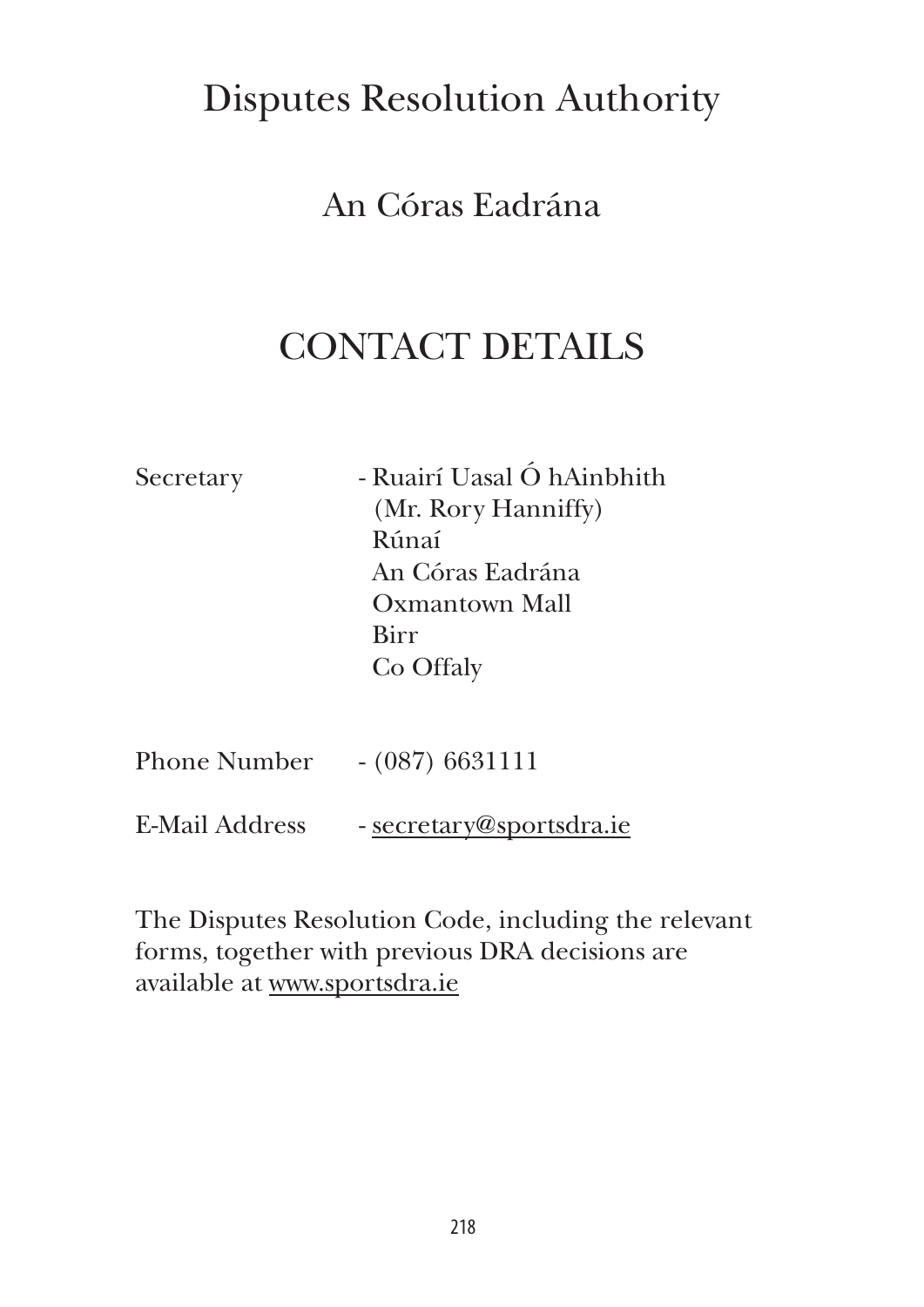## Disputes Resolution Authority

## An Córas Eadrána

## CONTACT DETAILS

| Secretary | - Ruairí Uasal Ó hAinbhith |
|-----------|----------------------------|
|           | (Mr. Rory Hanniffy)        |
|           | Rúnaí                      |
|           | An Córas Eadrána           |
|           | Oxmantown Mall             |
|           | Birr                       |
|           | Co Offaly                  |
|           |                            |
|           |                            |

| <b>Phone Number</b> | $- (087) 6631111$ |
|---------------------|-------------------|
|                     |                   |

E-Mail Address - secretary@sportsdra.ie

The Disputes Resolution Code, including the relevant forms, together with previous DRA decisions are available at www.sportsdra.ie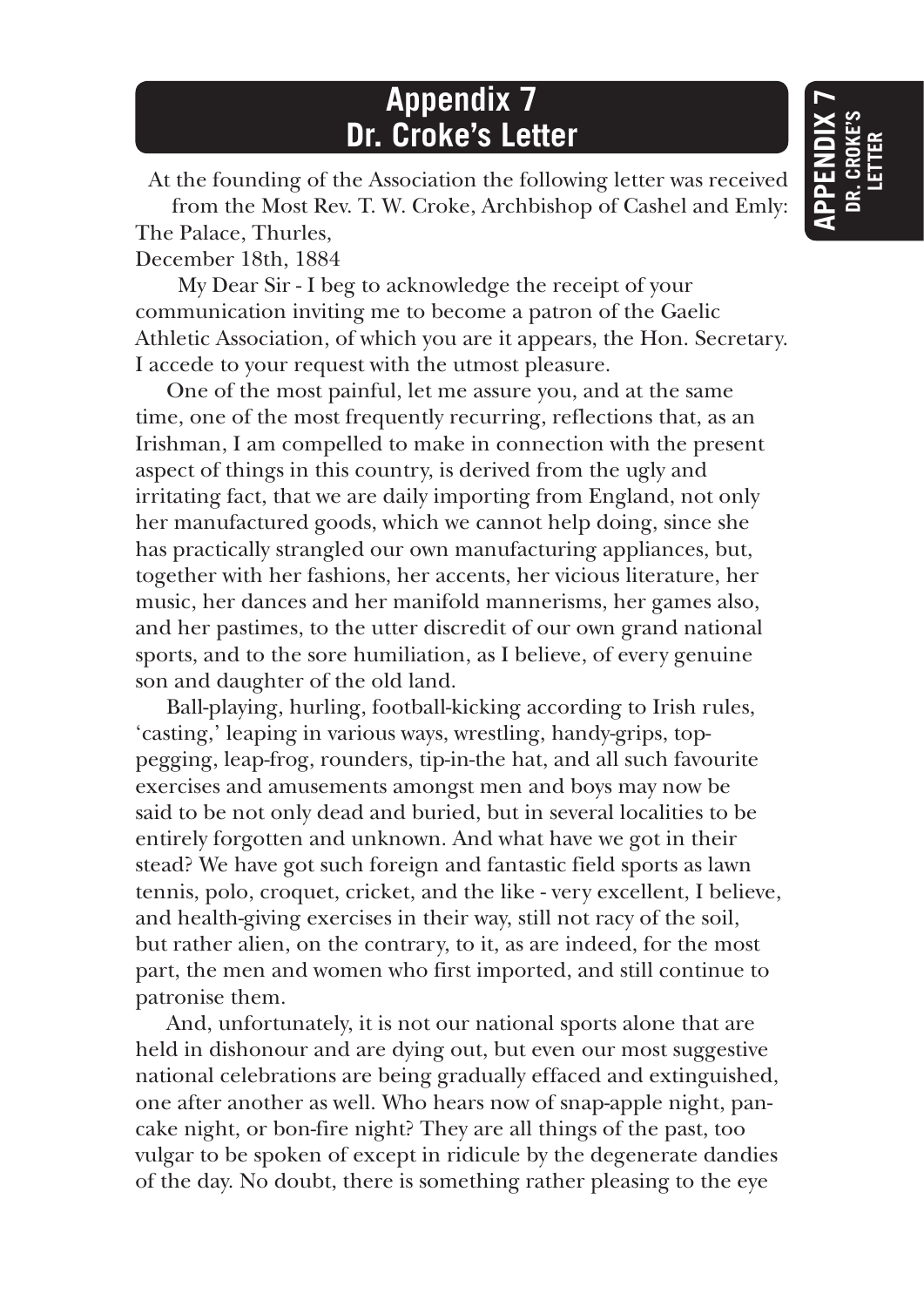## **Appendix 7 Dr. Croke's Letter**

At the founding of the Association the following letter was received

from the Most Rev. T. W. Croke, Archbishop of Cashel and Emly: The Palace, Thurles,

December 18th, 1884

 My Dear Sir - I beg to acknowledge the receipt of your communication inviting me to become a patron of the Gaelic Athletic Association, of which you are it appears, the Hon. Secretary. I accede to your request with the utmost pleasure.

One of the most painful, let me assure you, and at the same time, one of the most frequently recurring, reflections that, as an Irishman, I am compelled to make in connection with the present aspect of things in this country, is derived from the ugly and irritating fact, that we are daily importing from England, not only her manufactured goods, which we cannot help doing, since she has practically strangled our own manufacturing appliances, but, together with her fashions, her accents, her vicious literature, her music, her dances and her manifold mannerisms, her games also, and her pastimes, to the utter discredit of our own grand national sports, and to the sore humiliation, as I believe, of every genuine son and daughter of the old land.

Ball-playing, hurling, football-kicking according to Irish rules, 'casting,' leaping in various ways, wrestling, handy-grips, toppegging, leap-frog, rounders, tip-in-the hat, and all such favourite exercises and amusements amongst men and boys may now be said to be not only dead and buried, but in several localities to be entirely forgotten and unknown. And what have we got in their stead? We have got such foreign and fantastic field sports as lawn tennis, polo, croquet, cricket, and the like - very excellent, I believe, and health-giving exercises in their way, still not racy of the soil, but rather alien, on the contrary, to it, as are indeed, for the most part, the men and women who first imported, and still continue to patronise them.

And, unfortunately, it is not our national sports alone that are held in dishonour and are dying out, but even our most suggestive national celebrations are being gradually effaced and extinguished, one after another as well. Who hears now of snap-apple night, pancake night, or bon-fire night? They are all things of the past, too vulgar to be spoken of except in ridicule by the degenerate dandies of the day. No doubt, there is something rather pleasing to the eye

**APPENDIX 7 dr. croke's letter**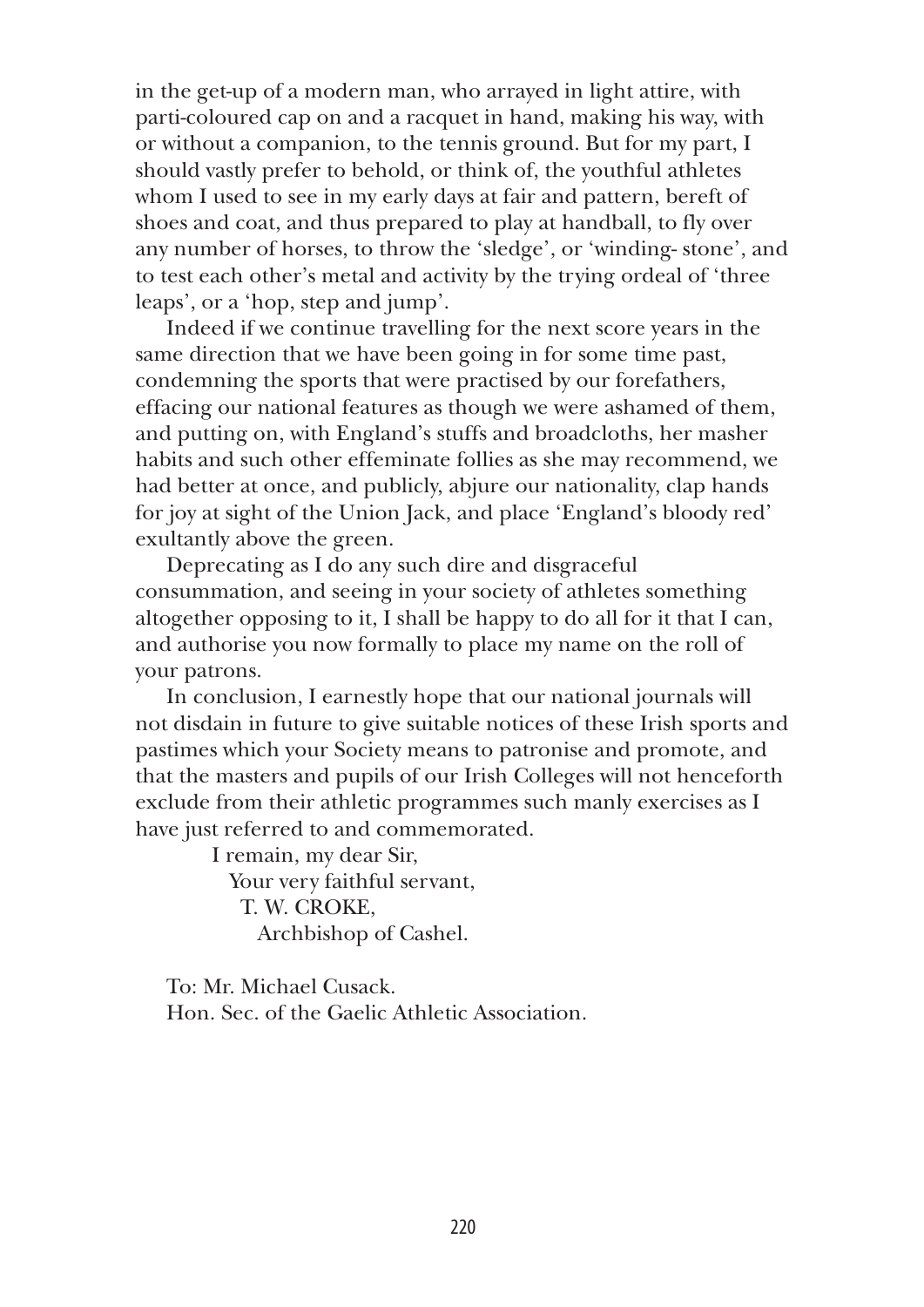in the get-up of a modern man, who arrayed in light attire, with parti-coloured cap on and a racquet in hand, making his way, with or without a companion, to the tennis ground. But for my part, I should vastly prefer to behold, or think of, the youthful athletes whom I used to see in my early days at fair and pattern, bereft of shoes and coat, and thus prepared to play at handball, to fly over any number of horses, to throw the 'sledge', or 'winding- stone', and to test each other's metal and activity by the trying ordeal of 'three leaps', or a 'hop, step and jump'.

Indeed if we continue travelling for the next score years in the same direction that we have been going in for some time past, condemning the sports that were practised by our forefathers, effacing our national features as though we were ashamed of them, and putting on, with England's stuffs and broadcloths, her masher habits and such other effeminate follies as she may recommend, we had better at once, and publicly, abjure our nationality, clap hands for joy at sight of the Union Jack, and place 'England's bloody red' exultantly above the green.

Deprecating as I do any such dire and disgraceful consummation, and seeing in your society of athletes something altogether opposing to it, I shall be happy to do all for it that I can, and authorise you now formally to place my name on the roll of your patrons.

In conclusion, I earnestly hope that our national journals will not disdain in future to give suitable notices of these Irish sports and pastimes which your Society means to patronise and promote, and that the masters and pupils of our Irish Colleges will not henceforth exclude from their athletic programmes such manly exercises as I have just referred to and commemorated.

> I remain, my dear Sir, Your very faithful servant, T. W. CROKE, Archbishop of Cashel.

To: Mr. Michael Cusack. Hon. Sec. of the Gaelic Athletic Association.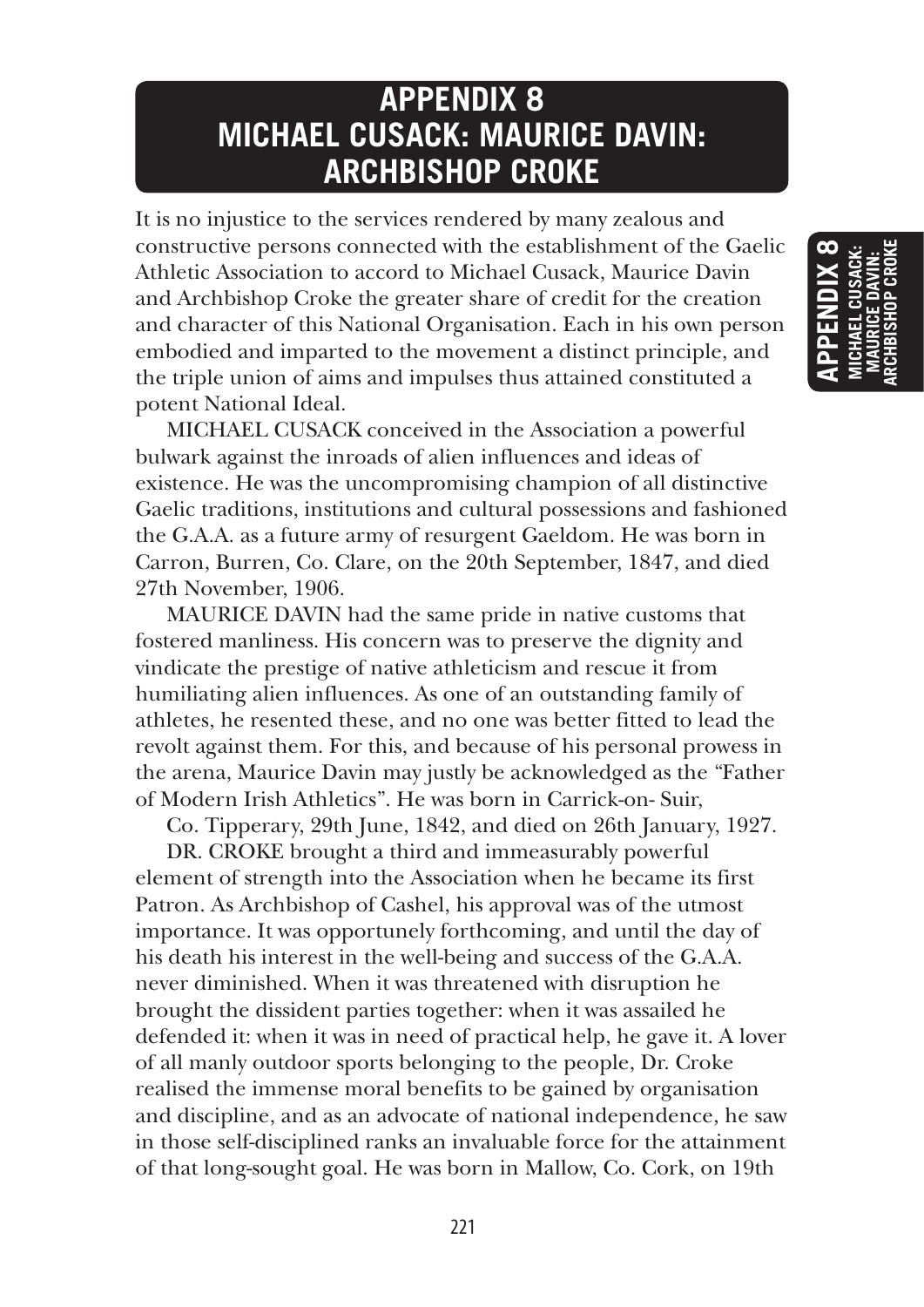## **APPENDIX 8 MICHAEL CUSACK: MAURICE DAVIN: ARCHBISHOP CROKE**

It is no injustice to the services rendered by many zealous and constructive persons connected with the establishment of the Gaelic Athletic Association to accord to Michael Cusack, Maurice Davin and Archbishop Croke the greater share of credit for the creation and character of this National Organisation. Each in his own person embodied and imparted to the movement a distinct principle, and the triple union of aims and impulses thus attained constituted a potent National Ideal.

MICHAEL CUSACK conceived in the Association a powerful bulwark against the inroads of alien influences and ideas of existence. He was the uncompromising champion of all distinctive Gaelic traditions, institutions and cultural possessions and fashioned the G.A.A. as a future army of resurgent Gaeldom. He was born in Carron, Burren, Co. Clare, on the 20th September, 1847, and died 27th November, 1906.

MAURICE DAVIN had the same pride in native customs that fostered manliness. His concern was to preserve the dignity and vindicate the prestige of native athleticism and rescue it from humiliating alien influences. As one of an outstanding family of athletes, he resented these, and no one was better fitted to lead the revolt against them. For this, and because of his personal prowess in the arena, Maurice Davin may justly be acknowledged as the "Father of Modern Irish Athletics". He was born in Carrick-on- Suir,

Co. Tipperary, 29th June, 1842, and died on 26th January, 1927.

DR. CROKE brought a third and immeasurably powerful element of strength into the Association when he became its first Patron. As Archbishop of Cashel, his approval was of the utmost importance. It was opportunely forthcoming, and until the day of his death his interest in the well-being and success of the G.A.A. never diminished. When it was threatened with disruption he brought the dissident parties together: when it was assailed he defended it: when it was in need of practical help, he gave it. A lover of all manly outdoor sports belonging to the people, Dr. Croke realised the immense moral benefits to be gained by organisation and discipline, and as an advocate of national independence, he saw in those self-disciplined ranks an invaluable force for the attainment of that long-sought goal. He was born in Mallow, Co. Cork, on 19th

**APPENDIX 8 michael cusack: maurice davin: archbishop croke**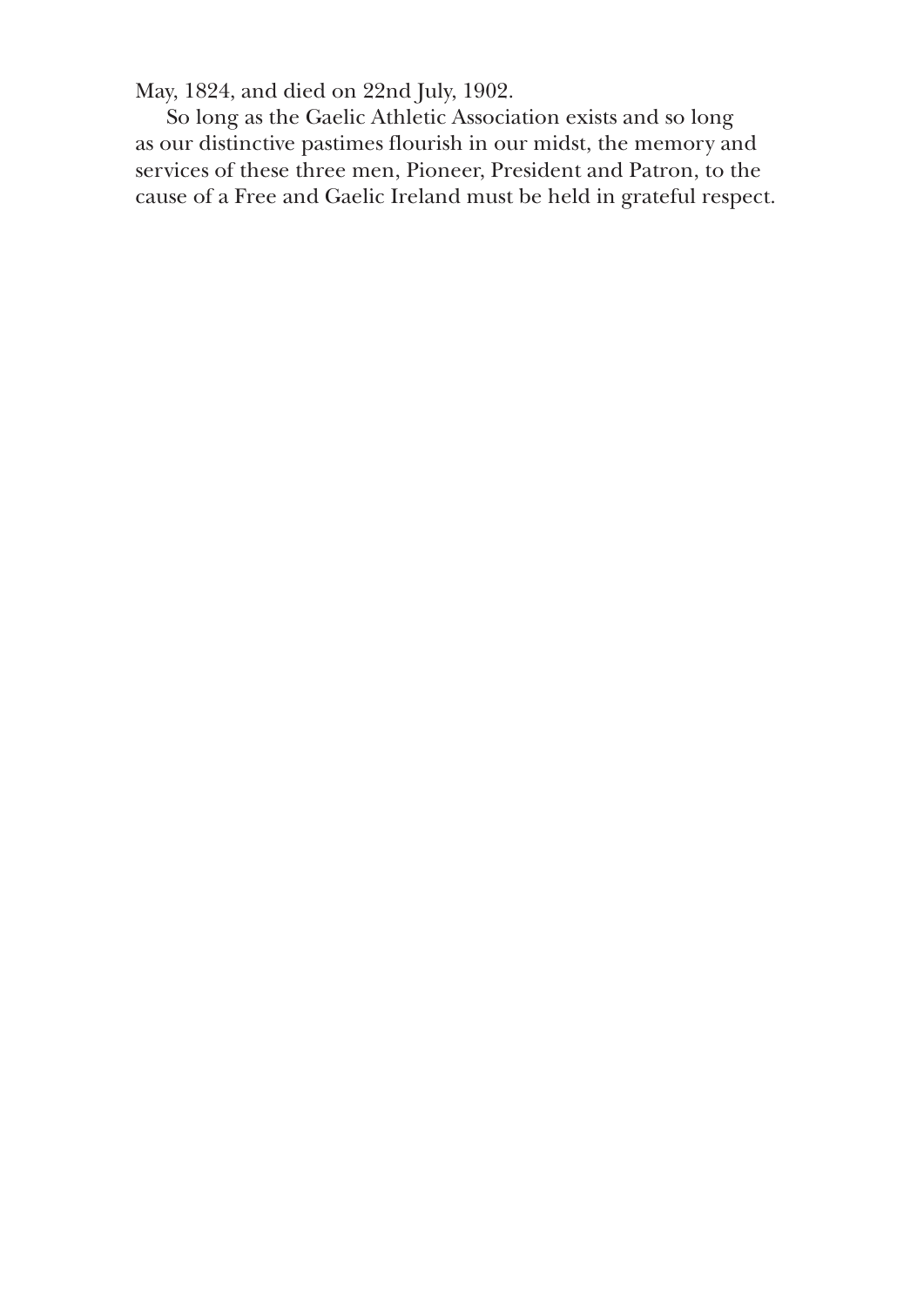May, 1824, and died on 22nd July, 1902.

So long as the Gaelic Athletic Association exists and so long as our distinctive pastimes flourish in our midst, the memory and services of these three men, Pioneer, President and Patron, to the cause of a Free and Gaelic Ireland must be held in grateful respect.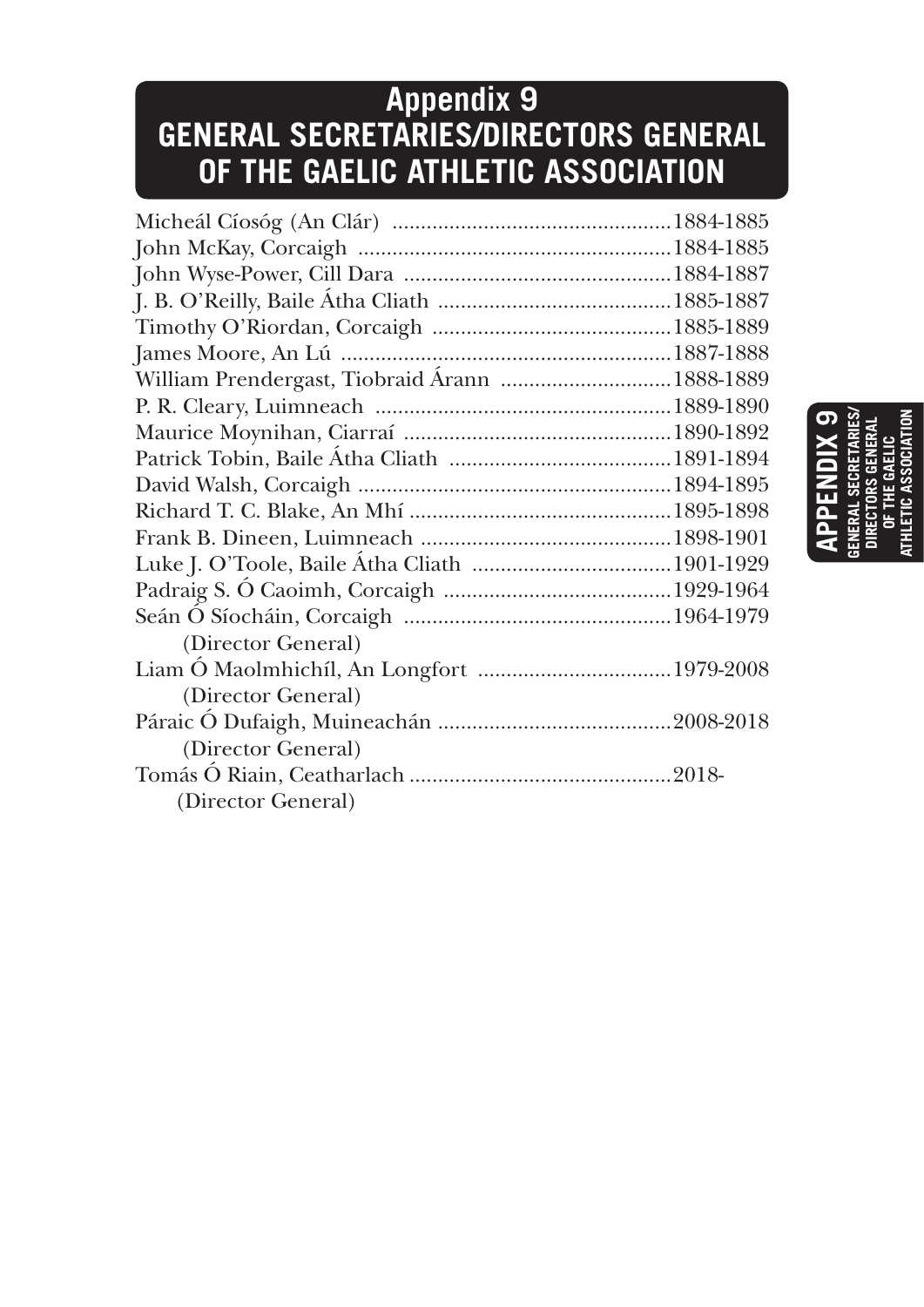## **Appendix 9 GENERAL SECRETARIES/DIRECTORS GENERAL OF THE GAELIC ATHLETIC ASSOCIATION**

| William Prendergast, Tiobraid Árann  1888-1889 |  |
|------------------------------------------------|--|
|                                                |  |
|                                                |  |
|                                                |  |
|                                                |  |
|                                                |  |
|                                                |  |
|                                                |  |
|                                                |  |
|                                                |  |
| (Director General)                             |  |
|                                                |  |
| (Director General)                             |  |
|                                                |  |
| (Director General)                             |  |
|                                                |  |
| (Director General)                             |  |
|                                                |  |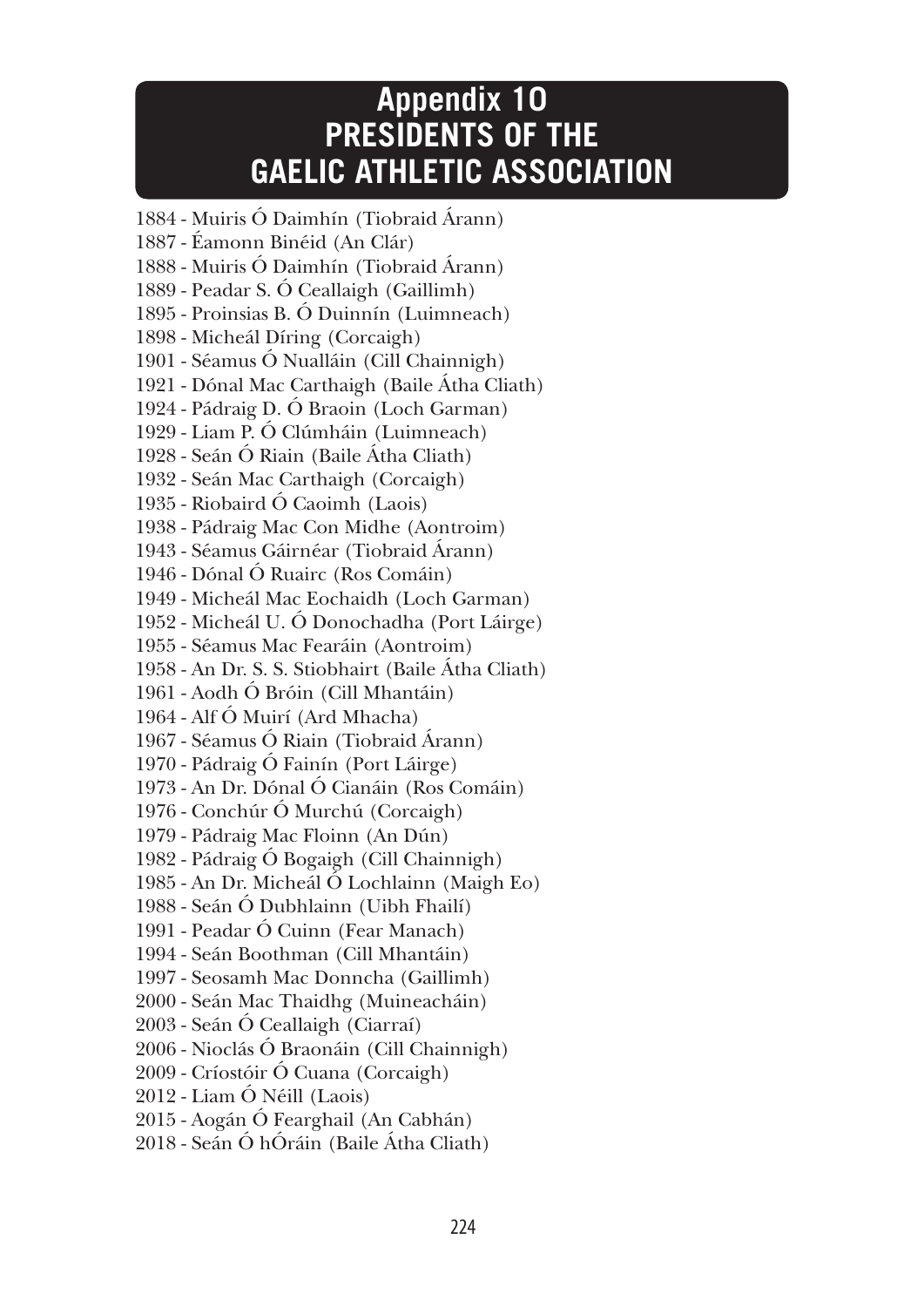## **Appendix 10 PRESIDENTS OF THE GAELIC ATHLETIC ASSOCIATION**

1884 - Muiris Ó Daimhín (Tiobraid Árann) 1887 - Éamonn Binéid (An Clár) 1888 - Muiris Ó Daimhín (Tiobraid Árann) 1889 - Peadar S. Ó Ceallaigh (Gaillimh) 1895 - Proinsias B. Ó Duinnín (Luimneach) 1898 - Micheál Díring (Corcaigh) 1901 - Séamus Ó Nualláin (Cill Chainnigh) 1921 - Dónal Mac Carthaigh (Baile Átha Cliath) 1924 - Pádraig D. Ó Braoin (Loch Garman) 1929 - Liam P. Ó Clúmháin (Luimneach) 1928 - Seán Ó Riain (Baile Átha Cliath) 1932 - Seán Mac Carthaigh (Corcaigh) 1935 - Riobaird Ó Caoimh (Laois) 1938 - Pádraig Mac Con Midhe (Aontroim) 1943 - Séamus Gáirnéar (Tiobraid Árann) 1946 - Dónal Ó Ruairc (Ros Comáin) 1949 - Micheál Mac Eochaidh (Loch Garman) 1952 - Micheál U. Ó Donochadha (Port Láirge) 1955 - Séamus Mac Fearáin (Aontroim) 1958 - An Dr. S. S. Stiobhairt (Baile Átha Cliath) 1961 - Aodh Ó Bróin (Cill Mhantáin) 1964 - Alf Ó Muirí (Ard Mhacha) 1967 - Séamus Ó Riain (Tiobraid Árann) 1970 - Pádraig Ó Fainín (Port Láirge) 1973 - An Dr. Dónal Ó Cianáin (Ros Comáin) 1976 - Conchúr Ó Murchú (Corcaigh) 1979 - Pádraig Mac Floinn (An Dún) 1982 - Pádraig Ó Bogaigh (Cill Chainnigh) 1985 - An Dr. Micheál Ó Lochlainn (Maigh Eo) 1988 - Seán Ó Dubhlainn (Uibh Fhailí) 1991 - Peadar Ó Cuinn (Fear Manach) 1994 - Seán Boothman (Cill Mhantáin) 1997 - Seosamh Mac Donncha (Gaillimh) 2000 - Seán Mac Thaidhg (Muineacháin) 2003 - Seán Ó Ceallaigh (Ciarraí) 2006 - Nioclás Ó Braonáin (Cill Chainnigh) 2009 - Críostóir Ó Cuana (Corcaigh) 2012 - Liam Ó Néill (Laois) 2015 - Aogán Ó Fearghail (An Cabhán) 2018 - Seán Ó hÓráin (Baile Átha Cliath)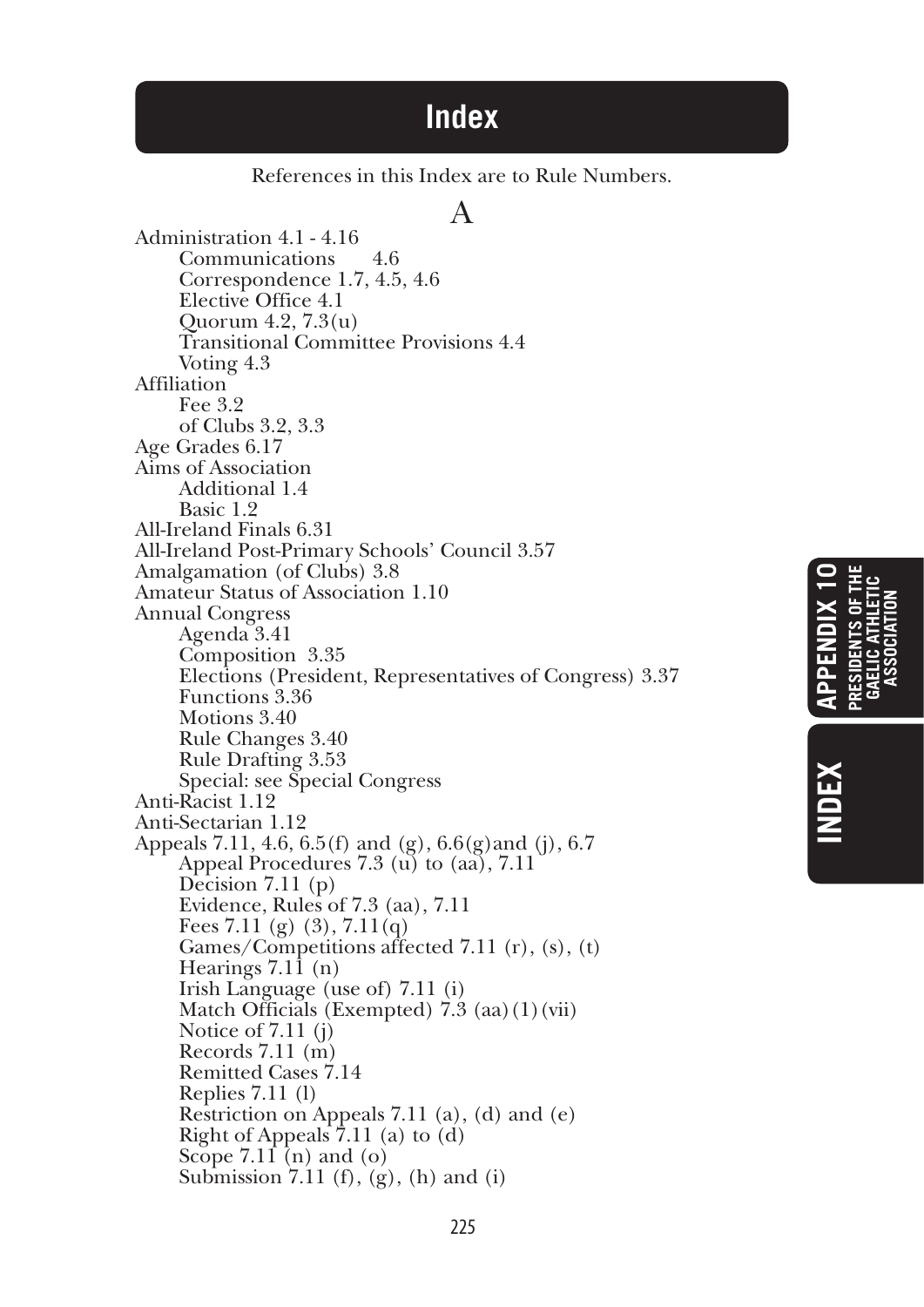## **Index**

References in this Index are to Rule Numbers.

#### A

Administration 4.1 - 4.16 Communications 4.6 Correspondence 1.7, 4.5, 4.6 Elective Office 4.1 Quorum 4.2, 7.3(u) Transitional Committee Provisions 4.4 Voting 4.3 Affiliation Fee 3.2 of Clubs 3.2, 3.3 Age Grades 6.17 Aims of Association Additional 1.4 Basic 1.9 All-Ireland Finals 6.31 All-Ireland Post-Primary Schools' Council 3.57 Amalgamation (of Clubs) 3.8 Amateur Status of Association 1.10 Annual Congress Agenda 3.41 Composition 3.35 Elections (President, Representatives of Congress) 3.37 Functions 3.36 Motions 3.40 Rule Changes 3.40 Rule Drafting 3.53 Special: see Special Congress Anti-Racist 1.12 Anti-Sectarian 1.12 Appeals 7.11, 4.6, 6.5(f) and (g), 6.6(g)and (j), 6.7 Appeal Procedures 7.3 (u) to (aa), 7.11 Decision 7.11 (p) Evidence, Rules of 7.3 (aa), 7.11 Fees 7.11 (g) (3), 7.11(q) Games/Competitions affected 7.11 (r), (s), (t) Hearings 7.11 (n) Irish Language (use of) 7.11 (i) Match Officials (Exempted)  $\hat{7.3}$  (aa)(1)(vii) Notice of 7.11 (j) Records 7.11 (m) Remitted Cases 7.14 Replies 7.11 (l) Restriction on Appeals 7.11 (a), (d) and (e) Right of Appeals  $7.11$  (a) to (d) Scope  $7.11$  (n) and (o) Submission 7.11 (f),  $(g)$ , (h) and (i)

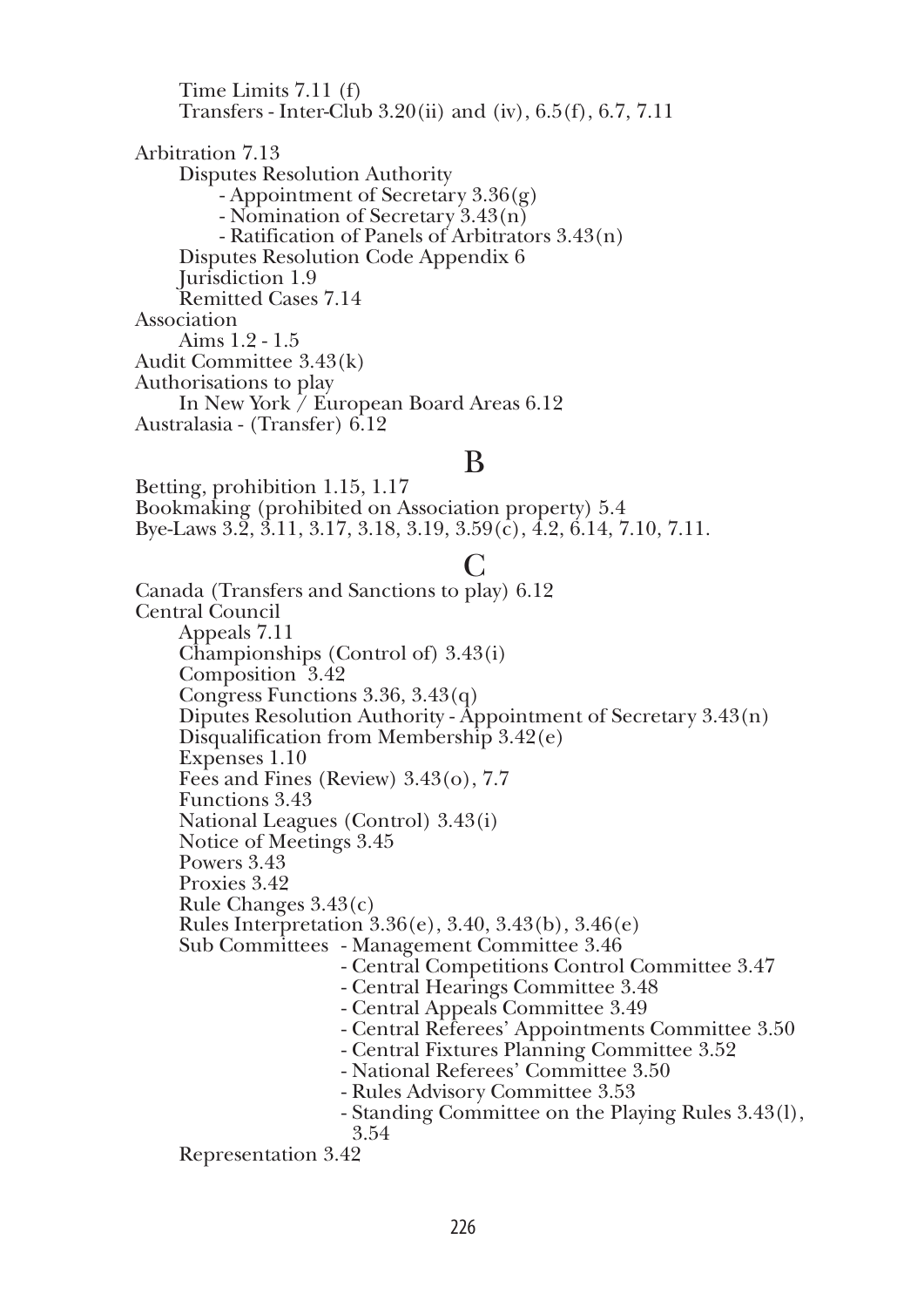Time Limits 7.11 (f) Transfers - Inter-Club 3.20(ii) and (iv), 6.5(f), 6.7, 7.11 Arbitration 7.13 Disputes Resolution Authority - Appointment of Secretary 3.36(g) - Nomination of Secretary 3.43(n) - Ratification of Panels of Arbitrators 3.43(n) Disputes Resolution Code Appendix 6 Jurisdiction 1.9 Remitted Cases 7.14 Association Aims 1.2 - 1.5 Audit Committee 3.43(k) Authorisations to play In New York / European Board Areas 6.12 Australasia - (Transfer) 6.12

#### B

Betting, prohibition 1.15, 1.17 Bookmaking (prohibited on Association property) 5.4 Bye-Laws 3.2, 3.11, 3.17, 3.18, 3.19, 3.59(c), 4.2, 6.14, 7.10, 7.11.

## C

Canada (Transfers and Sanctions to play) 6.12 Central Council Appeals 7.11 Championships (Control of) 3.43(i) Composition 3.42 Congress Functions 3.36, 3.43(q) Diputes Resolution Authority - Appointment of Secretary 3.43(n) Disqualification from Membership 3.42(e) Expenses 1.10 Fees and Fines (Review) 3.43(o), 7.7 Functions 3.43 National Leagues (Control) 3.43(i) Notice of Meetings 3.45 Powers 3.43 Proxies 3.42 Rule Changes 3.43(c) Rules Interpretation 3.36(e), 3.40, 3.43(b), 3.46(e) Sub Committees - Management Committee 3.46 - Central Competitions Control Committee 3.47 - Central Hearings Committee 3.48 - Central Appeals Committee 3.49 - Central Referees' Appointments Committee 3.50 - Central Fixtures Planning Committee 3.52 - National Referees' Committee 3.50 - Rules Advisory Committee 3.53 - Standing Committee on the Playing Rules 3.43(l), 3.54

Representation 3.42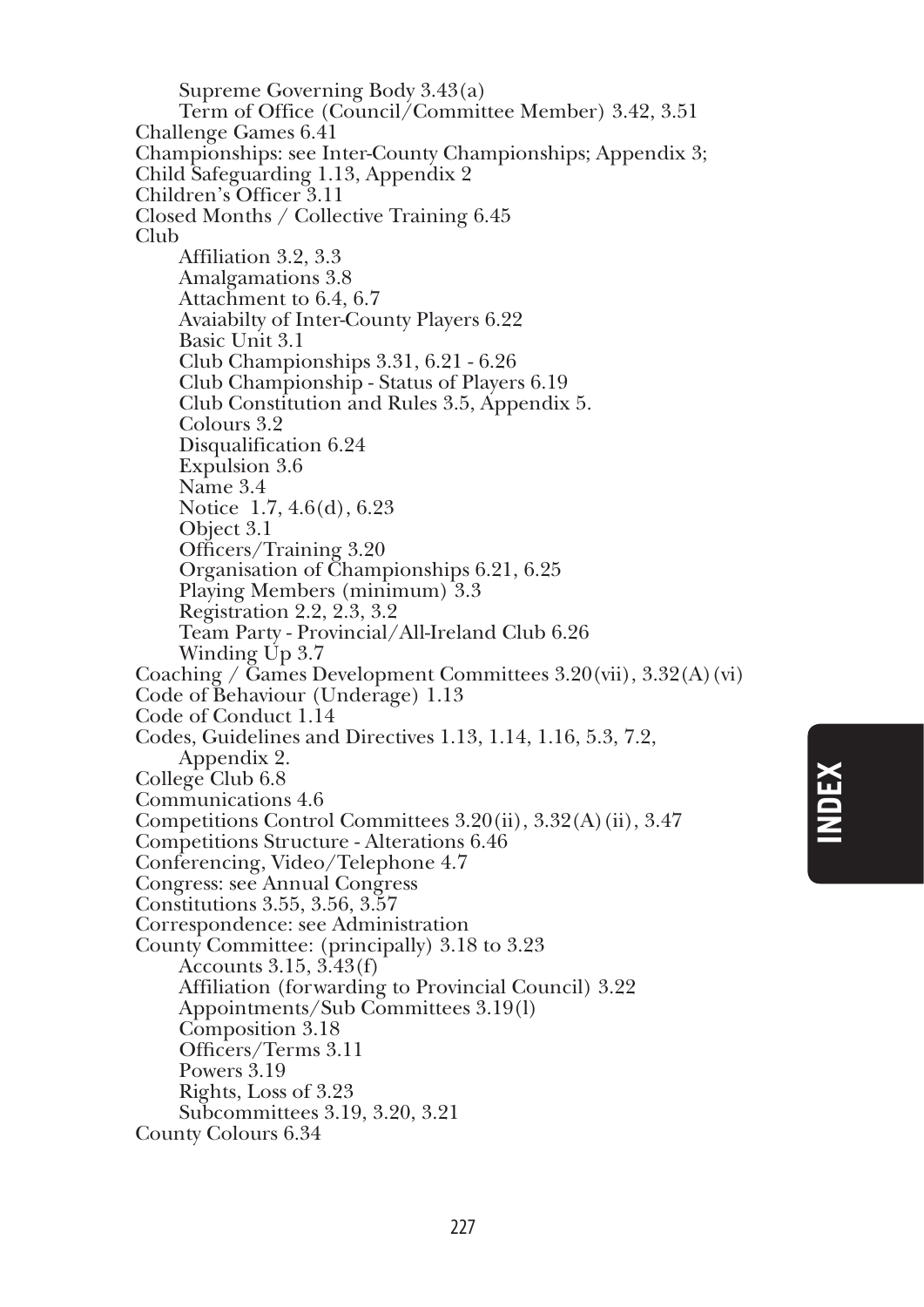Supreme Governing Body 3.43(a) Term of Office (Council/Committee Member) 3.42, 3.51 Challenge Games 6.41 Championships: see Inter-County Championships; Appendix 3; Child Safeguarding 1.13, Appendix 2 Children's Officer 3.11 Closed Months / Collective Training 6.45 Club Affiliation 3.2, 3.3 Amalgamations 3.8 Attachment to 6.4, 6.7 Avaiabilty of Inter-County Players 6.22 Basic Unit 3.1 Club Championships 3.31, 6.21 - 6.26 Club Championship - Status of Players 6.19 Club Constitution and Rules 3.5, Appendix 5. Colours 3.2 Disqualification 6.24 Expulsion 3.6 Name 3.4 Notice 1.7, 4.6(d), 6.23 Object 3.1 Officers/Training 3.20 Organisation of Championships 6.21, 6.25 Playing Members (minimum) 3.3 Registration 2.2, 2.3, 3.2 Team Party - Provincial/All-Ireland Club 6.26 Winding Up 3.7 Coaching /  $\overline{G}$ ames Development Committees 3.20(vii), 3.32(A)(vi) Code of Behaviour (Underage) 1.13 Code of Conduct 1.14 Codes, Guidelines and Directives 1.13, 1.14, 1.16, 5.3, 7.2, Appendix 2. College Club 6.8 Communications 4.6 Competitions Control Committees 3.20(ii), 3.32(A)(ii), 3.47 Competitions Structure - Alterations 6.46 Conferencing, Video/Telephone 4.7 Congress: see Annual Congress Constitutions 3.55, 3.56, 3.57 Correspondence: see Administration County Committee: (principally) 3.18 to 3.23 Accounts 3.15, 3.43(f) Affiliation (forwarding to Provincial Council) 3.22 Appointments/Sub Committees 3.19(l) Composition 3.18 Officers/Terms 3.11 Powers 3.19 Rights, Loss of 3.23 Subcommittees 3.19, 3.20, 3.21 County Colours 6.34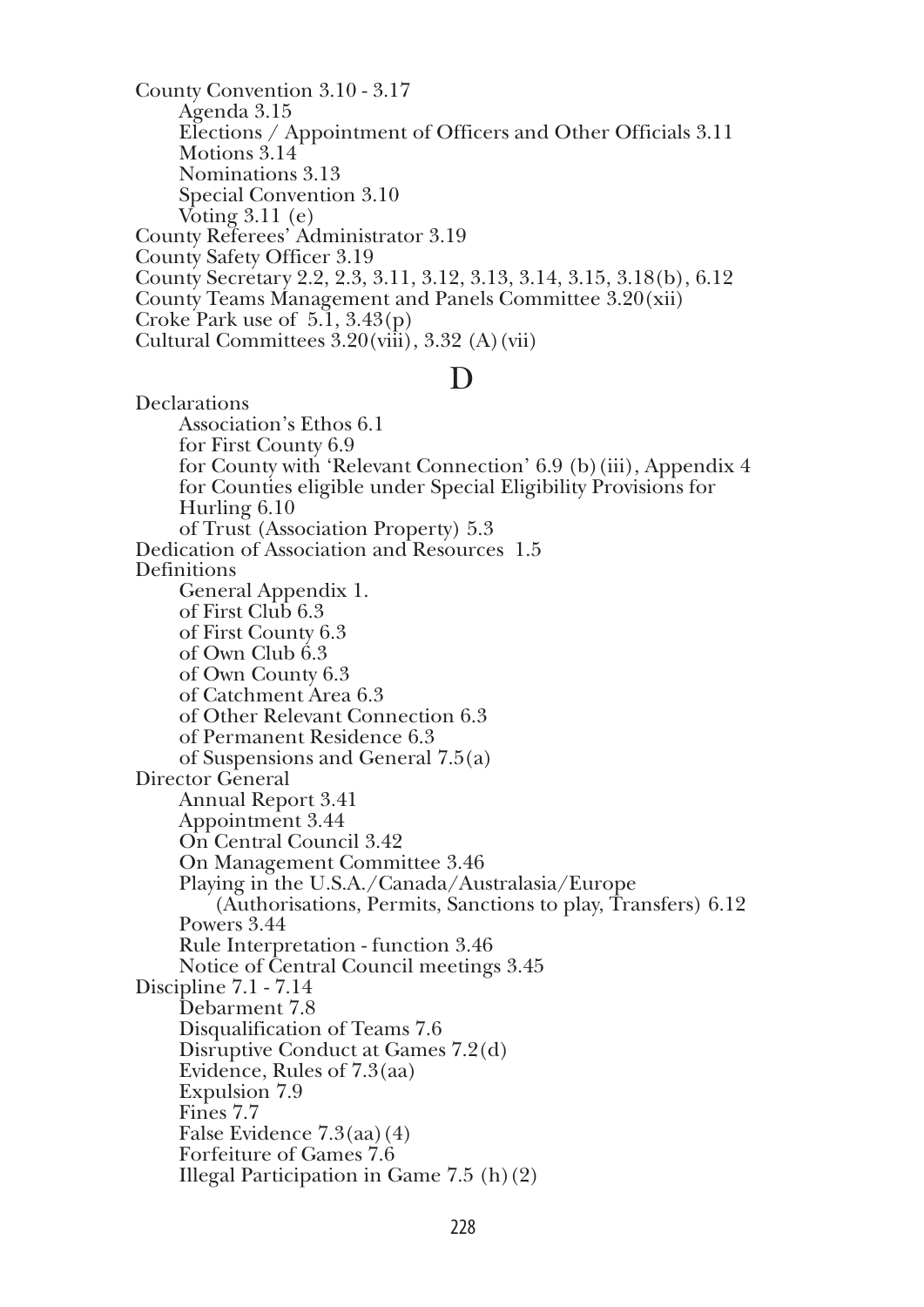County Convention 3.10 - 3.17 Agenda 3.15 Elections / Appointment of Officers and Other Officials 3.11 Motions 3.14 Nominations 3.13 Special Convention 3.10 Voting  $3.11$  (e) County Referees' Administrator 3.19 County Safety Officer 3.19 County Secretary 2.2, 2.3, 3.11, 3.12, 3.13, 3.14, 3.15, 3.18(b), 6.12 County Teams Management and Panels Committee 3.20(xii) Croke Park use of 5.1, 3.43(p) Cultural Committees  $3.20(viii)$ ,  $3.32(A)(vii)$ 

#### D

Declarations Association's Ethos 6.1 for First County 6.9 for County with 'Relevant Connection' 6.9 (b)(iii), Appendix 4 for Counties eligible under Special Eligibility Provisions for Hurling 6.10 of Trust (Association Property) 5.3 Dedication of Association and Resources 1.5 **Definitions** General Appendix 1. of First Club 6.3 of First County 6.3 of Own Club 6.3 of Own County 6.3 of Catchment Area 6.3 of Other Relevant Connection 6.3 of Permanent Residence 6.3 of Suspensions and General 7.5(a) Director General Annual Report 3.41 Appointment 3.44 On Central Council 3.42 On Management Committee 3.46 Playing in the U.S.A./Canada/Australasia/Europe (Authorisations, Permits, Sanctions to play, Transfers) 6.12 Powers 3.44 Rule Interpretation - function 3.46 Notice of Central Council meetings 3.45 Discipline 7.1 - 7.14 Debarment 7.8 Disqualification of Teams 7.6 Disruptive Conduct at Games 7.2(d) Evidence, Rules of 7.3(aa) Expulsion 7.9 Fines 7.7 False Evidence 7.3(aa)(4) Forfeiture of Games 7.6 Illegal Participation in Game 7.5 (h)(2)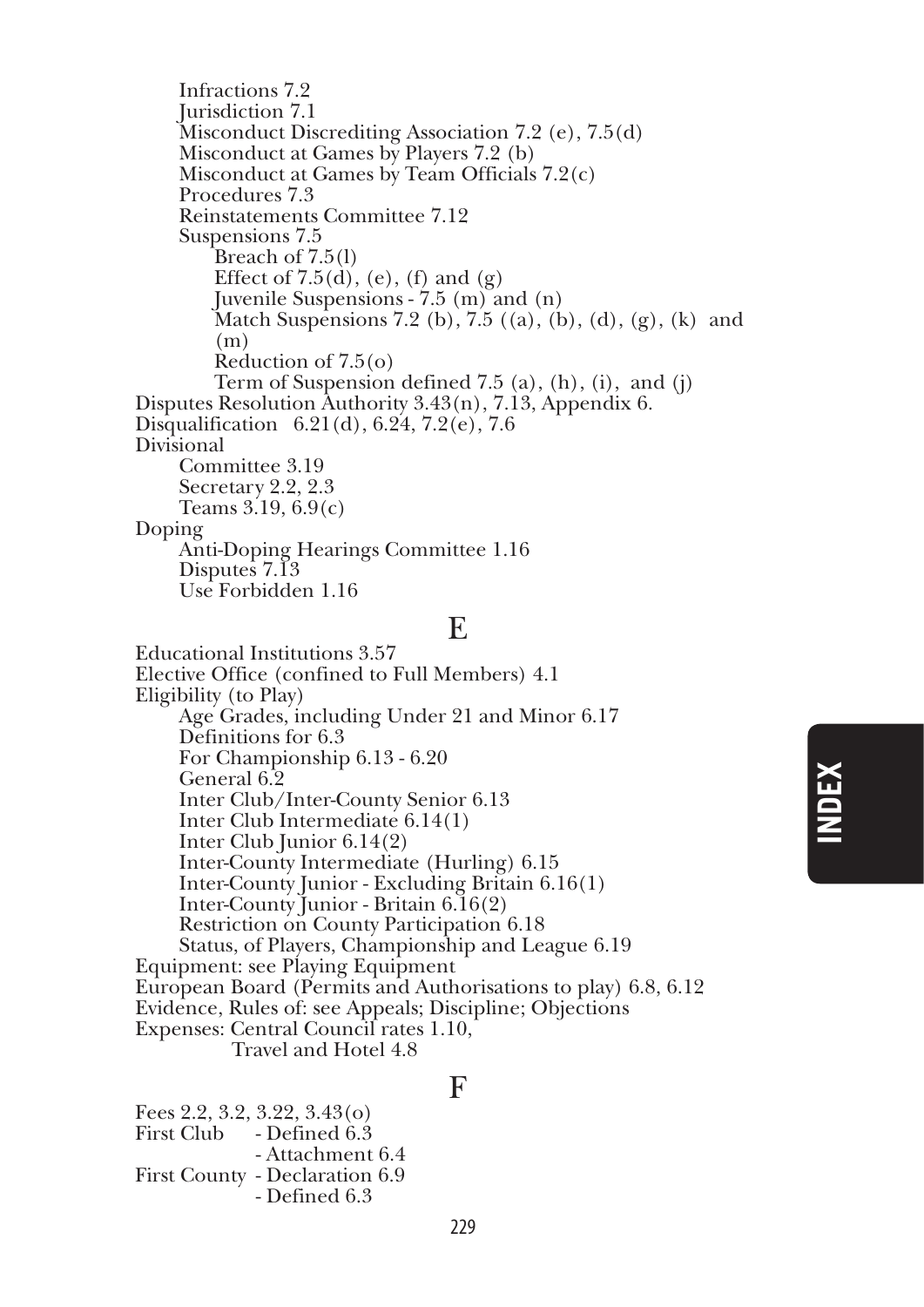Infractions 7.2 Jurisdiction 7.1 Misconduct Discrediting Association 7.2 (e), 7.5(d) Misconduct at Games by Players 7.2 (b) Misconduct at Games by Team Officials 7.2(c) Procedures 7.3 Reinstatements Committee 7.12 Suspensions 7.5 Breach of 7.5(l) Effect of  $7.5(d)$ , (e), (f) and (g) Juvenile Suspensions - 7.5 (m) and (n) Match Suspensions 7.2 (b), 7.5  $((a), (b), (d), (g), (k)$  and  $(m)$ <br>Reduction of 7.5(o) Term of Suspension defined 7.5 (a), (h), (i), and (j) Disputes Resolution Authority  $3.43(n)$ ,  $7.13$ , Appendix 6. Disqualification 6.21(d), 6.24, 7.2(e), 7.6 Divisional Committee 3.19 Secretary 2.2, 2.3 Teams  $3.19, 6.9(c)$ Doping Anti-Doping Hearings Committee 1.16 Disputes 7.13 Use Forbidden 1.16

#### E

Educational Institutions 3.57 Elective Office (confined to Full Members) 4.1 Eligibility (to Play) Age Grades, including Under 21 and Minor 6.17 Definitions for 6.3 For Championship 6.13 - 6.20 General 6.2 Inter Club/Inter-County Senior 6.13 Inter Club Intermediate 6.14(1) Inter Club Junior 6.14(2) Inter-County Intermediate (Hurling) 6.15 Inter-County Junior - Excluding Britain 6.16(1) Inter-County Junior - Britain 6.16(2) Restriction on County Participation 6.18 Status, of Players, Championship and League 6.19 Equipment: see Playing Equipment European Board (Permits and Authorisations to play) 6.8, 6.12 Evidence, Rules of: see Appeals; Discipline; Objections Expenses: Central Council rates 1.10, Travel and Hotel 4.8

#### F

Fees 2.2, 3.2, 3.22, 3.43(o) First Club - Defined 6.3 - Attachment 6.4 First County - Declaration 6.9 - Defined 6.3

## **index**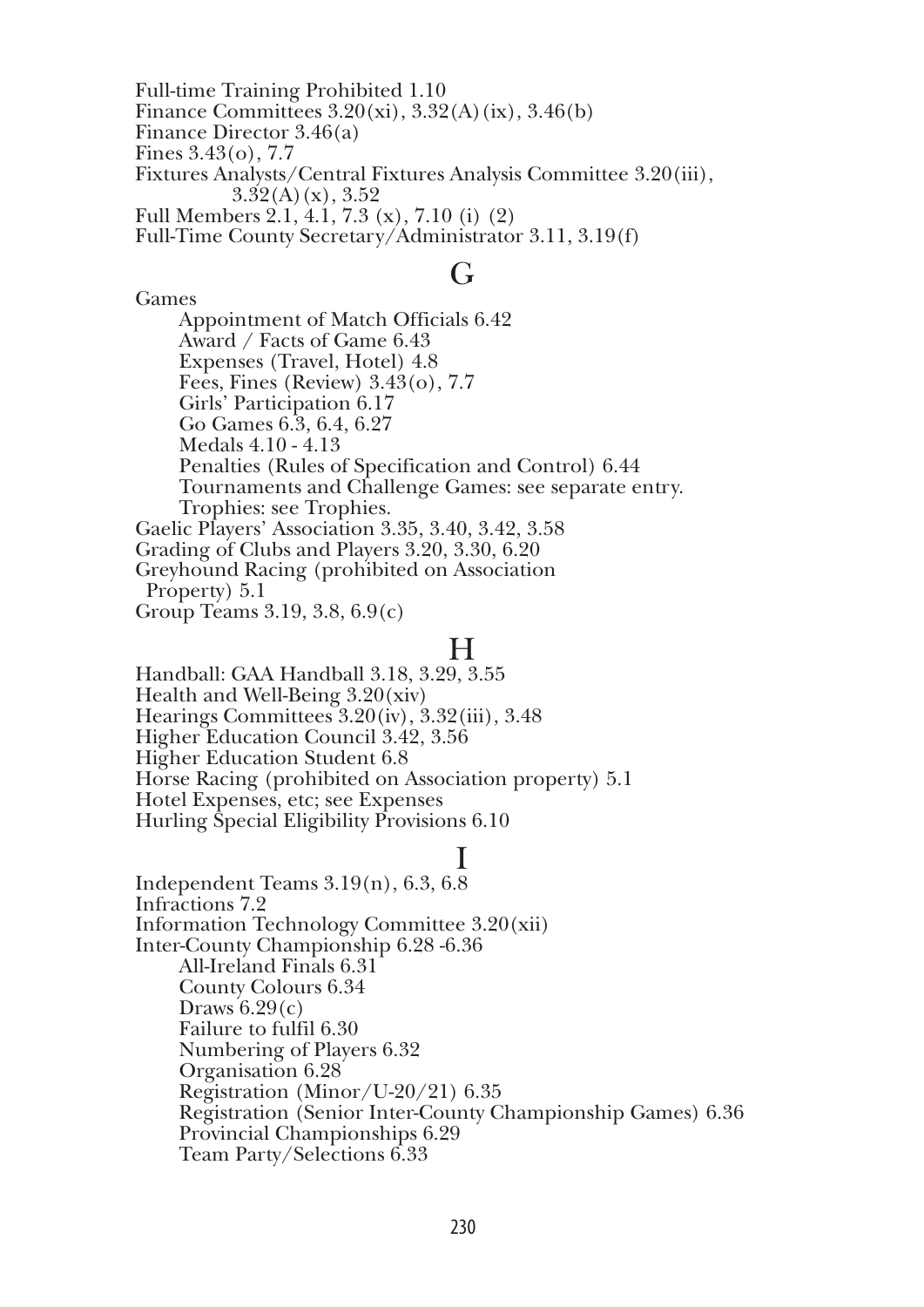Full-time Training Prohibited 1.10 Finance Committees  $3.20(xi)$ ,  $3.32(A)(ix)$ ,  $3.46(b)$ Finance Director 3.46(a) Fines 3.43(o), 7.7 Fixtures Analysts/Central Fixtures Analysis Committee 3.20(iii),  $3.32(A)(x)$ ,  $3.52$ Full Members 2.1, 4.1, 7.3 (x), 7.10 (i) (2) Full-Time County Secretary/Administrator 3.11, 3.19(f)

#### $G_{\mathbf{r}}$

Games Appointment of Match Officials 6.42 Award / Facts of Game 6.43 Expenses (Travel, Hotel) 4.8 Fees, Fines (Review) 3.43(o), 7.7 Girls' Participation 6.17 Go Games 6.3, 6.4, 6.27 Medals 4.10 - 4.13 Penalties (Rules of Specification and Control) 6.44 Tournaments and Challenge Games: see separate entry. Trophies: see Trophies. Gaelic Players' Association 3.35, 3.40, 3.42, 3.58 Grading of Clubs and Players 3.20, 3.30, 6.20 Greyhound Racing (prohibited on Association Property) 5.1

Group Teams 3.19, 3.8, 6.9(c)

#### H

Handball: GAA Handball 3.18, 3.29, 3.55 Health and Well-Being 3.20(xiv) Hearings Committees 3.20(iv), 3.32(iii), 3.48 Higher Education Council 3.42, 3.56 Higher Education Student 6.8 Horse Racing (prohibited on Association property) 5.1 Hotel Expenses, etc; see Expenses Hurling Special Eligibility Provisions 6.10

## I

Independent Teams 3.19(n), 6.3, 6.8 Infractions 7.2 Information Technology Committee 3.20(xii) Inter-County Championship 6.28 -6.36 All-Ireland Finals 6.31 County Colours 6.34 Draws  $6.29(c)$ Failure to fulfil 6.30 Numbering of Players 6.32 Organisation 6.28 Registration (Minor/U-20/21) 6.35 Registration (Senior Inter-County Championship Games) 6.36 Provincial Championships 6.29 Team Party/Selections 6.33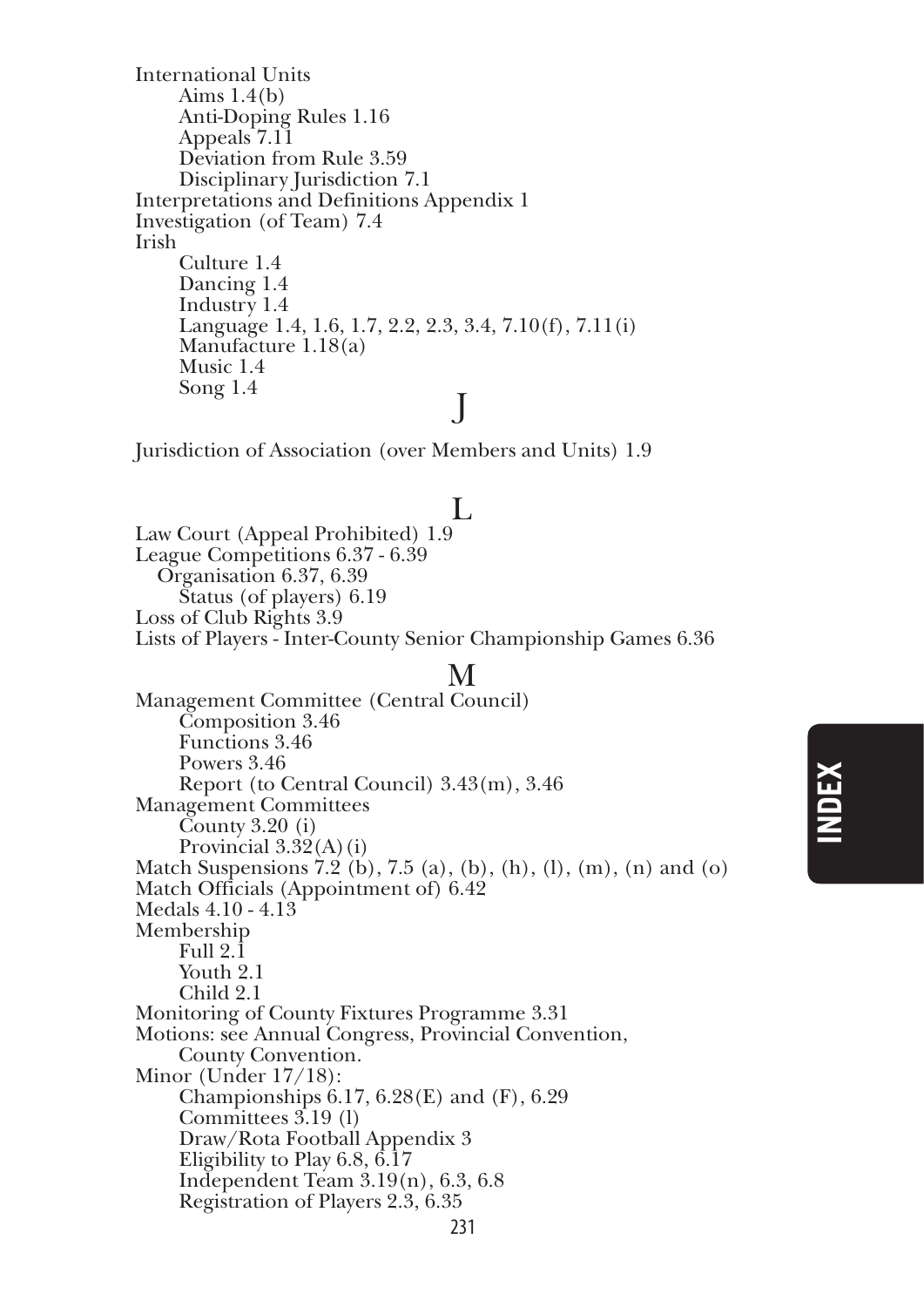International Units Aims 1.4(b) Anti-Doping Rules 1.16 Appeals 7.11 Deviation from Rule 3.59 Disciplinary Jurisdiction 7.1 Interpretations and Definitions Appendix 1 Investigation (of Team) 7.4 Irish Culture 1.4 Dancing 1.4 Industry 1.4 Language 1.4, 1.6, 1.7, 2.2, 2.3, 3.4, 7.10(f), 7.11(i) Manufacture 1.18(a) Music 1.4  $\sum_{i=1}^{\infty}$   $\sum_{i=1}^{\infty}$   $\sum_{i=1}^{\infty}$   $\sum_{i=1}^{\infty}$   $\sum_{i=1}^{\infty}$   $\sum_{i=1}^{\infty}$   $\sum_{i=1}^{\infty}$   $\sum_{i=1}^{\infty}$   $\sum_{i=1}^{\infty}$   $\sum_{i=1}^{\infty}$   $\sum_{i=1}^{\infty}$   $\sum_{i=1}^{\infty}$   $\sum_{i=1}^{\infty}$   $\sum_{i=1}^{\infty}$   $\sum_{i=1}^{\in$ 

Jurisdiction of Association (over Members and Units) 1.9

#### L

Law Court (Appeal Prohibited) 1.9 League Competitions 6.37 - 6.39 Organisation 6.37, 6.39 Status (of players) 6.19 Loss of Club Rights 3.9 Lists of Players - Inter-County Senior Championship Games 6.36

#### M

Management Committee (Central Council) Composition 3.46 Functions 3.46 Powers 3.46 Report (to Central Council) 3.43(m), 3.46 Management Committees  $\check{\mathrm{C}$ ounty 3.20 (i) Provincial  $3.32(A)(i)$ Match Suspensions  $7.2$  (b),  $7.5$  (a), (b), (h), (l), (m), (n) and (o) Match Officials (Appointment of) 6.42 Medals 4.10 - 4.13 Membership Full 2.1 Youth 2.1 Child 2.1 Monitoring of County Fixtures Programme 3.31 Motions: see Annual Congress, Provincial Convention, County Convention. Minor (Under 17/18): Championships 6.17, 6.28(E) and (F), 6.29 Committees 3.19 (l) Draw/Rota Football Appendix 3 Eligibility to Play 6.8, 6.17 Independent Team 3.19(n), 6.3, 6.8 Registration of Players 2.3, 6.35

# **index**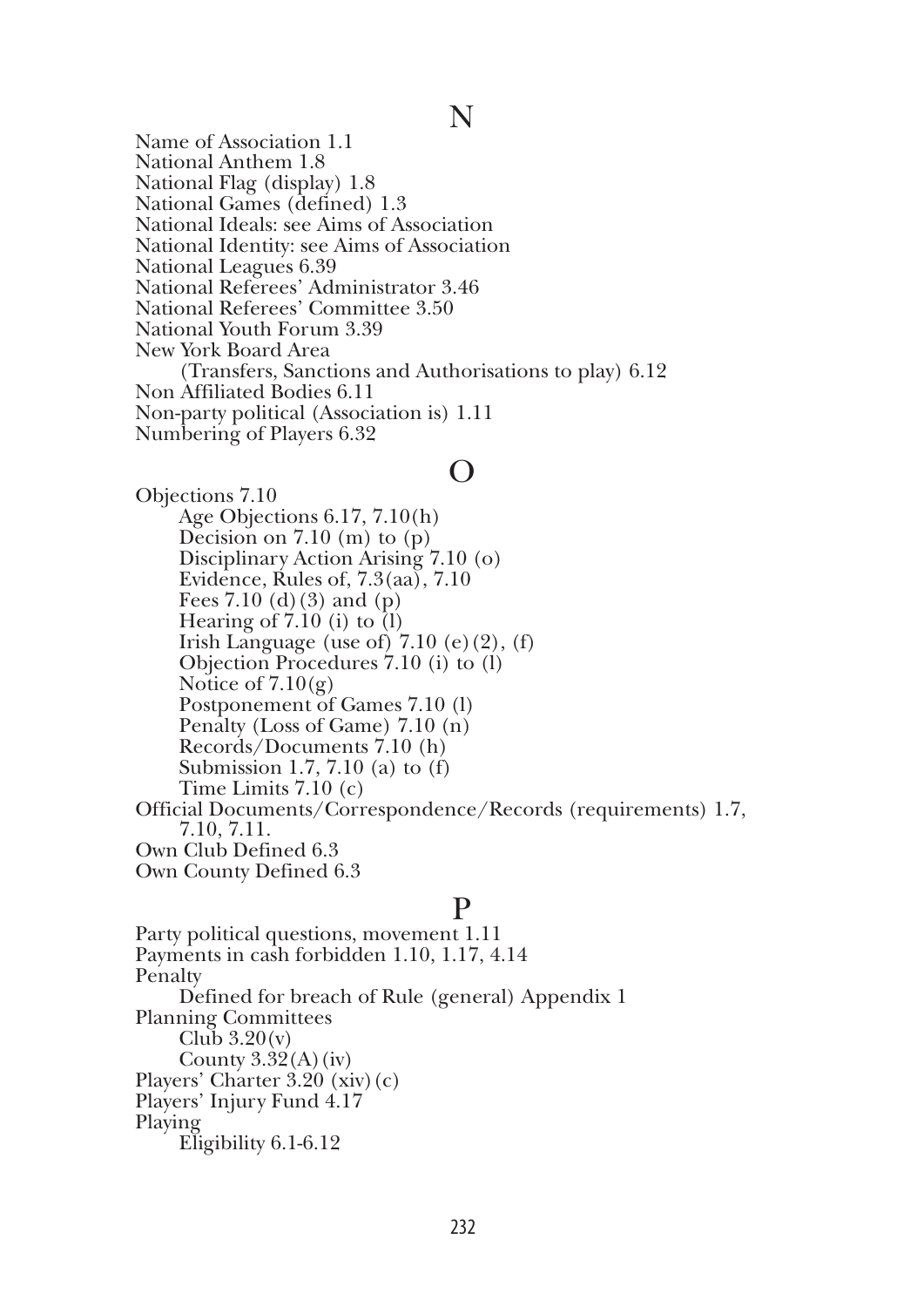#### N

Name of Association 1.1 National Anthem 1.8 National Flag (display) 1.8 National Games (defined) 1.3 National Ideals: see Aims of Association National Identity: see Aims of Association National Leagues 6.39 National Referees' Administrator 3.46 National Referees' Committee 3.50 National Youth Forum 3.39 New York Board Area (Transfers, Sanctions and Authorisations to play) 6.12 Non Affiliated Bodies 6.11 Non-party political (Association is) 1.11 Numbering of Players 6.32

#### O

Objections 7.10 Age Objections 6.17, 7.10(h) Decision on  $7.10$  (m) to (p) Disciplinary Action Arising 7.10 (o) Evidence, Rules of,  $7.3(aa)$ ,  $7.10$ Fees  $7.10$  (d)(3) and (p) Hearing of  $7.10$  (i) to  $(l)$ Irish Language (use of)  $7.10$  (e)(2), (f) Objection Procedures 7.10 (i) to (l) Notice of  $7.10(g)$ Postponement of Games 7.10 (l) Penalty (Loss of Game) 7.10 (n) Records/Documents 7.10 (h) Submission 1.7, 7.10 (a) to (f) Time Limits 7.10 (c) Official Documents/Correspondence/Records (requirements) 1.7, 7.10, 7.11. Own Club Defined 6.3 Own County Defined 6.3

#### P

Party political questions, movement 1.11 Payments in cash forbidden 1.10, 1.17, 4.14 Penalty Defined for breach of Rule (general) Appendix 1 Planning Committees Club  $3.20(v)$ County  $3.32(A)(iv)$ Players' Charter 3.20 (xiv)(c) Players' Injury Fund 4.17 Playing Eligibility 6.1-6.12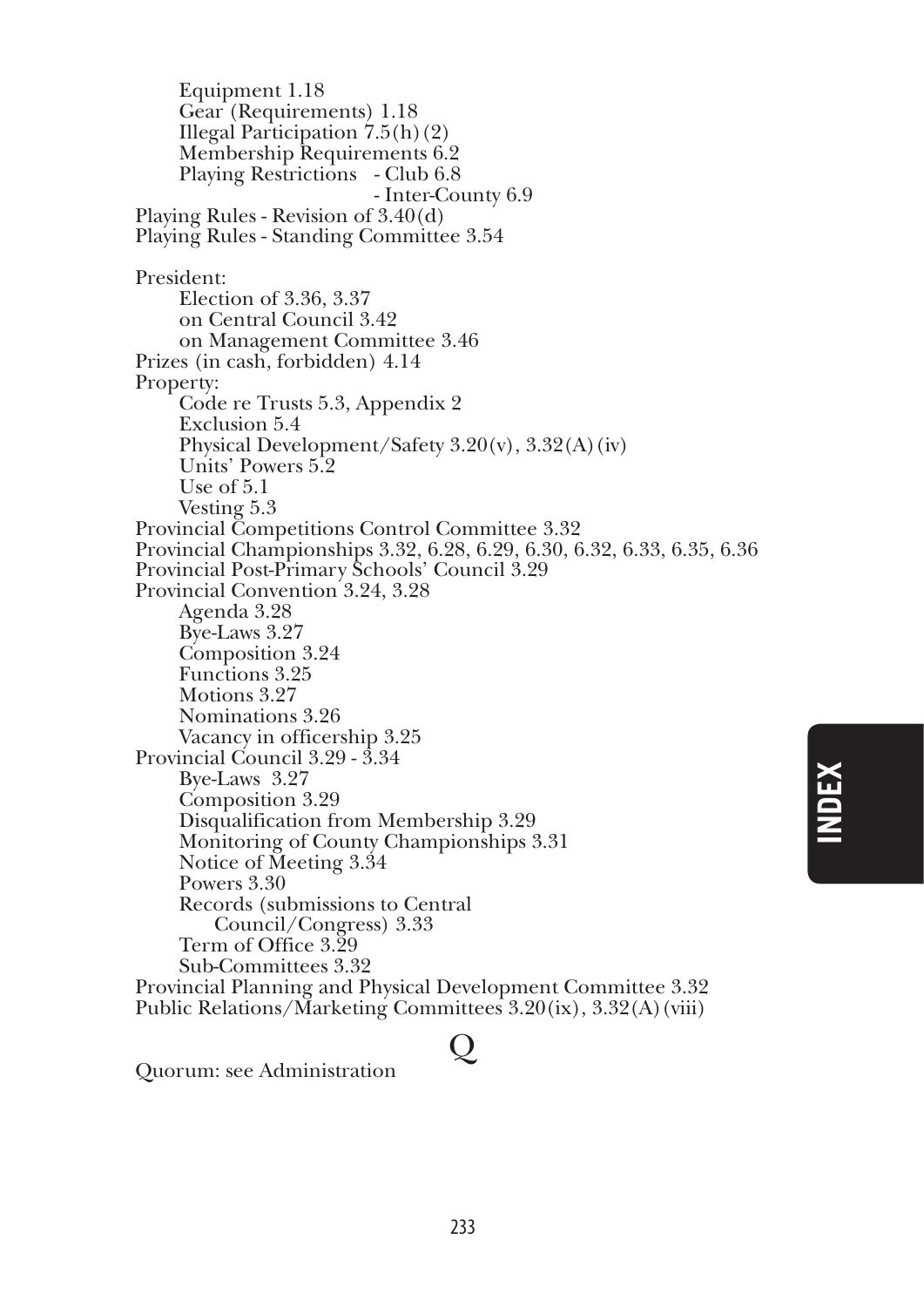Equipment 1.18 Gear (Requirements) 1.18 Illegal Participation  $7.5(h)(2)$ Membership Requirements 6.2 Playing Restrictions - Club 6.8 - Inter-County 6.9 Playing Rules - Revision of 3.40(d) Playing Rules - Standing Committee 3.54 President: Election of 3.36, 3.37 on Central Council 3.42 on Management Committee 3.46 Prizes (in cash, forbidden) 4.14 Property: Code re Trusts 5.3, Appendix 2 Exclusion 5.4 Physical Development/Safety 3.20(v), 3.32(A)(iv) Units' Powers 5.2 Use of 5.1 Vesting 5.3 Provincial Competitions Control Committee 3.32 Provincial Championships 3.32, 6.28, 6.29, 6.30, 6.32, 6.33, 6.35, 6.36 Provincial Post-Primary Schools' Council 3.29 Provincial Convention 3.24, 3.28 Agenda 3.28 Bye-Laws 3.27 Composition 3.24 Functions 3.25 Motions 3.27 Nominations 3.26 Vacancy in officership 3.25 Provincial Council 3.29 - 3.34 Bye-Laws 3.27 Composition 3.29 Disqualification from Membership 3.29 Monitoring of County Championships 3.31 Notice of Meeting 3.34 Powers 3.30 Records (submissions to Central Council/Congress) 3.33 Term of Office 3.29 Sub-Committees 3.32 Provincial Planning and Physical Development Committee 3.32 Public Relations/Marketing Committees 3.20(ix), 3.32(A)(viii)

**index**

Quorum: see Administration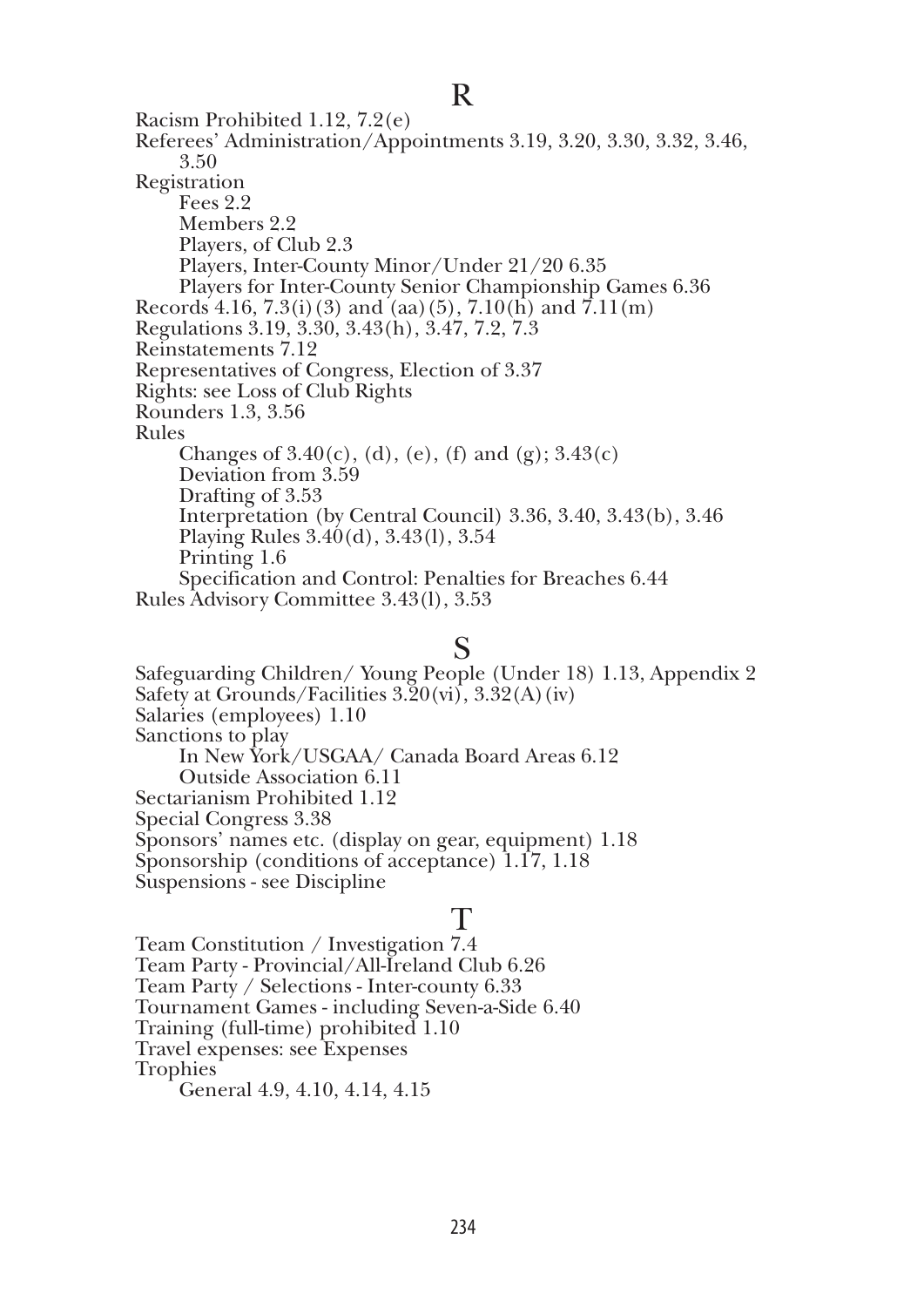Racism Prohibited 1.12, 7.2(e) Referees' Administration/Appointments 3.19, 3.20, 3.30, 3.32, 3.46, 3.50 Registration Fees 2.2 Members 2.2 Players, of Club 2.3 Players, Inter-County Minor/Under 21/20 6.35 Players for Inter-County Senior Championship Games 6.36 Records 4.16, 7.3(i)(3) and (aa)(5), 7.10(h) and 7.11(m) Regulations 3.19, 3.30, 3.43(h), 3.47, 7.2, 7.3 Reinstatements 7.12 Representatives of Congress, Election of 3.37 Rights: see Loss of Club Rights Rounders 1.3, 3.56 Rules Changes of  $3.40(c)$ , (d), (e), (f) and (g);  $3.43(c)$ Deviation from 3.59 Drafting of 3.53 Interpretation (by Central Council) 3.36, 3.40, 3.43(b), 3.46 Playing Rules 3.40(d), 3.43(l), 3.54 Printing 1.6 Specification and Control: Penalties for Breaches 6.44 Rules Advisory Committee 3.43(l), 3.53

#### S

Safeguarding Children/ Young People (Under 18) 1.13, Appendix 2 Safety at Grounds/Facilities  $3.\overline{2}0(\overline{\nu})$ ,  $3.32(A)(\overline{\nu})$ Salaries (employees) 1.10 Sanctions to play In New York/USGAA/ Canada Board Areas 6.12 Outside Association 6.11 Sectarianism Prohibited 1.12 Special Congress 3.38 Sponsors' names etc. (display on gear, equipment) 1.18 Sponsorship (conditions of acceptance) 1.17, 1.18 Suspensions - see Discipline

#### T

Team Constitution / Investigation 7.4 Team Party - Provincial/All-Ireland Club 6.26 Team Party / Selections - Inter-county 6.33 Tournament Games - including Seven-a-Side 6.40 Training (full-time) prohibited 1.10 Travel expenses: see Expenses Trophies General 4.9, 4.10, 4.14, 4.15